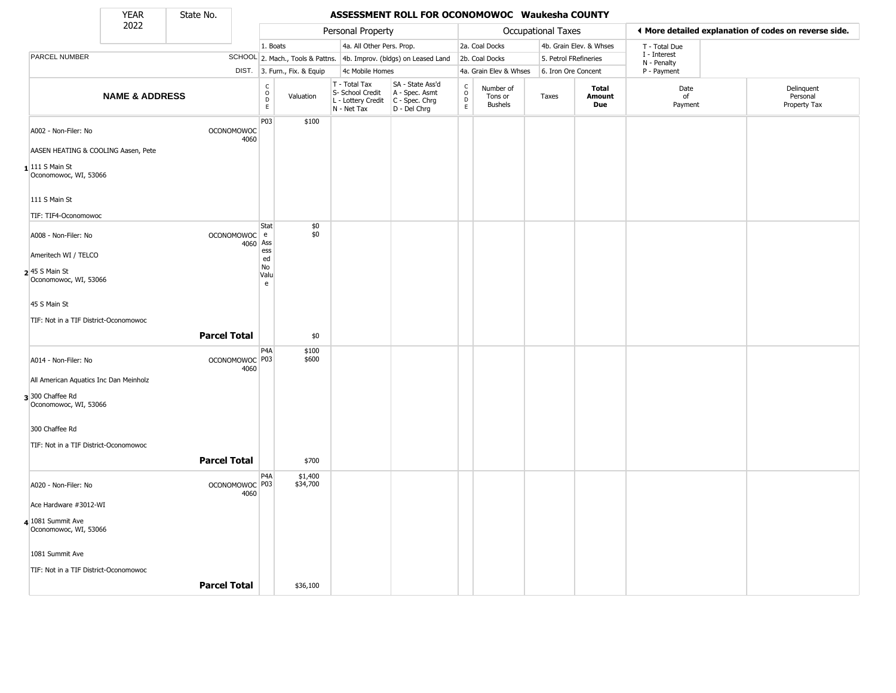State No.

т

## YEAR **ASSESSMENT ROLL FOR OCONOMOWOC Waukesha COUNTY**

|                                                                        | 2022                                |                           |                                                              |                              | Personal Property                                                      |                                                                        |                                |                                        | Occupational Taxes    |                               |                            | ◀ More detailed explanation of codes on reverse side. |
|------------------------------------------------------------------------|-------------------------------------|---------------------------|--------------------------------------------------------------|------------------------------|------------------------------------------------------------------------|------------------------------------------------------------------------|--------------------------------|----------------------------------------|-----------------------|-------------------------------|----------------------------|-------------------------------------------------------|
|                                                                        |                                     |                           | 1. Boats                                                     |                              | 4a. All Other Pers. Prop.                                              |                                                                        |                                | 2a. Coal Docks                         |                       | 4b. Grain Elev. & Whses       | T - Total Due              |                                                       |
| <b>PARCEL NUMBER</b>                                                   |                                     |                           |                                                              |                              |                                                                        | SCHOOL 2. Mach., Tools & Pattns. 4b. Improv. (bldgs) on Leased Land    |                                | 2b. Coal Docks                         | 5. Petrol FRefineries |                               | I - Interest               |                                                       |
|                                                                        |                                     |                           |                                                              | DIST. 3. Furn., Fix. & Equip | 4c Mobile Homes                                                        |                                                                        |                                | 4a. Grain Elev & Whses                 | 6. Iron Ore Concent   |                               | N - Penalty<br>P - Payment |                                                       |
|                                                                        | <b>NAME &amp; ADDRESS</b>           |                           | $\mathsf{C}$<br>$\begin{array}{c}\n0 \\ 0 \\ E\n\end{array}$ | Valuation                    | T - Total Tax<br>S- School Credit<br>L - Lottery Credit<br>N - Net Tax | SA - State Ass'd<br>A - Spec. Asmt<br>$C - Spec. Chrg$<br>D - Del Chrg | $\frac{c}{0}$<br>$\frac{D}{E}$ | Number of<br>Tons or<br><b>Bushels</b> | Taxes                 | <b>Total</b><br>Amount<br>Due | Date<br>of<br>Payment      | Delinquent<br>Personal<br>Property Tax                |
| A002 - Non-Filer: No                                                   |                                     | OCONOMOWOC<br>4060        | P03                                                          | \$100                        |                                                                        |                                                                        |                                |                                        |                       |                               |                            |                                                       |
|                                                                        | AASEN HEATING & COOLING Aasen, Pete |                           |                                                              |                              |                                                                        |                                                                        |                                |                                        |                       |                               |                            |                                                       |
| $1$  111 S Main St<br>Oconomowoc, WI, 53066                            |                                     |                           |                                                              |                              |                                                                        |                                                                        |                                |                                        |                       |                               |                            |                                                       |
| 111 S Main St<br>TIF: TIF4-Oconomowoc                                  |                                     |                           |                                                              |                              |                                                                        |                                                                        |                                |                                        |                       |                               |                            |                                                       |
| A008 - Non-Filer: No                                                   |                                     | OCONOMOWOC e<br>4060      | Stat<br>Ass<br>$\mathop{\mathsf{ess}}$                       | \$0<br>\$0                   |                                                                        |                                                                        |                                |                                        |                       |                               |                            |                                                       |
| Ameritech WI / TELCO<br><b>2</b> 45 S Main St<br>Oconomowoc, WI, 53066 |                                     |                           | ed<br>No<br>Valu<br>e                                        |                              |                                                                        |                                                                        |                                |                                        |                       |                               |                            |                                                       |
| 45 S Main St                                                           |                                     |                           |                                                              |                              |                                                                        |                                                                        |                                |                                        |                       |                               |                            |                                                       |
| TIF: Not in a TIF District-Oconomowoc                                  |                                     | <b>Parcel Total</b>       |                                                              | \$0                          |                                                                        |                                                                        |                                |                                        |                       |                               |                            |                                                       |
| A014 - Non-Filer: No                                                   |                                     | OCONOMOWOC P03            | P4A                                                          | \$100<br>\$600               |                                                                        |                                                                        |                                |                                        |                       |                               |                            |                                                       |
| All American Aquatics Inc Dan Meinholz                                 |                                     | 4060                      |                                                              |                              |                                                                        |                                                                        |                                |                                        |                       |                               |                            |                                                       |
| 3 300 Chaffee Rd<br>Oconomowoc, WI, 53066                              |                                     |                           |                                                              |                              |                                                                        |                                                                        |                                |                                        |                       |                               |                            |                                                       |
| 300 Chaffee Rd                                                         |                                     |                           |                                                              |                              |                                                                        |                                                                        |                                |                                        |                       |                               |                            |                                                       |
| TIF: Not in a TIF District-Oconomowoc                                  |                                     | <b>Parcel Total</b>       |                                                              | \$700                        |                                                                        |                                                                        |                                |                                        |                       |                               |                            |                                                       |
| A020 - Non-Filer: No                                                   |                                     | OCONOMOWOC <sup>P03</sup> | P4A                                                          | \$1,400<br>\$34,700          |                                                                        |                                                                        |                                |                                        |                       |                               |                            |                                                       |
| Ace Hardware #3012-WI                                                  |                                     | 4060                      |                                                              |                              |                                                                        |                                                                        |                                |                                        |                       |                               |                            |                                                       |
| $4 1081$ Summit Ave<br>Oconomowoc, WI, 53066                           |                                     |                           |                                                              |                              |                                                                        |                                                                        |                                |                                        |                       |                               |                            |                                                       |
| 1081 Summit Ave                                                        |                                     |                           |                                                              |                              |                                                                        |                                                                        |                                |                                        |                       |                               |                            |                                                       |
| TIF: Not in a TIF District-Oconomowoc                                  |                                     | <b>Parcel Total</b>       |                                                              | \$36,100                     |                                                                        |                                                                        |                                |                                        |                       |                               |                            |                                                       |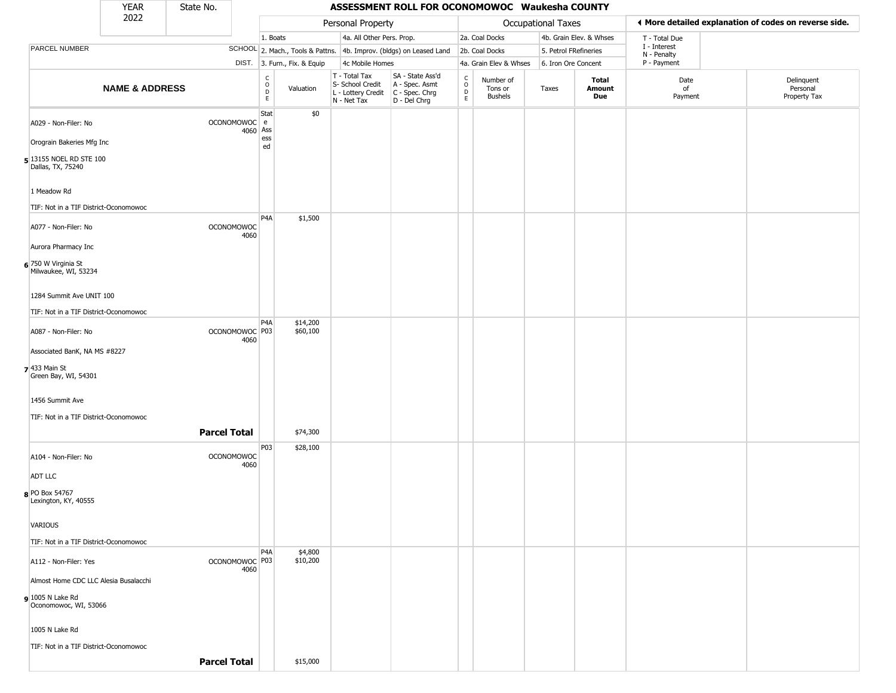|                                              | <b>YEAR</b>               | State No.                 |                                                 |                              |                                                                                         | ASSESSMENT ROLL FOR OCONOMOWOC Waukesha COUNTY                      |                                                 |                                        |                       |                         |                             |                                                       |
|----------------------------------------------|---------------------------|---------------------------|-------------------------------------------------|------------------------------|-----------------------------------------------------------------------------------------|---------------------------------------------------------------------|-------------------------------------------------|----------------------------------------|-----------------------|-------------------------|-----------------------------|-------------------------------------------------------|
|                                              | 2022                      |                           |                                                 |                              | Personal Property                                                                       |                                                                     |                                                 |                                        | Occupational Taxes    |                         |                             | ♦ More detailed explanation of codes on reverse side. |
|                                              |                           |                           | 1. Boats                                        |                              | 4a. All Other Pers. Prop.                                                               |                                                                     |                                                 | 2a. Coal Docks                         |                       | 4b. Grain Elev. & Whses | T - Total Due               |                                                       |
| PARCEL NUMBER                                |                           |                           |                                                 |                              |                                                                                         | SCHOOL 2. Mach., Tools & Pattns. 4b. Improv. (bldgs) on Leased Land |                                                 | 2b. Coal Docks                         | 5. Petrol FRefineries |                         | I - Interest<br>N - Penalty |                                                       |
|                                              |                           |                           |                                                 | DIST. 3. Furn., Fix. & Equip | 4c Mobile Homes                                                                         |                                                                     |                                                 | 4a. Grain Elev & Whses                 | 6. Iron Ore Concent   |                         | P - Payment                 |                                                       |
|                                              | <b>NAME &amp; ADDRESS</b> |                           | $\begin{array}{c} C \\ O \\ D \\ E \end{array}$ | Valuation                    | T - Total Tax<br>S- School Credit<br>L - Lottery Credit   C - Spec. Chrg<br>N - Net Tax | SA - State Ass'd<br>A - Spec. Asmt<br>D - Del Chrg                  | $\begin{array}{c} C \\ O \\ D \\ E \end{array}$ | Number of<br>Tons or<br><b>Bushels</b> | Taxes                 | Total<br>Amount<br>Due  | Date<br>of<br>Payment       | Delinquent<br>Personal<br>Property Tax                |
| A029 - Non-Filer: No                         |                           | OCONOMOWOC e              | Stat<br>4060 Ass                                | \$0                          |                                                                                         |                                                                     |                                                 |                                        |                       |                         |                             |                                                       |
| Orograin Bakeries Mfg Inc                    |                           |                           | ess<br>ed                                       |                              |                                                                                         |                                                                     |                                                 |                                        |                       |                         |                             |                                                       |
| 5 13155 NOEL RD STE 100<br>Dallas, TX, 75240 |                           |                           |                                                 |                              |                                                                                         |                                                                     |                                                 |                                        |                       |                         |                             |                                                       |
| 1 Meadow Rd                                  |                           |                           |                                                 |                              |                                                                                         |                                                                     |                                                 |                                        |                       |                         |                             |                                                       |
| TIF: Not in a TIF District-Oconomowoc        |                           |                           | P <sub>4</sub> A                                | \$1,500                      |                                                                                         |                                                                     |                                                 |                                        |                       |                         |                             |                                                       |
| A077 - Non-Filer: No                         |                           | <b>OCONOMOWOC</b><br>4060 |                                                 |                              |                                                                                         |                                                                     |                                                 |                                        |                       |                         |                             |                                                       |
| Aurora Pharmacy Inc                          |                           |                           |                                                 |                              |                                                                                         |                                                                     |                                                 |                                        |                       |                         |                             |                                                       |
| 6 750 W Virginia St<br>Milwaukee, WI, 53234  |                           |                           |                                                 |                              |                                                                                         |                                                                     |                                                 |                                        |                       |                         |                             |                                                       |
| 1284 Summit Ave UNIT 100                     |                           |                           |                                                 |                              |                                                                                         |                                                                     |                                                 |                                        |                       |                         |                             |                                                       |
| TIF: Not in a TIF District-Oconomowoc        |                           |                           |                                                 |                              |                                                                                         |                                                                     |                                                 |                                        |                       |                         |                             |                                                       |
|                                              |                           |                           | P4A                                             | \$14,200                     |                                                                                         |                                                                     |                                                 |                                        |                       |                         |                             |                                                       |
| A087 - Non-Filer: No                         |                           | OCONOMOWOC P03<br>4060    |                                                 | \$60,100                     |                                                                                         |                                                                     |                                                 |                                        |                       |                         |                             |                                                       |
| Associated BanK, NA MS #8227                 |                           |                           |                                                 |                              |                                                                                         |                                                                     |                                                 |                                        |                       |                         |                             |                                                       |
| $7$ 433 Main St<br>Green Bay, WI, 54301      |                           |                           |                                                 |                              |                                                                                         |                                                                     |                                                 |                                        |                       |                         |                             |                                                       |
| 1456 Summit Ave                              |                           |                           |                                                 |                              |                                                                                         |                                                                     |                                                 |                                        |                       |                         |                             |                                                       |
| TIF: Not in a TIF District-Oconomowoc        |                           |                           |                                                 |                              |                                                                                         |                                                                     |                                                 |                                        |                       |                         |                             |                                                       |
|                                              |                           | <b>Parcel Total</b>       |                                                 | \$74,300                     |                                                                                         |                                                                     |                                                 |                                        |                       |                         |                             |                                                       |
| A104 - Non-Filer: No                         |                           | <b>OCONOMOWOC</b><br>4060 | P03                                             | \$28,100                     |                                                                                         |                                                                     |                                                 |                                        |                       |                         |                             |                                                       |
| <b>ADT LLC</b>                               |                           |                           |                                                 |                              |                                                                                         |                                                                     |                                                 |                                        |                       |                         |                             |                                                       |
| 8 PO Box 54767<br>Lexington, KY, 40555       |                           |                           |                                                 |                              |                                                                                         |                                                                     |                                                 |                                        |                       |                         |                             |                                                       |
| VARIOUS                                      |                           |                           |                                                 |                              |                                                                                         |                                                                     |                                                 |                                        |                       |                         |                             |                                                       |
| TIF: Not in a TIF District-Oconomowoc        |                           |                           |                                                 |                              |                                                                                         |                                                                     |                                                 |                                        |                       |                         |                             |                                                       |
| A112 - Non-Filer: Yes                        |                           | OCONOMOWOC P03<br>4060    | P4A                                             | \$4,800<br>\$10,200          |                                                                                         |                                                                     |                                                 |                                        |                       |                         |                             |                                                       |
| Almost Home CDC LLC Alesia Busalacchi        |                           |                           |                                                 |                              |                                                                                         |                                                                     |                                                 |                                        |                       |                         |                             |                                                       |
| $9$ 1005 N Lake Rd<br>Oconomowoc, WI, 53066  |                           |                           |                                                 |                              |                                                                                         |                                                                     |                                                 |                                        |                       |                         |                             |                                                       |
| 1005 N Lake Rd                               |                           |                           |                                                 |                              |                                                                                         |                                                                     |                                                 |                                        |                       |                         |                             |                                                       |
| TIF: Not in a TIF District-Oconomowoc        |                           |                           |                                                 |                              |                                                                                         |                                                                     |                                                 |                                        |                       |                         |                             |                                                       |
|                                              |                           | <b>Parcel Total</b>       |                                                 | \$15,000                     |                                                                                         |                                                                     |                                                 |                                        |                       |                         |                             |                                                       |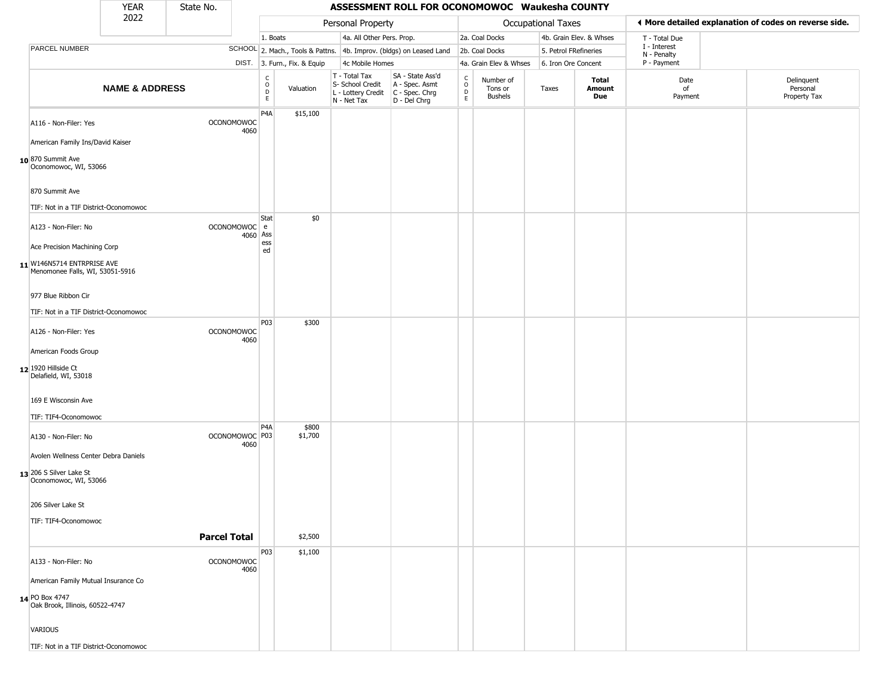|                                                               | <b>YEAR</b>               | State No.                 |                                                 |                              |                                                  | ASSESSMENT ROLL FOR OCONOMOWOC Waukesha COUNTY                                            |                                                |                                 |                     |                         |                             |                                                       |
|---------------------------------------------------------------|---------------------------|---------------------------|-------------------------------------------------|------------------------------|--------------------------------------------------|-------------------------------------------------------------------------------------------|------------------------------------------------|---------------------------------|---------------------|-------------------------|-----------------------------|-------------------------------------------------------|
|                                                               | 2022                      |                           |                                                 |                              | Personal Property                                |                                                                                           |                                                |                                 | Occupational Taxes  |                         |                             | ◀ More detailed explanation of codes on reverse side. |
|                                                               |                           |                           | 1. Boats                                        |                              | 4a. All Other Pers. Prop.                        |                                                                                           |                                                | 2a. Coal Docks                  |                     | 4b. Grain Elev. & Whses | T - Total Due               |                                                       |
| PARCEL NUMBER                                                 |                           |                           |                                                 |                              |                                                  | SCHOOL 2. Mach., Tools & Pattns. 4b. Improv. (bldgs) on Leased Land                       |                                                | 2b. Coal Docks                  |                     | 5. Petrol FRefineries   | I - Interest<br>N - Penalty |                                                       |
|                                                               |                           |                           |                                                 | DIST. 3. Furn., Fix. & Equip | 4c Mobile Homes                                  |                                                                                           |                                                | 4a. Grain Elev & Whses          | 6. Iron Ore Concent |                         | P - Payment                 |                                                       |
|                                                               | <b>NAME &amp; ADDRESS</b> |                           | $\begin{array}{c} C \\ O \\ D \\ E \end{array}$ | Valuation                    | T - Total Tax<br>S- School Credit<br>N - Net Tax | SA - State Ass'd<br>A - Spec. Asmt<br>L - Lottery Credit   C - Spec. Chrg<br>D - Del Chrg | $\begin{matrix} 0 \\ 0 \\ D \end{matrix}$<br>E | Number of<br>Tons or<br>Bushels | Taxes               | Total<br>Amount<br>Due  | Date<br>of<br>Payment       | Delinquent<br>Personal<br>Property Tax                |
| A116 - Non-Filer: Yes                                         |                           | <b>OCONOMOWOC</b><br>4060 | P4A                                             | \$15,100                     |                                                  |                                                                                           |                                                |                                 |                     |                         |                             |                                                       |
| American Family Ins/David Kaiser                              |                           |                           |                                                 |                              |                                                  |                                                                                           |                                                |                                 |                     |                         |                             |                                                       |
| 10870 Summit Ave<br>Oconomowoc, WI, 53066                     |                           |                           |                                                 |                              |                                                  |                                                                                           |                                                |                                 |                     |                         |                             |                                                       |
| 870 Summit Ave                                                |                           |                           |                                                 |                              |                                                  |                                                                                           |                                                |                                 |                     |                         |                             |                                                       |
| TIF: Not in a TIF District-Oconomowoc                         |                           |                           |                                                 |                              |                                                  |                                                                                           |                                                |                                 |                     |                         |                             |                                                       |
| A123 - Non-Filer: No                                          |                           | OCONOMOWOC e              | Stat<br>4060 Ass<br>ess                         | \$0                          |                                                  |                                                                                           |                                                |                                 |                     |                         |                             |                                                       |
| Ace Precision Machining Corp                                  |                           |                           | ed                                              |                              |                                                  |                                                                                           |                                                |                                 |                     |                         |                             |                                                       |
| 11 W146N5714 ENTRPRISE AVE<br>Menomonee Falls, WI, 53051-5916 |                           |                           |                                                 |                              |                                                  |                                                                                           |                                                |                                 |                     |                         |                             |                                                       |
| 977 Blue Ribbon Cir                                           |                           |                           |                                                 |                              |                                                  |                                                                                           |                                                |                                 |                     |                         |                             |                                                       |
| TIF: Not in a TIF District-Oconomowoc                         |                           |                           |                                                 |                              |                                                  |                                                                                           |                                                |                                 |                     |                         |                             |                                                       |
| A126 - Non-Filer: Yes                                         |                           | <b>OCONOMOWOC</b><br>4060 | <b>P03</b>                                      | \$300                        |                                                  |                                                                                           |                                                |                                 |                     |                         |                             |                                                       |
| American Foods Group                                          |                           |                           |                                                 |                              |                                                  |                                                                                           |                                                |                                 |                     |                         |                             |                                                       |
| 12 1920 Hillside Ct<br>Delafield, WI, 53018                   |                           |                           |                                                 |                              |                                                  |                                                                                           |                                                |                                 |                     |                         |                             |                                                       |
| 169 E Wisconsin Ave                                           |                           |                           |                                                 |                              |                                                  |                                                                                           |                                                |                                 |                     |                         |                             |                                                       |
| TIF: TIF4-Oconomowoc                                          |                           |                           |                                                 |                              |                                                  |                                                                                           |                                                |                                 |                     |                         |                             |                                                       |
| A130 - Non-Filer: No                                          |                           | OCONOMOWOC P03<br>4060    | P <sub>4</sub> A                                | \$800<br>\$1,700             |                                                  |                                                                                           |                                                |                                 |                     |                         |                             |                                                       |
| Avolen Wellness Center Debra Daniels                          |                           |                           |                                                 |                              |                                                  |                                                                                           |                                                |                                 |                     |                         |                             |                                                       |
| 13 206 S Silver Lake St<br>Oconomowoc, WI, 53066              |                           |                           |                                                 |                              |                                                  |                                                                                           |                                                |                                 |                     |                         |                             |                                                       |
| 206 Silver Lake St                                            |                           |                           |                                                 |                              |                                                  |                                                                                           |                                                |                                 |                     |                         |                             |                                                       |
| TIF: TIF4-Oconomowoc                                          |                           |                           |                                                 |                              |                                                  |                                                                                           |                                                |                                 |                     |                         |                             |                                                       |
|                                                               |                           | <b>Parcel Total</b>       |                                                 | \$2,500                      |                                                  |                                                                                           |                                                |                                 |                     |                         |                             |                                                       |
|                                                               |                           |                           | P03                                             | \$1,100                      |                                                  |                                                                                           |                                                |                                 |                     |                         |                             |                                                       |
| A133 - Non-Filer: No<br>American Family Mutual Insurance Co   |                           | <b>OCONOMOWOC</b><br>4060 |                                                 |                              |                                                  |                                                                                           |                                                |                                 |                     |                         |                             |                                                       |
| 14 PO Box 4747<br>Oak Brook, Illinois, 60522-4747             |                           |                           |                                                 |                              |                                                  |                                                                                           |                                                |                                 |                     |                         |                             |                                                       |
| <b>VARIOUS</b>                                                |                           |                           |                                                 |                              |                                                  |                                                                                           |                                                |                                 |                     |                         |                             |                                                       |
| TIF: Not in a TIF District-Oconomowoc                         |                           |                           |                                                 |                              |                                                  |                                                                                           |                                                |                                 |                     |                         |                             |                                                       |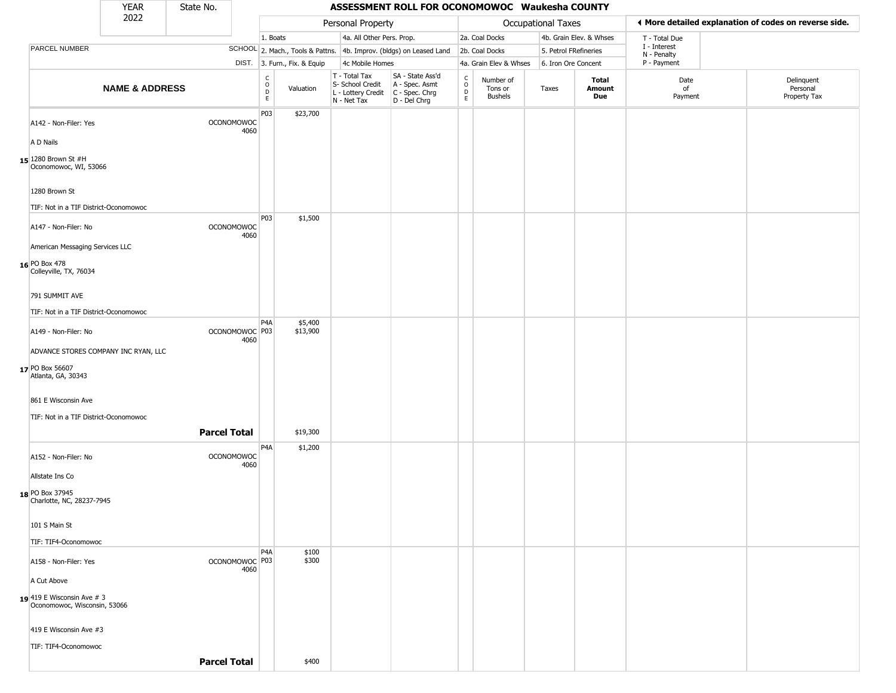|                                                            | <b>YEAR</b>               | State No.                 |                                      |                              |                                                                        | ASSESSMENT ROLL FOR OCONOMOWOC Waukesha COUNTY                         |                                              |                                 |                       |                         |                             |                                                       |
|------------------------------------------------------------|---------------------------|---------------------------|--------------------------------------|------------------------------|------------------------------------------------------------------------|------------------------------------------------------------------------|----------------------------------------------|---------------------------------|-----------------------|-------------------------|-----------------------------|-------------------------------------------------------|
|                                                            | 2022                      |                           |                                      |                              | Personal Property                                                      |                                                                        |                                              |                                 | Occupational Taxes    |                         |                             | ♦ More detailed explanation of codes on reverse side. |
|                                                            |                           |                           |                                      | 1. Boats                     |                                                                        | 4a. All Other Pers. Prop.                                              |                                              | 2a. Coal Docks                  |                       | 4b. Grain Elev. & Whses | T - Total Due               |                                                       |
| PARCEL NUMBER                                              |                           |                           |                                      |                              |                                                                        | SCHOOL 2. Mach., Tools & Pattns. 4b. Improv. (bldgs) on Leased Land    |                                              | 2b. Coal Docks                  | 5. Petrol FRefineries |                         | I - Interest<br>N - Penalty |                                                       |
|                                                            |                           |                           |                                      | DIST. 3. Furn., Fix. & Equip | 4c Mobile Homes                                                        |                                                                        |                                              | 4a. Grain Elev & Whses          | 6. Iron Ore Concent   |                         | P - Payment                 |                                                       |
|                                                            | <b>NAME &amp; ADDRESS</b> |                           | C<br>$\mathsf O$<br>D<br>$\mathsf E$ | Valuation                    | T - Total Tax<br>S- School Credit<br>L - Lottery Credit<br>N - Net Tax | SA - State Ass'd<br>$A - Spec.$ Asmt<br>C - Spec. Chrg<br>D - Del Chrg | $\int_{0}^{c}$<br>$\mathsf D$<br>$\mathsf E$ | Number of<br>Tons or<br>Bushels | Taxes                 | Total<br>Amount<br>Due  | Date<br>of<br>Payment       | Delinquent<br>Personal<br>Property Tax                |
| A142 - Non-Filer: Yes                                      |                           | <b>OCONOMOWOC</b>         | P03<br>4060                          | \$23,700                     |                                                                        |                                                                        |                                              |                                 |                       |                         |                             |                                                       |
| A D Nails                                                  |                           |                           |                                      |                              |                                                                        |                                                                        |                                              |                                 |                       |                         |                             |                                                       |
| 15 1280 Brown St #H<br>Oconomowoc, WI, 53066               |                           |                           |                                      |                              |                                                                        |                                                                        |                                              |                                 |                       |                         |                             |                                                       |
| 1280 Brown St                                              |                           |                           |                                      |                              |                                                                        |                                                                        |                                              |                                 |                       |                         |                             |                                                       |
| TIF: Not in a TIF District-Oconomowoc                      |                           |                           |                                      |                              |                                                                        |                                                                        |                                              |                                 |                       |                         |                             |                                                       |
| A147 - Non-Filer: No                                       |                           | <b>OCONOMOWOC</b>         | P <sub>03</sub><br>4060              | \$1,500                      |                                                                        |                                                                        |                                              |                                 |                       |                         |                             |                                                       |
| American Messaging Services LLC                            |                           |                           |                                      |                              |                                                                        |                                                                        |                                              |                                 |                       |                         |                             |                                                       |
| 16 PO Box 478<br>Colleyville, TX, 76034                    |                           |                           |                                      |                              |                                                                        |                                                                        |                                              |                                 |                       |                         |                             |                                                       |
| 791 SUMMIT AVE                                             |                           |                           |                                      |                              |                                                                        |                                                                        |                                              |                                 |                       |                         |                             |                                                       |
| TIF: Not in a TIF District-Oconomowoc                      |                           |                           |                                      |                              |                                                                        |                                                                        |                                              |                                 |                       |                         |                             |                                                       |
| A149 - Non-Filer: No                                       |                           | OCONOMOWOC <sup>P03</sup> | P4A<br>4060                          | \$5,400<br>\$13,900          |                                                                        |                                                                        |                                              |                                 |                       |                         |                             |                                                       |
| ADVANCE STORES COMPANY INC RYAN, LLC                       |                           |                           |                                      |                              |                                                                        |                                                                        |                                              |                                 |                       |                         |                             |                                                       |
| 17 PO Box 56607<br>Atlanta, GA, 30343                      |                           |                           |                                      |                              |                                                                        |                                                                        |                                              |                                 |                       |                         |                             |                                                       |
| 861 E Wisconsin Ave                                        |                           |                           |                                      |                              |                                                                        |                                                                        |                                              |                                 |                       |                         |                             |                                                       |
| TIF: Not in a TIF District-Oconomowoc                      |                           |                           |                                      |                              |                                                                        |                                                                        |                                              |                                 |                       |                         |                             |                                                       |
|                                                            |                           | <b>Parcel Total</b>       |                                      | \$19,300                     |                                                                        |                                                                        |                                              |                                 |                       |                         |                             |                                                       |
| A152 - Non-Filer: No                                       |                           | <b>OCONOMOWOC</b>         | P4A<br>4060                          | \$1,200                      |                                                                        |                                                                        |                                              |                                 |                       |                         |                             |                                                       |
| Allstate Ins Co                                            |                           |                           |                                      |                              |                                                                        |                                                                        |                                              |                                 |                       |                         |                             |                                                       |
| 18 PO Box 37945<br>Charlotte, NC, 28237-7945               |                           |                           |                                      |                              |                                                                        |                                                                        |                                              |                                 |                       |                         |                             |                                                       |
| 101 S Main St                                              |                           |                           |                                      |                              |                                                                        |                                                                        |                                              |                                 |                       |                         |                             |                                                       |
| TIF: TIF4-Oconomowoc                                       |                           |                           |                                      |                              |                                                                        |                                                                        |                                              |                                 |                       |                         |                             |                                                       |
| A158 - Non-Filer: Yes                                      |                           | OCONOMOWOC P03            | P4A<br>4060                          | \$100<br>\$300               |                                                                        |                                                                        |                                              |                                 |                       |                         |                             |                                                       |
| A Cut Above                                                |                           |                           |                                      |                              |                                                                        |                                                                        |                                              |                                 |                       |                         |                             |                                                       |
| 19 419 E Wisconsin Ave # 3<br>Oconomowoc, Wisconsin, 53066 |                           |                           |                                      |                              |                                                                        |                                                                        |                                              |                                 |                       |                         |                             |                                                       |
| 419 E Wisconsin Ave #3                                     |                           |                           |                                      |                              |                                                                        |                                                                        |                                              |                                 |                       |                         |                             |                                                       |
| TIF: TIF4-Oconomowoc                                       |                           |                           |                                      |                              |                                                                        |                                                                        |                                              |                                 |                       |                         |                             |                                                       |
|                                                            |                           | <b>Parcel Total</b>       |                                      | \$400                        |                                                                        |                                                                        |                                              |                                 |                       |                         |                             |                                                       |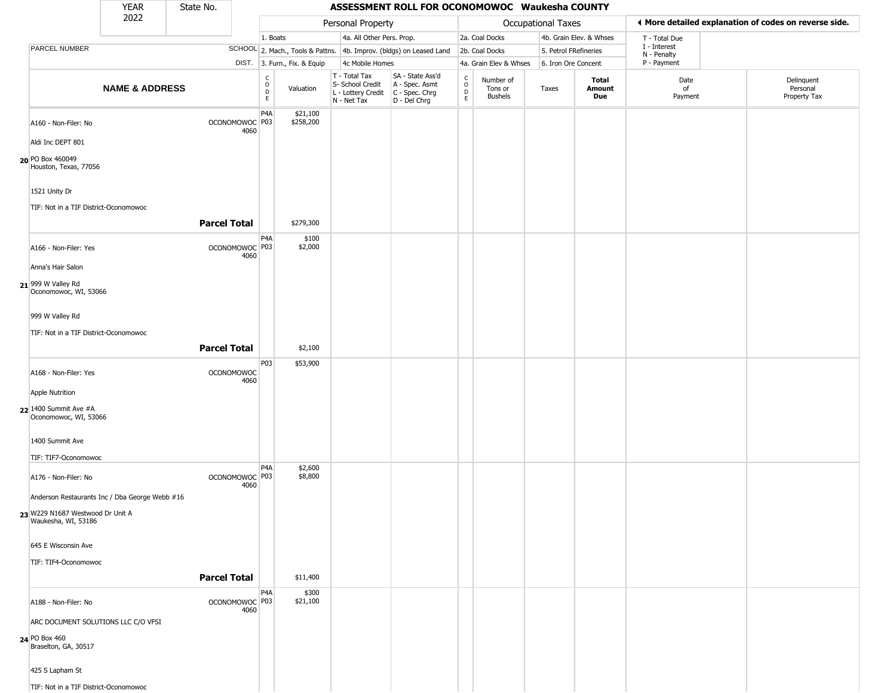|                                                         | <b>YEAR</b>               | State No.           |                                   |                                |                              |                                                                                                    | ASSESSMENT ROLL FOR OCONOMOWOC Waukesha COUNTY                      |                         |                                        |                           |                         |                             |                                                       |
|---------------------------------------------------------|---------------------------|---------------------|-----------------------------------|--------------------------------|------------------------------|----------------------------------------------------------------------------------------------------|---------------------------------------------------------------------|-------------------------|----------------------------------------|---------------------------|-------------------------|-----------------------------|-------------------------------------------------------|
|                                                         | 2022                      |                     |                                   |                                |                              | Personal Property                                                                                  |                                                                     |                         |                                        | <b>Occupational Taxes</b> |                         |                             | ♦ More detailed explanation of codes on reverse side. |
|                                                         |                           |                     |                                   | 1. Boats                       |                              | 4a. All Other Pers. Prop.                                                                          |                                                                     |                         | 2a. Coal Docks                         |                           | 4b. Grain Elev. & Whses | T - Total Due               |                                                       |
| PARCEL NUMBER                                           |                           |                     |                                   |                                |                              |                                                                                                    | SCHOOL 2. Mach., Tools & Pattns. 4b. Improv. (bldgs) on Leased Land |                         | 2b. Coal Docks                         | 5. Petrol FRefineries     |                         | I - Interest<br>N - Penalty |                                                       |
|                                                         |                           |                     |                                   |                                | DIST. 3. Furn., Fix. & Equip | 4c Mobile Homes                                                                                    |                                                                     |                         | 4a. Grain Elev & Whses                 | 6. Iron Ore Concent       |                         | P - Payment                 |                                                       |
|                                                         | <b>NAME &amp; ADDRESS</b> |                     |                                   | $\frac{c}{0}$<br>$\frac{D}{E}$ | Valuation                    | T - Total Tax<br>S- School Credit<br>L - Lottery Credit C - Spec. Chrg<br>N - Net Tax D - Del Chrg | SA - State Ass'd<br>A - Spec. Asmt                                  | $\rm_{o}^{c}$<br>D<br>E | Number of<br>Tons or<br><b>Bushels</b> | Taxes                     | Total<br>Amount<br>Due  | Date<br>of<br>Payment       | Delinquent<br>Personal<br>Property Tax                |
| A160 - Non-Filer: No                                    |                           |                     | OCONOMOWOC P03<br>4060            | P4A                            | \$21,100<br>\$258,200        |                                                                                                    |                                                                     |                         |                                        |                           |                         |                             |                                                       |
| Aldi Inc DEPT 801                                       |                           |                     |                                   |                                |                              |                                                                                                    |                                                                     |                         |                                        |                           |                         |                             |                                                       |
| 20 PO Box 460049<br>Houston, Texas, 77056               |                           |                     |                                   |                                |                              |                                                                                                    |                                                                     |                         |                                        |                           |                         |                             |                                                       |
| 1521 Unity Dr                                           |                           |                     |                                   |                                |                              |                                                                                                    |                                                                     |                         |                                        |                           |                         |                             |                                                       |
| TIF: Not in a TIF District-Oconomowoc                   |                           | <b>Parcel Total</b> |                                   |                                | \$279,300                    |                                                                                                    |                                                                     |                         |                                        |                           |                         |                             |                                                       |
| A166 - Non-Filer: Yes                                   |                           |                     | OCONOMOWOC <sup>P03</sup><br>4060 | P4A                            | \$100<br>\$2,000             |                                                                                                    |                                                                     |                         |                                        |                           |                         |                             |                                                       |
| Anna's Hair Salon                                       |                           |                     |                                   |                                |                              |                                                                                                    |                                                                     |                         |                                        |                           |                         |                             |                                                       |
| 21 999 W Valley Rd<br>Oconomowoc, WI, 53066             |                           |                     |                                   |                                |                              |                                                                                                    |                                                                     |                         |                                        |                           |                         |                             |                                                       |
| 999 W Valley Rd                                         |                           |                     |                                   |                                |                              |                                                                                                    |                                                                     |                         |                                        |                           |                         |                             |                                                       |
| TIF: Not in a TIF District-Oconomowoc                   |                           | <b>Parcel Total</b> |                                   |                                | \$2,100                      |                                                                                                    |                                                                     |                         |                                        |                           |                         |                             |                                                       |
|                                                         |                           |                     |                                   | P03                            | \$53,900                     |                                                                                                    |                                                                     |                         |                                        |                           |                         |                             |                                                       |
| A168 - Non-Filer: Yes                                   |                           |                     | <b>OCONOMOWOC</b><br>4060         |                                |                              |                                                                                                    |                                                                     |                         |                                        |                           |                         |                             |                                                       |
| <b>Apple Nutrition</b>                                  |                           |                     |                                   |                                |                              |                                                                                                    |                                                                     |                         |                                        |                           |                         |                             |                                                       |
| 22 1400 Summit Ave #A<br>Oconomowoc, WI, 53066          |                           |                     |                                   |                                |                              |                                                                                                    |                                                                     |                         |                                        |                           |                         |                             |                                                       |
| 1400 Summit Ave                                         |                           |                     |                                   |                                |                              |                                                                                                    |                                                                     |                         |                                        |                           |                         |                             |                                                       |
| TIF: TIF7-Oconomowoc                                    |                           |                     |                                   |                                |                              |                                                                                                    |                                                                     |                         |                                        |                           |                         |                             |                                                       |
| A176 - Non-Filer: No                                    |                           |                     | OCONOMOWOC P03<br>4060            | P4A                            | \$2,600<br>\$8,800           |                                                                                                    |                                                                     |                         |                                        |                           |                         |                             |                                                       |
| Anderson Restaurants Inc / Dba George Webb #16          |                           |                     |                                   |                                |                              |                                                                                                    |                                                                     |                         |                                        |                           |                         |                             |                                                       |
| 23 W229 N1687 Westwood Dr Unit A<br>Waukesha, WI, 53186 |                           |                     |                                   |                                |                              |                                                                                                    |                                                                     |                         |                                        |                           |                         |                             |                                                       |
| 645 E Wisconsin Ave                                     |                           |                     |                                   |                                |                              |                                                                                                    |                                                                     |                         |                                        |                           |                         |                             |                                                       |
| TIF: TIF4-Oconomowoc                                    |                           | <b>Parcel Total</b> |                                   |                                | \$11,400                     |                                                                                                    |                                                                     |                         |                                        |                           |                         |                             |                                                       |
| A188 - Non-Filer: No                                    |                           |                     | OCONOMOWOC P03<br>4060            | P4A                            | \$300<br>\$21,100            |                                                                                                    |                                                                     |                         |                                        |                           |                         |                             |                                                       |
| ARC DOCUMENT SOLUTIONS LLC C/O VFSI                     |                           |                     |                                   |                                |                              |                                                                                                    |                                                                     |                         |                                        |                           |                         |                             |                                                       |
| 24 PO Box 460<br>Braselton, GA, 30517                   |                           |                     |                                   |                                |                              |                                                                                                    |                                                                     |                         |                                        |                           |                         |                             |                                                       |
| 425 S Lapham St                                         |                           |                     |                                   |                                |                              |                                                                                                    |                                                                     |                         |                                        |                           |                         |                             |                                                       |
| TIF: Not in a TIF District-Oconomowoc                   |                           |                     |                                   |                                |                              |                                                                                                    |                                                                     |                         |                                        |                           |                         |                             |                                                       |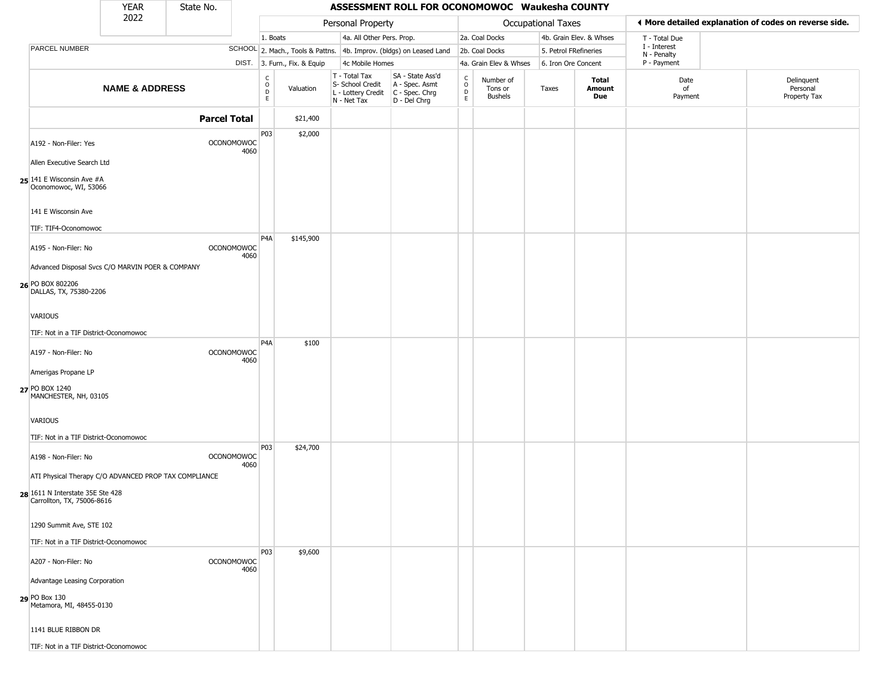|                                                                            | <b>YEAR</b>               | State No.           |                           |                                                   |                              |                                                  | ASSESSMENT ROLL FOR OCONOMOWOC Waukesha COUNTY                                            |                                                   |                                 |                    |                         |                            |                                                       |
|----------------------------------------------------------------------------|---------------------------|---------------------|---------------------------|---------------------------------------------------|------------------------------|--------------------------------------------------|-------------------------------------------------------------------------------------------|---------------------------------------------------|---------------------------------|--------------------|-------------------------|----------------------------|-------------------------------------------------------|
|                                                                            | 2022                      |                     |                           |                                                   |                              | Personal Property                                |                                                                                           |                                                   |                                 | Occupational Taxes |                         |                            | ♦ More detailed explanation of codes on reverse side. |
|                                                                            |                           |                     |                           | 1. Boats                                          |                              | 4a. All Other Pers. Prop.                        |                                                                                           |                                                   | 2a. Coal Docks                  |                    | 4b. Grain Elev. & Whses | T - Total Due              |                                                       |
| PARCEL NUMBER                                                              |                           |                     |                           |                                                   |                              |                                                  | SCHOOL 2. Mach., Tools & Pattns. 4b. Improv. (bldgs) on Leased Land                       |                                                   | 2b. Coal Docks                  |                    | 5. Petrol FRefineries   | I - Interest               |                                                       |
|                                                                            |                           |                     |                           |                                                   | DIST. 3. Furn., Fix. & Equip | 4c Mobile Homes                                  |                                                                                           |                                                   | 4a. Grain Elev & Whses          |                    | 6. Iron Ore Concent     | N - Penalty<br>P - Payment |                                                       |
|                                                                            | <b>NAME &amp; ADDRESS</b> |                     |                           | C<br>$\begin{array}{c}\n0 \\ D \\ E\n\end{array}$ | Valuation                    | T - Total Tax<br>S- School Credit<br>N - Net Tax | SA - State Ass'd<br>A - Spec. Asmt<br>L - Lottery Credit   C - Spec. Chrg<br>D - Del Chrg | $\begin{array}{c}\nC \\ O \\ D \\ E\n\end{array}$ | Number of<br>Tons or<br>Bushels | Taxes              | Total<br>Amount<br>Due  | Date<br>of<br>Payment      | Delinquent<br>Personal<br>Property Tax                |
|                                                                            |                           | <b>Parcel Total</b> |                           |                                                   | \$21,400                     |                                                  |                                                                                           |                                                   |                                 |                    |                         |                            |                                                       |
| A192 - Non-Filer: Yes<br>Allen Executive Search Ltd                        |                           |                     | <b>OCONOMOWOC</b><br>4060 | P03                                               | \$2,000                      |                                                  |                                                                                           |                                                   |                                 |                    |                         |                            |                                                       |
| 25 141 E Wisconsin Ave #A<br>Oconomowoc, WI, 53066                         |                           |                     |                           |                                                   |                              |                                                  |                                                                                           |                                                   |                                 |                    |                         |                            |                                                       |
| 141 E Wisconsin Ave<br>TIF: TIF4-Oconomowoc                                |                           |                     |                           |                                                   |                              |                                                  |                                                                                           |                                                   |                                 |                    |                         |                            |                                                       |
| A195 - Non-Filer: No                                                       |                           |                     | <b>OCONOMOWOC</b><br>4060 | P <sub>4</sub> A                                  | \$145,900                    |                                                  |                                                                                           |                                                   |                                 |                    |                         |                            |                                                       |
| Advanced Disposal Svcs C/O MARVIN POER & COMPANY                           |                           |                     |                           |                                                   |                              |                                                  |                                                                                           |                                                   |                                 |                    |                         |                            |                                                       |
| 26 PO BOX 802206<br>DALLAS, TX, 75380-2206                                 |                           |                     |                           |                                                   |                              |                                                  |                                                                                           |                                                   |                                 |                    |                         |                            |                                                       |
| VARIOUS                                                                    |                           |                     |                           |                                                   |                              |                                                  |                                                                                           |                                                   |                                 |                    |                         |                            |                                                       |
| TIF: Not in a TIF District-Oconomowoc                                      |                           |                     |                           |                                                   |                              |                                                  |                                                                                           |                                                   |                                 |                    |                         |                            |                                                       |
| A197 - Non-Filer: No                                                       |                           |                     | <b>OCONOMOWOC</b><br>4060 | P <sub>4</sub> A                                  | \$100                        |                                                  |                                                                                           |                                                   |                                 |                    |                         |                            |                                                       |
| Amerigas Propane LP                                                        |                           |                     |                           |                                                   |                              |                                                  |                                                                                           |                                                   |                                 |                    |                         |                            |                                                       |
| 27 PO BOX 1240<br>MANCHESTER, NH, 03105                                    |                           |                     |                           |                                                   |                              |                                                  |                                                                                           |                                                   |                                 |                    |                         |                            |                                                       |
| VARIOUS<br>TIF: Not in a TIF District-Oconomowoc                           |                           |                     |                           |                                                   |                              |                                                  |                                                                                           |                                                   |                                 |                    |                         |                            |                                                       |
| A198 - Non-Filer: No                                                       |                           |                     | <b>OCONOMOWOC</b><br>4060 | P03                                               | \$24,700                     |                                                  |                                                                                           |                                                   |                                 |                    |                         |                            |                                                       |
| ATI Physical Therapy C/O ADVANCED PROP TAX COMPLIANCE                      |                           |                     |                           |                                                   |                              |                                                  |                                                                                           |                                                   |                                 |                    |                         |                            |                                                       |
| 28 1611 N Interstate 35E Ste 428<br>Carrollton, TX, 75006-8616             |                           |                     |                           |                                                   |                              |                                                  |                                                                                           |                                                   |                                 |                    |                         |                            |                                                       |
| 1290 Summit Ave, STE 102                                                   |                           |                     |                           |                                                   |                              |                                                  |                                                                                           |                                                   |                                 |                    |                         |                            |                                                       |
| TIF: Not in a TIF District-Oconomowoc                                      |                           |                     |                           | P03                                               | \$9,600                      |                                                  |                                                                                           |                                                   |                                 |                    |                         |                            |                                                       |
| A207 - Non-Filer: No                                                       |                           |                     | <b>OCONOMOWOC</b><br>4060 |                                                   |                              |                                                  |                                                                                           |                                                   |                                 |                    |                         |                            |                                                       |
| Advantage Leasing Corporation<br>29 PO Box 130<br>Metamora, MI, 48455-0130 |                           |                     |                           |                                                   |                              |                                                  |                                                                                           |                                                   |                                 |                    |                         |                            |                                                       |
| 1141 BLUE RIBBON DR                                                        |                           |                     |                           |                                                   |                              |                                                  |                                                                                           |                                                   |                                 |                    |                         |                            |                                                       |
| TIF: Not in a TIF District-Oconomowoc                                      |                           |                     |                           |                                                   |                              |                                                  |                                                                                           |                                                   |                                 |                    |                         |                            |                                                       |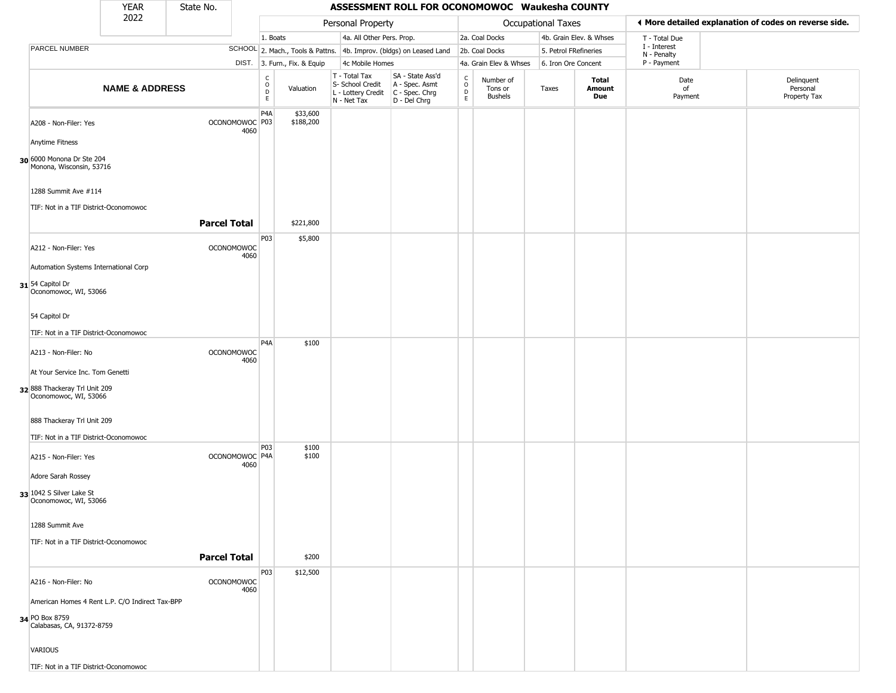|                                                               | <b>YEAR</b>                                     | State No.           |                                   |                                                          |                              |                                                  | ASSESSMENT ROLL FOR OCONOMOWOC Waukesha COUNTY                                            |                                                 |                                        |                       |                         |                             |                                                       |
|---------------------------------------------------------------|-------------------------------------------------|---------------------|-----------------------------------|----------------------------------------------------------|------------------------------|--------------------------------------------------|-------------------------------------------------------------------------------------------|-------------------------------------------------|----------------------------------------|-----------------------|-------------------------|-----------------------------|-------------------------------------------------------|
|                                                               | 2022                                            |                     |                                   |                                                          |                              | Personal Property                                |                                                                                           |                                                 |                                        | Occupational Taxes    |                         |                             | ♦ More detailed explanation of codes on reverse side. |
|                                                               |                                                 |                     |                                   | 1. Boats                                                 |                              | 4a. All Other Pers. Prop.                        |                                                                                           |                                                 | 2a. Coal Docks                         |                       | 4b. Grain Elev. & Whses | T - Total Due               |                                                       |
| PARCEL NUMBER                                                 |                                                 |                     |                                   |                                                          |                              |                                                  | SCHOOL 2. Mach., Tools & Pattns. 4b. Improv. (bldgs) on Leased Land                       |                                                 | 2b. Coal Docks                         | 5. Petrol FRefineries |                         | I - Interest<br>N - Penalty |                                                       |
|                                                               |                                                 |                     |                                   |                                                          | DIST. 3. Furn., Fix. & Equip | 4c Mobile Homes                                  |                                                                                           |                                                 | 4a. Grain Elev & Whses                 | 6. Iron Ore Concent   |                         | P - Payment                 |                                                       |
|                                                               | <b>NAME &amp; ADDRESS</b>                       |                     |                                   | $\begin{matrix} 0 \\ 0 \\ D \end{matrix}$<br>$\mathsf E$ | Valuation                    | T - Total Tax<br>S- School Credit<br>N - Net Tax | SA - State Ass'd<br>A - Spec. Asmt<br>L - Lottery Credit   C - Spec. Chrg<br>D - Del Chrg | $\begin{array}{c} C \\ O \\ D \\ E \end{array}$ | Number of<br>Tons or<br><b>Bushels</b> | Taxes                 | Total<br>Amount<br>Due  | Date<br>of<br>Payment       | Delinquent<br>Personal<br>Property Tax                |
| A208 - Non-Filer: Yes<br>Anytime Fitness                      |                                                 |                     | OCONOMOWOC P03<br>4060            | P4A                                                      | \$33,600<br>\$188,200        |                                                  |                                                                                           |                                                 |                                        |                       |                         |                             |                                                       |
|                                                               |                                                 |                     |                                   |                                                          |                              |                                                  |                                                                                           |                                                 |                                        |                       |                         |                             |                                                       |
| 30 6000 Monona Dr Ste 204<br>Monona, Wisconsin, 53716         |                                                 |                     |                                   |                                                          |                              |                                                  |                                                                                           |                                                 |                                        |                       |                         |                             |                                                       |
| 1288 Summit Ave #114<br>TIF: Not in a TIF District-Oconomowoc |                                                 |                     |                                   |                                                          |                              |                                                  |                                                                                           |                                                 |                                        |                       |                         |                             |                                                       |
|                                                               |                                                 | <b>Parcel Total</b> |                                   |                                                          | \$221,800                    |                                                  |                                                                                           |                                                 |                                        |                       |                         |                             |                                                       |
| A212 - Non-Filer: Yes                                         |                                                 |                     | <b>OCONOMOWOC</b><br>4060         | P03                                                      | \$5,800                      |                                                  |                                                                                           |                                                 |                                        |                       |                         |                             |                                                       |
| Automation Systems International Corp                         |                                                 |                     |                                   |                                                          |                              |                                                  |                                                                                           |                                                 |                                        |                       |                         |                             |                                                       |
| 31 54 Capitol Dr<br>Oconomowoc, WI, 53066                     |                                                 |                     |                                   |                                                          |                              |                                                  |                                                                                           |                                                 |                                        |                       |                         |                             |                                                       |
| 54 Capitol Dr                                                 |                                                 |                     |                                   |                                                          |                              |                                                  |                                                                                           |                                                 |                                        |                       |                         |                             |                                                       |
| TIF: Not in a TIF District-Oconomowoc                         |                                                 |                     |                                   |                                                          |                              |                                                  |                                                                                           |                                                 |                                        |                       |                         |                             |                                                       |
| A213 - Non-Filer: No                                          |                                                 | <b>OCONOMOWOC</b>   | 4060                              | P <sub>4</sub> A                                         | \$100                        |                                                  |                                                                                           |                                                 |                                        |                       |                         |                             |                                                       |
| At Your Service Inc. Tom Genetti                              |                                                 |                     |                                   |                                                          |                              |                                                  |                                                                                           |                                                 |                                        |                       |                         |                             |                                                       |
| 32 888 Thackeray Trl Unit 209<br>Oconomowoc, WI, 53066        |                                                 |                     |                                   |                                                          |                              |                                                  |                                                                                           |                                                 |                                        |                       |                         |                             |                                                       |
| 888 Thackeray Trl Unit 209                                    |                                                 |                     |                                   |                                                          |                              |                                                  |                                                                                           |                                                 |                                        |                       |                         |                             |                                                       |
| TIF: Not in a TIF District-Oconomowoc                         |                                                 |                     |                                   |                                                          |                              |                                                  |                                                                                           |                                                 |                                        |                       |                         |                             |                                                       |
| A215 - Non-Filer: Yes                                         |                                                 |                     | OCONOMOWOC <sup>P4A</sup><br>4060 | <b>P03</b>                                               | \$100<br>\$100               |                                                  |                                                                                           |                                                 |                                        |                       |                         |                             |                                                       |
| Adore Sarah Rossey                                            |                                                 |                     |                                   |                                                          |                              |                                                  |                                                                                           |                                                 |                                        |                       |                         |                             |                                                       |
| 33 1042 S Silver Lake St<br>Oconomowoc, WI, 53066             |                                                 |                     |                                   |                                                          |                              |                                                  |                                                                                           |                                                 |                                        |                       |                         |                             |                                                       |
| 1288 Summit Ave                                               |                                                 |                     |                                   |                                                          |                              |                                                  |                                                                                           |                                                 |                                        |                       |                         |                             |                                                       |
| TIF: Not in a TIF District-Oconomowoc                         |                                                 |                     |                                   |                                                          |                              |                                                  |                                                                                           |                                                 |                                        |                       |                         |                             |                                                       |
|                                                               |                                                 | <b>Parcel Total</b> |                                   |                                                          | \$200                        |                                                  |                                                                                           |                                                 |                                        |                       |                         |                             |                                                       |
| A216 - Non-Filer: No                                          |                                                 |                     | <b>OCONOMOWOC</b><br>4060         | P03                                                      | \$12,500                     |                                                  |                                                                                           |                                                 |                                        |                       |                         |                             |                                                       |
|                                                               | American Homes 4 Rent L.P. C/O Indirect Tax-BPP |                     |                                   |                                                          |                              |                                                  |                                                                                           |                                                 |                                        |                       |                         |                             |                                                       |
| 34 PO Box 8759<br>Calabasas, CA, 91372-8759                   |                                                 |                     |                                   |                                                          |                              |                                                  |                                                                                           |                                                 |                                        |                       |                         |                             |                                                       |
| <b>VARIOUS</b>                                                |                                                 |                     |                                   |                                                          |                              |                                                  |                                                                                           |                                                 |                                        |                       |                         |                             |                                                       |
| TIF: Not in a TIF District-Oconomowoc                         |                                                 |                     |                                   |                                                          |                              |                                                  |                                                                                           |                                                 |                                        |                       |                         |                             |                                                       |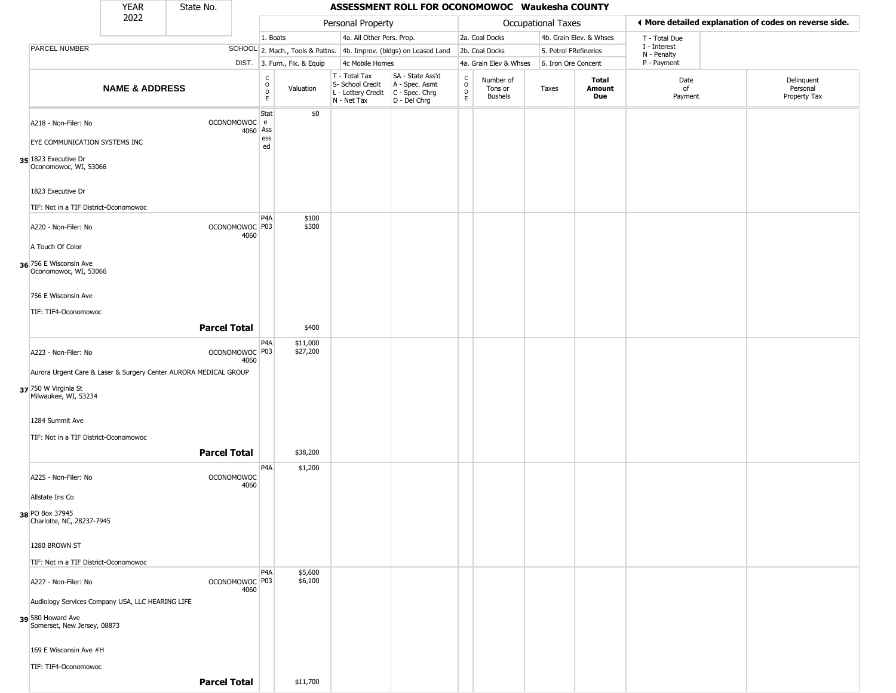|                                                                  | YEAR                      | State No.           |                                   |                                                  |                              |                                                                                         | ASSESSMENT ROLL FOR OCONOMOWOC Waukesha COUNTY                      |                                   |                                 |                       |                         |                             |                                                       |
|------------------------------------------------------------------|---------------------------|---------------------|-----------------------------------|--------------------------------------------------|------------------------------|-----------------------------------------------------------------------------------------|---------------------------------------------------------------------|-----------------------------------|---------------------------------|-----------------------|-------------------------|-----------------------------|-------------------------------------------------------|
|                                                                  | 2022                      |                     |                                   |                                                  |                              | Personal Property                                                                       |                                                                     |                                   |                                 | Occupational Taxes    |                         |                             | ◀ More detailed explanation of codes on reverse side. |
|                                                                  |                           |                     |                                   | 1. Boats                                         |                              | 4a. All Other Pers. Prop.                                                               |                                                                     |                                   | 2a. Coal Docks                  |                       | 4b. Grain Elev. & Whses | T - Total Due               |                                                       |
| <b>PARCEL NUMBER</b>                                             |                           |                     |                                   |                                                  |                              |                                                                                         | SCHOOL 2. Mach., Tools & Pattns. 4b. Improv. (bldgs) on Leased Land |                                   | 2b. Coal Docks                  | 5. Petrol FRefineries |                         | I - Interest<br>N - Penalty |                                                       |
|                                                                  |                           |                     |                                   |                                                  | DIST. 3. Furn., Fix. & Equip | 4c Mobile Homes                                                                         |                                                                     |                                   | 4a. Grain Elev & Whses          | 6. Iron Ore Concent   |                         | P - Payment                 |                                                       |
|                                                                  | <b>NAME &amp; ADDRESS</b> |                     |                                   | $_{\rm o}^{\rm c}$<br>$\mathsf D$<br>$\mathsf E$ | Valuation                    | T - Total Tax<br>S- School Credit<br>L - Lottery Credit   C - Spec. Chrg<br>N - Net Tax | SA - State Ass'd<br>A - Spec. Asmt<br>D - Del Chrg                  | $\frac{c}{0}$<br>$\mathsf D$<br>E | Number of<br>Tons or<br>Bushels | Taxes                 | Total<br>Amount<br>Due  | Date<br>of<br>Payment       | Delinquent<br>Personal<br>Property Tax                |
| A218 - Non-Filer: No                                             |                           |                     | OCONOMOWOC e                      | Stat                                             | \$0                          |                                                                                         |                                                                     |                                   |                                 |                       |                         |                             |                                                       |
| EYE COMMUNICATION SYSTEMS INC                                    |                           |                     | 4060                              | Ass<br>ess<br>ed                                 |                              |                                                                                         |                                                                     |                                   |                                 |                       |                         |                             |                                                       |
| 35 1823 Executive Dr<br>Oconomowoc, WI, 53066                    |                           |                     |                                   |                                                  |                              |                                                                                         |                                                                     |                                   |                                 |                       |                         |                             |                                                       |
| 1823 Executive Dr                                                |                           |                     |                                   |                                                  |                              |                                                                                         |                                                                     |                                   |                                 |                       |                         |                             |                                                       |
| TIF: Not in a TIF District-Oconomowoc                            |                           |                     |                                   | P4A                                              | \$100                        |                                                                                         |                                                                     |                                   |                                 |                       |                         |                             |                                                       |
| A220 - Non-Filer: No                                             |                           |                     | OCONOMOWOC <sup>P03</sup><br>4060 |                                                  | \$300                        |                                                                                         |                                                                     |                                   |                                 |                       |                         |                             |                                                       |
| A Touch Of Color                                                 |                           |                     |                                   |                                                  |                              |                                                                                         |                                                                     |                                   |                                 |                       |                         |                             |                                                       |
| 36 756 E Wisconsin Ave<br>Oconomowoc, WI, 53066                  |                           |                     |                                   |                                                  |                              |                                                                                         |                                                                     |                                   |                                 |                       |                         |                             |                                                       |
| 756 E Wisconsin Ave                                              |                           |                     |                                   |                                                  |                              |                                                                                         |                                                                     |                                   |                                 |                       |                         |                             |                                                       |
| TIF: TIF4-Oconomowoc                                             |                           |                     |                                   |                                                  |                              |                                                                                         |                                                                     |                                   |                                 |                       |                         |                             |                                                       |
|                                                                  |                           | <b>Parcel Total</b> |                                   |                                                  | \$400                        |                                                                                         |                                                                     |                                   |                                 |                       |                         |                             |                                                       |
| A223 - Non-Filer: No                                             |                           |                     | OCONOMOWOC P03<br>4060            | P4A                                              | \$11,000<br>\$27,200         |                                                                                         |                                                                     |                                   |                                 |                       |                         |                             |                                                       |
| Aurora Urgent Care & Laser & Surgery Center AURORA MEDICAL GROUP |                           |                     |                                   |                                                  |                              |                                                                                         |                                                                     |                                   |                                 |                       |                         |                             |                                                       |
| 37 750 W Virginia St<br>Milwaukee, WI, 53234                     |                           |                     |                                   |                                                  |                              |                                                                                         |                                                                     |                                   |                                 |                       |                         |                             |                                                       |
| 1284 Summit Ave                                                  |                           |                     |                                   |                                                  |                              |                                                                                         |                                                                     |                                   |                                 |                       |                         |                             |                                                       |
| TIF: Not in a TIF District-Oconomowoc                            |                           |                     |                                   |                                                  |                              |                                                                                         |                                                                     |                                   |                                 |                       |                         |                             |                                                       |
|                                                                  |                           | <b>Parcel Total</b> |                                   |                                                  | \$38,200                     |                                                                                         |                                                                     |                                   |                                 |                       |                         |                             |                                                       |
| A225 - Non-Filer: No                                             |                           |                     | <b>OCONOMOWOC</b><br>4060         | P4A                                              | \$1,200                      |                                                                                         |                                                                     |                                   |                                 |                       |                         |                             |                                                       |
| Allstate Ins Co                                                  |                           |                     |                                   |                                                  |                              |                                                                                         |                                                                     |                                   |                                 |                       |                         |                             |                                                       |
| 38 PO Box 37945<br>Charlotte, NC, 28237-7945                     |                           |                     |                                   |                                                  |                              |                                                                                         |                                                                     |                                   |                                 |                       |                         |                             |                                                       |
| 1280 BROWN ST                                                    |                           |                     |                                   |                                                  |                              |                                                                                         |                                                                     |                                   |                                 |                       |                         |                             |                                                       |
| TIF: Not in a TIF District-Oconomowoc                            |                           |                     |                                   |                                                  |                              |                                                                                         |                                                                     |                                   |                                 |                       |                         |                             |                                                       |
| A227 - Non-Filer: No                                             |                           |                     | OCONOMOWOC   P03<br>4060          | P <sub>4</sub> A                                 | \$5,600<br>\$6,100           |                                                                                         |                                                                     |                                   |                                 |                       |                         |                             |                                                       |
| Audiology Services Company USA, LLC HEARING LIFE                 |                           |                     |                                   |                                                  |                              |                                                                                         |                                                                     |                                   |                                 |                       |                         |                             |                                                       |
| 39 580 Howard Ave<br>Somerset, New Jersey, 08873                 |                           |                     |                                   |                                                  |                              |                                                                                         |                                                                     |                                   |                                 |                       |                         |                             |                                                       |
| 169 E Wisconsin Ave #H                                           |                           |                     |                                   |                                                  |                              |                                                                                         |                                                                     |                                   |                                 |                       |                         |                             |                                                       |
| TIF: TIF4-Oconomowoc                                             |                           |                     |                                   |                                                  |                              |                                                                                         |                                                                     |                                   |                                 |                       |                         |                             |                                                       |
|                                                                  |                           | <b>Parcel Total</b> |                                   |                                                  | \$11,700                     |                                                                                         |                                                                     |                                   |                                 |                       |                         |                             |                                                       |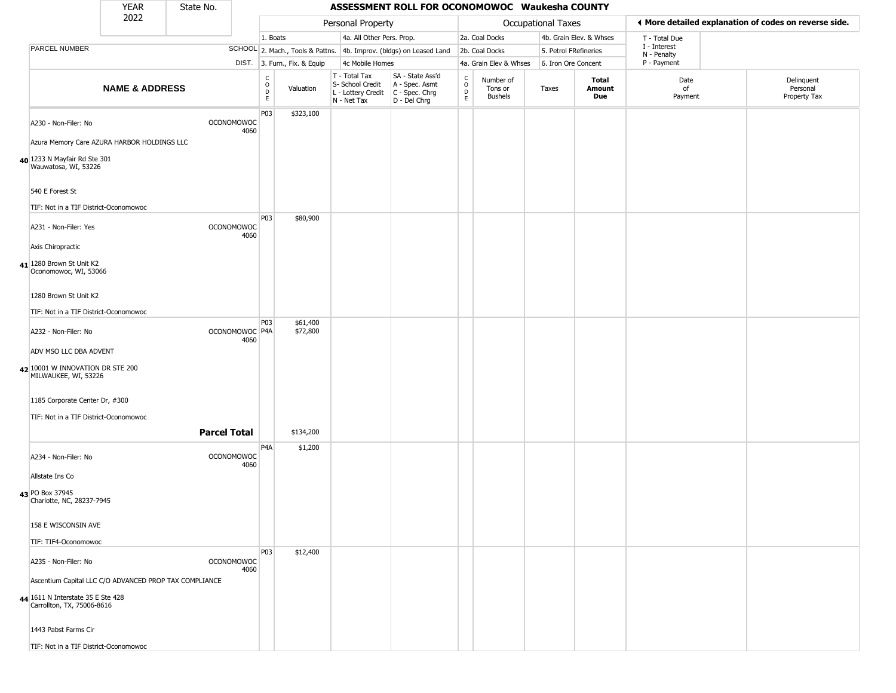|                                                                 | <b>YEAR</b>               | State No.                 |                                                          |                              |                                                                                         | ASSESSMENT ROLL FOR OCONOMOWOC Waukesha COUNTY                      |                                                          |                                        |                    |                         |                             |                                                       |
|-----------------------------------------------------------------|---------------------------|---------------------------|----------------------------------------------------------|------------------------------|-----------------------------------------------------------------------------------------|---------------------------------------------------------------------|----------------------------------------------------------|----------------------------------------|--------------------|-------------------------|-----------------------------|-------------------------------------------------------|
|                                                                 | 2022                      |                           |                                                          |                              | Personal Property                                                                       |                                                                     |                                                          |                                        | Occupational Taxes |                         |                             | ◀ More detailed explanation of codes on reverse side. |
|                                                                 |                           |                           | 1. Boats                                                 |                              | 4a. All Other Pers. Prop.                                                               |                                                                     |                                                          | 2a. Coal Docks                         |                    | 4b. Grain Elev. & Whses | T - Total Due               |                                                       |
| PARCEL NUMBER                                                   |                           |                           |                                                          |                              |                                                                                         | SCHOOL 2. Mach., Tools & Pattns. 4b. Improv. (bldgs) on Leased Land |                                                          | 2b. Coal Docks                         |                    | 5. Petrol FRefineries   | I - Interest<br>N - Penalty |                                                       |
|                                                                 |                           |                           |                                                          | DIST. 3. Furn., Fix. & Equip | 4c Mobile Homes                                                                         |                                                                     |                                                          | 4a. Grain Elev & Whses                 |                    | 6. Iron Ore Concent     | P - Payment                 |                                                       |
|                                                                 | <b>NAME &amp; ADDRESS</b> |                           | $\begin{smallmatrix} C \\ O \\ D \end{smallmatrix}$<br>E | Valuation                    | T - Total Tax<br>S- School Credit<br>L - Lottery Credit   C - Spec. Chrg<br>N - Net Tax | SA - State Ass'd<br>A - Spec. Asmt<br>D - Del Chrg                  | $\begin{matrix} 0 \\ 0 \\ 0 \end{matrix}$<br>$\mathsf E$ | Number of<br>Tons or<br><b>Bushels</b> | Taxes              | Total<br>Amount<br>Due  | Date<br>of<br>Payment       | Delinquent<br>Personal<br>Property Tax                |
| A230 - Non-Filer: No                                            |                           | <b>OCONOMOWOC</b><br>4060 | P03                                                      | \$323,100                    |                                                                                         |                                                                     |                                                          |                                        |                    |                         |                             |                                                       |
| Azura Memory Care AZURA HARBOR HOLDINGS LLC                     |                           |                           |                                                          |                              |                                                                                         |                                                                     |                                                          |                                        |                    |                         |                             |                                                       |
| 40 1233 N Mayfair Rd Ste 301<br>Wauwatosa, WI, 53226            |                           |                           |                                                          |                              |                                                                                         |                                                                     |                                                          |                                        |                    |                         |                             |                                                       |
| 540 E Forest St                                                 |                           |                           |                                                          |                              |                                                                                         |                                                                     |                                                          |                                        |                    |                         |                             |                                                       |
| TIF: Not in a TIF District-Oconomowoc                           |                           |                           |                                                          |                              |                                                                                         |                                                                     |                                                          |                                        |                    |                         |                             |                                                       |
| A231 - Non-Filer: Yes                                           |                           | <b>OCONOMOWOC</b><br>4060 | <b>P03</b>                                               | \$80,900                     |                                                                                         |                                                                     |                                                          |                                        |                    |                         |                             |                                                       |
| Axis Chiropractic                                               |                           |                           |                                                          |                              |                                                                                         |                                                                     |                                                          |                                        |                    |                         |                             |                                                       |
| 41 1280 Brown St Unit K2<br>Oconomowoc, WI, 53066               |                           |                           |                                                          |                              |                                                                                         |                                                                     |                                                          |                                        |                    |                         |                             |                                                       |
| 1280 Brown St Unit K2                                           |                           |                           |                                                          |                              |                                                                                         |                                                                     |                                                          |                                        |                    |                         |                             |                                                       |
| TIF: Not in a TIF District-Oconomowoc                           |                           |                           |                                                          |                              |                                                                                         |                                                                     |                                                          |                                        |                    |                         |                             |                                                       |
| A232 - Non-Filer: No                                            |                           | OCONOMOWOC P4A<br>4060    | P <sub>0</sub> 3                                         | \$61,400<br>\$72,800         |                                                                                         |                                                                     |                                                          |                                        |                    |                         |                             |                                                       |
| ADV MSO LLC DBA ADVENT                                          |                           |                           |                                                          |                              |                                                                                         |                                                                     |                                                          |                                        |                    |                         |                             |                                                       |
| 42 10001 W INNOVATION DR STE 200<br>MILWAUKEE, WI, 53226        |                           |                           |                                                          |                              |                                                                                         |                                                                     |                                                          |                                        |                    |                         |                             |                                                       |
| 1185 Corporate Center Dr, #300                                  |                           |                           |                                                          |                              |                                                                                         |                                                                     |                                                          |                                        |                    |                         |                             |                                                       |
| TIF: Not in a TIF District-Oconomowoc                           |                           |                           |                                                          |                              |                                                                                         |                                                                     |                                                          |                                        |                    |                         |                             |                                                       |
|                                                                 |                           | <b>Parcel Total</b>       |                                                          | \$134,200                    |                                                                                         |                                                                     |                                                          |                                        |                    |                         |                             |                                                       |
| A234 - Non-Filer: No                                            |                           | <b>OCONOMOWOC</b><br>4060 | P4A                                                      | \$1,200                      |                                                                                         |                                                                     |                                                          |                                        |                    |                         |                             |                                                       |
| Allstate Ins Co                                                 |                           |                           |                                                          |                              |                                                                                         |                                                                     |                                                          |                                        |                    |                         |                             |                                                       |
| 43 PO Box 37945<br>Charlotte, NC, 28237-7945                    |                           |                           |                                                          |                              |                                                                                         |                                                                     |                                                          |                                        |                    |                         |                             |                                                       |
| 158 E WISCONSIN AVE                                             |                           |                           |                                                          |                              |                                                                                         |                                                                     |                                                          |                                        |                    |                         |                             |                                                       |
| TIF: TIF4-Oconomowoc                                            |                           |                           |                                                          |                              |                                                                                         |                                                                     |                                                          |                                        |                    |                         |                             |                                                       |
| A235 - Non-Filer: No                                            |                           | <b>OCONOMOWOC</b><br>4060 | P03                                                      | \$12,400                     |                                                                                         |                                                                     |                                                          |                                        |                    |                         |                             |                                                       |
| Ascentium Capital LLC C/O ADVANCED PROP TAX COMPLIANCE          |                           |                           |                                                          |                              |                                                                                         |                                                                     |                                                          |                                        |                    |                         |                             |                                                       |
| 44 1611 N Interstate 35 E Ste 428<br>Carrollton, TX, 75006-8616 |                           |                           |                                                          |                              |                                                                                         |                                                                     |                                                          |                                        |                    |                         |                             |                                                       |
| 1443 Pabst Farms Cir                                            |                           |                           |                                                          |                              |                                                                                         |                                                                     |                                                          |                                        |                    |                         |                             |                                                       |
| TIF: Not in a TIF District-Oconomowoc                           |                           |                           |                                                          |                              |                                                                                         |                                                                     |                                                          |                                        |                    |                         |                             |                                                       |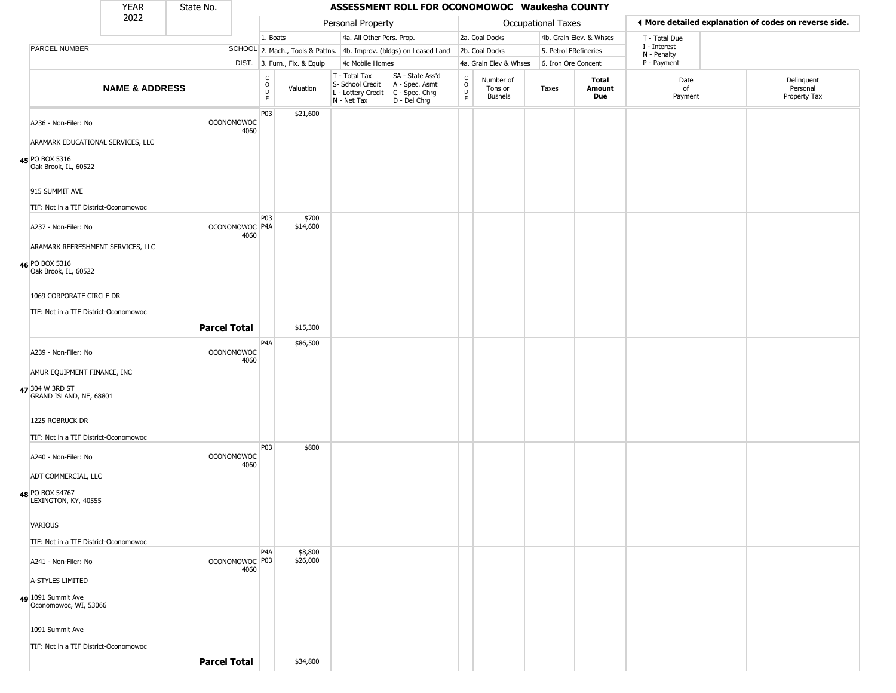|                                                           | <b>YEAR</b>               | State No.                 |                                                 |                              |                                                                                         | ASSESSMENT ROLL FOR OCONOMOWOC Waukesha COUNTY                      |                                   |                                        |                       |                         |                             |                                                       |
|-----------------------------------------------------------|---------------------------|---------------------------|-------------------------------------------------|------------------------------|-----------------------------------------------------------------------------------------|---------------------------------------------------------------------|-----------------------------------|----------------------------------------|-----------------------|-------------------------|-----------------------------|-------------------------------------------------------|
|                                                           | 2022                      |                           |                                                 |                              | Personal Property                                                                       |                                                                     |                                   |                                        | Occupational Taxes    |                         |                             | ◀ More detailed explanation of codes on reverse side. |
|                                                           |                           |                           | 1. Boats                                        |                              | 4a. All Other Pers. Prop.                                                               |                                                                     |                                   | 2a. Coal Docks                         |                       | 4b. Grain Elev. & Whses | T - Total Due               |                                                       |
| <b>PARCEL NUMBER</b>                                      |                           |                           |                                                 |                              |                                                                                         | SCHOOL 2. Mach., Tools & Pattns. 4b. Improv. (bldgs) on Leased Land |                                   | 2b. Coal Docks                         | 5. Petrol FRefineries |                         | I - Interest<br>N - Penalty |                                                       |
|                                                           |                           |                           |                                                 | DIST. 3. Furn., Fix. & Equip | 4c Mobile Homes                                                                         |                                                                     |                                   | 4a. Grain Elev & Whses                 | 6. Iron Ore Concent   |                         | P - Payment                 |                                                       |
|                                                           | <b>NAME &amp; ADDRESS</b> |                           | $\begin{array}{c} C \\ O \\ D \\ E \end{array}$ | Valuation                    | T - Total Tax<br>S- School Credit<br>L - Lottery Credit   C - Spec. Chrg<br>N - Net Tax | SA - State Ass'd<br>A - Spec. Asmt<br>D - Del Chrg                  | $\frac{c}{0}$<br>$\mathsf D$<br>E | Number of<br>Tons or<br><b>Bushels</b> | Taxes                 | Total<br>Amount<br>Due  | Date<br>of<br>Payment       | Delinquent<br>Personal<br>Property Tax                |
| A236 - Non-Filer: No<br>ARAMARK EDUCATIONAL SERVICES, LLC |                           | <b>OCONOMOWOC</b><br>4060 | P03                                             | \$21,600                     |                                                                                         |                                                                     |                                   |                                        |                       |                         |                             |                                                       |
|                                                           |                           |                           |                                                 |                              |                                                                                         |                                                                     |                                   |                                        |                       |                         |                             |                                                       |
| 45 PO BOX 5316<br>Oak Brook, IL, 60522                    |                           |                           |                                                 |                              |                                                                                         |                                                                     |                                   |                                        |                       |                         |                             |                                                       |
| 915 SUMMIT AVE                                            |                           |                           |                                                 |                              |                                                                                         |                                                                     |                                   |                                        |                       |                         |                             |                                                       |
| TIF: Not in a TIF District-Oconomowoc                     |                           |                           |                                                 |                              |                                                                                         |                                                                     |                                   |                                        |                       |                         |                             |                                                       |
| A237 - Non-Filer: No                                      |                           | OCONOMOWOC P4A<br>4060    | P03                                             | \$700<br>\$14,600            |                                                                                         |                                                                     |                                   |                                        |                       |                         |                             |                                                       |
| ARAMARK REFRESHMENT SERVICES, LLC                         |                           |                           |                                                 |                              |                                                                                         |                                                                     |                                   |                                        |                       |                         |                             |                                                       |
| 46 PO BOX 5316<br>Oak Brook, IL, 60522                    |                           |                           |                                                 |                              |                                                                                         |                                                                     |                                   |                                        |                       |                         |                             |                                                       |
| 1069 CORPORATE CIRCLE DR                                  |                           |                           |                                                 |                              |                                                                                         |                                                                     |                                   |                                        |                       |                         |                             |                                                       |
| TIF: Not in a TIF District-Oconomowoc                     |                           |                           |                                                 |                              |                                                                                         |                                                                     |                                   |                                        |                       |                         |                             |                                                       |
|                                                           |                           | <b>Parcel Total</b>       |                                                 | \$15,300                     |                                                                                         |                                                                     |                                   |                                        |                       |                         |                             |                                                       |
| A239 - Non-Filer: No                                      |                           | <b>OCONOMOWOC</b>         | P4A                                             | \$86,500                     |                                                                                         |                                                                     |                                   |                                        |                       |                         |                             |                                                       |
| AMUR EQUIPMENT FINANCE, INC                               |                           | 4060                      |                                                 |                              |                                                                                         |                                                                     |                                   |                                        |                       |                         |                             |                                                       |
| 47 304 W 3RD ST<br>GRAND ISLAND, NE, 68801                |                           |                           |                                                 |                              |                                                                                         |                                                                     |                                   |                                        |                       |                         |                             |                                                       |
| 1225 ROBRUCK DR                                           |                           |                           |                                                 |                              |                                                                                         |                                                                     |                                   |                                        |                       |                         |                             |                                                       |
| TIF: Not in a TIF District-Oconomowoc                     |                           |                           |                                                 |                              |                                                                                         |                                                                     |                                   |                                        |                       |                         |                             |                                                       |
| A240 - Non-Filer: No                                      |                           | <b>OCONOMOWOC</b><br>4060 | P03                                             | \$800                        |                                                                                         |                                                                     |                                   |                                        |                       |                         |                             |                                                       |
| ADT COMMERCIAL, LLC                                       |                           |                           |                                                 |                              |                                                                                         |                                                                     |                                   |                                        |                       |                         |                             |                                                       |
| 48 PO BOX 54767<br>LEXINGTON, KY, 40555                   |                           |                           |                                                 |                              |                                                                                         |                                                                     |                                   |                                        |                       |                         |                             |                                                       |
| VARIOUS                                                   |                           |                           |                                                 |                              |                                                                                         |                                                                     |                                   |                                        |                       |                         |                             |                                                       |
| TIF: Not in a TIF District-Oconomowoc                     |                           |                           |                                                 |                              |                                                                                         |                                                                     |                                   |                                        |                       |                         |                             |                                                       |
| A241 - Non-Filer: No                                      |                           | OCONOMOWOC P03            | P <sub>4</sub> A                                | \$8,800<br>\$26,000          |                                                                                         |                                                                     |                                   |                                        |                       |                         |                             |                                                       |
| A-STYLES LIMITED                                          |                           | 4060                      |                                                 |                              |                                                                                         |                                                                     |                                   |                                        |                       |                         |                             |                                                       |
| 49 1091 Summit Ave<br>Oconomowoc, WI, 53066               |                           |                           |                                                 |                              |                                                                                         |                                                                     |                                   |                                        |                       |                         |                             |                                                       |
| 1091 Summit Ave                                           |                           |                           |                                                 |                              |                                                                                         |                                                                     |                                   |                                        |                       |                         |                             |                                                       |
| TIF: Not in a TIF District-Oconomowoc                     |                           |                           |                                                 |                              |                                                                                         |                                                                     |                                   |                                        |                       |                         |                             |                                                       |
|                                                           |                           | <b>Parcel Total</b>       |                                                 | \$34,800                     |                                                                                         |                                                                     |                                   |                                        |                       |                         |                             |                                                       |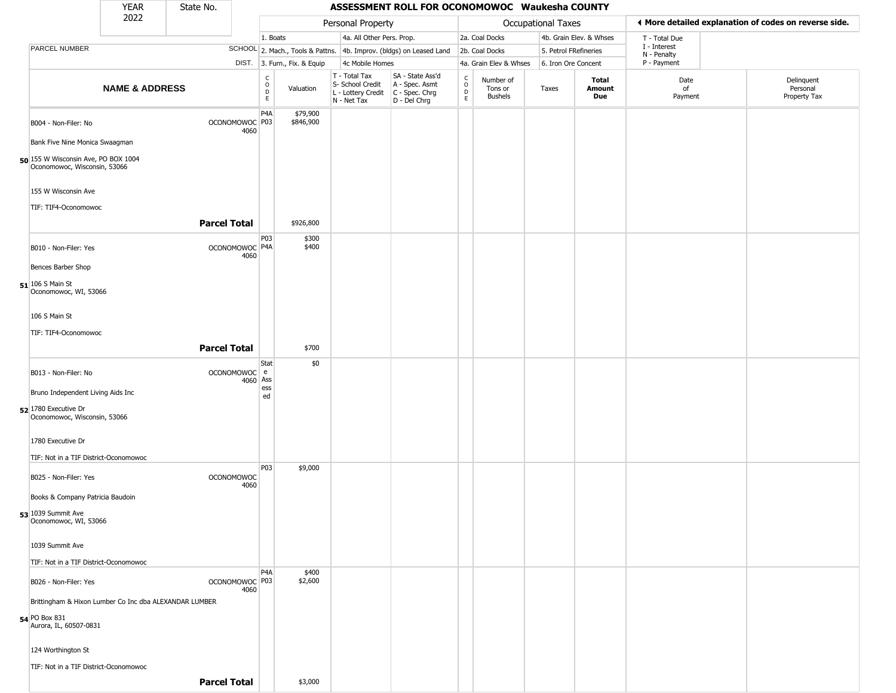|                                                                     | <b>YEAR</b>               | State No.           |                           |                                            |                              |                                                                                         | ASSESSMENT ROLL FOR OCONOMOWOC Waukesha COUNTY                      |                             |                                        |                           |                         |                                                       |                                        |
|---------------------------------------------------------------------|---------------------------|---------------------|---------------------------|--------------------------------------------|------------------------------|-----------------------------------------------------------------------------------------|---------------------------------------------------------------------|-----------------------------|----------------------------------------|---------------------------|-------------------------|-------------------------------------------------------|----------------------------------------|
|                                                                     | 2022                      |                     |                           |                                            |                              | Personal Property                                                                       |                                                                     |                             |                                        | <b>Occupational Taxes</b> |                         | ♦ More detailed explanation of codes on reverse side. |                                        |
|                                                                     |                           |                     |                           | 1. Boats                                   |                              | 4a. All Other Pers. Prop.                                                               |                                                                     |                             | 2a. Coal Docks                         |                           | 4b. Grain Elev. & Whses | T - Total Due                                         |                                        |
| PARCEL NUMBER                                                       |                           |                     |                           |                                            |                              |                                                                                         | SCHOOL 2. Mach., Tools & Pattns. 4b. Improv. (bldgs) on Leased Land |                             | 2b. Coal Docks                         | 5. Petrol FRefineries     |                         | I - Interest<br>N - Penalty                           |                                        |
|                                                                     |                           |                     |                           |                                            | DIST. 3. Furn., Fix. & Equip | 4c Mobile Homes                                                                         |                                                                     |                             | 4a. Grain Elev & Whses                 | 6. Iron Ore Concent       |                         | P - Payment                                           |                                        |
|                                                                     | <b>NAME &amp; ADDRESS</b> |                     |                           | $\frac{C}{O}$<br>$\mathsf{D}_{\mathsf{E}}$ | Valuation                    | T - Total Tax<br>S- School Credit<br>L - Lottery Credit   C - Spec. Chrg<br>N - Net Tax | SA - State Ass'd<br>A - Spec. Asmt<br>D - Del Chrg                  | C<br>$\mathsf{O}$<br>D<br>E | Number of<br>Tons or<br><b>Bushels</b> | Taxes                     | Total<br>Amount<br>Due  | Date<br>of<br>Payment                                 | Delinquent<br>Personal<br>Property Tax |
| B004 - Non-Filer: No                                                |                           |                     | OCONOMOWOC P03<br>4060    | P4A                                        | \$79,900<br>\$846,900        |                                                                                         |                                                                     |                             |                                        |                           |                         |                                                       |                                        |
| Bank Five Nine Monica Swaagman                                      |                           |                     |                           |                                            |                              |                                                                                         |                                                                     |                             |                                        |                           |                         |                                                       |                                        |
| 50 155 W Wisconsin Ave, PO BOX 1004<br>Oconomowoc, Wisconsin, 53066 |                           |                     |                           |                                            |                              |                                                                                         |                                                                     |                             |                                        |                           |                         |                                                       |                                        |
| 155 W Wisconsin Ave<br>TIF: TIF4-Oconomowoc                         |                           |                     |                           |                                            |                              |                                                                                         |                                                                     |                             |                                        |                           |                         |                                                       |                                        |
|                                                                     |                           | <b>Parcel Total</b> |                           |                                            | \$926,800                    |                                                                                         |                                                                     |                             |                                        |                           |                         |                                                       |                                        |
| B010 - Non-Filer: Yes                                               |                           |                     | OCONOMOWOC P4A<br>4060    | P <sub>03</sub>                            | \$300<br>\$400               |                                                                                         |                                                                     |                             |                                        |                           |                         |                                                       |                                        |
| Bences Barber Shop                                                  |                           |                     |                           |                                            |                              |                                                                                         |                                                                     |                             |                                        |                           |                         |                                                       |                                        |
| $51$ 106 S Main St<br>Oconomowoc, WI, 53066                         |                           |                     |                           |                                            |                              |                                                                                         |                                                                     |                             |                                        |                           |                         |                                                       |                                        |
| 106 S Main St                                                       |                           |                     |                           |                                            |                              |                                                                                         |                                                                     |                             |                                        |                           |                         |                                                       |                                        |
| TIF: TIF4-Oconomowoc                                                |                           |                     |                           |                                            |                              |                                                                                         |                                                                     |                             |                                        |                           |                         |                                                       |                                        |
|                                                                     |                           | <b>Parcel Total</b> |                           |                                            | \$700                        |                                                                                         |                                                                     |                             |                                        |                           |                         |                                                       |                                        |
| B013 - Non-Filer: No                                                |                           |                     | OCONOMOWOC e              | Stat                                       | \$0                          |                                                                                         |                                                                     |                             |                                        |                           |                         |                                                       |                                        |
| Bruno Independent Living Aids Inc                                   |                           |                     | 4060                      | Ass<br>ess                                 |                              |                                                                                         |                                                                     |                             |                                        |                           |                         |                                                       |                                        |
| 52 1780 Executive Dr<br>Oconomowoc, Wisconsin, 53066                |                           |                     |                           | ed                                         |                              |                                                                                         |                                                                     |                             |                                        |                           |                         |                                                       |                                        |
| 1780 Executive Dr                                                   |                           |                     |                           |                                            |                              |                                                                                         |                                                                     |                             |                                        |                           |                         |                                                       |                                        |
| TIF: Not in a TIF District-Oconomowoc                               |                           |                     |                           |                                            |                              |                                                                                         |                                                                     |                             |                                        |                           |                         |                                                       |                                        |
| B025 - Non-Filer: Yes                                               |                           |                     | <b>OCONOMOWOC</b><br>4060 | P03                                        | \$9,000                      |                                                                                         |                                                                     |                             |                                        |                           |                         |                                                       |                                        |
| Books & Company Patricia Baudoin                                    |                           |                     |                           |                                            |                              |                                                                                         |                                                                     |                             |                                        |                           |                         |                                                       |                                        |
| 53 1039 Summit Ave<br>Oconomowoc, WI, 53066                         |                           |                     |                           |                                            |                              |                                                                                         |                                                                     |                             |                                        |                           |                         |                                                       |                                        |
| 1039 Summit Ave                                                     |                           |                     |                           |                                            |                              |                                                                                         |                                                                     |                             |                                        |                           |                         |                                                       |                                        |
| TIF: Not in a TIF District-Oconomowoc                               |                           |                     |                           |                                            |                              |                                                                                         |                                                                     |                             |                                        |                           |                         |                                                       |                                        |
| B026 - Non-Filer: Yes                                               |                           |                     | OCONOMOWOC P03<br>4060    | P4A                                        | \$400<br>\$2,600             |                                                                                         |                                                                     |                             |                                        |                           |                         |                                                       |                                        |
| Brittingham & Hixon Lumber Co Inc dba ALEXANDAR LUMBER              |                           |                     |                           |                                            |                              |                                                                                         |                                                                     |                             |                                        |                           |                         |                                                       |                                        |
| 54 PO Box 831<br>Aurora, IL, 60507-0831                             |                           |                     |                           |                                            |                              |                                                                                         |                                                                     |                             |                                        |                           |                         |                                                       |                                        |
| 124 Worthington St                                                  |                           |                     |                           |                                            |                              |                                                                                         |                                                                     |                             |                                        |                           |                         |                                                       |                                        |
| TIF: Not in a TIF District-Oconomowoc                               |                           |                     |                           |                                            |                              |                                                                                         |                                                                     |                             |                                        |                           |                         |                                                       |                                        |
|                                                                     |                           | <b>Parcel Total</b> |                           |                                            | \$3,000                      |                                                                                         |                                                                     |                             |                                        |                           |                         |                                                       |                                        |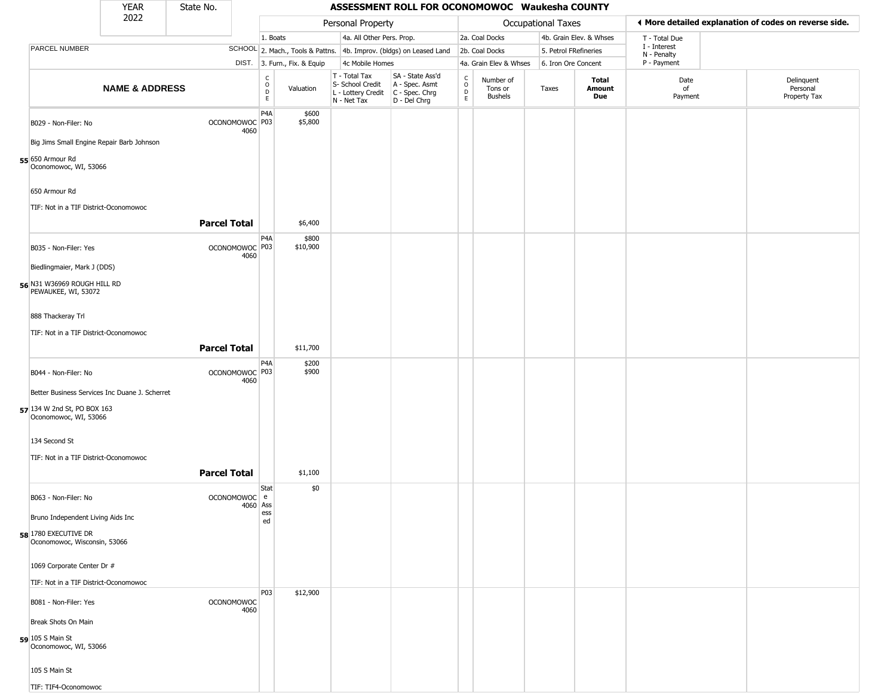|                                                      | YEAR                      | State No.           |                           |                                              |                              |                                                                        | ASSESSMENT ROLL FOR OCONOMOWOC Waukesha COUNTY                       |                                   |                                        |                       |                               |                             |                                                       |
|------------------------------------------------------|---------------------------|---------------------|---------------------------|----------------------------------------------|------------------------------|------------------------------------------------------------------------|----------------------------------------------------------------------|-----------------------------------|----------------------------------------|-----------------------|-------------------------------|-----------------------------|-------------------------------------------------------|
|                                                      | 2022                      |                     |                           |                                              |                              | Personal Property                                                      |                                                                      |                                   |                                        | Occupational Taxes    |                               |                             | ◀ More detailed explanation of codes on reverse side. |
|                                                      |                           |                     |                           | 1. Boats                                     |                              | 4a. All Other Pers. Prop.                                              |                                                                      |                                   | 2a. Coal Docks                         |                       | 4b. Grain Elev. & Whses       | T - Total Due               |                                                       |
| <b>PARCEL NUMBER</b>                                 |                           |                     |                           |                                              |                              |                                                                        | SCHOOL 2. Mach., Tools & Pattns. 4b. Improv. (bldgs) on Leased Land  |                                   | 2b. Coal Docks                         | 5. Petrol FRefineries |                               | I - Interest<br>N - Penalty |                                                       |
|                                                      |                           |                     |                           |                                              | DIST. 3. Furn., Fix. & Equip | 4c Mobile Homes                                                        |                                                                      |                                   | 4a. Grain Elev & Whses                 | 6. Iron Ore Concent   |                               | P - Payment                 |                                                       |
|                                                      | <b>NAME &amp; ADDRESS</b> |                     |                           | $\begin{array}{c}\nC \\ O \\ D\n\end{array}$ | Valuation                    | T - Total Tax<br>S- School Credit<br>L - Lottery Credit<br>N - Net Tax | SA - State Ass'd<br>A - Spec. Asmt<br>C - Spec. Chrg<br>D - Del Chrg | $\frac{c}{0}$<br>$\mathsf D$<br>E | Number of<br>Tons or<br><b>Bushels</b> | Taxes                 | <b>Total</b><br>Amount<br>Due | Date<br>of<br>Payment       | Delinquent<br>Personal<br>Property Tax                |
| B029 - Non-Filer: No                                 |                           |                     | OCONOMOWOC P03<br>4060    | P4A                                          | \$600<br>\$5,800             |                                                                        |                                                                      |                                   |                                        |                       |                               |                             |                                                       |
| Big Jims Small Engine Repair Barb Johnson            |                           |                     |                           |                                              |                              |                                                                        |                                                                      |                                   |                                        |                       |                               |                             |                                                       |
| 55 650 Armour Rd<br>Oconomowoc, WI, 53066            |                           |                     |                           |                                              |                              |                                                                        |                                                                      |                                   |                                        |                       |                               |                             |                                                       |
| 650 Armour Rd                                        |                           |                     |                           |                                              |                              |                                                                        |                                                                      |                                   |                                        |                       |                               |                             |                                                       |
| TIF: Not in a TIF District-Oconomowoc                |                           | <b>Parcel Total</b> |                           |                                              | \$6,400                      |                                                                        |                                                                      |                                   |                                        |                       |                               |                             |                                                       |
| B035 - Non-Filer: Yes                                |                           |                     | OCONOMOWOC P03<br>4060    | P4A                                          | \$800<br>\$10,900            |                                                                        |                                                                      |                                   |                                        |                       |                               |                             |                                                       |
| Biedlingmaier, Mark J (DDS)                          |                           |                     |                           |                                              |                              |                                                                        |                                                                      |                                   |                                        |                       |                               |                             |                                                       |
| 56 N31 W36969 ROUGH HILL RD<br>PEWAUKEE, WI, 53072   |                           |                     |                           |                                              |                              |                                                                        |                                                                      |                                   |                                        |                       |                               |                             |                                                       |
| 888 Thackeray Trl                                    |                           |                     |                           |                                              |                              |                                                                        |                                                                      |                                   |                                        |                       |                               |                             |                                                       |
| TIF: Not in a TIF District-Oconomowoc                |                           |                     |                           |                                              |                              |                                                                        |                                                                      |                                   |                                        |                       |                               |                             |                                                       |
|                                                      |                           | <b>Parcel Total</b> |                           |                                              | \$11,700                     |                                                                        |                                                                      |                                   |                                        |                       |                               |                             |                                                       |
| B044 - Non-Filer: No                                 |                           |                     | OCONOMOWOC P03<br>4060    | P4A                                          | \$200<br>\$900               |                                                                        |                                                                      |                                   |                                        |                       |                               |                             |                                                       |
| Better Business Services Inc Duane J. Scherret       |                           |                     |                           |                                              |                              |                                                                        |                                                                      |                                   |                                        |                       |                               |                             |                                                       |
| 57 134 W 2nd St, PO BOX 163<br>Oconomowoc, WI, 53066 |                           |                     |                           |                                              |                              |                                                                        |                                                                      |                                   |                                        |                       |                               |                             |                                                       |
| 134 Second St                                        |                           |                     |                           |                                              |                              |                                                                        |                                                                      |                                   |                                        |                       |                               |                             |                                                       |
| TIF: Not in a TIF District-Oconomowoc                |                           |                     |                           |                                              |                              |                                                                        |                                                                      |                                   |                                        |                       |                               |                             |                                                       |
|                                                      |                           | <b>Parcel Total</b> |                           |                                              | \$1,100                      |                                                                        |                                                                      |                                   |                                        |                       |                               |                             |                                                       |
| B063 - Non-Filer: No                                 |                           |                     | OCONOMOWOC e<br>4060 Ass  | Stat                                         | \$0                          |                                                                        |                                                                      |                                   |                                        |                       |                               |                             |                                                       |
| Bruno Independent Living Aids Inc                    |                           |                     |                           | ess<br>ed                                    |                              |                                                                        |                                                                      |                                   |                                        |                       |                               |                             |                                                       |
| 58 1780 EXECUTIVE DR<br>Oconomowoc, Wisconsin, 53066 |                           |                     |                           |                                              |                              |                                                                        |                                                                      |                                   |                                        |                       |                               |                             |                                                       |
| 1069 Corporate Center Dr #                           |                           |                     |                           |                                              |                              |                                                                        |                                                                      |                                   |                                        |                       |                               |                             |                                                       |
| TIF: Not in a TIF District-Oconomowoc                |                           |                     |                           |                                              |                              |                                                                        |                                                                      |                                   |                                        |                       |                               |                             |                                                       |
| B081 - Non-Filer: Yes                                |                           |                     | <b>OCONOMOWOC</b><br>4060 | P03                                          | \$12,900                     |                                                                        |                                                                      |                                   |                                        |                       |                               |                             |                                                       |
| Break Shots On Main                                  |                           |                     |                           |                                              |                              |                                                                        |                                                                      |                                   |                                        |                       |                               |                             |                                                       |
| 59 105 S Main St<br>Oconomowoc, WI, 53066            |                           |                     |                           |                                              |                              |                                                                        |                                                                      |                                   |                                        |                       |                               |                             |                                                       |
| 105 S Main St                                        |                           |                     |                           |                                              |                              |                                                                        |                                                                      |                                   |                                        |                       |                               |                             |                                                       |
| TIF: TIF4-Oconomowoc                                 |                           |                     |                           |                                              |                              |                                                                        |                                                                      |                                   |                                        |                       |                               |                             |                                                       |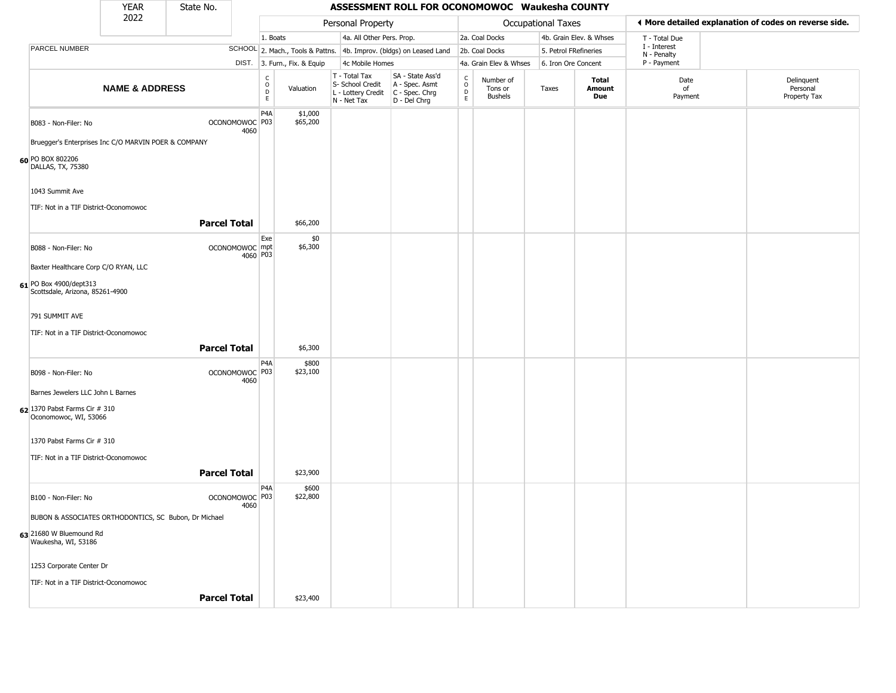|                                                           | <b>YEAR</b>               | State No.           |          |                                                |                              |                                                                        | ASSESSMENT ROLL FOR OCONOMOWOC Waukesha COUNTY                       |                                                          |                                        |                    |                         |                             |                                                       |
|-----------------------------------------------------------|---------------------------|---------------------|----------|------------------------------------------------|------------------------------|------------------------------------------------------------------------|----------------------------------------------------------------------|----------------------------------------------------------|----------------------------------------|--------------------|-------------------------|-----------------------------|-------------------------------------------------------|
|                                                           | 2022                      |                     |          |                                                |                              | Personal Property                                                      |                                                                      |                                                          |                                        | Occupational Taxes |                         |                             | ◀ More detailed explanation of codes on reverse side. |
|                                                           |                           |                     |          | 1. Boats                                       |                              | 4a. All Other Pers. Prop.                                              |                                                                      |                                                          | 2a. Coal Docks                         |                    | 4b. Grain Elev. & Whses | T - Total Due               |                                                       |
| PARCEL NUMBER                                             |                           |                     |          |                                                |                              |                                                                        | SCHOOL 2. Mach., Tools & Pattns. 4b. Improv. (bldgs) on Leased Land  |                                                          | 2b. Coal Docks                         |                    | 5. Petrol FRefineries   | I - Interest<br>N - Penalty |                                                       |
|                                                           |                           |                     |          |                                                | DIST. 3. Furn., Fix. & Equip | 4c Mobile Homes                                                        |                                                                      |                                                          | 4a. Grain Elev & Whses                 |                    | 6. Iron Ore Concent     | P - Payment                 |                                                       |
|                                                           | <b>NAME &amp; ADDRESS</b> |                     |          | $\begin{matrix} 0 \\ 0 \\ D \end{matrix}$<br>E | Valuation                    | T - Total Tax<br>S- School Credit<br>L - Lottery Credit<br>N - Net Tax | SA - State Ass'd<br>A - Spec. Asmt<br>C - Spec. Chrg<br>D - Del Chrg | $\begin{matrix} 0 \\ 0 \\ D \end{matrix}$<br>$\mathsf E$ | Number of<br>Tons or<br><b>Bushels</b> | Taxes              | Total<br>Amount<br>Due  | Date<br>of<br>Payment       | Delinquent<br>Personal<br>Property Tax                |
| B083 - Non-Filer: No                                      |                           | OCONOMOWOC P03      | 4060     | P <sub>4</sub> A                               | \$1,000<br>\$65,200          |                                                                        |                                                                      |                                                          |                                        |                    |                         |                             |                                                       |
| Bruegger's Enterprises Inc C/O MARVIN POER & COMPANY      |                           |                     |          |                                                |                              |                                                                        |                                                                      |                                                          |                                        |                    |                         |                             |                                                       |
| 60 PO BOX 802206<br>DALLAS, TX, 75380                     |                           |                     |          |                                                |                              |                                                                        |                                                                      |                                                          |                                        |                    |                         |                             |                                                       |
| 1043 Summit Ave<br>TIF: Not in a TIF District-Oconomowoc  |                           |                     |          |                                                |                              |                                                                        |                                                                      |                                                          |                                        |                    |                         |                             |                                                       |
|                                                           |                           | <b>Parcel Total</b> |          |                                                | \$66,200                     |                                                                        |                                                                      |                                                          |                                        |                    |                         |                             |                                                       |
| B088 - Non-Filer: No                                      |                           | OCONOMOWOC mpt      | 4060 P03 | Exe                                            | \$0<br>\$6,300               |                                                                        |                                                                      |                                                          |                                        |                    |                         |                             |                                                       |
| Baxter Healthcare Corp C/O RYAN, LLC                      |                           |                     |          |                                                |                              |                                                                        |                                                                      |                                                          |                                        |                    |                         |                             |                                                       |
| 61 PO Box 4900/dept313<br>Scottsdale, Arizona, 85261-4900 |                           |                     |          |                                                |                              |                                                                        |                                                                      |                                                          |                                        |                    |                         |                             |                                                       |
| 791 SUMMIT AVE<br>TIF: Not in a TIF District-Oconomowoc   |                           |                     |          |                                                |                              |                                                                        |                                                                      |                                                          |                                        |                    |                         |                             |                                                       |
|                                                           |                           | <b>Parcel Total</b> |          |                                                | \$6,300                      |                                                                        |                                                                      |                                                          |                                        |                    |                         |                             |                                                       |
| B098 - Non-Filer: No                                      |                           | OCONOMOWOC P03      | 4060     | P <sub>4</sub> A                               | \$800<br>\$23,100            |                                                                        |                                                                      |                                                          |                                        |                    |                         |                             |                                                       |
| Barnes Jewelers LLC John L Barnes                         |                           |                     |          |                                                |                              |                                                                        |                                                                      |                                                          |                                        |                    |                         |                             |                                                       |
| 62 1370 Pabst Farms Cir # 310<br>Oconomowoc, WI, 53066    |                           |                     |          |                                                |                              |                                                                        |                                                                      |                                                          |                                        |                    |                         |                             |                                                       |
| 1370 Pabst Farms Cir # 310                                |                           |                     |          |                                                |                              |                                                                        |                                                                      |                                                          |                                        |                    |                         |                             |                                                       |
| TIF: Not in a TIF District-Oconomowoc                     |                           |                     |          |                                                |                              |                                                                        |                                                                      |                                                          |                                        |                    |                         |                             |                                                       |
|                                                           |                           | <b>Parcel Total</b> |          |                                                | \$23,900                     |                                                                        |                                                                      |                                                          |                                        |                    |                         |                             |                                                       |
| B100 - Non-Filer: No                                      |                           | OCONOMOWOC P03      | 4060     | P <sub>4</sub> A                               | \$600<br>\$22,800            |                                                                        |                                                                      |                                                          |                                        |                    |                         |                             |                                                       |
| BUBON & ASSOCIATES ORTHODONTICS, SC Bubon, Dr Michael     |                           |                     |          |                                                |                              |                                                                        |                                                                      |                                                          |                                        |                    |                         |                             |                                                       |
| 63 21680 W Bluemound Rd<br>Waukesha, WI, 53186            |                           |                     |          |                                                |                              |                                                                        |                                                                      |                                                          |                                        |                    |                         |                             |                                                       |
| 1253 Corporate Center Dr                                  |                           |                     |          |                                                |                              |                                                                        |                                                                      |                                                          |                                        |                    |                         |                             |                                                       |
| TIF: Not in a TIF District-Oconomowoc                     |                           |                     |          |                                                |                              |                                                                        |                                                                      |                                                          |                                        |                    |                         |                             |                                                       |
|                                                           |                           | <b>Parcel Total</b> |          |                                                | \$23,400                     |                                                                        |                                                                      |                                                          |                                        |                    |                         |                             |                                                       |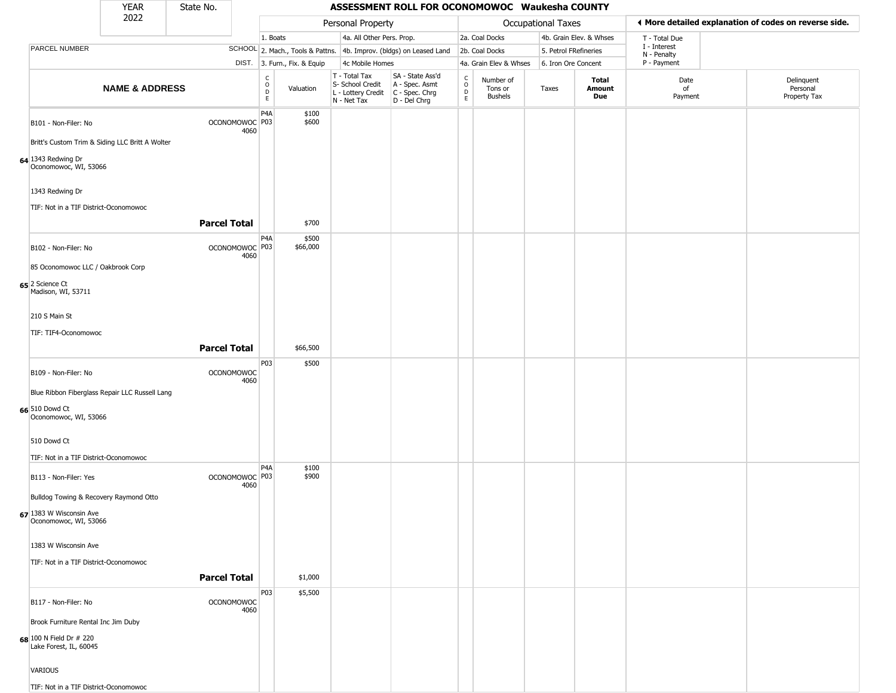|                                                   | YEAR                      | State No.           |                           |                                          |                              |                                                                                       | ASSESSMENT ROLL FOR OCONOMOWOC Waukesha COUNTY                      |                             |                                 |                           |                               |                             |                                                       |
|---------------------------------------------------|---------------------------|---------------------|---------------------------|------------------------------------------|------------------------------|---------------------------------------------------------------------------------------|---------------------------------------------------------------------|-----------------------------|---------------------------------|---------------------------|-------------------------------|-----------------------------|-------------------------------------------------------|
|                                                   | 2022                      |                     |                           |                                          |                              | Personal Property                                                                     |                                                                     |                             |                                 | <b>Occupational Taxes</b> |                               |                             | ♦ More detailed explanation of codes on reverse side. |
|                                                   |                           |                     |                           | 1. Boats                                 |                              | 4a. All Other Pers. Prop.                                                             |                                                                     |                             | 2a. Coal Docks                  |                           | 4b. Grain Elev. & Whses       | T - Total Due               |                                                       |
| <b>PARCEL NUMBER</b>                              |                           |                     |                           |                                          |                              |                                                                                       | SCHOOL 2. Mach., Tools & Pattns. 4b. Improv. (bldgs) on Leased Land |                             | 2b. Coal Docks                  | 5. Petrol FRefineries     |                               | I - Interest<br>N - Penalty |                                                       |
|                                                   |                           |                     |                           |                                          | DIST. 3. Furn., Fix. & Equip | 4c Mobile Homes                                                                       |                                                                     |                             | 4a. Grain Elev & Whses          | 6. Iron Ore Concent       |                               | P - Payment                 |                                                       |
|                                                   | <b>NAME &amp; ADDRESS</b> |                     |                           | $\rm _o^C$<br>$\mathsf D$<br>$\mathsf E$ | Valuation                    | T - Total Tax<br>S- School Credit<br>L - Lottery Credit C - Spec. Chrg<br>N - Net Tax | SA - State Ass'd<br>A - Spec. Asmt<br>D - Del Chrg                  | C<br>$\mathsf{o}$<br>D<br>E | Number of<br>Tons or<br>Bushels | Taxes                     | <b>Total</b><br>Amount<br>Due | Date<br>of<br>Payment       | Delinquent<br>Personal<br>Property Tax                |
| B101 - Non-Filer: No                              |                           |                     | OCONOMOWOC P03<br>4060    | P4A                                      | \$100<br>\$600               |                                                                                       |                                                                     |                             |                                 |                           |                               |                             |                                                       |
| Britt's Custom Trim & Siding LLC Britt A Wolter   |                           |                     |                           |                                          |                              |                                                                                       |                                                                     |                             |                                 |                           |                               |                             |                                                       |
| 64 1343 Redwing Dr<br>Oconomowoc, WI, 53066       |                           |                     |                           |                                          |                              |                                                                                       |                                                                     |                             |                                 |                           |                               |                             |                                                       |
| 1343 Redwing Dr                                   |                           |                     |                           |                                          |                              |                                                                                       |                                                                     |                             |                                 |                           |                               |                             |                                                       |
| TIF: Not in a TIF District-Oconomowoc             |                           | <b>Parcel Total</b> |                           |                                          | \$700                        |                                                                                       |                                                                     |                             |                                 |                           |                               |                             |                                                       |
| B102 - Non-Filer: No                              |                           |                     | OCONOMOWOC P03<br>4060    | P <sub>4</sub> A                         | \$500<br>\$66,000            |                                                                                       |                                                                     |                             |                                 |                           |                               |                             |                                                       |
| 85 Oconomowoc LLC / Oakbrook Corp                 |                           |                     |                           |                                          |                              |                                                                                       |                                                                     |                             |                                 |                           |                               |                             |                                                       |
| 65 2 Science Ct<br>Madison, WI, 53711             |                           |                     |                           |                                          |                              |                                                                                       |                                                                     |                             |                                 |                           |                               |                             |                                                       |
| 210 S Main St                                     |                           |                     |                           |                                          |                              |                                                                                       |                                                                     |                             |                                 |                           |                               |                             |                                                       |
| TIF: TIF4-Oconomowoc                              |                           |                     |                           |                                          |                              |                                                                                       |                                                                     |                             |                                 |                           |                               |                             |                                                       |
|                                                   |                           | <b>Parcel Total</b> |                           |                                          | \$66,500                     |                                                                                       |                                                                     |                             |                                 |                           |                               |                             |                                                       |
|                                                   |                           |                     |                           | P03                                      | \$500                        |                                                                                       |                                                                     |                             |                                 |                           |                               |                             |                                                       |
| B109 - Non-Filer: No                              |                           |                     | <b>OCONOMOWOC</b><br>4060 |                                          |                              |                                                                                       |                                                                     |                             |                                 |                           |                               |                             |                                                       |
| Blue Ribbon Fiberglass Repair LLC Russell Lang    |                           |                     |                           |                                          |                              |                                                                                       |                                                                     |                             |                                 |                           |                               |                             |                                                       |
| 66 510 Dowd Ct<br>Oconomowoc, WI, 53066           |                           |                     |                           |                                          |                              |                                                                                       |                                                                     |                             |                                 |                           |                               |                             |                                                       |
| 510 Dowd Ct                                       |                           |                     |                           |                                          |                              |                                                                                       |                                                                     |                             |                                 |                           |                               |                             |                                                       |
| TIF: Not in a TIF District-Oconomowoc             |                           |                     |                           |                                          |                              |                                                                                       |                                                                     |                             |                                 |                           |                               |                             |                                                       |
| B113 - Non-Filer: Yes                             |                           |                     | OCONOMOWOC P03<br>4060    | P <sub>4</sub> A                         | \$100<br>\$900               |                                                                                       |                                                                     |                             |                                 |                           |                               |                             |                                                       |
| Bulldog Towing & Recovery Raymond Otto            |                           |                     |                           |                                          |                              |                                                                                       |                                                                     |                             |                                 |                           |                               |                             |                                                       |
| 67 1383 W Wisconsin Ave<br>Oconomowoc, WI, 53066  |                           |                     |                           |                                          |                              |                                                                                       |                                                                     |                             |                                 |                           |                               |                             |                                                       |
| 1383 W Wisconsin Ave                              |                           |                     |                           |                                          |                              |                                                                                       |                                                                     |                             |                                 |                           |                               |                             |                                                       |
| TIF: Not in a TIF District-Oconomowoc             |                           |                     |                           |                                          |                              |                                                                                       |                                                                     |                             |                                 |                           |                               |                             |                                                       |
|                                                   |                           | <b>Parcel Total</b> |                           |                                          | \$1,000                      |                                                                                       |                                                                     |                             |                                 |                           |                               |                             |                                                       |
|                                                   |                           |                     |                           | P03                                      | \$5,500                      |                                                                                       |                                                                     |                             |                                 |                           |                               |                             |                                                       |
| B117 - Non-Filer: No                              |                           |                     | <b>OCONOMOWOC</b><br>4060 |                                          |                              |                                                                                       |                                                                     |                             |                                 |                           |                               |                             |                                                       |
| Brook Furniture Rental Inc Jim Duby               |                           |                     |                           |                                          |                              |                                                                                       |                                                                     |                             |                                 |                           |                               |                             |                                                       |
| 68 100 N Field Dr # 220<br>Lake Forest, IL, 60045 |                           |                     |                           |                                          |                              |                                                                                       |                                                                     |                             |                                 |                           |                               |                             |                                                       |
| VARIOUS                                           |                           |                     |                           |                                          |                              |                                                                                       |                                                                     |                             |                                 |                           |                               |                             |                                                       |
| TIF: Not in a TIF District-Oconomowoc             |                           |                     |                           |                                          |                              |                                                                                       |                                                                     |                             |                                 |                           |                               |                             |                                                       |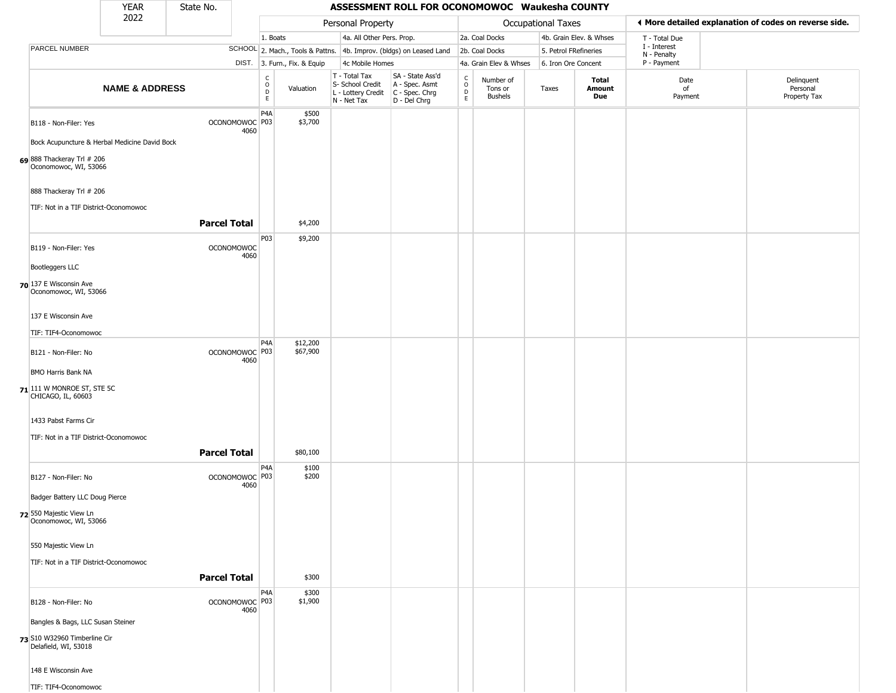|                                                                  | YEAR                      | State No.           |                           |                                          |                              |                                                                                       | ASSESSMENT ROLL FOR OCONOMOWOC Waukesha COUNTY                      |                            |                                        |                       |                         |                             |                                                       |
|------------------------------------------------------------------|---------------------------|---------------------|---------------------------|------------------------------------------|------------------------------|---------------------------------------------------------------------------------------|---------------------------------------------------------------------|----------------------------|----------------------------------------|-----------------------|-------------------------|-----------------------------|-------------------------------------------------------|
|                                                                  | 2022                      |                     |                           |                                          |                              | Personal Property                                                                     |                                                                     |                            |                                        | Occupational Taxes    |                         |                             | ♦ More detailed explanation of codes on reverse side. |
|                                                                  |                           |                     |                           | 1. Boats                                 |                              | 4a. All Other Pers. Prop.                                                             |                                                                     |                            | 2a. Coal Docks                         |                       | 4b. Grain Elev. & Whses | T - Total Due               |                                                       |
| <b>PARCEL NUMBER</b>                                             |                           |                     |                           |                                          |                              |                                                                                       | SCHOOL 2. Mach., Tools & Pattns. 4b. Improv. (bldgs) on Leased Land |                            | 2b. Coal Docks                         | 5. Petrol FRefineries |                         | I - Interest<br>N - Penalty |                                                       |
|                                                                  |                           |                     |                           |                                          | DIST. 3. Furn., Fix. & Equip | 4c Mobile Homes                                                                       |                                                                     |                            | 4a. Grain Elev & Whses                 | 6. Iron Ore Concent   |                         | P - Payment                 |                                                       |
|                                                                  | <b>NAME &amp; ADDRESS</b> |                     |                           | $\rm _o^C$<br>$\mathsf D$<br>$\mathsf E$ | Valuation                    | T - Total Tax<br>S- School Credit<br>L - Lottery Credit C - Spec. Chrg<br>N - Net Tax | SA - State Ass'd<br>A - Spec. Asmt<br>D - Del Chrg                  | C<br>$\mathsf O$<br>D<br>E | Number of<br>Tons or<br><b>Bushels</b> | Taxes                 | Total<br>Amount<br>Due  | Date<br>of<br>Payment       | Delinquent<br>Personal<br>Property Tax                |
| B118 - Non-Filer: Yes                                            |                           |                     | OCONOMOWOC P03<br>4060    | P <sub>4</sub> A                         | \$500<br>\$3,700             |                                                                                       |                                                                     |                            |                                        |                       |                         |                             |                                                       |
| Bock Acupuncture & Herbal Medicine David Bock                    |                           |                     |                           |                                          |                              |                                                                                       |                                                                     |                            |                                        |                       |                         |                             |                                                       |
| 69 888 Thackeray Trl # 206<br>Oconomowoc, WI, 53066              |                           |                     |                           |                                          |                              |                                                                                       |                                                                     |                            |                                        |                       |                         |                             |                                                       |
| 888 Thackeray Trl # 206<br>TIF: Not in a TIF District-Oconomowoc |                           |                     |                           |                                          |                              |                                                                                       |                                                                     |                            |                                        |                       |                         |                             |                                                       |
|                                                                  |                           | <b>Parcel Total</b> |                           |                                          | \$4,200                      |                                                                                       |                                                                     |                            |                                        |                       |                         |                             |                                                       |
| B119 - Non-Filer: Yes                                            |                           |                     | <b>OCONOMOWOC</b><br>4060 | P03                                      | \$9,200                      |                                                                                       |                                                                     |                            |                                        |                       |                         |                             |                                                       |
| <b>Bootleggers LLC</b>                                           |                           |                     |                           |                                          |                              |                                                                                       |                                                                     |                            |                                        |                       |                         |                             |                                                       |
| 70 137 E Wisconsin Ave<br>Oconomowoc, WI, 53066                  |                           |                     |                           |                                          |                              |                                                                                       |                                                                     |                            |                                        |                       |                         |                             |                                                       |
| 137 E Wisconsin Ave                                              |                           |                     |                           |                                          |                              |                                                                                       |                                                                     |                            |                                        |                       |                         |                             |                                                       |
| TIF: TIF4-Oconomowoc                                             |                           |                     |                           | P <sub>4</sub> A                         | \$12,200                     |                                                                                       |                                                                     |                            |                                        |                       |                         |                             |                                                       |
| B121 - Non-Filer: No                                             |                           |                     | OCONOMOWOC P03<br>4060    |                                          | \$67,900                     |                                                                                       |                                                                     |                            |                                        |                       |                         |                             |                                                       |
| <b>BMO Harris Bank NA</b>                                        |                           |                     |                           |                                          |                              |                                                                                       |                                                                     |                            |                                        |                       |                         |                             |                                                       |
| $71$ <sup>111</sup> W MONROE ST, STE 5C<br>CHICAGO, IL, 60603    |                           |                     |                           |                                          |                              |                                                                                       |                                                                     |                            |                                        |                       |                         |                             |                                                       |
| 1433 Pabst Farms Cir                                             |                           |                     |                           |                                          |                              |                                                                                       |                                                                     |                            |                                        |                       |                         |                             |                                                       |
| TIF: Not in a TIF District-Oconomowoc                            |                           |                     |                           |                                          |                              |                                                                                       |                                                                     |                            |                                        |                       |                         |                             |                                                       |
|                                                                  |                           | <b>Parcel Total</b> |                           |                                          | \$80,100                     |                                                                                       |                                                                     |                            |                                        |                       |                         |                             |                                                       |
| B127 - Non-Filer: No                                             |                           |                     | OCONOMOWOC P03<br>4060    | P4A                                      | \$100<br>\$200               |                                                                                       |                                                                     |                            |                                        |                       |                         |                             |                                                       |
| Badger Battery LLC Doug Pierce                                   |                           |                     |                           |                                          |                              |                                                                                       |                                                                     |                            |                                        |                       |                         |                             |                                                       |
| 72 550 Majestic View Ln<br>Oconomowoc, WI, 53066                 |                           |                     |                           |                                          |                              |                                                                                       |                                                                     |                            |                                        |                       |                         |                             |                                                       |
| 550 Majestic View Ln                                             |                           |                     |                           |                                          |                              |                                                                                       |                                                                     |                            |                                        |                       |                         |                             |                                                       |
| TIF: Not in a TIF District-Oconomowoc                            |                           |                     |                           |                                          |                              |                                                                                       |                                                                     |                            |                                        |                       |                         |                             |                                                       |
|                                                                  |                           | <b>Parcel Total</b> |                           |                                          | \$300                        |                                                                                       |                                                                     |                            |                                        |                       |                         |                             |                                                       |
| B128 - Non-Filer: No                                             |                           |                     | OCONOMOWOC P03<br>4060    | P4A                                      | \$300<br>\$1,900             |                                                                                       |                                                                     |                            |                                        |                       |                         |                             |                                                       |
| Bangles & Bags, LLC Susan Steiner                                |                           |                     |                           |                                          |                              |                                                                                       |                                                                     |                            |                                        |                       |                         |                             |                                                       |
| 73 S10 W32960 Timberline Cir<br>Delafield, WI, 53018             |                           |                     |                           |                                          |                              |                                                                                       |                                                                     |                            |                                        |                       |                         |                             |                                                       |
| 148 E Wisconsin Ave                                              |                           |                     |                           |                                          |                              |                                                                                       |                                                                     |                            |                                        |                       |                         |                             |                                                       |
| TIF: TIF4-Oconomowoc                                             |                           |                     |                           |                                          |                              |                                                                                       |                                                                     |                            |                                        |                       |                         |                             |                                                       |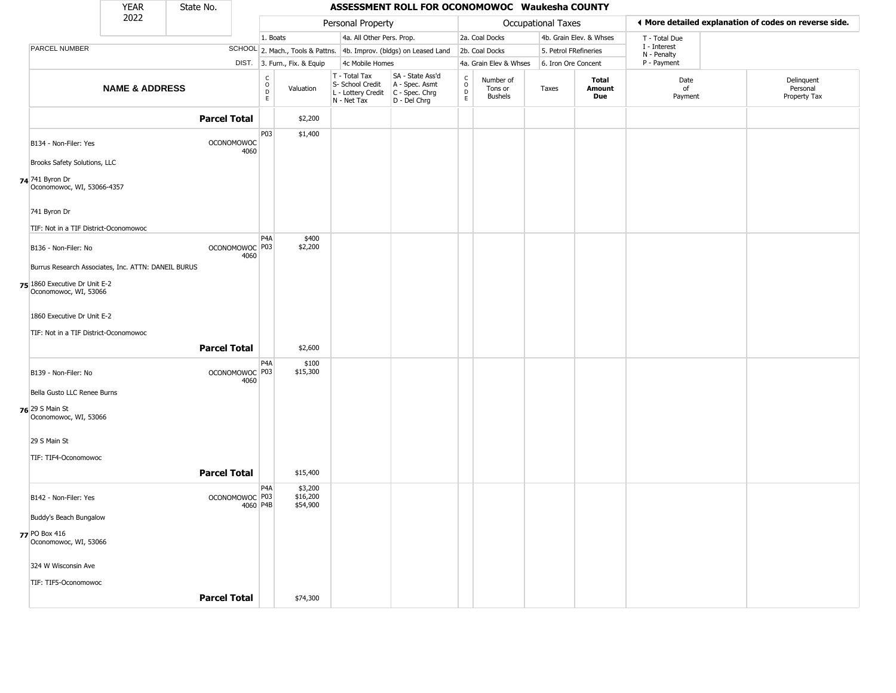|                                                        | <b>YEAR</b>               | State No.           |                                       |                                                 |                                  |                                                                        | ASSESSMENT ROLL FOR OCONOMOWOC Waukesha COUNTY                       |                                                   |                                        |                    |                         |                             |                                                       |
|--------------------------------------------------------|---------------------------|---------------------|---------------------------------------|-------------------------------------------------|----------------------------------|------------------------------------------------------------------------|----------------------------------------------------------------------|---------------------------------------------------|----------------------------------------|--------------------|-------------------------|-----------------------------|-------------------------------------------------------|
|                                                        | 2022                      |                     |                                       |                                                 |                                  | Personal Property                                                      |                                                                      |                                                   |                                        | Occupational Taxes |                         |                             | ♦ More detailed explanation of codes on reverse side. |
|                                                        |                           |                     |                                       | 1. Boats                                        |                                  | 4a. All Other Pers. Prop.                                              |                                                                      |                                                   | 2a. Coal Docks                         |                    | 4b. Grain Elev. & Whses | T - Total Due               |                                                       |
| PARCEL NUMBER                                          |                           |                     |                                       |                                                 | SCHOOL 2. Mach., Tools & Pattns. |                                                                        | 4b. Improv. (bldgs) on Leased Land                                   |                                                   | 2b. Coal Docks                         |                    | 5. Petrol FRefineries   | I - Interest<br>N - Penalty |                                                       |
|                                                        |                           |                     |                                       |                                                 | DIST. 3. Furn., Fix. & Equip     | 4c Mobile Homes                                                        |                                                                      |                                                   | 4a. Grain Elev & Whses                 |                    | 6. Iron Ore Concent     | P - Payment                 |                                                       |
|                                                        | <b>NAME &amp; ADDRESS</b> |                     |                                       | $\begin{array}{c} C \\ O \\ D \\ E \end{array}$ | Valuation                        | T - Total Tax<br>S- School Credit<br>L - Lottery Credit<br>N - Net Tax | SA - State Ass'd<br>A - Spec. Asmt<br>C - Spec. Chrg<br>D - Del Chrg | $\begin{array}{c}\nC \\ O \\ D \\ E\n\end{array}$ | Number of<br>Tons or<br><b>Bushels</b> | Taxes              | Total<br>Amount<br>Due  | Date<br>of<br>Payment       | Delinquent<br>Personal<br>Property Tax                |
|                                                        |                           | <b>Parcel Total</b> |                                       |                                                 | \$2,200                          |                                                                        |                                                                      |                                                   |                                        |                    |                         |                             |                                                       |
| B134 - Non-Filer: Yes                                  |                           |                     | <b>OCONOMOWOC</b><br>4060             | P03                                             | \$1,400                          |                                                                        |                                                                      |                                                   |                                        |                    |                         |                             |                                                       |
| Brooks Safety Solutions, LLC                           |                           |                     |                                       |                                                 |                                  |                                                                        |                                                                      |                                                   |                                        |                    |                         |                             |                                                       |
| 74 741 Byron Dr<br>Oconomowoc, WI, 53066-4357          |                           |                     |                                       |                                                 |                                  |                                                                        |                                                                      |                                                   |                                        |                    |                         |                             |                                                       |
| 741 Byron Dr                                           |                           |                     |                                       |                                                 |                                  |                                                                        |                                                                      |                                                   |                                        |                    |                         |                             |                                                       |
| TIF: Not in a TIF District-Oconomowoc                  |                           |                     |                                       |                                                 |                                  |                                                                        |                                                                      |                                                   |                                        |                    |                         |                             |                                                       |
| B136 - Non-Filer: No                                   |                           |                     | OCONOMOWOC <sup>P03</sup><br>4060     | P <sub>4</sub> A                                | \$400<br>\$2,200                 |                                                                        |                                                                      |                                                   |                                        |                    |                         |                             |                                                       |
| Burrus Research Associates, Inc. ATTN: DANEIL BURUS    |                           |                     |                                       |                                                 |                                  |                                                                        |                                                                      |                                                   |                                        |                    |                         |                             |                                                       |
| 75 1860 Executive Dr Unit E-2<br>Oconomowoc, WI, 53066 |                           |                     |                                       |                                                 |                                  |                                                                        |                                                                      |                                                   |                                        |                    |                         |                             |                                                       |
| 1860 Executive Dr Unit E-2                             |                           |                     |                                       |                                                 |                                  |                                                                        |                                                                      |                                                   |                                        |                    |                         |                             |                                                       |
| TIF: Not in a TIF District-Oconomowoc                  |                           |                     |                                       |                                                 |                                  |                                                                        |                                                                      |                                                   |                                        |                    |                         |                             |                                                       |
|                                                        |                           | <b>Parcel Total</b> |                                       |                                                 | \$2,600                          |                                                                        |                                                                      |                                                   |                                        |                    |                         |                             |                                                       |
| B139 - Non-Filer: No                                   |                           |                     | OCONOMOWOC P03<br>4060                | P <sub>4</sub> A                                | \$100<br>\$15,300                |                                                                        |                                                                      |                                                   |                                        |                    |                         |                             |                                                       |
| Bella Gusto LLC Renee Burns                            |                           |                     |                                       |                                                 |                                  |                                                                        |                                                                      |                                                   |                                        |                    |                         |                             |                                                       |
| 76 29 S Main St<br>Oconomowoc, WI, 53066               |                           |                     |                                       |                                                 |                                  |                                                                        |                                                                      |                                                   |                                        |                    |                         |                             |                                                       |
| 29 S Main St                                           |                           |                     |                                       |                                                 |                                  |                                                                        |                                                                      |                                                   |                                        |                    |                         |                             |                                                       |
| TIF: TIF4-Oconomowoc                                   |                           |                     |                                       |                                                 |                                  |                                                                        |                                                                      |                                                   |                                        |                    |                         |                             |                                                       |
|                                                        |                           | <b>Parcel Total</b> |                                       |                                                 | \$15,400                         |                                                                        |                                                                      |                                                   |                                        |                    |                         |                             |                                                       |
| B142 - Non-Filer: Yes                                  |                           |                     | OCONOMOWOC <sup>P03</sup><br>4060 P4B | P <sub>4</sub> A                                | \$3,200<br>\$16,200<br>\$54,900  |                                                                        |                                                                      |                                                   |                                        |                    |                         |                             |                                                       |
| Buddy's Beach Bungalow                                 |                           |                     |                                       |                                                 |                                  |                                                                        |                                                                      |                                                   |                                        |                    |                         |                             |                                                       |
| 77 PO Box 416<br>Oconomowoc, WI, 53066                 |                           |                     |                                       |                                                 |                                  |                                                                        |                                                                      |                                                   |                                        |                    |                         |                             |                                                       |
| 324 W Wisconsin Ave                                    |                           |                     |                                       |                                                 |                                  |                                                                        |                                                                      |                                                   |                                        |                    |                         |                             |                                                       |
| TIF: TIF5-Oconomowoc                                   |                           |                     |                                       |                                                 |                                  |                                                                        |                                                                      |                                                   |                                        |                    |                         |                             |                                                       |
|                                                        |                           | <b>Parcel Total</b> |                                       |                                                 | \$74,300                         |                                                                        |                                                                      |                                                   |                                        |                    |                         |                             |                                                       |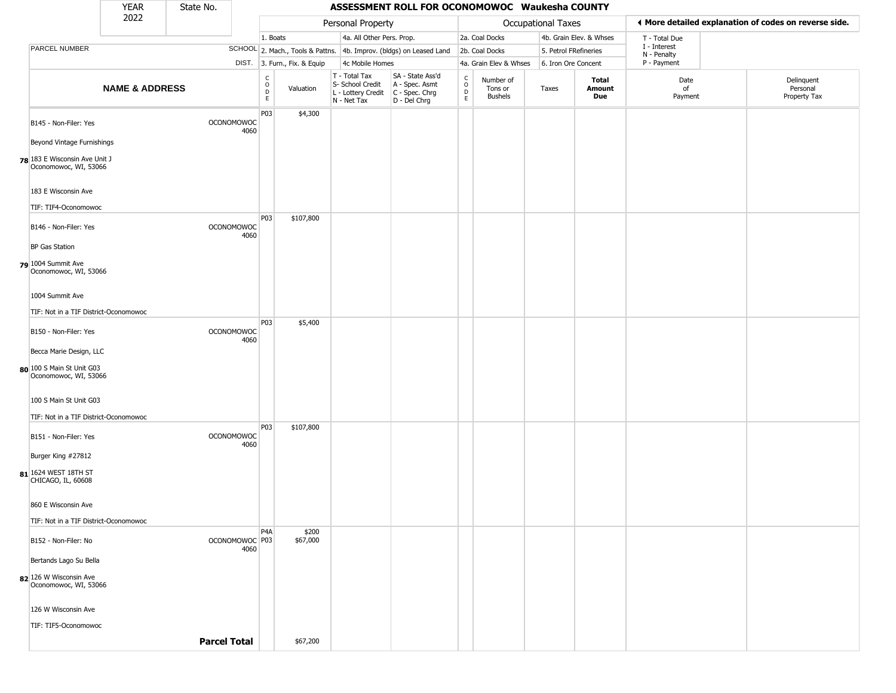|                                                        | <b>YEAR</b>               | State No.                 |      |                                                          |                              |                                                                                         | ASSESSMENT ROLL FOR OCONOMOWOC Waukesha COUNTY                      |                                                          |                                        |                       |                         |                             |                                                       |
|--------------------------------------------------------|---------------------------|---------------------------|------|----------------------------------------------------------|------------------------------|-----------------------------------------------------------------------------------------|---------------------------------------------------------------------|----------------------------------------------------------|----------------------------------------|-----------------------|-------------------------|-----------------------------|-------------------------------------------------------|
|                                                        | 2022                      |                           |      |                                                          |                              | Personal Property                                                                       |                                                                     |                                                          |                                        | Occupational Taxes    |                         |                             | ◀ More detailed explanation of codes on reverse side. |
|                                                        |                           |                           |      | 1. Boats                                                 |                              | 4a. All Other Pers. Prop.                                                               |                                                                     |                                                          | 2a. Coal Docks                         |                       | 4b. Grain Elev. & Whses | T - Total Due               |                                                       |
| PARCEL NUMBER                                          |                           |                           |      |                                                          |                              |                                                                                         | SCHOOL 2. Mach., Tools & Pattns. 4b. Improv. (bldgs) on Leased Land |                                                          | 2b. Coal Docks                         | 5. Petrol FRefineries |                         | I - Interest<br>N - Penalty |                                                       |
|                                                        |                           |                           |      |                                                          | DIST. 3. Furn., Fix. & Equip | 4c Mobile Homes                                                                         |                                                                     |                                                          | 4a. Grain Elev & Whses                 | 6. Iron Ore Concent   |                         | P - Payment                 |                                                       |
|                                                        | <b>NAME &amp; ADDRESS</b> |                           |      | $\begin{smallmatrix} C \\ O \\ D \end{smallmatrix}$<br>E | Valuation                    | T - Total Tax<br>S- School Credit<br>L - Lottery Credit   C - Spec. Chrg<br>N - Net Tax | SA - State Ass'd<br>A - Spec. Asmt<br>D - Del Chrg                  | $\begin{matrix} 0 \\ 0 \\ D \end{matrix}$<br>$\mathsf E$ | Number of<br>Tons or<br><b>Bushels</b> | Taxes                 | Total<br>Amount<br>Due  | Date<br>of<br>Payment       | Delinquent<br>Personal<br>Property Tax                |
| B145 - Non-Filer: Yes                                  |                           | <b>OCONOMOWOC</b>         | 4060 | P03                                                      | \$4,300                      |                                                                                         |                                                                     |                                                          |                                        |                       |                         |                             |                                                       |
| Beyond Vintage Furnishings                             |                           |                           |      |                                                          |                              |                                                                                         |                                                                     |                                                          |                                        |                       |                         |                             |                                                       |
| 78 183 E Wisconsin Ave Unit J<br>Oconomowoc, WI, 53066 |                           |                           |      |                                                          |                              |                                                                                         |                                                                     |                                                          |                                        |                       |                         |                             |                                                       |
| 183 E Wisconsin Ave                                    |                           |                           |      |                                                          |                              |                                                                                         |                                                                     |                                                          |                                        |                       |                         |                             |                                                       |
| TIF: TIF4-Oconomowoc                                   |                           |                           |      |                                                          |                              |                                                                                         |                                                                     |                                                          |                                        |                       |                         |                             |                                                       |
| B146 - Non-Filer: Yes                                  |                           | <b>OCONOMOWOC</b>         | 4060 | P03                                                      | \$107,800                    |                                                                                         |                                                                     |                                                          |                                        |                       |                         |                             |                                                       |
| <b>BP Gas Station</b>                                  |                           |                           |      |                                                          |                              |                                                                                         |                                                                     |                                                          |                                        |                       |                         |                             |                                                       |
| 79 1004 Summit Ave<br>Oconomowoc, WI, 53066            |                           |                           |      |                                                          |                              |                                                                                         |                                                                     |                                                          |                                        |                       |                         |                             |                                                       |
| 1004 Summit Ave                                        |                           |                           |      |                                                          |                              |                                                                                         |                                                                     |                                                          |                                        |                       |                         |                             |                                                       |
| TIF: Not in a TIF District-Oconomowoc                  |                           |                           |      |                                                          |                              |                                                                                         |                                                                     |                                                          |                                        |                       |                         |                             |                                                       |
| B150 - Non-Filer: Yes                                  |                           | <b>OCONOMOWOC</b>         | 4060 | P03                                                      | \$5,400                      |                                                                                         |                                                                     |                                                          |                                        |                       |                         |                             |                                                       |
| Becca Marie Design, LLC                                |                           |                           |      |                                                          |                              |                                                                                         |                                                                     |                                                          |                                        |                       |                         |                             |                                                       |
| 80 100 S Main St Unit G03<br>Oconomowoc, WI, 53066     |                           |                           |      |                                                          |                              |                                                                                         |                                                                     |                                                          |                                        |                       |                         |                             |                                                       |
| 100 S Main St Unit G03                                 |                           |                           |      |                                                          |                              |                                                                                         |                                                                     |                                                          |                                        |                       |                         |                             |                                                       |
| TIF: Not in a TIF District-Oconomowoc                  |                           |                           |      |                                                          |                              |                                                                                         |                                                                     |                                                          |                                        |                       |                         |                             |                                                       |
| B151 - Non-Filer: Yes                                  |                           | <b>OCONOMOWOC</b>         | 4060 | P03                                                      | \$107,800                    |                                                                                         |                                                                     |                                                          |                                        |                       |                         |                             |                                                       |
| Burger King #27812                                     |                           |                           |      |                                                          |                              |                                                                                         |                                                                     |                                                          |                                        |                       |                         |                             |                                                       |
| 81 1624 WEST 18TH ST<br>CHICAGO, IL, 60608             |                           |                           |      |                                                          |                              |                                                                                         |                                                                     |                                                          |                                        |                       |                         |                             |                                                       |
| 860 E Wisconsin Ave                                    |                           |                           |      |                                                          |                              |                                                                                         |                                                                     |                                                          |                                        |                       |                         |                             |                                                       |
| TIF: Not in a TIF District-Oconomowoc                  |                           |                           |      |                                                          |                              |                                                                                         |                                                                     |                                                          |                                        |                       |                         |                             |                                                       |
| B152 - Non-Filer: No                                   |                           | OCONOMOWOC <sup>P03</sup> | 4060 | P <sub>4</sub> A                                         | \$200<br>\$67,000            |                                                                                         |                                                                     |                                                          |                                        |                       |                         |                             |                                                       |
| Bertands Lago Su Bella                                 |                           |                           |      |                                                          |                              |                                                                                         |                                                                     |                                                          |                                        |                       |                         |                             |                                                       |
| 82 126 W Wisconsin Ave<br>Oconomowoc, WI, 53066        |                           |                           |      |                                                          |                              |                                                                                         |                                                                     |                                                          |                                        |                       |                         |                             |                                                       |
| 126 W Wisconsin Ave                                    |                           |                           |      |                                                          |                              |                                                                                         |                                                                     |                                                          |                                        |                       |                         |                             |                                                       |
| TIF: TIF5-Oconomowoc                                   |                           |                           |      |                                                          |                              |                                                                                         |                                                                     |                                                          |                                        |                       |                         |                             |                                                       |
|                                                        |                           | <b>Parcel Total</b>       |      |                                                          | \$67,200                     |                                                                                         |                                                                     |                                                          |                                        |                       |                         |                             |                                                       |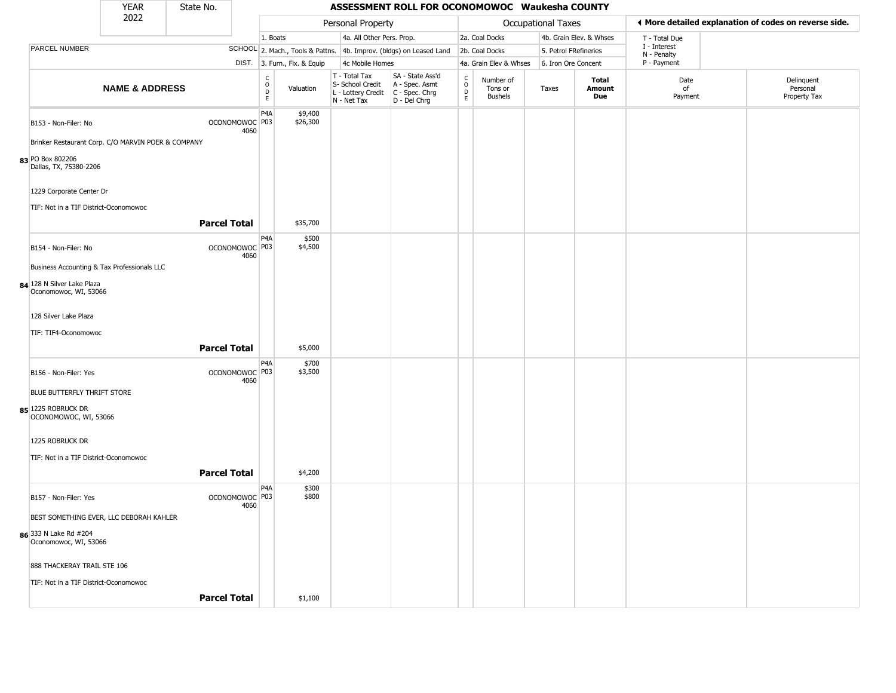|                                                     | <b>YEAR</b>               | State No.           |                                   |                                            |                                  |                                                                        | ASSESSMENT ROLL FOR OCONOMOWOC Waukesha COUNTY                       |                                 |                                        |                     |                         |                             |                                                       |
|-----------------------------------------------------|---------------------------|---------------------|-----------------------------------|--------------------------------------------|----------------------------------|------------------------------------------------------------------------|----------------------------------------------------------------------|---------------------------------|----------------------------------------|---------------------|-------------------------|-----------------------------|-------------------------------------------------------|
|                                                     | 2022                      |                     |                                   |                                            |                                  | Personal Property                                                      |                                                                      |                                 |                                        | Occupational Taxes  |                         |                             | ◀ More detailed explanation of codes on reverse side. |
|                                                     |                           |                     |                                   | 1. Boats                                   |                                  | 4a. All Other Pers. Prop.                                              |                                                                      |                                 | 2a. Coal Docks                         |                     | 4b. Grain Elev. & Whses | T - Total Due               |                                                       |
| PARCEL NUMBER                                       |                           |                     |                                   |                                            | SCHOOL 2. Mach., Tools & Pattns. |                                                                        | 4b. Improv. (bldgs) on Leased Land                                   |                                 | 2b. Coal Docks                         |                     | 5. Petrol FRefineries   | I - Interest<br>N - Penalty |                                                       |
|                                                     |                           |                     |                                   |                                            | DIST. 3. Furn., Fix. & Equip     | 4c Mobile Homes                                                        |                                                                      |                                 | 4a. Grain Elev & Whses                 | 6. Iron Ore Concent |                         | P - Payment                 |                                                       |
|                                                     | <b>NAME &amp; ADDRESS</b> |                     |                                   | $\begin{array}{c} C \\ O \\ E \end{array}$ | Valuation                        | T - Total Tax<br>S- School Credit<br>L - Lottery Credit<br>N - Net Tax | SA - State Ass'd<br>A - Spec. Asmt<br>C - Spec. Chrg<br>D - Del Chrg | $\int_{0}^{c}$<br>$\frac{D}{E}$ | Number of<br>Tons or<br><b>Bushels</b> | Taxes               | Total<br>Amount<br>Due  | Date<br>of<br>Payment       | Delinquent<br>Personal<br>Property Tax                |
| B153 - Non-Filer: No                                |                           |                     | OCONOMOWOC P03<br>4060            | P <sub>4</sub> A                           | \$9,400<br>\$26,300              |                                                                        |                                                                      |                                 |                                        |                     |                         |                             |                                                       |
| Brinker Restaurant Corp. C/O MARVIN POER & COMPANY  |                           |                     |                                   |                                            |                                  |                                                                        |                                                                      |                                 |                                        |                     |                         |                             |                                                       |
| 83 PO Box 802206<br>Dallas, TX, 75380-2206          |                           |                     |                                   |                                            |                                  |                                                                        |                                                                      |                                 |                                        |                     |                         |                             |                                                       |
| 1229 Corporate Center Dr                            |                           |                     |                                   |                                            |                                  |                                                                        |                                                                      |                                 |                                        |                     |                         |                             |                                                       |
| TIF: Not in a TIF District-Oconomowoc               |                           | <b>Parcel Total</b> |                                   |                                            | \$35,700                         |                                                                        |                                                                      |                                 |                                        |                     |                         |                             |                                                       |
| B154 - Non-Filer: No                                |                           |                     | OCONOMOWOC P03<br>4060            | P4A                                        | \$500<br>\$4,500                 |                                                                        |                                                                      |                                 |                                        |                     |                         |                             |                                                       |
| Business Accounting & Tax Professionals LLC         |                           |                     |                                   |                                            |                                  |                                                                        |                                                                      |                                 |                                        |                     |                         |                             |                                                       |
| 84 128 N Silver Lake Plaza<br>Oconomowoc, WI, 53066 |                           |                     |                                   |                                            |                                  |                                                                        |                                                                      |                                 |                                        |                     |                         |                             |                                                       |
| 128 Silver Lake Plaza                               |                           |                     |                                   |                                            |                                  |                                                                        |                                                                      |                                 |                                        |                     |                         |                             |                                                       |
| TIF: TIF4-Oconomowoc                                |                           | <b>Parcel Total</b> |                                   |                                            | \$5,000                          |                                                                        |                                                                      |                                 |                                        |                     |                         |                             |                                                       |
| B156 - Non-Filer: Yes                               |                           |                     | OCONOMOWOC P03<br>4060            | P <sub>4</sub> A                           | \$700<br>\$3,500                 |                                                                        |                                                                      |                                 |                                        |                     |                         |                             |                                                       |
| BLUE BUTTERFLY THRIFT STORE                         |                           |                     |                                   |                                            |                                  |                                                                        |                                                                      |                                 |                                        |                     |                         |                             |                                                       |
| 85 1225 ROBRUCK DR<br>OCONOMOWOC, WI, 53066         |                           |                     |                                   |                                            |                                  |                                                                        |                                                                      |                                 |                                        |                     |                         |                             |                                                       |
| 1225 ROBRUCK DR                                     |                           |                     |                                   |                                            |                                  |                                                                        |                                                                      |                                 |                                        |                     |                         |                             |                                                       |
| TIF: Not in a TIF District-Oconomowoc               |                           | <b>Parcel Total</b> |                                   |                                            | \$4,200                          |                                                                        |                                                                      |                                 |                                        |                     |                         |                             |                                                       |
| B157 - Non-Filer: Yes                               |                           |                     | OCONOMOWOC <sup>P03</sup><br>4060 | P <sub>4</sub> A                           | \$300<br>\$800                   |                                                                        |                                                                      |                                 |                                        |                     |                         |                             |                                                       |
| BEST SOMETHING EVER, LLC DEBORAH KAHLER             |                           |                     |                                   |                                            |                                  |                                                                        |                                                                      |                                 |                                        |                     |                         |                             |                                                       |
| 86 333 N Lake Rd #204<br>Oconomowoc, WI, 53066      |                           |                     |                                   |                                            |                                  |                                                                        |                                                                      |                                 |                                        |                     |                         |                             |                                                       |
| 888 THACKERAY TRAIL STE 106                         |                           |                     |                                   |                                            |                                  |                                                                        |                                                                      |                                 |                                        |                     |                         |                             |                                                       |
| TIF: Not in a TIF District-Oconomowoc               |                           |                     |                                   |                                            |                                  |                                                                        |                                                                      |                                 |                                        |                     |                         |                             |                                                       |
|                                                     |                           | <b>Parcel Total</b> |                                   |                                            | \$1,100                          |                                                                        |                                                                      |                                 |                                        |                     |                         |                             |                                                       |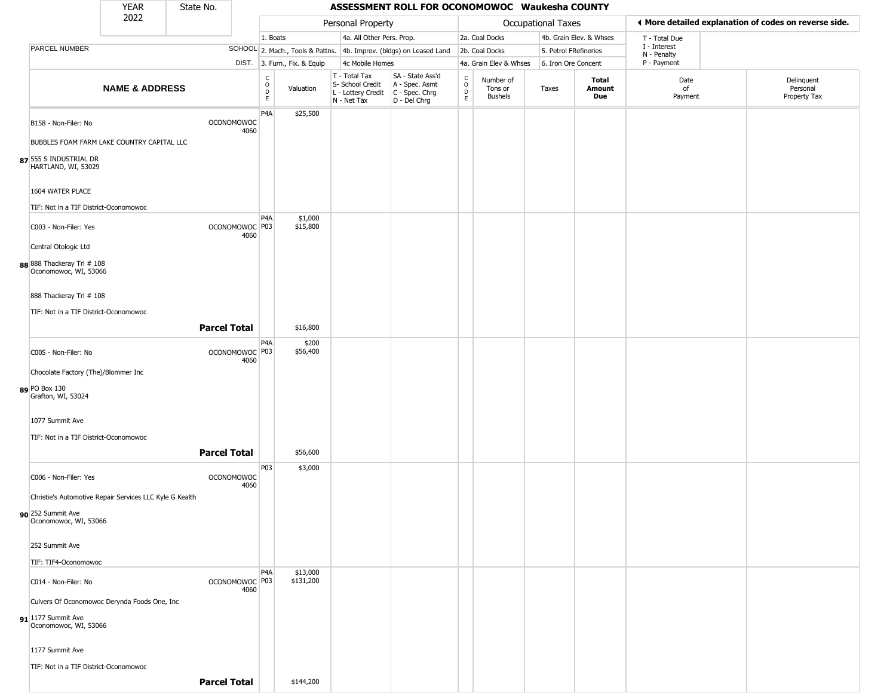|                                                         | <b>YEAR</b>               | State No.                 |                          |                              |                                                                        | ASSESSMENT ROLL FOR OCONOMOWOC Waukesha COUNTY                       |                        |                                        |                       |                         |                             |                                                       |
|---------------------------------------------------------|---------------------------|---------------------------|--------------------------|------------------------------|------------------------------------------------------------------------|----------------------------------------------------------------------|------------------------|----------------------------------------|-----------------------|-------------------------|-----------------------------|-------------------------------------------------------|
|                                                         | 2022                      |                           |                          |                              | Personal Property                                                      |                                                                      |                        |                                        | Occupational Taxes    |                         |                             | ◀ More detailed explanation of codes on reverse side. |
|                                                         |                           |                           |                          | 1. Boats                     | 4a. All Other Pers. Prop.                                              |                                                                      |                        | 2a. Coal Docks                         |                       | 4b. Grain Elev. & Whses | T - Total Due               |                                                       |
| PARCEL NUMBER                                           |                           |                           |                          |                              |                                                                        | SCHOOL 2. Mach., Tools & Pattns. 4b. Improv. (bldgs) on Leased Land  |                        | 2b. Coal Docks                         | 5. Petrol FRefineries |                         | I - Interest<br>N - Penalty |                                                       |
|                                                         |                           |                           |                          | DIST. 3. Furn., Fix. & Equip | 4c Mobile Homes                                                        |                                                                      |                        | 4a. Grain Elev & Whses                 | 6. Iron Ore Concent   |                         | P - Payment                 |                                                       |
|                                                         | <b>NAME &amp; ADDRESS</b> |                           | C<br>$\circ$<br>D<br>E.  | Valuation                    | T - Total Tax<br>S- School Credit<br>L - Lottery Credit<br>N - Net Tax | SA - State Ass'd<br>A - Spec. Asmt<br>C - Spec. Chrg<br>D - Del Chrg | C<br>$\circ$<br>D<br>E | Number of<br>Tons or<br><b>Bushels</b> | Taxes                 | Total<br>Amount<br>Due  | Date<br>of<br>Payment       | Delinquent<br>Personal<br>Property Tax                |
| B158 - Non-Filer: No                                    |                           | <b>OCONOMOWOC</b>         | P <sub>4</sub> A<br>4060 | \$25,500                     |                                                                        |                                                                      |                        |                                        |                       |                         |                             |                                                       |
| BUBBLES FOAM FARM LAKE COUNTRY CAPITAL LLC              |                           |                           |                          |                              |                                                                        |                                                                      |                        |                                        |                       |                         |                             |                                                       |
| 87 555 S INDUSTRIAL DR<br>HARTLAND, WI, 53029           |                           |                           |                          |                              |                                                                        |                                                                      |                        |                                        |                       |                         |                             |                                                       |
| 1604 WATER PLACE                                        |                           |                           |                          |                              |                                                                        |                                                                      |                        |                                        |                       |                         |                             |                                                       |
| TIF: Not in a TIF District-Oconomowoc                   |                           |                           | P <sub>4</sub> A         | \$1,000                      |                                                                        |                                                                      |                        |                                        |                       |                         |                             |                                                       |
| C003 - Non-Filer: Yes<br>Central Otologic Ltd           |                           | OCONOMOWOC P03            | 4060                     | \$15,800                     |                                                                        |                                                                      |                        |                                        |                       |                         |                             |                                                       |
| 88 888 Thackeray Trl # 108<br>Oconomowoc, WI, 53066     |                           |                           |                          |                              |                                                                        |                                                                      |                        |                                        |                       |                         |                             |                                                       |
| 888 Thackeray Trl # 108                                 |                           |                           |                          |                              |                                                                        |                                                                      |                        |                                        |                       |                         |                             |                                                       |
| TIF: Not in a TIF District-Oconomowoc                   |                           |                           |                          |                              |                                                                        |                                                                      |                        |                                        |                       |                         |                             |                                                       |
|                                                         |                           | <b>Parcel Total</b>       |                          | \$16,800                     |                                                                        |                                                                      |                        |                                        |                       |                         |                             |                                                       |
| C005 - Non-Filer: No                                    |                           | OCONOMOWOC P03            | P4A<br>4060              | \$200<br>\$56,400            |                                                                        |                                                                      |                        |                                        |                       |                         |                             |                                                       |
| Chocolate Factory (The)/Blommer Inc                     |                           |                           |                          |                              |                                                                        |                                                                      |                        |                                        |                       |                         |                             |                                                       |
| 89 PO Box 130<br>Grafton, WI, 53024                     |                           |                           |                          |                              |                                                                        |                                                                      |                        |                                        |                       |                         |                             |                                                       |
| 1077 Summit Ave                                         |                           |                           |                          |                              |                                                                        |                                                                      |                        |                                        |                       |                         |                             |                                                       |
| TIF: Not in a TIF District-Oconomowoc                   |                           | <b>Parcel Total</b>       |                          | \$56,600                     |                                                                        |                                                                      |                        |                                        |                       |                         |                             |                                                       |
| C006 - Non-Filer: Yes                                   |                           | <b>OCONOMOWOC</b>         | P03                      | \$3,000                      |                                                                        |                                                                      |                        |                                        |                       |                         |                             |                                                       |
| Christie's Automotive Repair Services LLC Kyle G Kealth |                           |                           | 4060                     |                              |                                                                        |                                                                      |                        |                                        |                       |                         |                             |                                                       |
|                                                         |                           |                           |                          |                              |                                                                        |                                                                      |                        |                                        |                       |                         |                             |                                                       |
| 90 252 Summit Ave<br>Oconomowoc, WI, 53066              |                           |                           |                          |                              |                                                                        |                                                                      |                        |                                        |                       |                         |                             |                                                       |
| 252 Summit Ave                                          |                           |                           |                          |                              |                                                                        |                                                                      |                        |                                        |                       |                         |                             |                                                       |
| TIF: TIF4-Oconomowoc                                    |                           |                           |                          |                              |                                                                        |                                                                      |                        |                                        |                       |                         |                             |                                                       |
| C014 - Non-Filer: No                                    |                           | OCONOMOWOC <sup>P03</sup> | P <sub>4</sub> A<br>4060 | \$13,000<br>\$131,200        |                                                                        |                                                                      |                        |                                        |                       |                         |                             |                                                       |
| Culvers Of Oconomowoc Derynda Foods One, Inc            |                           |                           |                          |                              |                                                                        |                                                                      |                        |                                        |                       |                         |                             |                                                       |
| 91 1177 Summit Ave<br>Oconomowoc, WI, 53066             |                           |                           |                          |                              |                                                                        |                                                                      |                        |                                        |                       |                         |                             |                                                       |
| 1177 Summit Ave                                         |                           |                           |                          |                              |                                                                        |                                                                      |                        |                                        |                       |                         |                             |                                                       |
| TIF: Not in a TIF District-Oconomowoc                   |                           |                           |                          |                              |                                                                        |                                                                      |                        |                                        |                       |                         |                             |                                                       |
|                                                         |                           | <b>Parcel Total</b>       |                          | \$144,200                    |                                                                        |                                                                      |                        |                                        |                       |                         |                             |                                                       |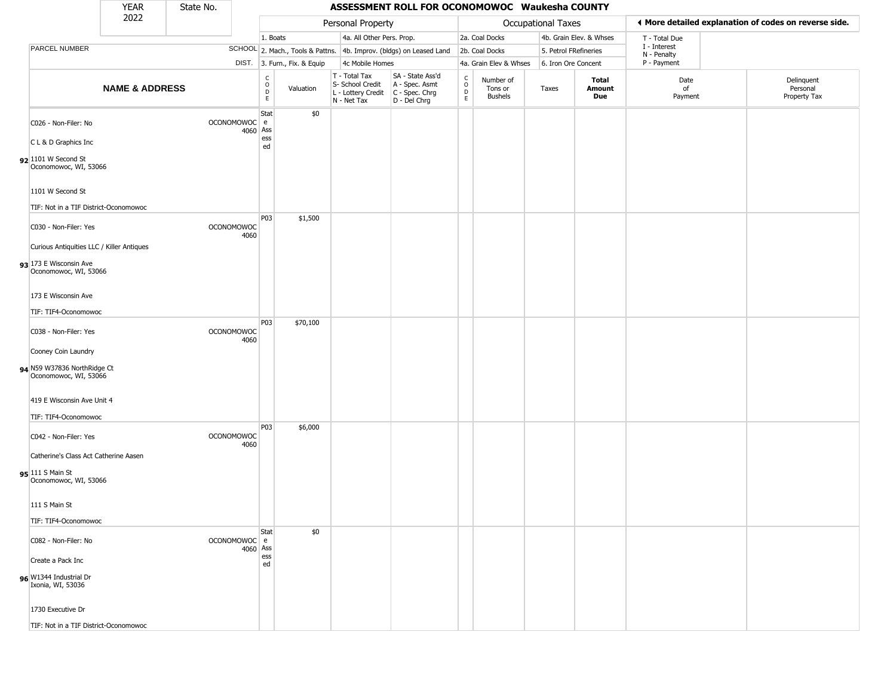|                                                                                                | <b>YEAR</b>               | State No.         |          |                                            |                              |                                                                        | ASSESSMENT ROLL FOR OCONOMOWOC Waukesha COUNTY                       |                                        |                                 |                           |                         |                             |                                                       |
|------------------------------------------------------------------------------------------------|---------------------------|-------------------|----------|--------------------------------------------|------------------------------|------------------------------------------------------------------------|----------------------------------------------------------------------|----------------------------------------|---------------------------------|---------------------------|-------------------------|-----------------------------|-------------------------------------------------------|
|                                                                                                | 2022                      |                   |          |                                            |                              | Personal Property                                                      |                                                                      |                                        |                                 | <b>Occupational Taxes</b> |                         |                             | ♦ More detailed explanation of codes on reverse side. |
|                                                                                                |                           |                   |          | 1. Boats                                   |                              | 4a. All Other Pers. Prop.                                              |                                                                      |                                        | 2a. Coal Docks                  |                           | 4b. Grain Elev. & Whses | T - Total Due               |                                                       |
| PARCEL NUMBER                                                                                  |                           |                   |          |                                            |                              |                                                                        | SCHOOL 2. Mach., Tools & Pattns. 4b. Improv. (bldgs) on Leased Land  |                                        | 2b. Coal Docks                  | 5. Petrol FRefineries     |                         | I - Interest<br>N - Penalty |                                                       |
|                                                                                                |                           |                   |          |                                            | DIST. 3. Furn., Fix. & Equip | 4c Mobile Homes                                                        |                                                                      |                                        | 4a. Grain Elev & Whses          | 6. Iron Ore Concent       |                         | P - Payment                 |                                                       |
|                                                                                                | <b>NAME &amp; ADDRESS</b> |                   |          | $\frac{c}{0}$<br>$\mathsf{D}_{\mathsf{E}}$ | Valuation                    | T - Total Tax<br>S- School Credit<br>L - Lottery Credit<br>N - Net Tax | SA - State Ass'd<br>A - Spec. Asmt<br>C - Spec. Chrg<br>D - Del Chrg | $_{\rm o}^{\rm c}$<br>D<br>$\mathsf E$ | Number of<br>Tons or<br>Bushels | Taxes                     | Total<br>Amount<br>Due  | Date<br>of<br>Payment       | Delinquent<br>Personal<br>Property Tax                |
| C026 - Non-Filer: No<br>C L & D Graphics Inc<br>$92$ 1101 W Second St<br>Oconomowoc, WI, 53066 |                           | OCONOMOWOC e      | 4060     | Stat<br>Ass<br>ess<br>ed                   | \$0                          |                                                                        |                                                                      |                                        |                                 |                           |                         |                             |                                                       |
| 1101 W Second St                                                                               |                           |                   |          |                                            |                              |                                                                        |                                                                      |                                        |                                 |                           |                         |                             |                                                       |
| TIF: Not in a TIF District-Oconomowoc                                                          |                           |                   |          |                                            |                              |                                                                        |                                                                      |                                        |                                 |                           |                         |                             |                                                       |
| C030 - Non-Filer: Yes                                                                          |                           | <b>OCONOMOWOC</b> | 4060     | P03                                        | \$1,500                      |                                                                        |                                                                      |                                        |                                 |                           |                         |                             |                                                       |
| Curious Antiquities LLC / Killer Antiques<br>93 173 E Wisconsin Ave<br>Oconomowoc, WI, 53066   |                           |                   |          |                                            |                              |                                                                        |                                                                      |                                        |                                 |                           |                         |                             |                                                       |
| 173 E Wisconsin Ave                                                                            |                           |                   |          |                                            |                              |                                                                        |                                                                      |                                        |                                 |                           |                         |                             |                                                       |
| TIF: TIF4-Oconomowoc                                                                           |                           |                   |          |                                            |                              |                                                                        |                                                                      |                                        |                                 |                           |                         |                             |                                                       |
| C038 - Non-Filer: Yes                                                                          |                           | <b>OCONOMOWOC</b> | 4060     | P03                                        | \$70,100                     |                                                                        |                                                                      |                                        |                                 |                           |                         |                             |                                                       |
| Cooney Coin Laundry                                                                            |                           |                   |          |                                            |                              |                                                                        |                                                                      |                                        |                                 |                           |                         |                             |                                                       |
| 94 N59 W37836 NorthRidge Ct<br>Oconomowoc, WI, 53066                                           |                           |                   |          |                                            |                              |                                                                        |                                                                      |                                        |                                 |                           |                         |                             |                                                       |
| 419 E Wisconsin Ave Unit 4                                                                     |                           |                   |          |                                            |                              |                                                                        |                                                                      |                                        |                                 |                           |                         |                             |                                                       |
| TIF: TIF4-Oconomowoc                                                                           |                           |                   |          |                                            |                              |                                                                        |                                                                      |                                        |                                 |                           |                         |                             |                                                       |
| C042 - Non-Filer: Yes                                                                          |                           | <b>OCONOMOWOC</b> | 4060     | P03                                        | \$6,000                      |                                                                        |                                                                      |                                        |                                 |                           |                         |                             |                                                       |
| Catherine's Class Act Catherine Aasen                                                          |                           |                   |          |                                            |                              |                                                                        |                                                                      |                                        |                                 |                           |                         |                             |                                                       |
| 95 111 S Main St<br>Oconomowoc, WI, 53066                                                      |                           |                   |          |                                            |                              |                                                                        |                                                                      |                                        |                                 |                           |                         |                             |                                                       |
| 111 S Main St                                                                                  |                           |                   |          |                                            |                              |                                                                        |                                                                      |                                        |                                 |                           |                         |                             |                                                       |
| TIF: TIF4-Oconomowoc                                                                           |                           |                   |          |                                            |                              |                                                                        |                                                                      |                                        |                                 |                           |                         |                             |                                                       |
| C082 - Non-Filer: No                                                                           |                           | OCONOMOWOC e      | 4060 Ass | Stat                                       | \$0                          |                                                                        |                                                                      |                                        |                                 |                           |                         |                             |                                                       |
| Create a Pack Inc                                                                              |                           |                   |          | ess<br>ed                                  |                              |                                                                        |                                                                      |                                        |                                 |                           |                         |                             |                                                       |
| 96 W1344 Industrial Dr<br>Ixonia, WI, 53036                                                    |                           |                   |          |                                            |                              |                                                                        |                                                                      |                                        |                                 |                           |                         |                             |                                                       |
| 1730 Executive Dr                                                                              |                           |                   |          |                                            |                              |                                                                        |                                                                      |                                        |                                 |                           |                         |                             |                                                       |
| TIF: Not in a TIF District-Oconomowoc                                                          |                           |                   |          |                                            |                              |                                                                        |                                                                      |                                        |                                 |                           |                         |                             |                                                       |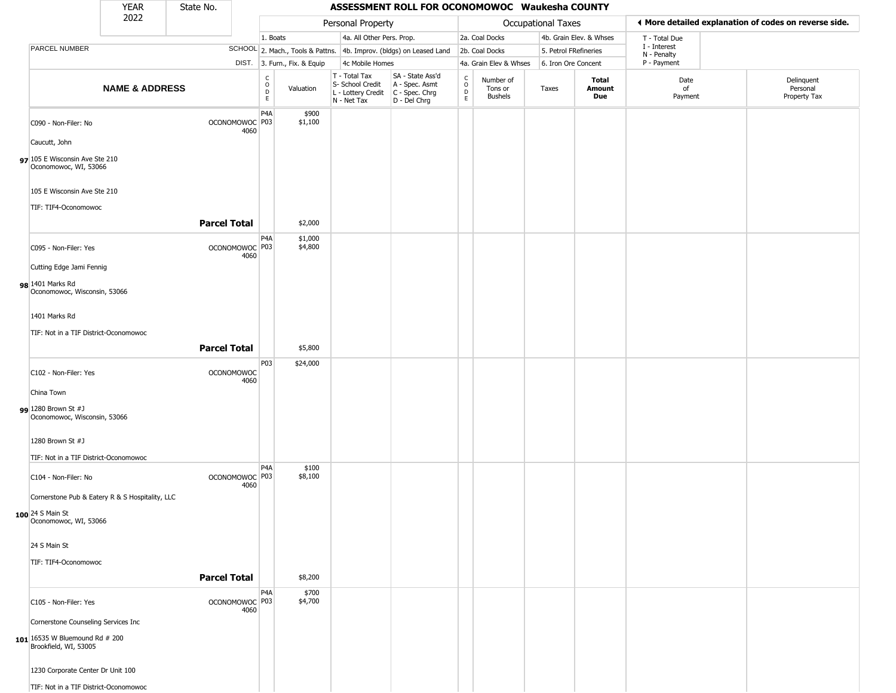|                                                                                                  | <b>YEAR</b>               | State No.           |                                   |                                              |                              |                                                                        | ASSESSMENT ROLL FOR OCONOMOWOC Waukesha COUNTY                       |                                              |                                        |                       |                         |                                                       |                                        |
|--------------------------------------------------------------------------------------------------|---------------------------|---------------------|-----------------------------------|----------------------------------------------|------------------------------|------------------------------------------------------------------------|----------------------------------------------------------------------|----------------------------------------------|----------------------------------------|-----------------------|-------------------------|-------------------------------------------------------|----------------------------------------|
|                                                                                                  | 2022                      |                     |                                   |                                              |                              | Personal Property                                                      |                                                                      |                                              |                                        | Occupational Taxes    |                         | ♦ More detailed explanation of codes on reverse side. |                                        |
|                                                                                                  |                           |                     |                                   | 1. Boats                                     |                              | 4a. All Other Pers. Prop.                                              |                                                                      |                                              | 2a. Coal Docks                         |                       | 4b. Grain Elev. & Whses | T - Total Due                                         |                                        |
| PARCEL NUMBER                                                                                    |                           |                     |                                   |                                              |                              |                                                                        | SCHOOL 2. Mach., Tools & Pattns. 4b. Improv. (bldgs) on Leased Land  |                                              | 2b. Coal Docks                         | 5. Petrol FRefineries |                         | I - Interest<br>N - Penalty                           |                                        |
|                                                                                                  |                           |                     |                                   |                                              | DIST. 3. Furn., Fix. & Equip | 4c Mobile Homes                                                        |                                                                      |                                              | 4a. Grain Elev & Whses                 | 6. Iron Ore Concent   |                         | P - Payment                                           |                                        |
|                                                                                                  | <b>NAME &amp; ADDRESS</b> |                     |                                   | $\begin{array}{c}\nC \\ O \\ D\n\end{array}$ | Valuation                    | T - Total Tax<br>S- School Credit<br>L - Lottery Credit<br>N - Net Tax | SA - State Ass'd<br>A - Spec. Asmt<br>C - Spec. Chrg<br>D - Del Chrg | $\begin{array}{c}\nC \\ D \\ E\n\end{array}$ | Number of<br>Tons or<br><b>Bushels</b> | Taxes                 | Total<br>Amount<br>Due  | Date<br>of<br>Payment                                 | Delinquent<br>Personal<br>Property Tax |
| C090 - Non-Filer: No<br>Caucutt, John<br>97 105 E Wisconsin Ave Ste 210<br>Oconomowoc, WI, 53066 |                           |                     | OCONOMOWOC P03<br>4060            | P <sub>4</sub> A                             | \$900<br>\$1,100             |                                                                        |                                                                      |                                              |                                        |                       |                         |                                                       |                                        |
| 105 E Wisconsin Ave Ste 210<br>TIF: TIF4-Oconomowoc                                              |                           |                     |                                   |                                              |                              |                                                                        |                                                                      |                                              |                                        |                       |                         |                                                       |                                        |
|                                                                                                  |                           | <b>Parcel Total</b> |                                   |                                              | \$2,000                      |                                                                        |                                                                      |                                              |                                        |                       |                         |                                                       |                                        |
| C095 - Non-Filer: Yes                                                                            |                           |                     | OCONOMOWOC <sup>P03</sup><br>4060 | P4A                                          | \$1,000<br>\$4,800           |                                                                        |                                                                      |                                              |                                        |                       |                         |                                                       |                                        |
| Cutting Edge Jami Fennig<br>98 1401 Marks Rd<br>Oconomowoc, Wisconsin, 53066                     |                           |                     |                                   |                                              |                              |                                                                        |                                                                      |                                              |                                        |                       |                         |                                                       |                                        |
| 1401 Marks Rd<br>TIF: Not in a TIF District-Oconomowoc                                           |                           |                     |                                   |                                              |                              |                                                                        |                                                                      |                                              |                                        |                       |                         |                                                       |                                        |
|                                                                                                  |                           | <b>Parcel Total</b> |                                   |                                              | \$5,800                      |                                                                        |                                                                      |                                              |                                        |                       |                         |                                                       |                                        |
| C102 - Non-Filer: Yes                                                                            |                           |                     | <b>OCONOMOWOC</b><br>4060         | P <sub>0</sub> 3                             | \$24,000                     |                                                                        |                                                                      |                                              |                                        |                       |                         |                                                       |                                        |
| China Town<br><b>gg</b> 1280 Brown St #J<br>Oconomowoc, Wisconsin, 53066                         |                           |                     |                                   |                                              |                              |                                                                        |                                                                      |                                              |                                        |                       |                         |                                                       |                                        |
| 1280 Brown St #J<br>TIF: Not in a TIF District-Oconomowoc                                        |                           |                     |                                   |                                              |                              |                                                                        |                                                                      |                                              |                                        |                       |                         |                                                       |                                        |
| C104 - Non-Filer: No<br>Cornerstone Pub & Eatery R & S Hospitality, LLC                          |                           |                     | OCONOMOWOC <sup>P03</sup><br>4060 | P4A                                          | \$100<br>\$8,100             |                                                                        |                                                                      |                                              |                                        |                       |                         |                                                       |                                        |
| 100 24 S Main St<br>Oconomowoc, WI, 53066                                                        |                           |                     |                                   |                                              |                              |                                                                        |                                                                      |                                              |                                        |                       |                         |                                                       |                                        |
| 24 S Main St                                                                                     |                           |                     |                                   |                                              |                              |                                                                        |                                                                      |                                              |                                        |                       |                         |                                                       |                                        |
| TIF: TIF4-Oconomowoc                                                                             |                           |                     |                                   |                                              |                              |                                                                        |                                                                      |                                              |                                        |                       |                         |                                                       |                                        |
|                                                                                                  |                           | <b>Parcel Total</b> |                                   |                                              | \$8,200                      |                                                                        |                                                                      |                                              |                                        |                       |                         |                                                       |                                        |
| C105 - Non-Filer: Yes                                                                            |                           |                     | OCONOMOWOC <sup>P03</sup><br>4060 | P4A                                          | \$700<br>\$4,700             |                                                                        |                                                                      |                                              |                                        |                       |                         |                                                       |                                        |
| Cornerstone Counseling Services Inc<br>101 16535 W Bluemound Rd # 200<br>Brookfield, WI, 53005   |                           |                     |                                   |                                              |                              |                                                                        |                                                                      |                                              |                                        |                       |                         |                                                       |                                        |
| 1230 Corporate Center Dr Unit 100<br>TIF: Not in a TIF District-Oconomowoc                       |                           |                     |                                   |                                              |                              |                                                                        |                                                                      |                                              |                                        |                       |                         |                                                       |                                        |
|                                                                                                  |                           |                     |                                   |                                              |                              |                                                                        |                                                                      |                                              |                                        |                       |                         |                                                       |                                        |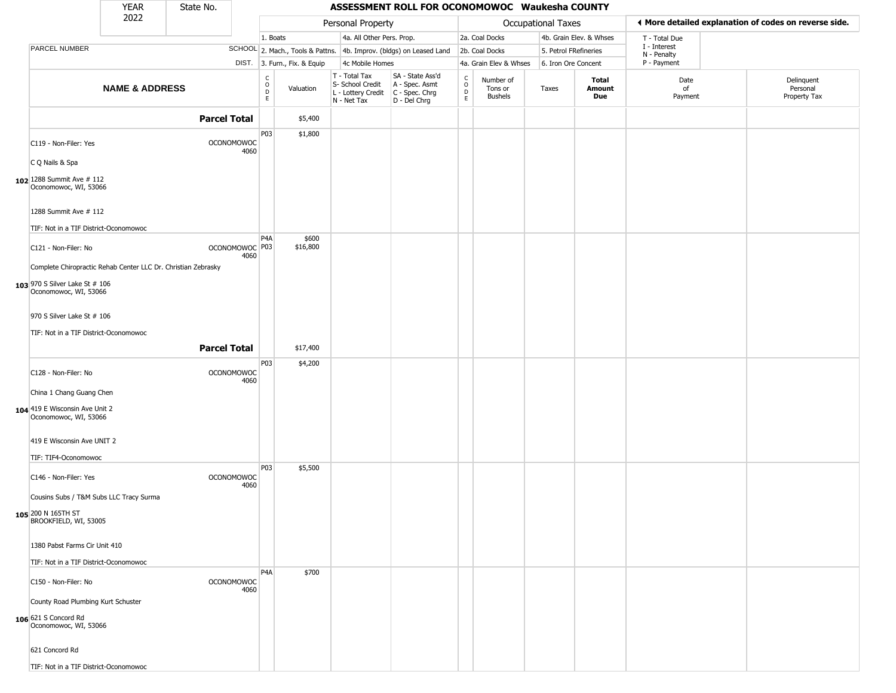|                                                                | <b>YEAR</b>               | State No.           |                           |                        |                              |                                                                        | ASSESSMENT ROLL FOR OCONOMOWOC Waukesha COUNTY                       |                                              |                                        |                       |                         |                             |                                                       |
|----------------------------------------------------------------|---------------------------|---------------------|---------------------------|------------------------|------------------------------|------------------------------------------------------------------------|----------------------------------------------------------------------|----------------------------------------------|----------------------------------------|-----------------------|-------------------------|-----------------------------|-------------------------------------------------------|
|                                                                | 2022                      |                     |                           |                        |                              | Personal Property                                                      |                                                                      |                                              |                                        | Occupational Taxes    |                         |                             | ◀ More detailed explanation of codes on reverse side. |
|                                                                |                           |                     |                           | 1. Boats               |                              | 4a. All Other Pers. Prop.                                              |                                                                      |                                              | 2a. Coal Docks                         |                       | 4b. Grain Elev. & Whses | T - Total Due               |                                                       |
| <b>PARCEL NUMBER</b>                                           |                           |                     |                           |                        |                              |                                                                        | SCHOOL 2. Mach., Tools & Pattns. 4b. Improv. (bldgs) on Leased Land  |                                              | 2b. Coal Docks                         | 5. Petrol FRefineries |                         | I - Interest<br>N - Penalty |                                                       |
|                                                                |                           |                     |                           |                        | DIST. 3. Furn., Fix. & Equip | 4c Mobile Homes                                                        |                                                                      |                                              | 4a. Grain Elev & Whses                 | 6. Iron Ore Concent   |                         | P - Payment                 |                                                       |
|                                                                | <b>NAME &amp; ADDRESS</b> |                     |                           | C<br>$\circ$<br>D<br>E | Valuation                    | T - Total Tax<br>S- School Credit<br>L - Lottery Credit<br>N - Net Tax | SA - State Ass'd<br>A - Spec. Asmt<br>C - Spec. Chrg<br>D - Del Chrg | $\begin{array}{c}\nC \\ D \\ E\n\end{array}$ | Number of<br>Tons or<br><b>Bushels</b> | Taxes                 | Total<br>Amount<br>Due  | Date<br>of<br>Payment       | Delinquent<br>Personal<br>Property Tax                |
|                                                                |                           | <b>Parcel Total</b> |                           |                        | \$5,400                      |                                                                        |                                                                      |                                              |                                        |                       |                         |                             |                                                       |
| C119 - Non-Filer: Yes                                          |                           |                     | <b>OCONOMOWOC</b><br>4060 | P03                    | \$1,800                      |                                                                        |                                                                      |                                              |                                        |                       |                         |                             |                                                       |
| C Q Nails & Spa                                                |                           |                     |                           |                        |                              |                                                                        |                                                                      |                                              |                                        |                       |                         |                             |                                                       |
| 102 1288 Summit Ave # 112<br>Oconomowoc, WI, 53066             |                           |                     |                           |                        |                              |                                                                        |                                                                      |                                              |                                        |                       |                         |                             |                                                       |
| 1288 Summit Ave # 112<br>TIF: Not in a TIF District-Oconomowoc |                           |                     |                           |                        |                              |                                                                        |                                                                      |                                              |                                        |                       |                         |                             |                                                       |
| C121 - Non-Filer: No                                           |                           |                     | OCONOMOWOC <sup>P03</sup> | P <sub>4</sub> A       | \$600<br>\$16,800            |                                                                        |                                                                      |                                              |                                        |                       |                         |                             |                                                       |
| Complete Chiropractic Rehab Center LLC Dr. Christian Zebrasky  |                           |                     | 4060                      |                        |                              |                                                                        |                                                                      |                                              |                                        |                       |                         |                             |                                                       |
| <b>103</b> 970 S Silver Lake St # 106<br>Oconomowoc, WI, 53066 |                           |                     |                           |                        |                              |                                                                        |                                                                      |                                              |                                        |                       |                         |                             |                                                       |
| 970 S Silver Lake St # 106                                     |                           |                     |                           |                        |                              |                                                                        |                                                                      |                                              |                                        |                       |                         |                             |                                                       |
| TIF: Not in a TIF District-Oconomowoc                          |                           |                     |                           |                        |                              |                                                                        |                                                                      |                                              |                                        |                       |                         |                             |                                                       |
|                                                                |                           | <b>Parcel Total</b> |                           |                        | \$17,400                     |                                                                        |                                                                      |                                              |                                        |                       |                         |                             |                                                       |
| C128 - Non-Filer: No                                           |                           |                     | <b>OCONOMOWOC</b><br>4060 | P03                    | \$4,200                      |                                                                        |                                                                      |                                              |                                        |                       |                         |                             |                                                       |
| China 1 Chang Guang Chen<br>104 419 E Wisconsin Ave Unit 2     |                           |                     |                           |                        |                              |                                                                        |                                                                      |                                              |                                        |                       |                         |                             |                                                       |
| Oconomowoc, WI, 53066                                          |                           |                     |                           |                        |                              |                                                                        |                                                                      |                                              |                                        |                       |                         |                             |                                                       |
| 419 E Wisconsin Ave UNIT 2                                     |                           |                     |                           |                        |                              |                                                                        |                                                                      |                                              |                                        |                       |                         |                             |                                                       |
| TIF: TIF4-Oconomowoc                                           |                           |                     |                           | P03                    | \$5,500                      |                                                                        |                                                                      |                                              |                                        |                       |                         |                             |                                                       |
| C146 - Non-Filer: Yes                                          |                           |                     | <b>OCONOMOWOC</b><br>4060 |                        |                              |                                                                        |                                                                      |                                              |                                        |                       |                         |                             |                                                       |
| Cousins Subs / T&M Subs LLC Tracy Surma                        |                           |                     |                           |                        |                              |                                                                        |                                                                      |                                              |                                        |                       |                         |                             |                                                       |
| 105 200 N 165TH ST<br>BROOKFIELD, WI, 53005                    |                           |                     |                           |                        |                              |                                                                        |                                                                      |                                              |                                        |                       |                         |                             |                                                       |
| 1380 Pabst Farms Cir Unit 410                                  |                           |                     |                           |                        |                              |                                                                        |                                                                      |                                              |                                        |                       |                         |                             |                                                       |
| TIF: Not in a TIF District-Oconomowoc                          |                           |                     |                           | P <sub>4</sub> A       | \$700                        |                                                                        |                                                                      |                                              |                                        |                       |                         |                             |                                                       |
| C150 - Non-Filer: No                                           |                           |                     | <b>OCONOMOWOC</b><br>4060 |                        |                              |                                                                        |                                                                      |                                              |                                        |                       |                         |                             |                                                       |
| County Road Plumbing Kurt Schuster                             |                           |                     |                           |                        |                              |                                                                        |                                                                      |                                              |                                        |                       |                         |                             |                                                       |
| 106 621 S Concord Rd<br>Oconomowoc, WI, 53066                  |                           |                     |                           |                        |                              |                                                                        |                                                                      |                                              |                                        |                       |                         |                             |                                                       |
| 621 Concord Rd                                                 |                           |                     |                           |                        |                              |                                                                        |                                                                      |                                              |                                        |                       |                         |                             |                                                       |
| TIF: Not in a TIF District-Oconomowoc                          |                           |                     |                           |                        |                              |                                                                        |                                                                      |                                              |                                        |                       |                         |                             |                                                       |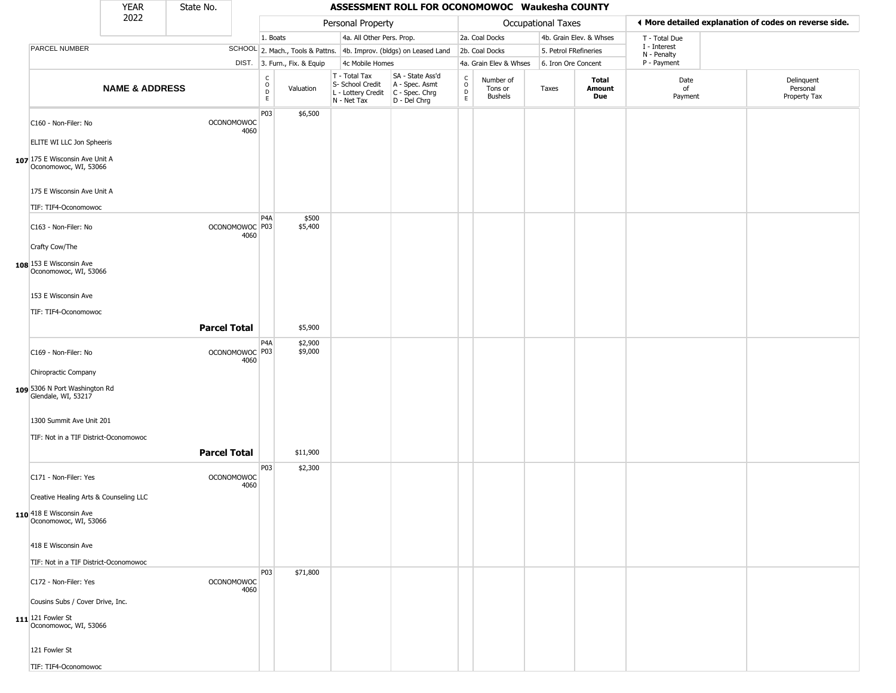|                                                         | <b>YEAR</b>               | State No.           |                        |                  |                              |                                                                                         | ASSESSMENT ROLL FOR OCONOMOWOC Waukesha COUNTY                      |                   |                                 |                       |                         |                             |                                                       |
|---------------------------------------------------------|---------------------------|---------------------|------------------------|------------------|------------------------------|-----------------------------------------------------------------------------------------|---------------------------------------------------------------------|-------------------|---------------------------------|-----------------------|-------------------------|-----------------------------|-------------------------------------------------------|
|                                                         | 2022                      |                     |                        |                  |                              | Personal Property                                                                       |                                                                     |                   |                                 | Occupational Taxes    |                         |                             | ◀ More detailed explanation of codes on reverse side. |
|                                                         |                           |                     |                        | 1. Boats         |                              | 4a. All Other Pers. Prop.                                                               |                                                                     |                   | 2a. Coal Docks                  |                       | 4b. Grain Elev. & Whses | T - Total Due               |                                                       |
| PARCEL NUMBER                                           |                           |                     |                        |                  |                              |                                                                                         | SCHOOL 2. Mach., Tools & Pattns. 4b. Improv. (bldgs) on Leased Land |                   | 2b. Coal Docks                  | 5. Petrol FRefineries |                         | I - Interest<br>N - Penalty |                                                       |
|                                                         |                           |                     |                        |                  | DIST. 3. Furn., Fix. & Equip | 4c Mobile Homes                                                                         |                                                                     |                   | 4a. Grain Elev & Whses          | 6. Iron Ore Concent   |                         | P - Payment                 |                                                       |
|                                                         | <b>NAME &amp; ADDRESS</b> |                     |                        | C<br>D<br>D<br>E | Valuation                    | T - Total Tax<br>S- School Credit<br>L - Lottery Credit   C - Spec. Chrg<br>N - Net Tax | SA - State Ass'd<br>A - Spec. Asmt<br>D - Del Chrg                  | C<br>0<br>D<br>E. | Number of<br>Tons or<br>Bushels | Taxes                 | Total<br>Amount<br>Due  | Date<br>of<br>Payment       | Delinquent<br>Personal<br>Property Tax                |
| C160 - Non-Filer: No<br>ELITE WI LLC Jon Spheeris       |                           | <b>OCONOMOWOC</b>   | 4060                   | P03              | \$6,500                      |                                                                                         |                                                                     |                   |                                 |                       |                         |                             |                                                       |
| 107 175 E Wisconsin Ave Unit A<br>Oconomowoc, WI, 53066 |                           |                     |                        |                  |                              |                                                                                         |                                                                     |                   |                                 |                       |                         |                             |                                                       |
| 175 E Wisconsin Ave Unit A<br>TIF: TIF4-Oconomowoc      |                           |                     |                        |                  |                              |                                                                                         |                                                                     |                   |                                 |                       |                         |                             |                                                       |
|                                                         |                           |                     |                        | P4A              | \$500<br>\$5,400             |                                                                                         |                                                                     |                   |                                 |                       |                         |                             |                                                       |
| C163 - Non-Filer: No<br>Crafty Cow/The                  |                           |                     | OCONOMOWOC P03<br>4060 |                  |                              |                                                                                         |                                                                     |                   |                                 |                       |                         |                             |                                                       |
| 108 153 E Wisconsin Ave<br>Oconomowoc, WI, 53066        |                           |                     |                        |                  |                              |                                                                                         |                                                                     |                   |                                 |                       |                         |                             |                                                       |
| 153 E Wisconsin Ave                                     |                           |                     |                        |                  |                              |                                                                                         |                                                                     |                   |                                 |                       |                         |                             |                                                       |
| TIF: TIF4-Oconomowoc                                    |                           | <b>Parcel Total</b> |                        |                  | \$5,900                      |                                                                                         |                                                                     |                   |                                 |                       |                         |                             |                                                       |
| C169 - Non-Filer: No                                    |                           |                     | OCONOMOWOC P03<br>4060 | P4A              | \$2,900<br>\$9,000           |                                                                                         |                                                                     |                   |                                 |                       |                         |                             |                                                       |
| Chiropractic Company                                    |                           |                     |                        |                  |                              |                                                                                         |                                                                     |                   |                                 |                       |                         |                             |                                                       |
| 109 5306 N Port Washington Rd<br>Glendale, WI, 53217    |                           |                     |                        |                  |                              |                                                                                         |                                                                     |                   |                                 |                       |                         |                             |                                                       |
| 1300 Summit Ave Unit 201                                |                           |                     |                        |                  |                              |                                                                                         |                                                                     |                   |                                 |                       |                         |                             |                                                       |
| TIF: Not in a TIF District-Oconomowoc                   |                           | <b>Parcel Total</b> |                        |                  | \$11,900                     |                                                                                         |                                                                     |                   |                                 |                       |                         |                             |                                                       |
| C171 - Non-Filer: Yes                                   |                           | <b>OCONOMOWOC</b>   | 4060                   | P03              | \$2,300                      |                                                                                         |                                                                     |                   |                                 |                       |                         |                             |                                                       |
| Creative Healing Arts & Counseling LLC                  |                           |                     |                        |                  |                              |                                                                                         |                                                                     |                   |                                 |                       |                         |                             |                                                       |
| 110 418 E Wisconsin Ave<br>Oconomowoc, WI, 53066        |                           |                     |                        |                  |                              |                                                                                         |                                                                     |                   |                                 |                       |                         |                             |                                                       |
| 418 E Wisconsin Ave                                     |                           |                     |                        |                  |                              |                                                                                         |                                                                     |                   |                                 |                       |                         |                             |                                                       |
| TIF: Not in a TIF District-Oconomowoc                   |                           |                     |                        |                  |                              |                                                                                         |                                                                     |                   |                                 |                       |                         |                             |                                                       |
| C172 - Non-Filer: Yes                                   |                           | <b>OCONOMOWOC</b>   | 4060                   | P03              | \$71,800                     |                                                                                         |                                                                     |                   |                                 |                       |                         |                             |                                                       |
| Cousins Subs / Cover Drive, Inc.                        |                           |                     |                        |                  |                              |                                                                                         |                                                                     |                   |                                 |                       |                         |                             |                                                       |
| 111 121 Fowler St<br>Oconomowoc, WI, 53066              |                           |                     |                        |                  |                              |                                                                                         |                                                                     |                   |                                 |                       |                         |                             |                                                       |
| 121 Fowler St                                           |                           |                     |                        |                  |                              |                                                                                         |                                                                     |                   |                                 |                       |                         |                             |                                                       |
| TIF: TIF4-Oconomowoc                                    |                           |                     |                        |                  |                              |                                                                                         |                                                                     |                   |                                 |                       |                         |                             |                                                       |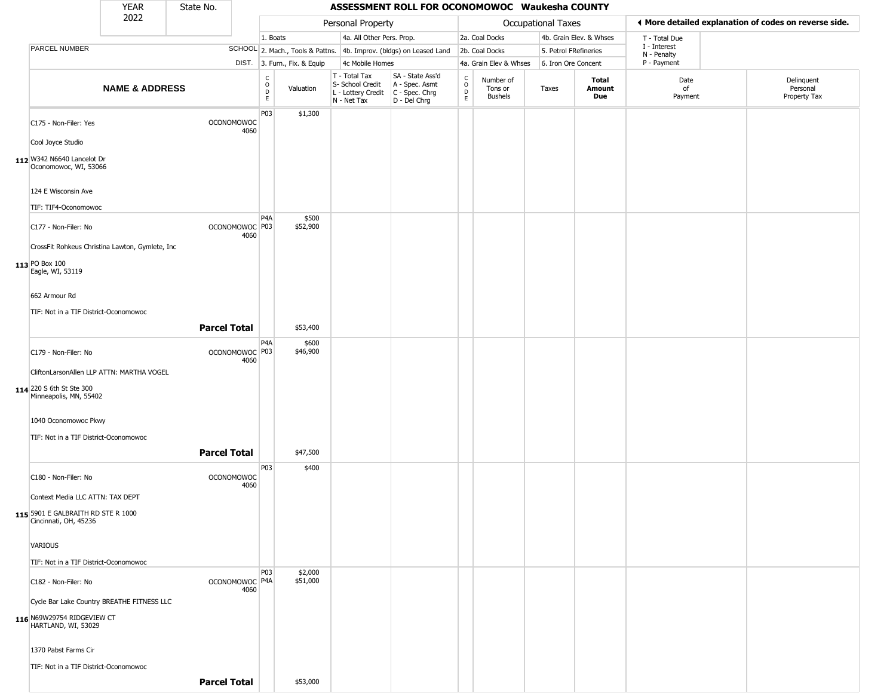|                                                                         | <b>YEAR</b>               | State No.                 |      |                        |                              |                                                                        | ASSESSMENT ROLL FOR OCONOMOWOC Waukesha COUNTY                       |                  |                                 |                           |                         |                             |                                                       |
|-------------------------------------------------------------------------|---------------------------|---------------------------|------|------------------------|------------------------------|------------------------------------------------------------------------|----------------------------------------------------------------------|------------------|---------------------------------|---------------------------|-------------------------|-----------------------------|-------------------------------------------------------|
|                                                                         | 2022                      |                           |      |                        |                              | Personal Property                                                      |                                                                      |                  |                                 | <b>Occupational Taxes</b> |                         |                             | ♦ More detailed explanation of codes on reverse side. |
|                                                                         |                           |                           |      | 1. Boats               |                              | 4a. All Other Pers. Prop.                                              |                                                                      |                  | 2a. Coal Docks                  |                           | 4b. Grain Elev. & Whses | T - Total Due               |                                                       |
| PARCEL NUMBER                                                           |                           |                           |      |                        |                              |                                                                        | SCHOOL 2. Mach., Tools & Pattns. 4b. Improv. (bldgs) on Leased Land  |                  | 2b. Coal Docks                  | 5. Petrol FRefineries     |                         | I - Interest<br>N - Penalty |                                                       |
|                                                                         |                           |                           |      |                        | DIST. 3. Furn., Fix. & Equip | 4c Mobile Homes                                                        |                                                                      |                  | 4a. Grain Elev & Whses          | 6. Iron Ore Concent       |                         | P - Payment                 |                                                       |
|                                                                         | <b>NAME &amp; ADDRESS</b> |                           |      | C<br>$\circ$<br>D<br>E | Valuation                    | T - Total Tax<br>S- School Credit<br>L - Lottery Credit<br>N - Net Tax | SA - State Ass'd<br>A - Spec. Asmt<br>C - Spec. Chrg<br>D - Del Chrg | C<br>D<br>D<br>E | Number of<br>Tons or<br>Bushels | Taxes                     | Total<br>Amount<br>Due  | Date<br>of<br>Payment       | Delinquent<br>Personal<br>Property Tax                |
| C175 - Non-Filer: Yes                                                   |                           | <b>OCONOMOWOC</b>         | 4060 | P03                    | \$1,300                      |                                                                        |                                                                      |                  |                                 |                           |                         |                             |                                                       |
| Cool Joyce Studio                                                       |                           |                           |      |                        |                              |                                                                        |                                                                      |                  |                                 |                           |                         |                             |                                                       |
| 112 W342 N6640 Lancelot Dr<br>Oconomowoc, WI, 53066                     |                           |                           |      |                        |                              |                                                                        |                                                                      |                  |                                 |                           |                         |                             |                                                       |
| 124 E Wisconsin Ave                                                     |                           |                           |      |                        |                              |                                                                        |                                                                      |                  |                                 |                           |                         |                             |                                                       |
| TIF: TIF4-Oconomowoc                                                    |                           |                           |      | P <sub>4</sub> A       | \$500                        |                                                                        |                                                                      |                  |                                 |                           |                         |                             |                                                       |
| C177 - Non-Filer: No<br>CrossFit Rohkeus Christina Lawton, Gymlete, Inc |                           | OCONOMOWOC <sup>P03</sup> | 4060 |                        | \$52,900                     |                                                                        |                                                                      |                  |                                 |                           |                         |                             |                                                       |
|                                                                         |                           |                           |      |                        |                              |                                                                        |                                                                      |                  |                                 |                           |                         |                             |                                                       |
| 113 PO Box 100<br>Eagle, WI, 53119                                      |                           |                           |      |                        |                              |                                                                        |                                                                      |                  |                                 |                           |                         |                             |                                                       |
| 662 Armour Rd                                                           |                           |                           |      |                        |                              |                                                                        |                                                                      |                  |                                 |                           |                         |                             |                                                       |
| TIF: Not in a TIF District-Oconomowoc                                   |                           |                           |      |                        |                              |                                                                        |                                                                      |                  |                                 |                           |                         |                             |                                                       |
|                                                                         |                           | <b>Parcel Total</b>       |      |                        | \$53,400                     |                                                                        |                                                                      |                  |                                 |                           |                         |                             |                                                       |
|                                                                         |                           |                           |      | P <sub>4</sub> A       | \$600                        |                                                                        |                                                                      |                  |                                 |                           |                         |                             |                                                       |
| C179 - Non-Filer: No                                                    |                           | OCONOMOWOC P03            | 4060 |                        | \$46,900                     |                                                                        |                                                                      |                  |                                 |                           |                         |                             |                                                       |
| CliftonLarsonAllen LLP ATTN: MARTHA VOGEL                               |                           |                           |      |                        |                              |                                                                        |                                                                      |                  |                                 |                           |                         |                             |                                                       |
| 114 220 S 6th St Ste 300<br>Minneapolis, MN, 55402                      |                           |                           |      |                        |                              |                                                                        |                                                                      |                  |                                 |                           |                         |                             |                                                       |
| 1040 Oconomowoc Pkwy                                                    |                           |                           |      |                        |                              |                                                                        |                                                                      |                  |                                 |                           |                         |                             |                                                       |
| TIF: Not in a TIF District-Oconomowoc                                   |                           |                           |      |                        |                              |                                                                        |                                                                      |                  |                                 |                           |                         |                             |                                                       |
|                                                                         |                           | <b>Parcel Total</b>       |      |                        | \$47,500                     |                                                                        |                                                                      |                  |                                 |                           |                         |                             |                                                       |
| C180 - Non-Filer: No                                                    |                           | <b>OCONOMOWOC</b>         | 4060 | P03                    | \$400                        |                                                                        |                                                                      |                  |                                 |                           |                         |                             |                                                       |
| Context Media LLC ATTN: TAX DEPT                                        |                           |                           |      |                        |                              |                                                                        |                                                                      |                  |                                 |                           |                         |                             |                                                       |
| 115 5901 E GALBRAITH RD STE R 1000<br>Cincinnati, OH, 45236             |                           |                           |      |                        |                              |                                                                        |                                                                      |                  |                                 |                           |                         |                             |                                                       |
| VARIOUS                                                                 |                           |                           |      |                        |                              |                                                                        |                                                                      |                  |                                 |                           |                         |                             |                                                       |
| TIF: Not in a TIF District-Oconomowoc                                   |                           |                           |      | <b>P03</b>             | \$2,000                      |                                                                        |                                                                      |                  |                                 |                           |                         |                             |                                                       |
| C182 - Non-Filer: No                                                    |                           | OCONOMOWOC P4A            | 4060 |                        | \$51,000                     |                                                                        |                                                                      |                  |                                 |                           |                         |                             |                                                       |
| Cycle Bar Lake Country BREATHE FITNESS LLC                              |                           |                           |      |                        |                              |                                                                        |                                                                      |                  |                                 |                           |                         |                             |                                                       |
| 116 N69W29754 RIDGEVIEW CT<br>HARTLAND, WI, 53029                       |                           |                           |      |                        |                              |                                                                        |                                                                      |                  |                                 |                           |                         |                             |                                                       |
| 1370 Pabst Farms Cir                                                    |                           |                           |      |                        |                              |                                                                        |                                                                      |                  |                                 |                           |                         |                             |                                                       |
| TIF: Not in a TIF District-Oconomowoc                                   |                           |                           |      |                        |                              |                                                                        |                                                                      |                  |                                 |                           |                         |                             |                                                       |
|                                                                         |                           | <b>Parcel Total</b>       |      |                        | \$53,000                     |                                                                        |                                                                      |                  |                                 |                           |                         |                             |                                                       |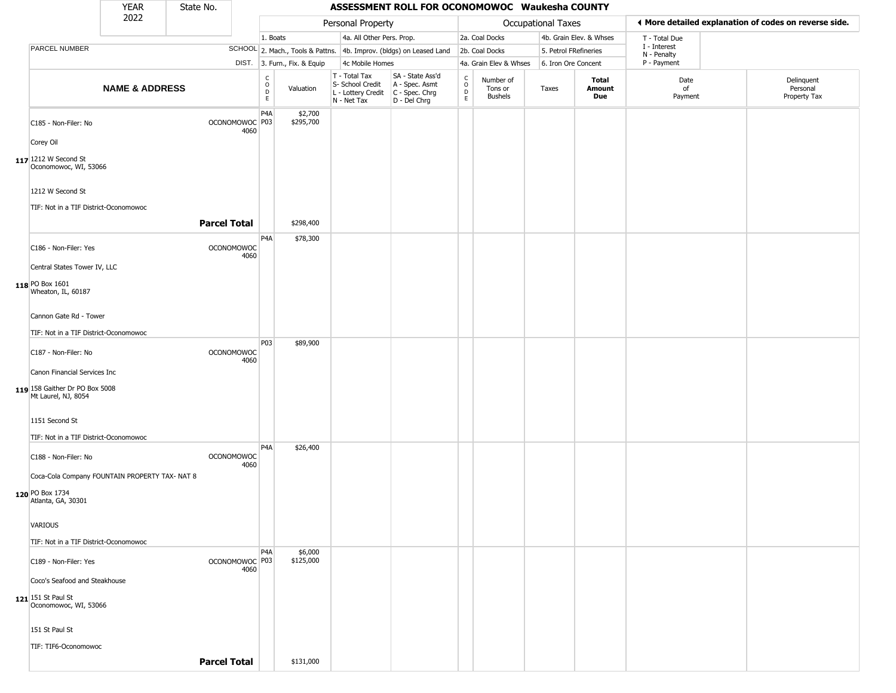|                                                       | <b>YEAR</b>               | State No.           |                           |                     |                              |                                                  | ASSESSMENT ROLL FOR OCONOMOWOC Waukesha COUNTY                                            |                                              |                                 |                       |                         |                             |                                                       |
|-------------------------------------------------------|---------------------------|---------------------|---------------------------|---------------------|------------------------------|--------------------------------------------------|-------------------------------------------------------------------------------------------|----------------------------------------------|---------------------------------|-----------------------|-------------------------|-----------------------------|-------------------------------------------------------|
|                                                       | 2022                      |                     |                           |                     |                              | Personal Property                                |                                                                                           |                                              |                                 | Occupational Taxes    |                         |                             | ◀ More detailed explanation of codes on reverse side. |
|                                                       |                           |                     |                           | 1. Boats            |                              | 4a. All Other Pers. Prop.                        |                                                                                           |                                              | 2a. Coal Docks                  |                       | 4b. Grain Elev. & Whses | T - Total Due               |                                                       |
| PARCEL NUMBER                                         |                           |                     |                           |                     |                              |                                                  | SCHOOL 2. Mach., Tools & Pattns. 4b. Improv. (bldgs) on Leased Land                       |                                              | 2b. Coal Docks                  | 5. Petrol FRefineries |                         | I - Interest<br>N - Penalty |                                                       |
|                                                       |                           |                     |                           |                     | DIST. 3. Furn., Fix. & Equip | 4c Mobile Homes                                  |                                                                                           |                                              | 4a. Grain Elev & Whses          | 6. Iron Ore Concent   |                         | P - Payment                 |                                                       |
|                                                       | <b>NAME &amp; ADDRESS</b> |                     |                           | $\overline{0}$<br>E | Valuation                    | T - Total Tax<br>S- School Credit<br>N - Net Tax | SA - State Ass'd<br>A - Spec. Asmt<br>L - Lottery Credit   C - Spec. Chrg<br>D - Del Chrg | $\begin{array}{c}\nC \\ D \\ E\n\end{array}$ | Number of<br>Tons or<br>Bushels | Taxes                 | Total<br>Amount<br>Due  | Date<br>of<br>Payment       | Delinquent<br>Personal<br>Property Tax                |
| C185 - Non-Filer: No                                  |                           |                     | OCONOMOWOC P03<br>4060    | P <sub>4</sub> A    | \$2,700<br>\$295,700         |                                                  |                                                                                           |                                              |                                 |                       |                         |                             |                                                       |
| Corey Oil                                             |                           |                     |                           |                     |                              |                                                  |                                                                                           |                                              |                                 |                       |                         |                             |                                                       |
| 117 1212 W Second St<br>Oconomowoc, WI, 53066         |                           |                     |                           |                     |                              |                                                  |                                                                                           |                                              |                                 |                       |                         |                             |                                                       |
| 1212 W Second St                                      |                           |                     |                           |                     |                              |                                                  |                                                                                           |                                              |                                 |                       |                         |                             |                                                       |
| TIF: Not in a TIF District-Oconomowoc                 |                           | <b>Parcel Total</b> |                           |                     | \$298,400                    |                                                  |                                                                                           |                                              |                                 |                       |                         |                             |                                                       |
| C186 - Non-Filer: Yes                                 |                           |                     | <b>OCONOMOWOC</b><br>4060 | P4A                 | \$78,300                     |                                                  |                                                                                           |                                              |                                 |                       |                         |                             |                                                       |
| Central States Tower IV, LLC                          |                           |                     |                           |                     |                              |                                                  |                                                                                           |                                              |                                 |                       |                         |                             |                                                       |
| 118 PO Box 1601<br>Wheaton, IL, 60187                 |                           |                     |                           |                     |                              |                                                  |                                                                                           |                                              |                                 |                       |                         |                             |                                                       |
| Cannon Gate Rd - Tower                                |                           |                     |                           |                     |                              |                                                  |                                                                                           |                                              |                                 |                       |                         |                             |                                                       |
| TIF: Not in a TIF District-Oconomowoc                 |                           |                     |                           |                     |                              |                                                  |                                                                                           |                                              |                                 |                       |                         |                             |                                                       |
| C187 - Non-Filer: No                                  |                           |                     | <b>OCONOMOWOC</b><br>4060 | P03                 | \$89,900                     |                                                  |                                                                                           |                                              |                                 |                       |                         |                             |                                                       |
| Canon Financial Services Inc                          |                           |                     |                           |                     |                              |                                                  |                                                                                           |                                              |                                 |                       |                         |                             |                                                       |
| 119 158 Gaither Dr PO Box 5008<br>Mt Laurel, NJ, 8054 |                           |                     |                           |                     |                              |                                                  |                                                                                           |                                              |                                 |                       |                         |                             |                                                       |
| 1151 Second St                                        |                           |                     |                           |                     |                              |                                                  |                                                                                           |                                              |                                 |                       |                         |                             |                                                       |
| TIF: Not in a TIF District-Oconomowoc                 |                           |                     |                           |                     |                              |                                                  |                                                                                           |                                              |                                 |                       |                         |                             |                                                       |
| C188 - Non-Filer: No                                  |                           |                     | <b>OCONOMOWOC</b><br>4060 | P <sub>4</sub> A    | \$26,400                     |                                                  |                                                                                           |                                              |                                 |                       |                         |                             |                                                       |
| Coca-Cola Company FOUNTAIN PROPERTY TAX- NAT 8        |                           |                     |                           |                     |                              |                                                  |                                                                                           |                                              |                                 |                       |                         |                             |                                                       |
| 120 PO Box 1734<br>Atlanta, GA, 30301                 |                           |                     |                           |                     |                              |                                                  |                                                                                           |                                              |                                 |                       |                         |                             |                                                       |
| VARIOUS                                               |                           |                     |                           |                     |                              |                                                  |                                                                                           |                                              |                                 |                       |                         |                             |                                                       |
| TIF: Not in a TIF District-Oconomowoc                 |                           |                     |                           |                     |                              |                                                  |                                                                                           |                                              |                                 |                       |                         |                             |                                                       |
| C189 - Non-Filer: Yes                                 |                           |                     | OCONOMOWOC P03            | P <sub>4</sub> A    | \$6,000<br>\$125,000         |                                                  |                                                                                           |                                              |                                 |                       |                         |                             |                                                       |
| Coco's Seafood and Steakhouse                         |                           |                     | 4060                      |                     |                              |                                                  |                                                                                           |                                              |                                 |                       |                         |                             |                                                       |
|                                                       |                           |                     |                           |                     |                              |                                                  |                                                                                           |                                              |                                 |                       |                         |                             |                                                       |
| $121$ 151 St Paul St<br>Oconomowoc, WI, 53066         |                           |                     |                           |                     |                              |                                                  |                                                                                           |                                              |                                 |                       |                         |                             |                                                       |
| 151 St Paul St                                        |                           |                     |                           |                     |                              |                                                  |                                                                                           |                                              |                                 |                       |                         |                             |                                                       |
| TIF: TIF6-Oconomowoc                                  |                           |                     |                           |                     |                              |                                                  |                                                                                           |                                              |                                 |                       |                         |                             |                                                       |
|                                                       |                           | <b>Parcel Total</b> |                           |                     | \$131,000                    |                                                  |                                                                                           |                                              |                                 |                       |                         |                             |                                                       |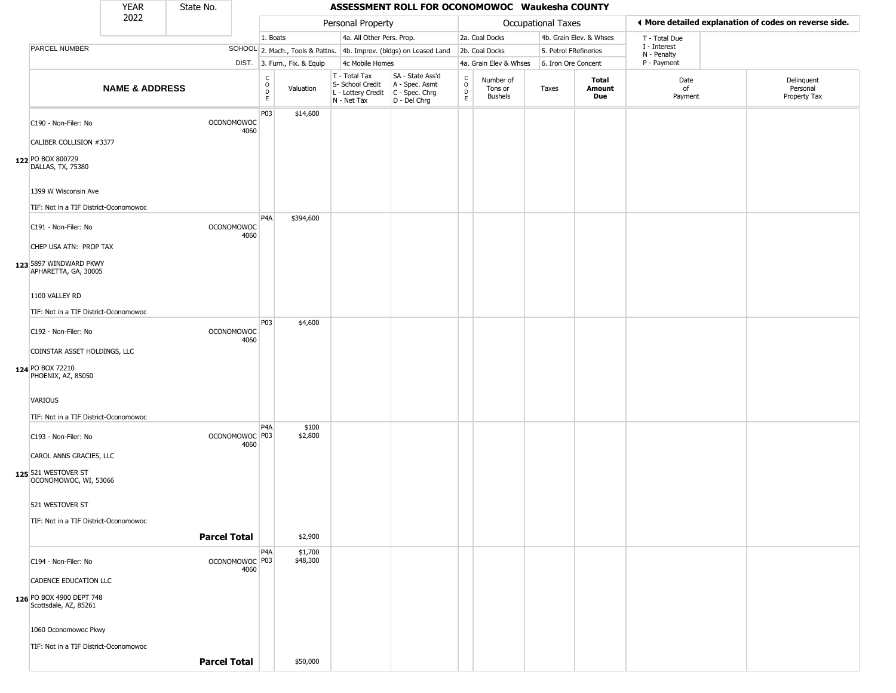|                                                               | <b>YEAR</b>               | State No.           |                                   |                              |                              |                                                                        | ASSESSMENT ROLL FOR OCONOMOWOC Waukesha COUNTY                       |                                            |                                        |                           |                         |                             |                                                       |
|---------------------------------------------------------------|---------------------------|---------------------|-----------------------------------|------------------------------|------------------------------|------------------------------------------------------------------------|----------------------------------------------------------------------|--------------------------------------------|----------------------------------------|---------------------------|-------------------------|-----------------------------|-------------------------------------------------------|
|                                                               | 2022                      |                     |                                   |                              |                              | Personal Property                                                      |                                                                      |                                            |                                        | <b>Occupational Taxes</b> |                         |                             | ◀ More detailed explanation of codes on reverse side. |
|                                                               |                           |                     |                                   | 1. Boats                     |                              | 4a. All Other Pers. Prop.                                              |                                                                      |                                            | 2a. Coal Docks                         |                           | 4b. Grain Elev. & Whses | T - Total Due               |                                                       |
| PARCEL NUMBER                                                 |                           |                     |                                   |                              |                              |                                                                        | SCHOOL 2. Mach., Tools & Pattns. 4b. Improv. (bldgs) on Leased Land  |                                            | 2b. Coal Docks                         | 5. Petrol FRefineries     |                         | I - Interest<br>N - Penalty |                                                       |
|                                                               |                           |                     |                                   |                              | DIST. 3. Furn., Fix. & Equip | 4c Mobile Homes                                                        |                                                                      |                                            | 4a. Grain Elev & Whses                 | 6. Iron Ore Concent       |                         | P - Payment                 |                                                       |
|                                                               | <b>NAME &amp; ADDRESS</b> |                     |                                   | $_{\rm o}^{\rm c}$<br>D<br>E | Valuation                    | T - Total Tax<br>S- School Credit<br>L - Lottery Credit<br>N - Net Tax | SA - State Ass'd<br>A - Spec. Asmt<br>C - Spec. Chrg<br>D - Del Chrg | C<br>$\circ$<br>$\mathsf D$<br>$\mathsf E$ | Number of<br>Tons or<br><b>Bushels</b> | Taxes                     | Total<br>Amount<br>Due  | Date<br>of<br>Payment       | Delinquent<br>Personal<br>Property Tax                |
| C190 - Non-Filer: No<br>CALIBER COLLISION #3377               |                           |                     | OCONOMOWOC<br>4060                | P <sub>03</sub>              | \$14,600                     |                                                                        |                                                                      |                                            |                                        |                           |                         |                             |                                                       |
| 122 PO BOX 800729<br>DALLAS, TX, 75380                        |                           |                     |                                   |                              |                              |                                                                        |                                                                      |                                            |                                        |                           |                         |                             |                                                       |
| 1399 W Wisconsin Ave<br>TIF: Not in a TIF District-Oconomowoc |                           |                     |                                   |                              |                              |                                                                        |                                                                      |                                            |                                        |                           |                         |                             |                                                       |
|                                                               |                           |                     |                                   | P <sub>4</sub> A             | \$394,600                    |                                                                        |                                                                      |                                            |                                        |                           |                         |                             |                                                       |
| C191 - Non-Filer: No<br>CHEP USA ATN: PROP TAX                |                           |                     | <b>OCONOMOWOC</b><br>4060         |                              |                              |                                                                        |                                                                      |                                            |                                        |                           |                         |                             |                                                       |
|                                                               |                           |                     |                                   |                              |                              |                                                                        |                                                                      |                                            |                                        |                           |                         |                             |                                                       |
| 123 5897 WINDWARD PKWY<br>APHARETTA, GA, 30005                |                           |                     |                                   |                              |                              |                                                                        |                                                                      |                                            |                                        |                           |                         |                             |                                                       |
| 1100 VALLEY RD                                                |                           |                     |                                   |                              |                              |                                                                        |                                                                      |                                            |                                        |                           |                         |                             |                                                       |
| TIF: Not in a TIF District-Oconomowoc                         |                           |                     |                                   | P03                          | \$4,600                      |                                                                        |                                                                      |                                            |                                        |                           |                         |                             |                                                       |
| C192 - Non-Filer: No                                          |                           |                     | <b>OCONOMOWOC</b><br>4060         |                              |                              |                                                                        |                                                                      |                                            |                                        |                           |                         |                             |                                                       |
| COINSTAR ASSET HOLDINGS, LLC                                  |                           |                     |                                   |                              |                              |                                                                        |                                                                      |                                            |                                        |                           |                         |                             |                                                       |
| 124 PO BOX 72210<br>PHOENIX, AZ, 85050                        |                           |                     |                                   |                              |                              |                                                                        |                                                                      |                                            |                                        |                           |                         |                             |                                                       |
| VARIOUS                                                       |                           |                     |                                   |                              |                              |                                                                        |                                                                      |                                            |                                        |                           |                         |                             |                                                       |
| TIF: Not in a TIF District-Oconomowoc                         |                           |                     |                                   | P4A                          | \$100                        |                                                                        |                                                                      |                                            |                                        |                           |                         |                             |                                                       |
| C193 - Non-Filer: No                                          |                           |                     | OCONOMOWOC <sup>P03</sup><br>4060 |                              | \$2,800                      |                                                                        |                                                                      |                                            |                                        |                           |                         |                             |                                                       |
| CAROL ANNS GRACIES, LLC                                       |                           |                     |                                   |                              |                              |                                                                        |                                                                      |                                            |                                        |                           |                         |                             |                                                       |
| 125 521 WESTOVER ST<br>OCONOMOWOC, WI, 53066                  |                           |                     |                                   |                              |                              |                                                                        |                                                                      |                                            |                                        |                           |                         |                             |                                                       |
| 521 WESTOVER ST                                               |                           |                     |                                   |                              |                              |                                                                        |                                                                      |                                            |                                        |                           |                         |                             |                                                       |
| TIF: Not in a TIF District-Oconomowoc                         |                           |                     |                                   |                              |                              |                                                                        |                                                                      |                                            |                                        |                           |                         |                             |                                                       |
|                                                               |                           |                     | <b>Parcel Total</b>               |                              | \$2,900                      |                                                                        |                                                                      |                                            |                                        |                           |                         |                             |                                                       |
| C194 - Non-Filer: No                                          |                           |                     | OCONOMOWOC P03<br>4060            | P <sub>4</sub> A             | \$1,700<br>\$48,300          |                                                                        |                                                                      |                                            |                                        |                           |                         |                             |                                                       |
| <b>CADENCE EDUCATION LLC</b>                                  |                           |                     |                                   |                              |                              |                                                                        |                                                                      |                                            |                                        |                           |                         |                             |                                                       |
| 126 PO BOX 4900 DEPT 748<br>Scottsdale, AZ, 85261             |                           |                     |                                   |                              |                              |                                                                        |                                                                      |                                            |                                        |                           |                         |                             |                                                       |
| 1060 Oconomowoc Pkwy                                          |                           |                     |                                   |                              |                              |                                                                        |                                                                      |                                            |                                        |                           |                         |                             |                                                       |
| TIF: Not in a TIF District-Oconomowoc                         |                           |                     |                                   |                              |                              |                                                                        |                                                                      |                                            |                                        |                           |                         |                             |                                                       |
|                                                               |                           | <b>Parcel Total</b> |                                   |                              | \$50,000                     |                                                                        |                                                                      |                                            |                                        |                           |                         |                             |                                                       |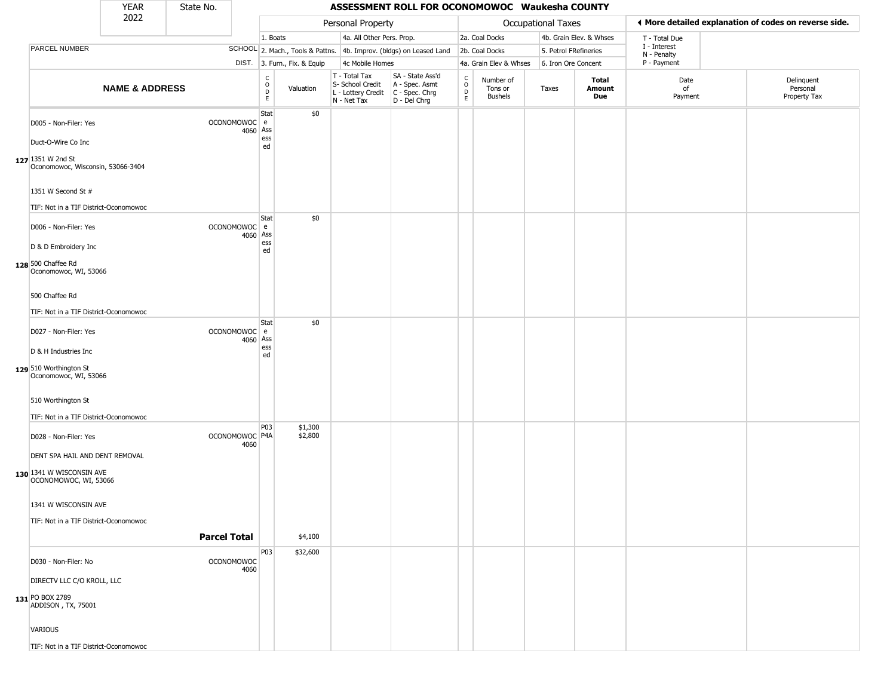|                                                                                                                       | <b>YEAR</b>               | State No.           |                          |                                                   |                              |                                                                        | ASSESSMENT ROLL FOR OCONOMOWOC Waukesha COUNTY                       |                                            |                                        |                           |                         |                             |                                                       |
|-----------------------------------------------------------------------------------------------------------------------|---------------------------|---------------------|--------------------------|---------------------------------------------------|------------------------------|------------------------------------------------------------------------|----------------------------------------------------------------------|--------------------------------------------|----------------------------------------|---------------------------|-------------------------|-----------------------------|-------------------------------------------------------|
|                                                                                                                       | 2022                      |                     |                          |                                                   |                              | Personal Property                                                      |                                                                      |                                            |                                        | <b>Occupational Taxes</b> |                         |                             | ♦ More detailed explanation of codes on reverse side. |
|                                                                                                                       |                           |                     |                          | 1. Boats                                          |                              | 4a. All Other Pers. Prop.                                              |                                                                      |                                            | 2a. Coal Docks                         |                           | 4b. Grain Elev. & Whses | T - Total Due               |                                                       |
| PARCEL NUMBER                                                                                                         |                           |                     |                          |                                                   |                              |                                                                        | SCHOOL 2. Mach., Tools & Pattns. 4b. Improv. (bldgs) on Leased Land  |                                            | 2b. Coal Docks                         | 5. Petrol FRefineries     |                         | I - Interest<br>N - Penalty |                                                       |
|                                                                                                                       |                           |                     |                          |                                                   | DIST. 3. Furn., Fix. & Equip | 4c Mobile Homes                                                        |                                                                      |                                            | 4a. Grain Elev & Whses                 | 6. Iron Ore Concent       |                         | P - Payment                 |                                                       |
|                                                                                                                       | <b>NAME &amp; ADDRESS</b> |                     |                          | $\begin{array}{c}\nC \\ O \\ D \\ E\n\end{array}$ | Valuation                    | T - Total Tax<br>S- School Credit<br>L - Lottery Credit<br>N - Net Tax | SA - State Ass'd<br>A - Spec. Asmt<br>C - Spec. Chrg<br>D - Del Chrg | $\begin{array}{c} C \\ O \\ E \end{array}$ | Number of<br>Tons or<br><b>Bushels</b> | Taxes                     | Total<br>Amount<br>Due  | Date<br>of<br>Payment       | Delinquent<br>Personal<br>Property Tax                |
| D005 - Non-Filer: Yes<br>Duct-O-Wire Co Inc                                                                           |                           |                     | OCONOMOWOC e<br>4060 Ass | Stat<br>ess<br>ed                                 | \$0                          |                                                                        |                                                                      |                                            |                                        |                           |                         |                             |                                                       |
| 127 1351 W 2nd St<br>Oconomowoc, Wisconsin, 53066-3404<br>1351 W Second St #<br>TIF: Not in a TIF District-Oconomowoc |                           |                     |                          |                                                   |                              |                                                                        |                                                                      |                                            |                                        |                           |                         |                             |                                                       |
| D006 - Non-Filer: Yes<br>D & D Embroidery Inc<br>128 500 Chaffee Rd                                                   |                           |                     | OCONOMOWOC e<br>4060 Ass | Stat<br>ess<br>ed                                 | \$0                          |                                                                        |                                                                      |                                            |                                        |                           |                         |                             |                                                       |
| Oconomowoc, WI, 53066<br>500 Chaffee Rd<br>TIF: Not in a TIF District-Oconomowoc                                      |                           |                     |                          |                                                   |                              |                                                                        |                                                                      |                                            |                                        |                           |                         |                             |                                                       |
| D027 - Non-Filer: Yes<br>D & H Industries Inc<br>129 510 Worthington St                                               |                           |                     | OCONOMOWOC e<br>4060 Ass | Stat<br>ess<br>ed                                 | \$0                          |                                                                        |                                                                      |                                            |                                        |                           |                         |                             |                                                       |
| Oconomowoc, WI, 53066<br>510 Worthington St<br>TIF: Not in a TIF District-Oconomowoc                                  |                           |                     |                          |                                                   |                              |                                                                        |                                                                      |                                            |                                        |                           |                         |                             |                                                       |
| D028 - Non-Filer: Yes<br>DENT SPA HAIL AND DENT REMOVAL                                                               |                           |                     | OCONOMOWOC P4A<br>4060   | P03                                               | \$1,300<br>\$2,800           |                                                                        |                                                                      |                                            |                                        |                           |                         |                             |                                                       |
| 130 1341 W WISCONSIN AVE<br>OCONOMOWOC, WI, 53066<br>1341 W WISCONSIN AVE                                             |                           |                     |                          |                                                   |                              |                                                                        |                                                                      |                                            |                                        |                           |                         |                             |                                                       |
| TIF: Not in a TIF District-Oconomowoc                                                                                 |                           | <b>Parcel Total</b> |                          |                                                   | \$4,100                      |                                                                        |                                                                      |                                            |                                        |                           |                         |                             |                                                       |
| D030 - Non-Filer: No<br>DIRECTV LLC C/O KROLL, LLC                                                                    |                           |                     | OCONOMOWOC<br>4060       | P03                                               | \$32,600                     |                                                                        |                                                                      |                                            |                                        |                           |                         |                             |                                                       |
| 131 PO BOX 2789<br>ADDISON, TX, 75001                                                                                 |                           |                     |                          |                                                   |                              |                                                                        |                                                                      |                                            |                                        |                           |                         |                             |                                                       |
| <b>VARIOUS</b>                                                                                                        |                           |                     |                          |                                                   |                              |                                                                        |                                                                      |                                            |                                        |                           |                         |                             |                                                       |
| TIF: Not in a TIF District-Oconomowoc                                                                                 |                           |                     |                          |                                                   |                              |                                                                        |                                                                      |                                            |                                        |                           |                         |                             |                                                       |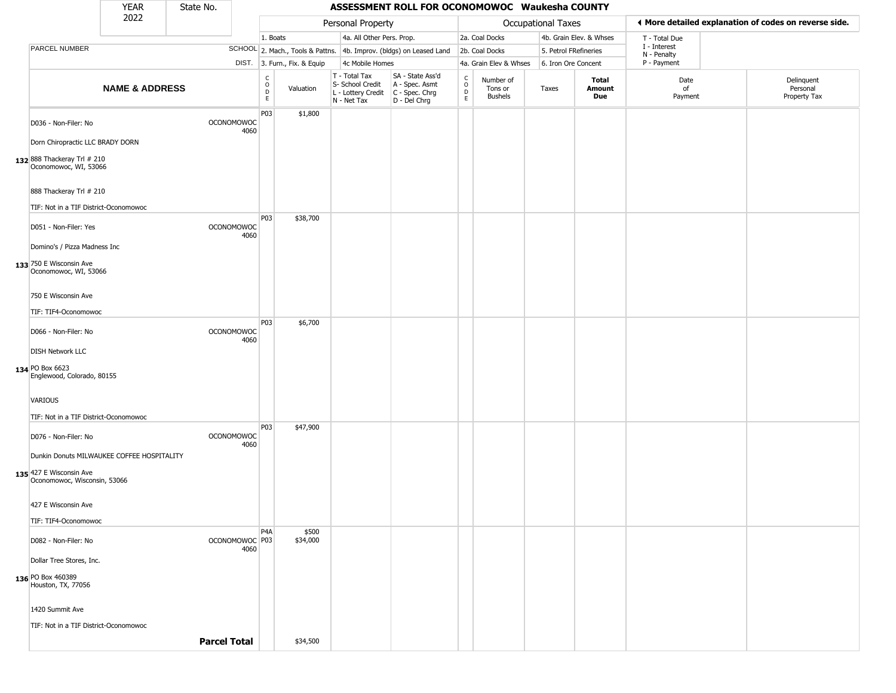|                                                         | <b>YEAR</b>               | State No.           |                           |                                 |                              |                                                                        | ASSESSMENT ROLL FOR OCONOMOWOC Waukesha COUNTY                       |                                   |                                 |                       |                         |                             |                                                       |
|---------------------------------------------------------|---------------------------|---------------------|---------------------------|---------------------------------|------------------------------|------------------------------------------------------------------------|----------------------------------------------------------------------|-----------------------------------|---------------------------------|-----------------------|-------------------------|-----------------------------|-------------------------------------------------------|
|                                                         | 2022                      |                     |                           |                                 |                              | Personal Property                                                      |                                                                      |                                   |                                 | Occupational Taxes    |                         |                             | ♦ More detailed explanation of codes on reverse side. |
|                                                         |                           |                     |                           | 1. Boats                        |                              | 4a. All Other Pers. Prop.                                              |                                                                      |                                   | 2a. Coal Docks                  |                       | 4b. Grain Elev. & Whses | T - Total Due               |                                                       |
| PARCEL NUMBER                                           |                           |                     |                           |                                 |                              |                                                                        | SCHOOL 2. Mach., Tools & Pattns. 4b. Improv. (bldgs) on Leased Land  |                                   | 2b. Coal Docks                  | 5. Petrol FRefineries |                         | I - Interest<br>N - Penalty |                                                       |
|                                                         |                           |                     |                           |                                 | DIST. 3. Furn., Fix. & Equip | 4c Mobile Homes                                                        |                                                                      |                                   | 4a. Grain Elev & Whses          | 6. Iron Ore Concent   |                         | P - Payment                 |                                                       |
|                                                         | <b>NAME &amp; ADDRESS</b> |                     |                           | $\rm _o^C$<br>$\mathsf D$<br>E. | Valuation                    | T - Total Tax<br>S- School Credit<br>L - Lottery Credit<br>N - Net Tax | SA - State Ass'd<br>A - Spec. Asmt<br>C - Spec. Chrg<br>D - Del Chrg | $\frac{C}{O}$<br>$\mathsf D$<br>E | Number of<br>Tons or<br>Bushels | Taxes                 | Total<br>Amount<br>Due  | Date<br>of<br>Payment       | Delinquent<br>Personal<br>Property Tax                |
| D036 - Non-Filer: No                                    |                           |                     | OCONOMOWOC<br>4060        | P03                             | \$1,800                      |                                                                        |                                                                      |                                   |                                 |                       |                         |                             |                                                       |
| Dorn Chiropractic LLC BRADY DORN                        |                           |                     |                           |                                 |                              |                                                                        |                                                                      |                                   |                                 |                       |                         |                             |                                                       |
| 132 888 Thackeray Trl # 210<br>Oconomowoc, WI, 53066    |                           |                     |                           |                                 |                              |                                                                        |                                                                      |                                   |                                 |                       |                         |                             |                                                       |
| 888 Thackeray Trl # 210                                 |                           |                     |                           |                                 |                              |                                                                        |                                                                      |                                   |                                 |                       |                         |                             |                                                       |
| TIF: Not in a TIF District-Oconomowoc                   |                           |                     |                           | P <sub>03</sub>                 | \$38,700                     |                                                                        |                                                                      |                                   |                                 |                       |                         |                             |                                                       |
| D051 - Non-Filer: Yes                                   |                           |                     | <b>OCONOMOWOC</b><br>4060 |                                 |                              |                                                                        |                                                                      |                                   |                                 |                       |                         |                             |                                                       |
| Domino's / Pizza Madness Inc                            |                           |                     |                           |                                 |                              |                                                                        |                                                                      |                                   |                                 |                       |                         |                             |                                                       |
| 133 750 E Wisconsin Ave<br>Oconomowoc, WI, 53066        |                           |                     |                           |                                 |                              |                                                                        |                                                                      |                                   |                                 |                       |                         |                             |                                                       |
| 750 E Wisconsin Ave                                     |                           |                     |                           |                                 |                              |                                                                        |                                                                      |                                   |                                 |                       |                         |                             |                                                       |
| TIF: TIF4-Oconomowoc                                    |                           |                     |                           | P <sub>0</sub> 3                |                              |                                                                        |                                                                      |                                   |                                 |                       |                         |                             |                                                       |
| D066 - Non-Filer: No                                    |                           |                     | <b>OCONOMOWOC</b><br>4060 |                                 | \$6,700                      |                                                                        |                                                                      |                                   |                                 |                       |                         |                             |                                                       |
| <b>DISH Network LLC</b>                                 |                           |                     |                           |                                 |                              |                                                                        |                                                                      |                                   |                                 |                       |                         |                             |                                                       |
| 134 PO Box 6623<br>Englewood, Colorado, 80155           |                           |                     |                           |                                 |                              |                                                                        |                                                                      |                                   |                                 |                       |                         |                             |                                                       |
| <b>VARIOUS</b>                                          |                           |                     |                           |                                 |                              |                                                                        |                                                                      |                                   |                                 |                       |                         |                             |                                                       |
| TIF: Not in a TIF District-Oconomowoc                   |                           |                     |                           |                                 |                              |                                                                        |                                                                      |                                   |                                 |                       |                         |                             |                                                       |
| D076 - Non-Filer: No                                    |                           |                     | OCONOMOWOC<br>4060        | P03                             | \$47,900                     |                                                                        |                                                                      |                                   |                                 |                       |                         |                             |                                                       |
| Dunkin Donuts MILWAUKEE COFFEE HOSPITALITY              |                           |                     |                           |                                 |                              |                                                                        |                                                                      |                                   |                                 |                       |                         |                             |                                                       |
| 135 427 E Wisconsin Ave<br>Oconomowoc, Wisconsin, 53066 |                           |                     |                           |                                 |                              |                                                                        |                                                                      |                                   |                                 |                       |                         |                             |                                                       |
| 427 E Wisconsin Ave                                     |                           |                     |                           |                                 |                              |                                                                        |                                                                      |                                   |                                 |                       |                         |                             |                                                       |
| TIF: TIF4-Oconomowoc                                    |                           |                     |                           |                                 |                              |                                                                        |                                                                      |                                   |                                 |                       |                         |                             |                                                       |
| D082 - Non-Filer: No                                    |                           |                     | OCONOMOWOC P03<br>4060    | P4A                             | \$500<br>\$34,000            |                                                                        |                                                                      |                                   |                                 |                       |                         |                             |                                                       |
| Dollar Tree Stores, Inc.                                |                           |                     |                           |                                 |                              |                                                                        |                                                                      |                                   |                                 |                       |                         |                             |                                                       |
| 136 PO Box 460389<br>Houston, TX, 77056                 |                           |                     |                           |                                 |                              |                                                                        |                                                                      |                                   |                                 |                       |                         |                             |                                                       |
| 1420 Summit Ave                                         |                           |                     |                           |                                 |                              |                                                                        |                                                                      |                                   |                                 |                       |                         |                             |                                                       |
| TIF: Not in a TIF District-Oconomowoc                   |                           |                     |                           |                                 |                              |                                                                        |                                                                      |                                   |                                 |                       |                         |                             |                                                       |
|                                                         |                           | <b>Parcel Total</b> |                           |                                 | \$34,500                     |                                                                        |                                                                      |                                   |                                 |                       |                         |                             |                                                       |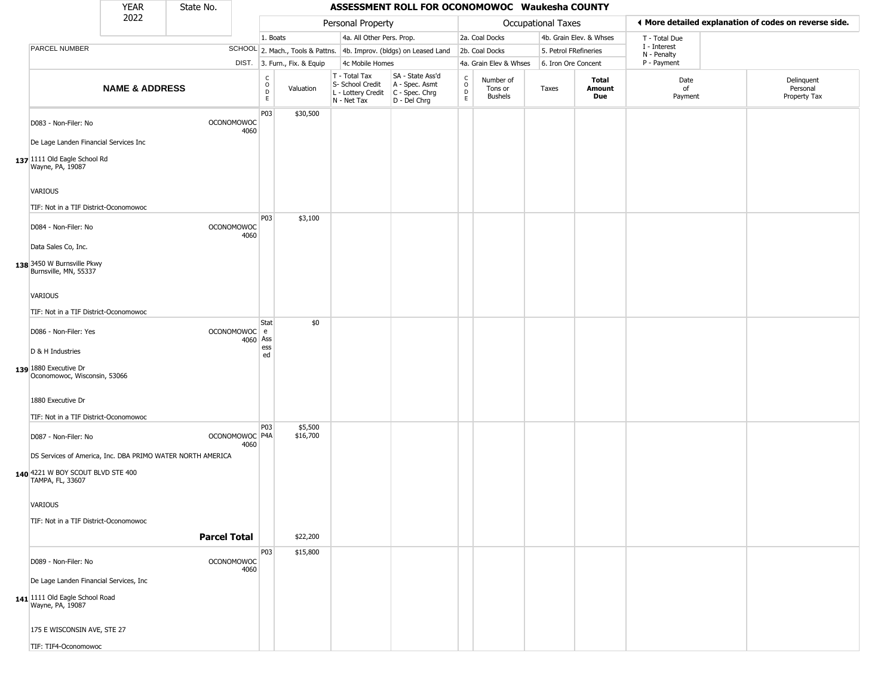|                                                                                              | <b>YEAR</b>               | State No.           |                           |                                                  |                              |                                                                        | ASSESSMENT ROLL FOR OCONOMOWOC Waukesha COUNTY                       |                                          |                                        |                       |                         |                             |                                                       |
|----------------------------------------------------------------------------------------------|---------------------------|---------------------|---------------------------|--------------------------------------------------|------------------------------|------------------------------------------------------------------------|----------------------------------------------------------------------|------------------------------------------|----------------------------------------|-----------------------|-------------------------|-----------------------------|-------------------------------------------------------|
|                                                                                              | 2022                      |                     |                           |                                                  |                              | Personal Property                                                      |                                                                      |                                          |                                        | Occupational Taxes    |                         |                             | ◀ More detailed explanation of codes on reverse side. |
|                                                                                              |                           |                     |                           | 1. Boats                                         |                              | 4a. All Other Pers. Prop.                                              |                                                                      |                                          | 2a. Coal Docks                         |                       | 4b. Grain Elev. & Whses | T - Total Due               |                                                       |
| PARCEL NUMBER                                                                                |                           |                     |                           |                                                  |                              |                                                                        | SCHOOL 2. Mach., Tools & Pattns. 4b. Improv. (bldgs) on Leased Land  |                                          | 2b. Coal Docks                         | 5. Petrol FRefineries |                         | I - Interest<br>N - Penalty |                                                       |
|                                                                                              |                           |                     |                           |                                                  | DIST. 3. Furn., Fix. & Equip | 4c Mobile Homes                                                        |                                                                      |                                          | 4a. Grain Elev & Whses                 | 6. Iron Ore Concent   |                         | P - Payment                 |                                                       |
|                                                                                              | <b>NAME &amp; ADDRESS</b> |                     |                           | $_{\rm o}^{\rm c}$<br>$\mathsf D$<br>$\mathsf E$ | Valuation                    | T - Total Tax<br>S- School Credit<br>L - Lottery Credit<br>N - Net Tax | SA - State Ass'd<br>A - Spec. Asmt<br>C - Spec. Chrg<br>D - Del Chrg | $\rm _o^C$<br>$\mathsf D$<br>$\mathsf E$ | Number of<br>Tons or<br><b>Bushels</b> | Taxes                 | Total<br>Amount<br>Due  | Date<br>of<br>Payment       | Delinquent<br>Personal<br>Property Tax                |
| D083 - Non-Filer: No<br>De Lage Landen Financial Services Inc                                |                           |                     | <b>OCONOMOWOC</b><br>4060 | P03                                              | \$30,500                     |                                                                        |                                                                      |                                          |                                        |                       |                         |                             |                                                       |
|                                                                                              |                           |                     |                           |                                                  |                              |                                                                        |                                                                      |                                          |                                        |                       |                         |                             |                                                       |
| 137 1111 Old Eagle School Rd<br>Wayne, PA, 19087                                             |                           |                     |                           |                                                  |                              |                                                                        |                                                                      |                                          |                                        |                       |                         |                             |                                                       |
| VARIOUS                                                                                      |                           |                     |                           |                                                  |                              |                                                                        |                                                                      |                                          |                                        |                       |                         |                             |                                                       |
| TIF: Not in a TIF District-Oconomowoc                                                        |                           |                     |                           |                                                  |                              |                                                                        |                                                                      |                                          |                                        |                       |                         |                             |                                                       |
| D084 - Non-Filer: No                                                                         |                           |                     | <b>OCONOMOWOC</b><br>4060 | P03                                              | \$3,100                      |                                                                        |                                                                      |                                          |                                        |                       |                         |                             |                                                       |
| Data Sales Co, Inc.                                                                          |                           |                     |                           |                                                  |                              |                                                                        |                                                                      |                                          |                                        |                       |                         |                             |                                                       |
| 138 3450 W Burnsville Pkwy<br>Burnsville, MN, 55337                                          |                           |                     |                           |                                                  |                              |                                                                        |                                                                      |                                          |                                        |                       |                         |                             |                                                       |
| VARIOUS                                                                                      |                           |                     |                           |                                                  |                              |                                                                        |                                                                      |                                          |                                        |                       |                         |                             |                                                       |
| TIF: Not in a TIF District-Oconomowoc                                                        |                           |                     |                           |                                                  |                              |                                                                        |                                                                      |                                          |                                        |                       |                         |                             |                                                       |
|                                                                                              |                           |                     |                           | Stat                                             | \$0                          |                                                                        |                                                                      |                                          |                                        |                       |                         |                             |                                                       |
| D086 - Non-Filer: Yes                                                                        |                           |                     | OCONOMOWOC e<br>4060 Ass  |                                                  |                              |                                                                        |                                                                      |                                          |                                        |                       |                         |                             |                                                       |
| D & H Industries                                                                             |                           |                     |                           | ess<br>ed                                        |                              |                                                                        |                                                                      |                                          |                                        |                       |                         |                             |                                                       |
| 139 1880 Executive Dr<br>Oconomowoc, Wisconsin, 53066                                        |                           |                     |                           |                                                  |                              |                                                                        |                                                                      |                                          |                                        |                       |                         |                             |                                                       |
| 1880 Executive Dr                                                                            |                           |                     |                           |                                                  |                              |                                                                        |                                                                      |                                          |                                        |                       |                         |                             |                                                       |
| TIF: Not in a TIF District-Oconomowoc                                                        |                           |                     |                           | P03                                              | \$5,500                      |                                                                        |                                                                      |                                          |                                        |                       |                         |                             |                                                       |
| D087 - Non-Filer: No                                                                         |                           |                     | OCONOMOWOC P4A<br>4060    |                                                  | \$16,700                     |                                                                        |                                                                      |                                          |                                        |                       |                         |                             |                                                       |
| DS Services of America, Inc. DBA PRIMO WATER NORTH AMERICA                                   |                           |                     |                           |                                                  |                              |                                                                        |                                                                      |                                          |                                        |                       |                         |                             |                                                       |
| 140 4221 W BOY SCOUT BLVD STE 400<br>TAMPA, FL, 33607                                        |                           |                     |                           |                                                  |                              |                                                                        |                                                                      |                                          |                                        |                       |                         |                             |                                                       |
| VARIOUS                                                                                      |                           |                     |                           |                                                  |                              |                                                                        |                                                                      |                                          |                                        |                       |                         |                             |                                                       |
| TIF: Not in a TIF District-Oconomowoc                                                        |                           |                     |                           |                                                  |                              |                                                                        |                                                                      |                                          |                                        |                       |                         |                             |                                                       |
|                                                                                              |                           | <b>Parcel Total</b> |                           |                                                  | \$22,200                     |                                                                        |                                                                      |                                          |                                        |                       |                         |                             |                                                       |
|                                                                                              |                           |                     |                           | P03                                              | \$15,800                     |                                                                        |                                                                      |                                          |                                        |                       |                         |                             |                                                       |
| D089 - Non-Filer: No                                                                         |                           |                     | <b>OCONOMOWOC</b><br>4060 |                                                  |                              |                                                                        |                                                                      |                                          |                                        |                       |                         |                             |                                                       |
| De Lage Landen Financial Services, Inc<br>141 1111 Old Eagle School Road<br>Wayne, PA, 19087 |                           |                     |                           |                                                  |                              |                                                                        |                                                                      |                                          |                                        |                       |                         |                             |                                                       |
| 175 E WISCONSIN AVE, STE 27                                                                  |                           |                     |                           |                                                  |                              |                                                                        |                                                                      |                                          |                                        |                       |                         |                             |                                                       |
| TIF: TIF4-Oconomowoc                                                                         |                           |                     |                           |                                                  |                              |                                                                        |                                                                      |                                          |                                        |                       |                         |                             |                                                       |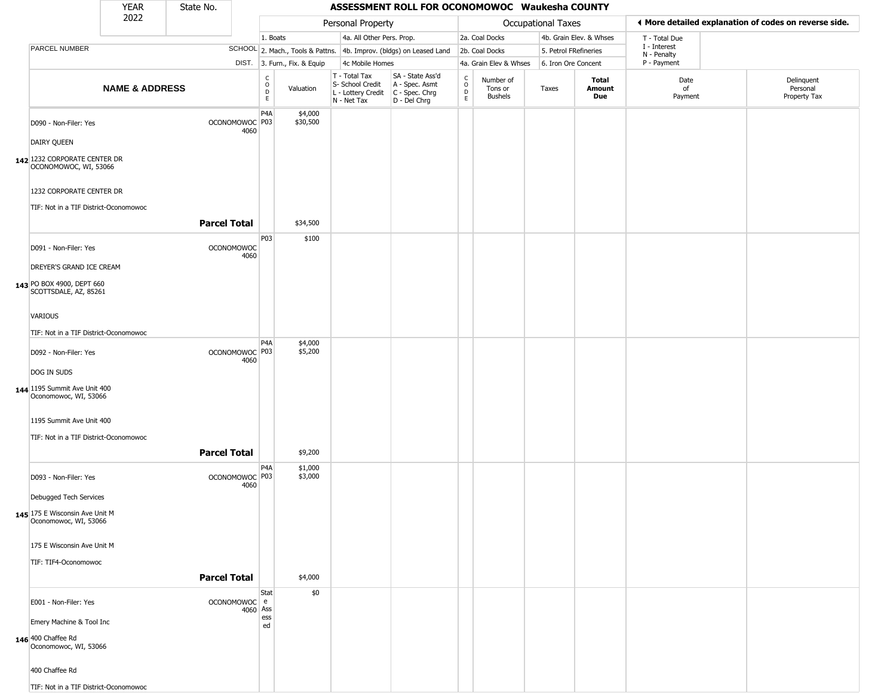|                                                                   | <b>YEAR</b>               | State No.           |                                   |                              |                              |                                                                                         | ASSESSMENT ROLL FOR OCONOMOWOC Waukesha COUNTY                      |                                            |                                 |                           |                         |                             |                                                       |
|-------------------------------------------------------------------|---------------------------|---------------------|-----------------------------------|------------------------------|------------------------------|-----------------------------------------------------------------------------------------|---------------------------------------------------------------------|--------------------------------------------|---------------------------------|---------------------------|-------------------------|-----------------------------|-------------------------------------------------------|
|                                                                   | 2022                      |                     |                                   |                              |                              | Personal Property                                                                       |                                                                     |                                            |                                 | <b>Occupational Taxes</b> |                         |                             | ♦ More detailed explanation of codes on reverse side. |
|                                                                   |                           |                     |                                   | 1. Boats                     |                              | 4a. All Other Pers. Prop.                                                               |                                                                     |                                            | 2a. Coal Docks                  |                           | 4b. Grain Elev. & Whses | T - Total Due               |                                                       |
| PARCEL NUMBER                                                     |                           |                     |                                   |                              |                              |                                                                                         | SCHOOL 2. Mach., Tools & Pattns. 4b. Improv. (bldgs) on Leased Land |                                            | 2b. Coal Docks                  | 5. Petrol FRefineries     |                         | I - Interest<br>N - Penalty |                                                       |
|                                                                   |                           |                     |                                   |                              | DIST. 3. Furn., Fix. & Equip | 4c Mobile Homes                                                                         |                                                                     |                                            | 4a. Grain Elev & Whses          | 6. Iron Ore Concent       |                         | P - Payment                 |                                                       |
|                                                                   | <b>NAME &amp; ADDRESS</b> |                     |                                   | $_{\rm o}^{\rm c}$<br>D<br>E | Valuation                    | T - Total Tax<br>S- School Credit<br>L - Lottery Credit   C - Spec. Chrg<br>N - Net Tax | SA - State Ass'd<br>A - Spec. Asmt<br>D - Del Chrg                  | $\begin{array}{c} C \\ 0 \\ E \end{array}$ | Number of<br>Tons or<br>Bushels | Taxes                     | Total<br>Amount<br>Due  | Date<br>of<br>Payment       | Delinquent<br>Personal<br>Property Tax                |
| D090 - Non-Filer: Yes                                             |                           |                     | OCONOMOWOC P03<br>4060            | P <sub>4</sub> A             | \$4,000<br>\$30,500          |                                                                                         |                                                                     |                                            |                                 |                           |                         |                             |                                                       |
| <b>DAIRY QUEEN</b>                                                |                           |                     |                                   |                              |                              |                                                                                         |                                                                     |                                            |                                 |                           |                         |                             |                                                       |
| 142 1232 CORPORATE CENTER DR<br>OCONOMOWOC, WI, 53066             |                           |                     |                                   |                              |                              |                                                                                         |                                                                     |                                            |                                 |                           |                         |                             |                                                       |
| 1232 CORPORATE CENTER DR<br>TIF: Not in a TIF District-Oconomowoc |                           |                     |                                   |                              |                              |                                                                                         |                                                                     |                                            |                                 |                           |                         |                             |                                                       |
|                                                                   |                           | <b>Parcel Total</b> |                                   |                              | \$34,500                     |                                                                                         |                                                                     |                                            |                                 |                           |                         |                             |                                                       |
| D091 - Non-Filer: Yes                                             |                           |                     | <b>OCONOMOWOC</b><br>4060         | P03                          | \$100                        |                                                                                         |                                                                     |                                            |                                 |                           |                         |                             |                                                       |
| DREYER'S GRAND ICE CREAM                                          |                           |                     |                                   |                              |                              |                                                                                         |                                                                     |                                            |                                 |                           |                         |                             |                                                       |
| 143 PO BOX 4900, DEPT 660<br>SCOTTSDALE, AZ, 85261                |                           |                     |                                   |                              |                              |                                                                                         |                                                                     |                                            |                                 |                           |                         |                             |                                                       |
| <b>VARIOUS</b>                                                    |                           |                     |                                   |                              |                              |                                                                                         |                                                                     |                                            |                                 |                           |                         |                             |                                                       |
| TIF: Not in a TIF District-Oconomowoc                             |                           |                     |                                   |                              |                              |                                                                                         |                                                                     |                                            |                                 |                           |                         |                             |                                                       |
| D092 - Non-Filer: Yes                                             |                           |                     | OCONOMOWOC <sup>P03</sup>         | P <sub>4</sub> A             | \$4,000<br>\$5,200           |                                                                                         |                                                                     |                                            |                                 |                           |                         |                             |                                                       |
| DOG IN SUDS                                                       |                           |                     | 4060                              |                              |                              |                                                                                         |                                                                     |                                            |                                 |                           |                         |                             |                                                       |
| 144 1195 Summit Ave Unit 400<br>Oconomowoc, WI, 53066             |                           |                     |                                   |                              |                              |                                                                                         |                                                                     |                                            |                                 |                           |                         |                             |                                                       |
| 1195 Summit Ave Unit 400                                          |                           |                     |                                   |                              |                              |                                                                                         |                                                                     |                                            |                                 |                           |                         |                             |                                                       |
| TIF: Not in a TIF District-Oconomowoc                             |                           |                     |                                   |                              |                              |                                                                                         |                                                                     |                                            |                                 |                           |                         |                             |                                                       |
|                                                                   |                           | <b>Parcel Total</b> |                                   |                              | \$9,200                      |                                                                                         |                                                                     |                                            |                                 |                           |                         |                             |                                                       |
| D093 - Non-Filer: Yes                                             |                           |                     | OCONOMOWOC <sup>P03</sup><br>4060 | P4A                          | \$1,000<br>\$3,000           |                                                                                         |                                                                     |                                            |                                 |                           |                         |                             |                                                       |
| Debugged Tech Services                                            |                           |                     |                                   |                              |                              |                                                                                         |                                                                     |                                            |                                 |                           |                         |                             |                                                       |
| 145 175 E Wisconsin Ave Unit M<br>Oconomowoc, WI, 53066           |                           |                     |                                   |                              |                              |                                                                                         |                                                                     |                                            |                                 |                           |                         |                             |                                                       |
| 175 E Wisconsin Ave Unit M                                        |                           |                     |                                   |                              |                              |                                                                                         |                                                                     |                                            |                                 |                           |                         |                             |                                                       |
| TIF: TIF4-Oconomowoc                                              |                           |                     |                                   |                              |                              |                                                                                         |                                                                     |                                            |                                 |                           |                         |                             |                                                       |
|                                                                   |                           | <b>Parcel Total</b> |                                   |                              | \$4,000                      |                                                                                         |                                                                     |                                            |                                 |                           |                         |                             |                                                       |
| E001 - Non-Filer: Yes                                             |                           |                     | OCONOMOWOC e<br>4060 Ass          | Stat                         | \$0                          |                                                                                         |                                                                     |                                            |                                 |                           |                         |                             |                                                       |
| Emery Machine & Tool Inc                                          |                           |                     |                                   | ess<br>ed                    |                              |                                                                                         |                                                                     |                                            |                                 |                           |                         |                             |                                                       |
| 146 400 Chaffee Rd<br>Oconomowoc, WI, 53066                       |                           |                     |                                   |                              |                              |                                                                                         |                                                                     |                                            |                                 |                           |                         |                             |                                                       |
| 400 Chaffee Rd                                                    |                           |                     |                                   |                              |                              |                                                                                         |                                                                     |                                            |                                 |                           |                         |                             |                                                       |
| TIF: Not in a TIF District-Oconomowoc                             |                           |                     |                                   |                              |                              |                                                                                         |                                                                     |                                            |                                 |                           |                         |                             |                                                       |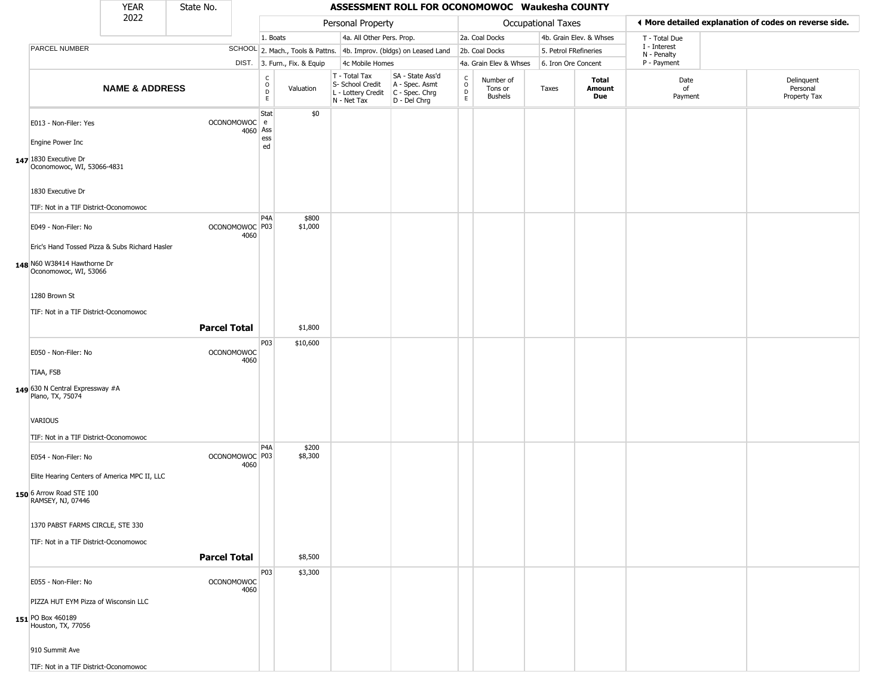|                                                      | <b>YEAR</b>               | State No.                 |                          |                                          |                              |                                                                                       | ASSESSMENT ROLL FOR OCONOMOWOC Waukesha COUNTY                      |                                   |                                 |                       |                         |                             |                                                       |
|------------------------------------------------------|---------------------------|---------------------------|--------------------------|------------------------------------------|------------------------------|---------------------------------------------------------------------------------------|---------------------------------------------------------------------|-----------------------------------|---------------------------------|-----------------------|-------------------------|-----------------------------|-------------------------------------------------------|
|                                                      | 2022                      |                           |                          |                                          |                              | Personal Property                                                                     |                                                                     |                                   |                                 | Occupational Taxes    |                         |                             | ◀ More detailed explanation of codes on reverse side. |
|                                                      |                           |                           |                          | 1. Boats                                 |                              | 4a. All Other Pers. Prop.                                                             |                                                                     |                                   | 2a. Coal Docks                  |                       | 4b. Grain Elev. & Whses | T - Total Due               |                                                       |
| PARCEL NUMBER                                        |                           |                           |                          |                                          |                              |                                                                                       | SCHOOL 2. Mach., Tools & Pattns. 4b. Improv. (bldgs) on Leased Land |                                   | 2b. Coal Docks                  | 5. Petrol FRefineries |                         | I - Interest<br>N - Penalty |                                                       |
|                                                      |                           |                           |                          |                                          | DIST. 3. Furn., Fix. & Equip | 4c Mobile Homes                                                                       |                                                                     |                                   | 4a. Grain Elev & Whses          | 6. Iron Ore Concent   |                         | P - Payment                 |                                                       |
|                                                      | <b>NAME &amp; ADDRESS</b> |                           |                          | $\rm _o^C$<br>$\mathsf D$<br>$\mathsf E$ | Valuation                    | T - Total Tax<br>S- School Credit<br>L - Lottery Credit C - Spec. Chrg<br>N - Net Tax | SA - State Ass'd<br>A - Spec. Asmt<br>D - Del Chrg                  | C<br>$\circ$<br>$\mathsf{D}$<br>E | Number of<br>Tons or<br>Bushels | Taxes                 | Total<br>Amount<br>Due  | Date<br>of<br>Payment       | Delinquent<br>Personal<br>Property Tax                |
| E013 - Non-Filer: Yes<br>Engine Power Inc            |                           |                           | OCONOMOWOC e<br>4060 Ass | Stat<br>ess<br>ed                        | \$0                          |                                                                                       |                                                                     |                                   |                                 |                       |                         |                             |                                                       |
| 147 1830 Executive Dr                                |                           |                           |                          |                                          |                              |                                                                                       |                                                                     |                                   |                                 |                       |                         |                             |                                                       |
| Oconomowoc, WI, 53066-4831                           |                           |                           |                          |                                          |                              |                                                                                       |                                                                     |                                   |                                 |                       |                         |                             |                                                       |
| 1830 Executive Dr                                    |                           |                           |                          |                                          |                              |                                                                                       |                                                                     |                                   |                                 |                       |                         |                             |                                                       |
| TIF: Not in a TIF District-Oconomowoc                |                           |                           |                          |                                          |                              |                                                                                       |                                                                     |                                   |                                 |                       |                         |                             |                                                       |
| E049 - Non-Filer: No                                 |                           | OCONOMOWOC P03            | 4060                     | P <sub>4</sub> A                         | \$800<br>\$1,000             |                                                                                       |                                                                     |                                   |                                 |                       |                         |                             |                                                       |
| Eric's Hand Tossed Pizza & Subs Richard Hasler       |                           |                           |                          |                                          |                              |                                                                                       |                                                                     |                                   |                                 |                       |                         |                             |                                                       |
| 148 N60 W38414 Hawthorne Dr<br>Oconomowoc, WI, 53066 |                           |                           |                          |                                          |                              |                                                                                       |                                                                     |                                   |                                 |                       |                         |                             |                                                       |
| 1280 Brown St                                        |                           |                           |                          |                                          |                              |                                                                                       |                                                                     |                                   |                                 |                       |                         |                             |                                                       |
| TIF: Not in a TIF District-Oconomowoc                |                           |                           |                          |                                          |                              |                                                                                       |                                                                     |                                   |                                 |                       |                         |                             |                                                       |
|                                                      |                           | <b>Parcel Total</b>       |                          |                                          | \$1,800                      |                                                                                       |                                                                     |                                   |                                 |                       |                         |                             |                                                       |
|                                                      |                           |                           |                          | P03                                      | \$10,600                     |                                                                                       |                                                                     |                                   |                                 |                       |                         |                             |                                                       |
| E050 - Non-Filer: No                                 |                           | <b>OCONOMOWOC</b>         | 4060                     |                                          |                              |                                                                                       |                                                                     |                                   |                                 |                       |                         |                             |                                                       |
| TIAA, FSB                                            |                           |                           |                          |                                          |                              |                                                                                       |                                                                     |                                   |                                 |                       |                         |                             |                                                       |
| 149 630 N Central Expressway #A<br>Plano, TX, 75074  |                           |                           |                          |                                          |                              |                                                                                       |                                                                     |                                   |                                 |                       |                         |                             |                                                       |
| VARIOUS                                              |                           |                           |                          |                                          |                              |                                                                                       |                                                                     |                                   |                                 |                       |                         |                             |                                                       |
| TIF: Not in a TIF District-Oconomowoc                |                           |                           |                          |                                          |                              |                                                                                       |                                                                     |                                   |                                 |                       |                         |                             |                                                       |
| E054 - Non-Filer: No                                 |                           | OCONOMOWOC <sup>P03</sup> | 4060                     | P4A                                      | \$200<br>\$8,300             |                                                                                       |                                                                     |                                   |                                 |                       |                         |                             |                                                       |
| Elite Hearing Centers of America MPC II, LLC         |                           |                           |                          |                                          |                              |                                                                                       |                                                                     |                                   |                                 |                       |                         |                             |                                                       |
| 150 6 Arrow Road STE 100<br>RAMSEY, NJ, 07446        |                           |                           |                          |                                          |                              |                                                                                       |                                                                     |                                   |                                 |                       |                         |                             |                                                       |
| 1370 PABST FARMS CIRCLE, STE 330                     |                           |                           |                          |                                          |                              |                                                                                       |                                                                     |                                   |                                 |                       |                         |                             |                                                       |
| TIF: Not in a TIF District-Oconomowoc                |                           |                           |                          |                                          |                              |                                                                                       |                                                                     |                                   |                                 |                       |                         |                             |                                                       |
|                                                      |                           | <b>Parcel Total</b>       |                          |                                          | \$8,500                      |                                                                                       |                                                                     |                                   |                                 |                       |                         |                             |                                                       |
| E055 - Non-Filer: No                                 |                           | <b>OCONOMOWOC</b>         | 4060                     | P03                                      | \$3,300                      |                                                                                       |                                                                     |                                   |                                 |                       |                         |                             |                                                       |
| PIZZA HUT EYM Pizza of Wisconsin LLC                 |                           |                           |                          |                                          |                              |                                                                                       |                                                                     |                                   |                                 |                       |                         |                             |                                                       |
| 151 PO Box 460189<br>Houston, TX, 77056              |                           |                           |                          |                                          |                              |                                                                                       |                                                                     |                                   |                                 |                       |                         |                             |                                                       |
| 910 Summit Ave                                       |                           |                           |                          |                                          |                              |                                                                                       |                                                                     |                                   |                                 |                       |                         |                             |                                                       |
| TIF: Not in a TIF District-Oconomowoc                |                           |                           |                          |                                          |                              |                                                                                       |                                                                     |                                   |                                 |                       |                         |                             |                                                       |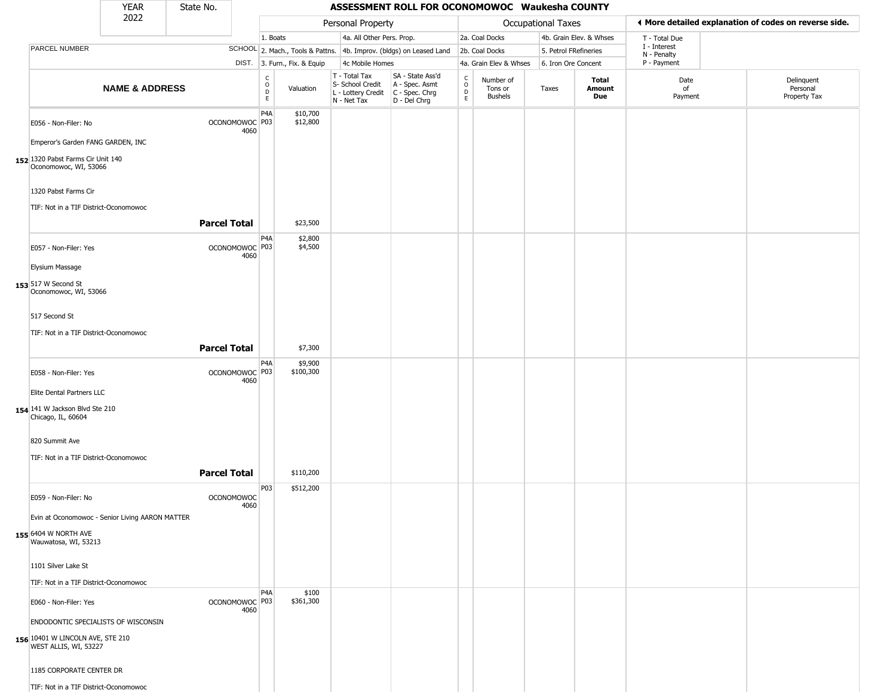|                                                               | <b>YEAR</b>               | State No.           |                                   |                                               |                              |                                                                                         | ASSESSMENT ROLL FOR OCONOMOWOC Waukesha COUNTY                      |                                   |                                        |                       |                         |                             |                                                       |
|---------------------------------------------------------------|---------------------------|---------------------|-----------------------------------|-----------------------------------------------|------------------------------|-----------------------------------------------------------------------------------------|---------------------------------------------------------------------|-----------------------------------|----------------------------------------|-----------------------|-------------------------|-----------------------------|-------------------------------------------------------|
|                                                               | 2022                      |                     |                                   |                                               |                              | Personal Property                                                                       |                                                                     |                                   |                                        | Occupational Taxes    |                         |                             | ♦ More detailed explanation of codes on reverse side. |
|                                                               |                           |                     |                                   | 1. Boats                                      |                              | 4a. All Other Pers. Prop.                                                               |                                                                     |                                   | 2a. Coal Docks                         |                       | 4b. Grain Elev. & Whses | T - Total Due               |                                                       |
| PARCEL NUMBER                                                 |                           |                     |                                   |                                               |                              |                                                                                         | SCHOOL 2. Mach., Tools & Pattns. 4b. Improv. (bldgs) on Leased Land |                                   | 2b. Coal Docks                         | 5. Petrol FRefineries |                         | I - Interest<br>N - Penalty |                                                       |
|                                                               |                           |                     |                                   |                                               | DIST. 3. Furn., Fix. & Equip | 4c Mobile Homes                                                                         |                                                                     |                                   | 4a. Grain Elev & Whses                 | 6. Iron Ore Concent   |                         | P - Payment                 |                                                       |
|                                                               | <b>NAME &amp; ADDRESS</b> |                     |                                   | C<br>$\mathsf O$<br>$\mathsf{D}_{\mathsf{E}}$ | Valuation                    | T - Total Tax<br>S- School Credit<br>L - Lottery Credit   C - Spec. Chrg<br>N - Net Tax | SA - State Ass'd<br>A - Spec. Asmt<br>D - Del Chrg                  | $\frac{c}{0}$<br>$\mathsf D$<br>E | Number of<br>Tons or<br><b>Bushels</b> | Taxes                 | Total<br>Amount<br>Due  | Date<br>of<br>Payment       | Delinquent<br>Personal<br>Property Tax                |
| E056 - Non-Filer: No                                          |                           |                     | OCONOMOWOC P03<br>4060            | P <sub>4</sub> A                              | \$10,700<br>\$12,800         |                                                                                         |                                                                     |                                   |                                        |                       |                         |                             |                                                       |
| Emperor's Garden FANG GARDEN, INC                             |                           |                     |                                   |                                               |                              |                                                                                         |                                                                     |                                   |                                        |                       |                         |                             |                                                       |
| 152 1320 Pabst Farms Cir Unit 140<br>Oconomowoc, WI, 53066    |                           |                     |                                   |                                               |                              |                                                                                         |                                                                     |                                   |                                        |                       |                         |                             |                                                       |
| 1320 Pabst Farms Cir<br>TIF: Not in a TIF District-Oconomowoc |                           |                     |                                   |                                               |                              |                                                                                         |                                                                     |                                   |                                        |                       |                         |                             |                                                       |
|                                                               |                           | <b>Parcel Total</b> |                                   |                                               | \$23,500                     |                                                                                         |                                                                     |                                   |                                        |                       |                         |                             |                                                       |
| E057 - Non-Filer: Yes                                         |                           |                     | OCONOMOWOC <sup>P03</sup><br>4060 | P4A                                           | \$2,800<br>\$4,500           |                                                                                         |                                                                     |                                   |                                        |                       |                         |                             |                                                       |
| Elysium Massage                                               |                           |                     |                                   |                                               |                              |                                                                                         |                                                                     |                                   |                                        |                       |                         |                             |                                                       |
| 153 517 W Second St<br>Oconomowoc, WI, 53066                  |                           |                     |                                   |                                               |                              |                                                                                         |                                                                     |                                   |                                        |                       |                         |                             |                                                       |
| 517 Second St                                                 |                           |                     |                                   |                                               |                              |                                                                                         |                                                                     |                                   |                                        |                       |                         |                             |                                                       |
| TIF: Not in a TIF District-Oconomowoc                         |                           |                     |                                   |                                               |                              |                                                                                         |                                                                     |                                   |                                        |                       |                         |                             |                                                       |
|                                                               |                           | <b>Parcel Total</b> |                                   |                                               | \$7,300                      |                                                                                         |                                                                     |                                   |                                        |                       |                         |                             |                                                       |
| E058 - Non-Filer: Yes                                         |                           |                     | OCONOMOWOC P03<br>4060            | P4A                                           | \$9,900<br>\$100,300         |                                                                                         |                                                                     |                                   |                                        |                       |                         |                             |                                                       |
| Elite Dental Partners LLC                                     |                           |                     |                                   |                                               |                              |                                                                                         |                                                                     |                                   |                                        |                       |                         |                             |                                                       |
| 154 141 W Jackson Blvd Ste 210<br>Chicago, IL, 60604          |                           |                     |                                   |                                               |                              |                                                                                         |                                                                     |                                   |                                        |                       |                         |                             |                                                       |
| 820 Summit Ave                                                |                           |                     |                                   |                                               |                              |                                                                                         |                                                                     |                                   |                                        |                       |                         |                             |                                                       |
| TIF: Not in a TIF District-Oconomowoc                         |                           |                     |                                   |                                               |                              |                                                                                         |                                                                     |                                   |                                        |                       |                         |                             |                                                       |
|                                                               |                           | <b>Parcel Total</b> |                                   |                                               | \$110,200                    |                                                                                         |                                                                     |                                   |                                        |                       |                         |                             |                                                       |
| E059 - Non-Filer: No                                          |                           |                     | <b>OCONOMOWOC</b><br>4060         | P03                                           | \$512,200                    |                                                                                         |                                                                     |                                   |                                        |                       |                         |                             |                                                       |
| Evin at Oconomowoc - Senior Living AARON MATTER               |                           |                     |                                   |                                               |                              |                                                                                         |                                                                     |                                   |                                        |                       |                         |                             |                                                       |
| 155 6404 W NORTH AVE<br>Wauwatosa, WI, 53213                  |                           |                     |                                   |                                               |                              |                                                                                         |                                                                     |                                   |                                        |                       |                         |                             |                                                       |
| 1101 Silver Lake St                                           |                           |                     |                                   |                                               |                              |                                                                                         |                                                                     |                                   |                                        |                       |                         |                             |                                                       |
| TIF: Not in a TIF District-Oconomowoc                         |                           |                     |                                   |                                               |                              |                                                                                         |                                                                     |                                   |                                        |                       |                         |                             |                                                       |
| E060 - Non-Filer: Yes                                         |                           |                     | OCONOMOWOC   P03<br>4060          | P <sub>4</sub> A                              | \$100<br>\$361,300           |                                                                                         |                                                                     |                                   |                                        |                       |                         |                             |                                                       |
| ENDODONTIC SPECIALISTS OF WISCONSIN                           |                           |                     |                                   |                                               |                              |                                                                                         |                                                                     |                                   |                                        |                       |                         |                             |                                                       |
| 156 10401 W LINCOLN AVE, STE 210<br>WEST ALLIS, WI, 53227     |                           |                     |                                   |                                               |                              |                                                                                         |                                                                     |                                   |                                        |                       |                         |                             |                                                       |
| 1185 CORPORATE CENTER DR                                      |                           |                     |                                   |                                               |                              |                                                                                         |                                                                     |                                   |                                        |                       |                         |                             |                                                       |
| TIF: Not in a TIF District-Oconomowoc                         |                           |                     |                                   |                                               |                              |                                                                                         |                                                                     |                                   |                                        |                       |                         |                             |                                                       |

 $\sqrt{2}$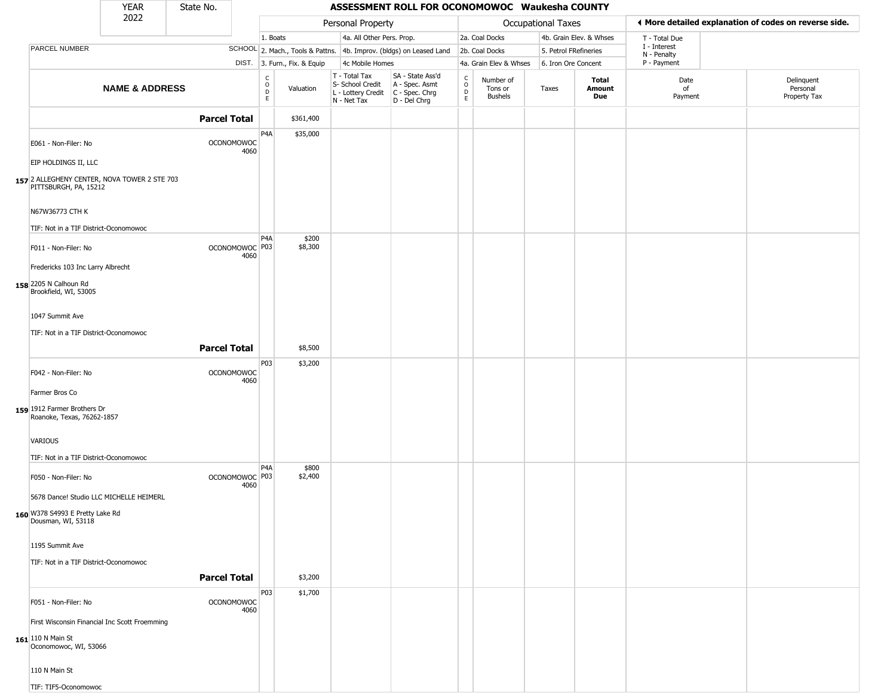|                                                                                               | YEAR                                          | State No.           |                           |                          |                              |                                                  | ASSESSMENT ROLL FOR OCONOMOWOC Waukesha COUNTY                                            |                                                |                                 |                       |                               |                                                       |                                        |
|-----------------------------------------------------------------------------------------------|-----------------------------------------------|---------------------|---------------------------|--------------------------|------------------------------|--------------------------------------------------|-------------------------------------------------------------------------------------------|------------------------------------------------|---------------------------------|-----------------------|-------------------------------|-------------------------------------------------------|----------------------------------------|
|                                                                                               | 2022                                          |                     |                           |                          |                              | Personal Property                                |                                                                                           |                                                |                                 | Occupational Taxes    |                               | ♦ More detailed explanation of codes on reverse side. |                                        |
|                                                                                               |                                               |                     |                           | 1. Boats                 |                              | 4a. All Other Pers. Prop.                        |                                                                                           |                                                | 2a. Coal Docks                  |                       | 4b. Grain Elev. & Whses       | T - Total Due                                         |                                        |
| PARCEL NUMBER                                                                                 |                                               |                     |                           |                          |                              |                                                  | SCHOOL 2. Mach., Tools & Pattns. 4b. Improv. (bldgs) on Leased Land                       |                                                | 2b. Coal Docks                  | 5. Petrol FRefineries |                               | I - Interest<br>N - Penalty                           |                                        |
|                                                                                               |                                               |                     |                           |                          | DIST. 3. Furn., Fix. & Equip | 4c Mobile Homes                                  |                                                                                           |                                                | 4a. Grain Elev & Whses          | 6. Iron Ore Concent   |                               | P - Payment                                           |                                        |
|                                                                                               | <b>NAME &amp; ADDRESS</b>                     |                     |                           | $\frac{c}{0}$<br>D<br>E. | Valuation                    | T - Total Tax<br>S- School Credit<br>N - Net Tax | SA - State Ass'd<br>A - Spec. Asmt<br>L - Lottery Credit   C - Spec. Chrg<br>D - Del Chrg | $\begin{matrix} 0 \\ 0 \\ D \end{matrix}$<br>E | Number of<br>Tons or<br>Bushels | Taxes                 | <b>Total</b><br>Amount<br>Due | Date<br>of<br>Payment                                 | Delinquent<br>Personal<br>Property Tax |
|                                                                                               |                                               | <b>Parcel Total</b> |                           |                          | \$361,400                    |                                                  |                                                                                           |                                                |                                 |                       |                               |                                                       |                                        |
| E061 - Non-Filer: No                                                                          |                                               |                     | <b>OCONOMOWOC</b><br>4060 | P <sub>4</sub> A         | \$35,000                     |                                                  |                                                                                           |                                                |                                 |                       |                               |                                                       |                                        |
| EIP HOLDINGS II, LLC<br>157 2 ALLEGHENY CENTER, NOVA TOWER 2 STE 703<br>PITTSBURGH, PA, 15212 |                                               |                     |                           |                          |                              |                                                  |                                                                                           |                                                |                                 |                       |                               |                                                       |                                        |
| N67W36773 CTH K                                                                               |                                               |                     |                           |                          |                              |                                                  |                                                                                           |                                                |                                 |                       |                               |                                                       |                                        |
| TIF: Not in a TIF District-Oconomowoc                                                         |                                               |                     |                           | P4A                      | \$200                        |                                                  |                                                                                           |                                                |                                 |                       |                               |                                                       |                                        |
| F011 - Non-Filer: No                                                                          |                                               |                     | OCONOMOWOC P03<br>4060    |                          | \$8,300                      |                                                  |                                                                                           |                                                |                                 |                       |                               |                                                       |                                        |
| Fredericks 103 Inc Larry Albrecht                                                             |                                               |                     |                           |                          |                              |                                                  |                                                                                           |                                                |                                 |                       |                               |                                                       |                                        |
| 158 2205 N Calhoun Rd<br>Brookfield, WI, 53005                                                |                                               |                     |                           |                          |                              |                                                  |                                                                                           |                                                |                                 |                       |                               |                                                       |                                        |
| 1047 Summit Ave                                                                               |                                               |                     |                           |                          |                              |                                                  |                                                                                           |                                                |                                 |                       |                               |                                                       |                                        |
| TIF: Not in a TIF District-Oconomowoc                                                         |                                               |                     |                           |                          |                              |                                                  |                                                                                           |                                                |                                 |                       |                               |                                                       |                                        |
|                                                                                               |                                               | <b>Parcel Total</b> |                           |                          | \$8,500                      |                                                  |                                                                                           |                                                |                                 |                       |                               |                                                       |                                        |
| F042 - Non-Filer: No                                                                          |                                               |                     | <b>OCONOMOWOC</b><br>4060 | P03                      | \$3,200                      |                                                  |                                                                                           |                                                |                                 |                       |                               |                                                       |                                        |
| Farmer Bros Co                                                                                |                                               |                     |                           |                          |                              |                                                  |                                                                                           |                                                |                                 |                       |                               |                                                       |                                        |
| 159 1912 Farmer Brothers Dr<br>Roanoke, Texas, 76262-1857                                     |                                               |                     |                           |                          |                              |                                                  |                                                                                           |                                                |                                 |                       |                               |                                                       |                                        |
| VARIOUS                                                                                       |                                               |                     |                           |                          |                              |                                                  |                                                                                           |                                                |                                 |                       |                               |                                                       |                                        |
| TIF: Not in a TIF District-Oconomowoc                                                         |                                               |                     |                           |                          |                              |                                                  |                                                                                           |                                                |                                 |                       |                               |                                                       |                                        |
| F050 - Non-Filer: No                                                                          |                                               |                     | OCONOMOWOC P03<br>4060    | P4A                      | \$800<br>\$2,400             |                                                  |                                                                                           |                                                |                                 |                       |                               |                                                       |                                        |
| 5678 Dance! Studio LLC MICHELLE HEIMERL                                                       |                                               |                     |                           |                          |                              |                                                  |                                                                                           |                                                |                                 |                       |                               |                                                       |                                        |
| 160 W378 S4993 E Pretty Lake Rd<br>Dousman, WI, 53118                                         |                                               |                     |                           |                          |                              |                                                  |                                                                                           |                                                |                                 |                       |                               |                                                       |                                        |
| 1195 Summit Ave                                                                               |                                               |                     |                           |                          |                              |                                                  |                                                                                           |                                                |                                 |                       |                               |                                                       |                                        |
| TIF: Not in a TIF District-Oconomowoc                                                         |                                               |                     |                           |                          |                              |                                                  |                                                                                           |                                                |                                 |                       |                               |                                                       |                                        |
|                                                                                               |                                               | <b>Parcel Total</b> |                           |                          | \$3,200                      |                                                  |                                                                                           |                                                |                                 |                       |                               |                                                       |                                        |
| F051 - Non-Filer: No                                                                          |                                               |                     | <b>OCONOMOWOC</b><br>4060 | P03                      | \$1,700                      |                                                  |                                                                                           |                                                |                                 |                       |                               |                                                       |                                        |
|                                                                                               | First Wisconsin Financial Inc Scott Froemming |                     |                           |                          |                              |                                                  |                                                                                           |                                                |                                 |                       |                               |                                                       |                                        |
| 161 110 N Main St<br>Oconomowoc, WI, 53066                                                    |                                               |                     |                           |                          |                              |                                                  |                                                                                           |                                                |                                 |                       |                               |                                                       |                                        |
| 110 N Main St                                                                                 |                                               |                     |                           |                          |                              |                                                  |                                                                                           |                                                |                                 |                       |                               |                                                       |                                        |
| TIF: TIF5-Oconomowoc                                                                          |                                               |                     |                           |                          |                              |                                                  |                                                                                           |                                                |                                 |                       |                               |                                                       |                                        |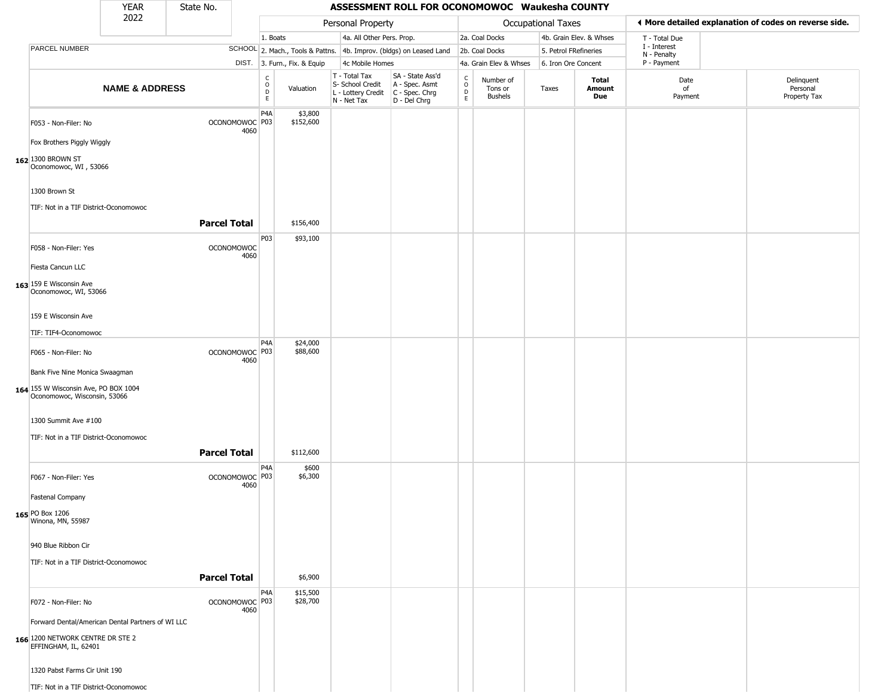|                                                                                                        | <b>YEAR</b>                                       | State No.           |                           |                                                |                              |                                                                                         | ASSESSMENT ROLL FOR OCONOMOWOC Waukesha COUNTY                      |                         |                                        |                       |                         |                            |                                                       |
|--------------------------------------------------------------------------------------------------------|---------------------------------------------------|---------------------|---------------------------|------------------------------------------------|------------------------------|-----------------------------------------------------------------------------------------|---------------------------------------------------------------------|-------------------------|----------------------------------------|-----------------------|-------------------------|----------------------------|-------------------------------------------------------|
|                                                                                                        | 2022                                              |                     |                           |                                                |                              | Personal Property                                                                       |                                                                     |                         |                                        | Occupational Taxes    |                         |                            | ♦ More detailed explanation of codes on reverse side. |
|                                                                                                        |                                                   |                     |                           | 1. Boats                                       |                              | 4a. All Other Pers. Prop.                                                               |                                                                     |                         | 2a. Coal Docks                         |                       | 4b. Grain Elev. & Whses | T - Total Due              |                                                       |
| <b>PARCEL NUMBER</b>                                                                                   |                                                   |                     |                           |                                                |                              |                                                                                         | SCHOOL 2. Mach., Tools & Pattns. 4b. Improv. (bldgs) on Leased Land |                         | 2b. Coal Docks                         | 5. Petrol FRefineries |                         | I - Interest               |                                                       |
|                                                                                                        |                                                   |                     |                           |                                                | DIST. 3. Furn., Fix. & Equip | 4c Mobile Homes                                                                         |                                                                     |                         | 4a. Grain Elev & Whses                 | 6. Iron Ore Concent   |                         | N - Penalty<br>P - Payment |                                                       |
|                                                                                                        | <b>NAME &amp; ADDRESS</b>                         |                     |                           | $\begin{matrix} 0 \\ 0 \\ 0 \end{matrix}$<br>E | Valuation                    | T - Total Tax<br>S- School Credit<br>L - Lottery Credit   C - Spec. Chrg<br>N - Net Tax | SA - State Ass'd<br>A - Spec. Asmt<br>D - Del Chrg                  | $\frac{c}{0}$<br>D<br>E | Number of<br>Tons or<br><b>Bushels</b> | Taxes                 | Total<br>Amount<br>Due  | Date<br>of<br>Payment      | Delinquent<br>Personal<br>Property Tax                |
| F053 - Non-Filer: No                                                                                   |                                                   |                     | OCONOMOWOC P03<br>4060    | P4A                                            | \$3,800<br>\$152,600         |                                                                                         |                                                                     |                         |                                        |                       |                         |                            |                                                       |
| Fox Brothers Piggly Wiggly<br>162 1300 BROWN ST<br>Oconomowoc, WI, 53066                               |                                                   |                     |                           |                                                |                              |                                                                                         |                                                                     |                         |                                        |                       |                         |                            |                                                       |
| 1300 Brown St<br>TIF: Not in a TIF District-Oconomowoc                                                 |                                                   |                     |                           |                                                |                              |                                                                                         |                                                                     |                         |                                        |                       |                         |                            |                                                       |
|                                                                                                        |                                                   | <b>Parcel Total</b> |                           |                                                | \$156,400                    |                                                                                         |                                                                     |                         |                                        |                       |                         |                            |                                                       |
| F058 - Non-Filer: Yes                                                                                  |                                                   |                     | <b>OCONOMOWOC</b><br>4060 | P03                                            | \$93,100                     |                                                                                         |                                                                     |                         |                                        |                       |                         |                            |                                                       |
| Fiesta Cancun LLC                                                                                      |                                                   |                     |                           |                                                |                              |                                                                                         |                                                                     |                         |                                        |                       |                         |                            |                                                       |
| 163 159 E Wisconsin Ave<br>Oconomowoc, WI, 53066                                                       |                                                   |                     |                           |                                                |                              |                                                                                         |                                                                     |                         |                                        |                       |                         |                            |                                                       |
| 159 E Wisconsin Ave                                                                                    |                                                   |                     |                           |                                                |                              |                                                                                         |                                                                     |                         |                                        |                       |                         |                            |                                                       |
| TIF: TIF4-Oconomowoc                                                                                   |                                                   |                     |                           | P4A                                            | \$24,000                     |                                                                                         |                                                                     |                         |                                        |                       |                         |                            |                                                       |
| F065 - Non-Filer: No                                                                                   |                                                   |                     | OCONOMOWOC P03<br>4060    |                                                | \$88,600                     |                                                                                         |                                                                     |                         |                                        |                       |                         |                            |                                                       |
| Bank Five Nine Monica Swaagman<br>164 155 W Wisconsin Ave, PO BOX 1004<br>Oconomowoc, Wisconsin, 53066 |                                                   |                     |                           |                                                |                              |                                                                                         |                                                                     |                         |                                        |                       |                         |                            |                                                       |
| 1300 Summit Ave #100<br>TIF: Not in a TIF District-Oconomowoc                                          |                                                   |                     |                           |                                                |                              |                                                                                         |                                                                     |                         |                                        |                       |                         |                            |                                                       |
|                                                                                                        |                                                   | <b>Parcel Total</b> |                           |                                                | \$112,600                    |                                                                                         |                                                                     |                         |                                        |                       |                         |                            |                                                       |
| F067 - Non-Filer: Yes                                                                                  |                                                   |                     | OCONOMOWOC P03<br>4060    | P4A                                            | \$600<br>\$6,300             |                                                                                         |                                                                     |                         |                                        |                       |                         |                            |                                                       |
| Fastenal Company                                                                                       |                                                   |                     |                           |                                                |                              |                                                                                         |                                                                     |                         |                                        |                       |                         |                            |                                                       |
| <b>165</b> PO Box 1206<br>Winona, MN, 55987                                                            |                                                   |                     |                           |                                                |                              |                                                                                         |                                                                     |                         |                                        |                       |                         |                            |                                                       |
| 940 Blue Ribbon Cir                                                                                    |                                                   |                     |                           |                                                |                              |                                                                                         |                                                                     |                         |                                        |                       |                         |                            |                                                       |
| TIF: Not in a TIF District-Oconomowoc                                                                  |                                                   | <b>Parcel Total</b> |                           |                                                | \$6,900                      |                                                                                         |                                                                     |                         |                                        |                       |                         |                            |                                                       |
| F072 - Non-Filer: No                                                                                   |                                                   |                     | OCONOMOWOC P03<br>4060    | P4A                                            | \$15,500<br>\$28,700         |                                                                                         |                                                                     |                         |                                        |                       |                         |                            |                                                       |
|                                                                                                        | Forward Dental/American Dental Partners of WI LLC |                     |                           |                                                |                              |                                                                                         |                                                                     |                         |                                        |                       |                         |                            |                                                       |
| 166 1200 NETWORK CENTRE DR STE 2<br>EFFINGHAM, IL, 62401                                               |                                                   |                     |                           |                                                |                              |                                                                                         |                                                                     |                         |                                        |                       |                         |                            |                                                       |
| 1320 Pabst Farms Cir Unit 190                                                                          |                                                   |                     |                           |                                                |                              |                                                                                         |                                                                     |                         |                                        |                       |                         |                            |                                                       |
| TIF: Not in a TIF District-Oconomowoc                                                                  |                                                   |                     |                           |                                                |                              |                                                                                         |                                                                     |                         |                                        |                       |                         |                            |                                                       |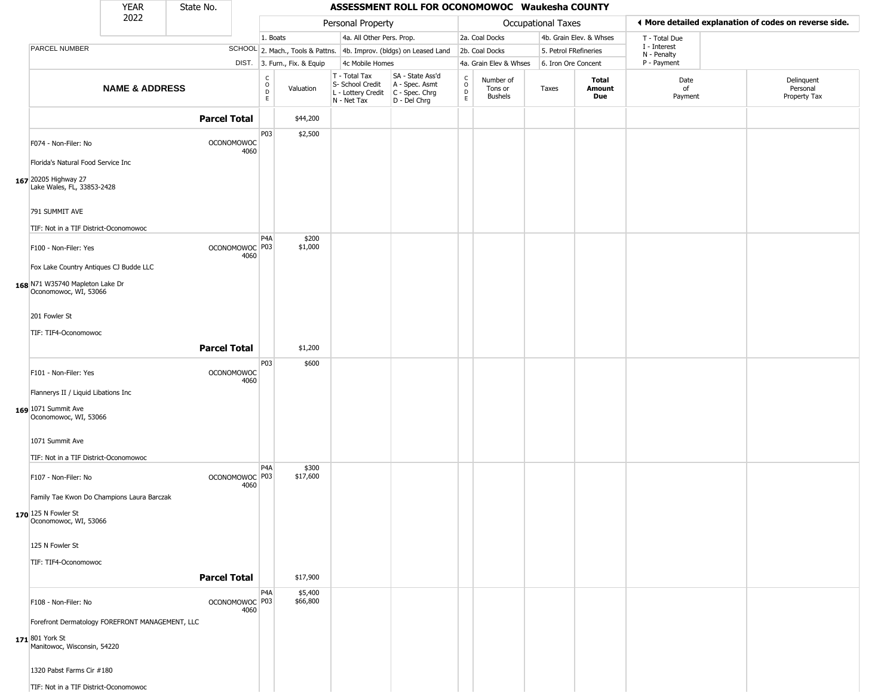|                                                          | <b>YEAR</b>                                     | State No.           |                                     |                  |                              |                                                                                         | ASSESSMENT ROLL FOR OCONOMOWOC Waukesha COUNTY                      |                         |                                 |                       |                         |                             |                                                       |
|----------------------------------------------------------|-------------------------------------------------|---------------------|-------------------------------------|------------------|------------------------------|-----------------------------------------------------------------------------------------|---------------------------------------------------------------------|-------------------------|---------------------------------|-----------------------|-------------------------|-----------------------------|-------------------------------------------------------|
|                                                          | 2022                                            |                     |                                     |                  |                              | Personal Property                                                                       |                                                                     |                         |                                 | Occupational Taxes    |                         |                             | ◀ More detailed explanation of codes on reverse side. |
|                                                          |                                                 |                     |                                     | 1. Boats         |                              | 4a. All Other Pers. Prop.                                                               |                                                                     |                         | 2a. Coal Docks                  |                       | 4b. Grain Elev. & Whses | T - Total Due               |                                                       |
| PARCEL NUMBER                                            |                                                 |                     |                                     |                  |                              |                                                                                         | SCHOOL 2. Mach., Tools & Pattns. 4b. Improv. (bldgs) on Leased Land |                         | 2b. Coal Docks                  | 5. Petrol FRefineries |                         | I - Interest<br>N - Penalty |                                                       |
|                                                          |                                                 |                     |                                     |                  | DIST. 3. Furn., Fix. & Equip | 4c Mobile Homes                                                                         |                                                                     |                         | 4a. Grain Elev & Whses          | 6. Iron Ore Concent   |                         | P - Payment                 |                                                       |
|                                                          | <b>NAME &amp; ADDRESS</b>                       |                     |                                     | C<br>D<br>D<br>E | Valuation                    | T - Total Tax<br>S- School Credit<br>L - Lottery Credit   C - Spec. Chrg<br>N - Net Tax | SA - State Ass'd<br>A - Spec. Asmt<br>D - Del Chrg                  | с<br>$\circ$<br>D<br>E. | Number of<br>Tons or<br>Bushels | Taxes                 | Total<br>Amount<br>Due  | Date<br>of<br>Payment       | Delinquent<br>Personal<br>Property Tax                |
|                                                          |                                                 | <b>Parcel Total</b> |                                     |                  | \$44,200                     |                                                                                         |                                                                     |                         |                                 |                       |                         |                             |                                                       |
| F074 - Non-Filer: No                                     |                                                 | <b>OCONOMOWOC</b>   | 4060                                | P03              | \$2,500                      |                                                                                         |                                                                     |                         |                                 |                       |                         |                             |                                                       |
| Florida's Natural Food Service Inc                       |                                                 |                     |                                     |                  |                              |                                                                                         |                                                                     |                         |                                 |                       |                         |                             |                                                       |
| 167 20205 Highway 27<br>Lake Wales, FL, 33853-2428       |                                                 |                     |                                     |                  |                              |                                                                                         |                                                                     |                         |                                 |                       |                         |                             |                                                       |
| 791 SUMMIT AVE<br>TIF: Not in a TIF District-Oconomowoc  |                                                 |                     |                                     |                  |                              |                                                                                         |                                                                     |                         |                                 |                       |                         |                             |                                                       |
| F100 - Non-Filer: Yes                                    |                                                 |                     | OCONOMOWOC <sup>P03</sup><br>4060   | P <sub>4</sub> A | \$200<br>\$1,000             |                                                                                         |                                                                     |                         |                                 |                       |                         |                             |                                                       |
| 168 N71 W35740 Mapleton Lake Dr<br>Oconomowoc, WI, 53066 | Fox Lake Country Antiques CJ Budde LLC          |                     |                                     |                  |                              |                                                                                         |                                                                     |                         |                                 |                       |                         |                             |                                                       |
| 201 Fowler St                                            |                                                 |                     |                                     |                  |                              |                                                                                         |                                                                     |                         |                                 |                       |                         |                             |                                                       |
| TIF: TIF4-Oconomowoc                                     |                                                 | <b>Parcel Total</b> |                                     |                  | \$1,200                      |                                                                                         |                                                                     |                         |                                 |                       |                         |                             |                                                       |
| F101 - Non-Filer: Yes                                    |                                                 | <b>OCONOMOWOC</b>   |                                     | P03              | \$600                        |                                                                                         |                                                                     |                         |                                 |                       |                         |                             |                                                       |
| Flannerys II / Liquid Libations Inc                      |                                                 |                     | 4060                                |                  |                              |                                                                                         |                                                                     |                         |                                 |                       |                         |                             |                                                       |
| 169 1071 Summit Ave<br>Oconomowoc, WI, 53066             |                                                 |                     |                                     |                  |                              |                                                                                         |                                                                     |                         |                                 |                       |                         |                             |                                                       |
| 1071 Summit Ave<br>TIF: Not in a TIF District-Oconomowoc |                                                 |                     |                                     |                  |                              |                                                                                         |                                                                     |                         |                                 |                       |                         |                             |                                                       |
| F107 - Non-Filer: No                                     |                                                 |                     | OCONOMOWOC <sup>O P03</sup><br>4060 | P <sub>4</sub> A | \$300<br>\$17,600            |                                                                                         |                                                                     |                         |                                 |                       |                         |                             |                                                       |
| 170 125 N Fowler St<br>Oconomowoc, WI, 53066             | Family Tae Kwon Do Champions Laura Barczak      |                     |                                     |                  |                              |                                                                                         |                                                                     |                         |                                 |                       |                         |                             |                                                       |
| 125 N Fowler St                                          |                                                 |                     |                                     |                  |                              |                                                                                         |                                                                     |                         |                                 |                       |                         |                             |                                                       |
| TIF: TIF4-Oconomowoc                                     |                                                 | <b>Parcel Total</b> |                                     |                  | \$17,900                     |                                                                                         |                                                                     |                         |                                 |                       |                         |                             |                                                       |
| F108 - Non-Filer: No                                     |                                                 |                     | OCONOMOWOC P03<br>4060              | P4A              | \$5,400<br>\$66,800          |                                                                                         |                                                                     |                         |                                 |                       |                         |                             |                                                       |
| 171 801 York St<br>Manitowoc, Wisconsin, 54220           | Forefront Dermatology FOREFRONT MANAGEMENT, LLC |                     |                                     |                  |                              |                                                                                         |                                                                     |                         |                                 |                       |                         |                             |                                                       |
| 1320 Pabst Farms Cir #180                                |                                                 |                     |                                     |                  |                              |                                                                                         |                                                                     |                         |                                 |                       |                         |                             |                                                       |
| TIF: Not in a TIF District-Oconomowoc                    |                                                 |                     |                                     |                  |                              |                                                                                         |                                                                     |                         |                                 |                       |                         |                             |                                                       |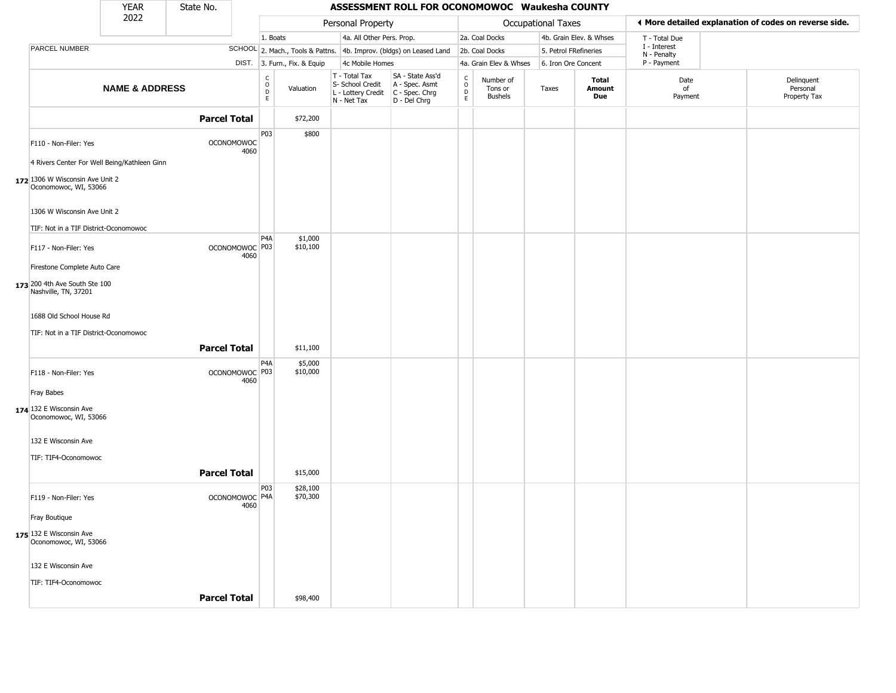|                                                                       | <b>YEAR</b>               | State No.           |                                   |                                                          |                              |                                                                                           | ASSESSMENT ROLL FOR OCONOMOWOC Waukesha COUNTY                      |                                   |                                        |                       |                         |                             |                                                       |
|-----------------------------------------------------------------------|---------------------------|---------------------|-----------------------------------|----------------------------------------------------------|------------------------------|-------------------------------------------------------------------------------------------|---------------------------------------------------------------------|-----------------------------------|----------------------------------------|-----------------------|-------------------------|-----------------------------|-------------------------------------------------------|
|                                                                       | 2022                      |                     |                                   |                                                          |                              | Personal Property                                                                         |                                                                     |                                   |                                        | Occupational Taxes    |                         |                             | ◀ More detailed explanation of codes on reverse side. |
|                                                                       |                           |                     |                                   | 1. Boats                                                 |                              | 4a. All Other Pers. Prop.                                                                 |                                                                     |                                   | 2a. Coal Docks                         |                       | 4b. Grain Elev. & Whses | T - Total Due               |                                                       |
| PARCEL NUMBER                                                         |                           |                     |                                   |                                                          |                              |                                                                                           | SCHOOL 2. Mach., Tools & Pattns. 4b. Improv. (bldgs) on Leased Land |                                   | 2b. Coal Docks                         | 5. Petrol FRefineries |                         | I - Interest<br>N - Penalty |                                                       |
|                                                                       |                           |                     |                                   |                                                          | DIST. 3. Furn., Fix. & Equip | 4c Mobile Homes                                                                           |                                                                     |                                   | 4a. Grain Elev & Whses                 | 6. Iron Ore Concent   |                         | P - Payment                 |                                                       |
|                                                                       | <b>NAME &amp; ADDRESS</b> |                     |                                   | $\begin{matrix} 0 \\ 0 \\ D \end{matrix}$<br>$\mathsf E$ | Valuation                    | T - Total Tax<br>S- School Credit<br>$L$ - Lottery Credit $C$ - Spec. Chrg<br>N - Net Tax | SA - State Ass'd<br>A - Spec. Asmt<br>D - Del Chrg                  | C<br>$\circ$<br>$\mathsf D$<br>E. | Number of<br>Tons or<br><b>Bushels</b> | Taxes                 | Total<br>Amount<br>Due  | Date<br>of<br>Payment       | Delinquent<br>Personal<br>Property Tax                |
|                                                                       |                           | <b>Parcel Total</b> |                                   |                                                          | \$72,200                     |                                                                                           |                                                                     |                                   |                                        |                       |                         |                             |                                                       |
| F110 - Non-Filer: Yes<br>4 Rivers Center For Well Being/Kathleen Ginn |                           |                     | <b>OCONOMOWOC</b><br>4060         | P03                                                      | \$800                        |                                                                                           |                                                                     |                                   |                                        |                       |                         |                             |                                                       |
| 172 1306 W Wisconsin Ave Unit 2<br>Oconomowoc, WI, 53066              |                           |                     |                                   |                                                          |                              |                                                                                           |                                                                     |                                   |                                        |                       |                         |                             |                                                       |
| 1306 W Wisconsin Ave Unit 2                                           |                           |                     |                                   |                                                          |                              |                                                                                           |                                                                     |                                   |                                        |                       |                         |                             |                                                       |
| TIF: Not in a TIF District-Oconomowoc                                 |                           |                     |                                   |                                                          |                              |                                                                                           |                                                                     |                                   |                                        |                       |                         |                             |                                                       |
| F117 - Non-Filer: Yes                                                 |                           |                     | OCONOMOWOC <sup>P03</sup><br>4060 | P <sub>4</sub> A                                         | \$1,000<br>\$10,100          |                                                                                           |                                                                     |                                   |                                        |                       |                         |                             |                                                       |
| Firestone Complete Auto Care                                          |                           |                     |                                   |                                                          |                              |                                                                                           |                                                                     |                                   |                                        |                       |                         |                             |                                                       |
| 173 200 4th Ave South Ste 100<br>Nashville, TN, 37201                 |                           |                     |                                   |                                                          |                              |                                                                                           |                                                                     |                                   |                                        |                       |                         |                             |                                                       |
| 1688 Old School House Rd                                              |                           |                     |                                   |                                                          |                              |                                                                                           |                                                                     |                                   |                                        |                       |                         |                             |                                                       |
| TIF: Not in a TIF District-Oconomowoc                                 |                           | <b>Parcel Total</b> |                                   |                                                          | \$11,100                     |                                                                                           |                                                                     |                                   |                                        |                       |                         |                             |                                                       |
| F118 - Non-Filer: Yes                                                 |                           |                     | OCONOMOWOC P03<br>4060            | P4A                                                      | \$5,000<br>\$10,000          |                                                                                           |                                                                     |                                   |                                        |                       |                         |                             |                                                       |
| <b>Fray Babes</b>                                                     |                           |                     |                                   |                                                          |                              |                                                                                           |                                                                     |                                   |                                        |                       |                         |                             |                                                       |
| 174 132 E Wisconsin Ave<br>Oconomowoc, WI, 53066                      |                           |                     |                                   |                                                          |                              |                                                                                           |                                                                     |                                   |                                        |                       |                         |                             |                                                       |
| 132 E Wisconsin Ave                                                   |                           |                     |                                   |                                                          |                              |                                                                                           |                                                                     |                                   |                                        |                       |                         |                             |                                                       |
| TIF: TIF4-Oconomowoc                                                  |                           | <b>Parcel Total</b> |                                   |                                                          | \$15,000                     |                                                                                           |                                                                     |                                   |                                        |                       |                         |                             |                                                       |
|                                                                       |                           |                     |                                   | P03                                                      | \$28,100                     |                                                                                           |                                                                     |                                   |                                        |                       |                         |                             |                                                       |
| F119 - Non-Filer: Yes                                                 |                           |                     | OCONOMOWOC <sup>P4A</sup><br>4060 |                                                          | \$70,300                     |                                                                                           |                                                                     |                                   |                                        |                       |                         |                             |                                                       |
| Fray Boutique                                                         |                           |                     |                                   |                                                          |                              |                                                                                           |                                                                     |                                   |                                        |                       |                         |                             |                                                       |
| 175 132 E Wisconsin Ave<br>Oconomowoc, WI, 53066                      |                           |                     |                                   |                                                          |                              |                                                                                           |                                                                     |                                   |                                        |                       |                         |                             |                                                       |
| 132 E Wisconsin Ave                                                   |                           |                     |                                   |                                                          |                              |                                                                                           |                                                                     |                                   |                                        |                       |                         |                             |                                                       |
| TIF: TIF4-Oconomowoc                                                  |                           |                     |                                   |                                                          |                              |                                                                                           |                                                                     |                                   |                                        |                       |                         |                             |                                                       |
|                                                                       |                           | <b>Parcel Total</b> |                                   |                                                          | \$98,400                     |                                                                                           |                                                                     |                                   |                                        |                       |                         |                             |                                                       |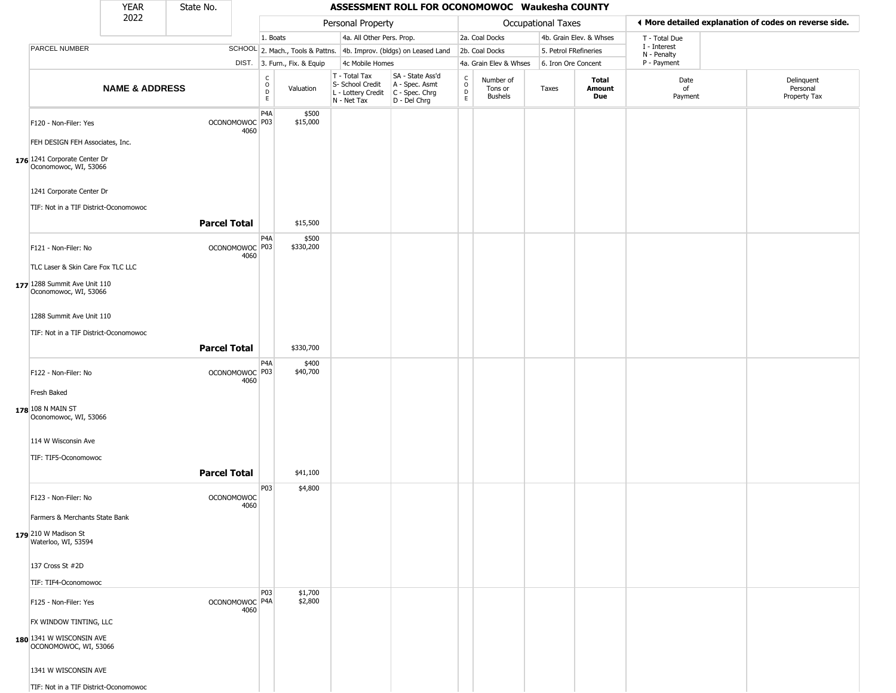|                                                                   | <b>YEAR</b>               | State No.           |                           |                                                |                              |                                                                                             | ASSESSMENT ROLL FOR OCONOMOWOC Waukesha COUNTY                      |                                                          |                                        |                       |                         |                             |                                                       |
|-------------------------------------------------------------------|---------------------------|---------------------|---------------------------|------------------------------------------------|------------------------------|---------------------------------------------------------------------------------------------|---------------------------------------------------------------------|----------------------------------------------------------|----------------------------------------|-----------------------|-------------------------|-----------------------------|-------------------------------------------------------|
|                                                                   | 2022                      |                     |                           |                                                |                              | Personal Property                                                                           |                                                                     |                                                          |                                        | Occupational Taxes    |                         |                             | ◀ More detailed explanation of codes on reverse side. |
|                                                                   |                           |                     |                           | 1. Boats                                       |                              | 4a. All Other Pers. Prop.                                                                   |                                                                     |                                                          | 2a. Coal Docks                         |                       | 4b. Grain Elev. & Whses | T - Total Due               |                                                       |
| PARCEL NUMBER                                                     |                           |                     |                           |                                                |                              |                                                                                             | SCHOOL 2. Mach., Tools & Pattns. 4b. Improv. (bldgs) on Leased Land |                                                          | 2b. Coal Docks                         | 5. Petrol FRefineries |                         | I - Interest<br>N - Penalty |                                                       |
|                                                                   |                           |                     |                           |                                                | DIST. 3. Furn., Fix. & Equip | 4c Mobile Homes                                                                             |                                                                     |                                                          | 4a. Grain Elev & Whses                 | 6. Iron Ore Concent   |                         | P - Payment                 |                                                       |
|                                                                   | <b>NAME &amp; ADDRESS</b> |                     |                           | $\begin{matrix} 0 \\ 0 \\ D \end{matrix}$<br>E | Valuation                    | $T - Total Tax$<br>S- School Credit<br>$L$ - Lottery Credit $C$ - Spec. Chrg<br>N - Net Tax | SA - State Ass'd<br>A - Spec. Asmt<br>D - Del Chrg                  | $\begin{matrix} 0 \\ 0 \\ D \end{matrix}$<br>$\mathsf E$ | Number of<br>Tons or<br><b>Bushels</b> | Taxes                 | Total<br>Amount<br>Due  | Date<br>of<br>Payment       | Delinquent<br>Personal<br>Property Tax                |
| F120 - Non-Filer: Yes                                             |                           |                     | OCONOMOWOC P03<br>4060    | P <sub>4</sub> A                               | \$500<br>\$15,000            |                                                                                             |                                                                     |                                                          |                                        |                       |                         |                             |                                                       |
| FEH DESIGN FEH Associates, Inc.                                   |                           |                     |                           |                                                |                              |                                                                                             |                                                                     |                                                          |                                        |                       |                         |                             |                                                       |
| 176 1241 Corporate Center Dr<br>Oconomowoc, WI, 53066             |                           |                     |                           |                                                |                              |                                                                                             |                                                                     |                                                          |                                        |                       |                         |                             |                                                       |
| 1241 Corporate Center Dr<br>TIF: Not in a TIF District-Oconomowoc |                           |                     |                           |                                                |                              |                                                                                             |                                                                     |                                                          |                                        |                       |                         |                             |                                                       |
|                                                                   |                           | <b>Parcel Total</b> |                           |                                                | \$15,500                     |                                                                                             |                                                                     |                                                          |                                        |                       |                         |                             |                                                       |
| F121 - Non-Filer: No                                              |                           |                     | OCONOMOWOC P03<br>4060    | P4A                                            | \$500<br>\$330,200           |                                                                                             |                                                                     |                                                          |                                        |                       |                         |                             |                                                       |
| TLC Laser & Skin Care Fox TLC LLC                                 |                           |                     |                           |                                                |                              |                                                                                             |                                                                     |                                                          |                                        |                       |                         |                             |                                                       |
| 177 1288 Summit Ave Unit 110<br>Oconomowoc, WI, 53066             |                           |                     |                           |                                                |                              |                                                                                             |                                                                     |                                                          |                                        |                       |                         |                             |                                                       |
| 1288 Summit Ave Unit 110                                          |                           |                     |                           |                                                |                              |                                                                                             |                                                                     |                                                          |                                        |                       |                         |                             |                                                       |
| TIF: Not in a TIF District-Oconomowoc                             |                           |                     |                           |                                                |                              |                                                                                             |                                                                     |                                                          |                                        |                       |                         |                             |                                                       |
|                                                                   |                           | <b>Parcel Total</b> |                           |                                                | \$330,700                    |                                                                                             |                                                                     |                                                          |                                        |                       |                         |                             |                                                       |
| F122 - Non-Filer: No                                              |                           |                     | OCONOMOWOC P03<br>4060    | P4A                                            | \$400<br>\$40,700            |                                                                                             |                                                                     |                                                          |                                        |                       |                         |                             |                                                       |
| Fresh Baked                                                       |                           |                     |                           |                                                |                              |                                                                                             |                                                                     |                                                          |                                        |                       |                         |                             |                                                       |
| 178 108 N MAIN ST<br>Oconomowoc, WI, 53066                        |                           |                     |                           |                                                |                              |                                                                                             |                                                                     |                                                          |                                        |                       |                         |                             |                                                       |
| 114 W Wisconsin Ave                                               |                           |                     |                           |                                                |                              |                                                                                             |                                                                     |                                                          |                                        |                       |                         |                             |                                                       |
| TIF: TIF5-Oconomowoc                                              |                           |                     |                           |                                                |                              |                                                                                             |                                                                     |                                                          |                                        |                       |                         |                             |                                                       |
|                                                                   |                           | <b>Parcel Total</b> |                           |                                                | \$41,100                     |                                                                                             |                                                                     |                                                          |                                        |                       |                         |                             |                                                       |
| F123 - Non-Filer: No                                              |                           |                     | <b>OCONOMOWOC</b><br>4060 | P03                                            | \$4,800                      |                                                                                             |                                                                     |                                                          |                                        |                       |                         |                             |                                                       |
| Farmers & Merchants State Bank                                    |                           |                     |                           |                                                |                              |                                                                                             |                                                                     |                                                          |                                        |                       |                         |                             |                                                       |
| 179 210 W Madison St<br>Waterloo, WI, 53594                       |                           |                     |                           |                                                |                              |                                                                                             |                                                                     |                                                          |                                        |                       |                         |                             |                                                       |
| 137 Cross St #2D                                                  |                           |                     |                           |                                                |                              |                                                                                             |                                                                     |                                                          |                                        |                       |                         |                             |                                                       |
| TIF: TIF4-Oconomowoc                                              |                           |                     |                           |                                                |                              |                                                                                             |                                                                     |                                                          |                                        |                       |                         |                             |                                                       |
| F125 - Non-Filer: Yes                                             |                           |                     | OCONOMOWOC P4A<br>4060    | P03                                            | \$1,700<br>\$2,800           |                                                                                             |                                                                     |                                                          |                                        |                       |                         |                             |                                                       |
| FX WINDOW TINTING, LLC                                            |                           |                     |                           |                                                |                              |                                                                                             |                                                                     |                                                          |                                        |                       |                         |                             |                                                       |
| 180 1341 W WISCONSIN AVE<br>OCONOMOWOC, WI, 53066                 |                           |                     |                           |                                                |                              |                                                                                             |                                                                     |                                                          |                                        |                       |                         |                             |                                                       |
| 1341 W WISCONSIN AVE                                              |                           |                     |                           |                                                |                              |                                                                                             |                                                                     |                                                          |                                        |                       |                         |                             |                                                       |
| TIF: Not in a TIF District-Oconomowoc                             |                           |                     |                           |                                                |                              |                                                                                             |                                                                     |                                                          |                                        |                       |                         |                             |                                                       |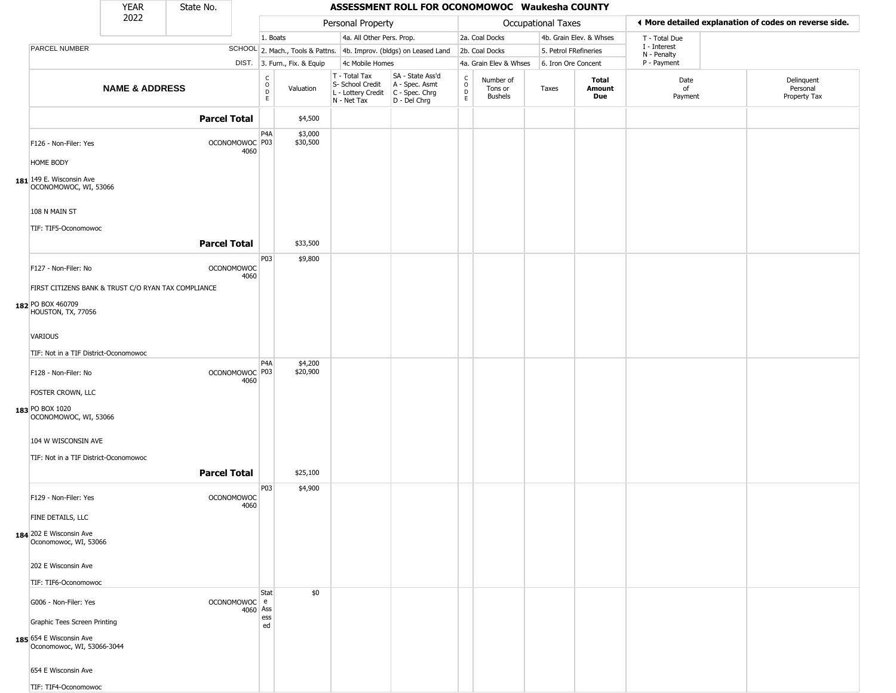|                                                       | <b>YEAR</b>                                         | State No.           |                                   |                                |                              |                                                                        | ASSESSMENT ROLL FOR OCONOMOWOC Waukesha COUNTY                       |                                 |                                 |                       |                         |                            |                                                       |
|-------------------------------------------------------|-----------------------------------------------------|---------------------|-----------------------------------|--------------------------------|------------------------------|------------------------------------------------------------------------|----------------------------------------------------------------------|---------------------------------|---------------------------------|-----------------------|-------------------------|----------------------------|-------------------------------------------------------|
|                                                       | 2022                                                |                     |                                   |                                |                              | Personal Property                                                      |                                                                      |                                 |                                 | Occupational Taxes    |                         |                            | ◀ More detailed explanation of codes on reverse side. |
|                                                       |                                                     |                     |                                   | 1. Boats                       |                              | 4a. All Other Pers. Prop.                                              |                                                                      |                                 | 2a. Coal Docks                  |                       | 4b. Grain Elev. & Whses | T - Total Due              |                                                       |
| PARCEL NUMBER                                         |                                                     |                     |                                   |                                |                              |                                                                        | SCHOOL 2. Mach., Tools & Pattns. 4b. Improv. (bldgs) on Leased Land  |                                 | 2b. Coal Docks                  | 5. Petrol FRefineries |                         | I - Interest               |                                                       |
|                                                       |                                                     |                     |                                   |                                | DIST. 3. Furn., Fix. & Equip | 4c Mobile Homes                                                        |                                                                      |                                 | 4a. Grain Elev & Whses          | 6. Iron Ore Concent   |                         | N - Penalty<br>P - Payment |                                                       |
|                                                       | <b>NAME &amp; ADDRESS</b>                           |                     |                                   | $_{\rm o}^{\rm c}$<br>D.<br>E. | Valuation                    | T - Total Tax<br>S- School Credit<br>L - Lottery Credit<br>N - Net Tax | SA - State Ass'd<br>A - Spec. Asmt<br>C - Spec. Chrg<br>D - Del Chrg | $\frac{c}{0}$<br>$\overline{P}$ | Number of<br>Tons or<br>Bushels | Taxes                 | Total<br>Amount<br>Due  | Date<br>of<br>Payment      | Delinquent<br>Personal<br>Property Tax                |
|                                                       |                                                     | <b>Parcel Total</b> |                                   |                                | \$4,500                      |                                                                        |                                                                      |                                 |                                 |                       |                         |                            |                                                       |
| F126 - Non-Filer: Yes                                 |                                                     |                     | OCONOMOWOC P03<br>4060            | P4A                            | \$3,000<br>\$30,500          |                                                                        |                                                                      |                                 |                                 |                       |                         |                            |                                                       |
| HOME BODY                                             |                                                     |                     |                                   |                                |                              |                                                                        |                                                                      |                                 |                                 |                       |                         |                            |                                                       |
| 181 149 E. Wisconsin Ave<br>OCONOMOWOC, WI, 53066     |                                                     |                     |                                   |                                |                              |                                                                        |                                                                      |                                 |                                 |                       |                         |                            |                                                       |
| 108 N MAIN ST<br>TIF: TIF5-Oconomowoc                 |                                                     |                     |                                   |                                |                              |                                                                        |                                                                      |                                 |                                 |                       |                         |                            |                                                       |
|                                                       | <b>Parcel Total</b>                                 |                     |                                   |                                | \$33,500                     |                                                                        |                                                                      |                                 |                                 |                       |                         |                            |                                                       |
| F127 - Non-Filer: No                                  | FIRST CITIZENS BANK & TRUST C/O RYAN TAX COMPLIANCE |                     |                                   | P03<br><b>OCONOMOWOC</b>       | \$9,800                      |                                                                        |                                                                      |                                 |                                 |                       |                         |                            |                                                       |
|                                                       |                                                     |                     |                                   | 4060                           |                              |                                                                        |                                                                      |                                 |                                 |                       |                         |                            |                                                       |
| 182 PO BOX 460709<br>HOUSTON, TX, 77056               |                                                     |                     |                                   |                                |                              |                                                                        |                                                                      |                                 |                                 |                       |                         |                            |                                                       |
| <b>VARIOUS</b>                                        |                                                     |                     |                                   |                                |                              |                                                                        |                                                                      |                                 |                                 |                       |                         |                            |                                                       |
| TIF: Not in a TIF District-Oconomowoc                 |                                                     |                     |                                   |                                |                              |                                                                        |                                                                      |                                 |                                 |                       |                         |                            |                                                       |
| F128 - Non-Filer: No                                  |                                                     |                     | OCONOMOWOC <sup>P03</sup><br>4060 | P4A                            | \$4,200<br>\$20,900          |                                                                        |                                                                      |                                 |                                 |                       |                         |                            |                                                       |
| FOSTER CROWN, LLC<br>183 PO BOX 1020                  |                                                     |                     |                                   |                                |                              |                                                                        |                                                                      |                                 |                                 |                       |                         |                            |                                                       |
| OCONOMOWOC, WI, 53066                                 |                                                     |                     |                                   |                                |                              |                                                                        |                                                                      |                                 |                                 |                       |                         |                            |                                                       |
| 104 W WISCONSIN AVE                                   |                                                     |                     |                                   |                                |                              |                                                                        |                                                                      |                                 |                                 |                       |                         |                            |                                                       |
| TIF: Not in a TIF District-Oconomowoc                 |                                                     |                     |                                   |                                |                              |                                                                        |                                                                      |                                 |                                 |                       |                         |                            |                                                       |
|                                                       |                                                     | <b>Parcel Total</b> |                                   |                                | \$25,100                     |                                                                        |                                                                      |                                 |                                 |                       |                         |                            |                                                       |
| F129 - Non-Filer: Yes                                 |                                                     |                     | <b>OCONOMOWOC</b><br>4060         | P03                            | \$4,900                      |                                                                        |                                                                      |                                 |                                 |                       |                         |                            |                                                       |
| FINE DETAILS, LLC                                     |                                                     |                     |                                   |                                |                              |                                                                        |                                                                      |                                 |                                 |                       |                         |                            |                                                       |
| 184 202 E Wisconsin Ave<br>Oconomowoc, WI, 53066      |                                                     |                     |                                   |                                |                              |                                                                        |                                                                      |                                 |                                 |                       |                         |                            |                                                       |
| 202 E Wisconsin Ave                                   |                                                     |                     |                                   |                                |                              |                                                                        |                                                                      |                                 |                                 |                       |                         |                            |                                                       |
| TIF: TIF6-Oconomowoc                                  |                                                     |                     |                                   |                                |                              |                                                                        |                                                                      |                                 |                                 |                       |                         |                            |                                                       |
| G006 - Non-Filer: Yes                                 |                                                     |                     | OCONOMOWOC e<br>4060 Ass          | Stat                           | \$0                          |                                                                        |                                                                      |                                 |                                 |                       |                         |                            |                                                       |
| Graphic Tees Screen Printing                          |                                                     |                     |                                   | ess<br>ed                      |                              |                                                                        |                                                                      |                                 |                                 |                       |                         |                            |                                                       |
| 185 654 E Wisconsin Ave<br>Oconomowoc, WI, 53066-3044 |                                                     |                     |                                   |                                |                              |                                                                        |                                                                      |                                 |                                 |                       |                         |                            |                                                       |
| 654 E Wisconsin Ave                                   |                                                     |                     |                                   |                                |                              |                                                                        |                                                                      |                                 |                                 |                       |                         |                            |                                                       |
| TIF: TIF4-Oconomowoc                                  |                                                     |                     |                                   |                                |                              |                                                                        |                                                                      |                                 |                                 |                       |                         |                            |                                                       |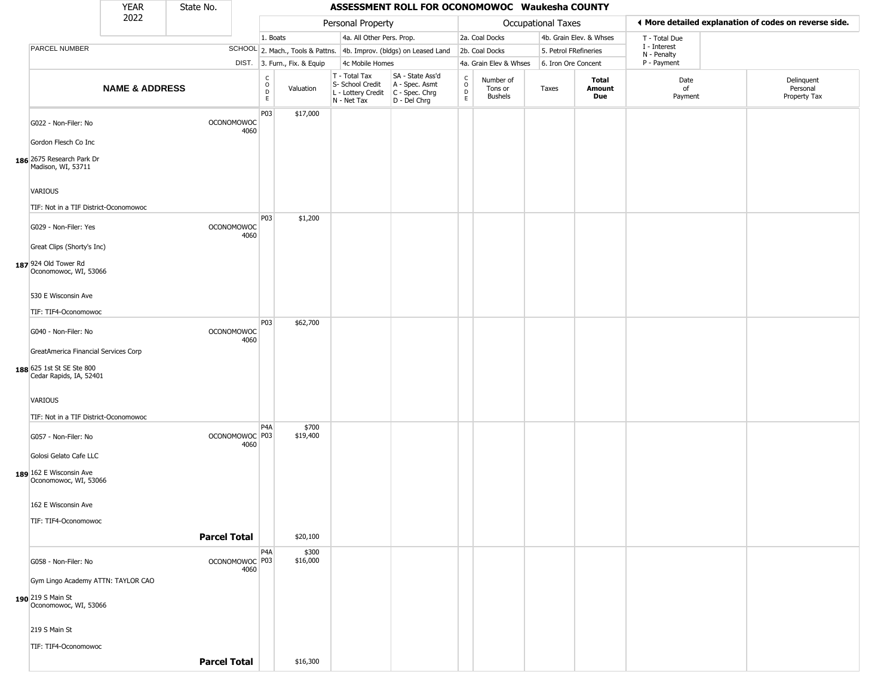|                                                      | <b>YEAR</b>               | State No.           |                           |                       |                              |                                                                        | ASSESSMENT ROLL FOR OCONOMOWOC Waukesha COUNTY                       |                                                 |                                 |                       |                         |                             |                                                       |
|------------------------------------------------------|---------------------------|---------------------|---------------------------|-----------------------|------------------------------|------------------------------------------------------------------------|----------------------------------------------------------------------|-------------------------------------------------|---------------------------------|-----------------------|-------------------------|-----------------------------|-------------------------------------------------------|
|                                                      | 2022                      |                     |                           |                       |                              | Personal Property                                                      |                                                                      |                                                 |                                 | Occupational Taxes    |                         |                             | ♦ More detailed explanation of codes on reverse side. |
|                                                      |                           |                     |                           | 1. Boats              |                              | 4a. All Other Pers. Prop.                                              |                                                                      |                                                 | 2a. Coal Docks                  |                       | 4b. Grain Elev. & Whses | T - Total Due               |                                                       |
| PARCEL NUMBER                                        |                           |                     |                           |                       |                              |                                                                        | SCHOOL 2. Mach., Tools & Pattns. 4b. Improv. (bldgs) on Leased Land  |                                                 | 2b. Coal Docks                  | 5. Petrol FRefineries |                         | I - Interest<br>N - Penalty |                                                       |
|                                                      |                           |                     |                           |                       | DIST. 3. Furn., Fix. & Equip | 4c Mobile Homes                                                        |                                                                      |                                                 | 4a. Grain Elev & Whses          | 6. Iron Ore Concent   |                         | P - Payment                 |                                                       |
|                                                      | <b>NAME &amp; ADDRESS</b> |                     |                           | $\rm _o^C$<br>D<br>E. | Valuation                    | T - Total Tax<br>S- School Credit<br>L - Lottery Credit<br>N - Net Tax | SA - State Ass'd<br>A - Spec. Asmt<br>C - Spec. Chrg<br>D - Del Chrg | $_{\rm o}^{\rm c}$<br>$\mathsf{D}_{\mathsf{E}}$ | Number of<br>Tons or<br>Bushels | Taxes                 | Total<br>Amount<br>Due  | Date<br>of<br>Payment       | Delinquent<br>Personal<br>Property Tax                |
| G022 - Non-Filer: No<br>Gordon Flesch Co Inc         |                           |                     | <b>OCONOMOWOC</b><br>4060 | P03                   | \$17,000                     |                                                                        |                                                                      |                                                 |                                 |                       |                         |                             |                                                       |
| 186 2675 Research Park Dr<br>Madison, WI, 53711      |                           |                     |                           |                       |                              |                                                                        |                                                                      |                                                 |                                 |                       |                         |                             |                                                       |
| VARIOUS                                              |                           |                     |                           |                       |                              |                                                                        |                                                                      |                                                 |                                 |                       |                         |                             |                                                       |
| TIF: Not in a TIF District-Oconomowoc                |                           |                     |                           |                       |                              |                                                                        |                                                                      |                                                 |                                 |                       |                         |                             |                                                       |
|                                                      |                           |                     |                           | P <sub>0</sub> 3      | \$1,200                      |                                                                        |                                                                      |                                                 |                                 |                       |                         |                             |                                                       |
| G029 - Non-Filer: Yes<br>Great Clips (Shorty's Inc)  |                           |                     | <b>OCONOMOWOC</b><br>4060 |                       |                              |                                                                        |                                                                      |                                                 |                                 |                       |                         |                             |                                                       |
|                                                      |                           |                     |                           |                       |                              |                                                                        |                                                                      |                                                 |                                 |                       |                         |                             |                                                       |
| 187 924 Old Tower Rd<br>Oconomowoc, WI, 53066        |                           |                     |                           |                       |                              |                                                                        |                                                                      |                                                 |                                 |                       |                         |                             |                                                       |
| 530 E Wisconsin Ave<br>TIF: TIF4-Oconomowoc          |                           |                     |                           |                       |                              |                                                                        |                                                                      |                                                 |                                 |                       |                         |                             |                                                       |
|                                                      |                           |                     |                           | P <sub>03</sub>       | \$62,700                     |                                                                        |                                                                      |                                                 |                                 |                       |                         |                             |                                                       |
| G040 - Non-Filer: No                                 |                           |                     | OCONOMOWOC<br>4060        |                       |                              |                                                                        |                                                                      |                                                 |                                 |                       |                         |                             |                                                       |
| GreatAmerica Financial Services Corp                 |                           |                     |                           |                       |                              |                                                                        |                                                                      |                                                 |                                 |                       |                         |                             |                                                       |
| 188 625 1st St SE Ste 800<br>Cedar Rapids, IA, 52401 |                           |                     |                           |                       |                              |                                                                        |                                                                      |                                                 |                                 |                       |                         |                             |                                                       |
| VARIOUS                                              |                           |                     |                           |                       |                              |                                                                        |                                                                      |                                                 |                                 |                       |                         |                             |                                                       |
| TIF: Not in a TIF District-Oconomowoc                |                           |                     |                           | P4A                   | \$700                        |                                                                        |                                                                      |                                                 |                                 |                       |                         |                             |                                                       |
| G057 - Non-Filer: No                                 |                           |                     | OCONOMOWOC P03<br>4060    |                       | \$19,400                     |                                                                        |                                                                      |                                                 |                                 |                       |                         |                             |                                                       |
| Golosi Gelato Cafe LLC                               |                           |                     |                           |                       |                              |                                                                        |                                                                      |                                                 |                                 |                       |                         |                             |                                                       |
| 189 162 E Wisconsin Ave<br>Oconomowoc, WI, 53066     |                           |                     |                           |                       |                              |                                                                        |                                                                      |                                                 |                                 |                       |                         |                             |                                                       |
| 162 E Wisconsin Ave                                  |                           |                     |                           |                       |                              |                                                                        |                                                                      |                                                 |                                 |                       |                         |                             |                                                       |
| TIF: TIF4-Oconomowoc                                 |                           |                     |                           |                       |                              |                                                                        |                                                                      |                                                 |                                 |                       |                         |                             |                                                       |
|                                                      |                           | <b>Parcel Total</b> |                           |                       | \$20,100                     |                                                                        |                                                                      |                                                 |                                 |                       |                         |                             |                                                       |
| G058 - Non-Filer: No                                 |                           |                     | OCONOMOWOC P03<br>4060    | P <sub>4</sub> A      | \$300<br>\$16,000            |                                                                        |                                                                      |                                                 |                                 |                       |                         |                             |                                                       |
| Gym Lingo Academy ATTN: TAYLOR CAO                   |                           |                     |                           |                       |                              |                                                                        |                                                                      |                                                 |                                 |                       |                         |                             |                                                       |
| 190 219 S Main St<br>Oconomowoc, WI, 53066           |                           |                     |                           |                       |                              |                                                                        |                                                                      |                                                 |                                 |                       |                         |                             |                                                       |
| 219 S Main St                                        |                           |                     |                           |                       |                              |                                                                        |                                                                      |                                                 |                                 |                       |                         |                             |                                                       |
| TIF: TIF4-Oconomowoc                                 |                           |                     |                           |                       |                              |                                                                        |                                                                      |                                                 |                                 |                       |                         |                             |                                                       |
|                                                      |                           | <b>Parcel Total</b> |                           |                       | \$16,300                     |                                                                        |                                                                      |                                                 |                                 |                       |                         |                             |                                                       |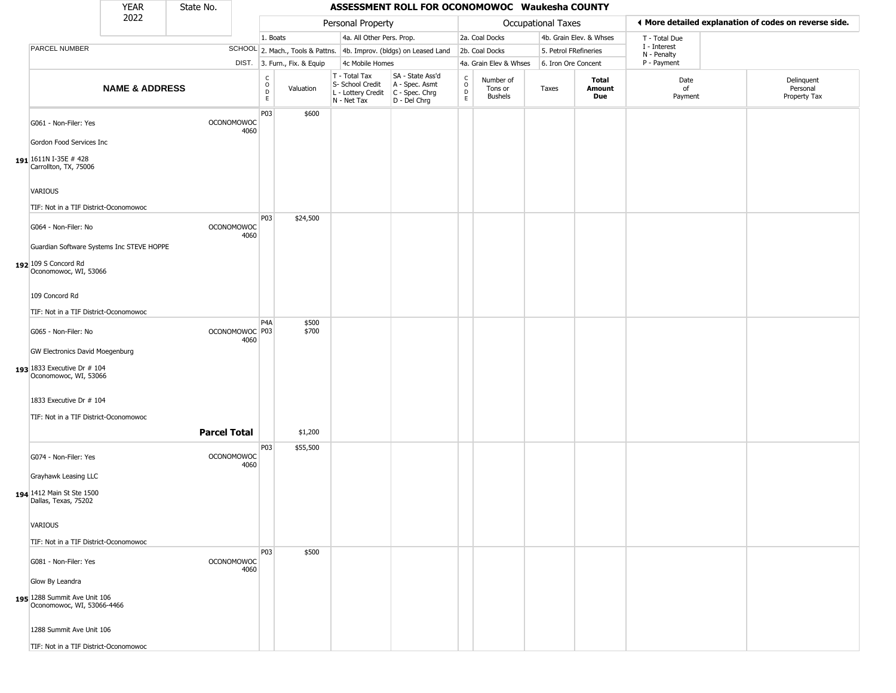|                                                            | <b>YEAR</b>               | State No.           |                           |                                                |                              |                                                                        | ASSESSMENT ROLL FOR OCONOMOWOC Waukesha COUNTY                       |                                   |                                 |                       |                               |                             |                                                       |
|------------------------------------------------------------|---------------------------|---------------------|---------------------------|------------------------------------------------|------------------------------|------------------------------------------------------------------------|----------------------------------------------------------------------|-----------------------------------|---------------------------------|-----------------------|-------------------------------|-----------------------------|-------------------------------------------------------|
|                                                            | 2022                      |                     |                           |                                                |                              | Personal Property                                                      |                                                                      |                                   |                                 | Occupational Taxes    |                               |                             | ♦ More detailed explanation of codes on reverse side. |
|                                                            |                           |                     |                           | 1. Boats                                       |                              | 4a. All Other Pers. Prop.                                              |                                                                      |                                   | 2a. Coal Docks                  |                       | 4b. Grain Elev. & Whses       | T - Total Due               |                                                       |
| PARCEL NUMBER                                              |                           |                     |                           |                                                |                              |                                                                        | SCHOOL 2. Mach., Tools & Pattns. 4b. Improv. (bldgs) on Leased Land  |                                   | 2b. Coal Docks                  | 5. Petrol FRefineries |                               | I - Interest<br>N - Penalty |                                                       |
|                                                            |                           |                     |                           |                                                | DIST. 3. Furn., Fix. & Equip | 4c Mobile Homes                                                        |                                                                      |                                   | 4a. Grain Elev & Whses          | 6. Iron Ore Concent   |                               | P - Payment                 |                                                       |
|                                                            | <b>NAME &amp; ADDRESS</b> |                     |                           | $\begin{matrix} C \\ O \\ D \end{matrix}$<br>E | Valuation                    | T - Total Tax<br>S- School Credit<br>L - Lottery Credit<br>N - Net Tax | SA - State Ass'd<br>A - Spec. Asmt<br>C - Spec. Chrg<br>D - Del Chrg | $\frac{C}{O}$<br>D<br>$\mathsf E$ | Number of<br>Tons or<br>Bushels | Taxes                 | <b>Total</b><br>Amount<br>Due | Date<br>of<br>Payment       | Delinquent<br>Personal<br>Property Tax                |
| G061 - Non-Filer: Yes                                      |                           |                     | <b>OCONOMOWOC</b><br>4060 | P03                                            | \$600                        |                                                                        |                                                                      |                                   |                                 |                       |                               |                             |                                                       |
| Gordon Food Services Inc                                   |                           |                     |                           |                                                |                              |                                                                        |                                                                      |                                   |                                 |                       |                               |                             |                                                       |
| 191 1611N I-35E #428<br>Carrollton, TX, 75006              |                           |                     |                           |                                                |                              |                                                                        |                                                                      |                                   |                                 |                       |                               |                             |                                                       |
| VARIOUS                                                    |                           |                     |                           |                                                |                              |                                                                        |                                                                      |                                   |                                 |                       |                               |                             |                                                       |
| TIF: Not in a TIF District-Oconomowoc                      |                           |                     |                           |                                                |                              |                                                                        |                                                                      |                                   |                                 |                       |                               |                             |                                                       |
| G064 - Non-Filer: No                                       |                           |                     | OCONOMOWOC<br>4060        | P <sub>0</sub> 3                               | \$24,500                     |                                                                        |                                                                      |                                   |                                 |                       |                               |                             |                                                       |
| Guardian Software Systems Inc STEVE HOPPE                  |                           |                     |                           |                                                |                              |                                                                        |                                                                      |                                   |                                 |                       |                               |                             |                                                       |
| 192 109 S Concord Rd<br>Oconomowoc, WI, 53066              |                           |                     |                           |                                                |                              |                                                                        |                                                                      |                                   |                                 |                       |                               |                             |                                                       |
| 109 Concord Rd                                             |                           |                     |                           |                                                |                              |                                                                        |                                                                      |                                   |                                 |                       |                               |                             |                                                       |
| TIF: Not in a TIF District-Oconomowoc                      |                           |                     |                           |                                                |                              |                                                                        |                                                                      |                                   |                                 |                       |                               |                             |                                                       |
|                                                            |                           |                     |                           | P <sub>4</sub> A                               | \$500                        |                                                                        |                                                                      |                                   |                                 |                       |                               |                             |                                                       |
| G065 - Non-Filer: No                                       |                           |                     | OCONOMOWOC P03<br>4060    |                                                | \$700                        |                                                                        |                                                                      |                                   |                                 |                       |                               |                             |                                                       |
| <b>GW Electronics David Moegenburg</b>                     |                           |                     |                           |                                                |                              |                                                                        |                                                                      |                                   |                                 |                       |                               |                             |                                                       |
| 193 1833 Executive Dr # 104<br>Oconomowoc, WI, 53066       |                           |                     |                           |                                                |                              |                                                                        |                                                                      |                                   |                                 |                       |                               |                             |                                                       |
| 1833 Executive Dr # 104                                    |                           |                     |                           |                                                |                              |                                                                        |                                                                      |                                   |                                 |                       |                               |                             |                                                       |
| TIF: Not in a TIF District-Oconomowoc                      |                           |                     |                           |                                                |                              |                                                                        |                                                                      |                                   |                                 |                       |                               |                             |                                                       |
|                                                            |                           | <b>Parcel Total</b> |                           |                                                | \$1,200                      |                                                                        |                                                                      |                                   |                                 |                       |                               |                             |                                                       |
|                                                            |                           |                     |                           |                                                |                              |                                                                        |                                                                      |                                   |                                 |                       |                               |                             |                                                       |
| G074 - Non-Filer: Yes                                      |                           |                     | OCONOMOWOC<br>4060        | P03                                            | \$55,500                     |                                                                        |                                                                      |                                   |                                 |                       |                               |                             |                                                       |
| Grayhawk Leasing LLC                                       |                           |                     |                           |                                                |                              |                                                                        |                                                                      |                                   |                                 |                       |                               |                             |                                                       |
| 194 1412 Main St Ste 1500<br>Dallas, Texas, 75202          |                           |                     |                           |                                                |                              |                                                                        |                                                                      |                                   |                                 |                       |                               |                             |                                                       |
| VARIOUS                                                    |                           |                     |                           |                                                |                              |                                                                        |                                                                      |                                   |                                 |                       |                               |                             |                                                       |
| TIF: Not in a TIF District-Oconomowoc                      |                           |                     |                           |                                                |                              |                                                                        |                                                                      |                                   |                                 |                       |                               |                             |                                                       |
|                                                            |                           |                     |                           | P03                                            | \$500                        |                                                                        |                                                                      |                                   |                                 |                       |                               |                             |                                                       |
| G081 - Non-Filer: Yes                                      |                           |                     | OCONOMOWOC<br>4060        |                                                |                              |                                                                        |                                                                      |                                   |                                 |                       |                               |                             |                                                       |
| Glow By Leandra                                            |                           |                     |                           |                                                |                              |                                                                        |                                                                      |                                   |                                 |                       |                               |                             |                                                       |
| 195 1288 Summit Ave Unit 106<br>Oconomowoc, WI, 53066-4466 |                           |                     |                           |                                                |                              |                                                                        |                                                                      |                                   |                                 |                       |                               |                             |                                                       |
| 1288 Summit Ave Unit 106                                   |                           |                     |                           |                                                |                              |                                                                        |                                                                      |                                   |                                 |                       |                               |                             |                                                       |
| TIF: Not in a TIF District-Oconomowoc                      |                           |                     |                           |                                                |                              |                                                                        |                                                                      |                                   |                                 |                       |                               |                             |                                                       |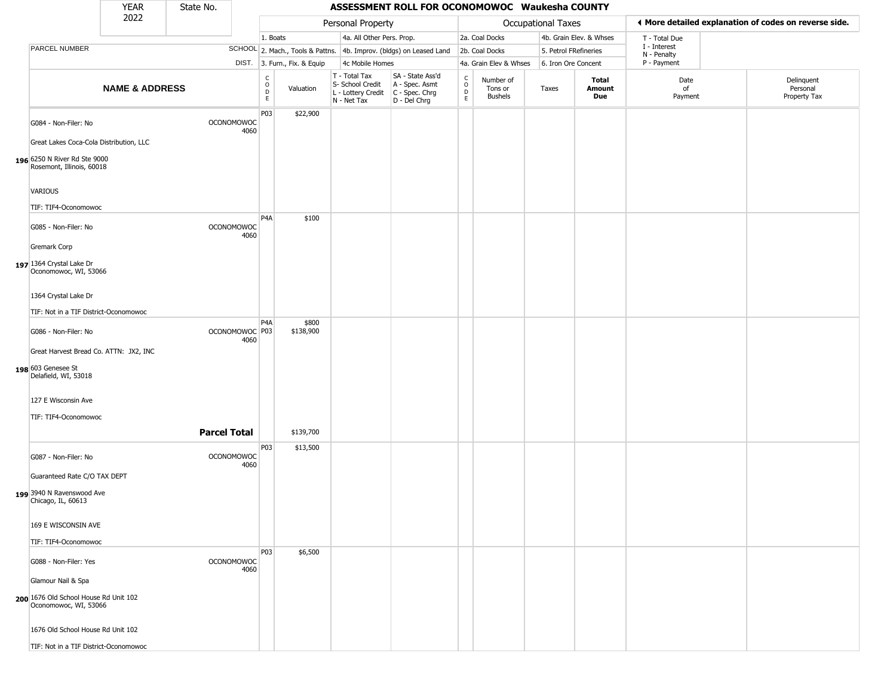|                                                                | <b>YEAR</b>               | State No.           |                           |                        |                              |                                                                        | ASSESSMENT ROLL FOR OCONOMOWOC Waukesha COUNTY                           |                                            |                                        |                       |                         |                             |                                                       |
|----------------------------------------------------------------|---------------------------|---------------------|---------------------------|------------------------|------------------------------|------------------------------------------------------------------------|--------------------------------------------------------------------------|--------------------------------------------|----------------------------------------|-----------------------|-------------------------|-----------------------------|-------------------------------------------------------|
|                                                                | 2022                      |                     |                           |                        |                              | Personal Property                                                      |                                                                          |                                            |                                        | Occupational Taxes    |                         |                             | ◀ More detailed explanation of codes on reverse side. |
|                                                                |                           |                     |                           | 1. Boats               |                              | 4a. All Other Pers. Prop.                                              |                                                                          |                                            | 2a. Coal Docks                         |                       | 4b. Grain Elev. & Whses | T - Total Due               |                                                       |
| PARCEL NUMBER                                                  |                           |                     |                           |                        |                              |                                                                        | SCHOOL 2. Mach., Tools & Pattns. 4b. Improv. (bldgs) on Leased Land      |                                            | 2b. Coal Docks                         | 5. Petrol FRefineries |                         | I - Interest<br>N - Penalty |                                                       |
|                                                                |                           |                     |                           |                        | DIST. 3. Furn., Fix. & Equip | 4c Mobile Homes                                                        |                                                                          |                                            | 4a. Grain Elev & Whses                 | 6. Iron Ore Concent   |                         | P - Payment                 |                                                       |
|                                                                | <b>NAME &amp; ADDRESS</b> |                     |                           | C<br>$\circ$<br>D<br>E | Valuation                    | T - Total Tax<br>S- School Credit<br>L - Lottery Credit<br>N - Net Tax | SA - State Ass'd<br>A - Spec. Asmt<br>$C - Spec. Chrg$<br>$D - Del Chrg$ | $\begin{array}{c} C \\ 0 \\ E \end{array}$ | Number of<br>Tons or<br><b>Bushels</b> | Taxes                 | Total<br>Amount<br>Due  | Date<br>of<br>Payment       | Delinquent<br>Personal<br>Property Tax                |
| G084 - Non-Filer: No                                           |                           |                     | <b>OCONOMOWOC</b><br>4060 | P03                    | \$22,900                     |                                                                        |                                                                          |                                            |                                        |                       |                         |                             |                                                       |
| Great Lakes Coca-Cola Distribution, LLC                        |                           |                     |                           |                        |                              |                                                                        |                                                                          |                                            |                                        |                       |                         |                             |                                                       |
| 196 6250 N River Rd Ste 9000<br>Rosemont, Illinois, 60018      |                           |                     |                           |                        |                              |                                                                        |                                                                          |                                            |                                        |                       |                         |                             |                                                       |
| VARIOUS                                                        |                           |                     |                           |                        |                              |                                                                        |                                                                          |                                            |                                        |                       |                         |                             |                                                       |
| TIF: TIF4-Oconomowoc                                           |                           |                     |                           |                        |                              |                                                                        |                                                                          |                                            |                                        |                       |                         |                             |                                                       |
| G085 - Non-Filer: No                                           |                           |                     | <b>OCONOMOWOC</b><br>4060 | P <sub>4</sub> A       | \$100                        |                                                                        |                                                                          |                                            |                                        |                       |                         |                             |                                                       |
| Gremark Corp                                                   |                           |                     |                           |                        |                              |                                                                        |                                                                          |                                            |                                        |                       |                         |                             |                                                       |
| 197 1364 Crystal Lake Dr<br>Oconomowoc, WI, 53066              |                           |                     |                           |                        |                              |                                                                        |                                                                          |                                            |                                        |                       |                         |                             |                                                       |
| 1364 Crystal Lake Dr                                           |                           |                     |                           |                        |                              |                                                                        |                                                                          |                                            |                                        |                       |                         |                             |                                                       |
| TIF: Not in a TIF District-Oconomowoc                          |                           |                     |                           |                        |                              |                                                                        |                                                                          |                                            |                                        |                       |                         |                             |                                                       |
| G086 - Non-Filer: No                                           |                           |                     | OCONOMOWOC P03<br>4060    | P <sub>4</sub> A       | \$800<br>\$138,900           |                                                                        |                                                                          |                                            |                                        |                       |                         |                             |                                                       |
| Great Harvest Bread Co. ATTN: JX2, INC                         |                           |                     |                           |                        |                              |                                                                        |                                                                          |                                            |                                        |                       |                         |                             |                                                       |
| 198 603 Genesee St<br>Delafield, WI, 53018                     |                           |                     |                           |                        |                              |                                                                        |                                                                          |                                            |                                        |                       |                         |                             |                                                       |
| 127 E Wisconsin Ave                                            |                           |                     |                           |                        |                              |                                                                        |                                                                          |                                            |                                        |                       |                         |                             |                                                       |
| TIF: TIF4-Oconomowoc                                           |                           |                     |                           |                        |                              |                                                                        |                                                                          |                                            |                                        |                       |                         |                             |                                                       |
|                                                                |                           | <b>Parcel Total</b> |                           |                        | \$139,700                    |                                                                        |                                                                          |                                            |                                        |                       |                         |                             |                                                       |
| G087 - Non-Filer: No                                           |                           |                     | <b>OCONOMOWOC</b><br>4060 | P03                    | \$13,500                     |                                                                        |                                                                          |                                            |                                        |                       |                         |                             |                                                       |
| Guaranteed Rate C/O TAX DEPT                                   |                           |                     |                           |                        |                              |                                                                        |                                                                          |                                            |                                        |                       |                         |                             |                                                       |
| 199 3940 N Ravenswood Ave<br>Chicago, IL, 60613                |                           |                     |                           |                        |                              |                                                                        |                                                                          |                                            |                                        |                       |                         |                             |                                                       |
| 169 E WISCONSIN AVE                                            |                           |                     |                           |                        |                              |                                                                        |                                                                          |                                            |                                        |                       |                         |                             |                                                       |
| TIF: TIF4-Oconomowoc                                           |                           |                     |                           |                        |                              |                                                                        |                                                                          |                                            |                                        |                       |                         |                             |                                                       |
| G088 - Non-Filer: Yes                                          |                           |                     | <b>OCONOMOWOC</b><br>4060 | P03                    | \$6,500                      |                                                                        |                                                                          |                                            |                                        |                       |                         |                             |                                                       |
| Glamour Nail & Spa                                             |                           |                     |                           |                        |                              |                                                                        |                                                                          |                                            |                                        |                       |                         |                             |                                                       |
| 200 1676 Old School House Rd Unit 102<br>Oconomowoc, WI, 53066 |                           |                     |                           |                        |                              |                                                                        |                                                                          |                                            |                                        |                       |                         |                             |                                                       |
| 1676 Old School House Rd Unit 102                              |                           |                     |                           |                        |                              |                                                                        |                                                                          |                                            |                                        |                       |                         |                             |                                                       |
| TIF: Not in a TIF District-Oconomowoc                          |                           |                     |                           |                        |                              |                                                                        |                                                                          |                                            |                                        |                       |                         |                             |                                                       |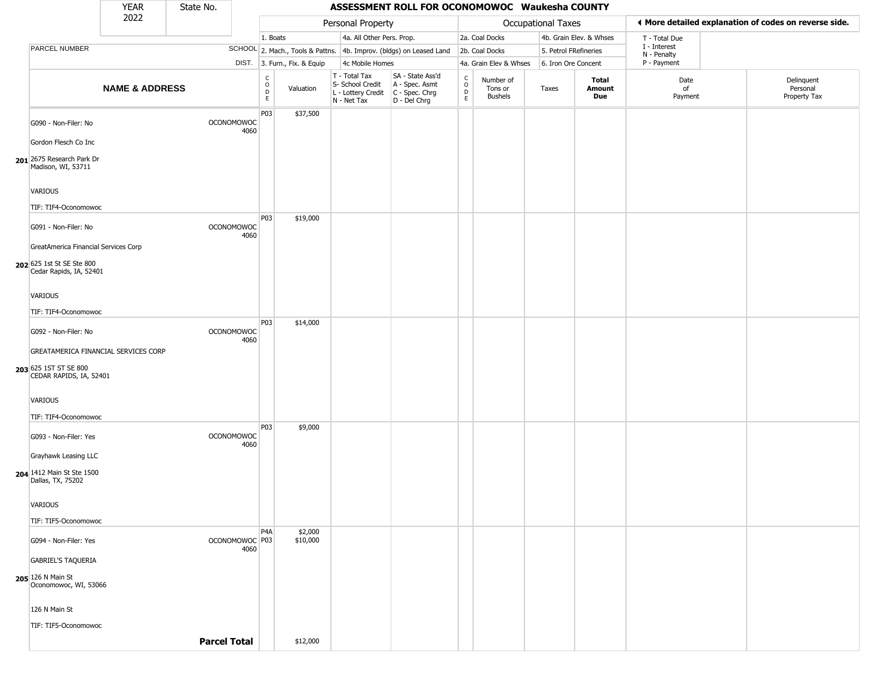|                                                      | <b>YEAR</b>               | State No.           |                           |                                             |                              |                                                                        | ASSESSMENT ROLL FOR OCONOMOWOC Waukesha COUNTY                       |                                                   |                                        |                       |                         |                             |                                                       |
|------------------------------------------------------|---------------------------|---------------------|---------------------------|---------------------------------------------|------------------------------|------------------------------------------------------------------------|----------------------------------------------------------------------|---------------------------------------------------|----------------------------------------|-----------------------|-------------------------|-----------------------------|-------------------------------------------------------|
|                                                      | 2022                      |                     |                           |                                             |                              | Personal Property                                                      |                                                                      |                                                   |                                        | Occupational Taxes    |                         |                             | ♦ More detailed explanation of codes on reverse side. |
|                                                      |                           |                     |                           | 1. Boats                                    |                              | 4a. All Other Pers. Prop.                                              |                                                                      |                                                   | 2a. Coal Docks                         |                       | 4b. Grain Elev. & Whses | T - Total Due               |                                                       |
| PARCEL NUMBER                                        |                           |                     |                           |                                             |                              |                                                                        | SCHOOL 2. Mach., Tools & Pattns. 4b. Improv. (bldgs) on Leased Land  |                                                   | 2b. Coal Docks                         | 5. Petrol FRefineries |                         | I - Interest<br>N - Penalty |                                                       |
|                                                      |                           |                     |                           |                                             | DIST. 3. Furn., Fix. & Equip | 4c Mobile Homes                                                        |                                                                      |                                                   | 4a. Grain Elev & Whses                 | 6. Iron Ore Concent   |                         | P - Payment                 |                                                       |
|                                                      | <b>NAME &amp; ADDRESS</b> |                     |                           | $\frac{c}{0}$<br>$\mathsf D$<br>$\mathsf E$ | Valuation                    | T - Total Tax<br>S- School Credit<br>L - Lottery Credit<br>N - Net Tax | SA - State Ass'd<br>A - Spec. Asmt<br>C - Spec. Chrg<br>D - Del Chrg | $\begin{array}{c}\nC \\ O \\ D \\ E\n\end{array}$ | Number of<br>Tons or<br><b>Bushels</b> | Taxes                 | Total<br>Amount<br>Due  | Date<br>of<br>Payment       | Delinquent<br>Personal<br>Property Tax                |
| G090 - Non-Filer: No                                 |                           |                     | OCONOMOWOC<br>4060        | P03                                         | \$37,500                     |                                                                        |                                                                      |                                                   |                                        |                       |                         |                             |                                                       |
| Gordon Flesch Co Inc                                 |                           |                     |                           |                                             |                              |                                                                        |                                                                      |                                                   |                                        |                       |                         |                             |                                                       |
| 201 2675 Research Park Dr<br>Madison, WI, 53711      |                           |                     |                           |                                             |                              |                                                                        |                                                                      |                                                   |                                        |                       |                         |                             |                                                       |
| VARIOUS                                              |                           |                     |                           |                                             |                              |                                                                        |                                                                      |                                                   |                                        |                       |                         |                             |                                                       |
| TIF: TIF4-Oconomowoc                                 |                           |                     |                           |                                             |                              |                                                                        |                                                                      |                                                   |                                        |                       |                         |                             |                                                       |
| G091 - Non-Filer: No                                 |                           |                     | <b>OCONOMOWOC</b><br>4060 | P03                                         | \$19,000                     |                                                                        |                                                                      |                                                   |                                        |                       |                         |                             |                                                       |
| GreatAmerica Financial Services Corp                 |                           |                     |                           |                                             |                              |                                                                        |                                                                      |                                                   |                                        |                       |                         |                             |                                                       |
| 202 625 1st St SE Ste 800<br>Cedar Rapids, IA, 52401 |                           |                     |                           |                                             |                              |                                                                        |                                                                      |                                                   |                                        |                       |                         |                             |                                                       |
| VARIOUS                                              |                           |                     |                           |                                             |                              |                                                                        |                                                                      |                                                   |                                        |                       |                         |                             |                                                       |
| TIF: TIF4-Oconomowoc                                 |                           |                     |                           |                                             |                              |                                                                        |                                                                      |                                                   |                                        |                       |                         |                             |                                                       |
| G092 - Non-Filer: No                                 |                           |                     | <b>OCONOMOWOC</b><br>4060 | P03                                         | \$14,000                     |                                                                        |                                                                      |                                                   |                                        |                       |                         |                             |                                                       |
| GREATAMERICA FINANCIAL SERVICES CORP                 |                           |                     |                           |                                             |                              |                                                                        |                                                                      |                                                   |                                        |                       |                         |                             |                                                       |
| 203 625 1ST ST SE 800<br>CEDAR RAPIDS, IA, 52401     |                           |                     |                           |                                             |                              |                                                                        |                                                                      |                                                   |                                        |                       |                         |                             |                                                       |
| VARIOUS                                              |                           |                     |                           |                                             |                              |                                                                        |                                                                      |                                                   |                                        |                       |                         |                             |                                                       |
| TIF: TIF4-Oconomowoc                                 |                           |                     |                           |                                             |                              |                                                                        |                                                                      |                                                   |                                        |                       |                         |                             |                                                       |
| G093 - Non-Filer: Yes                                |                           |                     | OCONOMOWOC<br>4060        | P03                                         | \$9,000                      |                                                                        |                                                                      |                                                   |                                        |                       |                         |                             |                                                       |
| Grayhawk Leasing LLC                                 |                           |                     |                           |                                             |                              |                                                                        |                                                                      |                                                   |                                        |                       |                         |                             |                                                       |
| 204 1412 Main St Ste 1500<br>Dallas, TX, 75202       |                           |                     |                           |                                             |                              |                                                                        |                                                                      |                                                   |                                        |                       |                         |                             |                                                       |
| VARIOUS                                              |                           |                     |                           |                                             |                              |                                                                        |                                                                      |                                                   |                                        |                       |                         |                             |                                                       |
| TIF: TIF5-Oconomowoc                                 |                           |                     |                           |                                             |                              |                                                                        |                                                                      |                                                   |                                        |                       |                         |                             |                                                       |
| G094 - Non-Filer: Yes                                |                           |                     | OCONOMOWOC P03<br>4060    | P <sub>4</sub> A                            | \$2,000<br>\$10,000          |                                                                        |                                                                      |                                                   |                                        |                       |                         |                             |                                                       |
| <b>GABRIEL'S TAQUERIA</b>                            |                           |                     |                           |                                             |                              |                                                                        |                                                                      |                                                   |                                        |                       |                         |                             |                                                       |
| 205 126 N Main St<br>Oconomowoc, WI, 53066           |                           |                     |                           |                                             |                              |                                                                        |                                                                      |                                                   |                                        |                       |                         |                             |                                                       |
| 126 N Main St                                        |                           |                     |                           |                                             |                              |                                                                        |                                                                      |                                                   |                                        |                       |                         |                             |                                                       |
| TIF: TIF5-Oconomowoc                                 |                           |                     |                           |                                             |                              |                                                                        |                                                                      |                                                   |                                        |                       |                         |                             |                                                       |
|                                                      |                           | <b>Parcel Total</b> |                           |                                             | \$12,000                     |                                                                        |                                                                      |                                                   |                                        |                       |                         |                             |                                                       |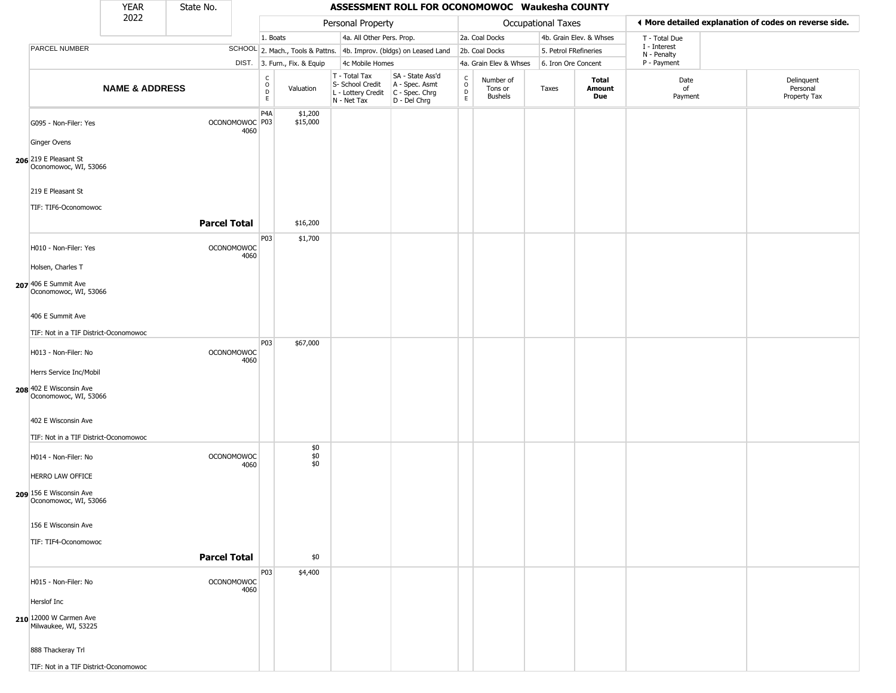|                                                                             | <b>YEAR</b>               | State No.           |                           |                                                 |                              |                                                                        | ASSESSMENT ROLL FOR OCONOMOWOC Waukesha COUNTY                       |                                                          |                                        |                       |                         |                             |                                                       |
|-----------------------------------------------------------------------------|---------------------------|---------------------|---------------------------|-------------------------------------------------|------------------------------|------------------------------------------------------------------------|----------------------------------------------------------------------|----------------------------------------------------------|----------------------------------------|-----------------------|-------------------------|-----------------------------|-------------------------------------------------------|
|                                                                             | 2022                      |                     |                           |                                                 |                              | Personal Property                                                      |                                                                      |                                                          |                                        | Occupational Taxes    |                         |                             | ♦ More detailed explanation of codes on reverse side. |
|                                                                             |                           |                     |                           | 1. Boats                                        |                              | 4a. All Other Pers. Prop.                                              |                                                                      |                                                          | 2a. Coal Docks                         |                       | 4b. Grain Elev. & Whses | T - Total Due               |                                                       |
| PARCEL NUMBER                                                               |                           |                     |                           |                                                 |                              |                                                                        | SCHOOL 2. Mach., Tools & Pattns. 4b. Improv. (bldgs) on Leased Land  |                                                          | 2b. Coal Docks                         | 5. Petrol FRefineries |                         | I - Interest<br>N - Penalty |                                                       |
|                                                                             |                           |                     |                           |                                                 | DIST. 3. Furn., Fix. & Equip | 4c Mobile Homes                                                        |                                                                      |                                                          | 4a. Grain Elev & Whses                 | 6. Iron Ore Concent   |                         | P - Payment                 |                                                       |
|                                                                             | <b>NAME &amp; ADDRESS</b> |                     |                           | $\begin{array}{c} C \\ O \\ D \\ E \end{array}$ | Valuation                    | T - Total Tax<br>S- School Credit<br>L - Lottery Credit<br>N - Net Tax | SA - State Ass'd<br>A - Spec. Asmt<br>C - Spec. Chrg<br>D - Del Chrg | $\begin{matrix} 0 \\ 0 \\ D \end{matrix}$<br>$\mathsf E$ | Number of<br>Tons or<br><b>Bushels</b> | Taxes                 | Total<br>Amount<br>Due  | Date<br>of<br>Payment       | Delinquent<br>Personal<br>Property Tax                |
| G095 - Non-Filer: Yes<br>Ginger Ovens                                       |                           |                     | OCONOMOWOC P03<br>4060    | P <sub>4</sub> A                                | \$1,200<br>\$15,000          |                                                                        |                                                                      |                                                          |                                        |                       |                         |                             |                                                       |
| 206 219 E Pleasant St<br>Oconomowoc, WI, 53066                              |                           |                     |                           |                                                 |                              |                                                                        |                                                                      |                                                          |                                        |                       |                         |                             |                                                       |
| 219 E Pleasant St<br>TIF: TIF6-Oconomowoc                                   |                           |                     |                           |                                                 |                              |                                                                        |                                                                      |                                                          |                                        |                       |                         |                             |                                                       |
|                                                                             |                           | <b>Parcel Total</b> |                           |                                                 | \$16,200                     |                                                                        |                                                                      |                                                          |                                        |                       |                         |                             |                                                       |
| H010 - Non-Filer: Yes<br>Holsen, Charles T                                  |                           |                     | <b>OCONOMOWOC</b><br>4060 | P03                                             | \$1,700                      |                                                                        |                                                                      |                                                          |                                        |                       |                         |                             |                                                       |
| 207 406 E Summit Ave<br>Oconomowoc, WI, 53066                               |                           |                     |                           |                                                 |                              |                                                                        |                                                                      |                                                          |                                        |                       |                         |                             |                                                       |
| 406 E Summit Ave                                                            |                           |                     |                           |                                                 |                              |                                                                        |                                                                      |                                                          |                                        |                       |                         |                             |                                                       |
| TIF: Not in a TIF District-Oconomowoc                                       |                           |                     |                           |                                                 |                              |                                                                        |                                                                      |                                                          |                                        |                       |                         |                             |                                                       |
| H013 - Non-Filer: No                                                        |                           |                     | <b>OCONOMOWOC</b><br>4060 | <b>P03</b>                                      | \$67,000                     |                                                                        |                                                                      |                                                          |                                        |                       |                         |                             |                                                       |
| Herrs Service Inc/Mobil<br>208 402 E Wisconsin Ave<br>Oconomowoc, WI, 53066 |                           |                     |                           |                                                 |                              |                                                                        |                                                                      |                                                          |                                        |                       |                         |                             |                                                       |
| 402 E Wisconsin Ave<br>TIF: Not in a TIF District-Oconomowoc                |                           |                     |                           |                                                 |                              |                                                                        |                                                                      |                                                          |                                        |                       |                         |                             |                                                       |
| H014 - Non-Filer: No                                                        |                           |                     | <b>OCONOMOWOC</b><br>4060 |                                                 | $$0$<br>$$0$<br>$$0$         |                                                                        |                                                                      |                                                          |                                        |                       |                         |                             |                                                       |
| HERRO LAW OFFICE<br>209 156 E Wisconsin Ave<br>Oconomowoc, WI, 53066        |                           |                     |                           |                                                 |                              |                                                                        |                                                                      |                                                          |                                        |                       |                         |                             |                                                       |
| 156 E Wisconsin Ave                                                         |                           |                     |                           |                                                 |                              |                                                                        |                                                                      |                                                          |                                        |                       |                         |                             |                                                       |
| TIF: TIF4-Oconomowoc                                                        |                           | <b>Parcel Total</b> |                           |                                                 | \$0                          |                                                                        |                                                                      |                                                          |                                        |                       |                         |                             |                                                       |
| H015 - Non-Filer: No                                                        |                           |                     | <b>OCONOMOWOC</b><br>4060 | P03                                             | \$4,400                      |                                                                        |                                                                      |                                                          |                                        |                       |                         |                             |                                                       |
| Herslof Inc<br>210 12000 W Carmen Ave<br>Milwaukee, WI, 53225               |                           |                     |                           |                                                 |                              |                                                                        |                                                                      |                                                          |                                        |                       |                         |                             |                                                       |
| 888 Thackeray Trl                                                           |                           |                     |                           |                                                 |                              |                                                                        |                                                                      |                                                          |                                        |                       |                         |                             |                                                       |
| TIF: Not in a TIF District-Oconomowoc                                       |                           |                     |                           |                                                 |                              |                                                                        |                                                                      |                                                          |                                        |                       |                         |                             |                                                       |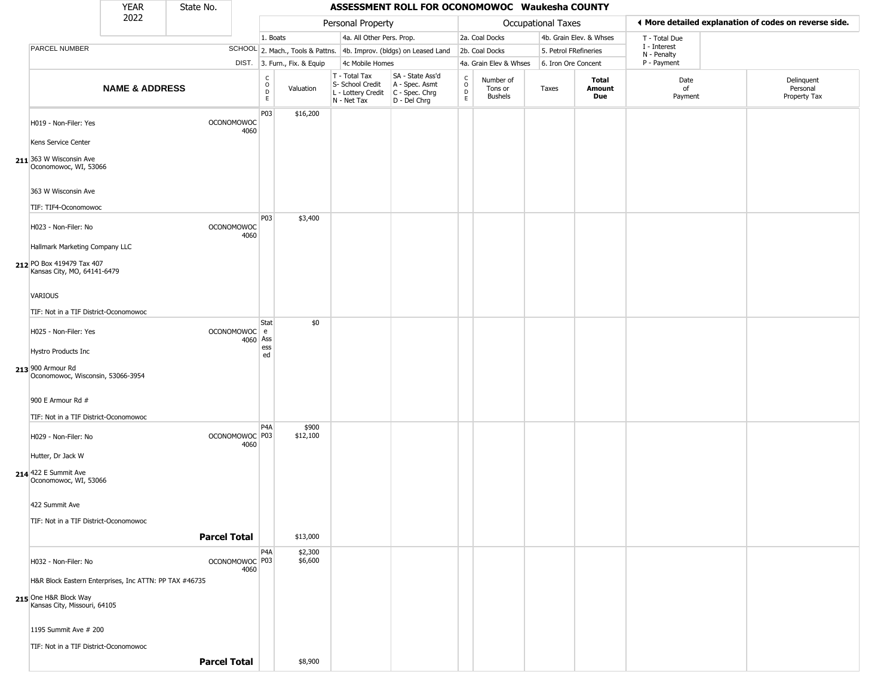|                                                                         | <b>YEAR</b>               | State No.           |                           |                                                   |                              |                                                                        | ASSESSMENT ROLL FOR OCONOMOWOC Waukesha COUNTY                       |                        |                                 |                       |                         |                             |                                                       |
|-------------------------------------------------------------------------|---------------------------|---------------------|---------------------------|---------------------------------------------------|------------------------------|------------------------------------------------------------------------|----------------------------------------------------------------------|------------------------|---------------------------------|-----------------------|-------------------------|-----------------------------|-------------------------------------------------------|
|                                                                         | 2022                      |                     |                           |                                                   |                              | Personal Property                                                      |                                                                      |                        |                                 | Occupational Taxes    |                         |                             | ◀ More detailed explanation of codes on reverse side. |
|                                                                         |                           |                     |                           | 1. Boats                                          |                              | 4a. All Other Pers. Prop.                                              |                                                                      |                        | 2a. Coal Docks                  |                       | 4b. Grain Elev. & Whses | T - Total Due               |                                                       |
| PARCEL NUMBER                                                           |                           |                     |                           |                                                   |                              |                                                                        | SCHOOL 2. Mach., Tools & Pattns. 4b. Improv. (bldgs) on Leased Land  |                        | 2b. Coal Docks                  | 5. Petrol FRefineries |                         | I - Interest<br>N - Penalty |                                                       |
|                                                                         |                           |                     |                           |                                                   | DIST. 3. Furn., Fix. & Equip | 4c Mobile Homes                                                        |                                                                      |                        | 4a. Grain Elev & Whses          | 6. Iron Ore Concent   |                         | P - Payment                 |                                                       |
|                                                                         | <b>NAME &amp; ADDRESS</b> |                     |                           | $_{\rm o}^{\rm c}$<br>$\mathsf{D}$<br>$\mathsf E$ | Valuation                    | T - Total Tax<br>S- School Credit<br>L - Lottery Credit<br>N - Net Tax | SA - State Ass'd<br>A - Spec. Asmt<br>C - Spec. Chrg<br>D - Del Chrg | C<br>$\circ$<br>D<br>E | Number of<br>Tons or<br>Bushels | Taxes                 | Total<br>Amount<br>Due  | Date<br>of<br>Payment       | Delinquent<br>Personal<br>Property Tax                |
| H019 - Non-Filer: Yes<br>Kens Service Center                            |                           |                     | <b>OCONOMOWOC</b><br>4060 | P03                                               | \$16,200                     |                                                                        |                                                                      |                        |                                 |                       |                         |                             |                                                       |
| 211 363 W Wisconsin Ave<br>Oconomowoc, WI, 53066<br>363 W Wisconsin Ave |                           |                     |                           |                                                   |                              |                                                                        |                                                                      |                        |                                 |                       |                         |                             |                                                       |
|                                                                         |                           |                     |                           |                                                   |                              |                                                                        |                                                                      |                        |                                 |                       |                         |                             |                                                       |
| TIF: TIF4-Oconomowoc                                                    |                           |                     |                           | P03                                               | \$3,400                      |                                                                        |                                                                      |                        |                                 |                       |                         |                             |                                                       |
| H023 - Non-Filer: No<br>Hallmark Marketing Company LLC                  |                           |                     | <b>OCONOMOWOC</b><br>4060 |                                                   |                              |                                                                        |                                                                      |                        |                                 |                       |                         |                             |                                                       |
| 212 PO Box 419479 Tax 407<br>Kansas City, MO, 64141-6479                |                           |                     |                           |                                                   |                              |                                                                        |                                                                      |                        |                                 |                       |                         |                             |                                                       |
| VARIOUS                                                                 |                           |                     |                           |                                                   |                              |                                                                        |                                                                      |                        |                                 |                       |                         |                             |                                                       |
| TIF: Not in a TIF District-Oconomowoc                                   |                           |                     |                           |                                                   |                              |                                                                        |                                                                      |                        |                                 |                       |                         |                             |                                                       |
| H025 - Non-Filer: Yes                                                   |                           |                     | OCONOMOWOC e<br>4060 Ass  | Stat                                              | \$0                          |                                                                        |                                                                      |                        |                                 |                       |                         |                             |                                                       |
| <b>Hystro Products Inc</b>                                              |                           |                     |                           | ess<br>ed                                         |                              |                                                                        |                                                                      |                        |                                 |                       |                         |                             |                                                       |
| 213 900 Armour Rd<br>Oconomowoc, Wisconsin, 53066-3954                  |                           |                     |                           |                                                   |                              |                                                                        |                                                                      |                        |                                 |                       |                         |                             |                                                       |
| 900 E Armour Rd #                                                       |                           |                     |                           |                                                   |                              |                                                                        |                                                                      |                        |                                 |                       |                         |                             |                                                       |
| TIF: Not in a TIF District-Oconomowoc                                   |                           |                     |                           |                                                   |                              |                                                                        |                                                                      |                        |                                 |                       |                         |                             |                                                       |
| H029 - Non-Filer: No                                                    |                           |                     | OCONOMOWOC P03<br>4060    | P <sub>4</sub> A                                  | \$900<br>\$12,100            |                                                                        |                                                                      |                        |                                 |                       |                         |                             |                                                       |
| Hutter, Dr Jack W                                                       |                           |                     |                           |                                                   |                              |                                                                        |                                                                      |                        |                                 |                       |                         |                             |                                                       |
| 214 422 E Summit Ave<br>Oconomowoc, WI, 53066                           |                           |                     |                           |                                                   |                              |                                                                        |                                                                      |                        |                                 |                       |                         |                             |                                                       |
| 422 Summit Ave                                                          |                           |                     |                           |                                                   |                              |                                                                        |                                                                      |                        |                                 |                       |                         |                             |                                                       |
| TIF: Not in a TIF District-Oconomowoc                                   |                           |                     |                           |                                                   |                              |                                                                        |                                                                      |                        |                                 |                       |                         |                             |                                                       |
|                                                                         |                           | <b>Parcel Total</b> |                           |                                                   | \$13,000                     |                                                                        |                                                                      |                        |                                 |                       |                         |                             |                                                       |
| H032 - Non-Filer: No                                                    |                           |                     | OCONOMOWOC P03<br>4060    | P <sub>4</sub> A                                  | \$2,300<br>\$6,600           |                                                                        |                                                                      |                        |                                 |                       |                         |                             |                                                       |
| H&R Block Eastern Enterprises, Inc ATTN: PP TAX #46735                  |                           |                     |                           |                                                   |                              |                                                                        |                                                                      |                        |                                 |                       |                         |                             |                                                       |
| 215 One H&R Block Way<br>Kansas City, Missouri, 64105                   |                           |                     |                           |                                                   |                              |                                                                        |                                                                      |                        |                                 |                       |                         |                             |                                                       |
| 1195 Summit Ave # 200                                                   |                           |                     |                           |                                                   |                              |                                                                        |                                                                      |                        |                                 |                       |                         |                             |                                                       |
| TIF: Not in a TIF District-Oconomowoc                                   |                           |                     |                           |                                                   |                              |                                                                        |                                                                      |                        |                                 |                       |                         |                             |                                                       |
|                                                                         |                           | <b>Parcel Total</b> |                           |                                                   | \$8,900                      |                                                                        |                                                                      |                        |                                 |                       |                         |                             |                                                       |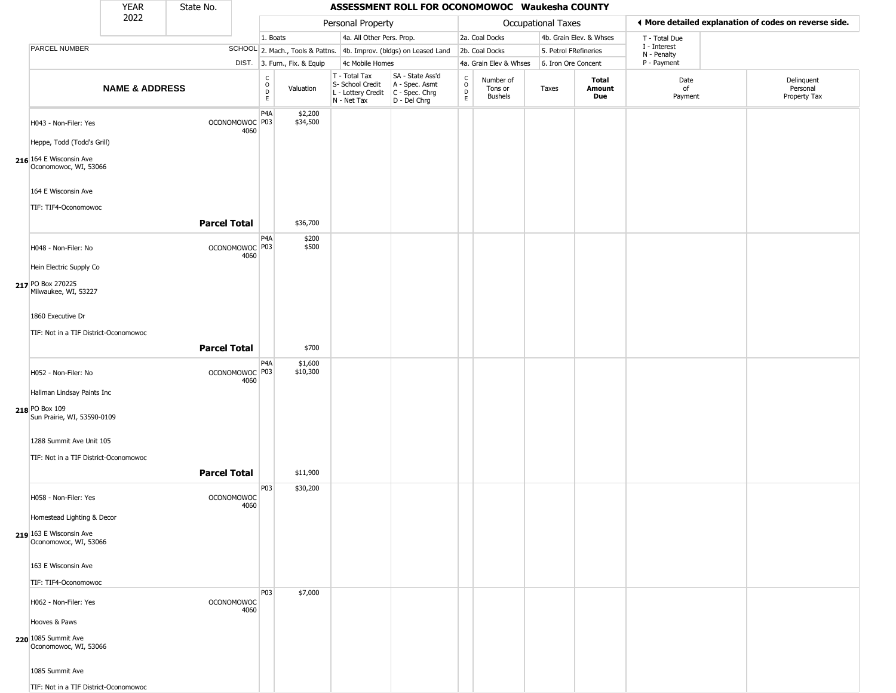|                                                     | <b>YEAR</b>               | State No.           |                           |                                      |                              |                                                                        | ASSESSMENT ROLL FOR OCONOMOWOC Waukesha COUNTY                         |                                   |                                 |                       |                               |                             |                                                       |
|-----------------------------------------------------|---------------------------|---------------------|---------------------------|--------------------------------------|------------------------------|------------------------------------------------------------------------|------------------------------------------------------------------------|-----------------------------------|---------------------------------|-----------------------|-------------------------------|-----------------------------|-------------------------------------------------------|
|                                                     | 2022                      |                     |                           |                                      |                              | Personal Property                                                      |                                                                        |                                   |                                 | Occupational Taxes    |                               |                             | ◀ More detailed explanation of codes on reverse side. |
|                                                     |                           |                     |                           | 1. Boats                             |                              | 4a. All Other Pers. Prop.                                              |                                                                        |                                   | 2a. Coal Docks                  |                       | 4b. Grain Elev. & Whses       | T - Total Due               |                                                       |
| PARCEL NUMBER                                       |                           |                     |                           |                                      |                              |                                                                        | SCHOOL 2. Mach., Tools & Pattns. 4b. Improv. (bldgs) on Leased Land    |                                   | 2b. Coal Docks                  | 5. Petrol FRefineries |                               | I - Interest<br>N - Penalty |                                                       |
|                                                     |                           |                     |                           |                                      | DIST. 3. Furn., Fix. & Equip | 4c Mobile Homes                                                        |                                                                        |                                   | 4a. Grain Elev & Whses          | 6. Iron Ore Concent   |                               | P - Payment                 |                                                       |
|                                                     | <b>NAME &amp; ADDRESS</b> |                     |                           | $_{\rm o}^{\rm c}$<br>$\overline{D}$ | Valuation                    | T - Total Tax<br>S- School Credit<br>L - Lottery Credit<br>N - Net Tax | SA - State Ass'd<br>A - Spec. Asmt<br>$C - Spec. Chrg$<br>D - Del Chrg | $\frac{c}{0}$<br>D<br>$\mathsf E$ | Number of<br>Tons or<br>Bushels | Taxes                 | <b>Total</b><br>Amount<br>Due | Date<br>of<br>Payment       | Delinquent<br>Personal<br>Property Tax                |
| H043 - Non-Filer: Yes<br>Heppe, Todd (Todd's Grill) |                           |                     | OCONOMOWOC P03<br>4060    | P <sub>4</sub> A                     | \$2,200<br>\$34,500          |                                                                        |                                                                        |                                   |                                 |                       |                               |                             |                                                       |
| 216 164 E Wisconsin Ave<br>Oconomowoc, WI, 53066    |                           |                     |                           |                                      |                              |                                                                        |                                                                        |                                   |                                 |                       |                               |                             |                                                       |
| 164 E Wisconsin Ave                                 |                           |                     |                           |                                      |                              |                                                                        |                                                                        |                                   |                                 |                       |                               |                             |                                                       |
| TIF: TIF4-Oconomowoc                                |                           |                     |                           |                                      |                              |                                                                        |                                                                        |                                   |                                 |                       |                               |                             |                                                       |
|                                                     |                           | <b>Parcel Total</b> |                           |                                      | \$36,700                     |                                                                        |                                                                        |                                   |                                 |                       |                               |                             |                                                       |
| H048 - Non-Filer: No                                |                           |                     | OCONOMOWOC P03<br>4060    | P <sub>4</sub> A                     | \$200<br>\$500               |                                                                        |                                                                        |                                   |                                 |                       |                               |                             |                                                       |
| Hein Electric Supply Co                             |                           |                     |                           |                                      |                              |                                                                        |                                                                        |                                   |                                 |                       |                               |                             |                                                       |
| 217 PO Box 270225<br>Milwaukee, WI, 53227           |                           |                     |                           |                                      |                              |                                                                        |                                                                        |                                   |                                 |                       |                               |                             |                                                       |
| 1860 Executive Dr                                   |                           |                     |                           |                                      |                              |                                                                        |                                                                        |                                   |                                 |                       |                               |                             |                                                       |
| TIF: Not in a TIF District-Oconomowoc               |                           |                     |                           |                                      |                              |                                                                        |                                                                        |                                   |                                 |                       |                               |                             |                                                       |
|                                                     |                           | <b>Parcel Total</b> |                           |                                      | \$700                        |                                                                        |                                                                        |                                   |                                 |                       |                               |                             |                                                       |
|                                                     |                           |                     |                           | P <sub>4</sub> A                     | \$1,600                      |                                                                        |                                                                        |                                   |                                 |                       |                               |                             |                                                       |
| H052 - Non-Filer: No                                |                           |                     | OCONOMOWOC P03            |                                      | \$10,300                     |                                                                        |                                                                        |                                   |                                 |                       |                               |                             |                                                       |
| Hallman Lindsay Paints Inc                          |                           |                     | 4060                      |                                      |                              |                                                                        |                                                                        |                                   |                                 |                       |                               |                             |                                                       |
| 218 PO Box 109<br>Sun Prairie, WI, 53590-0109       |                           |                     |                           |                                      |                              |                                                                        |                                                                        |                                   |                                 |                       |                               |                             |                                                       |
| 1288 Summit Ave Unit 105                            |                           |                     |                           |                                      |                              |                                                                        |                                                                        |                                   |                                 |                       |                               |                             |                                                       |
| TIF: Not in a TIF District-Oconomowoc               |                           |                     |                           |                                      |                              |                                                                        |                                                                        |                                   |                                 |                       |                               |                             |                                                       |
|                                                     |                           | <b>Parcel Total</b> |                           |                                      | \$11,900                     |                                                                        |                                                                        |                                   |                                 |                       |                               |                             |                                                       |
|                                                     |                           |                     |                           | P03                                  | \$30,200                     |                                                                        |                                                                        |                                   |                                 |                       |                               |                             |                                                       |
| H058 - Non-Filer: Yes                               |                           |                     | <b>OCONOMOWOC</b><br>4060 |                                      |                              |                                                                        |                                                                        |                                   |                                 |                       |                               |                             |                                                       |
| Homestead Lighting & Decor                          |                           |                     |                           |                                      |                              |                                                                        |                                                                        |                                   |                                 |                       |                               |                             |                                                       |
| 219 163 E Wisconsin Ave<br>Oconomowoc, WI, 53066    |                           |                     |                           |                                      |                              |                                                                        |                                                                        |                                   |                                 |                       |                               |                             |                                                       |
| 163 E Wisconsin Ave                                 |                           |                     |                           |                                      |                              |                                                                        |                                                                        |                                   |                                 |                       |                               |                             |                                                       |
| TIF: TIF4-Oconomowoc                                |                           |                     |                           |                                      |                              |                                                                        |                                                                        |                                   |                                 |                       |                               |                             |                                                       |
| H062 - Non-Filer: Yes                               |                           |                     | <b>OCONOMOWOC</b><br>4060 | <b>P03</b>                           | \$7,000                      |                                                                        |                                                                        |                                   |                                 |                       |                               |                             |                                                       |
| Hooves & Paws                                       |                           |                     |                           |                                      |                              |                                                                        |                                                                        |                                   |                                 |                       |                               |                             |                                                       |
| 220 1085 Summit Ave<br>Oconomowoc, WI, 53066        |                           |                     |                           |                                      |                              |                                                                        |                                                                        |                                   |                                 |                       |                               |                             |                                                       |
| 1085 Summit Ave                                     |                           |                     |                           |                                      |                              |                                                                        |                                                                        |                                   |                                 |                       |                               |                             |                                                       |
| TIF: Not in a TIF District-Oconomowoc               |                           |                     |                           |                                      |                              |                                                                        |                                                                        |                                   |                                 |                       |                               |                             |                                                       |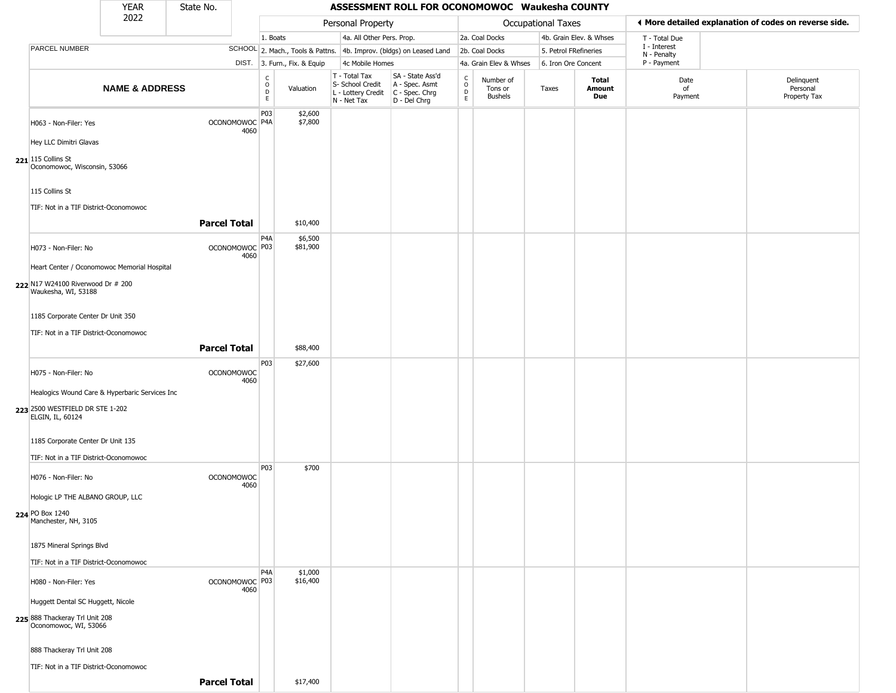|                                                         | <b>YEAR</b>                                              | State No.           |      |                          |                              |                                                                                         | ASSESSMENT ROLL FOR OCONOMOWOC Waukesha COUNTY                      |                                                          |                                        |                           |                         |                             |                                                       |
|---------------------------------------------------------|----------------------------------------------------------|---------------------|------|--------------------------|------------------------------|-----------------------------------------------------------------------------------------|---------------------------------------------------------------------|----------------------------------------------------------|----------------------------------------|---------------------------|-------------------------|-----------------------------|-------------------------------------------------------|
|                                                         | 2022                                                     |                     |      |                          |                              | Personal Property                                                                       |                                                                     |                                                          |                                        | <b>Occupational Taxes</b> |                         |                             | ◀ More detailed explanation of codes on reverse side. |
|                                                         |                                                          |                     |      | 1. Boats                 |                              | 4a. All Other Pers. Prop.                                                               |                                                                     |                                                          | 2a. Coal Docks                         |                           | 4b. Grain Elev. & Whses | T - Total Due               |                                                       |
| <b>PARCEL NUMBER</b>                                    |                                                          |                     |      |                          |                              |                                                                                         | SCHOOL 2. Mach., Tools & Pattns. 4b. Improv. (bldgs) on Leased Land |                                                          | 2b. Coal Docks                         | 5. Petrol FRefineries     |                         | I - Interest<br>N - Penalty |                                                       |
|                                                         |                                                          |                     |      |                          | DIST. 3. Furn., Fix. & Equip | 4c Mobile Homes                                                                         |                                                                     |                                                          | 4a. Grain Elev & Whses                 | 6. Iron Ore Concent       |                         | P - Payment                 |                                                       |
|                                                         | <b>NAME &amp; ADDRESS</b>                                |                     |      | C<br>$\overline{D}$<br>E | Valuation                    | T - Total Tax<br>S- School Credit<br>L - Lottery Credit   C - Spec. Chrg<br>N - Net Tax | SA - State Ass'd<br>A - Spec. Asmt<br>D - Del Chrg                  | $\begin{matrix} 0 \\ 0 \\ 0 \end{matrix}$<br>$\mathsf E$ | Number of<br>Tons or<br><b>Bushels</b> | Taxes                     | Total<br>Amount<br>Due  | Date<br>of<br>Payment       | Delinquent<br>Personal<br>Property Tax                |
| H063 - Non-Filer: Yes                                   |                                                          | OCONOMOWOC P4A      | 4060 | P03                      | \$2,600<br>\$7,800           |                                                                                         |                                                                     |                                                          |                                        |                           |                         |                             |                                                       |
| Hey LLC Dimitri Glavas                                  |                                                          |                     |      |                          |                              |                                                                                         |                                                                     |                                                          |                                        |                           |                         |                             |                                                       |
| $221$ 115 Collins St<br>Oconomowoc, Wisconsin, 53066    |                                                          |                     |      |                          |                              |                                                                                         |                                                                     |                                                          |                                        |                           |                         |                             |                                                       |
| 115 Collins St                                          | TIF: Not in a TIF District-Oconomowoc                    |                     |      |                          |                              |                                                                                         |                                                                     |                                                          |                                        |                           |                         |                             |                                                       |
|                                                         |                                                          | <b>Parcel Total</b> |      |                          | \$10,400                     |                                                                                         |                                                                     |                                                          |                                        |                           |                         |                             |                                                       |
| H073 - Non-Filer: No                                    |                                                          | OCONOMOWOC P03      | 4060 | P4A                      | \$6,500<br>\$81,900          |                                                                                         |                                                                     |                                                          |                                        |                           |                         |                             |                                                       |
|                                                         | Heart Center / Oconomowoc Memorial Hospital              |                     |      |                          |                              |                                                                                         |                                                                     |                                                          |                                        |                           |                         |                             |                                                       |
|                                                         | 222 N17 W24100 Riverwood Dr # 200<br>Waukesha, WI, 53188 |                     |      |                          |                              |                                                                                         |                                                                     |                                                          |                                        |                           |                         |                             |                                                       |
|                                                         | 1185 Corporate Center Dr Unit 350                        |                     |      |                          |                              |                                                                                         |                                                                     |                                                          |                                        |                           |                         |                             |                                                       |
|                                                         | TIF: Not in a TIF District-Oconomowoc                    | <b>Parcel Total</b> |      |                          | \$88,400                     |                                                                                         |                                                                     |                                                          |                                        |                           |                         |                             |                                                       |
|                                                         |                                                          |                     |      | P03                      | \$27,600                     |                                                                                         |                                                                     |                                                          |                                        |                           |                         |                             |                                                       |
| H075 - Non-Filer: No                                    |                                                          | <b>OCONOMOWOC</b>   | 4060 |                          |                              |                                                                                         |                                                                     |                                                          |                                        |                           |                         |                             |                                                       |
|                                                         | Healogics Wound Care & Hyperbaric Services Inc           |                     |      |                          |                              |                                                                                         |                                                                     |                                                          |                                        |                           |                         |                             |                                                       |
| 223 2500 WESTFIELD DR STE 1-202<br>ELGIN, IL, 60124     |                                                          |                     |      |                          |                              |                                                                                         |                                                                     |                                                          |                                        |                           |                         |                             |                                                       |
| 1185 Corporate Center Dr Unit 135                       |                                                          |                     |      |                          |                              |                                                                                         |                                                                     |                                                          |                                        |                           |                         |                             |                                                       |
|                                                         | TIF: Not in a TIF District-Oconomowoc                    |                     |      |                          |                              |                                                                                         |                                                                     |                                                          |                                        |                           |                         |                             |                                                       |
| H076 - Non-Filer: No                                    |                                                          | <b>OCONOMOWOC</b>   | 4060 | P03                      | \$700                        |                                                                                         |                                                                     |                                                          |                                        |                           |                         |                             |                                                       |
| Hologic LP THE ALBANO GROUP, LLC                        |                                                          |                     |      |                          |                              |                                                                                         |                                                                     |                                                          |                                        |                           |                         |                             |                                                       |
| 224 PO Box 1240<br>Manchester, NH, 3105                 |                                                          |                     |      |                          |                              |                                                                                         |                                                                     |                                                          |                                        |                           |                         |                             |                                                       |
| 1875 Mineral Springs Blvd                               |                                                          |                     |      |                          |                              |                                                                                         |                                                                     |                                                          |                                        |                           |                         |                             |                                                       |
|                                                         | TIF: Not in a TIF District-Oconomowoc                    |                     |      |                          |                              |                                                                                         |                                                                     |                                                          |                                        |                           |                         |                             |                                                       |
| H080 - Non-Filer: Yes                                   |                                                          | OCONOMOWOC P03      | 4060 | P4A                      | \$1,000<br>\$16,400          |                                                                                         |                                                                     |                                                          |                                        |                           |                         |                             |                                                       |
| Huggett Dental SC Huggett, Nicole                       |                                                          |                     |      |                          |                              |                                                                                         |                                                                     |                                                          |                                        |                           |                         |                             |                                                       |
| 225 888 Thackeray Trl Unit 208<br>Oconomowoc, WI, 53066 |                                                          |                     |      |                          |                              |                                                                                         |                                                                     |                                                          |                                        |                           |                         |                             |                                                       |
| 888 Thackeray Trl Unit 208                              |                                                          |                     |      |                          |                              |                                                                                         |                                                                     |                                                          |                                        |                           |                         |                             |                                                       |
|                                                         | TIF: Not in a TIF District-Oconomowoc                    |                     |      |                          |                              |                                                                                         |                                                                     |                                                          |                                        |                           |                         |                             |                                                       |
|                                                         |                                                          | <b>Parcel Total</b> |      |                          | \$17,400                     |                                                                                         |                                                                     |                                                          |                                        |                           |                         |                             |                                                       |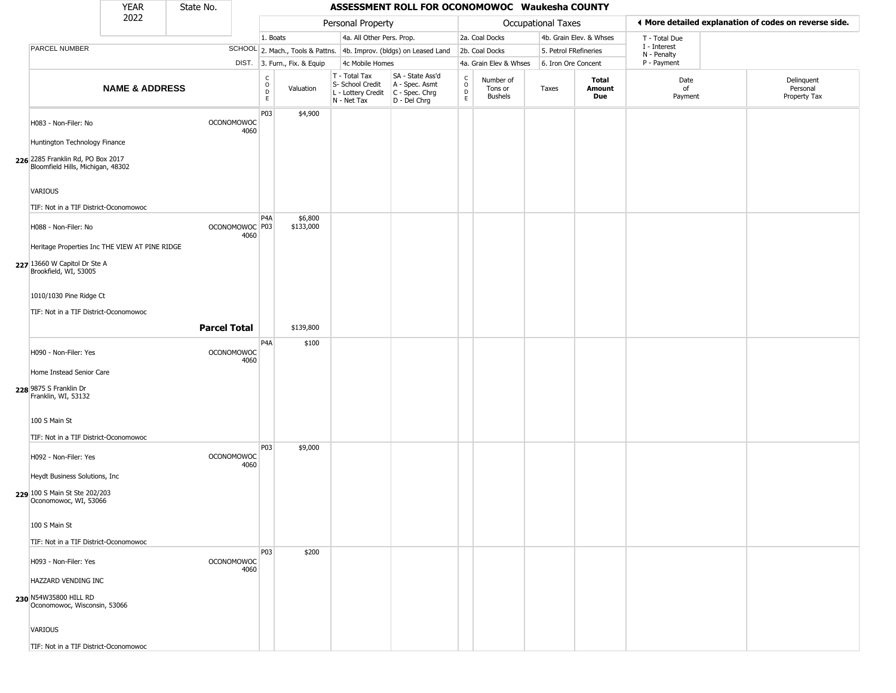|                                                                        | <b>YEAR</b>               | State No.           |                           |                                                          |                              |                                                                                         | ASSESSMENT ROLL FOR OCONOMOWOC Waukesha COUNTY                      |                        |                                        |                       |                         |                             |                                                       |
|------------------------------------------------------------------------|---------------------------|---------------------|---------------------------|----------------------------------------------------------|------------------------------|-----------------------------------------------------------------------------------------|---------------------------------------------------------------------|------------------------|----------------------------------------|-----------------------|-------------------------|-----------------------------|-------------------------------------------------------|
|                                                                        | 2022                      |                     |                           |                                                          |                              | Personal Property                                                                       |                                                                     |                        |                                        | Occupational Taxes    |                         |                             | ♦ More detailed explanation of codes on reverse side. |
|                                                                        |                           |                     |                           | 1. Boats                                                 |                              | 4a. All Other Pers. Prop.                                                               |                                                                     |                        | 2a. Coal Docks                         |                       | 4b. Grain Elev. & Whses | T - Total Due               |                                                       |
| PARCEL NUMBER                                                          |                           |                     |                           |                                                          |                              |                                                                                         | SCHOOL 2. Mach., Tools & Pattns. 4b. Improv. (bldgs) on Leased Land |                        | 2b. Coal Docks                         | 5. Petrol FRefineries |                         | I - Interest<br>N - Penalty |                                                       |
|                                                                        |                           |                     |                           |                                                          | DIST. 3. Furn., Fix. & Equip | 4c Mobile Homes                                                                         |                                                                     |                        | 4a. Grain Elev & Whses                 | 6. Iron Ore Concent   |                         | P - Payment                 |                                                       |
|                                                                        | <b>NAME &amp; ADDRESS</b> |                     |                           | $\begin{matrix} 0 \\ 0 \\ D \end{matrix}$<br>$\mathsf E$ | Valuation                    | T - Total Tax<br>S- School Credit<br>L - Lottery Credit   C - Spec. Chrg<br>N - Net Tax | SA - State Ass'd<br>A - Spec. Asmt<br>D - Del Chrg                  | C<br>$\circ$<br>D<br>E | Number of<br>Tons or<br><b>Bushels</b> | Taxes                 | Total<br>Amount<br>Due  | Date<br>of<br>Payment       | Delinquent<br>Personal<br>Property Tax                |
| H083 - Non-Filer: No                                                   |                           |                     | <b>OCONOMOWOC</b><br>4060 | P03                                                      | \$4,900                      |                                                                                         |                                                                     |                        |                                        |                       |                         |                             |                                                       |
| Huntington Technology Finance                                          |                           |                     |                           |                                                          |                              |                                                                                         |                                                                     |                        |                                        |                       |                         |                             |                                                       |
| 226 2285 Franklin Rd, PO Box 2017<br>Bloomfield Hills, Michigan, 48302 |                           |                     |                           |                                                          |                              |                                                                                         |                                                                     |                        |                                        |                       |                         |                             |                                                       |
| <b>VARIOUS</b>                                                         |                           |                     |                           |                                                          |                              |                                                                                         |                                                                     |                        |                                        |                       |                         |                             |                                                       |
| TIF: Not in a TIF District-Oconomowoc                                  |                           |                     |                           |                                                          |                              |                                                                                         |                                                                     |                        |                                        |                       |                         |                             |                                                       |
| H088 - Non-Filer: No                                                   |                           |                     | OCONOMOWOC P03<br>4060    | P4A                                                      | \$6,800<br>\$133,000         |                                                                                         |                                                                     |                        |                                        |                       |                         |                             |                                                       |
| Heritage Properties Inc THE VIEW AT PINE RIDGE                         |                           |                     |                           |                                                          |                              |                                                                                         |                                                                     |                        |                                        |                       |                         |                             |                                                       |
| 227 13660 W Capitol Dr Ste A<br>Brookfield, WI, 53005                  |                           |                     |                           |                                                          |                              |                                                                                         |                                                                     |                        |                                        |                       |                         |                             |                                                       |
| 1010/1030 Pine Ridge Ct                                                |                           |                     |                           |                                                          |                              |                                                                                         |                                                                     |                        |                                        |                       |                         |                             |                                                       |
| TIF: Not in a TIF District-Oconomowoc                                  |                           |                     |                           |                                                          |                              |                                                                                         |                                                                     |                        |                                        |                       |                         |                             |                                                       |
|                                                                        |                           | <b>Parcel Total</b> |                           |                                                          | \$139,800                    |                                                                                         |                                                                     |                        |                                        |                       |                         |                             |                                                       |
|                                                                        |                           |                     |                           | P4A                                                      | \$100                        |                                                                                         |                                                                     |                        |                                        |                       |                         |                             |                                                       |
| H090 - Non-Filer: Yes                                                  |                           |                     | <b>OCONOMOWOC</b><br>4060 |                                                          |                              |                                                                                         |                                                                     |                        |                                        |                       |                         |                             |                                                       |
| Home Instead Senior Care                                               |                           |                     |                           |                                                          |                              |                                                                                         |                                                                     |                        |                                        |                       |                         |                             |                                                       |
| 228 9875 S Franklin Dr<br>Franklin, WI, 53132                          |                           |                     |                           |                                                          |                              |                                                                                         |                                                                     |                        |                                        |                       |                         |                             |                                                       |
| 100 S Main St                                                          |                           |                     |                           |                                                          |                              |                                                                                         |                                                                     |                        |                                        |                       |                         |                             |                                                       |
| TIF: Not in a TIF District-Oconomowoc                                  |                           |                     |                           |                                                          |                              |                                                                                         |                                                                     |                        |                                        |                       |                         |                             |                                                       |
| H092 - Non-Filer: Yes                                                  |                           |                     | <b>OCONOMOWOC</b><br>4060 | P03                                                      | \$9,000                      |                                                                                         |                                                                     |                        |                                        |                       |                         |                             |                                                       |
| Heydt Business Solutions, Inc.                                         |                           |                     |                           |                                                          |                              |                                                                                         |                                                                     |                        |                                        |                       |                         |                             |                                                       |
| 229 100 S Main St Ste 202/203<br>Oconomowoc, WI, 53066                 |                           |                     |                           |                                                          |                              |                                                                                         |                                                                     |                        |                                        |                       |                         |                             |                                                       |
| 100 S Main St                                                          |                           |                     |                           |                                                          |                              |                                                                                         |                                                                     |                        |                                        |                       |                         |                             |                                                       |
| TIF: Not in a TIF District-Oconomowoc                                  |                           |                     |                           |                                                          |                              |                                                                                         |                                                                     |                        |                                        |                       |                         |                             |                                                       |
| H093 - Non-Filer: Yes                                                  |                           |                     | <b>OCONOMOWOC</b><br>4060 | P03                                                      | \$200                        |                                                                                         |                                                                     |                        |                                        |                       |                         |                             |                                                       |
| HAZZARD VENDING INC                                                    |                           |                     |                           |                                                          |                              |                                                                                         |                                                                     |                        |                                        |                       |                         |                             |                                                       |
| 230 N54W35800 HILL RD<br>Oconomowoc, Wisconsin, 53066                  |                           |                     |                           |                                                          |                              |                                                                                         |                                                                     |                        |                                        |                       |                         |                             |                                                       |
| VARIOUS                                                                |                           |                     |                           |                                                          |                              |                                                                                         |                                                                     |                        |                                        |                       |                         |                             |                                                       |
| TIF: Not in a TIF District-Oconomowoc                                  |                           |                     |                           |                                                          |                              |                                                                                         |                                                                     |                        |                                        |                       |                         |                             |                                                       |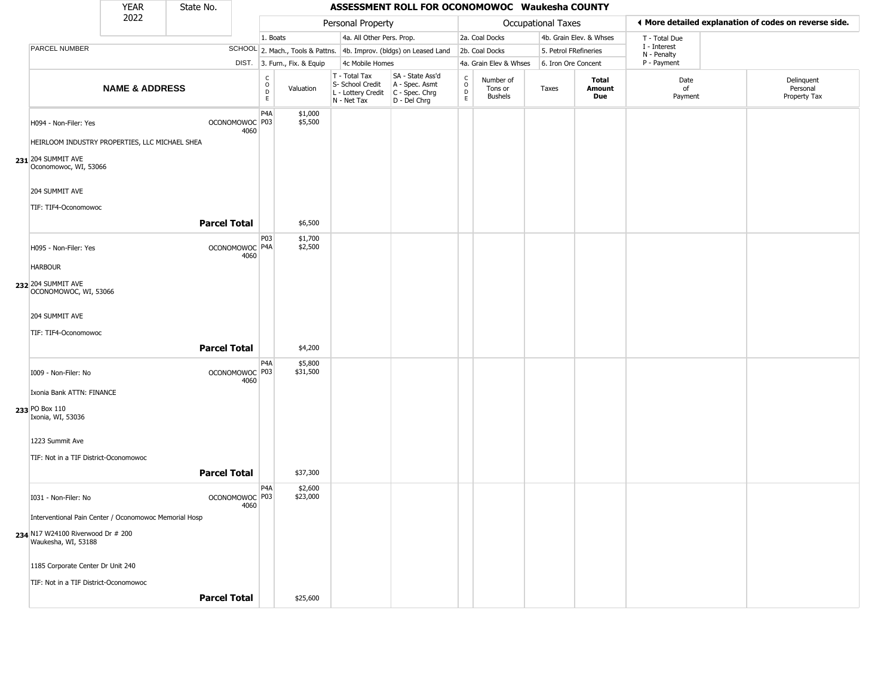|                                                          | <b>YEAR</b>               | State No.           |      |                                    |                              |                                                                        | ASSESSMENT ROLL FOR OCONOMOWOC Waukesha COUNTY                       |                                                 |                                        |                       |                         |                             |                                                       |
|----------------------------------------------------------|---------------------------|---------------------|------|------------------------------------|------------------------------|------------------------------------------------------------------------|----------------------------------------------------------------------|-------------------------------------------------|----------------------------------------|-----------------------|-------------------------|-----------------------------|-------------------------------------------------------|
|                                                          | 2022                      |                     |      |                                    |                              | Personal Property                                                      |                                                                      |                                                 |                                        | Occupational Taxes    |                         |                             | ◀ More detailed explanation of codes on reverse side. |
|                                                          |                           |                     |      | 1. Boats                           |                              | 4a. All Other Pers. Prop.                                              |                                                                      |                                                 | 2a. Coal Docks                         |                       | 4b. Grain Elev. & Whses | T - Total Due               |                                                       |
| PARCEL NUMBER                                            |                           |                     |      |                                    |                              |                                                                        | SCHOOL 2. Mach., Tools & Pattns. 4b. Improv. (bldgs) on Leased Land  |                                                 | 2b. Coal Docks                         | 5. Petrol FRefineries |                         | I - Interest<br>N - Penalty |                                                       |
|                                                          |                           |                     |      |                                    | DIST. 3. Furn., Fix. & Equip | 4c Mobile Homes                                                        |                                                                      |                                                 | 4a. Grain Elev & Whses                 | 6. Iron Ore Concent   |                         | P - Payment                 |                                                       |
|                                                          | <b>NAME &amp; ADDRESS</b> |                     |      | C<br>$\overline{D}$<br>$\mathsf E$ | Valuation                    | T - Total Tax<br>S- School Credit<br>L - Lottery Credit<br>N - Net Tax | SA - State Ass'd<br>A - Spec. Asmt<br>C - Spec. Chrg<br>D - Del Chrg | $\begin{array}{c} C \\ O \\ D \\ E \end{array}$ | Number of<br>Tons or<br><b>Bushels</b> | Taxes                 | Total<br>Amount<br>Due  | Date<br>of<br>Payment       | Delinquent<br>Personal<br>Property Tax                |
| H094 - Non-Filer: Yes                                    |                           | OCONOMOWOC P03      | 4060 | P <sub>4</sub> A                   | \$1,000<br>\$5,500           |                                                                        |                                                                      |                                                 |                                        |                       |                         |                             |                                                       |
| HEIRLOOM INDUSTRY PROPERTIES, LLC MICHAEL SHEA           |                           |                     |      |                                    |                              |                                                                        |                                                                      |                                                 |                                        |                       |                         |                             |                                                       |
| 231 204 SUMMIT AVE<br>Oconomowoc, WI, 53066              |                           |                     |      |                                    |                              |                                                                        |                                                                      |                                                 |                                        |                       |                         |                             |                                                       |
| 204 SUMMIT AVE                                           |                           |                     |      |                                    |                              |                                                                        |                                                                      |                                                 |                                        |                       |                         |                             |                                                       |
| TIF: TIF4-Oconomowoc                                     |                           |                     |      |                                    |                              |                                                                        |                                                                      |                                                 |                                        |                       |                         |                             |                                                       |
|                                                          |                           | <b>Parcel Total</b> |      |                                    | \$6,500                      |                                                                        |                                                                      |                                                 |                                        |                       |                         |                             |                                                       |
| H095 - Non-Filer: Yes                                    |                           | OCONOMOWOC P4A      | 4060 | P03                                | \$1,700<br>\$2,500           |                                                                        |                                                                      |                                                 |                                        |                       |                         |                             |                                                       |
| <b>HARBOUR</b>                                           |                           |                     |      |                                    |                              |                                                                        |                                                                      |                                                 |                                        |                       |                         |                             |                                                       |
| 232 204 SUMMIT AVE<br>OCONOMOWOC, WI, 53066              |                           |                     |      |                                    |                              |                                                                        |                                                                      |                                                 |                                        |                       |                         |                             |                                                       |
| 204 SUMMIT AVE                                           |                           |                     |      |                                    |                              |                                                                        |                                                                      |                                                 |                                        |                       |                         |                             |                                                       |
| TIF: TIF4-Oconomowoc                                     |                           |                     |      |                                    |                              |                                                                        |                                                                      |                                                 |                                        |                       |                         |                             |                                                       |
|                                                          |                           | <b>Parcel Total</b> |      |                                    | \$4,200                      |                                                                        |                                                                      |                                                 |                                        |                       |                         |                             |                                                       |
|                                                          |                           |                     |      | P4A                                | \$5,800                      |                                                                        |                                                                      |                                                 |                                        |                       |                         |                             |                                                       |
| I009 - Non-Filer: No                                     |                           | OCONOMOWOC P03      | 4060 |                                    | \$31,500                     |                                                                        |                                                                      |                                                 |                                        |                       |                         |                             |                                                       |
| Ixonia Bank ATTN: FINANCE                                |                           |                     |      |                                    |                              |                                                                        |                                                                      |                                                 |                                        |                       |                         |                             |                                                       |
| 233 PO Box 110<br>Ixonia, WI, 53036                      |                           |                     |      |                                    |                              |                                                                        |                                                                      |                                                 |                                        |                       |                         |                             |                                                       |
| 1223 Summit Ave                                          |                           |                     |      |                                    |                              |                                                                        |                                                                      |                                                 |                                        |                       |                         |                             |                                                       |
| TIF: Not in a TIF District-Oconomowoc                    |                           |                     |      |                                    |                              |                                                                        |                                                                      |                                                 |                                        |                       |                         |                             |                                                       |
|                                                          |                           | <b>Parcel Total</b> |      |                                    | \$37,300                     |                                                                        |                                                                      |                                                 |                                        |                       |                         |                             |                                                       |
| I031 - Non-Filer: No                                     |                           | OCONOMOWOC P03      |      | P <sub>4</sub> A                   | \$2,600<br>\$23,000          |                                                                        |                                                                      |                                                 |                                        |                       |                         |                             |                                                       |
| Interventional Pain Center / Oconomowoc Memorial Hosp    |                           |                     | 4060 |                                    |                              |                                                                        |                                                                      |                                                 |                                        |                       |                         |                             |                                                       |
| 234 N17 W24100 Riverwood Dr # 200<br>Waukesha, WI, 53188 |                           |                     |      |                                    |                              |                                                                        |                                                                      |                                                 |                                        |                       |                         |                             |                                                       |
| 1185 Corporate Center Dr Unit 240                        |                           |                     |      |                                    |                              |                                                                        |                                                                      |                                                 |                                        |                       |                         |                             |                                                       |
| TIF: Not in a TIF District-Oconomowoc                    |                           |                     |      |                                    |                              |                                                                        |                                                                      |                                                 |                                        |                       |                         |                             |                                                       |
|                                                          |                           | <b>Parcel Total</b> |      |                                    | \$25,600                     |                                                                        |                                                                      |                                                 |                                        |                       |                         |                             |                                                       |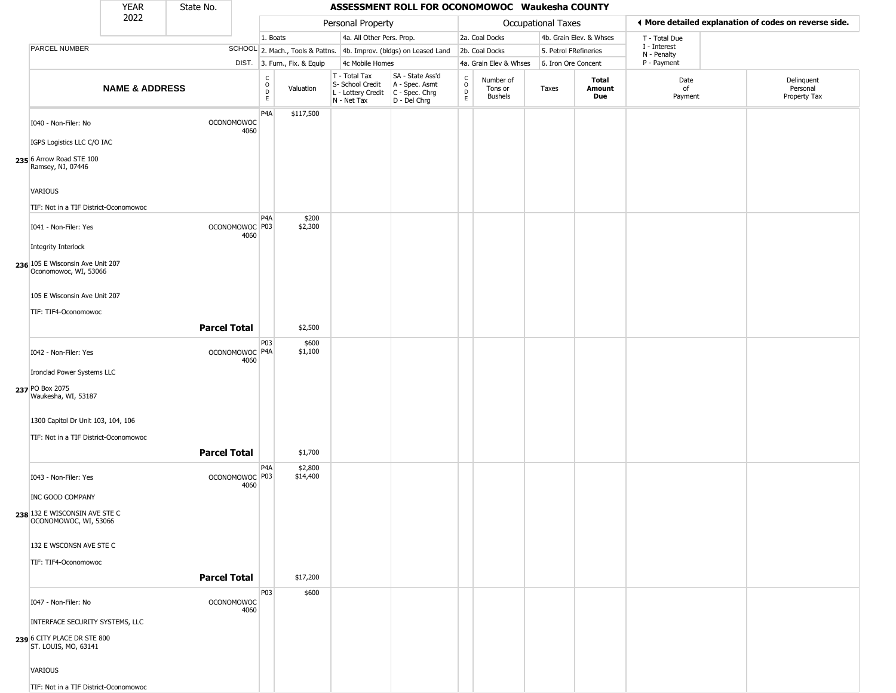|                                                                                                                                                    | <b>YEAR</b>               | State No.           |                           |                              |                              |                                                                        | ASSESSMENT ROLL FOR OCONOMOWOC Waukesha COUNTY                         |                                                 |                                        |                       |                         |                             |                                                       |
|----------------------------------------------------------------------------------------------------------------------------------------------------|---------------------------|---------------------|---------------------------|------------------------------|------------------------------|------------------------------------------------------------------------|------------------------------------------------------------------------|-------------------------------------------------|----------------------------------------|-----------------------|-------------------------|-----------------------------|-------------------------------------------------------|
|                                                                                                                                                    | 2022                      |                     |                           |                              |                              | Personal Property                                                      |                                                                        |                                                 |                                        | Occupational Taxes    |                         |                             | ♦ More detailed explanation of codes on reverse side. |
|                                                                                                                                                    |                           |                     |                           | 1. Boats                     |                              | 4a. All Other Pers. Prop.                                              |                                                                        |                                                 | 2a. Coal Docks                         |                       | 4b. Grain Elev. & Whses | T - Total Due               |                                                       |
| PARCEL NUMBER                                                                                                                                      |                           |                     |                           |                              |                              |                                                                        | SCHOOL 2. Mach., Tools & Pattns. 4b. Improv. (bldgs) on Leased Land    |                                                 | 2b. Coal Docks                         | 5. Petrol FRefineries |                         | I - Interest<br>N - Penalty |                                                       |
|                                                                                                                                                    |                           |                     |                           |                              | DIST. 3. Furn., Fix. & Equip | 4c Mobile Homes                                                        |                                                                        |                                                 | 4a. Grain Elev & Whses                 | 6. Iron Ore Concent   |                         | P - Payment                 |                                                       |
|                                                                                                                                                    | <b>NAME &amp; ADDRESS</b> |                     |                           | $_{\rm o}^{\rm c}$<br>D<br>E | Valuation                    | T - Total Tax<br>S- School Credit<br>L - Lottery Credit<br>N - Net Tax | SA - State Ass'd<br>A - Spec. Asmt<br>$C - Spec. Chrg$<br>D - Del Chrg | $\begin{array}{c} C \\ O \\ D \\ E \end{array}$ | Number of<br>Tons or<br><b>Bushels</b> | Taxes                 | Total<br>Amount<br>Due  | Date<br>of<br>Payment       | Delinquent<br>Personal<br>Property Tax                |
| I040 - Non-Filer: No<br>IGPS Logistics LLC C/O IAC<br>235 6 Arrow Road STE 100<br>Ramsey, NJ, 07446                                                |                           |                     | <b>OCONOMOWOC</b><br>4060 | P <sub>4</sub> A             | \$117,500                    |                                                                        |                                                                        |                                                 |                                        |                       |                         |                             |                                                       |
| VARIOUS                                                                                                                                            |                           |                     |                           |                              |                              |                                                                        |                                                                        |                                                 |                                        |                       |                         |                             |                                                       |
| TIF: Not in a TIF District-Oconomowoc<br>I041 - Non-Filer: Yes<br>Integrity Interlock<br>236 105 E Wisconsin Ave Unit 207<br>Oconomowoc, WI, 53066 |                           |                     | OCONOMOWOC P03<br>4060    | P <sub>4</sub> A             | \$200<br>\$2,300             |                                                                        |                                                                        |                                                 |                                        |                       |                         |                             |                                                       |
| 105 E Wisconsin Ave Unit 207<br>TIF: TIF4-Oconomowoc                                                                                               |                           |                     |                           |                              |                              |                                                                        |                                                                        |                                                 |                                        |                       |                         |                             |                                                       |
|                                                                                                                                                    |                           | <b>Parcel Total</b> |                           |                              | \$2,500                      |                                                                        |                                                                        |                                                 |                                        |                       |                         |                             |                                                       |
| I042 - Non-Filer: Yes<br>Ironclad Power Systems LLC                                                                                                |                           |                     | OCONOMOWOC P4A<br>4060    | P03                          | \$600<br>\$1,100             |                                                                        |                                                                        |                                                 |                                        |                       |                         |                             |                                                       |
| 237 PO Box 2075<br>Waukesha, WI, 53187<br>1300 Capitol Dr Unit 103, 104, 106                                                                       |                           |                     |                           |                              |                              |                                                                        |                                                                        |                                                 |                                        |                       |                         |                             |                                                       |
| TIF: Not in a TIF District-Oconomowoc                                                                                                              |                           |                     |                           |                              |                              |                                                                        |                                                                        |                                                 |                                        |                       |                         |                             |                                                       |
|                                                                                                                                                    |                           | <b>Parcel Total</b> |                           |                              | \$1,700                      |                                                                        |                                                                        |                                                 |                                        |                       |                         |                             |                                                       |
| I043 - Non-Filer: Yes<br>INC GOOD COMPANY<br>238 132 E WISCONSIN AVE STE C                                                                         |                           |                     | OCONOMOWOC P03<br>4060    | P <sub>4</sub> A             | \$2,800<br>\$14,400          |                                                                        |                                                                        |                                                 |                                        |                       |                         |                             |                                                       |
| OCONOMOWOC, WI, 53066<br>132 E WSCONSN AVE STE C<br>TIF: TIF4-Oconomowoc                                                                           |                           |                     |                           |                              |                              |                                                                        |                                                                        |                                                 |                                        |                       |                         |                             |                                                       |
|                                                                                                                                                    |                           | <b>Parcel Total</b> |                           |                              | \$17,200                     |                                                                        |                                                                        |                                                 |                                        |                       |                         |                             |                                                       |
| I047 - Non-Filer: No                                                                                                                               |                           |                     | <b>OCONOMOWOC</b><br>4060 | P03                          | \$600                        |                                                                        |                                                                        |                                                 |                                        |                       |                         |                             |                                                       |
| INTERFACE SECURITY SYSTEMS, LLC<br>239 6 CITY PLACE DR STE 800<br>ST. LOUIS, MO, 63141                                                             |                           |                     |                           |                              |                              |                                                                        |                                                                        |                                                 |                                        |                       |                         |                             |                                                       |
| VARIOUS<br>TIF: Not in a TIF District-Oconomowoc                                                                                                   |                           |                     |                           |                              |                              |                                                                        |                                                                        |                                                 |                                        |                       |                         |                             |                                                       |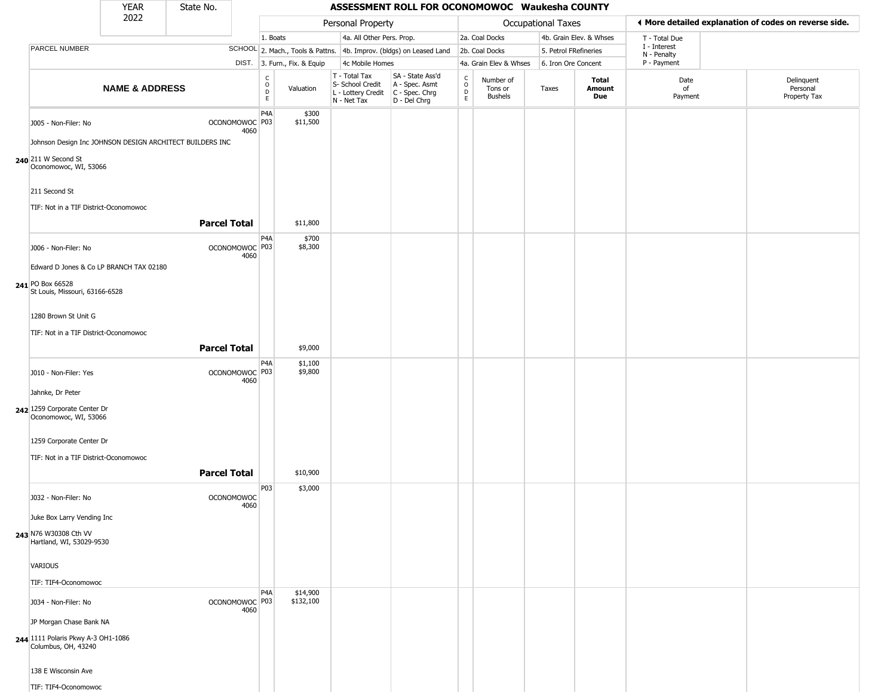|                                                                                                         | <b>YEAR</b>               | State No.           |                           |                       |                              |                                                                        | ASSESSMENT ROLL FOR OCONOMOWOC Waukesha COUNTY                       |                                            |                                        |                       |                         |                            |                                                       |
|---------------------------------------------------------------------------------------------------------|---------------------------|---------------------|---------------------------|-----------------------|------------------------------|------------------------------------------------------------------------|----------------------------------------------------------------------|--------------------------------------------|----------------------------------------|-----------------------|-------------------------|----------------------------|-------------------------------------------------------|
|                                                                                                         | 2022                      |                     |                           |                       |                              | Personal Property                                                      |                                                                      |                                            |                                        | Occupational Taxes    |                         |                            | ◀ More detailed explanation of codes on reverse side. |
|                                                                                                         |                           |                     |                           | 1. Boats              |                              | 4a. All Other Pers. Prop.                                              |                                                                      |                                            | 2a. Coal Docks                         |                       | 4b. Grain Elev. & Whses | T - Total Due              |                                                       |
| PARCEL NUMBER                                                                                           |                           |                     |                           |                       |                              |                                                                        | SCHOOL 2. Mach., Tools & Pattns. 4b. Improv. (bldgs) on Leased Land  |                                            | 2b. Coal Docks                         | 5. Petrol FRefineries |                         | I - Interest               |                                                       |
|                                                                                                         |                           |                     |                           |                       | DIST. 3. Furn., Fix. & Equip | 4c Mobile Homes                                                        |                                                                      |                                            | 4a. Grain Elev & Whses                 | 6. Iron Ore Concent   |                         | N - Penalty<br>P - Payment |                                                       |
|                                                                                                         | <b>NAME &amp; ADDRESS</b> |                     |                           | $\rm _o^C$<br>D<br>E. | Valuation                    | T - Total Tax<br>S- School Credit<br>L - Lottery Credit<br>N - Net Tax | SA - State Ass'd<br>A - Spec. Asmt<br>C - Spec. Chrg<br>D - Del Chrg | $\begin{array}{c} C \\ 0 \\ E \end{array}$ | Number of<br>Tons or<br><b>Bushels</b> | Taxes                 | Total<br>Amount<br>Due  | Date<br>of<br>Payment      | Delinquent<br>Personal<br>Property Tax                |
| J005 - Non-Filer: No<br>Johnson Design Inc JOHNSON DESIGN ARCHITECT BUILDERS INC<br>240 211 W Second St |                           |                     | OCONOMOWOC P03<br>4060    | P <sub>4</sub> A      | \$300<br>\$11,500            |                                                                        |                                                                      |                                            |                                        |                       |                         |                            |                                                       |
| Oconomowoc, WI, 53066<br>211 Second St                                                                  |                           |                     |                           |                       |                              |                                                                        |                                                                      |                                            |                                        |                       |                         |                            |                                                       |
| TIF: Not in a TIF District-Oconomowoc                                                                   |                           |                     |                           |                       |                              |                                                                        |                                                                      |                                            |                                        |                       |                         |                            |                                                       |
|                                                                                                         |                           | <b>Parcel Total</b> |                           |                       | \$11,800                     |                                                                        |                                                                      |                                            |                                        |                       |                         |                            |                                                       |
| J006 - Non-Filer: No                                                                                    |                           |                     | OCONOMOWOC P03<br>4060    | P <sub>4</sub> A      | \$700<br>\$8,300             |                                                                        |                                                                      |                                            |                                        |                       |                         |                            |                                                       |
| Edward D Jones & Co LP BRANCH TAX 02180                                                                 |                           |                     |                           |                       |                              |                                                                        |                                                                      |                                            |                                        |                       |                         |                            |                                                       |
| 241 PO Box 66528<br>St Louis, Missouri, 63166-6528                                                      |                           |                     |                           |                       |                              |                                                                        |                                                                      |                                            |                                        |                       |                         |                            |                                                       |
| 1280 Brown St Unit G                                                                                    |                           |                     |                           |                       |                              |                                                                        |                                                                      |                                            |                                        |                       |                         |                            |                                                       |
| TIF: Not in a TIF District-Oconomowoc                                                                   |                           |                     |                           |                       |                              |                                                                        |                                                                      |                                            |                                        |                       |                         |                            |                                                       |
|                                                                                                         |                           | <b>Parcel Total</b> |                           |                       | \$9,000                      |                                                                        |                                                                      |                                            |                                        |                       |                         |                            |                                                       |
| J010 - Non-Filer: Yes                                                                                   |                           |                     | OCONOMOWOC P03<br>4060    | P <sub>4</sub> A      | \$1,100<br>\$9,800           |                                                                        |                                                                      |                                            |                                        |                       |                         |                            |                                                       |
| Jahnke, Dr Peter                                                                                        |                           |                     |                           |                       |                              |                                                                        |                                                                      |                                            |                                        |                       |                         |                            |                                                       |
| 242 1259 Corporate Center Dr<br>Oconomowoc, WI, 53066                                                   |                           |                     |                           |                       |                              |                                                                        |                                                                      |                                            |                                        |                       |                         |                            |                                                       |
| 1259 Corporate Center Dr                                                                                |                           |                     |                           |                       |                              |                                                                        |                                                                      |                                            |                                        |                       |                         |                            |                                                       |
| TIF: Not in a TIF District-Oconomowoc                                                                   |                           |                     |                           |                       |                              |                                                                        |                                                                      |                                            |                                        |                       |                         |                            |                                                       |
|                                                                                                         |                           | <b>Parcel Total</b> |                           |                       | \$10,900                     |                                                                        |                                                                      |                                            |                                        |                       |                         |                            |                                                       |
| J032 - Non-Filer: No                                                                                    |                           |                     | <b>OCONOMOWOC</b><br>4060 | P03                   | \$3,000                      |                                                                        |                                                                      |                                            |                                        |                       |                         |                            |                                                       |
| Juke Box Larry Vending Inc                                                                              |                           |                     |                           |                       |                              |                                                                        |                                                                      |                                            |                                        |                       |                         |                            |                                                       |
| 243 N76 W30308 Cth VV<br>Hartland, WI, 53029-9530                                                       |                           |                     |                           |                       |                              |                                                                        |                                                                      |                                            |                                        |                       |                         |                            |                                                       |
| VARIOUS                                                                                                 |                           |                     |                           |                       |                              |                                                                        |                                                                      |                                            |                                        |                       |                         |                            |                                                       |
| TIF: TIF4-Oconomowoc                                                                                    |                           |                     |                           | P <sub>4</sub> A      | \$14,900                     |                                                                        |                                                                      |                                            |                                        |                       |                         |                            |                                                       |
| J034 - Non-Filer: No                                                                                    |                           |                     | OCONOMOWOC P03<br>4060    |                       | \$132,100                    |                                                                        |                                                                      |                                            |                                        |                       |                         |                            |                                                       |
| JP Morgan Chase Bank NA<br>244 1111 Polaris Pkwy A-3 OH1-1086<br>Columbus, OH, 43240                    |                           |                     |                           |                       |                              |                                                                        |                                                                      |                                            |                                        |                       |                         |                            |                                                       |
| 138 E Wisconsin Ave                                                                                     |                           |                     |                           |                       |                              |                                                                        |                                                                      |                                            |                                        |                       |                         |                            |                                                       |
| TIF: TIF4-Oconomowoc                                                                                    |                           |                     |                           |                       |                              |                                                                        |                                                                      |                                            |                                        |                       |                         |                            |                                                       |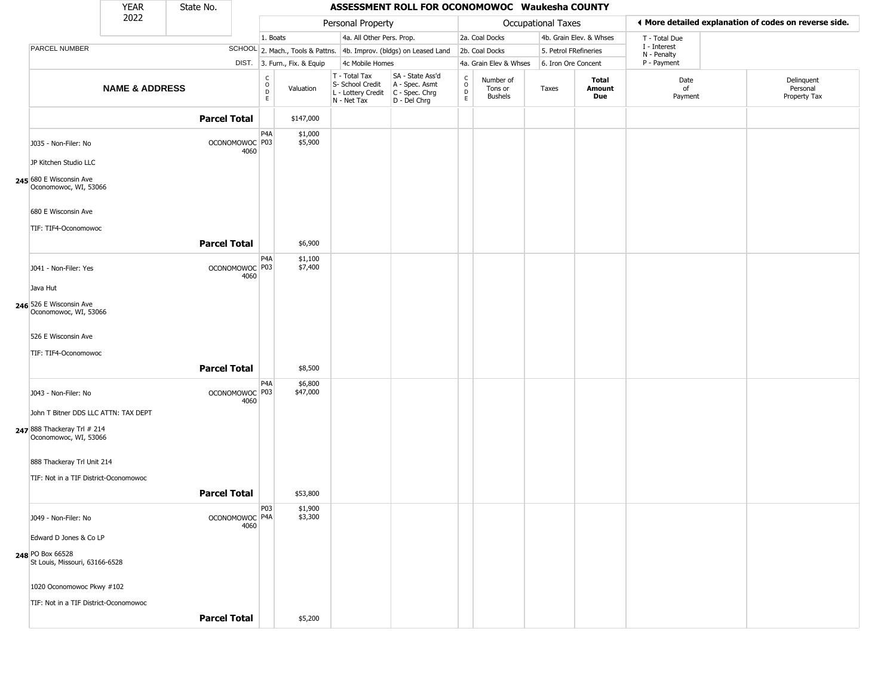|                                                      | <b>YEAR</b>               | State No.           |                                                |                              |                                                                        | ASSESSMENT ROLL FOR OCONOMOWOC Waukesha COUNTY                       |                                            |                                        |                    |                               |                             |                                                       |
|------------------------------------------------------|---------------------------|---------------------|------------------------------------------------|------------------------------|------------------------------------------------------------------------|----------------------------------------------------------------------|--------------------------------------------|----------------------------------------|--------------------|-------------------------------|-----------------------------|-------------------------------------------------------|
|                                                      | 2022                      |                     |                                                |                              | Personal Property                                                      |                                                                      |                                            |                                        | Occupational Taxes |                               |                             | ♦ More detailed explanation of codes on reverse side. |
|                                                      |                           |                     |                                                | 1. Boats                     | 4a. All Other Pers. Prop.                                              |                                                                      |                                            | 2a. Coal Docks                         |                    | 4b. Grain Elev. & Whses       | T - Total Due               |                                                       |
| PARCEL NUMBER                                        |                           |                     |                                                |                              |                                                                        | SCHOOL 2. Mach., Tools & Pattns. 4b. Improv. (bldgs) on Leased Land  |                                            | 2b. Coal Docks                         |                    | 5. Petrol FRefineries         | I - Interest<br>N - Penalty |                                                       |
|                                                      |                           |                     |                                                | DIST. 3. Furn., Fix. & Equip | 4c Mobile Homes                                                        |                                                                      |                                            | 4a. Grain Elev & Whses                 |                    | 6. Iron Ore Concent           | P - Payment                 |                                                       |
|                                                      | <b>NAME &amp; ADDRESS</b> |                     | $\begin{matrix} 0 \\ 0 \\ D \end{matrix}$<br>E | Valuation                    | T - Total Tax<br>S- School Credit<br>L - Lottery Credit<br>N - Net Tax | SA - State Ass'd<br>A - Spec. Asmt<br>C - Spec. Chrg<br>D - Del Chrg | $\begin{array}{c} C \\ 0 \\ E \end{array}$ | Number of<br>Tons or<br><b>Bushels</b> | Taxes              | Total<br>Amount<br><b>Due</b> | Date<br>of<br>Payment       | Delinquent<br>Personal<br>Property Tax                |
|                                                      |                           | <b>Parcel Total</b> |                                                | \$147,000                    |                                                                        |                                                                      |                                            |                                        |                    |                               |                             |                                                       |
| J035 - Non-Filer: No                                 |                           |                     | P4A<br>OCONOMOWOC P03<br>4060                  | \$1,000<br>\$5,900           |                                                                        |                                                                      |                                            |                                        |                    |                               |                             |                                                       |
| JP Kitchen Studio LLC                                |                           |                     |                                                |                              |                                                                        |                                                                      |                                            |                                        |                    |                               |                             |                                                       |
| 245 680 E Wisconsin Ave<br>Oconomowoc, WI, 53066     |                           |                     |                                                |                              |                                                                        |                                                                      |                                            |                                        |                    |                               |                             |                                                       |
| 680 E Wisconsin Ave                                  |                           |                     |                                                |                              |                                                                        |                                                                      |                                            |                                        |                    |                               |                             |                                                       |
| TIF: TIF4-Oconomowoc                                 |                           |                     |                                                |                              |                                                                        |                                                                      |                                            |                                        |                    |                               |                             |                                                       |
|                                                      |                           | <b>Parcel Total</b> | P <sub>4</sub> A                               | \$6,900<br>\$1,100           |                                                                        |                                                                      |                                            |                                        |                    |                               |                             |                                                       |
| J041 - Non-Filer: Yes                                |                           |                     | OCONOMOWOC P03<br>4060                         | \$7,400                      |                                                                        |                                                                      |                                            |                                        |                    |                               |                             |                                                       |
| Java Hut                                             |                           |                     |                                                |                              |                                                                        |                                                                      |                                            |                                        |                    |                               |                             |                                                       |
| 246 526 E Wisconsin Ave<br>Oconomowoc, WI, 53066     |                           |                     |                                                |                              |                                                                        |                                                                      |                                            |                                        |                    |                               |                             |                                                       |
| 526 E Wisconsin Ave                                  |                           |                     |                                                |                              |                                                                        |                                                                      |                                            |                                        |                    |                               |                             |                                                       |
| TIF: TIF4-Oconomowoc                                 |                           |                     |                                                |                              |                                                                        |                                                                      |                                            |                                        |                    |                               |                             |                                                       |
|                                                      |                           | <b>Parcel Total</b> |                                                | \$8,500                      |                                                                        |                                                                      |                                            |                                        |                    |                               |                             |                                                       |
| J043 - Non-Filer: No                                 |                           |                     | P <sub>4</sub> A<br>OCONOMOWOC P03<br>4060     | \$6,800<br>\$47,000          |                                                                        |                                                                      |                                            |                                        |                    |                               |                             |                                                       |
| John T Bitner DDS LLC ATTN: TAX DEPT                 |                           |                     |                                                |                              |                                                                        |                                                                      |                                            |                                        |                    |                               |                             |                                                       |
| 247 888 Thackeray Trl # 214<br>Oconomowoc, WI, 53066 |                           |                     |                                                |                              |                                                                        |                                                                      |                                            |                                        |                    |                               |                             |                                                       |
| 888 Thackeray Trl Unit 214                           |                           |                     |                                                |                              |                                                                        |                                                                      |                                            |                                        |                    |                               |                             |                                                       |
| TIF: Not in a TIF District-Oconomowoc                |                           |                     |                                                |                              |                                                                        |                                                                      |                                            |                                        |                    |                               |                             |                                                       |
|                                                      |                           | <b>Parcel Total</b> |                                                | \$53,800                     |                                                                        |                                                                      |                                            |                                        |                    |                               |                             |                                                       |
| J049 - Non-Filer: No                                 |                           |                     | P <sub>0</sub> 3<br>OCONOMOWOC P4A<br>4060     | \$1,900<br>\$3,300           |                                                                        |                                                                      |                                            |                                        |                    |                               |                             |                                                       |
| Edward D Jones & Co LP                               |                           |                     |                                                |                              |                                                                        |                                                                      |                                            |                                        |                    |                               |                             |                                                       |
| 248 PO Box 66528<br>St Louis, Missouri, 63166-6528   |                           |                     |                                                |                              |                                                                        |                                                                      |                                            |                                        |                    |                               |                             |                                                       |
| 1020 Oconomowoc Pkwy #102                            |                           |                     |                                                |                              |                                                                        |                                                                      |                                            |                                        |                    |                               |                             |                                                       |
| TIF: Not in a TIF District-Oconomowoc                |                           |                     |                                                |                              |                                                                        |                                                                      |                                            |                                        |                    |                               |                             |                                                       |
|                                                      |                           | <b>Parcel Total</b> |                                                | \$5,200                      |                                                                        |                                                                      |                                            |                                        |                    |                               |                             |                                                       |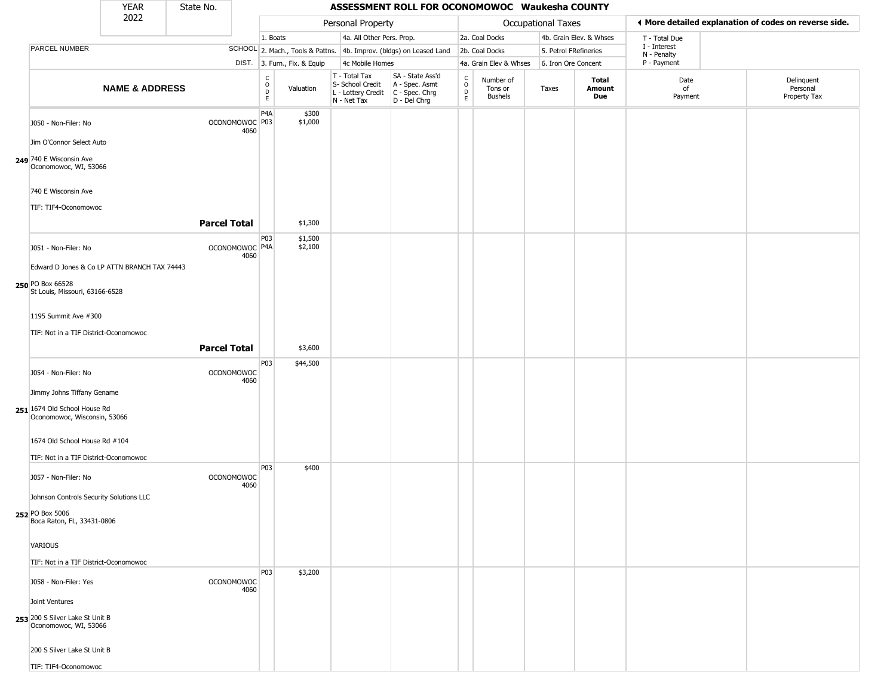|                                                                                                    | <b>YEAR</b>               | State No. |                           |                                |                              |                                                                        | ASSESSMENT ROLL FOR OCONOMOWOC Waukesha COUNTY                       |                                |                                        |                           |                         |                             |                                                       |
|----------------------------------------------------------------------------------------------------|---------------------------|-----------|---------------------------|--------------------------------|------------------------------|------------------------------------------------------------------------|----------------------------------------------------------------------|--------------------------------|----------------------------------------|---------------------------|-------------------------|-----------------------------|-------------------------------------------------------|
|                                                                                                    | 2022                      |           |                           |                                |                              | Personal Property                                                      |                                                                      |                                |                                        | <b>Occupational Taxes</b> |                         |                             | ♦ More detailed explanation of codes on reverse side. |
|                                                                                                    |                           |           |                           | 1. Boats                       |                              | 4a. All Other Pers. Prop.                                              |                                                                      |                                | 2a. Coal Docks                         |                           | 4b. Grain Elev. & Whses | T - Total Due               |                                                       |
| PARCEL NUMBER                                                                                      |                           |           |                           |                                |                              |                                                                        | SCHOOL 2. Mach., Tools & Pattns. 4b. Improv. (bldgs) on Leased Land  |                                | 2b. Coal Docks                         | 5. Petrol FRefineries     |                         | I - Interest<br>N - Penalty |                                                       |
|                                                                                                    |                           |           |                           |                                | DIST. 3. Furn., Fix. & Equip | 4c Mobile Homes                                                        |                                                                      |                                | 4a. Grain Elev & Whses                 | 6. Iron Ore Concent       |                         | P - Payment                 |                                                       |
|                                                                                                    | <b>NAME &amp; ADDRESS</b> |           |                           | $\rm _o^c$<br>D<br>$\mathsf E$ | Valuation                    | T - Total Tax<br>S- School Credit<br>L - Lottery Credit<br>N - Net Tax | SA - State Ass'd<br>A - Spec. Asmt<br>C - Spec. Chrg<br>D - Del Chrg | $\rm _o^C$<br>$\mathsf D$<br>E | Number of<br>Tons or<br><b>Bushels</b> | Taxes                     | Total<br>Amount<br>Due  | Date<br>of<br>Payment       | Delinquent<br>Personal<br>Property Tax                |
| J050 - Non-Filer: No<br>Jim O'Connor Select Auto                                                   |                           |           | OCONOMOWOC P03<br>4060    | P <sub>4</sub> A               | \$300<br>\$1,000             |                                                                        |                                                                      |                                |                                        |                           |                         |                             |                                                       |
| 249 740 E Wisconsin Ave<br>Oconomowoc, WI, 53066                                                   |                           |           |                           |                                |                              |                                                                        |                                                                      |                                |                                        |                           |                         |                             |                                                       |
| 740 E Wisconsin Ave                                                                                |                           |           |                           |                                |                              |                                                                        |                                                                      |                                |                                        |                           |                         |                             |                                                       |
| TIF: TIF4-Oconomowoc                                                                               |                           |           | <b>Parcel Total</b>       |                                | \$1,300                      |                                                                        |                                                                      |                                |                                        |                           |                         |                             |                                                       |
| J051 - Non-Filer: No                                                                               |                           |           | OCONOMOWOC P4A<br>4060    | P03                            | \$1,500<br>\$2,100           |                                                                        |                                                                      |                                |                                        |                           |                         |                             |                                                       |
| Edward D Jones & Co LP ATTN BRANCH TAX 74443<br>250 PO Box 66528<br>St Louis, Missouri, 63166-6528 |                           |           |                           |                                |                              |                                                                        |                                                                      |                                |                                        |                           |                         |                             |                                                       |
| 1195 Summit Ave #300<br>TIF: Not in a TIF District-Oconomowoc                                      |                           |           |                           |                                |                              |                                                                        |                                                                      |                                |                                        |                           |                         |                             |                                                       |
|                                                                                                    |                           |           | <b>Parcel Total</b>       |                                | \$3,600                      |                                                                        |                                                                      |                                |                                        |                           |                         |                             |                                                       |
|                                                                                                    |                           |           |                           |                                |                              |                                                                        |                                                                      |                                |                                        |                           |                         |                             |                                                       |
| J054 - Non-Filer: No                                                                               |                           |           | <b>OCONOMOWOC</b><br>4060 | P03                            | \$44,500                     |                                                                        |                                                                      |                                |                                        |                           |                         |                             |                                                       |
| Jimmy Johns Tiffany Gename<br>251 1674 Old School House Rd<br>Oconomowoc, Wisconsin, 53066         |                           |           |                           |                                |                              |                                                                        |                                                                      |                                |                                        |                           |                         |                             |                                                       |
| 1674 Old School House Rd #104<br>TIF: Not in a TIF District-Oconomowoc                             |                           |           |                           |                                |                              |                                                                        |                                                                      |                                |                                        |                           |                         |                             |                                                       |
| J057 - Non-Filer: No                                                                               |                           |           | <b>OCONOMOWOC</b><br>4060 | <b>P03</b>                     | \$400                        |                                                                        |                                                                      |                                |                                        |                           |                         |                             |                                                       |
| Johnson Controls Security Solutions LLC<br>252 PO Box 5006<br>Boca Raton, FL, 33431-0806           |                           |           |                           |                                |                              |                                                                        |                                                                      |                                |                                        |                           |                         |                             |                                                       |
| VARIOUS<br>TIF: Not in a TIF District-Oconomowoc                                                   |                           |           |                           |                                |                              |                                                                        |                                                                      |                                |                                        |                           |                         |                             |                                                       |
| J058 - Non-Filer: Yes                                                                              |                           |           | <b>OCONOMOWOC</b><br>4060 | P03                            | \$3,200                      |                                                                        |                                                                      |                                |                                        |                           |                         |                             |                                                       |
| Joint Ventures<br>253 200 S Silver Lake St Unit B<br>Oconomowoc, WI, 53066                         |                           |           |                           |                                |                              |                                                                        |                                                                      |                                |                                        |                           |                         |                             |                                                       |
| 200 S Silver Lake St Unit B                                                                        |                           |           |                           |                                |                              |                                                                        |                                                                      |                                |                                        |                           |                         |                             |                                                       |
| TIF: TIF4-Oconomowoc                                                                               |                           |           |                           |                                |                              |                                                                        |                                                                      |                                |                                        |                           |                         |                             |                                                       |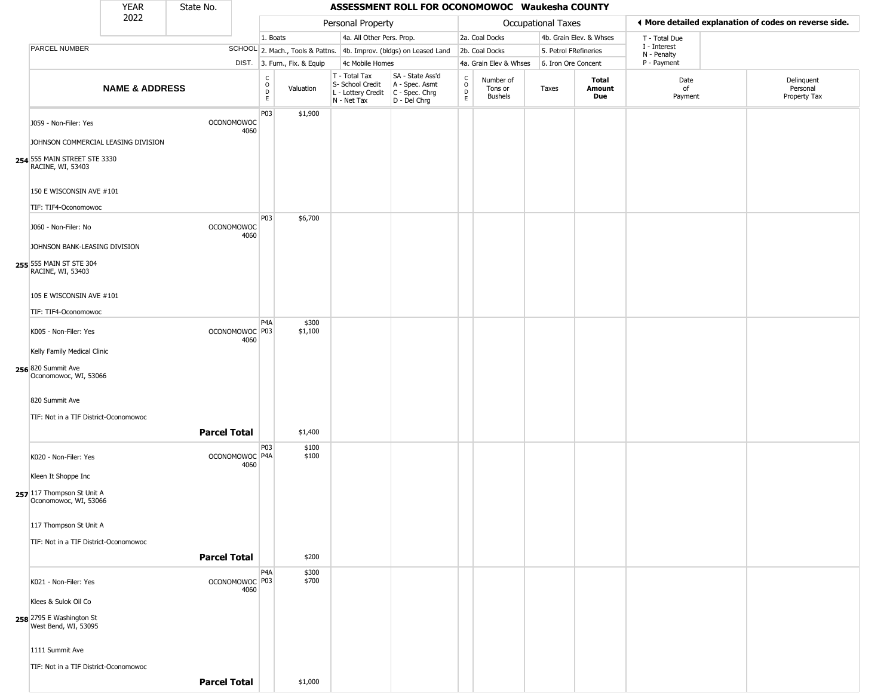|                                                     | <b>YEAR</b>               | State No.           |                                   |                        |                              |                                                                                         | ASSESSMENT ROLL FOR OCONOMOWOC Waukesha COUNTY                      |                                            |                                 |                           |                         |                             |                                                       |
|-----------------------------------------------------|---------------------------|---------------------|-----------------------------------|------------------------|------------------------------|-----------------------------------------------------------------------------------------|---------------------------------------------------------------------|--------------------------------------------|---------------------------------|---------------------------|-------------------------|-----------------------------|-------------------------------------------------------|
|                                                     | 2022                      |                     |                                   |                        |                              | Personal Property                                                                       |                                                                     |                                            |                                 | <b>Occupational Taxes</b> |                         |                             | ♦ More detailed explanation of codes on reverse side. |
|                                                     |                           |                     |                                   | 1. Boats               |                              | 4a. All Other Pers. Prop.                                                               |                                                                     |                                            | 2a. Coal Docks                  |                           | 4b. Grain Elev. & Whses | T - Total Due               |                                                       |
| PARCEL NUMBER                                       |                           |                     |                                   |                        |                              |                                                                                         | SCHOOL 2. Mach., Tools & Pattns. 4b. Improv. (bldgs) on Leased Land |                                            | 2b. Coal Docks                  | 5. Petrol FRefineries     |                         | I - Interest<br>N - Penalty |                                                       |
|                                                     |                           |                     |                                   |                        | DIST. 3. Furn., Fix. & Equip | 4c Mobile Homes                                                                         |                                                                     |                                            | 4a. Grain Elev & Whses          | 6. Iron Ore Concent       |                         | P - Payment                 |                                                       |
|                                                     | <b>NAME &amp; ADDRESS</b> |                     |                                   | С<br>$\circ$<br>D<br>E | Valuation                    | T - Total Tax<br>S- School Credit<br>L - Lottery Credit   C - Spec. Chrg<br>N - Net Tax | SA - State Ass'd<br>A - Spec. Asmt<br>D - Del Chrg                  | $\begin{array}{c} C \\ 0 \\ E \end{array}$ | Number of<br>Tons or<br>Bushels | Taxes                     | Total<br>Amount<br>Due  | Date<br>of<br>Payment       | Delinquent<br>Personal<br>Property Tax                |
| J059 - Non-Filer: Yes                               |                           |                     | <b>OCONOMOWOC</b><br>4060         | P03                    | \$1,900                      |                                                                                         |                                                                     |                                            |                                 |                           |                         |                             |                                                       |
| JOHNSON COMMERCIAL LEASING DIVISION                 |                           |                     |                                   |                        |                              |                                                                                         |                                                                     |                                            |                                 |                           |                         |                             |                                                       |
| 254 555 MAIN STREET STE 3330<br>RACINE, WI, 53403   |                           |                     |                                   |                        |                              |                                                                                         |                                                                     |                                            |                                 |                           |                         |                             |                                                       |
| 150 E WISCONSIN AVE #101                            |                           |                     |                                   |                        |                              |                                                                                         |                                                                     |                                            |                                 |                           |                         |                             |                                                       |
| TIF: TIF4-Oconomowoc                                |                           |                     |                                   | P03                    | \$6,700                      |                                                                                         |                                                                     |                                            |                                 |                           |                         |                             |                                                       |
| J060 - Non-Filer: No                                |                           |                     | <b>OCONOMOWOC</b><br>4060         |                        |                              |                                                                                         |                                                                     |                                            |                                 |                           |                         |                             |                                                       |
| JOHNSON BANK-LEASING DIVISION                       |                           |                     |                                   |                        |                              |                                                                                         |                                                                     |                                            |                                 |                           |                         |                             |                                                       |
| 255 555 MAIN ST STE 304<br>RACINE, WI, 53403        |                           |                     |                                   |                        |                              |                                                                                         |                                                                     |                                            |                                 |                           |                         |                             |                                                       |
| 105 E WISCONSIN AVE #101                            |                           |                     |                                   |                        |                              |                                                                                         |                                                                     |                                            |                                 |                           |                         |                             |                                                       |
| TIF: TIF4-Oconomowoc                                |                           |                     |                                   |                        |                              |                                                                                         |                                                                     |                                            |                                 |                           |                         |                             |                                                       |
| K005 - Non-Filer: Yes                               |                           |                     | OCONOMOWOC <sup>P03</sup><br>4060 | P <sub>4</sub> A       | \$300<br>\$1,100             |                                                                                         |                                                                     |                                            |                                 |                           |                         |                             |                                                       |
| Kelly Family Medical Clinic                         |                           |                     |                                   |                        |                              |                                                                                         |                                                                     |                                            |                                 |                           |                         |                             |                                                       |
| 256 820 Summit Ave<br>Oconomowoc, WI, 53066         |                           |                     |                                   |                        |                              |                                                                                         |                                                                     |                                            |                                 |                           |                         |                             |                                                       |
| 820 Summit Ave                                      |                           |                     |                                   |                        |                              |                                                                                         |                                                                     |                                            |                                 |                           |                         |                             |                                                       |
| TIF: Not in a TIF District-Oconomowoc               |                           |                     |                                   |                        |                              |                                                                                         |                                                                     |                                            |                                 |                           |                         |                             |                                                       |
|                                                     |                           | <b>Parcel Total</b> |                                   |                        | \$1,400                      |                                                                                         |                                                                     |                                            |                                 |                           |                         |                             |                                                       |
| K020 - Non-Filer: Yes                               |                           |                     | OCONOMOWOC <sup>P4A</sup><br>4060 | P03                    | \$100<br>\$100               |                                                                                         |                                                                     |                                            |                                 |                           |                         |                             |                                                       |
| Kleen It Shoppe Inc                                 |                           |                     |                                   |                        |                              |                                                                                         |                                                                     |                                            |                                 |                           |                         |                             |                                                       |
| 257 117 Thompson St Unit A<br>Oconomowoc, WI, 53066 |                           |                     |                                   |                        |                              |                                                                                         |                                                                     |                                            |                                 |                           |                         |                             |                                                       |
| 117 Thompson St Unit A                              |                           |                     |                                   |                        |                              |                                                                                         |                                                                     |                                            |                                 |                           |                         |                             |                                                       |
| TIF: Not in a TIF District-Oconomowoc               |                           |                     |                                   |                        |                              |                                                                                         |                                                                     |                                            |                                 |                           |                         |                             |                                                       |
|                                                     |                           | <b>Parcel Total</b> |                                   |                        | \$200                        |                                                                                         |                                                                     |                                            |                                 |                           |                         |                             |                                                       |
| K021 - Non-Filer: Yes                               |                           |                     | OCONOMOWOC P03                    | P <sub>4</sub> A       | \$300<br>\$700               |                                                                                         |                                                                     |                                            |                                 |                           |                         |                             |                                                       |
| Klees & Sulok Oil Co                                |                           |                     | 4060                              |                        |                              |                                                                                         |                                                                     |                                            |                                 |                           |                         |                             |                                                       |
| 258 2795 E Washington St<br>West Bend, WI, 53095    |                           |                     |                                   |                        |                              |                                                                                         |                                                                     |                                            |                                 |                           |                         |                             |                                                       |
|                                                     |                           |                     |                                   |                        |                              |                                                                                         |                                                                     |                                            |                                 |                           |                         |                             |                                                       |
| 1111 Summit Ave                                     |                           |                     |                                   |                        |                              |                                                                                         |                                                                     |                                            |                                 |                           |                         |                             |                                                       |
| TIF: Not in a TIF District-Oconomowoc               |                           |                     |                                   |                        |                              |                                                                                         |                                                                     |                                            |                                 |                           |                         |                             |                                                       |
|                                                     |                           | <b>Parcel Total</b> |                                   |                        | \$1,000                      |                                                                                         |                                                                     |                                            |                                 |                           |                         |                             |                                                       |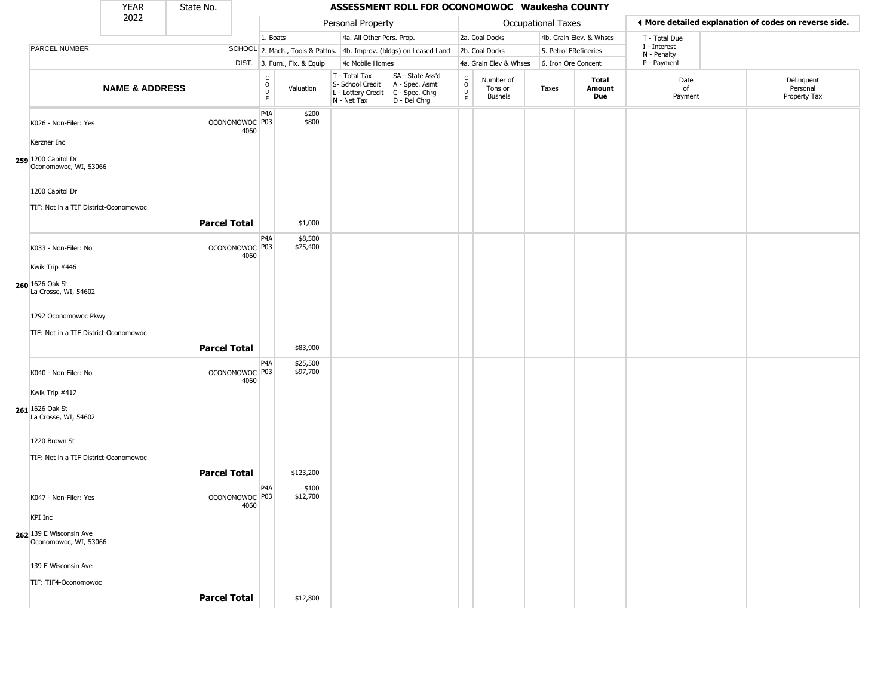|                                                  | <b>YEAR</b>               | State No.           |                        |                                             |                              |                                                                        | ASSESSMENT ROLL FOR OCONOMOWOC Waukesha COUNTY                         |                                            |                                        |                       |                         |                             |                                                       |
|--------------------------------------------------|---------------------------|---------------------|------------------------|---------------------------------------------|------------------------------|------------------------------------------------------------------------|------------------------------------------------------------------------|--------------------------------------------|----------------------------------------|-----------------------|-------------------------|-----------------------------|-------------------------------------------------------|
|                                                  | 2022                      |                     |                        |                                             |                              | Personal Property                                                      |                                                                        |                                            |                                        | Occupational Taxes    |                         |                             | ♦ More detailed explanation of codes on reverse side. |
|                                                  |                           |                     |                        | 1. Boats                                    |                              | 4a. All Other Pers. Prop.                                              |                                                                        |                                            | 2a. Coal Docks                         |                       | 4b. Grain Elev. & Whses | T - Total Due               |                                                       |
| PARCEL NUMBER                                    |                           |                     |                        |                                             |                              |                                                                        | SCHOOL 2. Mach., Tools & Pattns. 4b. Improv. (bldgs) on Leased Land    |                                            | 2b. Coal Docks                         | 5. Petrol FRefineries |                         | I - Interest<br>N - Penalty |                                                       |
|                                                  |                           |                     |                        |                                             | DIST. 3. Furn., Fix. & Equip | 4c Mobile Homes                                                        |                                                                        |                                            | 4a. Grain Elev & Whses                 | 6. Iron Ore Concent   |                         | P - Payment                 |                                                       |
|                                                  | <b>NAME &amp; ADDRESS</b> |                     |                        | $\mathsf{C}$<br>$\circ$<br>$\mathsf D$<br>E | Valuation                    | T - Total Tax<br>S- School Credit<br>L - Lottery Credit<br>N - Net Tax | SA - State Ass'd<br>A - Spec. Asmt<br>C - Spec. Chrg<br>$D - Del Chrg$ | $\begin{array}{c} C \\ 0 \\ E \end{array}$ | Number of<br>Tons or<br><b>Bushels</b> | Taxes                 | Total<br>Amount<br>Due  | Date<br>of<br>Payment       | Delinquent<br>Personal<br>Property Tax                |
| K026 - Non-Filer: Yes                            |                           |                     | OCONOMOWOC P03<br>4060 | P4A                                         | \$200<br>\$800               |                                                                        |                                                                        |                                            |                                        |                       |                         |                             |                                                       |
| Kerzner Inc                                      |                           |                     |                        |                                             |                              |                                                                        |                                                                        |                                            |                                        |                       |                         |                             |                                                       |
| 259 1200 Capitol Dr<br>Oconomowoc, WI, 53066     |                           |                     |                        |                                             |                              |                                                                        |                                                                        |                                            |                                        |                       |                         |                             |                                                       |
| 1200 Capitol Dr                                  |                           |                     |                        |                                             |                              |                                                                        |                                                                        |                                            |                                        |                       |                         |                             |                                                       |
| TIF: Not in a TIF District-Oconomowoc            |                           |                     |                        |                                             |                              |                                                                        |                                                                        |                                            |                                        |                       |                         |                             |                                                       |
|                                                  |                           | <b>Parcel Total</b> |                        |                                             | \$1,000                      |                                                                        |                                                                        |                                            |                                        |                       |                         |                             |                                                       |
| K033 - Non-Filer: No                             |                           |                     | OCONOMOWOC P03<br>4060 | P <sub>4</sub> A                            | \$8,500<br>\$75,400          |                                                                        |                                                                        |                                            |                                        |                       |                         |                             |                                                       |
| Kwik Trip #446                                   |                           |                     |                        |                                             |                              |                                                                        |                                                                        |                                            |                                        |                       |                         |                             |                                                       |
| 260 1626 Oak St<br>La Crosse, WI, 54602          |                           |                     |                        |                                             |                              |                                                                        |                                                                        |                                            |                                        |                       |                         |                             |                                                       |
| 1292 Oconomowoc Pkwy                             |                           |                     |                        |                                             |                              |                                                                        |                                                                        |                                            |                                        |                       |                         |                             |                                                       |
| TIF: Not in a TIF District-Oconomowoc            |                           |                     |                        |                                             |                              |                                                                        |                                                                        |                                            |                                        |                       |                         |                             |                                                       |
|                                                  |                           | <b>Parcel Total</b> |                        |                                             | \$83,900                     |                                                                        |                                                                        |                                            |                                        |                       |                         |                             |                                                       |
| K040 - Non-Filer: No                             |                           |                     | OCONOMOWOC P03<br>4060 | P4A                                         | \$25,500<br>\$97,700         |                                                                        |                                                                        |                                            |                                        |                       |                         |                             |                                                       |
| Kwik Trip #417                                   |                           |                     |                        |                                             |                              |                                                                        |                                                                        |                                            |                                        |                       |                         |                             |                                                       |
| 261 1626 Oak St<br>La Crosse, WI, 54602          |                           |                     |                        |                                             |                              |                                                                        |                                                                        |                                            |                                        |                       |                         |                             |                                                       |
| 1220 Brown St                                    |                           |                     |                        |                                             |                              |                                                                        |                                                                        |                                            |                                        |                       |                         |                             |                                                       |
| TIF: Not in a TIF District-Oconomowoc            |                           |                     |                        |                                             |                              |                                                                        |                                                                        |                                            |                                        |                       |                         |                             |                                                       |
|                                                  |                           | <b>Parcel Total</b> |                        |                                             | \$123,200                    |                                                                        |                                                                        |                                            |                                        |                       |                         |                             |                                                       |
| K047 - Non-Filer: Yes                            |                           |                     | OCONOMOWOC P03<br>4060 | P <sub>4</sub> A                            | \$100<br>\$12,700            |                                                                        |                                                                        |                                            |                                        |                       |                         |                             |                                                       |
| <b>KPI</b> Inc                                   |                           |                     |                        |                                             |                              |                                                                        |                                                                        |                                            |                                        |                       |                         |                             |                                                       |
| 262 139 E Wisconsin Ave<br>Oconomowoc, WI, 53066 |                           |                     |                        |                                             |                              |                                                                        |                                                                        |                                            |                                        |                       |                         |                             |                                                       |
| 139 E Wisconsin Ave                              |                           |                     |                        |                                             |                              |                                                                        |                                                                        |                                            |                                        |                       |                         |                             |                                                       |
| TIF: TIF4-Oconomowoc                             |                           |                     |                        |                                             |                              |                                                                        |                                                                        |                                            |                                        |                       |                         |                             |                                                       |
|                                                  |                           | <b>Parcel Total</b> |                        |                                             | \$12,800                     |                                                                        |                                                                        |                                            |                                        |                       |                         |                             |                                                       |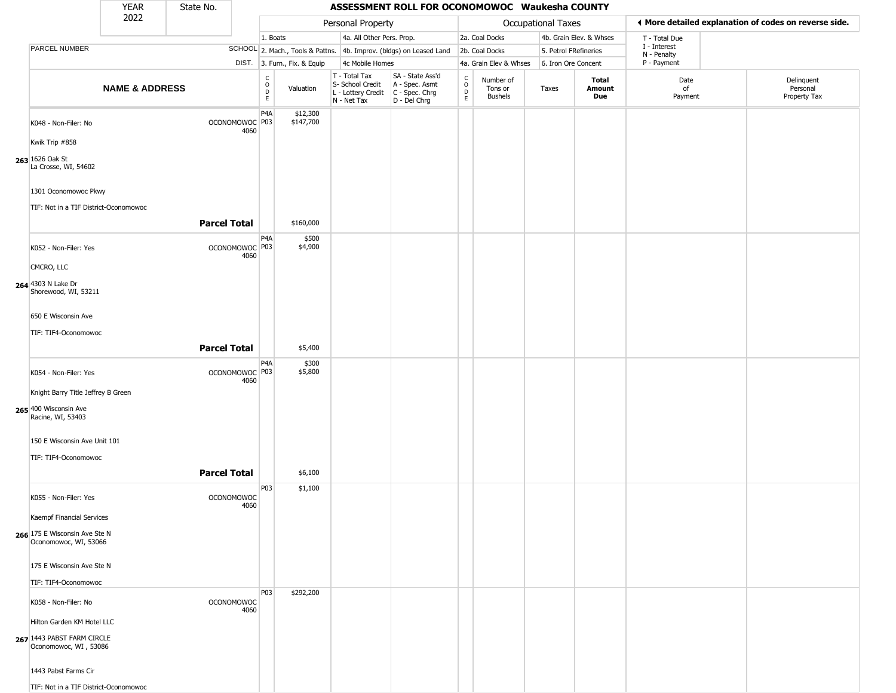|                                                                                  | YEAR                      | State No.           |                                   |                                                          |                              |                                                                                       | ASSESSMENT ROLL FOR OCONOMOWOC Waukesha COUNTY                      |                                                |                                        |                           |                               |                                                       |                                        |
|----------------------------------------------------------------------------------|---------------------------|---------------------|-----------------------------------|----------------------------------------------------------|------------------------------|---------------------------------------------------------------------------------------|---------------------------------------------------------------------|------------------------------------------------|----------------------------------------|---------------------------|-------------------------------|-------------------------------------------------------|----------------------------------------|
|                                                                                  | 2022                      |                     |                                   |                                                          |                              | Personal Property                                                                     |                                                                     |                                                |                                        | <b>Occupational Taxes</b> |                               | ♦ More detailed explanation of codes on reverse side. |                                        |
|                                                                                  |                           |                     |                                   | 1. Boats                                                 |                              | 4a. All Other Pers. Prop.                                                             |                                                                     |                                                | 2a. Coal Docks                         |                           | 4b. Grain Elev. & Whses       | T - Total Due                                         |                                        |
| PARCEL NUMBER                                                                    |                           |                     |                                   |                                                          |                              |                                                                                       | SCHOOL 2. Mach., Tools & Pattns. 4b. Improv. (bldgs) on Leased Land |                                                | 2b. Coal Docks                         | 5. Petrol FRefineries     |                               | I - Interest<br>N - Penalty                           |                                        |
|                                                                                  |                           |                     |                                   |                                                          | DIST. 3. Furn., Fix. & Equip | 4c Mobile Homes                                                                       |                                                                     |                                                | 4a. Grain Elev & Whses                 | 6. Iron Ore Concent       |                               | P - Payment                                           |                                        |
|                                                                                  | <b>NAME &amp; ADDRESS</b> |                     |                                   | $\begin{matrix} C \\ O \\ D \end{matrix}$<br>$\mathsf E$ | Valuation                    | T - Total Tax<br>S- School Credit<br>L - Lottery Credit C - Spec. Chrg<br>N - Net Tax | SA - State Ass'd<br>A - Spec. Asmt<br>D - Del Chrg                  | $\begin{matrix} 0 \\ 0 \\ D \end{matrix}$<br>E | Number of<br>Tons or<br><b>Bushels</b> | Taxes                     | <b>Total</b><br>Amount<br>Due | Date<br>of<br>Payment                                 | Delinquent<br>Personal<br>Property Tax |
| K048 - Non-Filer: No                                                             |                           |                     | OCONOMOWOC P03<br>4060            | P4A                                                      | \$12,300<br>\$147,700        |                                                                                       |                                                                     |                                                |                                        |                           |                               |                                                       |                                        |
| Kwik Trip #858                                                                   |                           |                     |                                   |                                                          |                              |                                                                                       |                                                                     |                                                |                                        |                           |                               |                                                       |                                        |
| 263 1626 Oak St<br>La Crosse, WI, 54602                                          |                           |                     |                                   |                                                          |                              |                                                                                       |                                                                     |                                                |                                        |                           |                               |                                                       |                                        |
| 1301 Oconomowoc Pkwy                                                             |                           |                     |                                   |                                                          |                              |                                                                                       |                                                                     |                                                |                                        |                           |                               |                                                       |                                        |
| TIF: Not in a TIF District-Oconomowoc                                            |                           | <b>Parcel Total</b> |                                   |                                                          | \$160,000                    |                                                                                       |                                                                     |                                                |                                        |                           |                               |                                                       |                                        |
| K052 - Non-Filer: Yes                                                            |                           |                     | OCONOMOWOC <sup>P03</sup><br>4060 | P4A                                                      | \$500<br>\$4,900             |                                                                                       |                                                                     |                                                |                                        |                           |                               |                                                       |                                        |
| CMCRO, LLC                                                                       |                           |                     |                                   |                                                          |                              |                                                                                       |                                                                     |                                                |                                        |                           |                               |                                                       |                                        |
| <b>264</b> 4303 N Lake Dr<br>Shorewood, WI, 53211                                |                           |                     |                                   |                                                          |                              |                                                                                       |                                                                     |                                                |                                        |                           |                               |                                                       |                                        |
| 650 E Wisconsin Ave                                                              |                           |                     |                                   |                                                          |                              |                                                                                       |                                                                     |                                                |                                        |                           |                               |                                                       |                                        |
| TIF: TIF4-Oconomowoc                                                             |                           |                     |                                   |                                                          |                              |                                                                                       |                                                                     |                                                |                                        |                           |                               |                                                       |                                        |
|                                                                                  |                           | <b>Parcel Total</b> |                                   |                                                          | \$5,400                      |                                                                                       |                                                                     |                                                |                                        |                           |                               |                                                       |                                        |
| K054 - Non-Filer: Yes                                                            |                           |                     | OCONOMOWOC P03<br>4060            | P4A                                                      | \$300<br>\$5,800             |                                                                                       |                                                                     |                                                |                                        |                           |                               |                                                       |                                        |
| Knight Barry Title Jeffrey B Green<br>265 400 Wisconsin Ave<br>Racine, WI, 53403 |                           |                     |                                   |                                                          |                              |                                                                                       |                                                                     |                                                |                                        |                           |                               |                                                       |                                        |
| 150 E Wisconsin Ave Unit 101                                                     |                           |                     |                                   |                                                          |                              |                                                                                       |                                                                     |                                                |                                        |                           |                               |                                                       |                                        |
| TIF: TIF4-Oconomowoc                                                             |                           | <b>Parcel Total</b> |                                   |                                                          | \$6,100                      |                                                                                       |                                                                     |                                                |                                        |                           |                               |                                                       |                                        |
| K055 - Non-Filer: Yes                                                            |                           |                     | <b>OCONOMOWOC</b><br>4060         | P03                                                      | \$1,100                      |                                                                                       |                                                                     |                                                |                                        |                           |                               |                                                       |                                        |
| Kaempf Financial Services                                                        |                           |                     |                                   |                                                          |                              |                                                                                       |                                                                     |                                                |                                        |                           |                               |                                                       |                                        |
| 266 175 E Wisconsin Ave Ste N<br>Oconomowoc, WI, 53066                           |                           |                     |                                   |                                                          |                              |                                                                                       |                                                                     |                                                |                                        |                           |                               |                                                       |                                        |
| 175 E Wisconsin Ave Ste N<br>TIF: TIF4-Oconomowoc                                |                           |                     |                                   |                                                          |                              |                                                                                       |                                                                     |                                                |                                        |                           |                               |                                                       |                                        |
| K058 - Non-Filer: No                                                             |                           |                     | <b>OCONOMOWOC</b><br>4060         | P03                                                      | \$292,200                    |                                                                                       |                                                                     |                                                |                                        |                           |                               |                                                       |                                        |
| Hilton Garden KM Hotel LLC                                                       |                           |                     |                                   |                                                          |                              |                                                                                       |                                                                     |                                                |                                        |                           |                               |                                                       |                                        |
| 267 1443 PABST FARM CIRCLE<br>Oconomowoc, WI, 53086                              |                           |                     |                                   |                                                          |                              |                                                                                       |                                                                     |                                                |                                        |                           |                               |                                                       |                                        |
| 1443 Pabst Farms Cir                                                             |                           |                     |                                   |                                                          |                              |                                                                                       |                                                                     |                                                |                                        |                           |                               |                                                       |                                        |
| TIF: Not in a TIF District-Oconomowoc                                            |                           |                     |                                   |                                                          |                              |                                                                                       |                                                                     |                                                |                                        |                           |                               |                                                       |                                        |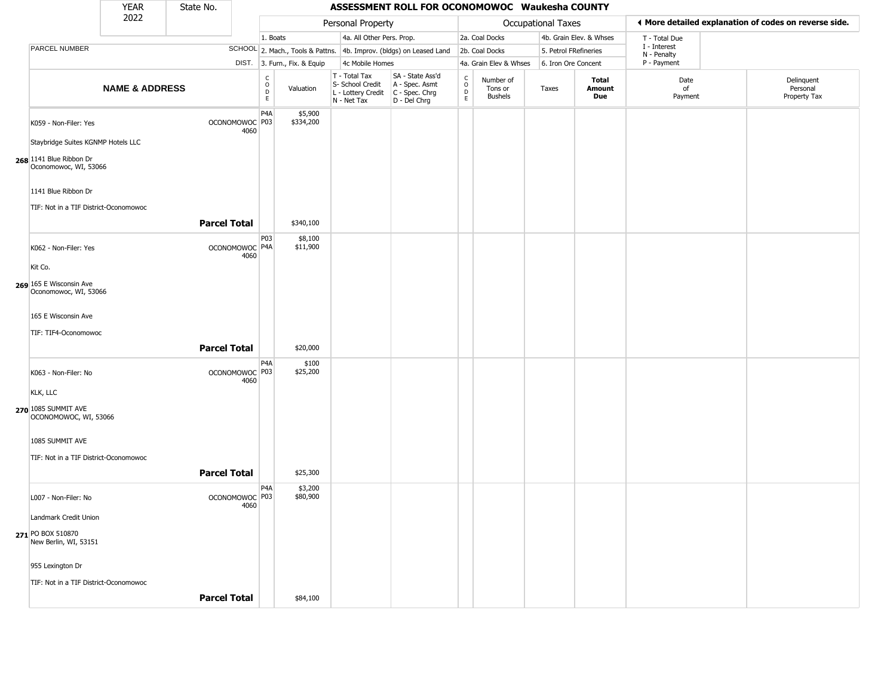|                                                  | <b>YEAR</b>               | State No.           |                                   |                                                                                 |                                                                        | ASSESSMENT ROLL FOR OCONOMOWOC Waukesha COUNTY                       |                                                   |                                        |                       |                         |                             |                                                       |
|--------------------------------------------------|---------------------------|---------------------|-----------------------------------|---------------------------------------------------------------------------------|------------------------------------------------------------------------|----------------------------------------------------------------------|---------------------------------------------------|----------------------------------------|-----------------------|-------------------------|-----------------------------|-------------------------------------------------------|
|                                                  | 2022                      |                     |                                   |                                                                                 | Personal Property                                                      |                                                                      |                                                   |                                        | Occupational Taxes    |                         |                             | ◀ More detailed explanation of codes on reverse side. |
|                                                  |                           |                     |                                   | 1. Boats                                                                        | 4a. All Other Pers. Prop.                                              |                                                                      |                                                   | 2a. Coal Docks                         |                       | 4b. Grain Elev. & Whses | T - Total Due               |                                                       |
| PARCEL NUMBER                                    |                           |                     |                                   |                                                                                 |                                                                        | SCHOOL 2. Mach., Tools & Pattns. 4b. Improv. (bldgs) on Leased Land  |                                                   | 2b. Coal Docks                         | 5. Petrol FRefineries |                         | I - Interest<br>N - Penalty |                                                       |
|                                                  |                           |                     |                                   | DIST. 3. Furn., Fix. & Equip                                                    | 4c Mobile Homes                                                        |                                                                      |                                                   | 4a. Grain Elev & Whses                 | 6. Iron Ore Concent   |                         | P - Payment                 |                                                       |
|                                                  | <b>NAME &amp; ADDRESS</b> |                     |                                   | $\begin{smallmatrix} C \\ O \\ D \end{smallmatrix}$<br>Valuation<br>$\mathsf E$ | T - Total Tax<br>S- School Credit<br>L - Lottery Credit<br>N - Net Tax | SA - State Ass'd<br>A - Spec. Asmt<br>C - Spec. Chrg<br>D - Del Chrg | $\begin{array}{c}\nC \\ O \\ D \\ E\n\end{array}$ | Number of<br>Tons or<br><b>Bushels</b> | Taxes                 | Total<br>Amount<br>Due  | Date<br>of<br>Payment       | Delinquent<br>Personal<br>Property Tax                |
| K059 - Non-Filer: Yes                            |                           |                     | OCONOMOWOC P03<br>4060            | P <sub>4</sub> A<br>\$5,900<br>\$334,200                                        |                                                                        |                                                                      |                                                   |                                        |                       |                         |                             |                                                       |
| Staybridge Suites KGNMP Hotels LLC               |                           |                     |                                   |                                                                                 |                                                                        |                                                                      |                                                   |                                        |                       |                         |                             |                                                       |
| 268 1141 Blue Ribbon Dr<br>Oconomowoc, WI, 53066 |                           |                     |                                   |                                                                                 |                                                                        |                                                                      |                                                   |                                        |                       |                         |                             |                                                       |
| 1141 Blue Ribbon Dr                              |                           |                     |                                   |                                                                                 |                                                                        |                                                                      |                                                   |                                        |                       |                         |                             |                                                       |
| TIF: Not in a TIF District-Oconomowoc            |                           |                     |                                   |                                                                                 |                                                                        |                                                                      |                                                   |                                        |                       |                         |                             |                                                       |
|                                                  |                           | <b>Parcel Total</b> |                                   | \$340,100                                                                       |                                                                        |                                                                      |                                                   |                                        |                       |                         |                             |                                                       |
| K062 - Non-Filer: Yes                            |                           |                     | OCONOMOWOC   P4A<br>4060          | P <sub>03</sub><br>\$8,100<br>\$11,900                                          |                                                                        |                                                                      |                                                   |                                        |                       |                         |                             |                                                       |
| Kit Co.                                          |                           |                     |                                   |                                                                                 |                                                                        |                                                                      |                                                   |                                        |                       |                         |                             |                                                       |
| 269 165 E Wisconsin Ave<br>Oconomowoc, WI, 53066 |                           |                     |                                   |                                                                                 |                                                                        |                                                                      |                                                   |                                        |                       |                         |                             |                                                       |
| 165 E Wisconsin Ave                              |                           |                     |                                   |                                                                                 |                                                                        |                                                                      |                                                   |                                        |                       |                         |                             |                                                       |
| TIF: TIF4-Oconomowoc                             |                           |                     |                                   |                                                                                 |                                                                        |                                                                      |                                                   |                                        |                       |                         |                             |                                                       |
|                                                  |                           | <b>Parcel Total</b> |                                   | \$20,000                                                                        |                                                                        |                                                                      |                                                   |                                        |                       |                         |                             |                                                       |
| K063 - Non-Filer: No                             |                           |                     | OCONOMOWOC <sup>P03</sup><br>4060 | P4A<br>\$100<br>\$25,200                                                        |                                                                        |                                                                      |                                                   |                                        |                       |                         |                             |                                                       |
| <b>KLK, LLC</b>                                  |                           |                     |                                   |                                                                                 |                                                                        |                                                                      |                                                   |                                        |                       |                         |                             |                                                       |
| 270 1085 SUMMIT AVE<br>OCONOMOWOC, WI, 53066     |                           |                     |                                   |                                                                                 |                                                                        |                                                                      |                                                   |                                        |                       |                         |                             |                                                       |
| 1085 SUMMIT AVE                                  |                           |                     |                                   |                                                                                 |                                                                        |                                                                      |                                                   |                                        |                       |                         |                             |                                                       |
| TIF: Not in a TIF District-Oconomowoc            |                           |                     |                                   |                                                                                 |                                                                        |                                                                      |                                                   |                                        |                       |                         |                             |                                                       |
|                                                  |                           | <b>Parcel Total</b> |                                   | \$25,300                                                                        |                                                                        |                                                                      |                                                   |                                        |                       |                         |                             |                                                       |
| L007 - Non-Filer: No                             |                           |                     | OCONOMOWOC <sup>P03</sup><br>4060 | P4A<br>\$3,200<br>\$80,900                                                      |                                                                        |                                                                      |                                                   |                                        |                       |                         |                             |                                                       |
| Landmark Credit Union                            |                           |                     |                                   |                                                                                 |                                                                        |                                                                      |                                                   |                                        |                       |                         |                             |                                                       |
| 271 PO BOX 510870<br>New Berlin, WI, 53151       |                           |                     |                                   |                                                                                 |                                                                        |                                                                      |                                                   |                                        |                       |                         |                             |                                                       |
| 955 Lexington Dr                                 |                           |                     |                                   |                                                                                 |                                                                        |                                                                      |                                                   |                                        |                       |                         |                             |                                                       |
| TIF: Not in a TIF District-Oconomowoc            |                           |                     |                                   |                                                                                 |                                                                        |                                                                      |                                                   |                                        |                       |                         |                             |                                                       |
|                                                  |                           | <b>Parcel Total</b> |                                   | \$84,100                                                                        |                                                                        |                                                                      |                                                   |                                        |                       |                         |                             |                                                       |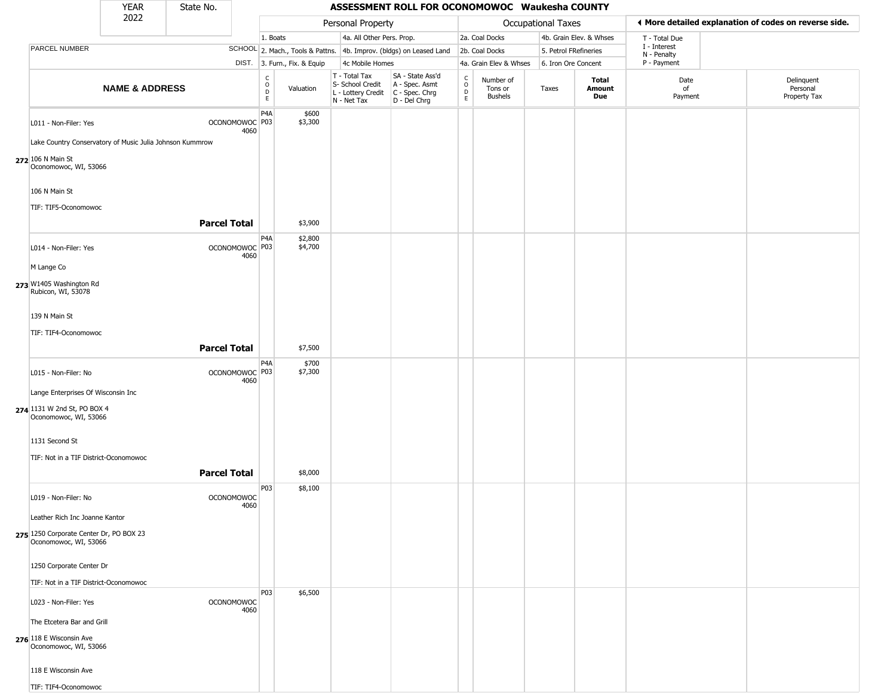|                                                                                            | <b>YEAR</b>               | State No.           |                                   |                               |                              |                                                                        | ASSESSMENT ROLL FOR OCONOMOWOC Waukesha COUNTY                       |                                              |                                        |                           |                         |                            |                                                       |
|--------------------------------------------------------------------------------------------|---------------------------|---------------------|-----------------------------------|-------------------------------|------------------------------|------------------------------------------------------------------------|----------------------------------------------------------------------|----------------------------------------------|----------------------------------------|---------------------------|-------------------------|----------------------------|-------------------------------------------------------|
|                                                                                            | 2022                      |                     |                                   |                               |                              | Personal Property                                                      |                                                                      |                                              |                                        | <b>Occupational Taxes</b> |                         |                            | ◀ More detailed explanation of codes on reverse side. |
|                                                                                            |                           |                     |                                   | 1. Boats                      |                              | 4a. All Other Pers. Prop.                                              |                                                                      |                                              | 2a. Coal Docks                         |                           | 4b. Grain Elev. & Whses | T - Total Due              |                                                       |
| PARCEL NUMBER                                                                              |                           |                     |                                   |                               |                              |                                                                        | SCHOOL 2. Mach., Tools & Pattns. 4b. Improv. (bldgs) on Leased Land  |                                              | 2b. Coal Docks                         | 5. Petrol FRefineries     |                         | I - Interest               |                                                       |
|                                                                                            |                           |                     |                                   |                               | DIST. 3. Furn., Fix. & Equip | 4c Mobile Homes                                                        |                                                                      |                                              | 4a. Grain Elev & Whses                 | 6. Iron Ore Concent       |                         | N - Penalty<br>P - Payment |                                                       |
|                                                                                            | <b>NAME &amp; ADDRESS</b> |                     |                                   | $_{\rm o}^{\rm c}$<br>D<br>E. | Valuation                    | T - Total Tax<br>S- School Credit<br>L - Lottery Credit<br>N - Net Tax | SA - State Ass'd<br>A - Spec. Asmt<br>C - Spec. Chrg<br>D - Del Chrg | $\begin{array}{c}\nC \\ O \\ D\n\end{array}$ | Number of<br>Tons or<br><b>Bushels</b> | Taxes                     | Total<br>Amount<br>Due  | Date<br>of<br>Payment      | Delinquent<br>Personal<br>Property Tax                |
| L011 - Non-Filer: Yes                                                                      |                           |                     | OCONOMOWOC P03<br>4060            | P <sub>4</sub> A              | \$600<br>\$3,300             |                                                                        |                                                                      |                                              |                                        |                           |                         |                            |                                                       |
| Lake Country Conservatory of Music Julia Johnson Kummrow                                   |                           |                     |                                   |                               |                              |                                                                        |                                                                      |                                              |                                        |                           |                         |                            |                                                       |
| 272 106 N Main St<br>Oconomowoc, WI, 53066                                                 |                           |                     |                                   |                               |                              |                                                                        |                                                                      |                                              |                                        |                           |                         |                            |                                                       |
| 106 N Main St                                                                              |                           |                     |                                   |                               |                              |                                                                        |                                                                      |                                              |                                        |                           |                         |                            |                                                       |
| TIF: TIF5-Oconomowoc                                                                       |                           | <b>Parcel Total</b> |                                   |                               | \$3,900                      |                                                                        |                                                                      |                                              |                                        |                           |                         |                            |                                                       |
| L014 - Non-Filer: Yes                                                                      |                           |                     | OCONOMOWOC <sup>P03</sup><br>4060 | P <sub>4</sub> A              | \$2,800<br>\$4,700           |                                                                        |                                                                      |                                              |                                        |                           |                         |                            |                                                       |
| M Lange Co                                                                                 |                           |                     |                                   |                               |                              |                                                                        |                                                                      |                                              |                                        |                           |                         |                            |                                                       |
| 273 W1405 Washington Rd<br>Rubicon, WI, 53078                                              |                           |                     |                                   |                               |                              |                                                                        |                                                                      |                                              |                                        |                           |                         |                            |                                                       |
| 139 N Main St                                                                              |                           |                     |                                   |                               |                              |                                                                        |                                                                      |                                              |                                        |                           |                         |                            |                                                       |
| TIF: TIF4-Oconomowoc                                                                       |                           | <b>Parcel Total</b> |                                   |                               | \$7,500                      |                                                                        |                                                                      |                                              |                                        |                           |                         |                            |                                                       |
| L015 - Non-Filer: No                                                                       |                           |                     | OCONOMOWOC P03<br>4060            | P <sub>4</sub> A              | \$700<br>\$7,300             |                                                                        |                                                                      |                                              |                                        |                           |                         |                            |                                                       |
| Lange Enterprises Of Wisconsin Inc<br>274 1131 W 2nd St, PO BOX 4<br>Oconomowoc, WI, 53066 |                           |                     |                                   |                               |                              |                                                                        |                                                                      |                                              |                                        |                           |                         |                            |                                                       |
| 1131 Second St                                                                             |                           |                     |                                   |                               |                              |                                                                        |                                                                      |                                              |                                        |                           |                         |                            |                                                       |
| TIF: Not in a TIF District-Oconomowoc                                                      |                           |                     |                                   |                               |                              |                                                                        |                                                                      |                                              |                                        |                           |                         |                            |                                                       |
|                                                                                            |                           | <b>Parcel Total</b> |                                   |                               | \$8,000                      |                                                                        |                                                                      |                                              |                                        |                           |                         |                            |                                                       |
| L019 - Non-Filer: No                                                                       |                           |                     | <b>OCONOMOWOC</b><br>4060         | P03                           | \$8,100                      |                                                                        |                                                                      |                                              |                                        |                           |                         |                            |                                                       |
| Leather Rich Inc Joanne Kantor                                                             |                           |                     |                                   |                               |                              |                                                                        |                                                                      |                                              |                                        |                           |                         |                            |                                                       |
| 275 1250 Corporate Center Dr, PO BOX 23<br>Oconomowoc, WI, 53066                           |                           |                     |                                   |                               |                              |                                                                        |                                                                      |                                              |                                        |                           |                         |                            |                                                       |
| 1250 Corporate Center Dr                                                                   |                           |                     |                                   |                               |                              |                                                                        |                                                                      |                                              |                                        |                           |                         |                            |                                                       |
| TIF: Not in a TIF District-Oconomowoc                                                      |                           |                     |                                   |                               |                              |                                                                        |                                                                      |                                              |                                        |                           |                         |                            |                                                       |
| L023 - Non-Filer: Yes                                                                      |                           |                     | <b>OCONOMOWOC</b><br>4060         | <b>P03</b>                    | \$6,500                      |                                                                        |                                                                      |                                              |                                        |                           |                         |                            |                                                       |
| The Etcetera Bar and Grill                                                                 |                           |                     |                                   |                               |                              |                                                                        |                                                                      |                                              |                                        |                           |                         |                            |                                                       |
| 276 118 E Wisconsin Ave<br>Oconomowoc, WI, 53066                                           |                           |                     |                                   |                               |                              |                                                                        |                                                                      |                                              |                                        |                           |                         |                            |                                                       |
| 118 E Wisconsin Ave                                                                        |                           |                     |                                   |                               |                              |                                                                        |                                                                      |                                              |                                        |                           |                         |                            |                                                       |
| TIF: TIF4-Oconomowoc                                                                       |                           |                     |                                   |                               |                              |                                                                        |                                                                      |                                              |                                        |                           |                         |                            |                                                       |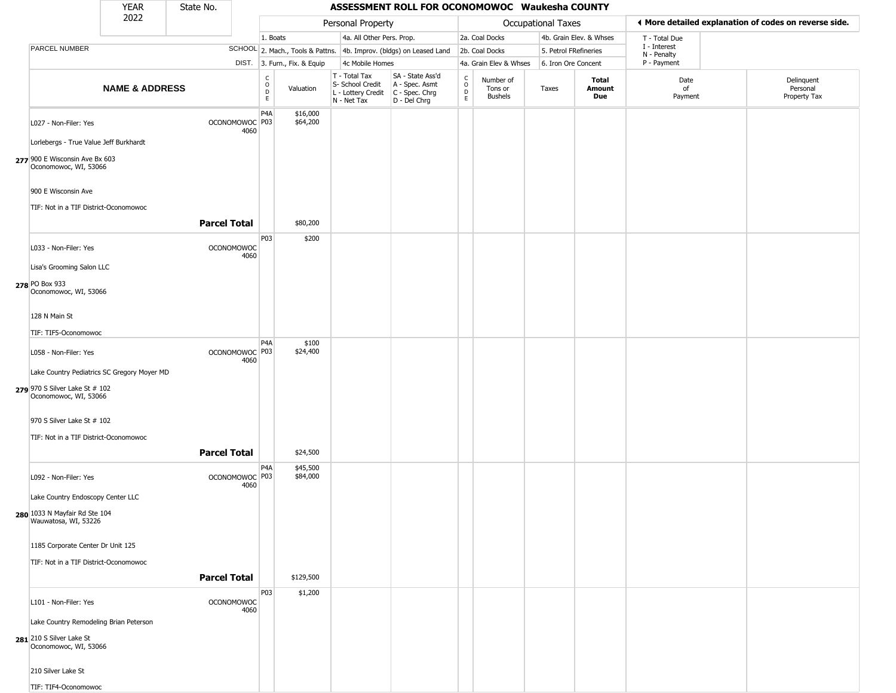|                                                              | YEAR                      | State No.           |                                   |                                   |                              |                                                                        | ASSESSMENT ROLL FOR OCONOMOWOC Waukesha COUNTY                       |                                                   |                                        |                       |                         |                             |                                                       |
|--------------------------------------------------------------|---------------------------|---------------------|-----------------------------------|-----------------------------------|------------------------------|------------------------------------------------------------------------|----------------------------------------------------------------------|---------------------------------------------------|----------------------------------------|-----------------------|-------------------------|-----------------------------|-------------------------------------------------------|
|                                                              | 2022                      |                     |                                   |                                   |                              | Personal Property                                                      |                                                                      |                                                   |                                        | Occupational Taxes    |                         |                             | ♦ More detailed explanation of codes on reverse side. |
|                                                              |                           |                     |                                   | 1. Boats                          |                              | 4a. All Other Pers. Prop.                                              |                                                                      |                                                   | 2a. Coal Docks                         |                       | 4b. Grain Elev. & Whses | T - Total Due               |                                                       |
| PARCEL NUMBER                                                |                           |                     |                                   |                                   |                              |                                                                        | SCHOOL 2. Mach., Tools & Pattns. 4b. Improv. (bldgs) on Leased Land  |                                                   | 2b. Coal Docks                         | 5. Petrol FRefineries |                         | I - Interest<br>N - Penalty |                                                       |
|                                                              |                           |                     |                                   |                                   | DIST. 3. Furn., Fix. & Equip | 4c Mobile Homes                                                        |                                                                      |                                                   | 4a. Grain Elev & Whses                 | 6. Iron Ore Concent   |                         | P - Payment                 |                                                       |
|                                                              | <b>NAME &amp; ADDRESS</b> |                     |                                   | C<br>$\circ$<br>$\mathsf{D}$<br>E | Valuation                    | T - Total Tax<br>S- School Credit<br>L - Lottery Credit<br>N - Net Tax | SA - State Ass'd<br>A - Spec. Asmt<br>C - Spec. Chrg<br>D - Del Chrg | $\begin{array}{c}\nC \\ O \\ D \\ E\n\end{array}$ | Number of<br>Tons or<br><b>Bushels</b> | Taxes                 | Total<br>Amount<br>Due  | Date<br>of<br>Payment       | Delinquent<br>Personal<br>Property Tax                |
| L027 - Non-Filer: Yes                                        |                           |                     | OCONOMOWOC P03<br>4060            | P <sub>4</sub> A                  | \$16,000<br>\$64,200         |                                                                        |                                                                      |                                                   |                                        |                       |                         |                             |                                                       |
| Lorlebergs - True Value Jeff Burkhardt                       |                           |                     |                                   |                                   |                              |                                                                        |                                                                      |                                                   |                                        |                       |                         |                             |                                                       |
| 277 900 E Wisconsin Ave Bx 603<br>Oconomowoc, WI, 53066      |                           |                     |                                   |                                   |                              |                                                                        |                                                                      |                                                   |                                        |                       |                         |                             |                                                       |
| 900 E Wisconsin Ave<br>TIF: Not in a TIF District-Oconomowoc |                           |                     |                                   |                                   |                              |                                                                        |                                                                      |                                                   |                                        |                       |                         |                             |                                                       |
|                                                              |                           | <b>Parcel Total</b> |                                   |                                   | \$80,200                     |                                                                        |                                                                      |                                                   |                                        |                       |                         |                             |                                                       |
| L033 - Non-Filer: Yes                                        |                           |                     | <b>OCONOMOWOC</b>                 | P03                               | \$200                        |                                                                        |                                                                      |                                                   |                                        |                       |                         |                             |                                                       |
| Lisa's Grooming Salon LLC                                    |                           |                     | 4060                              |                                   |                              |                                                                        |                                                                      |                                                   |                                        |                       |                         |                             |                                                       |
| 278 PO Box 933                                               |                           |                     |                                   |                                   |                              |                                                                        |                                                                      |                                                   |                                        |                       |                         |                             |                                                       |
| Oconomowoc, WI, 53066                                        |                           |                     |                                   |                                   |                              |                                                                        |                                                                      |                                                   |                                        |                       |                         |                             |                                                       |
| 128 N Main St                                                |                           |                     |                                   |                                   |                              |                                                                        |                                                                      |                                                   |                                        |                       |                         |                             |                                                       |
| TIF: TIF5-Oconomowoc                                         |                           |                     |                                   | P <sub>4</sub> A                  | \$100                        |                                                                        |                                                                      |                                                   |                                        |                       |                         |                             |                                                       |
| L058 - Non-Filer: Yes                                        |                           |                     | OCONOMOWOC <sup>P03</sup><br>4060 |                                   | \$24,400                     |                                                                        |                                                                      |                                                   |                                        |                       |                         |                             |                                                       |
| Lake Country Pediatrics SC Gregory Moyer MD                  |                           |                     |                                   |                                   |                              |                                                                        |                                                                      |                                                   |                                        |                       |                         |                             |                                                       |
| 279 970 S Silver Lake St # 102<br>Oconomowoc, WI, 53066      |                           |                     |                                   |                                   |                              |                                                                        |                                                                      |                                                   |                                        |                       |                         |                             |                                                       |
| 970 S Silver Lake St # 102                                   |                           |                     |                                   |                                   |                              |                                                                        |                                                                      |                                                   |                                        |                       |                         |                             |                                                       |
| TIF: Not in a TIF District-Oconomowoc                        |                           |                     |                                   |                                   |                              |                                                                        |                                                                      |                                                   |                                        |                       |                         |                             |                                                       |
|                                                              |                           | <b>Parcel Total</b> |                                   | P <sub>4</sub> A                  | \$24,500<br>\$45,500         |                                                                        |                                                                      |                                                   |                                        |                       |                         |                             |                                                       |
| L092 - Non-Filer: Yes                                        |                           |                     | OCONOMOWOC P03<br>4060            |                                   | \$84,000                     |                                                                        |                                                                      |                                                   |                                        |                       |                         |                             |                                                       |
| Lake Country Endoscopy Center LLC                            |                           |                     |                                   |                                   |                              |                                                                        |                                                                      |                                                   |                                        |                       |                         |                             |                                                       |
| 280 1033 N Mayfair Rd Ste 104<br>Wauwatosa, WI, 53226        |                           |                     |                                   |                                   |                              |                                                                        |                                                                      |                                                   |                                        |                       |                         |                             |                                                       |
| 1185 Corporate Center Dr Unit 125                            |                           |                     |                                   |                                   |                              |                                                                        |                                                                      |                                                   |                                        |                       |                         |                             |                                                       |
| TIF: Not in a TIF District-Oconomowoc                        |                           |                     |                                   |                                   |                              |                                                                        |                                                                      |                                                   |                                        |                       |                         |                             |                                                       |
|                                                              |                           | <b>Parcel Total</b> |                                   |                                   | \$129,500                    |                                                                        |                                                                      |                                                   |                                        |                       |                         |                             |                                                       |
| L101 - Non-Filer: Yes                                        |                           |                     | <b>OCONOMOWOC</b><br>4060         | P03                               | \$1,200                      |                                                                        |                                                                      |                                                   |                                        |                       |                         |                             |                                                       |
| Lake Country Remodeling Brian Peterson                       |                           |                     |                                   |                                   |                              |                                                                        |                                                                      |                                                   |                                        |                       |                         |                             |                                                       |
| 281 210 S Silver Lake St<br>Oconomowoc, WI, 53066            |                           |                     |                                   |                                   |                              |                                                                        |                                                                      |                                                   |                                        |                       |                         |                             |                                                       |
| 210 Silver Lake St                                           |                           |                     |                                   |                                   |                              |                                                                        |                                                                      |                                                   |                                        |                       |                         |                             |                                                       |
| TIF: TIF4-Oconomowoc                                         |                           |                     |                                   |                                   |                              |                                                                        |                                                                      |                                                   |                                        |                       |                         |                             |                                                       |

\_\_\_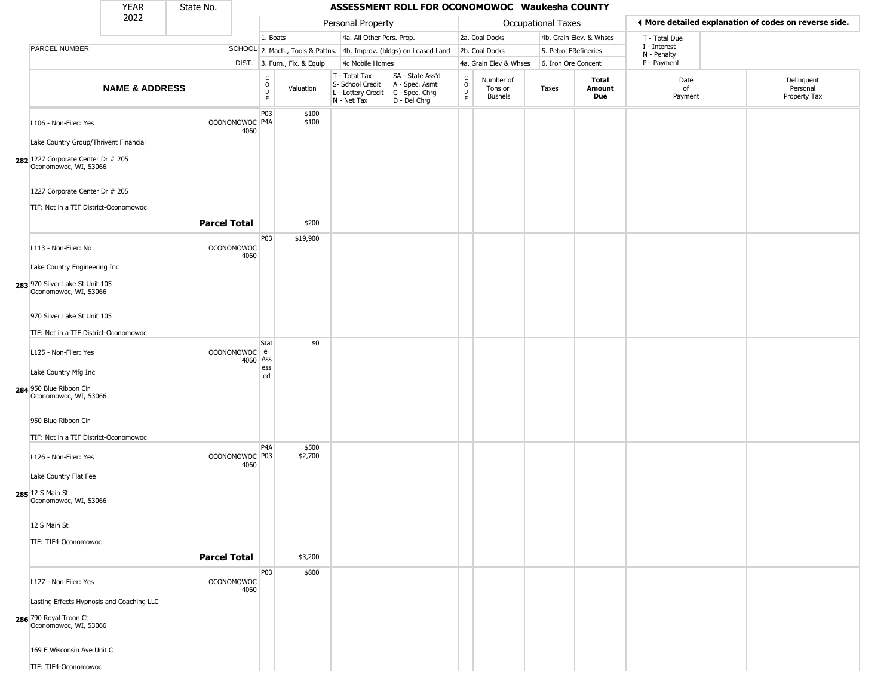|                                                                                              | <b>YEAR</b>               | State No.           |                           |                                                |                              |                                                                                       | ASSESSMENT ROLL FOR OCONOMOWOC Waukesha COUNTY                      |                             |                                        |                       |                         |                             |                                                       |
|----------------------------------------------------------------------------------------------|---------------------------|---------------------|---------------------------|------------------------------------------------|------------------------------|---------------------------------------------------------------------------------------|---------------------------------------------------------------------|-----------------------------|----------------------------------------|-----------------------|-------------------------|-----------------------------|-------------------------------------------------------|
|                                                                                              | 2022                      |                     |                           |                                                |                              | Personal Property                                                                     |                                                                     |                             |                                        | Occupational Taxes    |                         |                             | ◀ More detailed explanation of codes on reverse side. |
|                                                                                              |                           |                     |                           | 1. Boats                                       |                              | 4a. All Other Pers. Prop.                                                             |                                                                     |                             | 2a. Coal Docks                         |                       | 4b. Grain Elev. & Whses | T - Total Due               |                                                       |
| PARCEL NUMBER                                                                                |                           |                     |                           |                                                |                              |                                                                                       | SCHOOL 2. Mach., Tools & Pattns. 4b. Improv. (bldgs) on Leased Land |                             | 2b. Coal Docks                         | 5. Petrol FRefineries |                         | I - Interest<br>N - Penalty |                                                       |
|                                                                                              |                           |                     |                           |                                                | DIST. 3. Furn., Fix. & Equip | 4c Mobile Homes                                                                       |                                                                     |                             | 4a. Grain Elev & Whses                 | 6. Iron Ore Concent   |                         | P - Payment                 |                                                       |
|                                                                                              | <b>NAME &amp; ADDRESS</b> |                     |                           | $\begin{matrix} 0 \\ 0 \\ 0 \end{matrix}$<br>E | Valuation                    | T - Total Tax<br>S- School Credit<br>L - Lottery Credit C - Spec. Chrg<br>N - Net Tax | SA - State Ass'd<br>A - Spec. Asmt<br>D - Del Chrg                  | C<br>$\mathsf{o}$<br>D<br>E | Number of<br>Tons or<br><b>Bushels</b> | Taxes                 | Total<br>Amount<br>Due  | Date<br>of<br>Payment       | Delinquent<br>Personal<br>Property Tax                |
| L106 - Non-Filer: Yes<br>Lake Country Group/Thrivent Financial                               |                           |                     | OCONOMOWOC P4A<br>4060    | P03                                            | \$100<br>\$100               |                                                                                       |                                                                     |                             |                                        |                       |                         |                             |                                                       |
| 282 1227 Corporate Center Dr # 205<br>Oconomowoc, WI, 53066                                  |                           |                     |                           |                                                |                              |                                                                                       |                                                                     |                             |                                        |                       |                         |                             |                                                       |
| 1227 Corporate Center Dr # 205<br>TIF: Not in a TIF District-Oconomowoc                      |                           |                     |                           |                                                |                              |                                                                                       |                                                                     |                             |                                        |                       |                         |                             |                                                       |
|                                                                                              |                           | <b>Parcel Total</b> |                           |                                                | \$200                        |                                                                                       |                                                                     |                             |                                        |                       |                         |                             |                                                       |
| L113 - Non-Filer: No                                                                         |                           |                     | <b>OCONOMOWOC</b><br>4060 | P03                                            | \$19,900                     |                                                                                       |                                                                     |                             |                                        |                       |                         |                             |                                                       |
| Lake Country Engineering Inc<br>283 970 Silver Lake St Unit 105<br>Oconomowoc, WI, 53066     |                           |                     |                           |                                                |                              |                                                                                       |                                                                     |                             |                                        |                       |                         |                             |                                                       |
| 970 Silver Lake St Unit 105                                                                  |                           |                     |                           |                                                |                              |                                                                                       |                                                                     |                             |                                        |                       |                         |                             |                                                       |
| TIF: Not in a TIF District-Oconomowoc                                                        |                           |                     |                           |                                                |                              |                                                                                       |                                                                     |                             |                                        |                       |                         |                             |                                                       |
| L125 - Non-Filer: Yes                                                                        |                           |                     | OCONOMOWOC e<br>4060 Ass  | Stat                                           | \$0                          |                                                                                       |                                                                     |                             |                                        |                       |                         |                             |                                                       |
| Lake Country Mfg Inc                                                                         |                           |                     |                           | ess<br>ed                                      |                              |                                                                                       |                                                                     |                             |                                        |                       |                         |                             |                                                       |
| 284 950 Blue Ribbon Cir<br>Oconomowoc, WI, 53066                                             |                           |                     |                           |                                                |                              |                                                                                       |                                                                     |                             |                                        |                       |                         |                             |                                                       |
| 950 Blue Ribbon Cir                                                                          |                           |                     |                           |                                                |                              |                                                                                       |                                                                     |                             |                                        |                       |                         |                             |                                                       |
| TIF: Not in a TIF District-Oconomowoc                                                        |                           |                     |                           |                                                |                              |                                                                                       |                                                                     |                             |                                        |                       |                         |                             |                                                       |
| L126 - Non-Filer: Yes                                                                        |                           |                     | OCONOMOWOC P03<br>4060    | P <sub>4</sub> A                               | \$500<br>\$2,700             |                                                                                       |                                                                     |                             |                                        |                       |                         |                             |                                                       |
| Lake Country Flat Fee<br>285 12 S Main St<br>Oconomowoc, WI, 53066                           |                           |                     |                           |                                                |                              |                                                                                       |                                                                     |                             |                                        |                       |                         |                             |                                                       |
| 12 S Main St                                                                                 |                           |                     |                           |                                                |                              |                                                                                       |                                                                     |                             |                                        |                       |                         |                             |                                                       |
| TIF: TIF4-Oconomowoc                                                                         |                           |                     |                           |                                                |                              |                                                                                       |                                                                     |                             |                                        |                       |                         |                             |                                                       |
|                                                                                              |                           | <b>Parcel Total</b> |                           |                                                | \$3,200                      |                                                                                       |                                                                     |                             |                                        |                       |                         |                             |                                                       |
| L127 - Non-Filer: Yes                                                                        |                           |                     | <b>OCONOMOWOC</b><br>4060 | P03                                            | \$800                        |                                                                                       |                                                                     |                             |                                        |                       |                         |                             |                                                       |
| Lasting Effects Hypnosis and Coaching LLC<br>286 790 Royal Troon Ct<br>Oconomowoc, WI, 53066 |                           |                     |                           |                                                |                              |                                                                                       |                                                                     |                             |                                        |                       |                         |                             |                                                       |
| 169 E Wisconsin Ave Unit C                                                                   |                           |                     |                           |                                                |                              |                                                                                       |                                                                     |                             |                                        |                       |                         |                             |                                                       |
| TIF: TIF4-Oconomowoc                                                                         |                           |                     |                           |                                                |                              |                                                                                       |                                                                     |                             |                                        |                       |                         |                             |                                                       |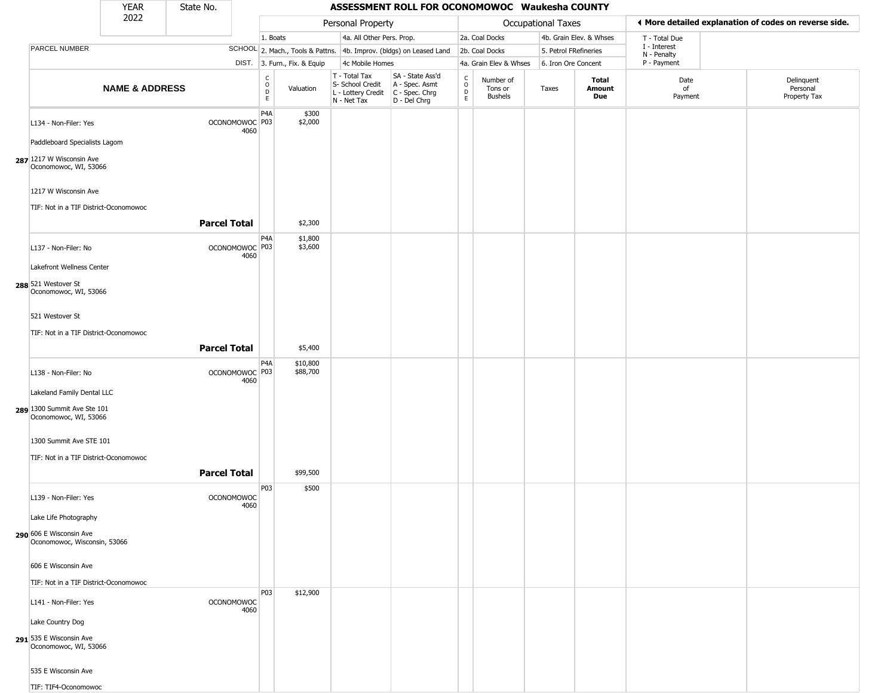|                                                               | YEAR                      | State No.           |                                   |                                                 |                              |                                                                                         | ASSESSMENT ROLL FOR OCONOMOWOC Waukesha COUNTY                      |                                    |                                 |                       |                         |                             |                                                       |
|---------------------------------------------------------------|---------------------------|---------------------|-----------------------------------|-------------------------------------------------|------------------------------|-----------------------------------------------------------------------------------------|---------------------------------------------------------------------|------------------------------------|---------------------------------|-----------------------|-------------------------|-----------------------------|-------------------------------------------------------|
|                                                               | 2022                      |                     |                                   |                                                 |                              | Personal Property                                                                       |                                                                     |                                    |                                 | Occupational Taxes    |                         |                             | ◀ More detailed explanation of codes on reverse side. |
|                                                               |                           |                     |                                   | 1. Boats                                        |                              | 4a. All Other Pers. Prop.                                                               |                                                                     |                                    | 2a. Coal Docks                  |                       | 4b. Grain Elev. & Whses | T - Total Due               |                                                       |
| PARCEL NUMBER                                                 |                           |                     |                                   |                                                 |                              |                                                                                         | SCHOOL 2. Mach., Tools & Pattns. 4b. Improv. (bldgs) on Leased Land |                                    | 2b. Coal Docks                  | 5. Petrol FRefineries |                         | I - Interest<br>N - Penalty |                                                       |
|                                                               |                           |                     |                                   |                                                 | DIST. 3. Furn., Fix. & Equip | 4c Mobile Homes                                                                         |                                                                     |                                    | 4a. Grain Elev & Whses          | 6. Iron Ore Concent   |                         | P - Payment                 |                                                       |
|                                                               | <b>NAME &amp; ADDRESS</b> |                     |                                   | $\begin{array}{c} C \\ O \\ D \\ E \end{array}$ | Valuation                    | $T - Total Tax$<br>S- School Credit<br>L - Lottery Credit C - Spec. Chrg<br>N - Net Tax | SA - State Ass'd<br>A - Spec. Asmt<br>D - Del Chrg                  | $\int_{0}^{c}$<br>$\mathsf D$<br>E | Number of<br>Tons or<br>Bushels | Taxes                 | Total<br>Amount<br>Due  | Date<br>of<br>Payment       | Delinquent<br>Personal<br>Property Tax                |
| L134 - Non-Filer: Yes                                         |                           |                     | OCONOMOWOC P03<br>4060            | P <sub>4</sub> A                                | \$300<br>\$2,000             |                                                                                         |                                                                     |                                    |                                 |                       |                         |                             |                                                       |
| Paddleboard Specialists Lagom                                 |                           |                     |                                   |                                                 |                              |                                                                                         |                                                                     |                                    |                                 |                       |                         |                             |                                                       |
| 287 1217 W Wisconsin Ave<br>Oconomowoc, WI, 53066             |                           |                     |                                   |                                                 |                              |                                                                                         |                                                                     |                                    |                                 |                       |                         |                             |                                                       |
| 1217 W Wisconsin Ave<br>TIF: Not in a TIF District-Oconomowoc |                           |                     |                                   |                                                 |                              |                                                                                         |                                                                     |                                    |                                 |                       |                         |                             |                                                       |
|                                                               |                           | <b>Parcel Total</b> |                                   |                                                 | \$2,300                      |                                                                                         |                                                                     |                                    |                                 |                       |                         |                             |                                                       |
| L137 - Non-Filer: No                                          |                           |                     | OCONOMOWOC <sup>P03</sup><br>4060 | P4A                                             | \$1,800<br>\$3,600           |                                                                                         |                                                                     |                                    |                                 |                       |                         |                             |                                                       |
| Lakefront Wellness Center                                     |                           |                     |                                   |                                                 |                              |                                                                                         |                                                                     |                                    |                                 |                       |                         |                             |                                                       |
| 288 521 Westover St<br>Oconomowoc, WI, 53066                  |                           |                     |                                   |                                                 |                              |                                                                                         |                                                                     |                                    |                                 |                       |                         |                             |                                                       |
| 521 Westover St                                               |                           |                     |                                   |                                                 |                              |                                                                                         |                                                                     |                                    |                                 |                       |                         |                             |                                                       |
| TIF: Not in a TIF District-Oconomowoc                         |                           | <b>Parcel Total</b> |                                   |                                                 | \$5,400                      |                                                                                         |                                                                     |                                    |                                 |                       |                         |                             |                                                       |
| L138 - Non-Filer: No                                          |                           |                     | OCONOMOWOC P03<br>4060            | P4A                                             | \$10,800<br>\$88,700         |                                                                                         |                                                                     |                                    |                                 |                       |                         |                             |                                                       |
| Lakeland Family Dental LLC                                    |                           |                     |                                   |                                                 |                              |                                                                                         |                                                                     |                                    |                                 |                       |                         |                             |                                                       |
| 289 1300 Summit Ave Ste 101<br>Oconomowoc, WI, 53066          |                           |                     |                                   |                                                 |                              |                                                                                         |                                                                     |                                    |                                 |                       |                         |                             |                                                       |
| 1300 Summit Ave STE 101                                       |                           |                     |                                   |                                                 |                              |                                                                                         |                                                                     |                                    |                                 |                       |                         |                             |                                                       |
| TIF: Not in a TIF District-Oconomowoc                         |                           |                     |                                   |                                                 |                              |                                                                                         |                                                                     |                                    |                                 |                       |                         |                             |                                                       |
|                                                               |                           | <b>Parcel Total</b> |                                   |                                                 | \$99,500                     |                                                                                         |                                                                     |                                    |                                 |                       |                         |                             |                                                       |
| L139 - Non-Filer: Yes                                         |                           |                     | <b>OCONOMOWOC</b><br>4060         | P03                                             | \$500                        |                                                                                         |                                                                     |                                    |                                 |                       |                         |                             |                                                       |
| Lake Life Photography                                         |                           |                     |                                   |                                                 |                              |                                                                                         |                                                                     |                                    |                                 |                       |                         |                             |                                                       |
| 290 606 E Wisconsin Ave<br>Oconomowoc, Wisconsin, 53066       |                           |                     |                                   |                                                 |                              |                                                                                         |                                                                     |                                    |                                 |                       |                         |                             |                                                       |
| 606 E Wisconsin Ave                                           |                           |                     |                                   |                                                 |                              |                                                                                         |                                                                     |                                    |                                 |                       |                         |                             |                                                       |
| TIF: Not in a TIF District-Oconomowoc                         |                           |                     |                                   |                                                 |                              |                                                                                         |                                                                     |                                    |                                 |                       |                         |                             |                                                       |
| L141 - Non-Filer: Yes                                         |                           |                     | <b>OCONOMOWOC</b><br>4060         | P03                                             | \$12,900                     |                                                                                         |                                                                     |                                    |                                 |                       |                         |                             |                                                       |
| Lake Country Dog                                              |                           |                     |                                   |                                                 |                              |                                                                                         |                                                                     |                                    |                                 |                       |                         |                             |                                                       |
| 291 535 E Wisconsin Ave<br>Oconomowoc, WI, 53066              |                           |                     |                                   |                                                 |                              |                                                                                         |                                                                     |                                    |                                 |                       |                         |                             |                                                       |
| 535 E Wisconsin Ave                                           |                           |                     |                                   |                                                 |                              |                                                                                         |                                                                     |                                    |                                 |                       |                         |                             |                                                       |
| TIF: TIF4-Oconomowoc                                          |                           |                     |                                   |                                                 |                              |                                                                                         |                                                                     |                                    |                                 |                       |                         |                             |                                                       |

 $\sqrt{2}$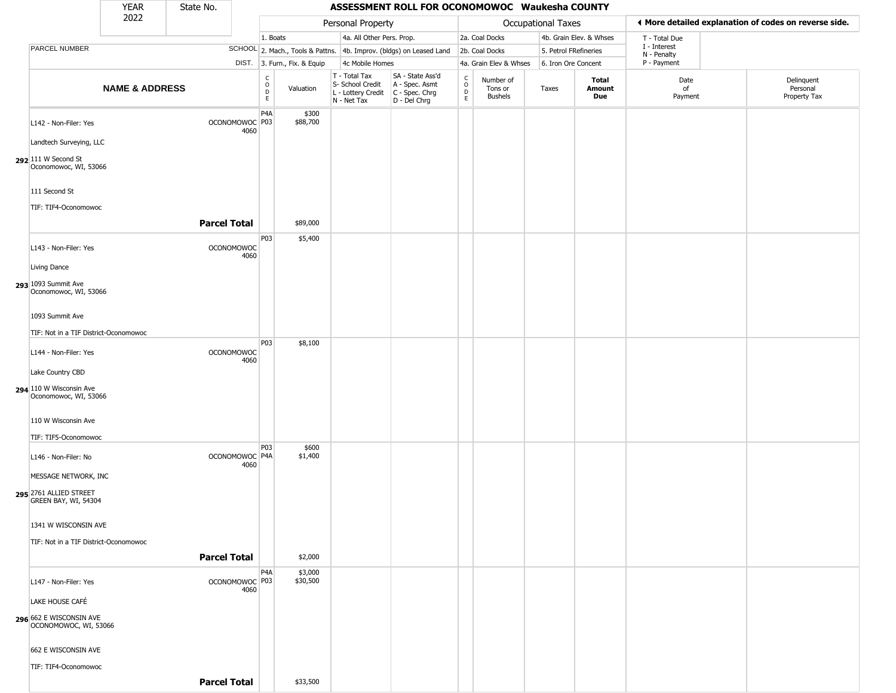|                                                                         | <b>YEAR</b>               | State No.           |                                   |                                                 |                              |                                                                                         | ASSESSMENT ROLL FOR OCONOMOWOC Waukesha COUNTY                      |                                                 |                                        |                       |                         |                             |                                                       |
|-------------------------------------------------------------------------|---------------------------|---------------------|-----------------------------------|-------------------------------------------------|------------------------------|-----------------------------------------------------------------------------------------|---------------------------------------------------------------------|-------------------------------------------------|----------------------------------------|-----------------------|-------------------------|-----------------------------|-------------------------------------------------------|
|                                                                         | 2022                      |                     |                                   |                                                 |                              | Personal Property                                                                       |                                                                     |                                                 |                                        | Occupational Taxes    |                         |                             | ♦ More detailed explanation of codes on reverse side. |
|                                                                         |                           |                     |                                   | 1. Boats                                        |                              | 4a. All Other Pers. Prop.                                                               |                                                                     |                                                 | 2a. Coal Docks                         |                       | 4b. Grain Elev. & Whses | T - Total Due               |                                                       |
| PARCEL NUMBER                                                           |                           |                     |                                   |                                                 |                              |                                                                                         | SCHOOL 2. Mach., Tools & Pattns. 4b. Improv. (bldgs) on Leased Land |                                                 | 2b. Coal Docks                         | 5. Petrol FRefineries |                         | I - Interest<br>N - Penalty |                                                       |
|                                                                         |                           |                     |                                   |                                                 | DIST. 3. Furn., Fix. & Equip | 4c Mobile Homes                                                                         |                                                                     |                                                 | 4a. Grain Elev & Whses                 | 6. Iron Ore Concent   |                         | P - Payment                 |                                                       |
|                                                                         | <b>NAME &amp; ADDRESS</b> |                     |                                   | $\begin{array}{c} C \\ O \\ D \\ E \end{array}$ | Valuation                    | T - Total Tax<br>S- School Credit<br>L - Lottery Credit   C - Spec. Chrg<br>N - Net Tax | SA - State Ass'd<br>A - Spec. Asmt<br>D - Del Chrg                  | $\begin{array}{c} C \\ O \\ D \\ E \end{array}$ | Number of<br>Tons or<br><b>Bushels</b> | Taxes                 | Total<br>Amount<br>Due  | Date<br>of<br>Payment       | Delinquent<br>Personal<br>Property Tax                |
| L142 - Non-Filer: Yes                                                   |                           |                     | OCONOMOWOC P03<br>4060            | P <sub>4</sub> A                                | \$300<br>\$88,700            |                                                                                         |                                                                     |                                                 |                                        |                       |                         |                             |                                                       |
| Landtech Surveying, LLC<br>292 111 W Second St<br>Oconomowoc, WI, 53066 |                           |                     |                                   |                                                 |                              |                                                                                         |                                                                     |                                                 |                                        |                       |                         |                             |                                                       |
| 111 Second St<br>TIF: TIF4-Oconomowoc                                   |                           |                     |                                   |                                                 |                              |                                                                                         |                                                                     |                                                 |                                        |                       |                         |                             |                                                       |
|                                                                         |                           | <b>Parcel Total</b> |                                   |                                                 | \$89,000                     |                                                                                         |                                                                     |                                                 |                                        |                       |                         |                             |                                                       |
| L143 - Non-Filer: Yes                                                   |                           |                     | <b>OCONOMOWOC</b><br>4060         | P03                                             | \$5,400                      |                                                                                         |                                                                     |                                                 |                                        |                       |                         |                             |                                                       |
| Living Dance<br>293 1093 Summit Ave<br>Oconomowoc, WI, 53066            |                           |                     |                                   |                                                 |                              |                                                                                         |                                                                     |                                                 |                                        |                       |                         |                             |                                                       |
| 1093 Summit Ave                                                         |                           |                     |                                   |                                                 |                              |                                                                                         |                                                                     |                                                 |                                        |                       |                         |                             |                                                       |
| TIF: Not in a TIF District-Oconomowoc                                   |                           |                     |                                   |                                                 |                              |                                                                                         |                                                                     |                                                 |                                        |                       |                         |                             |                                                       |
| L144 - Non-Filer: Yes                                                   |                           |                     | <b>OCONOMOWOC</b><br>4060         | P03                                             | \$8,100                      |                                                                                         |                                                                     |                                                 |                                        |                       |                         |                             |                                                       |
| Lake Country CBD<br>294 110 W Wisconsin Ave<br>Oconomowoc, WI, 53066    |                           |                     |                                   |                                                 |                              |                                                                                         |                                                                     |                                                 |                                        |                       |                         |                             |                                                       |
| 110 W Wisconsin Ave<br>TIF: TIF5-Oconomowoc                             |                           |                     |                                   |                                                 |                              |                                                                                         |                                                                     |                                                 |                                        |                       |                         |                             |                                                       |
| L146 - Non-Filer: No                                                    |                           |                     | OCONOMOWOC <sup>P4A</sup><br>4060 | P03                                             | \$600<br>\$1,400             |                                                                                         |                                                                     |                                                 |                                        |                       |                         |                             |                                                       |
| MESSAGE NETWORK, INC<br>295 2761 ALLIED STREET<br>GREEN BAY, WI, 54304  |                           |                     |                                   |                                                 |                              |                                                                                         |                                                                     |                                                 |                                        |                       |                         |                             |                                                       |
| 1341 W WISCONSIN AVE<br>TIF: Not in a TIF District-Oconomowoc           |                           |                     |                                   |                                                 |                              |                                                                                         |                                                                     |                                                 |                                        |                       |                         |                             |                                                       |
|                                                                         |                           | <b>Parcel Total</b> |                                   |                                                 | \$2,000                      |                                                                                         |                                                                     |                                                 |                                        |                       |                         |                             |                                                       |
| L147 - Non-Filer: Yes                                                   |                           |                     | OCONOMOWOC <sup>P03</sup><br>4060 | P4A                                             | \$3,000<br>\$30,500          |                                                                                         |                                                                     |                                                 |                                        |                       |                         |                             |                                                       |
| LAKE HOUSE CAFÉ                                                         |                           |                     |                                   |                                                 |                              |                                                                                         |                                                                     |                                                 |                                        |                       |                         |                             |                                                       |
| 296 662 E WISCONSIN AVE<br>OCONOMOWOC, WI, 53066                        |                           |                     |                                   |                                                 |                              |                                                                                         |                                                                     |                                                 |                                        |                       |                         |                             |                                                       |
| 662 E WISCONSIN AVE                                                     |                           |                     |                                   |                                                 |                              |                                                                                         |                                                                     |                                                 |                                        |                       |                         |                             |                                                       |
| TIF: TIF4-Oconomowoc                                                    |                           | <b>Parcel Total</b> |                                   |                                                 | \$33,500                     |                                                                                         |                                                                     |                                                 |                                        |                       |                         |                             |                                                       |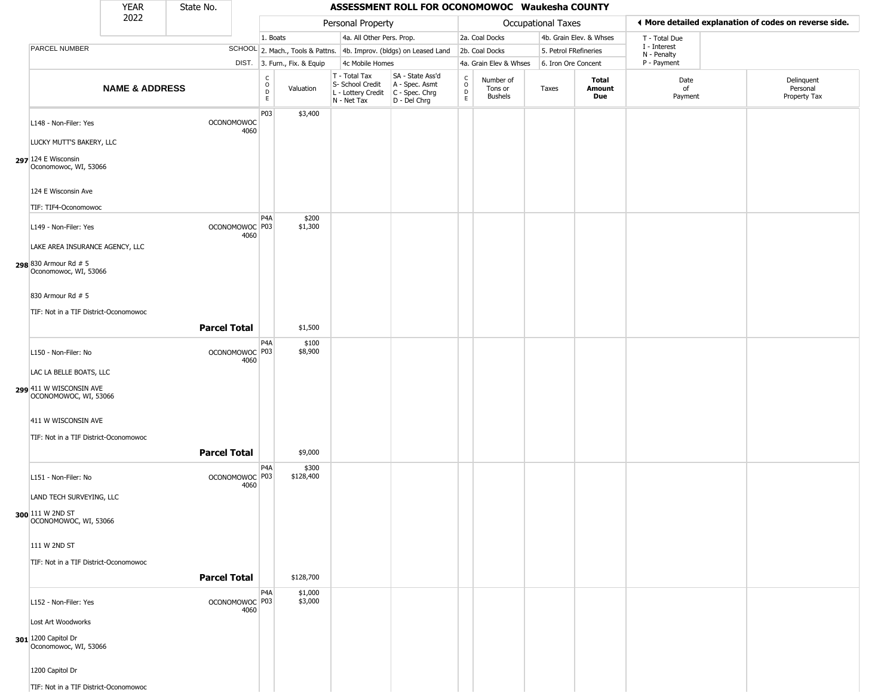|                                                                                                     | <b>YEAR</b>               | State No.           |                           |                              |                              |                                                                        | ASSESSMENT ROLL FOR OCONOMOWOC Waukesha COUNTY                         |                                 |                                        |                       |                         |                             |                                                       |
|-----------------------------------------------------------------------------------------------------|---------------------------|---------------------|---------------------------|------------------------------|------------------------------|------------------------------------------------------------------------|------------------------------------------------------------------------|---------------------------------|----------------------------------------|-----------------------|-------------------------|-----------------------------|-------------------------------------------------------|
|                                                                                                     | 2022                      |                     |                           |                              |                              | Personal Property                                                      |                                                                        |                                 |                                        | Occupational Taxes    |                         |                             | ♦ More detailed explanation of codes on reverse side. |
|                                                                                                     |                           |                     |                           | 1. Boats                     |                              | 4a. All Other Pers. Prop.                                              |                                                                        |                                 | 2a. Coal Docks                         |                       | 4b. Grain Elev. & Whses | T - Total Due               |                                                       |
| PARCEL NUMBER                                                                                       |                           |                     |                           |                              |                              |                                                                        | SCHOOL 2. Mach., Tools & Pattns. 4b. Improv. (bldgs) on Leased Land    |                                 | 2b. Coal Docks                         | 5. Petrol FRefineries |                         | I - Interest<br>N - Penalty |                                                       |
|                                                                                                     |                           |                     |                           |                              | DIST. 3. Furn., Fix. & Equip | 4c Mobile Homes                                                        |                                                                        |                                 | 4a. Grain Elev & Whses                 | 6. Iron Ore Concent   |                         | P - Payment                 |                                                       |
|                                                                                                     | <b>NAME &amp; ADDRESS</b> |                     |                           | $_{\rm o}^{\rm c}$<br>D<br>E | Valuation                    | T - Total Tax<br>S- School Credit<br>L - Lottery Credit<br>N - Net Tax | SA - State Ass'd<br>A - Spec. Asmt<br>$C - Spec. Chrg$<br>D - Del Chrg | $\frac{c}{0}$<br>$\overline{P}$ | Number of<br>Tons or<br><b>Bushels</b> | Taxes                 | Total<br>Amount<br>Due  | Date<br>of<br>Payment       | Delinquent<br>Personal<br>Property Tax                |
| L148 - Non-Filer: Yes<br>LUCKY MUTT'S BAKERY, LLC<br>297 $124 E$ Wisconsin<br>Oconomowoc, WI, 53066 |                           |                     | <b>OCONOMOWOC</b><br>4060 | P03                          | \$3,400                      |                                                                        |                                                                        |                                 |                                        |                       |                         |                             |                                                       |
| 124 E Wisconsin Ave<br>TIF: TIF4-Oconomowoc                                                         |                           |                     |                           |                              |                              |                                                                        |                                                                        |                                 |                                        |                       |                         |                             |                                                       |
| L149 - Non-Filer: Yes<br>LAKE AREA INSURANCE AGENCY, LLC<br>298 830 Armour Rd # 5                   |                           |                     | OCONOMOWOC P03<br>4060    | P <sub>4</sub> A             | \$200<br>\$1,300             |                                                                        |                                                                        |                                 |                                        |                       |                         |                             |                                                       |
| Oconomowoc, WI, 53066<br>830 Armour Rd # 5<br>TIF: Not in a TIF District-Oconomowoc                 |                           |                     |                           |                              |                              |                                                                        |                                                                        |                                 |                                        |                       |                         |                             |                                                       |
|                                                                                                     |                           | <b>Parcel Total</b> |                           |                              | \$1,500                      |                                                                        |                                                                        |                                 |                                        |                       |                         |                             |                                                       |
| L150 - Non-Filer: No<br>LAC LA BELLE BOATS, LLC<br>299 411 W WISCONSIN AVE<br>OCONOMOWOC, WI, 53066 |                           |                     | OCONOMOWOC P03<br>4060    | P4A                          | \$100<br>\$8,900             |                                                                        |                                                                        |                                 |                                        |                       |                         |                             |                                                       |
| 411 W WISCONSIN AVE<br>TIF: Not in a TIF District-Oconomowoc                                        |                           | <b>Parcel Total</b> |                           |                              | \$9,000                      |                                                                        |                                                                        |                                 |                                        |                       |                         |                             |                                                       |
| L151 - Non-Filer: No<br>LAND TECH SURVEYING, LLC<br>300 111 W 2ND ST<br>OCONOMOWOC, WI, 53066       |                           |                     | OCONOMOWOC P03<br>4060    | P <sub>4</sub> A             | \$300<br>\$128,400           |                                                                        |                                                                        |                                 |                                        |                       |                         |                             |                                                       |
| 111 W 2ND ST<br>TIF: Not in a TIF District-Oconomowoc                                               |                           |                     |                           |                              |                              |                                                                        |                                                                        |                                 |                                        |                       |                         |                             |                                                       |
|                                                                                                     |                           | <b>Parcel Total</b> |                           |                              | \$128,700                    |                                                                        |                                                                        |                                 |                                        |                       |                         |                             |                                                       |
| L152 - Non-Filer: Yes<br>Lost Art Woodworks<br>301 1200 Capitol Dr<br>Oconomowoc, WI, 53066         |                           |                     | OCONOMOWOC P03<br>4060    | P <sub>4</sub> A             | \$1,000<br>\$3,000           |                                                                        |                                                                        |                                 |                                        |                       |                         |                             |                                                       |
| 1200 Capitol Dr                                                                                     |                           |                     |                           |                              |                              |                                                                        |                                                                        |                                 |                                        |                       |                         |                             |                                                       |
| TIF: Not in a TIF District-Oconomowoc                                                               |                           |                     |                           |                              |                              |                                                                        |                                                                        |                                 |                                        |                       |                         |                             |                                                       |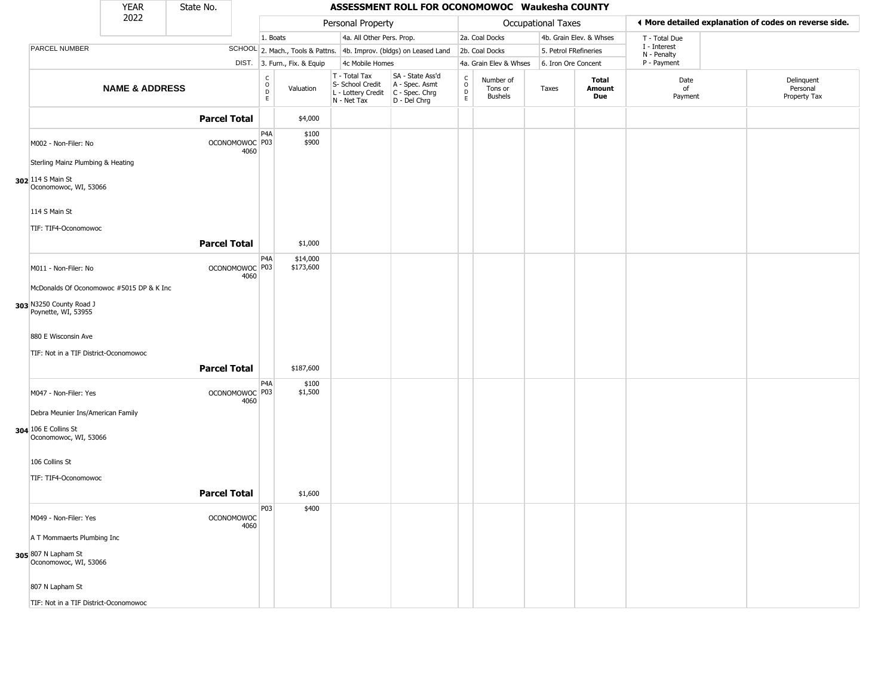|                                                | <b>YEAR</b>               | State No.           |                           |                                                 |                              |                                                                        | ASSESSMENT ROLL FOR OCONOMOWOC Waukesha COUNTY                       |                                              |                                        |                       |                         |                             |                                                       |
|------------------------------------------------|---------------------------|---------------------|---------------------------|-------------------------------------------------|------------------------------|------------------------------------------------------------------------|----------------------------------------------------------------------|----------------------------------------------|----------------------------------------|-----------------------|-------------------------|-----------------------------|-------------------------------------------------------|
|                                                | 2022                      |                     |                           |                                                 |                              | Personal Property                                                      |                                                                      |                                              |                                        | Occupational Taxes    |                         |                             | ♦ More detailed explanation of codes on reverse side. |
|                                                |                           |                     |                           | 1. Boats                                        |                              | 4a. All Other Pers. Prop.                                              |                                                                      |                                              | 2a. Coal Docks                         |                       | 4b. Grain Elev. & Whses | T - Total Due               |                                                       |
| PARCEL NUMBER                                  |                           |                     |                           |                                                 |                              |                                                                        | SCHOOL 2. Mach., Tools & Pattns. 4b. Improv. (bldgs) on Leased Land  |                                              | 2b. Coal Docks                         | 5. Petrol FRefineries |                         | I - Interest<br>N - Penalty |                                                       |
|                                                |                           |                     |                           |                                                 | DIST. 3. Furn., Fix. & Equip | 4c Mobile Homes                                                        |                                                                      |                                              | 4a. Grain Elev & Whses                 | 6. Iron Ore Concent   |                         | P - Payment                 |                                                       |
|                                                | <b>NAME &amp; ADDRESS</b> |                     |                           | $\begin{array}{c} C \\ O \\ D \\ E \end{array}$ | Valuation                    | T - Total Tax<br>S- School Credit<br>L - Lottery Credit<br>N - Net Tax | SA - State Ass'd<br>A - Spec. Asmt<br>C - Spec. Chrg<br>D - Del Chrg | $\begin{array}{c}\nC \\ O \\ E\n\end{array}$ | Number of<br>Tons or<br><b>Bushels</b> | Taxes                 | Total<br>Amount<br>Due  | Date<br>of<br>Payment       | Delinquent<br>Personal<br>Property Tax                |
|                                                |                           | <b>Parcel Total</b> |                           |                                                 | \$4,000                      |                                                                        |                                                                      |                                              |                                        |                       |                         |                             |                                                       |
| M002 - Non-Filer: No                           |                           |                     | OCONOMOWOC P03<br>4060    | P <sub>4</sub> A                                | \$100<br>\$900               |                                                                        |                                                                      |                                              |                                        |                       |                         |                             |                                                       |
| Sterling Mainz Plumbing & Heating              |                           |                     |                           |                                                 |                              |                                                                        |                                                                      |                                              |                                        |                       |                         |                             |                                                       |
| 302 114 S Main St<br>Oconomowoc, WI, 53066     |                           |                     |                           |                                                 |                              |                                                                        |                                                                      |                                              |                                        |                       |                         |                             |                                                       |
| 114 S Main St                                  |                           |                     |                           |                                                 |                              |                                                                        |                                                                      |                                              |                                        |                       |                         |                             |                                                       |
| TIF: TIF4-Oconomowoc                           |                           |                     |                           |                                                 |                              |                                                                        |                                                                      |                                              |                                        |                       |                         |                             |                                                       |
|                                                |                           | <b>Parcel Total</b> |                           |                                                 | \$1,000                      |                                                                        |                                                                      |                                              |                                        |                       |                         |                             |                                                       |
|                                                |                           |                     |                           | P <sub>4</sub> A                                | \$14,000                     |                                                                        |                                                                      |                                              |                                        |                       |                         |                             |                                                       |
| M011 - Non-Filer: No                           |                           |                     | OCONOMOWOC P03<br>4060    |                                                 | \$173,600                    |                                                                        |                                                                      |                                              |                                        |                       |                         |                             |                                                       |
| McDonalds Of Oconomowoc #5015 DP & K Inc       |                           |                     |                           |                                                 |                              |                                                                        |                                                                      |                                              |                                        |                       |                         |                             |                                                       |
| 303 N3250 County Road J<br>Poynette, WI, 53955 |                           |                     |                           |                                                 |                              |                                                                        |                                                                      |                                              |                                        |                       |                         |                             |                                                       |
| 880 E Wisconsin Ave                            |                           |                     |                           |                                                 |                              |                                                                        |                                                                      |                                              |                                        |                       |                         |                             |                                                       |
| TIF: Not in a TIF District-Oconomowoc          |                           |                     |                           |                                                 |                              |                                                                        |                                                                      |                                              |                                        |                       |                         |                             |                                                       |
|                                                |                           | <b>Parcel Total</b> |                           |                                                 | \$187,600                    |                                                                        |                                                                      |                                              |                                        |                       |                         |                             |                                                       |
| M047 - Non-Filer: Yes                          |                           |                     | OCONOMOWOC P03<br>4060    | P <sub>4</sub> A                                | \$100<br>\$1,500             |                                                                        |                                                                      |                                              |                                        |                       |                         |                             |                                                       |
| Debra Meunier Ins/American Family              |                           |                     |                           |                                                 |                              |                                                                        |                                                                      |                                              |                                        |                       |                         |                             |                                                       |
| 304 106 E Collins St<br>Oconomowoc, WI, 53066  |                           |                     |                           |                                                 |                              |                                                                        |                                                                      |                                              |                                        |                       |                         |                             |                                                       |
| 106 Collins St                                 |                           |                     |                           |                                                 |                              |                                                                        |                                                                      |                                              |                                        |                       |                         |                             |                                                       |
| TIF: TIF4-Oconomowoc                           |                           |                     |                           |                                                 |                              |                                                                        |                                                                      |                                              |                                        |                       |                         |                             |                                                       |
|                                                |                           | <b>Parcel Total</b> |                           |                                                 | \$1,600                      |                                                                        |                                                                      |                                              |                                        |                       |                         |                             |                                                       |
|                                                |                           |                     |                           |                                                 |                              |                                                                        |                                                                      |                                              |                                        |                       |                         |                             |                                                       |
| M049 - Non-Filer: Yes                          |                           |                     | <b>OCONOMOWOC</b><br>4060 | P <sub>03</sub>                                 | \$400                        |                                                                        |                                                                      |                                              |                                        |                       |                         |                             |                                                       |
| A T Mommaerts Plumbing Inc                     |                           |                     |                           |                                                 |                              |                                                                        |                                                                      |                                              |                                        |                       |                         |                             |                                                       |
| 305 807 N Lapham St<br>Oconomowoc, WI, 53066   |                           |                     |                           |                                                 |                              |                                                                        |                                                                      |                                              |                                        |                       |                         |                             |                                                       |
| 807 N Lapham St                                |                           |                     |                           |                                                 |                              |                                                                        |                                                                      |                                              |                                        |                       |                         |                             |                                                       |
| TIF: Not in a TIF District-Oconomowoc          |                           |                     |                           |                                                 |                              |                                                                        |                                                                      |                                              |                                        |                       |                         |                             |                                                       |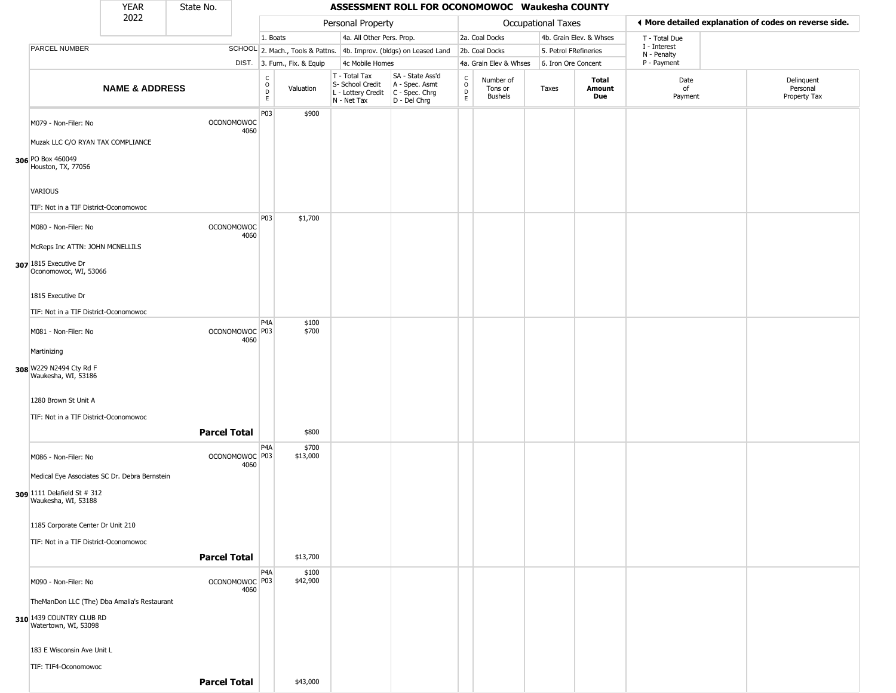|                                                    | YEAR                      | State No.           |                           |                                   |                              |                                                                        | ASSESSMENT ROLL FOR OCONOMOWOC Waukesha COUNTY                       |                  |                                        |                       |                         |                             |                                                       |
|----------------------------------------------------|---------------------------|---------------------|---------------------------|-----------------------------------|------------------------------|------------------------------------------------------------------------|----------------------------------------------------------------------|------------------|----------------------------------------|-----------------------|-------------------------|-----------------------------|-------------------------------------------------------|
|                                                    | 2022                      |                     |                           |                                   |                              | Personal Property                                                      |                                                                      |                  |                                        | Occupational Taxes    |                         |                             | ◀ More detailed explanation of codes on reverse side. |
|                                                    |                           |                     |                           | 1. Boats                          |                              | 4a. All Other Pers. Prop.                                              |                                                                      |                  | 2a. Coal Docks                         |                       | 4b. Grain Elev. & Whses | T - Total Due               |                                                       |
| <b>PARCEL NUMBER</b>                               |                           |                     |                           |                                   |                              |                                                                        | SCHOOL 2. Mach., Tools & Pattns. 4b. Improv. (bldgs) on Leased Land  |                  | 2b. Coal Docks                         | 5. Petrol FRefineries |                         | I - Interest<br>N - Penalty |                                                       |
|                                                    |                           |                     |                           |                                   | DIST. 3. Furn., Fix. & Equip | 4c Mobile Homes                                                        |                                                                      |                  | 4a. Grain Elev & Whses                 | 6. Iron Ore Concent   |                         | P - Payment                 |                                                       |
|                                                    | <b>NAME &amp; ADDRESS</b> |                     |                           | C<br>$\circ$<br>$\mathsf{D}$<br>E | Valuation                    | T - Total Tax<br>S- School Credit<br>L - Lottery Credit<br>N - Net Tax | SA - State Ass'd<br>A - Spec. Asmt<br>C - Spec. Chrg<br>D - Del Chrg | C<br>D<br>E<br>E | Number of<br>Tons or<br><b>Bushels</b> | Taxes                 | Total<br>Amount<br>Due  | Date<br>of<br>Payment       | Delinquent<br>Personal<br>Property Tax                |
| M079 - Non-Filer: No                               |                           |                     | <b>OCONOMOWOC</b><br>4060 | P03                               | \$900                        |                                                                        |                                                                      |                  |                                        |                       |                         |                             |                                                       |
| Muzak LLC C/O RYAN TAX COMPLIANCE                  |                           |                     |                           |                                   |                              |                                                                        |                                                                      |                  |                                        |                       |                         |                             |                                                       |
| 306 PO Box 460049<br>Houston, TX, 77056            |                           |                     |                           |                                   |                              |                                                                        |                                                                      |                  |                                        |                       |                         |                             |                                                       |
| <b>VARIOUS</b>                                     |                           |                     |                           |                                   |                              |                                                                        |                                                                      |                  |                                        |                       |                         |                             |                                                       |
| TIF: Not in a TIF District-Oconomowoc              |                           |                     |                           | P03                               | \$1,700                      |                                                                        |                                                                      |                  |                                        |                       |                         |                             |                                                       |
| M080 - Non-Filer: No                               |                           |                     | <b>OCONOMOWOC</b><br>4060 |                                   |                              |                                                                        |                                                                      |                  |                                        |                       |                         |                             |                                                       |
| McReps Inc ATTN: JOHN MCNELLILS                    |                           |                     |                           |                                   |                              |                                                                        |                                                                      |                  |                                        |                       |                         |                             |                                                       |
| 307 1815 Executive Dr<br>Oconomowoc, WI, 53066     |                           |                     |                           |                                   |                              |                                                                        |                                                                      |                  |                                        |                       |                         |                             |                                                       |
| 1815 Executive Dr                                  |                           |                     |                           |                                   |                              |                                                                        |                                                                      |                  |                                        |                       |                         |                             |                                                       |
| TIF: Not in a TIF District-Oconomowoc              |                           |                     |                           | P <sub>4</sub> A                  | \$100                        |                                                                        |                                                                      |                  |                                        |                       |                         |                             |                                                       |
| M081 - Non-Filer: No                               |                           |                     | OCONOMOWOC P03<br>4060    |                                   | \$700                        |                                                                        |                                                                      |                  |                                        |                       |                         |                             |                                                       |
| Martinizing                                        |                           |                     |                           |                                   |                              |                                                                        |                                                                      |                  |                                        |                       |                         |                             |                                                       |
| 308 W229 N2494 Cty Rd F<br>Waukesha, WI, 53186     |                           |                     |                           |                                   |                              |                                                                        |                                                                      |                  |                                        |                       |                         |                             |                                                       |
| 1280 Brown St Unit A                               |                           |                     |                           |                                   |                              |                                                                        |                                                                      |                  |                                        |                       |                         |                             |                                                       |
| TIF: Not in a TIF District-Oconomowoc              |                           |                     |                           |                                   |                              |                                                                        |                                                                      |                  |                                        |                       |                         |                             |                                                       |
|                                                    |                           | <b>Parcel Total</b> |                           | P <sub>4</sub> A                  | \$800                        |                                                                        |                                                                      |                  |                                        |                       |                         |                             |                                                       |
| M086 - Non-Filer: No                               |                           |                     | OCONOMOWOC P03<br>4060    |                                   | \$700<br>\$13,000            |                                                                        |                                                                      |                  |                                        |                       |                         |                             |                                                       |
| Medical Eye Associates SC Dr. Debra Bernstein      |                           |                     |                           |                                   |                              |                                                                        |                                                                      |                  |                                        |                       |                         |                             |                                                       |
| 309 1111 Delafield St # 312<br>Waukesha, WI, 53188 |                           |                     |                           |                                   |                              |                                                                        |                                                                      |                  |                                        |                       |                         |                             |                                                       |
| 1185 Corporate Center Dr Unit 210                  |                           |                     |                           |                                   |                              |                                                                        |                                                                      |                  |                                        |                       |                         |                             |                                                       |
| TIF: Not in a TIF District-Oconomowoc              |                           |                     |                           |                                   |                              |                                                                        |                                                                      |                  |                                        |                       |                         |                             |                                                       |
|                                                    |                           | <b>Parcel Total</b> |                           | P4A                               | \$13,700<br>\$100            |                                                                        |                                                                      |                  |                                        |                       |                         |                             |                                                       |
| M090 - Non-Filer: No                               |                           |                     | OCONOMOWOC P03<br>4060    |                                   | \$42,900                     |                                                                        |                                                                      |                  |                                        |                       |                         |                             |                                                       |
| TheManDon LLC (The) Dba Amalia's Restaurant        |                           |                     |                           |                                   |                              |                                                                        |                                                                      |                  |                                        |                       |                         |                             |                                                       |
| 310 1439 COUNTRY CLUB RD<br>Watertown, WI, 53098   |                           |                     |                           |                                   |                              |                                                                        |                                                                      |                  |                                        |                       |                         |                             |                                                       |
| 183 E Wisconsin Ave Unit L                         |                           |                     |                           |                                   |                              |                                                                        |                                                                      |                  |                                        |                       |                         |                             |                                                       |
| TIF: TIF4-Oconomowoc                               |                           |                     |                           |                                   |                              |                                                                        |                                                                      |                  |                                        |                       |                         |                             |                                                       |
|                                                    |                           | <b>Parcel Total</b> |                           |                                   | \$43,000                     |                                                                        |                                                                      |                  |                                        |                       |                         |                             |                                                       |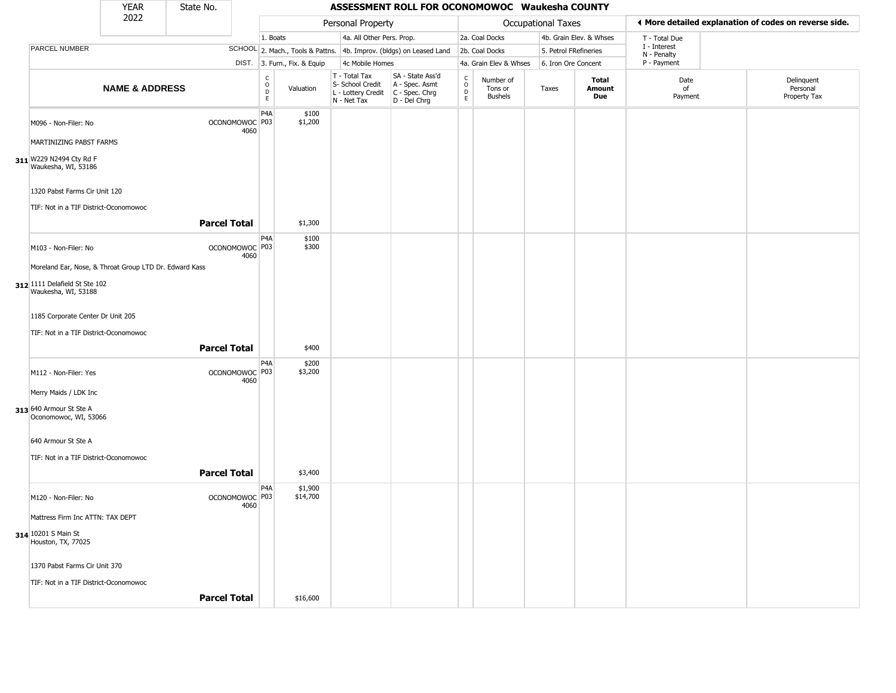|                                                        | <b>YEAR</b>               | State No.           |                                   |                                                 |                  |                                                                        | ASSESSMENT ROLL FOR OCONOMOWOC Waukesha COUNTY                       |                                                 |                                        |                       |                         |                             |                                                       |
|--------------------------------------------------------|---------------------------|---------------------|-----------------------------------|-------------------------------------------------|------------------|------------------------------------------------------------------------|----------------------------------------------------------------------|-------------------------------------------------|----------------------------------------|-----------------------|-------------------------|-----------------------------|-------------------------------------------------------|
|                                                        | 2022                      |                     |                                   |                                                 |                  | Personal Property                                                      |                                                                      |                                                 |                                        | Occupational Taxes    |                         |                             | ♦ More detailed explanation of codes on reverse side. |
|                                                        |                           |                     |                                   | 1. Boats                                        |                  | 4a. All Other Pers. Prop.                                              |                                                                      |                                                 | 2a. Coal Docks                         |                       | 4b. Grain Elev. & Whses | T - Total Due               |                                                       |
| PARCEL NUMBER                                          |                           |                     |                                   |                                                 |                  |                                                                        | SCHOOL 2. Mach., Tools & Pattns. 4b. Improv. (bldgs) on Leased Land  |                                                 | 2b. Coal Docks                         | 5. Petrol FRefineries |                         | I - Interest<br>N - Penalty |                                                       |
|                                                        |                           |                     |                                   | DIST. 3. Furn., Fix. & Equip                    |                  | 4c Mobile Homes                                                        |                                                                      |                                                 | 4a. Grain Elev & Whses                 | 6. Iron Ore Concent   |                         | P - Payment                 |                                                       |
|                                                        | <b>NAME &amp; ADDRESS</b> |                     |                                   | $\begin{array}{c} C \\ O \\ D \\ E \end{array}$ | Valuation        | T - Total Tax<br>S- School Credit<br>L - Lottery Credit<br>N - Net Tax | SA - State Ass'd<br>A - Spec. Asmt<br>C - Spec. Chrg<br>D - Del Chrg | $\begin{array}{c} C \\ O \\ D \\ E \end{array}$ | Number of<br>Tons or<br><b>Bushels</b> | Taxes                 | Total<br>Amount<br>Due  | Date<br>of<br>Payment       | Delinquent<br>Personal<br>Property Tax                |
| M096 - Non-Filer: No                                   |                           |                     | OCONOMOWOC P03<br>4060            | P4A                                             | \$100<br>\$1,200 |                                                                        |                                                                      |                                                 |                                        |                       |                         |                             |                                                       |
| MARTINIZING PABST FARMS                                |                           |                     |                                   |                                                 |                  |                                                                        |                                                                      |                                                 |                                        |                       |                         |                             |                                                       |
| 311 W229 N2494 Cty Rd F<br>Waukesha, WI, 53186         |                           |                     |                                   |                                                 |                  |                                                                        |                                                                      |                                                 |                                        |                       |                         |                             |                                                       |
| 1320 Pabst Farms Cir Unit 120                          |                           |                     |                                   |                                                 |                  |                                                                        |                                                                      |                                                 |                                        |                       |                         |                             |                                                       |
| TIF: Not in a TIF District-Oconomowoc                  |                           |                     |                                   |                                                 |                  |                                                                        |                                                                      |                                                 |                                        |                       |                         |                             |                                                       |
|                                                        |                           | <b>Parcel Total</b> |                                   |                                                 | \$1,300          |                                                                        |                                                                      |                                                 |                                        |                       |                         |                             |                                                       |
| M103 - Non-Filer: No                                   |                           |                     | OCONOMOWOC <sup>P03</sup><br>4060 | P4A                                             | \$100<br>\$300   |                                                                        |                                                                      |                                                 |                                        |                       |                         |                             |                                                       |
| Moreland Ear, Nose, & Throat Group LTD Dr. Edward Kass |                           |                     |                                   |                                                 |                  |                                                                        |                                                                      |                                                 |                                        |                       |                         |                             |                                                       |
| 312 1111 Delafield St Ste 102<br>Waukesha, WI, 53188   |                           |                     |                                   |                                                 |                  |                                                                        |                                                                      |                                                 |                                        |                       |                         |                             |                                                       |
| 1185 Corporate Center Dr Unit 205                      |                           |                     |                                   |                                                 |                  |                                                                        |                                                                      |                                                 |                                        |                       |                         |                             |                                                       |
| TIF: Not in a TIF District-Oconomowoc                  |                           |                     |                                   |                                                 |                  |                                                                        |                                                                      |                                                 |                                        |                       |                         |                             |                                                       |
|                                                        |                           | <b>Parcel Total</b> |                                   |                                                 | \$400            |                                                                        |                                                                      |                                                 |                                        |                       |                         |                             |                                                       |
| M112 - Non-Filer: Yes                                  |                           |                     | OCONOMOWOC <sup>P03</sup><br>4060 | P4A                                             | \$200<br>\$3,200 |                                                                        |                                                                      |                                                 |                                        |                       |                         |                             |                                                       |
| Merry Maids / LDK Inc                                  |                           |                     |                                   |                                                 |                  |                                                                        |                                                                      |                                                 |                                        |                       |                         |                             |                                                       |
| 313 640 Armour St Ste A<br>Oconomowoc, WI, 53066       |                           |                     |                                   |                                                 |                  |                                                                        |                                                                      |                                                 |                                        |                       |                         |                             |                                                       |
| 640 Armour St Ste A                                    |                           |                     |                                   |                                                 |                  |                                                                        |                                                                      |                                                 |                                        |                       |                         |                             |                                                       |
| TIF: Not in a TIF District-Oconomowoc                  |                           |                     |                                   |                                                 |                  |                                                                        |                                                                      |                                                 |                                        |                       |                         |                             |                                                       |
|                                                        |                           | <b>Parcel Total</b> |                                   |                                                 | \$3,400          |                                                                        |                                                                      |                                                 |                                        |                       |                         |                             |                                                       |
|                                                        |                           |                     |                                   | P4A                                             | \$1,900          |                                                                        |                                                                      |                                                 |                                        |                       |                         |                             |                                                       |
| M120 - Non-Filer: No                                   |                           |                     | OCONOMOWOC <sup>P03</sup><br>4060 |                                                 | \$14,700         |                                                                        |                                                                      |                                                 |                                        |                       |                         |                             |                                                       |
| Mattress Firm Inc ATTN: TAX DEPT                       |                           |                     |                                   |                                                 |                  |                                                                        |                                                                      |                                                 |                                        |                       |                         |                             |                                                       |
| 314 10201 S Main St<br>Houston, TX, 77025              |                           |                     |                                   |                                                 |                  |                                                                        |                                                                      |                                                 |                                        |                       |                         |                             |                                                       |
| 1370 Pabst Farms Cir Unit 370                          |                           |                     |                                   |                                                 |                  |                                                                        |                                                                      |                                                 |                                        |                       |                         |                             |                                                       |
| TIF: Not in a TIF District-Oconomowoc                  |                           |                     |                                   |                                                 |                  |                                                                        |                                                                      |                                                 |                                        |                       |                         |                             |                                                       |
|                                                        |                           | <b>Parcel Total</b> |                                   |                                                 | \$16,600         |                                                                        |                                                                      |                                                 |                                        |                       |                         |                             |                                                       |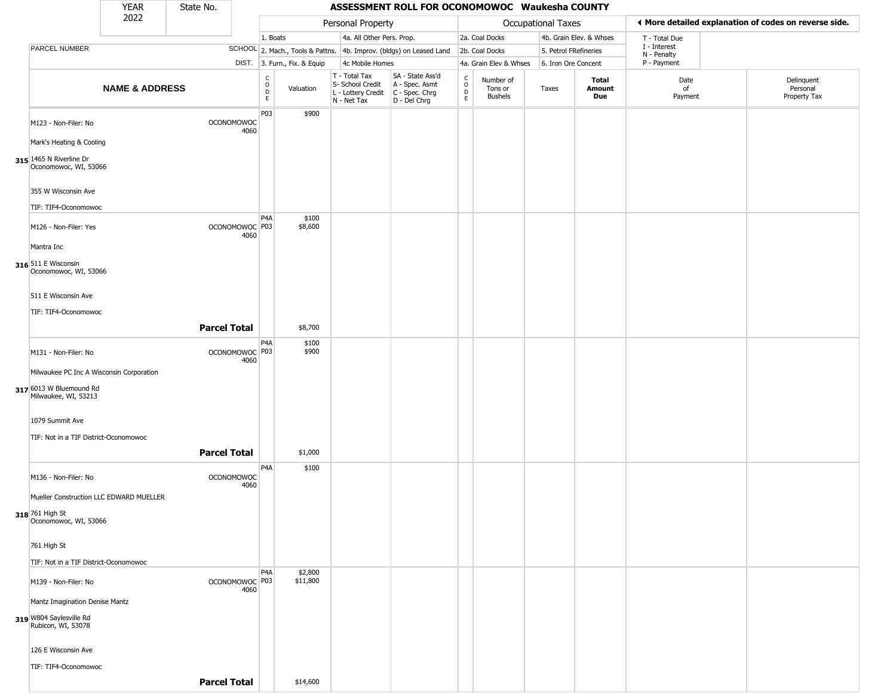|                                                  | <b>YEAR</b>               | State No.           |                           |                                                |                              |                                                                                         | ASSESSMENT ROLL FOR OCONOMOWOC Waukesha COUNTY                      |                                            |                                        |                       |                         |                             |                                                       |
|--------------------------------------------------|---------------------------|---------------------|---------------------------|------------------------------------------------|------------------------------|-----------------------------------------------------------------------------------------|---------------------------------------------------------------------|--------------------------------------------|----------------------------------------|-----------------------|-------------------------|-----------------------------|-------------------------------------------------------|
|                                                  | 2022                      |                     |                           |                                                |                              | Personal Property                                                                       |                                                                     |                                            |                                        | Occupational Taxes    |                         |                             | ♦ More detailed explanation of codes on reverse side. |
|                                                  |                           |                     |                           | 1. Boats                                       |                              | 4a. All Other Pers. Prop.                                                               |                                                                     |                                            | 2a. Coal Docks                         |                       | 4b. Grain Elev. & Whses | T - Total Due               |                                                       |
| PARCEL NUMBER                                    |                           |                     |                           |                                                |                              |                                                                                         | SCHOOL 2. Mach., Tools & Pattns. 4b. Improv. (bldgs) on Leased Land |                                            | 2b. Coal Docks                         | 5. Petrol FRefineries |                         | I - Interest<br>N - Penalty |                                                       |
|                                                  |                           |                     |                           |                                                | DIST. 3. Furn., Fix. & Equip | 4c Mobile Homes                                                                         |                                                                     |                                            | 4a. Grain Elev & Whses                 | 6. Iron Ore Concent   |                         | P - Payment                 |                                                       |
|                                                  | <b>NAME &amp; ADDRESS</b> |                     |                           | $\begin{matrix} 0 \\ 0 \\ D \end{matrix}$<br>E | Valuation                    | T - Total Tax<br>S- School Credit<br>L - Lottery Credit   C - Spec. Chrg<br>N - Net Tax | SA - State Ass'd<br>A - Spec. Asmt<br>D - Del Chrg                  | $\begin{array}{c} C \\ 0 \\ E \end{array}$ | Number of<br>Tons or<br><b>Bushels</b> | Taxes                 | Total<br>Amount<br>Due  | Date<br>of<br>Payment       | Delinquent<br>Personal<br>Property Tax                |
| M123 - Non-Filer: No                             |                           |                     | <b>OCONOMOWOC</b><br>4060 | P03                                            | \$900                        |                                                                                         |                                                                     |                                            |                                        |                       |                         |                             |                                                       |
| Mark's Heating & Cooling                         |                           |                     |                           |                                                |                              |                                                                                         |                                                                     |                                            |                                        |                       |                         |                             |                                                       |
| 315 1465 N Riverline Dr<br>Oconomowoc, WI, 53066 |                           |                     |                           |                                                |                              |                                                                                         |                                                                     |                                            |                                        |                       |                         |                             |                                                       |
| 355 W Wisconsin Ave<br>TIF: TIF4-Oconomowoc      |                           |                     |                           |                                                |                              |                                                                                         |                                                                     |                                            |                                        |                       |                         |                             |                                                       |
| M126 - Non-Filer: Yes                            |                           |                     | OCONOMOWOC <sup>P03</sup> | P <sub>4</sub> A                               | \$100<br>\$8,600             |                                                                                         |                                                                     |                                            |                                        |                       |                         |                             |                                                       |
| Mantra Inc                                       |                           |                     | 4060                      |                                                |                              |                                                                                         |                                                                     |                                            |                                        |                       |                         |                             |                                                       |
| 316 511 E Wisconsin<br>Oconomowoc, WI, 53066     |                           |                     |                           |                                                |                              |                                                                                         |                                                                     |                                            |                                        |                       |                         |                             |                                                       |
| 511 E Wisconsin Ave                              |                           |                     |                           |                                                |                              |                                                                                         |                                                                     |                                            |                                        |                       |                         |                             |                                                       |
| TIF: TIF4-Oconomowoc                             |                           | <b>Parcel Total</b> |                           |                                                | \$8,700                      |                                                                                         |                                                                     |                                            |                                        |                       |                         |                             |                                                       |
| M131 - Non-Filer: No                             |                           |                     | OCONOMOWOC P03<br>4060    | P4A                                            | \$100<br>\$900               |                                                                                         |                                                                     |                                            |                                        |                       |                         |                             |                                                       |
| Milwaukee PC Inc A Wisconsin Corporation         |                           |                     |                           |                                                |                              |                                                                                         |                                                                     |                                            |                                        |                       |                         |                             |                                                       |
| 317 6013 W Bluemound Rd<br>Milwaukee, WI, 53213  |                           |                     |                           |                                                |                              |                                                                                         |                                                                     |                                            |                                        |                       |                         |                             |                                                       |
| 1079 Summit Ave                                  |                           |                     |                           |                                                |                              |                                                                                         |                                                                     |                                            |                                        |                       |                         |                             |                                                       |
| TIF: Not in a TIF District-Oconomowoc            |                           | <b>Parcel Total</b> |                           |                                                | \$1,000                      |                                                                                         |                                                                     |                                            |                                        |                       |                         |                             |                                                       |
| M136 - Non-Filer: No                             |                           |                     | OCONOMOWOC<br>4060        | P <sub>4</sub> A                               | \$100                        |                                                                                         |                                                                     |                                            |                                        |                       |                         |                             |                                                       |
| Mueller Construction LLC EDWARD MUELLER          |                           |                     |                           |                                                |                              |                                                                                         |                                                                     |                                            |                                        |                       |                         |                             |                                                       |
| 318 761 High St<br>Oconomowoc, WI, 53066         |                           |                     |                           |                                                |                              |                                                                                         |                                                                     |                                            |                                        |                       |                         |                             |                                                       |
| 761 High St                                      |                           |                     |                           |                                                |                              |                                                                                         |                                                                     |                                            |                                        |                       |                         |                             |                                                       |
| TIF: Not in a TIF District-Oconomowoc            |                           |                     |                           | P <sub>4</sub> A                               | \$2,800                      |                                                                                         |                                                                     |                                            |                                        |                       |                         |                             |                                                       |
| M139 - Non-Filer: No                             |                           |                     | OCONOMOWOC P03<br>4060    |                                                | \$11,800                     |                                                                                         |                                                                     |                                            |                                        |                       |                         |                             |                                                       |
| Mantz Imagination Denise Mantz                   |                           |                     |                           |                                                |                              |                                                                                         |                                                                     |                                            |                                        |                       |                         |                             |                                                       |
| 319 W804 Saylesville Rd<br>Rubicon, WI, 53078    |                           |                     |                           |                                                |                              |                                                                                         |                                                                     |                                            |                                        |                       |                         |                             |                                                       |
| 126 E Wisconsin Ave                              |                           |                     |                           |                                                |                              |                                                                                         |                                                                     |                                            |                                        |                       |                         |                             |                                                       |
| TIF: TIF4-Oconomowoc                             |                           |                     |                           |                                                |                              |                                                                                         |                                                                     |                                            |                                        |                       |                         |                             |                                                       |
|                                                  |                           | <b>Parcel Total</b> |                           |                                                | \$14,600                     |                                                                                         |                                                                     |                                            |                                        |                       |                         |                             |                                                       |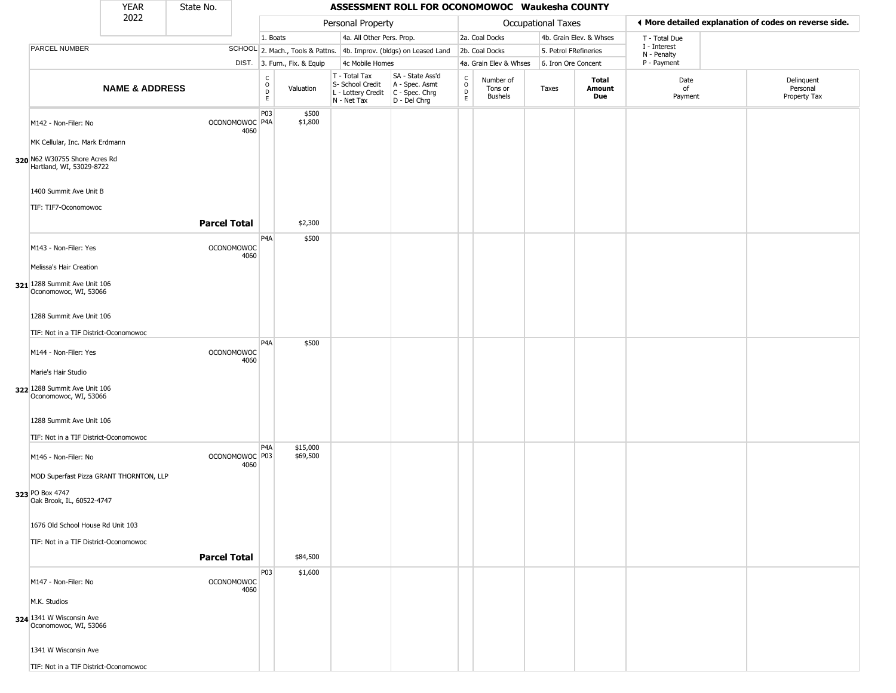|                                                                                     | <b>YEAR</b>               | State No.           |                           |                                                          |                              |                                                                        | ASSESSMENT ROLL FOR OCONOMOWOC Waukesha COUNTY                       |                  |                                        |                       |                         |                             |                                                       |
|-------------------------------------------------------------------------------------|---------------------------|---------------------|---------------------------|----------------------------------------------------------|------------------------------|------------------------------------------------------------------------|----------------------------------------------------------------------|------------------|----------------------------------------|-----------------------|-------------------------|-----------------------------|-------------------------------------------------------|
|                                                                                     | 2022                      |                     |                           |                                                          |                              | Personal Property                                                      |                                                                      |                  |                                        | Occupational Taxes    |                         |                             | ♦ More detailed explanation of codes on reverse side. |
|                                                                                     |                           |                     |                           | 1. Boats                                                 |                              | 4a. All Other Pers. Prop.                                              |                                                                      |                  | 2a. Coal Docks                         |                       | 4b. Grain Elev. & Whses | T - Total Due               |                                                       |
| PARCEL NUMBER                                                                       |                           |                     |                           |                                                          |                              |                                                                        | SCHOOL 2. Mach., Tools & Pattns. 4b. Improv. (bldgs) on Leased Land  |                  | 2b. Coal Docks                         | 5. Petrol FRefineries |                         | I - Interest<br>N - Penalty |                                                       |
|                                                                                     |                           |                     |                           |                                                          | DIST. 3. Furn., Fix. & Equip | 4c Mobile Homes                                                        |                                                                      |                  | 4a. Grain Elev & Whses                 | 6. Iron Ore Concent   |                         | P - Payment                 |                                                       |
|                                                                                     | <b>NAME &amp; ADDRESS</b> |                     |                           | $\begin{matrix} 0 \\ 0 \\ D \end{matrix}$<br>$\mathsf E$ | Valuation                    | T - Total Tax<br>S- School Credit<br>L - Lottery Credit<br>N - Net Tax | SA - State Ass'd<br>A - Spec. Asmt<br>C - Spec. Chrg<br>D - Del Chrg | C<br>D<br>D<br>E | Number of<br>Tons or<br><b>Bushels</b> | Taxes                 | Total<br>Amount<br>Due  | Date<br>of<br>Payment       | Delinquent<br>Personal<br>Property Tax                |
| M142 - Non-Filer: No<br>MK Cellular, Inc. Mark Erdmann                              |                           |                     | OCONOMOWOC P4A<br>4060    | P03                                                      | \$500<br>\$1,800             |                                                                        |                                                                      |                  |                                        |                       |                         |                             |                                                       |
| 320 N62 W30755 Shore Acres Rd<br>Hartland, WI, 53029-8722<br>1400 Summit Ave Unit B |                           |                     |                           |                                                          |                              |                                                                        |                                                                      |                  |                                        |                       |                         |                             |                                                       |
| TIF: TIF7-Oconomowoc                                                                |                           | <b>Parcel Total</b> |                           |                                                          | \$2,300                      |                                                                        |                                                                      |                  |                                        |                       |                         |                             |                                                       |
| M143 - Non-Filer: Yes<br>Melissa's Hair Creation                                    |                           |                     | OCONOMOWOC<br>4060        | P <sub>4</sub> A                                         | \$500                        |                                                                        |                                                                      |                  |                                        |                       |                         |                             |                                                       |
| 321 1288 Summit Ave Unit 106<br>Oconomowoc, WI, 53066                               |                           |                     |                           |                                                          |                              |                                                                        |                                                                      |                  |                                        |                       |                         |                             |                                                       |
| 1288 Summit Ave Unit 106                                                            |                           |                     |                           |                                                          |                              |                                                                        |                                                                      |                  |                                        |                       |                         |                             |                                                       |
| TIF: Not in a TIF District-Oconomowoc                                               |                           |                     |                           |                                                          |                              |                                                                        |                                                                      |                  |                                        |                       |                         |                             |                                                       |
| M144 - Non-Filer: Yes                                                               |                           |                     | <b>OCONOMOWOC</b><br>4060 | P <sub>4</sub> A                                         | \$500                        |                                                                        |                                                                      |                  |                                        |                       |                         |                             |                                                       |
| Marie's Hair Studio<br>322 1288 Summit Ave Unit 106<br>Oconomowoc, WI, 53066        |                           |                     |                           |                                                          |                              |                                                                        |                                                                      |                  |                                        |                       |                         |                             |                                                       |
| 1288 Summit Ave Unit 106<br>TIF: Not in a TIF District-Oconomowoc                   |                           |                     |                           |                                                          |                              |                                                                        |                                                                      |                  |                                        |                       |                         |                             |                                                       |
| M146 - Non-Filer: No<br>MOD Superfast Pizza GRANT THORNTON, LLP                     |                           |                     | OCONOMOWOC P03<br>4060    | P <sub>4</sub> A                                         | \$15,000<br>\$69,500         |                                                                        |                                                                      |                  |                                        |                       |                         |                             |                                                       |
| 323 PO Box 4747<br>Oak Brook, IL, 60522-4747                                        |                           |                     |                           |                                                          |                              |                                                                        |                                                                      |                  |                                        |                       |                         |                             |                                                       |
| 1676 Old School House Rd Unit 103                                                   |                           |                     |                           |                                                          |                              |                                                                        |                                                                      |                  |                                        |                       |                         |                             |                                                       |
| TIF: Not in a TIF District-Oconomowoc                                               |                           |                     |                           |                                                          |                              |                                                                        |                                                                      |                  |                                        |                       |                         |                             |                                                       |
|                                                                                     |                           | <b>Parcel Total</b> |                           |                                                          | \$84,500                     |                                                                        |                                                                      |                  |                                        |                       |                         |                             |                                                       |
| M147 - Non-Filer: No<br>M.K. Studios                                                |                           |                     | OCONOMOWOC<br>4060        | P03                                                      | \$1,600                      |                                                                        |                                                                      |                  |                                        |                       |                         |                             |                                                       |
| 324 1341 W Wisconsin Ave<br>Oconomowoc, WI, 53066                                   |                           |                     |                           |                                                          |                              |                                                                        |                                                                      |                  |                                        |                       |                         |                             |                                                       |
| 1341 W Wisconsin Ave                                                                |                           |                     |                           |                                                          |                              |                                                                        |                                                                      |                  |                                        |                       |                         |                             |                                                       |
| TIF: Not in a TIF District-Oconomowoc                                               |                           |                     |                           |                                                          |                              |                                                                        |                                                                      |                  |                                        |                       |                         |                             |                                                       |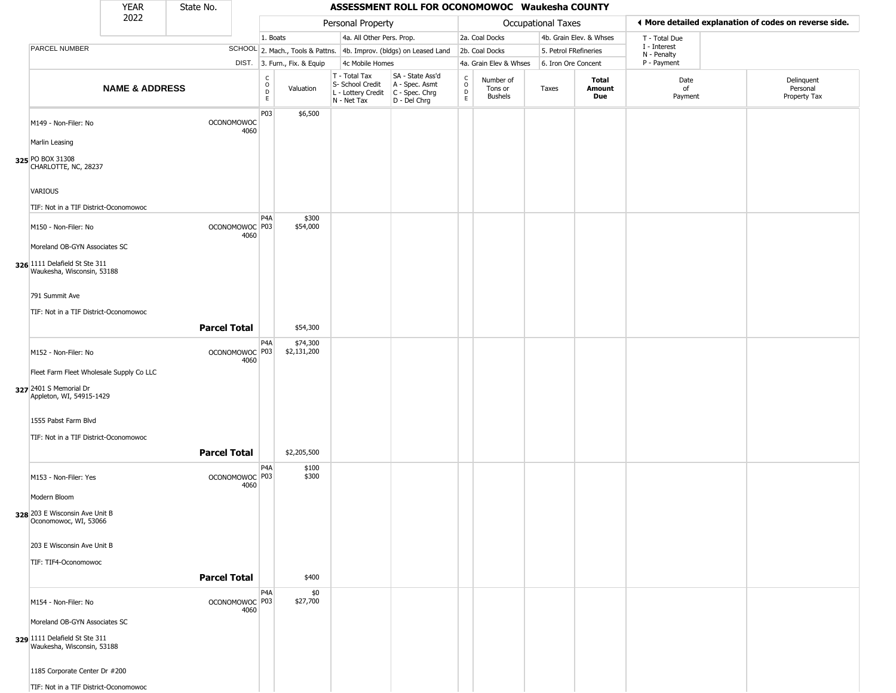|                                                                                              | <b>YEAR</b>               | State No.           |                                   |                                            |                              |                                                                        | ASSESSMENT ROLL FOR OCONOMOWOC Waukesha COUNTY                         |                                      |                                        |                       |                         |                             |                                                       |
|----------------------------------------------------------------------------------------------|---------------------------|---------------------|-----------------------------------|--------------------------------------------|------------------------------|------------------------------------------------------------------------|------------------------------------------------------------------------|--------------------------------------|----------------------------------------|-----------------------|-------------------------|-----------------------------|-------------------------------------------------------|
|                                                                                              | 2022                      |                     |                                   |                                            |                              | Personal Property                                                      |                                                                        |                                      |                                        | Occupational Taxes    |                         |                             | ◀ More detailed explanation of codes on reverse side. |
|                                                                                              |                           |                     |                                   | 1. Boats                                   |                              | 4a. All Other Pers. Prop.                                              |                                                                        |                                      | 2a. Coal Docks                         |                       | 4b. Grain Elev. & Whses | T - Total Due               |                                                       |
| PARCEL NUMBER                                                                                |                           |                     |                                   |                                            |                              |                                                                        | SCHOOL 2. Mach., Tools & Pattns. 4b. Improv. (bldgs) on Leased Land    |                                      | 2b. Coal Docks                         | 5. Petrol FRefineries |                         | I - Interest<br>N - Penalty |                                                       |
|                                                                                              |                           |                     |                                   |                                            | DIST. 3. Furn., Fix. & Equip | 4c Mobile Homes                                                        |                                                                        |                                      | 4a. Grain Elev & Whses                 | 6. Iron Ore Concent   |                         | P - Payment                 |                                                       |
|                                                                                              | <b>NAME &amp; ADDRESS</b> |                     |                                   | $\begin{array}{c} C \\ 0 \\ E \end{array}$ | Valuation                    | T - Total Tax<br>S- School Credit<br>L - Lottery Credit<br>N - Net Tax | SA - State Ass'd<br>A - Spec. Asmt<br>$C - Spec. Chrg$<br>D - Del Chrg | $\int_{0}^{c}$<br>$_{\rm E}^{\rm D}$ | Number of<br>Tons or<br><b>Bushels</b> | Taxes                 | Total<br>Amount<br>Due  | Date<br>οf<br>Payment       | Delinquent<br>Personal<br>Property Tax                |
| M149 - Non-Filer: No                                                                         |                           |                     | <b>OCONOMOWOC</b><br>4060         | P03                                        | \$6,500                      |                                                                        |                                                                        |                                      |                                        |                       |                         |                             |                                                       |
| Marlin Leasing                                                                               |                           |                     |                                   |                                            |                              |                                                                        |                                                                        |                                      |                                        |                       |                         |                             |                                                       |
| 325 PO BOX 31308<br>CHARLOTTE, NC, 28237                                                     |                           |                     |                                   |                                            |                              |                                                                        |                                                                        |                                      |                                        |                       |                         |                             |                                                       |
| <b>VARIOUS</b>                                                                               |                           |                     |                                   |                                            |                              |                                                                        |                                                                        |                                      |                                        |                       |                         |                             |                                                       |
| TIF: Not in a TIF District-Oconomowoc                                                        |                           |                     |                                   | P4A                                        | \$300                        |                                                                        |                                                                        |                                      |                                        |                       |                         |                             |                                                       |
| M150 - Non-Filer: No                                                                         |                           |                     | OCONOMOWOC <sup>P03</sup><br>4060 |                                            | \$54,000                     |                                                                        |                                                                        |                                      |                                        |                       |                         |                             |                                                       |
| Moreland OB-GYN Associates SC<br>326 1111 Delafield St Ste 311<br>Waukesha, Wisconsin, 53188 |                           |                     |                                   |                                            |                              |                                                                        |                                                                        |                                      |                                        |                       |                         |                             |                                                       |
| 791 Summit Ave                                                                               |                           |                     |                                   |                                            |                              |                                                                        |                                                                        |                                      |                                        |                       |                         |                             |                                                       |
| TIF: Not in a TIF District-Oconomowoc                                                        |                           |                     |                                   |                                            |                              |                                                                        |                                                                        |                                      |                                        |                       |                         |                             |                                                       |
|                                                                                              |                           | <b>Parcel Total</b> |                                   |                                            | \$54,300                     |                                                                        |                                                                        |                                      |                                        |                       |                         |                             |                                                       |
| M152 - Non-Filer: No                                                                         |                           |                     | OCONOMOWOC P03                    | P4A                                        | \$74,300<br>\$2,131,200      |                                                                        |                                                                        |                                      |                                        |                       |                         |                             |                                                       |
| Fleet Farm Fleet Wholesale Supply Co LLC                                                     |                           |                     | 4060                              |                                            |                              |                                                                        |                                                                        |                                      |                                        |                       |                         |                             |                                                       |
| 327 2401 S Memorial Dr<br>Appleton, WI, 54915-1429                                           |                           |                     |                                   |                                            |                              |                                                                        |                                                                        |                                      |                                        |                       |                         |                             |                                                       |
| 1555 Pabst Farm Blvd                                                                         |                           |                     |                                   |                                            |                              |                                                                        |                                                                        |                                      |                                        |                       |                         |                             |                                                       |
| TIF: Not in a TIF District-Oconomowoc                                                        |                           | <b>Parcel Total</b> |                                   |                                            | \$2,205,500                  |                                                                        |                                                                        |                                      |                                        |                       |                         |                             |                                                       |
| M153 - Non-Filer: Yes                                                                        |                           |                     | OCONOMOWOC P03<br>4060            | P4A                                        | \$100<br>\$300               |                                                                        |                                                                        |                                      |                                        |                       |                         |                             |                                                       |
| Modern Bloom                                                                                 |                           |                     |                                   |                                            |                              |                                                                        |                                                                        |                                      |                                        |                       |                         |                             |                                                       |
| 328 203 E Wisconsin Ave Unit B<br>Oconomowoc, WI, 53066                                      |                           |                     |                                   |                                            |                              |                                                                        |                                                                        |                                      |                                        |                       |                         |                             |                                                       |
| 203 E Wisconsin Ave Unit B                                                                   |                           |                     |                                   |                                            |                              |                                                                        |                                                                        |                                      |                                        |                       |                         |                             |                                                       |
| TIF: TIF4-Oconomowoc                                                                         |                           | <b>Parcel Total</b> |                                   |                                            | \$400                        |                                                                        |                                                                        |                                      |                                        |                       |                         |                             |                                                       |
| M154 - Non-Filer: No                                                                         |                           |                     | OCONOMOWOC P03<br>4060            | P4A                                        | \$0<br>\$27,700              |                                                                        |                                                                        |                                      |                                        |                       |                         |                             |                                                       |
| Moreland OB-GYN Associates SC                                                                |                           |                     |                                   |                                            |                              |                                                                        |                                                                        |                                      |                                        |                       |                         |                             |                                                       |
| 329 1111 Delafield St Ste 311<br>Waukesha, Wisconsin, 53188                                  |                           |                     |                                   |                                            |                              |                                                                        |                                                                        |                                      |                                        |                       |                         |                             |                                                       |
| 1185 Corporate Center Dr #200                                                                |                           |                     |                                   |                                            |                              |                                                                        |                                                                        |                                      |                                        |                       |                         |                             |                                                       |
| TIF: Not in a TIF District-Oconomowoc                                                        |                           |                     |                                   |                                            |                              |                                                                        |                                                                        |                                      |                                        |                       |                         |                             |                                                       |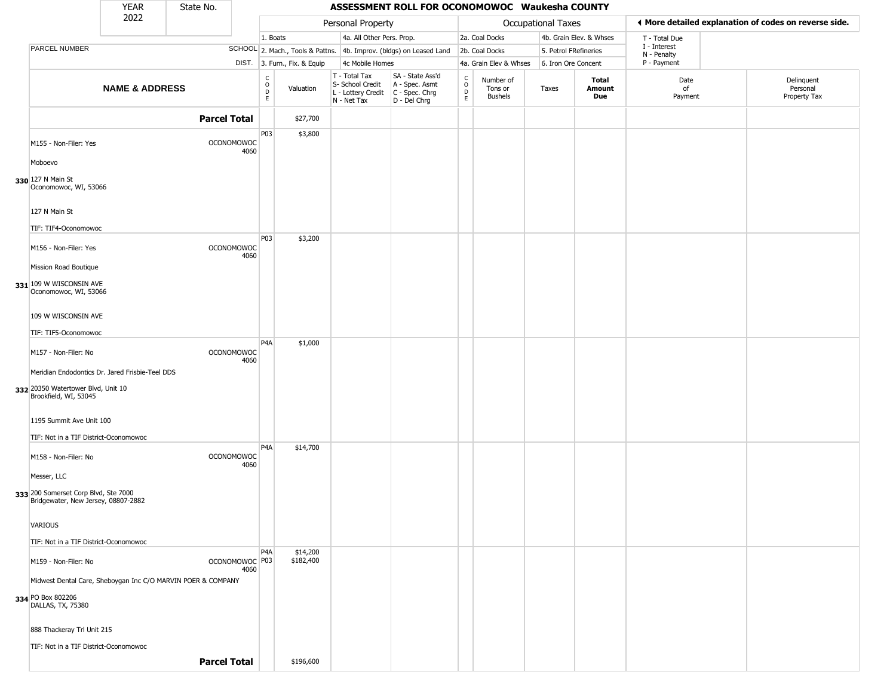|                                                                                                                | <b>YEAR</b>               | State No.                                                    |                  |                              |                                                                                         | ASSESSMENT ROLL FOR OCONOMOWOC Waukesha COUNTY                      |                        |                                 |                       |                         |                             |                                                       |
|----------------------------------------------------------------------------------------------------------------|---------------------------|--------------------------------------------------------------|------------------|------------------------------|-----------------------------------------------------------------------------------------|---------------------------------------------------------------------|------------------------|---------------------------------|-----------------------|-------------------------|-----------------------------|-------------------------------------------------------|
|                                                                                                                | 2022                      |                                                              |                  |                              | Personal Property                                                                       |                                                                     |                        |                                 | Occupational Taxes    |                         |                             | ♦ More detailed explanation of codes on reverse side. |
|                                                                                                                |                           |                                                              |                  | 1. Boats                     | 4a. All Other Pers. Prop.                                                               |                                                                     |                        | 2a. Coal Docks                  |                       | 4b. Grain Elev. & Whses | T - Total Due               |                                                       |
| PARCEL NUMBER                                                                                                  |                           |                                                              |                  |                              |                                                                                         | SCHOOL 2. Mach., Tools & Pattns. 4b. Improv. (bldgs) on Leased Land |                        | 2b. Coal Docks                  | 5. Petrol FRefineries |                         | I - Interest<br>N - Penalty |                                                       |
|                                                                                                                |                           |                                                              |                  | DIST. 3. Furn., Fix. & Equip | 4c Mobile Homes                                                                         |                                                                     |                        | 4a. Grain Elev & Whses          | 6. Iron Ore Concent   |                         | P - Payment                 |                                                       |
|                                                                                                                | <b>NAME &amp; ADDRESS</b> |                                                              | $0$<br>$0$<br>E  | Valuation                    | T - Total Tax<br>S- School Credit<br>L - Lottery Credit   C - Spec. Chrg<br>N - Net Tax | SA - State Ass'd<br>A - Spec. Asmt<br>D - Del Chrg                  | C<br>$\circ$<br>D<br>E | Number of<br>Tons or<br>Bushels | Taxes                 | Total<br>Amount<br>Due  | Date<br>of<br>Payment       | Delinquent<br>Personal<br>Property Tax                |
|                                                                                                                |                           | <b>Parcel Total</b>                                          |                  | \$27,700                     |                                                                                         |                                                                     |                        |                                 |                       |                         |                             |                                                       |
| M155 - Non-Filer: Yes                                                                                          |                           | <b>OCONOMOWOC</b>                                            | P03<br>4060      | \$3,800                      |                                                                                         |                                                                     |                        |                                 |                       |                         |                             |                                                       |
| Moboevo                                                                                                        |                           |                                                              |                  |                              |                                                                                         |                                                                     |                        |                                 |                       |                         |                             |                                                       |
| 330 127 N Main St<br>Oconomowoc, WI, 53066                                                                     |                           |                                                              |                  |                              |                                                                                         |                                                                     |                        |                                 |                       |                         |                             |                                                       |
| 127 N Main St<br>TIF: TIF4-Oconomowoc                                                                          |                           |                                                              |                  |                              |                                                                                         |                                                                     |                        |                                 |                       |                         |                             |                                                       |
| M156 - Non-Filer: Yes                                                                                          |                           | OCONOMOWOC                                                   | P03<br>4060      | \$3,200                      |                                                                                         |                                                                     |                        |                                 |                       |                         |                             |                                                       |
| Mission Road Boutique<br>331 109 W WISCONSIN AVE<br>Oconomowoc, WI, 53066                                      |                           |                                                              |                  |                              |                                                                                         |                                                                     |                        |                                 |                       |                         |                             |                                                       |
| 109 W WISCONSIN AVE                                                                                            |                           |                                                              |                  |                              |                                                                                         |                                                                     |                        |                                 |                       |                         |                             |                                                       |
| TIF: TIF5-Oconomowoc                                                                                           |                           |                                                              | P4A              | \$1,000                      |                                                                                         |                                                                     |                        |                                 |                       |                         |                             |                                                       |
| M157 - Non-Filer: No                                                                                           |                           | <b>OCONOMOWOC</b>                                            | 4060             |                              |                                                                                         |                                                                     |                        |                                 |                       |                         |                             |                                                       |
| Meridian Endodontics Dr. Jared Frisbie-Teel DDS<br>332 20350 Watertower Blvd, Unit 10<br>Brookfield, WI, 53045 |                           |                                                              |                  |                              |                                                                                         |                                                                     |                        |                                 |                       |                         |                             |                                                       |
| 1195 Summit Ave Unit 100                                                                                       |                           |                                                              |                  |                              |                                                                                         |                                                                     |                        |                                 |                       |                         |                             |                                                       |
| TIF: Not in a TIF District-Oconomowoc                                                                          |                           |                                                              | P <sub>4</sub> A | \$14,700                     |                                                                                         |                                                                     |                        |                                 |                       |                         |                             |                                                       |
| M158 - Non-Filer: No<br>Messer, LLC                                                                            |                           | <b>OCONOMOWOC</b>                                            | 4060             |                              |                                                                                         |                                                                     |                        |                                 |                       |                         |                             |                                                       |
| 333 200 Somerset Corp Blvd, Ste 7000<br>Bridgewater, New Jersey, 08807-2882                                    |                           |                                                              |                  |                              |                                                                                         |                                                                     |                        |                                 |                       |                         |                             |                                                       |
| VARIOUS                                                                                                        |                           |                                                              |                  |                              |                                                                                         |                                                                     |                        |                                 |                       |                         |                             |                                                       |
| TIF: Not in a TIF District-Oconomowoc                                                                          |                           |                                                              |                  |                              |                                                                                         |                                                                     |                        |                                 |                       |                         |                             |                                                       |
| M159 - Non-Filer: No                                                                                           |                           | OCONOMOWOC <sup>P03</sup>                                    | P4A<br>4060      | \$14,200<br>\$182,400        |                                                                                         |                                                                     |                        |                                 |                       |                         |                             |                                                       |
|                                                                                                                |                           | Midwest Dental Care, Sheboygan Inc C/O MARVIN POER & COMPANY |                  |                              |                                                                                         |                                                                     |                        |                                 |                       |                         |                             |                                                       |
| 334 PO Box 802206<br>DALLAS, TX, 75380                                                                         |                           |                                                              |                  |                              |                                                                                         |                                                                     |                        |                                 |                       |                         |                             |                                                       |
| 888 Thackeray Trl Unit 215                                                                                     |                           |                                                              |                  |                              |                                                                                         |                                                                     |                        |                                 |                       |                         |                             |                                                       |
| TIF: Not in a TIF District-Oconomowoc                                                                          |                           |                                                              |                  |                              |                                                                                         |                                                                     |                        |                                 |                       |                         |                             |                                                       |
|                                                                                                                |                           | <b>Parcel Total</b>                                          |                  | \$196,600                    |                                                                                         |                                                                     |                        |                                 |                       |                         |                             |                                                       |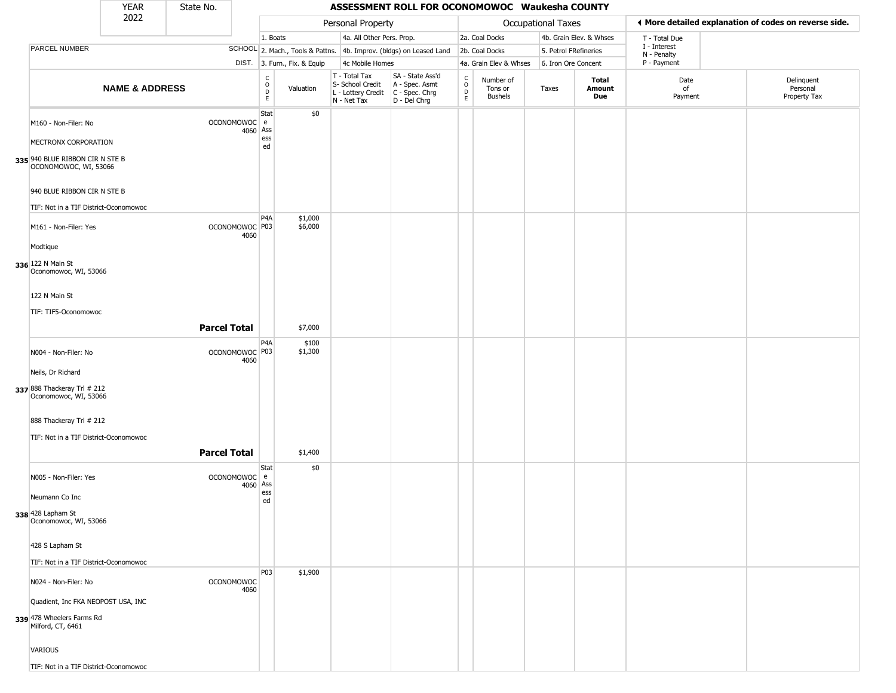|                                                          | <b>YEAR</b>               | State No.           |          |                                                  |                              |                                                                                       | ASSESSMENT ROLL FOR OCONOMOWOC Waukesha COUNTY                      |                                    |                                        |                       |                         |                             |                                                       |
|----------------------------------------------------------|---------------------------|---------------------|----------|--------------------------------------------------|------------------------------|---------------------------------------------------------------------------------------|---------------------------------------------------------------------|------------------------------------|----------------------------------------|-----------------------|-------------------------|-----------------------------|-------------------------------------------------------|
|                                                          | 2022                      |                     |          |                                                  |                              | Personal Property                                                                     |                                                                     |                                    |                                        | Occupational Taxes    |                         |                             | ♦ More detailed explanation of codes on reverse side. |
|                                                          |                           |                     |          | 1. Boats                                         |                              | 4a. All Other Pers. Prop.                                                             |                                                                     |                                    | 2a. Coal Docks                         |                       | 4b. Grain Elev. & Whses | T - Total Due               |                                                       |
| PARCEL NUMBER                                            |                           |                     |          |                                                  |                              |                                                                                       | SCHOOL 2. Mach., Tools & Pattns. 4b. Improv. (bldgs) on Leased Land |                                    | 2b. Coal Docks                         | 5. Petrol FRefineries |                         | I - Interest<br>N - Penalty |                                                       |
|                                                          |                           |                     |          |                                                  | DIST. 3. Furn., Fix. & Equip | 4c Mobile Homes                                                                       |                                                                     |                                    | 4a. Grain Elev & Whses                 | 6. Iron Ore Concent   |                         | P - Payment                 |                                                       |
|                                                          | <b>NAME &amp; ADDRESS</b> |                     |          | $_{\rm o}^{\rm c}$<br>$\mathsf D$<br>$\mathsf E$ | Valuation                    | T - Total Tax<br>S- School Credit<br>L - Lottery Credit C - Spec. Chrg<br>N - Net Tax | SA - State Ass'd<br>A - Spec. Asmt<br>D - Del Chrg                  | C<br>$\circ$<br>$\mathsf{D}$<br>E. | Number of<br>Tons or<br><b>Bushels</b> | Taxes                 | Total<br>Amount<br>Due  | Date<br>of<br>Payment       | Delinquent<br>Personal<br>Property Tax                |
| M160 - Non-Filer: No<br>MECTRONX CORPORATION             |                           | OCONOMOWOC e        | 4060 Ass | Stat<br>ess<br>ed                                | \$0                          |                                                                                       |                                                                     |                                    |                                        |                       |                         |                             |                                                       |
| 335 940 BLUE RIBBON CIR N STE B<br>OCONOMOWOC, WI, 53066 |                           |                     |          |                                                  |                              |                                                                                       |                                                                     |                                    |                                        |                       |                         |                             |                                                       |
| 940 BLUE RIBBON CIR N STE B                              |                           |                     |          |                                                  |                              |                                                                                       |                                                                     |                                    |                                        |                       |                         |                             |                                                       |
| TIF: Not in a TIF District-Oconomowoc                    |                           |                     |          | P4A                                              | \$1,000                      |                                                                                       |                                                                     |                                    |                                        |                       |                         |                             |                                                       |
| M161 - Non-Filer: Yes                                    |                           | OCONOMOWOC P03      | 4060     |                                                  | \$6,000                      |                                                                                       |                                                                     |                                    |                                        |                       |                         |                             |                                                       |
| Modtique                                                 |                           |                     |          |                                                  |                              |                                                                                       |                                                                     |                                    |                                        |                       |                         |                             |                                                       |
| 336 122 N Main St<br>Oconomowoc, WI, 53066               |                           |                     |          |                                                  |                              |                                                                                       |                                                                     |                                    |                                        |                       |                         |                             |                                                       |
| 122 N Main St                                            |                           |                     |          |                                                  |                              |                                                                                       |                                                                     |                                    |                                        |                       |                         |                             |                                                       |
| TIF: TIF5-Oconomowoc                                     |                           |                     |          |                                                  |                              |                                                                                       |                                                                     |                                    |                                        |                       |                         |                             |                                                       |
|                                                          |                           | <b>Parcel Total</b> |          |                                                  | \$7,000                      |                                                                                       |                                                                     |                                    |                                        |                       |                         |                             |                                                       |
| N004 - Non-Filer: No                                     |                           | OCONOMOWOC P03      | 4060     | P <sub>4</sub> A                                 | \$100<br>\$1,300             |                                                                                       |                                                                     |                                    |                                        |                       |                         |                             |                                                       |
| Neils, Dr Richard                                        |                           |                     |          |                                                  |                              |                                                                                       |                                                                     |                                    |                                        |                       |                         |                             |                                                       |
| 337 888 Thackeray Trl # 212<br>Oconomowoc, WI, 53066     |                           |                     |          |                                                  |                              |                                                                                       |                                                                     |                                    |                                        |                       |                         |                             |                                                       |
| 888 Thackeray Trl # 212                                  |                           |                     |          |                                                  |                              |                                                                                       |                                                                     |                                    |                                        |                       |                         |                             |                                                       |
| TIF: Not in a TIF District-Oconomowoc                    |                           |                     |          |                                                  |                              |                                                                                       |                                                                     |                                    |                                        |                       |                         |                             |                                                       |
|                                                          |                           | <b>Parcel Total</b> |          |                                                  | \$1,400                      |                                                                                       |                                                                     |                                    |                                        |                       |                         |                             |                                                       |
| N005 - Non-Filer: Yes                                    |                           | OCONOMOWOC e        | 4060 Ass | <b>Stat</b>                                      | \$0                          |                                                                                       |                                                                     |                                    |                                        |                       |                         |                             |                                                       |
| Neumann Co Inc                                           |                           |                     |          | ess<br>ed                                        |                              |                                                                                       |                                                                     |                                    |                                        |                       |                         |                             |                                                       |
| 338 428 Lapham St<br>Oconomowoc, WI, 53066               |                           |                     |          |                                                  |                              |                                                                                       |                                                                     |                                    |                                        |                       |                         |                             |                                                       |
| 428 S Lapham St                                          |                           |                     |          |                                                  |                              |                                                                                       |                                                                     |                                    |                                        |                       |                         |                             |                                                       |
| TIF: Not in a TIF District-Oconomowoc                    |                           |                     |          |                                                  |                              |                                                                                       |                                                                     |                                    |                                        |                       |                         |                             |                                                       |
| N024 - Non-Filer: No                                     |                           | <b>OCONOMOWOC</b>   | 4060     | P03                                              | \$1,900                      |                                                                                       |                                                                     |                                    |                                        |                       |                         |                             |                                                       |
| Quadient, Inc FKA NEOPOST USA, INC                       |                           |                     |          |                                                  |                              |                                                                                       |                                                                     |                                    |                                        |                       |                         |                             |                                                       |
| 339 478 Wheelers Farms Rd<br>Milford, CT, 6461           |                           |                     |          |                                                  |                              |                                                                                       |                                                                     |                                    |                                        |                       |                         |                             |                                                       |
| <b>VARIOUS</b>                                           |                           |                     |          |                                                  |                              |                                                                                       |                                                                     |                                    |                                        |                       |                         |                             |                                                       |
| TIF: Not in a TIF District-Oconomowoc                    |                           |                     |          |                                                  |                              |                                                                                       |                                                                     |                                    |                                        |                       |                         |                             |                                                       |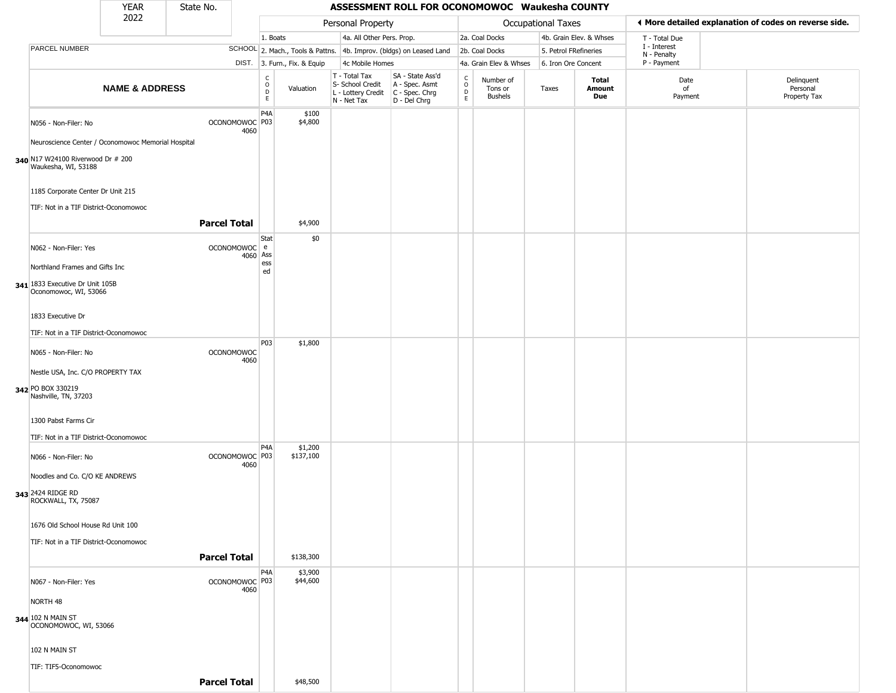|                                                                                                                | <b>YEAR</b>               | State No.           |                           |                        |                              |                                                                                         | ASSESSMENT ROLL FOR OCONOMOWOC Waukesha COUNTY                      |                                            |                                 |                       |                         |                             |                                                       |
|----------------------------------------------------------------------------------------------------------------|---------------------------|---------------------|---------------------------|------------------------|------------------------------|-----------------------------------------------------------------------------------------|---------------------------------------------------------------------|--------------------------------------------|---------------------------------|-----------------------|-------------------------|-----------------------------|-------------------------------------------------------|
|                                                                                                                | 2022                      |                     |                           |                        |                              | Personal Property                                                                       |                                                                     |                                            |                                 | Occupational Taxes    |                         |                             | ◀ More detailed explanation of codes on reverse side. |
|                                                                                                                |                           |                     |                           | 1. Boats               |                              | 4a. All Other Pers. Prop.                                                               |                                                                     |                                            | 2a. Coal Docks                  |                       | 4b. Grain Elev. & Whses | T - Total Due               |                                                       |
| PARCEL NUMBER                                                                                                  |                           |                     |                           |                        |                              |                                                                                         | SCHOOL 2. Mach., Tools & Pattns. 4b. Improv. (bldgs) on Leased Land |                                            | 2b. Coal Docks                  | 5. Petrol FRefineries |                         | I - Interest<br>N - Penalty |                                                       |
|                                                                                                                |                           |                     |                           |                        | DIST. 3. Furn., Fix. & Equip | 4c Mobile Homes                                                                         |                                                                     |                                            | 4a. Grain Elev & Whses          | 6. Iron Ore Concent   |                         | P - Payment                 |                                                       |
|                                                                                                                | <b>NAME &amp; ADDRESS</b> |                     |                           | С<br>$\circ$<br>D<br>E | Valuation                    | T - Total Tax<br>S- School Credit<br>L - Lottery Credit   C - Spec. Chrg<br>N - Net Tax | SA - State Ass'd<br>A - Spec. Asmt<br>D - Del Chrg                  | $\frac{C}{O}$<br>$\mathsf{D}_{\mathsf{E}}$ | Number of<br>Tons or<br>Bushels | Taxes                 | Total<br>Amount<br>Due  | Date<br>of<br>Payment       | Delinquent<br>Personal<br>Property Tax                |
| N056 - Non-Filer: No                                                                                           |                           |                     | OCONOMOWOC P03<br>4060    | P <sub>4</sub> A       | \$100<br>\$4,800             |                                                                                         |                                                                     |                                            |                                 |                       |                         |                             |                                                       |
| Neuroscience Center / Oconomowoc Memorial Hospital<br>340 N17 W24100 Riverwood Dr # 200<br>Waukesha, WI, 53188 |                           |                     |                           |                        |                              |                                                                                         |                                                                     |                                            |                                 |                       |                         |                             |                                                       |
| 1185 Corporate Center Dr Unit 215<br>TIF: Not in a TIF District-Oconomowoc                                     |                           |                     |                           |                        |                              |                                                                                         |                                                                     |                                            |                                 |                       |                         |                             |                                                       |
|                                                                                                                |                           | <b>Parcel Total</b> |                           |                        | \$4,900                      |                                                                                         |                                                                     |                                            |                                 |                       |                         |                             |                                                       |
| N062 - Non-Filer: Yes                                                                                          |                           |                     | OCONOMOWOC e<br>4060      | Stat<br>Ass<br>ess     | \$0                          |                                                                                         |                                                                     |                                            |                                 |                       |                         |                             |                                                       |
| Northland Frames and Gifts Inc<br>341 1833 Executive Dr Unit 105B                                              |                           |                     |                           | ed                     |                              |                                                                                         |                                                                     |                                            |                                 |                       |                         |                             |                                                       |
| Oconomowoc, WI, 53066                                                                                          |                           |                     |                           |                        |                              |                                                                                         |                                                                     |                                            |                                 |                       |                         |                             |                                                       |
| 1833 Executive Dr<br>TIF: Not in a TIF District-Oconomowoc                                                     |                           |                     |                           |                        |                              |                                                                                         |                                                                     |                                            |                                 |                       |                         |                             |                                                       |
| N065 - Non-Filer: No                                                                                           |                           |                     | <b>OCONOMOWOC</b><br>4060 | P03                    | \$1,800                      |                                                                                         |                                                                     |                                            |                                 |                       |                         |                             |                                                       |
| Nestle USA, Inc. C/O PROPERTY TAX<br>342 PO BOX 330219                                                         |                           |                     |                           |                        |                              |                                                                                         |                                                                     |                                            |                                 |                       |                         |                             |                                                       |
| Nashville, TN, 37203                                                                                           |                           |                     |                           |                        |                              |                                                                                         |                                                                     |                                            |                                 |                       |                         |                             |                                                       |
| 1300 Pabst Farms Cir<br>TIF: Not in a TIF District-Oconomowoc                                                  |                           |                     |                           |                        |                              |                                                                                         |                                                                     |                                            |                                 |                       |                         |                             |                                                       |
| N066 - Non-Filer: No                                                                                           |                           |                     | OCONOMOWOC P03<br>4060    | P <sub>4</sub> A       | \$1,200<br>\$137,100         |                                                                                         |                                                                     |                                            |                                 |                       |                         |                             |                                                       |
| Noodles and Co. C/O KE ANDREWS                                                                                 |                           |                     |                           |                        |                              |                                                                                         |                                                                     |                                            |                                 |                       |                         |                             |                                                       |
| 343 2424 RIDGE RD<br>ROCKWALL, TX, 75087                                                                       |                           |                     |                           |                        |                              |                                                                                         |                                                                     |                                            |                                 |                       |                         |                             |                                                       |
| 1676 Old School House Rd Unit 100<br>TIF: Not in a TIF District-Oconomowoc                                     |                           |                     |                           |                        |                              |                                                                                         |                                                                     |                                            |                                 |                       |                         |                             |                                                       |
|                                                                                                                |                           | <b>Parcel Total</b> |                           |                        | \$138,300                    |                                                                                         |                                                                     |                                            |                                 |                       |                         |                             |                                                       |
| N067 - Non-Filer: Yes                                                                                          |                           |                     | OCONOMOWOC P03<br>4060    | P <sub>4</sub> A       | \$3,900<br>\$44,600          |                                                                                         |                                                                     |                                            |                                 |                       |                         |                             |                                                       |
| NORTH 48                                                                                                       |                           |                     |                           |                        |                              |                                                                                         |                                                                     |                                            |                                 |                       |                         |                             |                                                       |
| 344 102 N MAIN ST<br>OCONOMOWOC, WI, 53066                                                                     |                           |                     |                           |                        |                              |                                                                                         |                                                                     |                                            |                                 |                       |                         |                             |                                                       |
| 102 N MAIN ST                                                                                                  |                           |                     |                           |                        |                              |                                                                                         |                                                                     |                                            |                                 |                       |                         |                             |                                                       |
| TIF: TIF5-Oconomowoc                                                                                           |                           | <b>Parcel Total</b> |                           |                        | \$48,500                     |                                                                                         |                                                                     |                                            |                                 |                       |                         |                             |                                                       |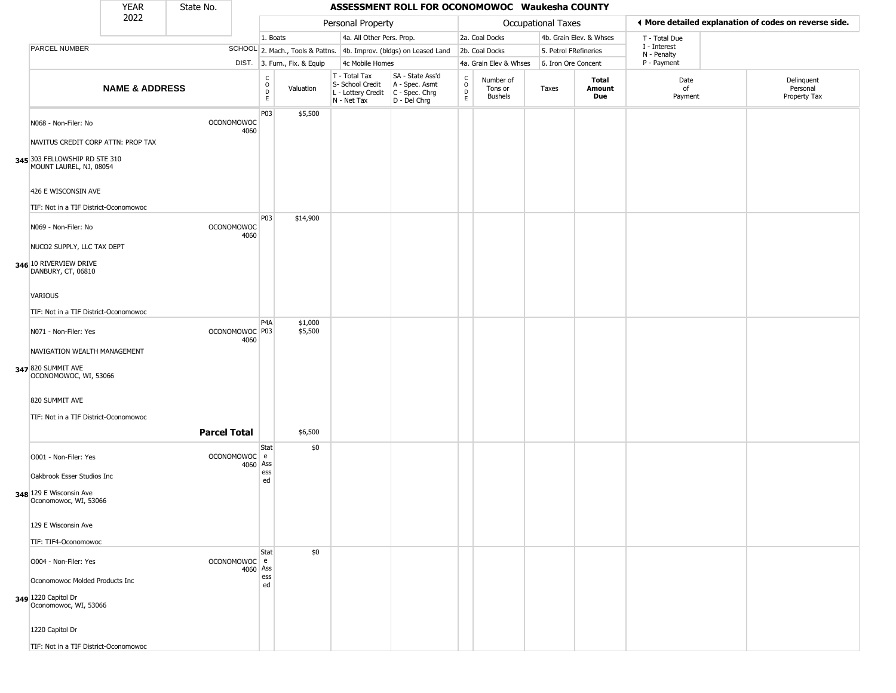|                                                                                                         | <b>YEAR</b>               | State No. |                                   |                                                   |                              |                                                                        | ASSESSMENT ROLL FOR OCONOMOWOC Waukesha COUNTY                       |                        |                                        |                           |                         |                             |                                                       |
|---------------------------------------------------------------------------------------------------------|---------------------------|-----------|-----------------------------------|---------------------------------------------------|------------------------------|------------------------------------------------------------------------|----------------------------------------------------------------------|------------------------|----------------------------------------|---------------------------|-------------------------|-----------------------------|-------------------------------------------------------|
|                                                                                                         | 2022                      |           |                                   |                                                   |                              | Personal Property                                                      |                                                                      |                        |                                        | <b>Occupational Taxes</b> |                         |                             | ◀ More detailed explanation of codes on reverse side. |
|                                                                                                         |                           |           |                                   | 1. Boats                                          |                              | 4a. All Other Pers. Prop.                                              |                                                                      |                        | 2a. Coal Docks                         |                           | 4b. Grain Elev. & Whses | T - Total Due               |                                                       |
| PARCEL NUMBER                                                                                           |                           |           |                                   |                                                   |                              |                                                                        | SCHOOL 2. Mach., Tools & Pattns. 4b. Improv. (bldgs) on Leased Land  |                        | 2b. Coal Docks                         | 5. Petrol FRefineries     |                         | I - Interest<br>N - Penalty |                                                       |
|                                                                                                         |                           |           |                                   |                                                   | DIST. 3. Furn., Fix. & Equip | 4c Mobile Homes                                                        |                                                                      |                        | 4a. Grain Elev & Whses                 | 6. Iron Ore Concent       |                         | P - Payment                 |                                                       |
|                                                                                                         | <b>NAME &amp; ADDRESS</b> |           |                                   | $_{\rm o}^{\rm c}$<br>$\mathsf{D}$<br>$\mathsf E$ | Valuation                    | T - Total Tax<br>S- School Credit<br>L - Lottery Credit<br>N - Net Tax | SA - State Ass'd<br>A - Spec. Asmt<br>C - Spec. Chrg<br>D - Del Chrg | C<br>$\circ$<br>D<br>E | Number of<br>Tons or<br><b>Bushels</b> | Taxes                     | Total<br>Amount<br>Due  | Date<br>of<br>Payment       | Delinquent<br>Personal<br>Property Tax                |
| N068 - Non-Filer: No<br>NAVITUS CREDIT CORP ATTN: PROP TAX                                              |                           |           | <b>OCONOMOWOC</b><br>4060         | P03                                               | \$5,500                      |                                                                        |                                                                      |                        |                                        |                           |                         |                             |                                                       |
| 345 303 FELLOWSHIP RD STE 310<br>MOUNT LAUREL, NJ, 08054                                                |                           |           |                                   |                                                   |                              |                                                                        |                                                                      |                        |                                        |                           |                         |                             |                                                       |
| 426 E WISCONSIN AVE<br>TIF: Not in a TIF District-Oconomowoc                                            |                           |           |                                   |                                                   |                              |                                                                        |                                                                      |                        |                                        |                           |                         |                             |                                                       |
| N069 - Non-Filer: No<br>NUCO2 SUPPLY, LLC TAX DEPT                                                      |                           |           | OCONOMOWOC<br>4060                | P03                                               | \$14,900                     |                                                                        |                                                                      |                        |                                        |                           |                         |                             |                                                       |
| 346 10 RIVERVIEW DRIVE<br>DANBURY, CT, 06810<br>VARIOUS                                                 |                           |           |                                   |                                                   |                              |                                                                        |                                                                      |                        |                                        |                           |                         |                             |                                                       |
|                                                                                                         |                           |           |                                   |                                                   |                              |                                                                        |                                                                      |                        |                                        |                           |                         |                             |                                                       |
| TIF: Not in a TIF District-Oconomowoc                                                                   |                           |           |                                   | P <sub>4</sub> A                                  | \$1,000                      |                                                                        |                                                                      |                        |                                        |                           |                         |                             |                                                       |
| N071 - Non-Filer: Yes<br>NAVIGATION WEALTH MANAGEMENT<br>347 820 SUMMIT AVE<br>OCONOMOWOC, WI, 53066    |                           |           | OCONOMOWOC <sup>P03</sup><br>4060 |                                                   | \$5,500                      |                                                                        |                                                                      |                        |                                        |                           |                         |                             |                                                       |
| 820 SUMMIT AVE<br>TIF: Not in a TIF District-Oconomowoc                                                 |                           |           |                                   |                                                   |                              |                                                                        |                                                                      |                        |                                        |                           |                         |                             |                                                       |
|                                                                                                         |                           |           | <b>Parcel Total</b>               |                                                   | \$6,500                      |                                                                        |                                                                      |                        |                                        |                           |                         |                             |                                                       |
| O001 - Non-Filer: Yes<br>Oakbrook Esser Studios Inc<br>348 129 E Wisconsin Ave<br>Oconomowoc, WI, 53066 |                           |           | OCONOMOWOC e<br>4060 Ass          | Stat<br>ess<br>ed                                 | \$0                          |                                                                        |                                                                      |                        |                                        |                           |                         |                             |                                                       |
| 129 E Wisconsin Ave<br>TIF: TIF4-Oconomowoc                                                             |                           |           |                                   |                                                   |                              |                                                                        |                                                                      |                        |                                        |                           |                         |                             |                                                       |
| O004 - Non-Filer: Yes<br>Oconomowoc Molded Products Inc<br>349 1220 Capitol Dr<br>Oconomowoc, WI, 53066 |                           |           | OCONOMOWOC e<br>4060 Ass          | Stat<br>ess<br>ed                                 | \$0                          |                                                                        |                                                                      |                        |                                        |                           |                         |                             |                                                       |
| 1220 Capitol Dr<br>TIF: Not in a TIF District-Oconomowoc                                                |                           |           |                                   |                                                   |                              |                                                                        |                                                                      |                        |                                        |                           |                         |                             |                                                       |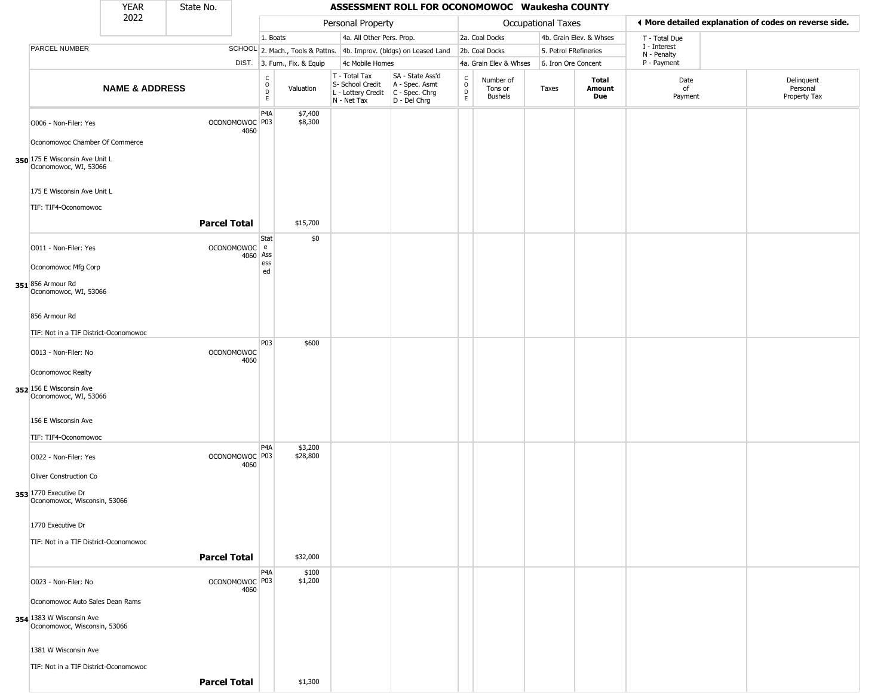|                                                           | <b>YEAR</b>               | State No.           |                           |                                                   |                              |                                                                                         | ASSESSMENT ROLL FOR OCONOMOWOC Waukesha COUNTY                      |                                                                    |                                        |                       |                         |                             |                                                       |
|-----------------------------------------------------------|---------------------------|---------------------|---------------------------|---------------------------------------------------|------------------------------|-----------------------------------------------------------------------------------------|---------------------------------------------------------------------|--------------------------------------------------------------------|----------------------------------------|-----------------------|-------------------------|-----------------------------|-------------------------------------------------------|
|                                                           | 2022                      |                     |                           |                                                   |                              | Personal Property                                                                       |                                                                     |                                                                    |                                        | Occupational Taxes    |                         |                             | ♦ More detailed explanation of codes on reverse side. |
|                                                           |                           |                     |                           | 1. Boats                                          |                              | 4a. All Other Pers. Prop.                                                               |                                                                     |                                                                    | 2a. Coal Docks                         |                       | 4b. Grain Elev. & Whses | T - Total Due               |                                                       |
| PARCEL NUMBER                                             |                           |                     |                           |                                                   |                              |                                                                                         | SCHOOL 2. Mach., Tools & Pattns. 4b. Improv. (bldgs) on Leased Land |                                                                    | 2b. Coal Docks                         | 5. Petrol FRefineries |                         | I - Interest<br>N - Penalty |                                                       |
|                                                           |                           |                     |                           |                                                   | DIST. 3. Furn., Fix. & Equip | 4c Mobile Homes                                                                         |                                                                     |                                                                    | 4a. Grain Elev & Whses                 | 6. Iron Ore Concent   |                         | P - Payment                 |                                                       |
|                                                           | <b>NAME &amp; ADDRESS</b> |                     |                           | C<br>$\begin{array}{c}\n0 \\ 0 \\ E\n\end{array}$ | Valuation                    | T - Total Tax<br>S- School Credit<br>L - Lottery Credit   C - Spec. Chrg<br>N - Net Tax | SA - State Ass'd<br>A - Spec. Asmt<br>D - Del Chrg                  | $\begin{smallmatrix} C \\ O \\ D \end{smallmatrix}$<br>$\mathsf E$ | Number of<br>Tons or<br><b>Bushels</b> | Taxes                 | Total<br>Amount<br>Due  | Date<br>of<br>Payment       | Delinquent<br>Personal<br>Property Tax                |
| O006 - Non-Filer: Yes                                     |                           |                     | OCONOMOWOC P03<br>4060    | P4A                                               | \$7,400<br>\$8,300           |                                                                                         |                                                                     |                                                                    |                                        |                       |                         |                             |                                                       |
| Oconomowoc Chamber Of Commerce                            |                           |                     |                           |                                                   |                              |                                                                                         |                                                                     |                                                                    |                                        |                       |                         |                             |                                                       |
| 350 $175$ E Wisconsin Ave Unit L<br>Oconomowoc, WI, 53066 |                           |                     |                           |                                                   |                              |                                                                                         |                                                                     |                                                                    |                                        |                       |                         |                             |                                                       |
| 175 E Wisconsin Ave Unit L<br>TIF: TIF4-Oconomowoc        |                           |                     |                           |                                                   |                              |                                                                                         |                                                                     |                                                                    |                                        |                       |                         |                             |                                                       |
|                                                           |                           | <b>Parcel Total</b> |                           |                                                   | \$15,700                     |                                                                                         |                                                                     |                                                                    |                                        |                       |                         |                             |                                                       |
| O011 - Non-Filer: Yes                                     |                           |                     | OCONOMOWOC e<br>4060 Ass  | Stat                                              | \$0                          |                                                                                         |                                                                     |                                                                    |                                        |                       |                         |                             |                                                       |
| Oconomowoc Mfg Corp                                       |                           |                     |                           | ess<br>ed                                         |                              |                                                                                         |                                                                     |                                                                    |                                        |                       |                         |                             |                                                       |
| 351 856 Armour Rd<br>Oconomowoc, WI, 53066                |                           |                     |                           |                                                   |                              |                                                                                         |                                                                     |                                                                    |                                        |                       |                         |                             |                                                       |
| 856 Armour Rd                                             |                           |                     |                           |                                                   |                              |                                                                                         |                                                                     |                                                                    |                                        |                       |                         |                             |                                                       |
| TIF: Not in a TIF District-Oconomowoc                     |                           |                     |                           |                                                   |                              |                                                                                         |                                                                     |                                                                    |                                        |                       |                         |                             |                                                       |
| O013 - Non-Filer: No                                      |                           |                     | <b>OCONOMOWOC</b>         | P03                                               | \$600                        |                                                                                         |                                                                     |                                                                    |                                        |                       |                         |                             |                                                       |
|                                                           |                           |                     | 4060                      |                                                   |                              |                                                                                         |                                                                     |                                                                    |                                        |                       |                         |                             |                                                       |
| Oconomowoc Realty                                         |                           |                     |                           |                                                   |                              |                                                                                         |                                                                     |                                                                    |                                        |                       |                         |                             |                                                       |
| 352 156 E Wisconsin Ave<br>Oconomowoc, WI, 53066          |                           |                     |                           |                                                   |                              |                                                                                         |                                                                     |                                                                    |                                        |                       |                         |                             |                                                       |
| 156 E Wisconsin Ave                                       |                           |                     |                           |                                                   |                              |                                                                                         |                                                                     |                                                                    |                                        |                       |                         |                             |                                                       |
| TIF: TIF4-Oconomowoc                                      |                           |                     |                           |                                                   |                              |                                                                                         |                                                                     |                                                                    |                                        |                       |                         |                             |                                                       |
| O022 - Non-Filer: Yes                                     |                           |                     | OCONOMOWOC <sup>P03</sup> | P <sub>4</sub> A                                  | \$3,200<br>\$28,800          |                                                                                         |                                                                     |                                                                    |                                        |                       |                         |                             |                                                       |
|                                                           |                           |                     | 4060                      |                                                   |                              |                                                                                         |                                                                     |                                                                    |                                        |                       |                         |                             |                                                       |
| Oliver Construction Co                                    |                           |                     |                           |                                                   |                              |                                                                                         |                                                                     |                                                                    |                                        |                       |                         |                             |                                                       |
| 353 1770 Executive Dr<br>Oconomowoc, Wisconsin, 53066     |                           |                     |                           |                                                   |                              |                                                                                         |                                                                     |                                                                    |                                        |                       |                         |                             |                                                       |
| 1770 Executive Dr                                         |                           |                     |                           |                                                   |                              |                                                                                         |                                                                     |                                                                    |                                        |                       |                         |                             |                                                       |
| TIF: Not in a TIF District-Oconomowoc                     |                           |                     |                           |                                                   |                              |                                                                                         |                                                                     |                                                                    |                                        |                       |                         |                             |                                                       |
|                                                           |                           | <b>Parcel Total</b> |                           |                                                   | \$32,000                     |                                                                                         |                                                                     |                                                                    |                                        |                       |                         |                             |                                                       |
| O023 - Non-Filer: No                                      |                           |                     | OCONOMOWOC P03<br>4060    | P <sub>4</sub> A                                  | \$100<br>\$1,200             |                                                                                         |                                                                     |                                                                    |                                        |                       |                         |                             |                                                       |
| Oconomowoc Auto Sales Dean Rams                           |                           |                     |                           |                                                   |                              |                                                                                         |                                                                     |                                                                    |                                        |                       |                         |                             |                                                       |
| 354 1383 W Wisconsin Ave<br>Oconomowoc, Wisconsin, 53066  |                           |                     |                           |                                                   |                              |                                                                                         |                                                                     |                                                                    |                                        |                       |                         |                             |                                                       |
| 1381 W Wisconsin Ave                                      |                           |                     |                           |                                                   |                              |                                                                                         |                                                                     |                                                                    |                                        |                       |                         |                             |                                                       |
| TIF: Not in a TIF District-Oconomowoc                     |                           |                     |                           |                                                   |                              |                                                                                         |                                                                     |                                                                    |                                        |                       |                         |                             |                                                       |
|                                                           |                           | <b>Parcel Total</b> |                           |                                                   | \$1,300                      |                                                                                         |                                                                     |                                                                    |                                        |                       |                         |                             |                                                       |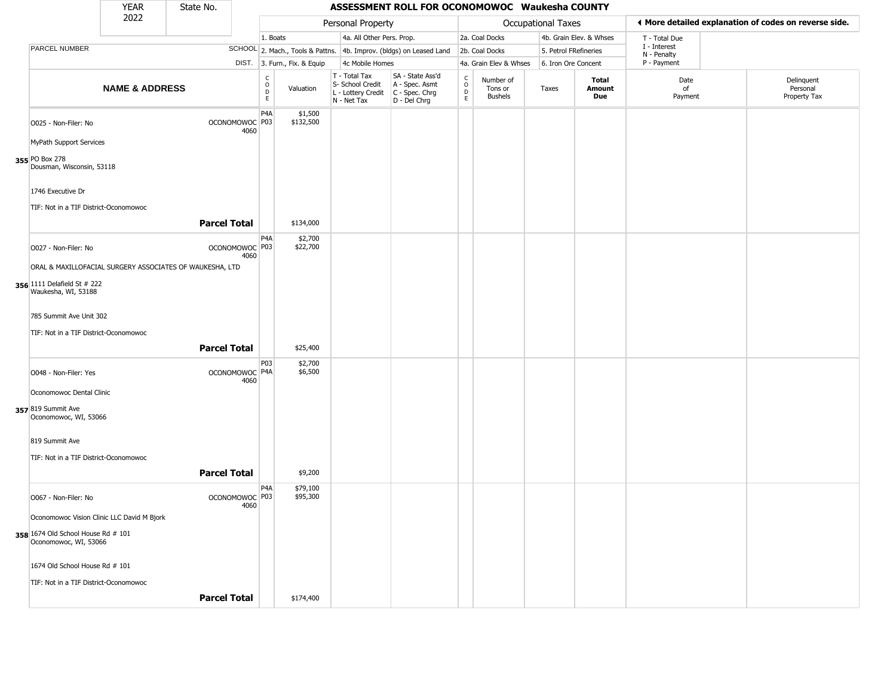|                                                             | <b>YEAR</b>               | State No.           |                                   |                                                                        |                                                                        | ASSESSMENT ROLL FOR OCONOMOWOC Waukesha COUNTY                       |                                                   |                                        |                       |                         |                             |                                                       |
|-------------------------------------------------------------|---------------------------|---------------------|-----------------------------------|------------------------------------------------------------------------|------------------------------------------------------------------------|----------------------------------------------------------------------|---------------------------------------------------|----------------------------------------|-----------------------|-------------------------|-----------------------------|-------------------------------------------------------|
|                                                             | 2022                      |                     |                                   |                                                                        | Personal Property                                                      |                                                                      |                                                   |                                        | Occupational Taxes    |                         |                             | ◀ More detailed explanation of codes on reverse side. |
|                                                             |                           |                     |                                   | 1. Boats                                                               | 4a. All Other Pers. Prop.                                              |                                                                      |                                                   | 2a. Coal Docks                         |                       | 4b. Grain Elev. & Whses | T - Total Due               |                                                       |
| PARCEL NUMBER                                               |                           |                     |                                   |                                                                        |                                                                        | SCHOOL 2. Mach., Tools & Pattns. 4b. Improv. (bldgs) on Leased Land  |                                                   | 2b. Coal Docks                         | 5. Petrol FRefineries |                         | I - Interest<br>N - Penalty |                                                       |
|                                                             |                           |                     |                                   | DIST. 3. Furn., Fix. & Equip                                           | 4c Mobile Homes                                                        |                                                                      |                                                   | 4a. Grain Elev & Whses                 | 6. Iron Ore Concent   |                         | P - Payment                 |                                                       |
|                                                             | <b>NAME &amp; ADDRESS</b> |                     |                                   | $\begin{smallmatrix} C \\ O \\ D \end{smallmatrix}$<br>Valuation<br>E. | T - Total Tax<br>S- School Credit<br>L - Lottery Credit<br>N - Net Tax | SA - State Ass'd<br>A - Spec. Asmt<br>C - Spec. Chrg<br>D - Del Chrg | $\begin{array}{c}\nC \\ O \\ D \\ E\n\end{array}$ | Number of<br>Tons or<br><b>Bushels</b> | Taxes                 | Total<br>Amount<br>Due  | Date<br>of<br>Payment       | Delinquent<br>Personal<br>Property Tax                |
| O025 - Non-Filer: No                                        |                           |                     | OCONOMOWOC P03<br>4060            | P <sub>4</sub> A<br>\$1,500<br>\$132,500                               |                                                                        |                                                                      |                                                   |                                        |                       |                         |                             |                                                       |
| MyPath Support Services                                     |                           |                     |                                   |                                                                        |                                                                        |                                                                      |                                                   |                                        |                       |                         |                             |                                                       |
| 355 PO Box 278<br>Dousman, Wisconsin, 53118                 |                           |                     |                                   |                                                                        |                                                                        |                                                                      |                                                   |                                        |                       |                         |                             |                                                       |
| 1746 Executive Dr                                           |                           |                     |                                   |                                                                        |                                                                        |                                                                      |                                                   |                                        |                       |                         |                             |                                                       |
| TIF: Not in a TIF District-Oconomowoc                       |                           |                     |                                   |                                                                        |                                                                        |                                                                      |                                                   |                                        |                       |                         |                             |                                                       |
|                                                             |                           | <b>Parcel Total</b> |                                   | \$134,000                                                              |                                                                        |                                                                      |                                                   |                                        |                       |                         |                             |                                                       |
| O027 - Non-Filer: No                                        |                           |                     | OCONOMOWOC P03<br>4060            | P4A<br>\$2,700<br>\$22,700                                             |                                                                        |                                                                      |                                                   |                                        |                       |                         |                             |                                                       |
| ORAL & MAXILLOFACIAL SURGERY ASSOCIATES OF WAUKESHA, LTD    |                           |                     |                                   |                                                                        |                                                                        |                                                                      |                                                   |                                        |                       |                         |                             |                                                       |
| 356 1111 Delafield St # 222<br>Waukesha, WI, 53188          |                           |                     |                                   |                                                                        |                                                                        |                                                                      |                                                   |                                        |                       |                         |                             |                                                       |
| 785 Summit Ave Unit 302                                     |                           |                     |                                   |                                                                        |                                                                        |                                                                      |                                                   |                                        |                       |                         |                             |                                                       |
| TIF: Not in a TIF District-Oconomowoc                       |                           |                     |                                   |                                                                        |                                                                        |                                                                      |                                                   |                                        |                       |                         |                             |                                                       |
|                                                             |                           | <b>Parcel Total</b> |                                   | \$25,400                                                               |                                                                        |                                                                      |                                                   |                                        |                       |                         |                             |                                                       |
| O048 - Non-Filer: Yes                                       |                           |                     | OCONOMOWOC P4A<br>4060            | P <sub>0</sub> 3<br>\$2,700<br>\$6,500                                 |                                                                        |                                                                      |                                                   |                                        |                       |                         |                             |                                                       |
| Oconomowoc Dental Clinic                                    |                           |                     |                                   |                                                                        |                                                                        |                                                                      |                                                   |                                        |                       |                         |                             |                                                       |
| 357 819 Summit Ave<br>Oconomowoc, WI, 53066                 |                           |                     |                                   |                                                                        |                                                                        |                                                                      |                                                   |                                        |                       |                         |                             |                                                       |
| 819 Summit Ave                                              |                           |                     |                                   |                                                                        |                                                                        |                                                                      |                                                   |                                        |                       |                         |                             |                                                       |
| TIF: Not in a TIF District-Oconomowoc                       |                           |                     |                                   |                                                                        |                                                                        |                                                                      |                                                   |                                        |                       |                         |                             |                                                       |
|                                                             |                           | <b>Parcel Total</b> |                                   | \$9,200                                                                |                                                                        |                                                                      |                                                   |                                        |                       |                         |                             |                                                       |
| O067 - Non-Filer: No                                        |                           |                     | OCONOMOWOC <sup>P03</sup><br>4060 | P4A<br>\$79,100<br>\$95,300                                            |                                                                        |                                                                      |                                                   |                                        |                       |                         |                             |                                                       |
| Oconomowoc Vision Clinic LLC David M Bjork                  |                           |                     |                                   |                                                                        |                                                                        |                                                                      |                                                   |                                        |                       |                         |                             |                                                       |
| 358 1674 Old School House Rd # 101<br>Oconomowoc, WI, 53066 |                           |                     |                                   |                                                                        |                                                                        |                                                                      |                                                   |                                        |                       |                         |                             |                                                       |
| 1674 Old School House Rd # 101                              |                           |                     |                                   |                                                                        |                                                                        |                                                                      |                                                   |                                        |                       |                         |                             |                                                       |
| TIF: Not in a TIF District-Oconomowoc                       |                           |                     |                                   |                                                                        |                                                                        |                                                                      |                                                   |                                        |                       |                         |                             |                                                       |
|                                                             |                           | <b>Parcel Total</b> |                                   | \$174,400                                                              |                                                                        |                                                                      |                                                   |                                        |                       |                         |                             |                                                       |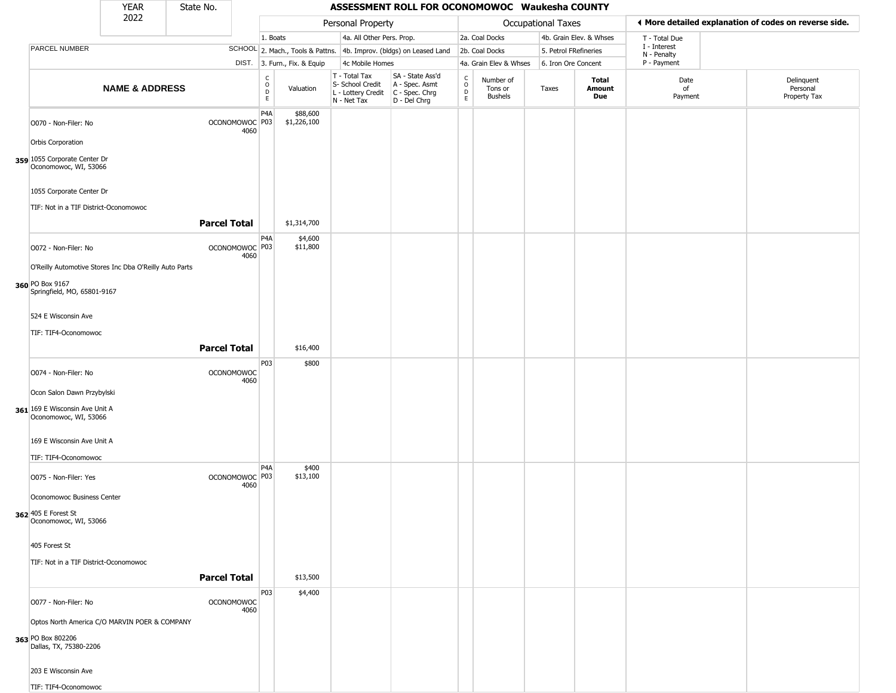|                                                         | <b>YEAR</b>                                            | State No.           |                           |                                        |                              |                                                                        | ASSESSMENT ROLL FOR OCONOMOWOC Waukesha COUNTY                         |                                                 |                                        |                           |                         |                             |                                                       |
|---------------------------------------------------------|--------------------------------------------------------|---------------------|---------------------------|----------------------------------------|------------------------------|------------------------------------------------------------------------|------------------------------------------------------------------------|-------------------------------------------------|----------------------------------------|---------------------------|-------------------------|-----------------------------|-------------------------------------------------------|
|                                                         | 2022                                                   |                     |                           |                                        |                              | Personal Property                                                      |                                                                        |                                                 |                                        | <b>Occupational Taxes</b> |                         |                             | ◀ More detailed explanation of codes on reverse side. |
|                                                         |                                                        |                     |                           | 1. Boats                               |                              | 4a. All Other Pers. Prop.                                              |                                                                        |                                                 | 2a. Coal Docks                         |                           | 4b. Grain Elev. & Whses | T - Total Due               |                                                       |
| PARCEL NUMBER                                           |                                                        |                     |                           |                                        |                              |                                                                        | SCHOOL 2. Mach., Tools & Pattns. 4b. Improv. (bldgs) on Leased Land    |                                                 | 2b. Coal Docks                         | 5. Petrol FRefineries     |                         | I - Interest<br>N - Penalty |                                                       |
|                                                         |                                                        |                     |                           |                                        | DIST. 3. Furn., Fix. & Equip | 4c Mobile Homes                                                        |                                                                        |                                                 | 4a. Grain Elev & Whses                 | 6. Iron Ore Concent       |                         | P - Payment                 |                                                       |
|                                                         | <b>NAME &amp; ADDRESS</b>                              |                     |                           | $_{\rm o}^{\rm c}$<br>D<br>$\mathsf E$ | Valuation                    | T - Total Tax<br>S- School Credit<br>L - Lottery Credit<br>N - Net Tax | SA - State Ass'd<br>A - Spec. Asmt<br>$C - Spec. Chrg$<br>D - Del Chrg | $\begin{array}{c} C \\ O \\ D \\ E \end{array}$ | Number of<br>Tons or<br><b>Bushels</b> | Taxes                     | Total<br>Amount<br>Due  | Date<br>of<br>Payment       | Delinquent<br>Personal<br>Property Tax                |
| O070 - Non-Filer: No<br>Orbis Corporation               |                                                        |                     | OCONOMOWOC P03<br>4060    | P <sub>4</sub> A                       | \$88,600<br>\$1,226,100      |                                                                        |                                                                        |                                                 |                                        |                           |                         |                             |                                                       |
| 359 1055 Corporate Center Dr<br>Oconomowoc, WI, 53066   |                                                        |                     |                           |                                        |                              |                                                                        |                                                                        |                                                 |                                        |                           |                         |                             |                                                       |
| 1055 Corporate Center Dr                                |                                                        |                     |                           |                                        |                              |                                                                        |                                                                        |                                                 |                                        |                           |                         |                             |                                                       |
| TIF: Not in a TIF District-Oconomowoc                   |                                                        |                     |                           |                                        |                              |                                                                        |                                                                        |                                                 |                                        |                           |                         |                             |                                                       |
|                                                         |                                                        | <b>Parcel Total</b> |                           |                                        | \$1,314,700                  |                                                                        |                                                                        |                                                 |                                        |                           |                         |                             |                                                       |
| O072 - Non-Filer: No                                    |                                                        |                     | OCONOMOWOC P03<br>4060    | P <sub>4</sub> A                       | \$4,600<br>\$11,800          |                                                                        |                                                                        |                                                 |                                        |                           |                         |                             |                                                       |
|                                                         | O'Reilly Automotive Stores Inc Dba O'Reilly Auto Parts |                     |                           |                                        |                              |                                                                        |                                                                        |                                                 |                                        |                           |                         |                             |                                                       |
| 360 PO Box 9167<br>Springfield, MO, 65801-9167          |                                                        |                     |                           |                                        |                              |                                                                        |                                                                        |                                                 |                                        |                           |                         |                             |                                                       |
| 524 E Wisconsin Ave                                     |                                                        |                     |                           |                                        |                              |                                                                        |                                                                        |                                                 |                                        |                           |                         |                             |                                                       |
| TIF: TIF4-Oconomowoc                                    |                                                        |                     |                           |                                        |                              |                                                                        |                                                                        |                                                 |                                        |                           |                         |                             |                                                       |
|                                                         |                                                        | <b>Parcel Total</b> |                           |                                        | \$16,400                     |                                                                        |                                                                        |                                                 |                                        |                           |                         |                             |                                                       |
| O074 - Non-Filer: No                                    |                                                        |                     | <b>OCONOMOWOC</b><br>4060 | P03                                    | \$800                        |                                                                        |                                                                        |                                                 |                                        |                           |                         |                             |                                                       |
| Ocon Salon Dawn Przybylski                              |                                                        |                     |                           |                                        |                              |                                                                        |                                                                        |                                                 |                                        |                           |                         |                             |                                                       |
| 361 169 E Wisconsin Ave Unit A<br>Oconomowoc, WI, 53066 |                                                        |                     |                           |                                        |                              |                                                                        |                                                                        |                                                 |                                        |                           |                         |                             |                                                       |
| 169 E Wisconsin Ave Unit A                              |                                                        |                     |                           |                                        |                              |                                                                        |                                                                        |                                                 |                                        |                           |                         |                             |                                                       |
| TIF: TIF4-Oconomowoc                                    |                                                        |                     |                           |                                        |                              |                                                                        |                                                                        |                                                 |                                        |                           |                         |                             |                                                       |
| O075 - Non-Filer: Yes                                   |                                                        |                     | OCONOMOWOC P03<br>4060    | P <sub>4</sub> A                       | \$400<br>\$13,100            |                                                                        |                                                                        |                                                 |                                        |                           |                         |                             |                                                       |
| Oconomowoc Business Center                              |                                                        |                     |                           |                                        |                              |                                                                        |                                                                        |                                                 |                                        |                           |                         |                             |                                                       |
| 362 405 E Forest St<br>Oconomowoc, WI, 53066            |                                                        |                     |                           |                                        |                              |                                                                        |                                                                        |                                                 |                                        |                           |                         |                             |                                                       |
| 405 Forest St                                           |                                                        |                     |                           |                                        |                              |                                                                        |                                                                        |                                                 |                                        |                           |                         |                             |                                                       |
| TIF: Not in a TIF District-Oconomowoc                   |                                                        |                     |                           |                                        |                              |                                                                        |                                                                        |                                                 |                                        |                           |                         |                             |                                                       |
|                                                         |                                                        | <b>Parcel Total</b> |                           |                                        | \$13,500                     |                                                                        |                                                                        |                                                 |                                        |                           |                         |                             |                                                       |
| O077 - Non-Filer: No                                    |                                                        |                     | <b>OCONOMOWOC</b><br>4060 | P03                                    | \$4,400                      |                                                                        |                                                                        |                                                 |                                        |                           |                         |                             |                                                       |
|                                                         | Optos North America C/O MARVIN POER & COMPANY          |                     |                           |                                        |                              |                                                                        |                                                                        |                                                 |                                        |                           |                         |                             |                                                       |
| 363 PO Box 802206<br>Dallas, TX, 75380-2206             |                                                        |                     |                           |                                        |                              |                                                                        |                                                                        |                                                 |                                        |                           |                         |                             |                                                       |
| 203 E Wisconsin Ave                                     |                                                        |                     |                           |                                        |                              |                                                                        |                                                                        |                                                 |                                        |                           |                         |                             |                                                       |
| TIF: TIF4-Oconomowoc                                    |                                                        |                     |                           |                                        |                              |                                                                        |                                                                        |                                                 |                                        |                           |                         |                             |                                                       |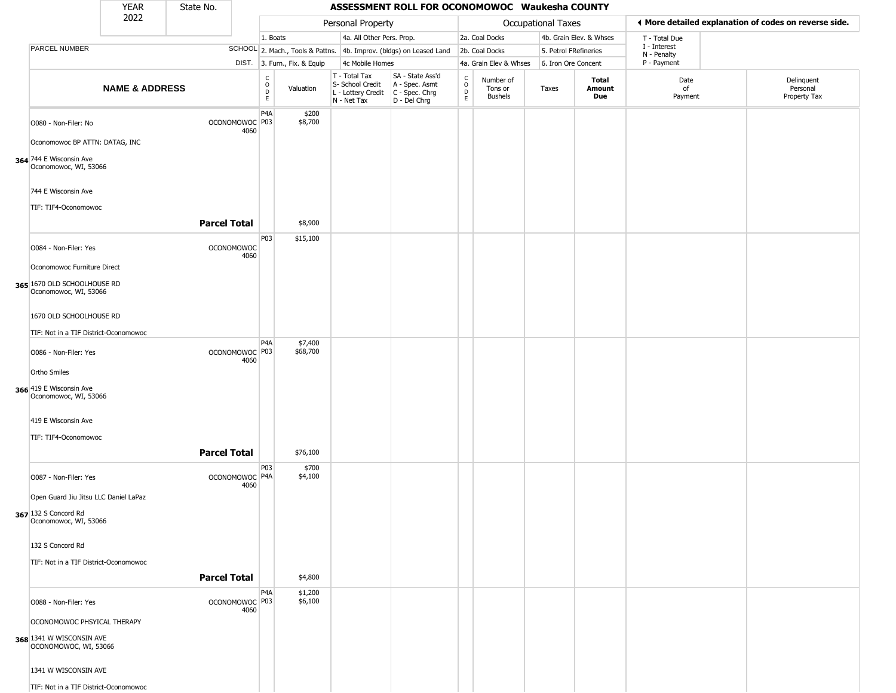|                         |                                                      | YEAR                                  | State No.           |                           |                               |                              |                                                                                         | ASSESSMENT ROLL FOR OCONOMOWOC Waukesha COUNTY                      |                                                          |                                        |                       |                         |                             |                                                       |
|-------------------------|------------------------------------------------------|---------------------------------------|---------------------|---------------------------|-------------------------------|------------------------------|-----------------------------------------------------------------------------------------|---------------------------------------------------------------------|----------------------------------------------------------|----------------------------------------|-----------------------|-------------------------|-----------------------------|-------------------------------------------------------|
|                         |                                                      | 2022                                  |                     |                           |                               |                              | Personal Property                                                                       |                                                                     |                                                          |                                        | Occupational Taxes    |                         |                             | ♦ More detailed explanation of codes on reverse side. |
|                         |                                                      |                                       |                     |                           | 1. Boats                      |                              | 4a. All Other Pers. Prop.                                                               |                                                                     |                                                          | 2a. Coal Docks                         |                       | 4b. Grain Elev. & Whses | T - Total Due               |                                                       |
|                         | PARCEL NUMBER                                        |                                       |                     |                           |                               |                              |                                                                                         | SCHOOL 2. Mach., Tools & Pattns. 4b. Improv. (bldgs) on Leased Land |                                                          | 2b. Coal Docks                         | 5. Petrol FRefineries |                         | I - Interest<br>N - Penalty |                                                       |
|                         |                                                      |                                       |                     |                           |                               | DIST. 3. Furn., Fix. & Equip | 4c Mobile Homes                                                                         |                                                                     |                                                          | 4a. Grain Elev & Whses                 | 6. Iron Ore Concent   |                         | P - Payment                 |                                                       |
|                         |                                                      | <b>NAME &amp; ADDRESS</b>             |                     |                           | c<br>$\circ$<br>$\frac{D}{E}$ | Valuation                    | T - Total Tax<br>S- School Credit<br>L - Lottery Credit   C - Spec. Chrg<br>N - Net Tax | SA - State Ass'd<br>A - Spec. Asmt<br>D - Del Chrg                  | $\begin{smallmatrix} C \\ O \\ D \end{smallmatrix}$<br>E | Number of<br>Tons or<br><b>Bushels</b> | Taxes                 | Total<br>Amount<br>Due  | Date<br>of<br>Payment       | Delinquent<br>Personal<br>Property Tax                |
|                         | O080 - Non-Filer: No                                 |                                       |                     | OCONOMOWOC P03<br>4060    | P <sub>4</sub> A              | \$200<br>\$8,700             |                                                                                         |                                                                     |                                                          |                                        |                       |                         |                             |                                                       |
|                         | Oconomowoc BP ATTN: DATAG, INC                       |                                       |                     |                           |                               |                              |                                                                                         |                                                                     |                                                          |                                        |                       |                         |                             |                                                       |
|                         | 364 744 E Wisconsin Ave<br>Oconomowoc, WI, 53066     |                                       |                     |                           |                               |                              |                                                                                         |                                                                     |                                                          |                                        |                       |                         |                             |                                                       |
|                         | 744 E Wisconsin Ave<br>TIF: TIF4-Oconomowoc          |                                       |                     |                           |                               |                              |                                                                                         |                                                                     |                                                          |                                        |                       |                         |                             |                                                       |
|                         |                                                      |                                       | <b>Parcel Total</b> |                           |                               | \$8,900                      |                                                                                         |                                                                     |                                                          |                                        |                       |                         |                             |                                                       |
|                         | O084 - Non-Filer: Yes                                |                                       |                     | <b>OCONOMOWOC</b><br>4060 | P03                           | \$15,100                     |                                                                                         |                                                                     |                                                          |                                        |                       |                         |                             |                                                       |
|                         | Oconomowoc Furniture Direct                          |                                       |                     |                           |                               |                              |                                                                                         |                                                                     |                                                          |                                        |                       |                         |                             |                                                       |
|                         | 365 1670 OLD SCHOOLHOUSE RD<br>Oconomowoc, WI, 53066 |                                       |                     |                           |                               |                              |                                                                                         |                                                                     |                                                          |                                        |                       |                         |                             |                                                       |
|                         | 1670 OLD SCHOOLHOUSE RD                              |                                       |                     |                           |                               |                              |                                                                                         |                                                                     |                                                          |                                        |                       |                         |                             |                                                       |
|                         |                                                      | TIF: Not in a TIF District-Oconomowoc |                     |                           | P <sub>4</sub> A              | \$7,400                      |                                                                                         |                                                                     |                                                          |                                        |                       |                         |                             |                                                       |
|                         | O086 - Non-Filer: Yes                                |                                       |                     | OCONOMOWOC P03<br>4060    |                               | \$68,700                     |                                                                                         |                                                                     |                                                          |                                        |                       |                         |                             |                                                       |
| Ortho Smiles            |                                                      |                                       |                     |                           |                               |                              |                                                                                         |                                                                     |                                                          |                                        |                       |                         |                             |                                                       |
| 366 419 E Wisconsin Ave | Oconomowoc, WI, 53066                                |                                       |                     |                           |                               |                              |                                                                                         |                                                                     |                                                          |                                        |                       |                         |                             |                                                       |
|                         | 419 E Wisconsin Ave                                  |                                       |                     |                           |                               |                              |                                                                                         |                                                                     |                                                          |                                        |                       |                         |                             |                                                       |
|                         | TIF: TIF4-Oconomowoc                                 |                                       |                     |                           |                               |                              |                                                                                         |                                                                     |                                                          |                                        |                       |                         |                             |                                                       |
|                         |                                                      |                                       | <b>Parcel Total</b> |                           |                               | \$76,100                     |                                                                                         |                                                                     |                                                          |                                        |                       |                         |                             |                                                       |
|                         | O087 - Non-Filer: Yes                                |                                       |                     | OCONOMOWOC P4A<br>4060    | P03                           | \$700<br>\$4,100             |                                                                                         |                                                                     |                                                          |                                        |                       |                         |                             |                                                       |
|                         |                                                      | Open Guard Jiu Jitsu LLC Daniel LaPaz |                     |                           |                               |                              |                                                                                         |                                                                     |                                                          |                                        |                       |                         |                             |                                                       |
| 367 132 S Concord Rd    | Oconomowoc, WI, 53066                                |                                       |                     |                           |                               |                              |                                                                                         |                                                                     |                                                          |                                        |                       |                         |                             |                                                       |
|                         | 132 S Concord Rd                                     |                                       |                     |                           |                               |                              |                                                                                         |                                                                     |                                                          |                                        |                       |                         |                             |                                                       |
|                         |                                                      | TIF: Not in a TIF District-Oconomowoc |                     |                           |                               |                              |                                                                                         |                                                                     |                                                          |                                        |                       |                         |                             |                                                       |
|                         |                                                      |                                       | <b>Parcel Total</b> |                           |                               | \$4,800                      |                                                                                         |                                                                     |                                                          |                                        |                       |                         |                             |                                                       |
|                         | O088 - Non-Filer: Yes                                |                                       |                     | OCONOMOWOC P03<br>4060    | P <sub>4</sub> A              | \$1,200<br>\$6,100           |                                                                                         |                                                                     |                                                          |                                        |                       |                         |                             |                                                       |
|                         | OCONOMOWOC PHSYICAL THERAPY                          |                                       |                     |                           |                               |                              |                                                                                         |                                                                     |                                                          |                                        |                       |                         |                             |                                                       |
|                         | 368 1341 W WISCONSIN AVE<br>OCONOMOWOC, WI, 53066    |                                       |                     |                           |                               |                              |                                                                                         |                                                                     |                                                          |                                        |                       |                         |                             |                                                       |
|                         | 1341 W WISCONSIN AVE                                 |                                       |                     |                           |                               |                              |                                                                                         |                                                                     |                                                          |                                        |                       |                         |                             |                                                       |
|                         |                                                      | TIF: Not in a TIF District-Oconomowoc |                     |                           |                               |                              |                                                                                         |                                                                     |                                                          |                                        |                       |                         |                             |                                                       |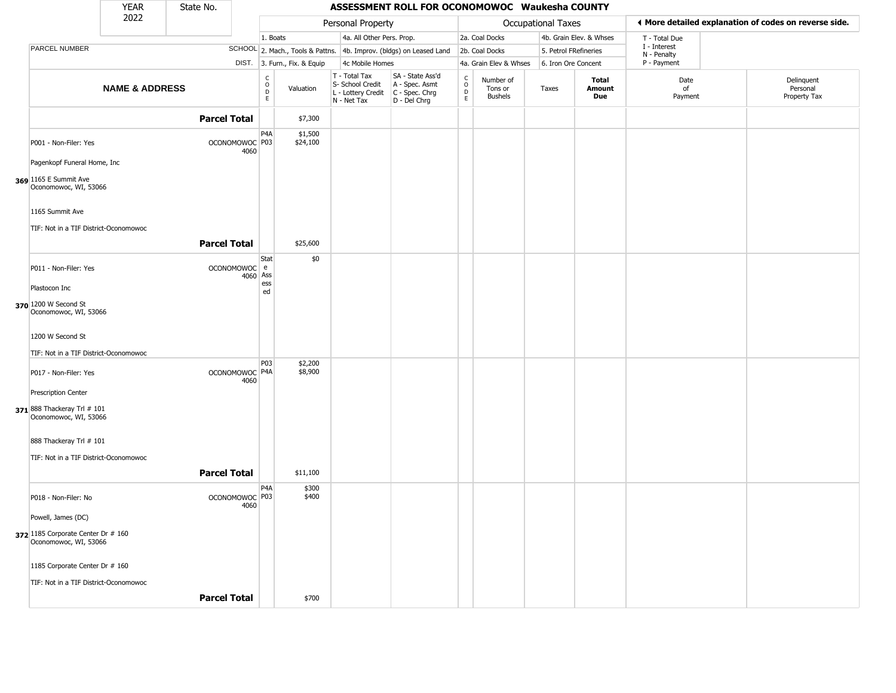|                                                             | <b>YEAR</b>               | State No.           |                                   |                  |                              |                                                                        | ASSESSMENT ROLL FOR OCONOMOWOC Waukesha COUNTY                       |                  |                                        |                           |                         |                             |                                                       |
|-------------------------------------------------------------|---------------------------|---------------------|-----------------------------------|------------------|------------------------------|------------------------------------------------------------------------|----------------------------------------------------------------------|------------------|----------------------------------------|---------------------------|-------------------------|-----------------------------|-------------------------------------------------------|
|                                                             | 2022                      |                     |                                   |                  |                              | Personal Property                                                      |                                                                      |                  |                                        | <b>Occupational Taxes</b> |                         |                             | ♦ More detailed explanation of codes on reverse side. |
|                                                             |                           |                     |                                   | 1. Boats         |                              | 4a. All Other Pers. Prop.                                              |                                                                      |                  | 2a. Coal Docks                         |                           | 4b. Grain Elev. & Whses | T - Total Due               |                                                       |
| PARCEL NUMBER                                               |                           |                     |                                   |                  |                              |                                                                        | SCHOOL 2. Mach., Tools & Pattns. 4b. Improv. (bldgs) on Leased Land  |                  | 2b. Coal Docks                         | 5. Petrol FRefineries     |                         | I - Interest<br>N - Penalty |                                                       |
|                                                             |                           |                     |                                   |                  | DIST. 3. Furn., Fix. & Equip | 4c Mobile Homes                                                        |                                                                      |                  | 4a. Grain Elev & Whses                 | 6. Iron Ore Concent       |                         | P - Payment                 |                                                       |
|                                                             | <b>NAME &amp; ADDRESS</b> |                     |                                   | C<br>D<br>D<br>E | Valuation                    | T - Total Tax<br>S- School Credit<br>L - Lottery Credit<br>N - Net Tax | SA - State Ass'd<br>A - Spec. Asmt<br>C - Spec. Chrg<br>D - Del Chrg | C<br>D<br>E<br>E | Number of<br>Tons or<br><b>Bushels</b> | Taxes                     | Total<br>Amount<br>Due  | Date<br>of<br>Payment       | Delinquent<br>Personal<br>Property Tax                |
|                                                             |                           | <b>Parcel Total</b> |                                   |                  | \$7,300                      |                                                                        |                                                                      |                  |                                        |                           |                         |                             |                                                       |
| P001 - Non-Filer: Yes                                       |                           |                     | OCONOMOWOC P03<br>4060            | P4A              | \$1,500<br>\$24,100          |                                                                        |                                                                      |                  |                                        |                           |                         |                             |                                                       |
| Pagenkopf Funeral Home, Inc                                 |                           |                     |                                   |                  |                              |                                                                        |                                                                      |                  |                                        |                           |                         |                             |                                                       |
| 369 1165 E Summit Ave<br>Oconomowoc, WI, 53066              |                           |                     |                                   |                  |                              |                                                                        |                                                                      |                  |                                        |                           |                         |                             |                                                       |
| 1165 Summit Ave                                             |                           |                     |                                   |                  |                              |                                                                        |                                                                      |                  |                                        |                           |                         |                             |                                                       |
| TIF: Not in a TIF District-Oconomowoc                       |                           |                     |                                   |                  |                              |                                                                        |                                                                      |                  |                                        |                           |                         |                             |                                                       |
|                                                             |                           | <b>Parcel Total</b> |                                   |                  | \$25,600                     |                                                                        |                                                                      |                  |                                        |                           |                         |                             |                                                       |
|                                                             |                           |                     |                                   | Stat             | \$0                          |                                                                        |                                                                      |                  |                                        |                           |                         |                             |                                                       |
| P011 - Non-Filer: Yes                                       |                           |                     | OCONOMOWOC e<br>4060 Ass          |                  |                              |                                                                        |                                                                      |                  |                                        |                           |                         |                             |                                                       |
| Plastocon Inc                                               |                           |                     |                                   | ess<br>ed        |                              |                                                                        |                                                                      |                  |                                        |                           |                         |                             |                                                       |
| 370 1200 W Second St<br>Oconomowoc, WI, 53066               |                           |                     |                                   |                  |                              |                                                                        |                                                                      |                  |                                        |                           |                         |                             |                                                       |
| 1200 W Second St                                            |                           |                     |                                   |                  |                              |                                                                        |                                                                      |                  |                                        |                           |                         |                             |                                                       |
| TIF: Not in a TIF District-Oconomowoc                       |                           |                     |                                   |                  |                              |                                                                        |                                                                      |                  |                                        |                           |                         |                             |                                                       |
| P017 - Non-Filer: Yes                                       |                           |                     | OCONOMOWOC P4A<br>4060            | P03              | \$2,200<br>\$8,900           |                                                                        |                                                                      |                  |                                        |                           |                         |                             |                                                       |
| <b>Prescription Center</b>                                  |                           |                     |                                   |                  |                              |                                                                        |                                                                      |                  |                                        |                           |                         |                             |                                                       |
| 371 888 Thackeray Trl # 101<br>Oconomowoc, WI, 53066        |                           |                     |                                   |                  |                              |                                                                        |                                                                      |                  |                                        |                           |                         |                             |                                                       |
| 888 Thackeray Trl # 101                                     |                           |                     |                                   |                  |                              |                                                                        |                                                                      |                  |                                        |                           |                         |                             |                                                       |
| TIF: Not in a TIF District-Oconomowoc                       |                           |                     |                                   |                  |                              |                                                                        |                                                                      |                  |                                        |                           |                         |                             |                                                       |
|                                                             |                           | <b>Parcel Total</b> |                                   |                  | \$11,100                     |                                                                        |                                                                      |                  |                                        |                           |                         |                             |                                                       |
|                                                             |                           |                     |                                   |                  |                              |                                                                        |                                                                      |                  |                                        |                           |                         |                             |                                                       |
| P018 - Non-Filer: No                                        |                           |                     | OCONOMOWOC <sup>P03</sup><br>4060 | P <sub>4</sub> A | \$300<br>\$400               |                                                                        |                                                                      |                  |                                        |                           |                         |                             |                                                       |
| Powell, James (DC)                                          |                           |                     |                                   |                  |                              |                                                                        |                                                                      |                  |                                        |                           |                         |                             |                                                       |
| 372 1185 Corporate Center Dr # 160<br>Oconomowoc, WI, 53066 |                           |                     |                                   |                  |                              |                                                                        |                                                                      |                  |                                        |                           |                         |                             |                                                       |
| 1185 Corporate Center Dr # 160                              |                           |                     |                                   |                  |                              |                                                                        |                                                                      |                  |                                        |                           |                         |                             |                                                       |
| TIF: Not in a TIF District-Oconomowoc                       |                           |                     |                                   |                  |                              |                                                                        |                                                                      |                  |                                        |                           |                         |                             |                                                       |
|                                                             |                           | <b>Parcel Total</b> |                                   |                  | \$700                        |                                                                        |                                                                      |                  |                                        |                           |                         |                             |                                                       |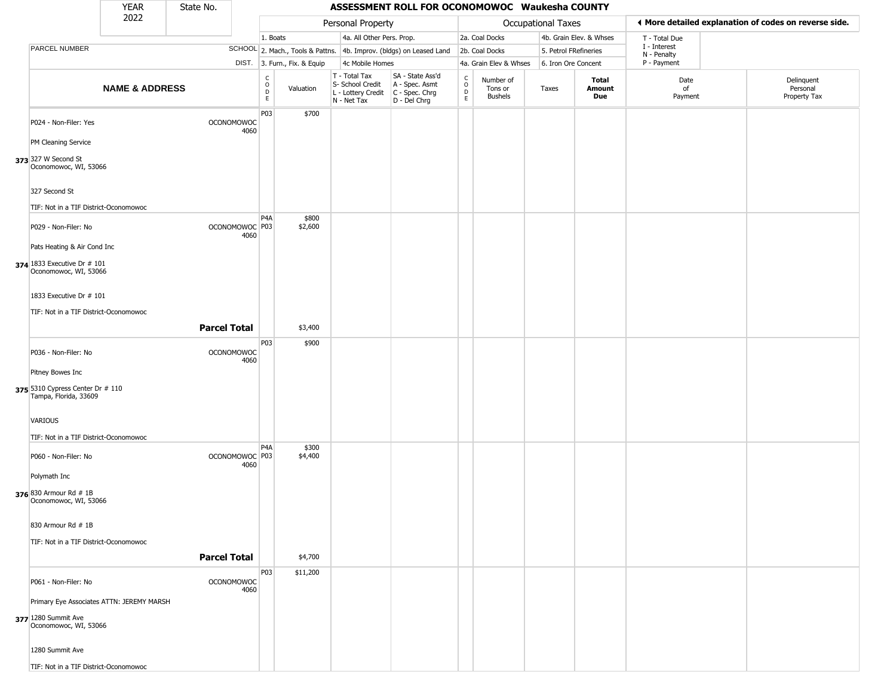|                                                           | <b>YEAR</b>               | State No.           |                                   |                                                |                              |                                                                                         | ASSESSMENT ROLL FOR OCONOMOWOC Waukesha COUNTY                      |                            |                                        |                       |                         |                             |                                                       |
|-----------------------------------------------------------|---------------------------|---------------------|-----------------------------------|------------------------------------------------|------------------------------|-----------------------------------------------------------------------------------------|---------------------------------------------------------------------|----------------------------|----------------------------------------|-----------------------|-------------------------|-----------------------------|-------------------------------------------------------|
|                                                           | 2022                      |                     |                                   |                                                |                              | Personal Property                                                                       |                                                                     |                            |                                        | Occupational Taxes    |                         |                             | ◀ More detailed explanation of codes on reverse side. |
|                                                           |                           |                     |                                   | 1. Boats                                       |                              | 4a. All Other Pers. Prop.                                                               |                                                                     |                            | 2a. Coal Docks                         |                       | 4b. Grain Elev. & Whses | T - Total Due               |                                                       |
| PARCEL NUMBER                                             |                           |                     |                                   |                                                |                              |                                                                                         | SCHOOL 2. Mach., Tools & Pattns. 4b. Improv. (bldgs) on Leased Land |                            | 2b. Coal Docks                         | 5. Petrol FRefineries |                         | I - Interest<br>N - Penalty |                                                       |
|                                                           |                           |                     |                                   |                                                | DIST. 3. Furn., Fix. & Equip | 4c Mobile Homes                                                                         |                                                                     |                            | 4a. Grain Elev & Whses                 | 6. Iron Ore Concent   |                         | P - Payment                 |                                                       |
|                                                           | <b>NAME &amp; ADDRESS</b> |                     |                                   | $\begin{matrix} 0 \\ 0 \\ D \end{matrix}$<br>E | Valuation                    | T - Total Tax<br>S- School Credit<br>L - Lottery Credit   C - Spec. Chrg<br>N - Net Tax | SA - State Ass'd<br>A - Spec. Asmt<br>D - Del Chrg                  | C<br>$\mathsf O$<br>D<br>E | Number of<br>Tons or<br><b>Bushels</b> | Taxes                 | Total<br>Amount<br>Due  | Date<br>of<br>Payment       | Delinquent<br>Personal<br>Property Tax                |
| P024 - Non-Filer: Yes                                     |                           |                     | <b>OCONOMOWOC</b><br>4060         | P03                                            | \$700                        |                                                                                         |                                                                     |                            |                                        |                       |                         |                             |                                                       |
| PM Cleaning Service                                       |                           |                     |                                   |                                                |                              |                                                                                         |                                                                     |                            |                                        |                       |                         |                             |                                                       |
| 373 327 W Second St<br>Oconomowoc, WI, 53066              |                           |                     |                                   |                                                |                              |                                                                                         |                                                                     |                            |                                        |                       |                         |                             |                                                       |
| 327 Second St                                             |                           |                     |                                   |                                                |                              |                                                                                         |                                                                     |                            |                                        |                       |                         |                             |                                                       |
| TIF: Not in a TIF District-Oconomowoc                     |                           |                     |                                   |                                                |                              |                                                                                         |                                                                     |                            |                                        |                       |                         |                             |                                                       |
| P029 - Non-Filer: No                                      |                           |                     | OCONOMOWOC <sup>P03</sup><br>4060 | P <sub>4</sub> A                               | \$800<br>\$2,600             |                                                                                         |                                                                     |                            |                                        |                       |                         |                             |                                                       |
| Pats Heating & Air Cond Inc                               |                           |                     |                                   |                                                |                              |                                                                                         |                                                                     |                            |                                        |                       |                         |                             |                                                       |
| 374 1833 Executive Dr # 101<br>Oconomowoc, WI, 53066      |                           |                     |                                   |                                                |                              |                                                                                         |                                                                     |                            |                                        |                       |                         |                             |                                                       |
| 1833 Executive Dr # 101                                   |                           |                     |                                   |                                                |                              |                                                                                         |                                                                     |                            |                                        |                       |                         |                             |                                                       |
| TIF: Not in a TIF District-Oconomowoc                     |                           |                     |                                   |                                                |                              |                                                                                         |                                                                     |                            |                                        |                       |                         |                             |                                                       |
|                                                           |                           | <b>Parcel Total</b> |                                   |                                                | \$3,400                      |                                                                                         |                                                                     |                            |                                        |                       |                         |                             |                                                       |
| P036 - Non-Filer: No                                      |                           |                     | <b>OCONOMOWOC</b><br>4060         | P03                                            | \$900                        |                                                                                         |                                                                     |                            |                                        |                       |                         |                             |                                                       |
| Pitney Bowes Inc                                          |                           |                     |                                   |                                                |                              |                                                                                         |                                                                     |                            |                                        |                       |                         |                             |                                                       |
| 375 5310 Cypress Center Dr # 110<br>Tampa, Florida, 33609 |                           |                     |                                   |                                                |                              |                                                                                         |                                                                     |                            |                                        |                       |                         |                             |                                                       |
| <b>VARIOUS</b><br>TIF: Not in a TIF District-Oconomowoc   |                           |                     |                                   |                                                |                              |                                                                                         |                                                                     |                            |                                        |                       |                         |                             |                                                       |
|                                                           |                           |                     |                                   | P <sub>4</sub> A                               | \$300                        |                                                                                         |                                                                     |                            |                                        |                       |                         |                             |                                                       |
| P060 - Non-Filer: No                                      |                           |                     | OCONOMOWOC <sup>P03</sup><br>4060 |                                                | \$4,400                      |                                                                                         |                                                                     |                            |                                        |                       |                         |                             |                                                       |
| Polymath Inc                                              |                           |                     |                                   |                                                |                              |                                                                                         |                                                                     |                            |                                        |                       |                         |                             |                                                       |
| 376 830 Armour Rd # 1B<br>Oconomowoc, WI, 53066           |                           |                     |                                   |                                                |                              |                                                                                         |                                                                     |                            |                                        |                       |                         |                             |                                                       |
| 830 Armour Rd # 1B                                        |                           |                     |                                   |                                                |                              |                                                                                         |                                                                     |                            |                                        |                       |                         |                             |                                                       |
| TIF: Not in a TIF District-Oconomowoc                     |                           |                     |                                   |                                                |                              |                                                                                         |                                                                     |                            |                                        |                       |                         |                             |                                                       |
|                                                           |                           | <b>Parcel Total</b> |                                   |                                                | \$4,700                      |                                                                                         |                                                                     |                            |                                        |                       |                         |                             |                                                       |
| P061 - Non-Filer: No                                      |                           |                     | <b>OCONOMOWOC</b><br>4060         | P03                                            | \$11,200                     |                                                                                         |                                                                     |                            |                                        |                       |                         |                             |                                                       |
| Primary Eye Associates ATTN: JEREMY MARSH                 |                           |                     |                                   |                                                |                              |                                                                                         |                                                                     |                            |                                        |                       |                         |                             |                                                       |
| 377 1280 Summit Ave<br>Oconomowoc, WI, 53066              |                           |                     |                                   |                                                |                              |                                                                                         |                                                                     |                            |                                        |                       |                         |                             |                                                       |
| 1280 Summit Ave                                           |                           |                     |                                   |                                                |                              |                                                                                         |                                                                     |                            |                                        |                       |                         |                             |                                                       |
| TIF: Not in a TIF District-Oconomowoc                     |                           |                     |                                   |                                                |                              |                                                                                         |                                                                     |                            |                                        |                       |                         |                             |                                                       |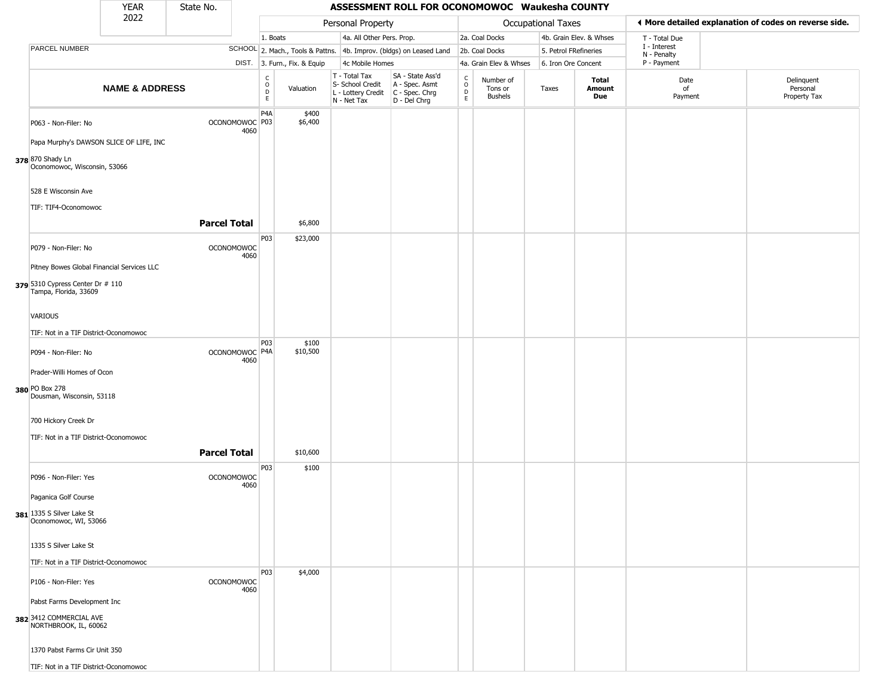|                                                                 | <b>YEAR</b>               | State No.           |                           |                              |                              |                                                                        | ASSESSMENT ROLL FOR OCONOMOWOC Waukesha COUNTY                       |                            |                                        |                       |                         |                             |                                                       |
|-----------------------------------------------------------------|---------------------------|---------------------|---------------------------|------------------------------|------------------------------|------------------------------------------------------------------------|----------------------------------------------------------------------|----------------------------|----------------------------------------|-----------------------|-------------------------|-----------------------------|-------------------------------------------------------|
|                                                                 | 2022                      |                     |                           |                              |                              | Personal Property                                                      |                                                                      |                            |                                        | Occupational Taxes    |                         |                             | ♦ More detailed explanation of codes on reverse side. |
|                                                                 |                           |                     |                           | 1. Boats                     |                              | 4a. All Other Pers. Prop.                                              |                                                                      |                            | 2a. Coal Docks                         |                       | 4b. Grain Elev. & Whses | T - Total Due               |                                                       |
| <b>PARCEL NUMBER</b>                                            |                           |                     |                           |                              |                              |                                                                        | SCHOOL 2. Mach., Tools & Pattns. 4b. Improv. (bldgs) on Leased Land  |                            | 2b. Coal Docks                         | 5. Petrol FRefineries |                         | I - Interest<br>N - Penalty |                                                       |
|                                                                 |                           |                     |                           |                              | DIST. 3. Furn., Fix. & Equip | 4c Mobile Homes                                                        |                                                                      |                            | 4a. Grain Elev & Whses                 | 6. Iron Ore Concent   |                         | P - Payment                 |                                                       |
|                                                                 | <b>NAME &amp; ADDRESS</b> |                     |                           | $_{\rm o}^{\rm c}$<br>D<br>E | Valuation                    | T - Total Tax<br>S- School Credit<br>L - Lottery Credit<br>N - Net Tax | SA - State Ass'd<br>A - Spec. Asmt<br>C - Spec. Chrg<br>D - Del Chrg | $\rm ^c_{\rm o}$<br>D<br>E | Number of<br>Tons or<br><b>Bushels</b> | Taxes                 | Total<br>Amount<br>Due  | Date<br>of<br>Payment       | Delinquent<br>Personal<br>Property Tax                |
| P063 - Non-Filer: No<br>Papa Murphy's DAWSON SLICE OF LIFE, INC |                           |                     | OCONOMOWOC P03<br>4060    | P <sub>4</sub> A             | \$400<br>\$6,400             |                                                                        |                                                                      |                            |                                        |                       |                         |                             |                                                       |
| 378 870 Shady Ln<br>Oconomowoc, Wisconsin, 53066                |                           |                     |                           |                              |                              |                                                                        |                                                                      |                            |                                        |                       |                         |                             |                                                       |
| 528 E Wisconsin Ave                                             |                           |                     |                           |                              |                              |                                                                        |                                                                      |                            |                                        |                       |                         |                             |                                                       |
| TIF: TIF4-Oconomowoc                                            |                           |                     |                           |                              |                              |                                                                        |                                                                      |                            |                                        |                       |                         |                             |                                                       |
|                                                                 |                           | <b>Parcel Total</b> |                           |                              | \$6,800                      |                                                                        |                                                                      |                            |                                        |                       |                         |                             |                                                       |
| P079 - Non-Filer: No                                            |                           |                     | <b>OCONOMOWOC</b><br>4060 | P03                          | \$23,000                     |                                                                        |                                                                      |                            |                                        |                       |                         |                             |                                                       |
| Pitney Bowes Global Financial Services LLC                      |                           |                     |                           |                              |                              |                                                                        |                                                                      |                            |                                        |                       |                         |                             |                                                       |
| 379 5310 Cypress Center Dr # 110<br>Tampa, Florida, 33609       |                           |                     |                           |                              |                              |                                                                        |                                                                      |                            |                                        |                       |                         |                             |                                                       |
| VARIOUS                                                         |                           |                     |                           |                              |                              |                                                                        |                                                                      |                            |                                        |                       |                         |                             |                                                       |
| TIF: Not in a TIF District-Oconomowoc                           |                           |                     |                           |                              |                              |                                                                        |                                                                      |                            |                                        |                       |                         |                             |                                                       |
| P094 - Non-Filer: No                                            |                           |                     | OCONOMOWOC P4A<br>4060    | <b>P03</b>                   | \$100<br>\$10,500            |                                                                        |                                                                      |                            |                                        |                       |                         |                             |                                                       |
| Prader-Willi Homes of Ocon                                      |                           |                     |                           |                              |                              |                                                                        |                                                                      |                            |                                        |                       |                         |                             |                                                       |
| 380 PO Box 278<br>Dousman, Wisconsin, 53118                     |                           |                     |                           |                              |                              |                                                                        |                                                                      |                            |                                        |                       |                         |                             |                                                       |
| 700 Hickory Creek Dr                                            |                           |                     |                           |                              |                              |                                                                        |                                                                      |                            |                                        |                       |                         |                             |                                                       |
|                                                                 |                           |                     |                           |                              |                              |                                                                        |                                                                      |                            |                                        |                       |                         |                             |                                                       |
| TIF: Not in a TIF District-Oconomowoc                           |                           |                     |                           |                              |                              |                                                                        |                                                                      |                            |                                        |                       |                         |                             |                                                       |
|                                                                 |                           | <b>Parcel Total</b> |                           |                              | \$10,600                     |                                                                        |                                                                      |                            |                                        |                       |                         |                             |                                                       |
| P096 - Non-Filer: Yes                                           |                           |                     | <b>OCONOMOWOC</b><br>4060 | P03                          | \$100                        |                                                                        |                                                                      |                            |                                        |                       |                         |                             |                                                       |
| Paganica Golf Course                                            |                           |                     |                           |                              |                              |                                                                        |                                                                      |                            |                                        |                       |                         |                             |                                                       |
| 381 1335 S Silver Lake St<br>Oconomowoc, WI, 53066              |                           |                     |                           |                              |                              |                                                                        |                                                                      |                            |                                        |                       |                         |                             |                                                       |
| 1335 S Silver Lake St                                           |                           |                     |                           |                              |                              |                                                                        |                                                                      |                            |                                        |                       |                         |                             |                                                       |
|                                                                 |                           |                     |                           |                              |                              |                                                                        |                                                                      |                            |                                        |                       |                         |                             |                                                       |
| TIF: Not in a TIF District-Oconomowoc                           |                           |                     |                           | <b>P03</b>                   | \$4,000                      |                                                                        |                                                                      |                            |                                        |                       |                         |                             |                                                       |
| P106 - Non-Filer: Yes                                           |                           |                     | <b>OCONOMOWOC</b><br>4060 |                              |                              |                                                                        |                                                                      |                            |                                        |                       |                         |                             |                                                       |
| Pabst Farms Development Inc                                     |                           |                     |                           |                              |                              |                                                                        |                                                                      |                            |                                        |                       |                         |                             |                                                       |
| 382 3412 COMMERCIAL AVE<br>NORTHBROOK, IL, 60062                |                           |                     |                           |                              |                              |                                                                        |                                                                      |                            |                                        |                       |                         |                             |                                                       |
| 1370 Pabst Farms Cir Unit 350                                   |                           |                     |                           |                              |                              |                                                                        |                                                                      |                            |                                        |                       |                         |                             |                                                       |
| TIF: Not in a TIF District-Oconomowoc                           |                           |                     |                           |                              |                              |                                                                        |                                                                      |                            |                                        |                       |                         |                             |                                                       |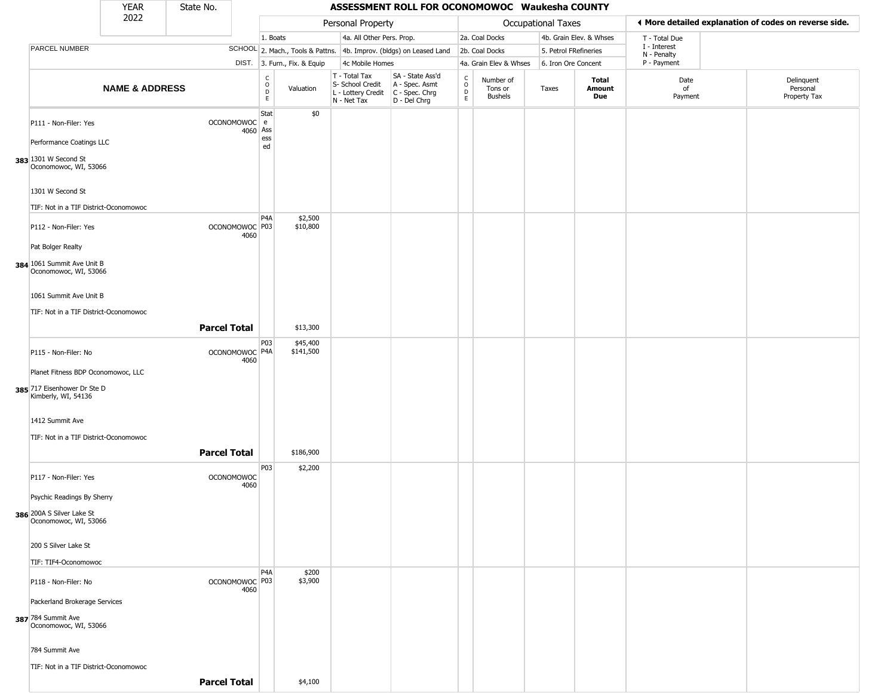|                                                           | YEAR                      | State No.           |                                   |                                   |                              |                                                                        | ASSESSMENT ROLL FOR OCONOMOWOC Waukesha COUNTY                       |                                            |                                        |                       |                         |                             |                                                       |
|-----------------------------------------------------------|---------------------------|---------------------|-----------------------------------|-----------------------------------|------------------------------|------------------------------------------------------------------------|----------------------------------------------------------------------|--------------------------------------------|----------------------------------------|-----------------------|-------------------------|-----------------------------|-------------------------------------------------------|
|                                                           | 2022                      |                     |                                   |                                   |                              | Personal Property                                                      |                                                                      |                                            |                                        | Occupational Taxes    |                         |                             | ♦ More detailed explanation of codes on reverse side. |
|                                                           |                           |                     |                                   | 1. Boats                          |                              | 4a. All Other Pers. Prop.                                              |                                                                      |                                            | 2a. Coal Docks                         |                       | 4b. Grain Elev. & Whses | T - Total Due               |                                                       |
| <b>PARCEL NUMBER</b>                                      |                           |                     |                                   |                                   |                              |                                                                        | SCHOOL 2. Mach., Tools & Pattns. 4b. Improv. (bldgs) on Leased Land  |                                            | 2b. Coal Docks                         | 5. Petrol FRefineries |                         | I - Interest<br>N - Penalty |                                                       |
|                                                           |                           |                     |                                   |                                   | DIST. 3. Furn., Fix. & Equip | 4c Mobile Homes                                                        |                                                                      |                                            | 4a. Grain Elev & Whses                 | 6. Iron Ore Concent   |                         | P - Payment                 |                                                       |
|                                                           | <b>NAME &amp; ADDRESS</b> |                     |                                   | C<br>$\circ$<br>$\mathsf{D}$<br>E | Valuation                    | T - Total Tax<br>S- School Credit<br>L - Lottery Credit<br>N - Net Tax | SA - State Ass'd<br>A - Spec. Asmt<br>C - Spec. Chrg<br>D - Del Chrg | $\begin{array}{c} C \\ 0 \\ E \end{array}$ | Number of<br>Tons or<br><b>Bushels</b> | Taxes                 | Total<br>Amount<br>Due  | Date<br>of<br>Payment       | Delinquent<br>Personal<br>Property Tax                |
| P111 - Non-Filer: Yes                                     |                           |                     | OCONOMOWOC e<br>4060 Ass          | Stat                              | \$0                          |                                                                        |                                                                      |                                            |                                        |                       |                         |                             |                                                       |
| Performance Coatings LLC                                  |                           |                     |                                   | ess<br>ed                         |                              |                                                                        |                                                                      |                                            |                                        |                       |                         |                             |                                                       |
| 383 1301 W Second St<br>Oconomowoc, WI, 53066             |                           |                     |                                   |                                   |                              |                                                                        |                                                                      |                                            |                                        |                       |                         |                             |                                                       |
| 1301 W Second St<br>TIF: Not in a TIF District-Oconomowoc |                           |                     |                                   |                                   |                              |                                                                        |                                                                      |                                            |                                        |                       |                         |                             |                                                       |
|                                                           |                           |                     |                                   | P <sub>4</sub> A                  | \$2,500                      |                                                                        |                                                                      |                                            |                                        |                       |                         |                             |                                                       |
| P112 - Non-Filer: Yes<br>Pat Bolger Realty                |                           |                     | OCONOMOWOC <sup>P03</sup><br>4060 |                                   | \$10,800                     |                                                                        |                                                                      |                                            |                                        |                       |                         |                             |                                                       |
| 384 1061 Summit Ave Unit B<br>Oconomowoc, WI, 53066       |                           |                     |                                   |                                   |                              |                                                                        |                                                                      |                                            |                                        |                       |                         |                             |                                                       |
| 1061 Summit Ave Unit B                                    |                           |                     |                                   |                                   |                              |                                                                        |                                                                      |                                            |                                        |                       |                         |                             |                                                       |
| TIF: Not in a TIF District-Oconomowoc                     |                           |                     |                                   |                                   |                              |                                                                        |                                                                      |                                            |                                        |                       |                         |                             |                                                       |
|                                                           |                           | <b>Parcel Total</b> |                                   |                                   | \$13,300                     |                                                                        |                                                                      |                                            |                                        |                       |                         |                             |                                                       |
| P115 - Non-Filer: No                                      |                           |                     | OCONOMOWOC P4A<br>4060            | P03                               | \$45,400<br>\$141,500        |                                                                        |                                                                      |                                            |                                        |                       |                         |                             |                                                       |
| Planet Fitness BDP Oconomowoc, LLC                        |                           |                     |                                   |                                   |                              |                                                                        |                                                                      |                                            |                                        |                       |                         |                             |                                                       |
| 385 717 Eisenhower Dr Ste D<br>Kimberly, WI, 54136        |                           |                     |                                   |                                   |                              |                                                                        |                                                                      |                                            |                                        |                       |                         |                             |                                                       |
| 1412 Summit Ave                                           |                           |                     |                                   |                                   |                              |                                                                        |                                                                      |                                            |                                        |                       |                         |                             |                                                       |
| TIF: Not in a TIF District-Oconomowoc                     |                           | <b>Parcel Total</b> |                                   |                                   | \$186,900                    |                                                                        |                                                                      |                                            |                                        |                       |                         |                             |                                                       |
| P117 - Non-Filer: Yes                                     |                           |                     | <b>OCONOMOWOC</b>                 | P03                               | \$2,200                      |                                                                        |                                                                      |                                            |                                        |                       |                         |                             |                                                       |
| Psychic Readings By Sherry                                |                           |                     | 4060                              |                                   |                              |                                                                        |                                                                      |                                            |                                        |                       |                         |                             |                                                       |
| 386 200A S Silver Lake St<br>Oconomowoc, WI, 53066        |                           |                     |                                   |                                   |                              |                                                                        |                                                                      |                                            |                                        |                       |                         |                             |                                                       |
| 200 S Silver Lake St                                      |                           |                     |                                   |                                   |                              |                                                                        |                                                                      |                                            |                                        |                       |                         |                             |                                                       |
| TIF: TIF4-Oconomowoc                                      |                           |                     |                                   |                                   |                              |                                                                        |                                                                      |                                            |                                        |                       |                         |                             |                                                       |
| P118 - Non-Filer: No                                      |                           |                     | OCONOMOWOC P03<br>4060            | P <sub>4</sub> A                  | \$200<br>\$3,900             |                                                                        |                                                                      |                                            |                                        |                       |                         |                             |                                                       |
| Packerland Brokerage Services                             |                           |                     |                                   |                                   |                              |                                                                        |                                                                      |                                            |                                        |                       |                         |                             |                                                       |
| 387 784 Summit Ave<br>Oconomowoc, WI, 53066               |                           |                     |                                   |                                   |                              |                                                                        |                                                                      |                                            |                                        |                       |                         |                             |                                                       |
| 784 Summit Ave                                            |                           |                     |                                   |                                   |                              |                                                                        |                                                                      |                                            |                                        |                       |                         |                             |                                                       |
| TIF: Not in a TIF District-Oconomowoc                     |                           |                     |                                   |                                   |                              |                                                                        |                                                                      |                                            |                                        |                       |                         |                             |                                                       |
|                                                           |                           | <b>Parcel Total</b> |                                   |                                   | \$4,100                      |                                                                        |                                                                      |                                            |                                        |                       |                         |                             |                                                       |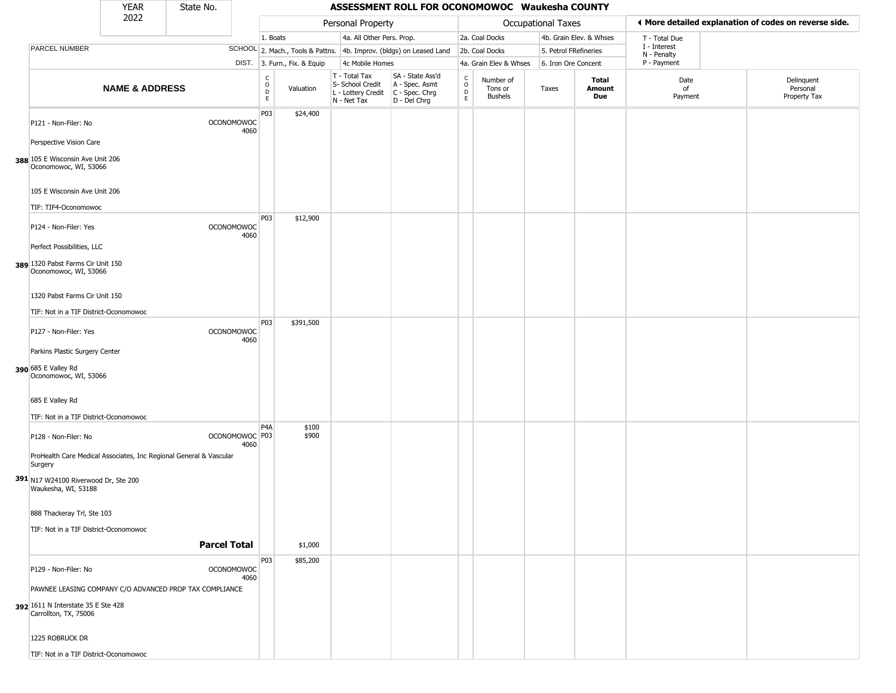|                                                                                                                               | <b>YEAR</b>               | State No.           |                                   |                                                          |                              |                                                  | ASSESSMENT ROLL FOR OCONOMOWOC Waukesha COUNTY                                              |                                    |                                        |                           |                         |                             |                                                       |
|-------------------------------------------------------------------------------------------------------------------------------|---------------------------|---------------------|-----------------------------------|----------------------------------------------------------|------------------------------|--------------------------------------------------|---------------------------------------------------------------------------------------------|------------------------------------|----------------------------------------|---------------------------|-------------------------|-----------------------------|-------------------------------------------------------|
|                                                                                                                               | 2022                      |                     |                                   |                                                          |                              | Personal Property                                |                                                                                             |                                    |                                        | <b>Occupational Taxes</b> |                         |                             | ♦ More detailed explanation of codes on reverse side. |
|                                                                                                                               |                           |                     |                                   | 1. Boats                                                 |                              | 4a. All Other Pers. Prop.                        |                                                                                             |                                    | 2a. Coal Docks                         |                           | 4b. Grain Elev. & Whses | T - Total Due               |                                                       |
| PARCEL NUMBER                                                                                                                 |                           |                     |                                   |                                                          |                              |                                                  | SCHOOL 2. Mach., Tools & Pattns. 4b. Improv. (bldgs) on Leased Land                         |                                    | 2b. Coal Docks                         | 5. Petrol FRefineries     |                         | I - Interest<br>N - Penalty |                                                       |
|                                                                                                                               |                           |                     |                                   |                                                          | DIST. 3. Furn., Fix. & Equip | 4c Mobile Homes                                  |                                                                                             |                                    | 4a. Grain Elev & Whses                 | 6. Iron Ore Concent       |                         | P - Payment                 |                                                       |
|                                                                                                                               | <b>NAME &amp; ADDRESS</b> |                     |                                   | $\begin{matrix} 0 \\ 0 \\ D \end{matrix}$<br>$\mathsf E$ | Valuation                    | T - Total Tax<br>S- School Credit<br>N - Net Tax | SA - State Ass'd<br>A - Spec. Asmt<br>$L$ - Lottery Credit $C$ - Spec. Chrg<br>D - Del Chrg | C<br>$\mathsf{O}\xspace$<br>D<br>E | Number of<br>Tons or<br><b>Bushels</b> | Taxes                     | Total<br>Amount<br>Due  | Date<br>of<br>Payment       | Delinquent<br>Personal<br>Property Tax                |
| P121 - Non-Filer: No                                                                                                          |                           |                     | <b>OCONOMOWOC</b><br>4060         | P03                                                      | \$24,400                     |                                                  |                                                                                             |                                    |                                        |                           |                         |                             |                                                       |
| Perspective Vision Care<br>388 105 E Wisconsin Ave Unit 206<br>Oconomowoc, WI, 53066                                          |                           |                     |                                   |                                                          |                              |                                                  |                                                                                             |                                    |                                        |                           |                         |                             |                                                       |
| 105 E Wisconsin Ave Unit 206<br>TIF: TIF4-Oconomowoc                                                                          |                           |                     |                                   |                                                          |                              |                                                  |                                                                                             |                                    |                                        |                           |                         |                             |                                                       |
| P124 - Non-Filer: Yes<br>Perfect Possibilities, LLC                                                                           |                           |                     | <b>OCONOMOWOC</b><br>4060         | <b>P03</b>                                               | \$12,900                     |                                                  |                                                                                             |                                    |                                        |                           |                         |                             |                                                       |
| 389 1320 Pabst Farms Cir Unit 150<br>Oconomowoc, WI, 53066                                                                    |                           |                     |                                   |                                                          |                              |                                                  |                                                                                             |                                    |                                        |                           |                         |                             |                                                       |
| 1320 Pabst Farms Cir Unit 150                                                                                                 |                           |                     |                                   |                                                          |                              |                                                  |                                                                                             |                                    |                                        |                           |                         |                             |                                                       |
| TIF: Not in a TIF District-Oconomowoc                                                                                         |                           |                     |                                   | P03                                                      | \$391,500                    |                                                  |                                                                                             |                                    |                                        |                           |                         |                             |                                                       |
| P127 - Non-Filer: Yes                                                                                                         |                           |                     | <b>OCONOMOWOC</b><br>4060         |                                                          |                              |                                                  |                                                                                             |                                    |                                        |                           |                         |                             |                                                       |
| Parkins Plastic Surgery Center                                                                                                |                           |                     |                                   |                                                          |                              |                                                  |                                                                                             |                                    |                                        |                           |                         |                             |                                                       |
| 390 685 E Valley Rd<br>Oconomowoc, WI, 53066                                                                                  |                           |                     |                                   |                                                          |                              |                                                  |                                                                                             |                                    |                                        |                           |                         |                             |                                                       |
| 685 E Valley Rd                                                                                                               |                           |                     |                                   |                                                          |                              |                                                  |                                                                                             |                                    |                                        |                           |                         |                             |                                                       |
| TIF: Not in a TIF District-Oconomowoc                                                                                         |                           |                     |                                   |                                                          |                              |                                                  |                                                                                             |                                    |                                        |                           |                         |                             |                                                       |
| P128 - Non-Filer: No                                                                                                          |                           |                     | OCONOMOWOC <sup>P03</sup><br>4060 | P <sub>4</sub> A                                         | \$100<br>\$900               |                                                  |                                                                                             |                                    |                                        |                           |                         |                             |                                                       |
| ProHealth Care Medical Associates, Inc Regional General & Vascular<br>Surgery                                                 |                           |                     |                                   |                                                          |                              |                                                  |                                                                                             |                                    |                                        |                           |                         |                             |                                                       |
| 391 N17 W24100 Riverwood Dr, Ste 200<br>Waukesha, WI, 53188                                                                   |                           |                     |                                   |                                                          |                              |                                                  |                                                                                             |                                    |                                        |                           |                         |                             |                                                       |
| 888 Thackeray Trl, Ste 103                                                                                                    |                           |                     |                                   |                                                          |                              |                                                  |                                                                                             |                                    |                                        |                           |                         |                             |                                                       |
| TIF: Not in a TIF District-Oconomowoc                                                                                         |                           |                     |                                   |                                                          |                              |                                                  |                                                                                             |                                    |                                        |                           |                         |                             |                                                       |
|                                                                                                                               |                           | <b>Parcel Total</b> |                                   |                                                          | \$1,000                      |                                                  |                                                                                             |                                    |                                        |                           |                         |                             |                                                       |
| P129 - Non-Filer: No                                                                                                          |                           |                     | <b>OCONOMOWOC</b><br>4060         | P03                                                      | \$85,200                     |                                                  |                                                                                             |                                    |                                        |                           |                         |                             |                                                       |
| PAWNEE LEASING COMPANY C/O ADVANCED PROP TAX COMPLIANCE<br><b>392</b> 1611 N Interstate 35 E Ste 428<br>Carrollton, TX, 75006 |                           |                     |                                   |                                                          |                              |                                                  |                                                                                             |                                    |                                        |                           |                         |                             |                                                       |
| 1225 ROBRUCK DR                                                                                                               |                           |                     |                                   |                                                          |                              |                                                  |                                                                                             |                                    |                                        |                           |                         |                             |                                                       |
| TIF: Not in a TIF District-Oconomowoc                                                                                         |                           |                     |                                   |                                                          |                              |                                                  |                                                                                             |                                    |                                        |                           |                         |                             |                                                       |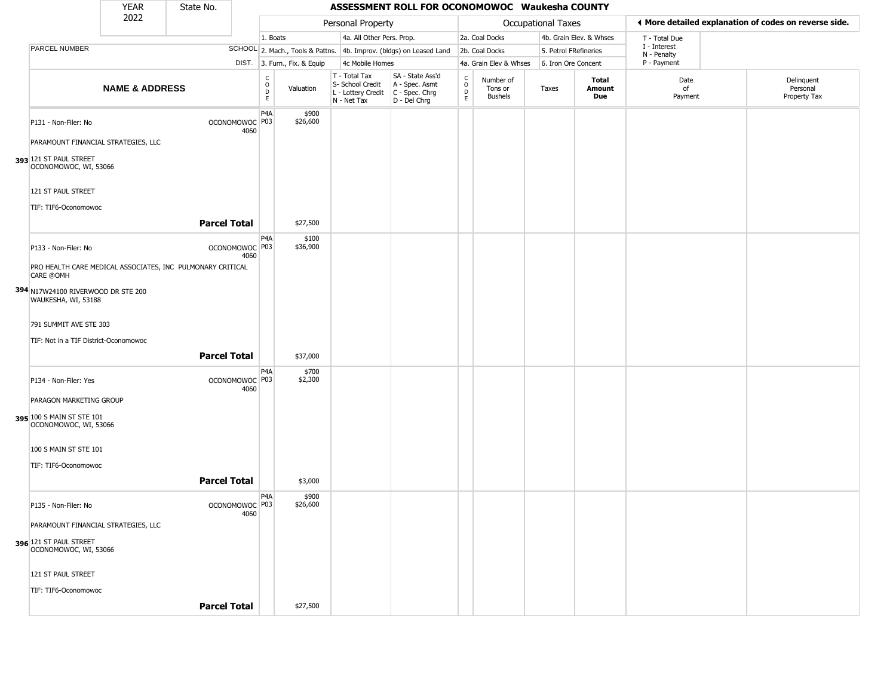|                                                                                                        | <b>YEAR</b>               | State No.                                                                    |      |                                                |                                                  | ASSESSMENT ROLL FOR OCONOMOWOC Waukesha COUNTY                                            |                                                |                                 |                           |                         |                             |                                                       |
|--------------------------------------------------------------------------------------------------------|---------------------------|------------------------------------------------------------------------------|------|------------------------------------------------|--------------------------------------------------|-------------------------------------------------------------------------------------------|------------------------------------------------|---------------------------------|---------------------------|-------------------------|-----------------------------|-------------------------------------------------------|
|                                                                                                        | 2022                      |                                                                              |      |                                                | Personal Property                                |                                                                                           |                                                |                                 | <b>Occupational Taxes</b> |                         |                             | ♦ More detailed explanation of codes on reverse side. |
|                                                                                                        |                           |                                                                              |      | 1. Boats                                       | 4a. All Other Pers. Prop.                        |                                                                                           |                                                | 2a. Coal Docks                  |                           | 4b. Grain Elev. & Whses | T - Total Due               |                                                       |
| PARCEL NUMBER                                                                                          |                           |                                                                              |      |                                                |                                                  | SCHOOL 2. Mach., Tools & Pattns. 4b. Improv. (bldgs) on Leased Land                       |                                                | 2b. Coal Docks                  |                           | 5. Petrol FRefineries   | I - Interest<br>N - Penalty |                                                       |
|                                                                                                        |                           |                                                                              |      | DIST. 3. Furn., Fix. & Equip                   | 4c Mobile Homes                                  |                                                                                           |                                                | 4a. Grain Elev & Whses          |                           | 6. Iron Ore Concent     | P - Payment                 |                                                       |
|                                                                                                        | <b>NAME &amp; ADDRESS</b> |                                                                              |      | $\frac{c}{0}$<br>Valuation<br>$\mathsf D$<br>E | T - Total Tax<br>S- School Credit<br>N - Net Tax | SA - State Ass'd<br>A - Spec. Asmt<br>L - Lottery Credit   C - Spec. Chrg<br>D - Del Chrg | $\begin{matrix} 0 \\ 0 \\ 0 \end{matrix}$<br>E | Number of<br>Tons or<br>Bushels | Taxes                     | Total<br>Amount<br>Due  | Date<br>of<br>Payment       | Delinquent<br>Personal<br>Property Tax                |
| P131 - Non-Filer: No<br>PARAMOUNT FINANCIAL STRATEGIES, LLC<br>393 121 ST PAUL STREET                  |                           | OCONOMOWOC P03                                                               | 4060 | P <sub>4</sub> A<br>\$900<br>\$26,600          |                                                  |                                                                                           |                                                |                                 |                           |                         |                             |                                                       |
| OCONOMOWOC, WI, 53066<br>121 ST PAUL STREET<br>TIF: TIF6-Oconomowoc                                    |                           | <b>Parcel Total</b>                                                          |      | \$27,500                                       |                                                  |                                                                                           |                                                |                                 |                           |                         |                             |                                                       |
| P133 - Non-Filer: No<br>CARE @OMH                                                                      |                           | OCONOMOWOC P03<br>PRO HEALTH CARE MEDICAL ASSOCIATES, INC PULMONARY CRITICAL | 4060 | P4A<br>\$100<br>\$36,900                       |                                                  |                                                                                           |                                                |                                 |                           |                         |                             |                                                       |
| 394 N17W24100 RIVERWOOD DR STE 200<br>WAUKESHA, WI, 53188<br>791 SUMMIT AVE STE 303                    |                           |                                                                              |      |                                                |                                                  |                                                                                           |                                                |                                 |                           |                         |                             |                                                       |
| TIF: Not in a TIF District-Oconomowoc                                                                  |                           | <b>Parcel Total</b>                                                          |      | \$37,000                                       |                                                  |                                                                                           |                                                |                                 |                           |                         |                             |                                                       |
| P134 - Non-Filer: Yes<br>PARAGON MARKETING GROUP<br>395 100 S MAIN ST STE 101<br>OCONOMOWOC, WI, 53066 |                           | OCONOMOWOC <sup>P03</sup>                                                    | 4060 | P4A<br>\$700<br>\$2,300                        |                                                  |                                                                                           |                                                |                                 |                           |                         |                             |                                                       |
| 100 S MAIN ST STE 101<br>TIF: TIF6-Oconomowoc                                                          |                           | <b>Parcel Total</b>                                                          |      | \$3,000                                        |                                                  |                                                                                           |                                                |                                 |                           |                         |                             |                                                       |
| P135 - Non-Filer: No<br>PARAMOUNT FINANCIAL STRATEGIES, LLC<br>396 121 ST PAUL STREET                  |                           | OCONOMOWOC P03                                                               | 4060 | P4A<br>\$900<br>\$26,600                       |                                                  |                                                                                           |                                                |                                 |                           |                         |                             |                                                       |
| OCONOMOWOC, WI, 53066<br>121 ST PAUL STREET<br>TIF: TIF6-Oconomowoc                                    |                           | <b>Parcel Total</b>                                                          |      | \$27,500                                       |                                                  |                                                                                           |                                                |                                 |                           |                         |                             |                                                       |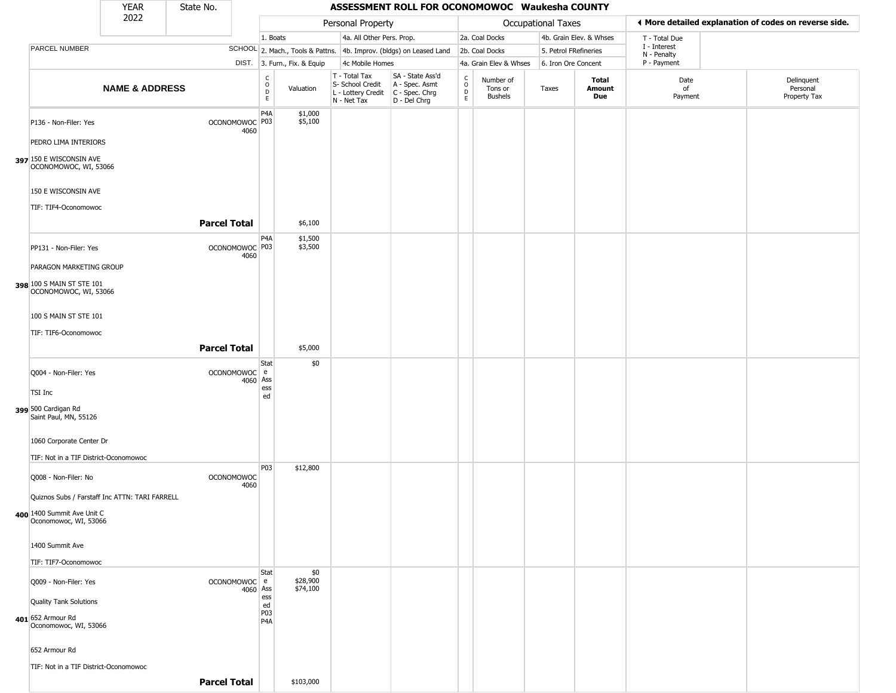|                                                     | <b>YEAR</b>               | State No.           |                           |                                                  |                              |                                                                                         | ASSESSMENT ROLL FOR OCONOMOWOC Waukesha COUNTY                      |                                                          |                                        |                           |                         |                             |                                                       |
|-----------------------------------------------------|---------------------------|---------------------|---------------------------|--------------------------------------------------|------------------------------|-----------------------------------------------------------------------------------------|---------------------------------------------------------------------|----------------------------------------------------------|----------------------------------------|---------------------------|-------------------------|-----------------------------|-------------------------------------------------------|
|                                                     | 2022                      |                     |                           |                                                  |                              | Personal Property                                                                       |                                                                     |                                                          |                                        | <b>Occupational Taxes</b> |                         |                             | ♦ More detailed explanation of codes on reverse side. |
|                                                     |                           |                     |                           | 1. Boats                                         |                              | 4a. All Other Pers. Prop.                                                               |                                                                     |                                                          | 2a. Coal Docks                         |                           | 4b. Grain Elev. & Whses | T - Total Due               |                                                       |
| PARCEL NUMBER                                       |                           |                     |                           |                                                  |                              |                                                                                         | SCHOOL 2. Mach., Tools & Pattns. 4b. Improv. (bldgs) on Leased Land |                                                          | 2b. Coal Docks                         | 5. Petrol FRefineries     |                         | I - Interest<br>N - Penalty |                                                       |
|                                                     |                           |                     |                           |                                                  | DIST. 3. Furn., Fix. & Equip | 4c Mobile Homes                                                                         |                                                                     |                                                          | 4a. Grain Elev & Whses                 | 6. Iron Ore Concent       |                         | P - Payment                 |                                                       |
|                                                     | <b>NAME &amp; ADDRESS</b> |                     |                           | $_{\rm o}^{\rm c}$<br>$\mathsf D$<br>$\mathsf E$ | Valuation                    | T - Total Tax<br>S- School Credit<br>L - Lottery Credit   C - Spec. Chrg<br>N - Net Tax | SA - State Ass'd<br>A - Spec. Asmt<br>D - Del Chrg                  | $\begin{smallmatrix} C \\ 0 \\ D \end{smallmatrix}$<br>E | Number of<br>Tons or<br><b>Bushels</b> | Taxes                     | Total<br>Amount<br>Due  | Date<br>of<br>Payment       | Delinquent<br>Personal<br>Property Tax                |
| P136 - Non-Filer: Yes                               |                           |                     | OCONOMOWOC P03<br>4060    | P4A                                              | \$1,000<br>\$5,100           |                                                                                         |                                                                     |                                                          |                                        |                           |                         |                             |                                                       |
| PEDRO LIMA INTERIORS                                |                           |                     |                           |                                                  |                              |                                                                                         |                                                                     |                                                          |                                        |                           |                         |                             |                                                       |
| 397 150 E WISCONSIN AVE<br>OCONOMOWOC, WI, 53066    |                           |                     |                           |                                                  |                              |                                                                                         |                                                                     |                                                          |                                        |                           |                         |                             |                                                       |
| 150 E WISCONSIN AVE                                 |                           |                     |                           |                                                  |                              |                                                                                         |                                                                     |                                                          |                                        |                           |                         |                             |                                                       |
| TIF: TIF4-Oconomowoc                                |                           | <b>Parcel Total</b> |                           |                                                  | \$6,100                      |                                                                                         |                                                                     |                                                          |                                        |                           |                         |                             |                                                       |
| PP131 - Non-Filer: Yes                              |                           |                     | OCONOMOWOC P03<br>4060    | P <sub>4</sub> A                                 | \$1,500<br>\$3,500           |                                                                                         |                                                                     |                                                          |                                        |                           |                         |                             |                                                       |
| PARAGON MARKETING GROUP                             |                           |                     |                           |                                                  |                              |                                                                                         |                                                                     |                                                          |                                        |                           |                         |                             |                                                       |
| 398 100 S MAIN ST STE 101<br>OCONOMOWOC, WI, 53066  |                           |                     |                           |                                                  |                              |                                                                                         |                                                                     |                                                          |                                        |                           |                         |                             |                                                       |
| 100 S MAIN ST STE 101                               |                           |                     |                           |                                                  |                              |                                                                                         |                                                                     |                                                          |                                        |                           |                         |                             |                                                       |
| TIF: TIF6-Oconomowoc                                |                           | <b>Parcel Total</b> |                           |                                                  | \$5,000                      |                                                                                         |                                                                     |                                                          |                                        |                           |                         |                             |                                                       |
| Q004 - Non-Filer: Yes                               |                           |                     | OCONOMOWOC e              | Stat                                             | \$0                          |                                                                                         |                                                                     |                                                          |                                        |                           |                         |                             |                                                       |
| TSI Inc                                             |                           |                     | 4060                      | Ass<br>ess                                       |                              |                                                                                         |                                                                     |                                                          |                                        |                           |                         |                             |                                                       |
| 399 500 Cardigan Rd<br>Saint Paul, MN, 55126        |                           |                     |                           | ed                                               |                              |                                                                                         |                                                                     |                                                          |                                        |                           |                         |                             |                                                       |
| 1060 Corporate Center Dr                            |                           |                     |                           |                                                  |                              |                                                                                         |                                                                     |                                                          |                                        |                           |                         |                             |                                                       |
| TIF: Not in a TIF District-Oconomowoc               |                           |                     |                           | P03                                              | \$12,800                     |                                                                                         |                                                                     |                                                          |                                        |                           |                         |                             |                                                       |
| Q008 - Non-Filer: No                                |                           |                     | <b>OCONOMOWOC</b><br>4060 |                                                  |                              |                                                                                         |                                                                     |                                                          |                                        |                           |                         |                             |                                                       |
| Quiznos Subs / Farstaff Inc ATTN: TARI FARRELL      |                           |                     |                           |                                                  |                              |                                                                                         |                                                                     |                                                          |                                        |                           |                         |                             |                                                       |
| 400 1400 Summit Ave Unit C<br>Oconomowoc, WI, 53066 |                           |                     |                           |                                                  |                              |                                                                                         |                                                                     |                                                          |                                        |                           |                         |                             |                                                       |
| 1400 Summit Ave                                     |                           |                     |                           |                                                  |                              |                                                                                         |                                                                     |                                                          |                                        |                           |                         |                             |                                                       |
| TIF: TIF7-Oconomowoc                                |                           |                     |                           | Stat                                             | \$0                          |                                                                                         |                                                                     |                                                          |                                        |                           |                         |                             |                                                       |
| Q009 - Non-Filer: Yes<br>Quality Tank Solutions     |                           |                     | OCONOMOWOC e<br>4060 Ass  | ess                                              | \$28,900<br>\$74,100         |                                                                                         |                                                                     |                                                          |                                        |                           |                         |                             |                                                       |
|                                                     |                           |                     |                           | ed<br>P03                                        |                              |                                                                                         |                                                                     |                                                          |                                        |                           |                         |                             |                                                       |
| 401 652 Armour Rd<br>Oconomowoc, WI, 53066          |                           |                     |                           | P4A                                              |                              |                                                                                         |                                                                     |                                                          |                                        |                           |                         |                             |                                                       |
| 652 Armour Rd                                       |                           |                     |                           |                                                  |                              |                                                                                         |                                                                     |                                                          |                                        |                           |                         |                             |                                                       |
| TIF: Not in a TIF District-Oconomowoc               |                           |                     |                           |                                                  |                              |                                                                                         |                                                                     |                                                          |                                        |                           |                         |                             |                                                       |
|                                                     |                           | <b>Parcel Total</b> |                           |                                                  | \$103,000                    |                                                                                         |                                                                     |                                                          |                                        |                           |                         |                             |                                                       |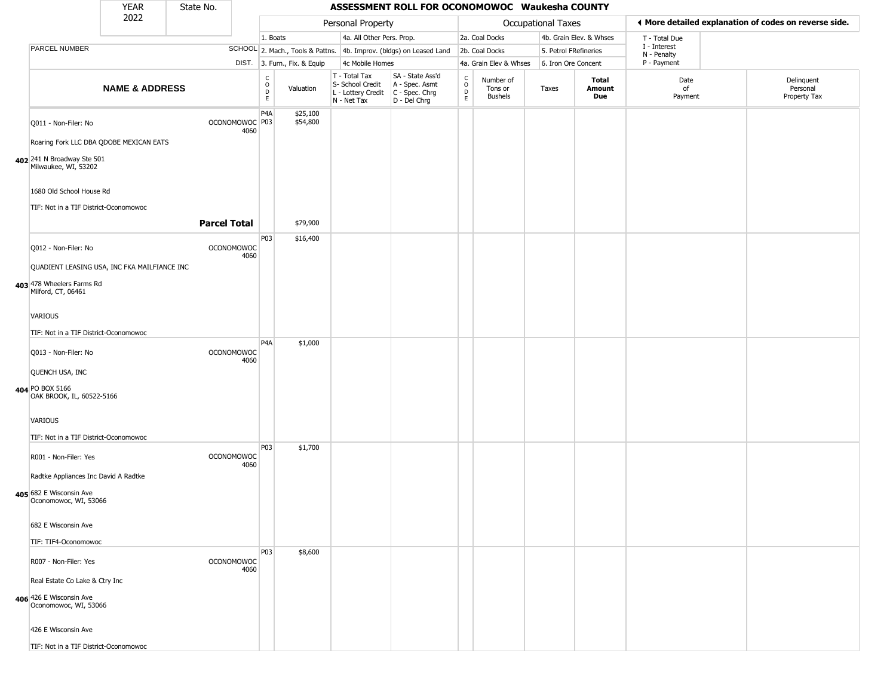|                                                                                               | <b>YEAR</b>               | State No.           |                                   |                                                          |                              |                                                  | ASSESSMENT ROLL FOR OCONOMOWOC Waukesha COUNTY                                              |                             |                                        |                           |                         |                             |                                                       |
|-----------------------------------------------------------------------------------------------|---------------------------|---------------------|-----------------------------------|----------------------------------------------------------|------------------------------|--------------------------------------------------|---------------------------------------------------------------------------------------------|-----------------------------|----------------------------------------|---------------------------|-------------------------|-----------------------------|-------------------------------------------------------|
|                                                                                               | 2022                      |                     |                                   |                                                          |                              | Personal Property                                |                                                                                             |                             |                                        | <b>Occupational Taxes</b> |                         |                             | ◀ More detailed explanation of codes on reverse side. |
|                                                                                               |                           |                     |                                   | 1. Boats                                                 |                              | 4a. All Other Pers. Prop.                        |                                                                                             |                             | 2a. Coal Docks                         |                           | 4b. Grain Elev. & Whses | T - Total Due               |                                                       |
| PARCEL NUMBER                                                                                 |                           |                     |                                   |                                                          |                              |                                                  | SCHOOL 2. Mach., Tools & Pattns. 4b. Improv. (bldgs) on Leased Land                         |                             | 2b. Coal Docks                         | 5. Petrol FRefineries     |                         | I - Interest<br>N - Penalty |                                                       |
|                                                                                               |                           |                     |                                   |                                                          | DIST. 3. Furn., Fix. & Equip | 4c Mobile Homes                                  |                                                                                             |                             | 4a. Grain Elev & Whses                 | 6. Iron Ore Concent       |                         | P - Payment                 |                                                       |
|                                                                                               | <b>NAME &amp; ADDRESS</b> |                     |                                   | $\begin{matrix} 0 \\ 0 \\ D \end{matrix}$<br>$\mathsf E$ | Valuation                    | T - Total Tax<br>S- School Credit<br>N - Net Tax | SA - State Ass'd<br>A - Spec. Asmt<br>$L$ - Lottery Credit $C$ - Spec. Chrg<br>D - Del Chrg | C<br>$\mathsf{o}$<br>D<br>E | Number of<br>Tons or<br><b>Bushels</b> | Taxes                     | Total<br>Amount<br>Due  | Date<br>of<br>Payment       | Delinquent<br>Personal<br>Property Tax                |
| Q011 - Non-Filer: No                                                                          |                           |                     | OCONOMOWOC <sup>P03</sup><br>4060 | P <sub>4</sub> A                                         | \$25,100<br>\$54,800         |                                                  |                                                                                             |                             |                                        |                           |                         |                             |                                                       |
| Roaring Fork LLC DBA QDOBE MEXICAN EATS<br>402 241 N Broadway Ste 501<br>Milwaukee, WI, 53202 |                           |                     |                                   |                                                          |                              |                                                  |                                                                                             |                             |                                        |                           |                         |                             |                                                       |
| 1680 Old School House Rd<br>TIF: Not in a TIF District-Oconomowoc                             |                           |                     |                                   |                                                          |                              |                                                  |                                                                                             |                             |                                        |                           |                         |                             |                                                       |
|                                                                                               |                           | <b>Parcel Total</b> |                                   |                                                          | \$79,900                     |                                                  |                                                                                             |                             |                                        |                           |                         |                             |                                                       |
| Q012 - Non-Filer: No                                                                          |                           |                     | <b>OCONOMOWOC</b><br>4060         | P03                                                      | \$16,400                     |                                                  |                                                                                             |                             |                                        |                           |                         |                             |                                                       |
| QUADIENT LEASING USA, INC FKA MAILFIANCE INC                                                  |                           |                     |                                   |                                                          |                              |                                                  |                                                                                             |                             |                                        |                           |                         |                             |                                                       |
| 403 478 Wheelers Farms Rd<br>Milford, CT, 06461                                               |                           |                     |                                   |                                                          |                              |                                                  |                                                                                             |                             |                                        |                           |                         |                             |                                                       |
| <b>VARIOUS</b>                                                                                |                           |                     |                                   |                                                          |                              |                                                  |                                                                                             |                             |                                        |                           |                         |                             |                                                       |
| TIF: Not in a TIF District-Oconomowoc                                                         |                           |                     |                                   | P4A                                                      | \$1,000                      |                                                  |                                                                                             |                             |                                        |                           |                         |                             |                                                       |
| Q013 - Non-Filer: No                                                                          |                           |                     | <b>OCONOMOWOC</b><br>4060         |                                                          |                              |                                                  |                                                                                             |                             |                                        |                           |                         |                             |                                                       |
| QUENCH USA, INC<br>404 PO BOX 5166                                                            |                           |                     |                                   |                                                          |                              |                                                  |                                                                                             |                             |                                        |                           |                         |                             |                                                       |
| OAK BROOK, IL, 60522-5166                                                                     |                           |                     |                                   |                                                          |                              |                                                  |                                                                                             |                             |                                        |                           |                         |                             |                                                       |
| <b>VARIOUS</b>                                                                                |                           |                     |                                   |                                                          |                              |                                                  |                                                                                             |                             |                                        |                           |                         |                             |                                                       |
| TIF: Not in a TIF District-Oconomowoc<br>R001 - Non-Filer: Yes                                |                           |                     | <b>OCONOMOWOC</b>                 | P03                                                      | \$1,700                      |                                                  |                                                                                             |                             |                                        |                           |                         |                             |                                                       |
| Radtke Appliances Inc David A Radtke                                                          |                           |                     | 4060                              |                                                          |                              |                                                  |                                                                                             |                             |                                        |                           |                         |                             |                                                       |
| 405 682 E Wisconsin Ave<br>Oconomowoc, WI, 53066                                              |                           |                     |                                   |                                                          |                              |                                                  |                                                                                             |                             |                                        |                           |                         |                             |                                                       |
| 682 E Wisconsin Ave                                                                           |                           |                     |                                   |                                                          |                              |                                                  |                                                                                             |                             |                                        |                           |                         |                             |                                                       |
| TIF: TIF4-Oconomowoc                                                                          |                           |                     |                                   |                                                          |                              |                                                  |                                                                                             |                             |                                        |                           |                         |                             |                                                       |
| R007 - Non-Filer: Yes                                                                         |                           |                     | <b>OCONOMOWOC</b><br>4060         | P03                                                      | \$8,600                      |                                                  |                                                                                             |                             |                                        |                           |                         |                             |                                                       |
| Real Estate Co Lake & Ctry Inc<br>406 426 E Wisconsin Ave<br>Oconomowoc, WI, 53066            |                           |                     |                                   |                                                          |                              |                                                  |                                                                                             |                             |                                        |                           |                         |                             |                                                       |
| 426 E Wisconsin Ave                                                                           |                           |                     |                                   |                                                          |                              |                                                  |                                                                                             |                             |                                        |                           |                         |                             |                                                       |
| TIF: Not in a TIF District-Oconomowoc                                                         |                           |                     |                                   |                                                          |                              |                                                  |                                                                                             |                             |                                        |                           |                         |                             |                                                       |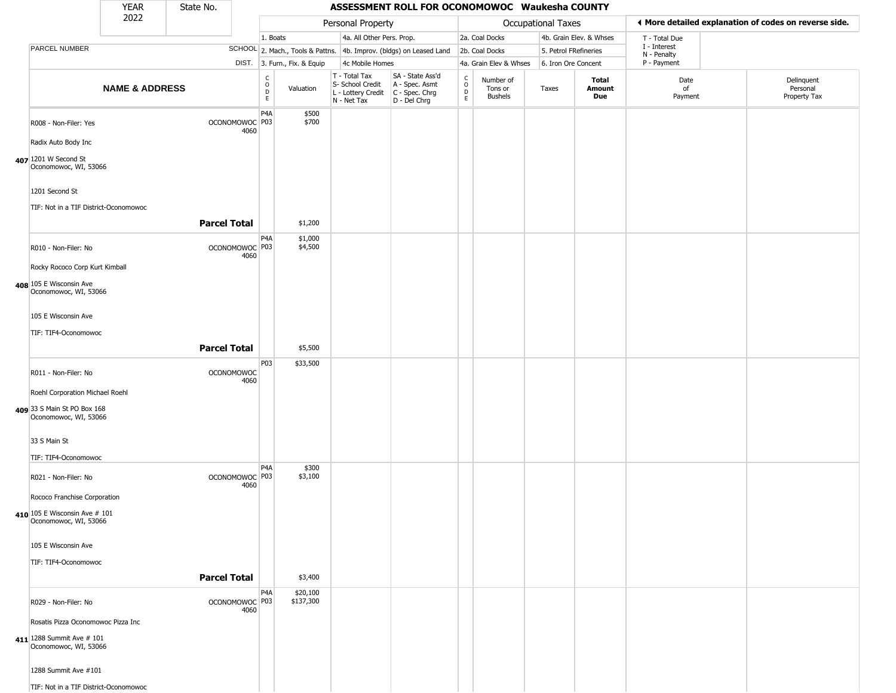|                                                        | <b>YEAR</b>               | State No.           |                                   |                                              |                              |                                                                        | ASSESSMENT ROLL FOR OCONOMOWOC Waukesha COUNTY                       |                                                |                                 |                       |                         |                             |                                                       |
|--------------------------------------------------------|---------------------------|---------------------|-----------------------------------|----------------------------------------------|------------------------------|------------------------------------------------------------------------|----------------------------------------------------------------------|------------------------------------------------|---------------------------------|-----------------------|-------------------------|-----------------------------|-------------------------------------------------------|
|                                                        | 2022                      |                     |                                   |                                              |                              | Personal Property                                                      |                                                                      |                                                |                                 | Occupational Taxes    |                         |                             | ◀ More detailed explanation of codes on reverse side. |
|                                                        |                           |                     |                                   | 1. Boats                                     |                              | 4a. All Other Pers. Prop.                                              |                                                                      |                                                | 2a. Coal Docks                  |                       | 4b. Grain Elev. & Whses | T - Total Due               |                                                       |
| PARCEL NUMBER                                          |                           |                     |                                   |                                              |                              |                                                                        | SCHOOL 2. Mach., Tools & Pattns. 4b. Improv. (bldgs) on Leased Land  |                                                | 2b. Coal Docks                  | 5. Petrol FRefineries |                         | I - Interest<br>N - Penalty |                                                       |
|                                                        |                           |                     |                                   |                                              | DIST. 3. Furn., Fix. & Equip | 4c Mobile Homes                                                        |                                                                      |                                                | 4a. Grain Elev & Whses          | 6. Iron Ore Concent   |                         | P - Payment                 |                                                       |
|                                                        | <b>NAME &amp; ADDRESS</b> |                     |                                   | $\begin{array}{c}\nC \\ O \\ D\n\end{array}$ | Valuation                    | T - Total Tax<br>S- School Credit<br>L - Lottery Credit<br>N - Net Tax | SA - State Ass'd<br>A - Spec. Asmt<br>C - Spec. Chrg<br>D - Del Chrg | $\frac{C}{O}$<br>$\overline{D}$<br>$\mathsf E$ | Number of<br>Tons or<br>Bushels | Taxes                 | Total<br>Amount<br>Due  | Date<br>of<br>Payment       | Delinquent<br>Personal<br>Property Tax                |
| R008 - Non-Filer: Yes<br>Radix Auto Body Inc           |                           |                     | OCONOMOWOC P03<br>4060            | P <sub>4</sub> A                             | \$500<br>\$700               |                                                                        |                                                                      |                                                |                                 |                       |                         |                             |                                                       |
| 407 1201 W Second St<br>Oconomowoc, WI, 53066          |                           |                     |                                   |                                              |                              |                                                                        |                                                                      |                                                |                                 |                       |                         |                             |                                                       |
| 1201 Second St                                         |                           |                     |                                   |                                              |                              |                                                                        |                                                                      |                                                |                                 |                       |                         |                             |                                                       |
| TIF: Not in a TIF District-Oconomowoc                  |                           | <b>Parcel Total</b> |                                   |                                              | \$1,200                      |                                                                        |                                                                      |                                                |                                 |                       |                         |                             |                                                       |
| R010 - Non-Filer: No                                   |                           |                     | OCONOMOWOC P03<br>4060            | P <sub>4</sub> A                             | \$1,000<br>\$4,500           |                                                                        |                                                                      |                                                |                                 |                       |                         |                             |                                                       |
| Rocky Rococo Corp Kurt Kimball                         |                           |                     |                                   |                                              |                              |                                                                        |                                                                      |                                                |                                 |                       |                         |                             |                                                       |
| 408 105 E Wisconsin Ave<br>Oconomowoc, WI, 53066       |                           |                     |                                   |                                              |                              |                                                                        |                                                                      |                                                |                                 |                       |                         |                             |                                                       |
| 105 E Wisconsin Ave                                    |                           |                     |                                   |                                              |                              |                                                                        |                                                                      |                                                |                                 |                       |                         |                             |                                                       |
| TIF: TIF4-Oconomowoc                                   |                           | <b>Parcel Total</b> |                                   |                                              | \$5,500                      |                                                                        |                                                                      |                                                |                                 |                       |                         |                             |                                                       |
| R011 - Non-Filer: No                                   |                           |                     | <b>OCONOMOWOC</b><br>4060         | P03                                          | \$33,500                     |                                                                        |                                                                      |                                                |                                 |                       |                         |                             |                                                       |
| Roehl Corporation Michael Roehl                        |                           |                     |                                   |                                              |                              |                                                                        |                                                                      |                                                |                                 |                       |                         |                             |                                                       |
| 409 33 S Main St PO Box 168<br>Oconomowoc, WI, 53066   |                           |                     |                                   |                                              |                              |                                                                        |                                                                      |                                                |                                 |                       |                         |                             |                                                       |
| 33 S Main St                                           |                           |                     |                                   |                                              |                              |                                                                        |                                                                      |                                                |                                 |                       |                         |                             |                                                       |
| TIF: TIF4-Oconomowoc                                   |                           |                     |                                   |                                              |                              |                                                                        |                                                                      |                                                |                                 |                       |                         |                             |                                                       |
| R021 - Non-Filer: No                                   |                           |                     | OCONOMOWOC <sup>P03</sup><br>4060 | P <sub>4</sub> A                             | \$300<br>\$3,100             |                                                                        |                                                                      |                                                |                                 |                       |                         |                             |                                                       |
| Rococo Franchise Corporation                           |                           |                     |                                   |                                              |                              |                                                                        |                                                                      |                                                |                                 |                       |                         |                             |                                                       |
| 410 105 E Wisconsin Ave # 101<br>Oconomowoc, WI, 53066 |                           |                     |                                   |                                              |                              |                                                                        |                                                                      |                                                |                                 |                       |                         |                             |                                                       |
| 105 E Wisconsin Ave                                    |                           |                     |                                   |                                              |                              |                                                                        |                                                                      |                                                |                                 |                       |                         |                             |                                                       |
| TIF: TIF4-Oconomowoc                                   |                           | <b>Parcel Total</b> |                                   |                                              | \$3,400                      |                                                                        |                                                                      |                                                |                                 |                       |                         |                             |                                                       |
| R029 - Non-Filer: No                                   |                           |                     | OCONOMOWOC P03<br>4060            | P <sub>4</sub> A                             | \$20,100<br>\$137,300        |                                                                        |                                                                      |                                                |                                 |                       |                         |                             |                                                       |
| Rosatis Pizza Oconomowoc Pizza Inc                     |                           |                     |                                   |                                              |                              |                                                                        |                                                                      |                                                |                                 |                       |                         |                             |                                                       |
| 411 1288 Summit Ave # 101<br>Oconomowoc, WI, 53066     |                           |                     |                                   |                                              |                              |                                                                        |                                                                      |                                                |                                 |                       |                         |                             |                                                       |
| 1288 Summit Ave #101                                   |                           |                     |                                   |                                              |                              |                                                                        |                                                                      |                                                |                                 |                       |                         |                             |                                                       |
| TIF: Not in a TIF District-Oconomowoc                  |                           |                     |                                   |                                              |                              |                                                                        |                                                                      |                                                |                                 |                       |                         |                             |                                                       |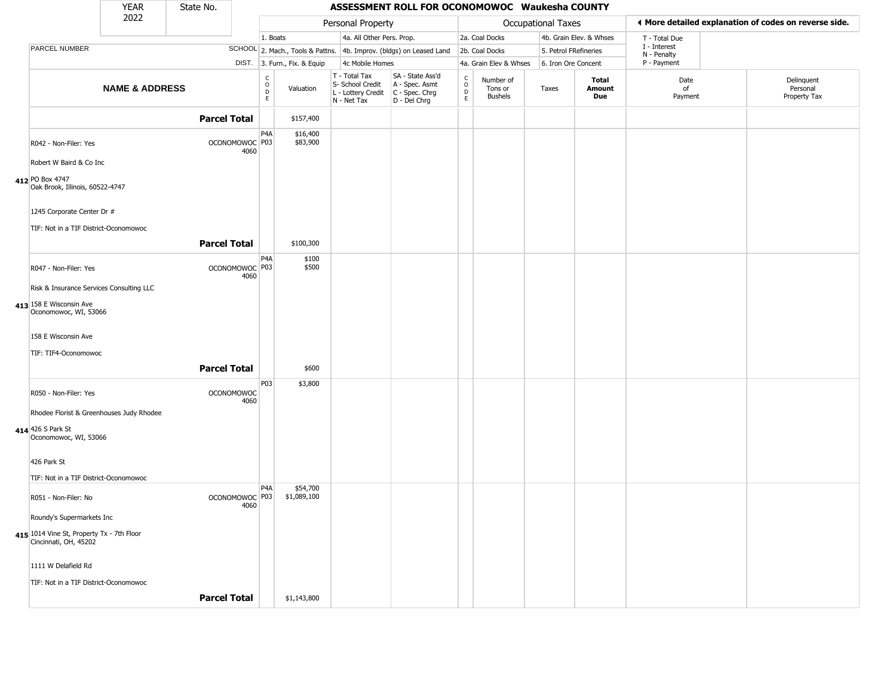|                                                                                  | <b>YEAR</b>               | State No.           |                                   |                              |                              |                                                                        | ASSESSMENT ROLL FOR OCONOMOWOC Waukesha COUNTY                         |                                                |                                 |                    |                         |                             |                                                       |
|----------------------------------------------------------------------------------|---------------------------|---------------------|-----------------------------------|------------------------------|------------------------------|------------------------------------------------------------------------|------------------------------------------------------------------------|------------------------------------------------|---------------------------------|--------------------|-------------------------|-----------------------------|-------------------------------------------------------|
|                                                                                  | 2022                      |                     |                                   |                              |                              | Personal Property                                                      |                                                                        |                                                |                                 | Occupational Taxes |                         |                             | ◀ More detailed explanation of codes on reverse side. |
|                                                                                  |                           |                     |                                   | 1. Boats                     |                              | 4a. All Other Pers. Prop.                                              |                                                                        |                                                | 2a. Coal Docks                  |                    | 4b. Grain Elev. & Whses | T - Total Due               |                                                       |
| PARCEL NUMBER                                                                    |                           |                     |                                   |                              |                              |                                                                        | SCHOOL 2. Mach., Tools & Pattns. 4b. Improv. (bldgs) on Leased Land    |                                                | 2b. Coal Docks                  |                    | 5. Petrol FRefineries   | I - Interest<br>N - Penalty |                                                       |
|                                                                                  |                           |                     |                                   |                              | DIST. 3. Furn., Fix. & Equip | 4c Mobile Homes                                                        |                                                                        |                                                | 4a. Grain Elev & Whses          |                    | 6. Iron Ore Concent     | P - Payment                 |                                                       |
|                                                                                  | <b>NAME &amp; ADDRESS</b> |                     |                                   | C<br>$_{\rm D}^{\rm O}$<br>E | Valuation                    | T - Total Tax<br>S- School Credit<br>L - Lottery Credit<br>N - Net Tax | SA - State Ass'd<br>A - Spec. Asmt<br>$C - Spec. Chrg$<br>D - Del Chrg | $\begin{matrix} 0 \\ 0 \\ 0 \end{matrix}$<br>E | Number of<br>Tons or<br>Bushels | Taxes              | Total<br>Amount<br>Due  | Date<br>of<br>Payment       | Delinquent<br>Personal<br>Property Tax                |
|                                                                                  |                           | <b>Parcel Total</b> |                                   |                              | \$157,400                    |                                                                        |                                                                        |                                                |                                 |                    |                         |                             |                                                       |
| R042 - Non-Filer: Yes<br>Robert W Baird & Co Inc                                 |                           |                     | OCONOMOWOC P03<br>4060            | P <sub>4</sub> A             | \$16,400<br>\$83,900         |                                                                        |                                                                        |                                                |                                 |                    |                         |                             |                                                       |
| 412 PO Box 4747<br>Oak Brook, Illinois, 60522-4747<br>1245 Corporate Center Dr # |                           |                     |                                   |                              |                              |                                                                        |                                                                        |                                                |                                 |                    |                         |                             |                                                       |
| TIF: Not in a TIF District-Oconomowoc                                            |                           |                     |                                   |                              |                              |                                                                        |                                                                        |                                                |                                 |                    |                         |                             |                                                       |
|                                                                                  |                           | <b>Parcel Total</b> |                                   |                              | \$100,300                    |                                                                        |                                                                        |                                                |                                 |                    |                         |                             |                                                       |
| R047 - Non-Filer: Yes                                                            |                           |                     | OCONOMOWOC <sup>P03</sup><br>4060 | P <sub>4</sub> A             | \$100<br>\$500               |                                                                        |                                                                        |                                                |                                 |                    |                         |                             |                                                       |
| Risk & Insurance Services Consulting LLC                                         |                           |                     |                                   |                              |                              |                                                                        |                                                                        |                                                |                                 |                    |                         |                             |                                                       |
| 413 158 E Wisconsin Ave<br>Oconomowoc, WI, 53066                                 |                           |                     |                                   |                              |                              |                                                                        |                                                                        |                                                |                                 |                    |                         |                             |                                                       |
| 158 E Wisconsin Ave                                                              |                           |                     |                                   |                              |                              |                                                                        |                                                                        |                                                |                                 |                    |                         |                             |                                                       |
| TIF: TIF4-Oconomowoc                                                             |                           | <b>Parcel Total</b> |                                   |                              | \$600                        |                                                                        |                                                                        |                                                |                                 |                    |                         |                             |                                                       |
| R050 - Non-Filer: Yes                                                            |                           |                     | <b>OCONOMOWOC</b><br>4060         | P03                          | \$3,800                      |                                                                        |                                                                        |                                                |                                 |                    |                         |                             |                                                       |
| Rhodee Florist & Greenhouses Judy Rhodee                                         |                           |                     |                                   |                              |                              |                                                                        |                                                                        |                                                |                                 |                    |                         |                             |                                                       |
| 414 426 S Park St<br>Oconomowoc, WI, 53066                                       |                           |                     |                                   |                              |                              |                                                                        |                                                                        |                                                |                                 |                    |                         |                             |                                                       |
| 426 Park St                                                                      |                           |                     |                                   |                              |                              |                                                                        |                                                                        |                                                |                                 |                    |                         |                             |                                                       |
| TIF: Not in a TIF District-Oconomowoc                                            |                           |                     |                                   |                              |                              |                                                                        |                                                                        |                                                |                                 |                    |                         |                             |                                                       |
| R051 - Non-Filer: No                                                             |                           |                     | OCONOMOWOC P03<br>4060            | P <sub>4</sub> A             | \$54,700<br>\$1,089,100      |                                                                        |                                                                        |                                                |                                 |                    |                         |                             |                                                       |
| Roundy's Supermarkets Inc                                                        |                           |                     |                                   |                              |                              |                                                                        |                                                                        |                                                |                                 |                    |                         |                             |                                                       |
| 415 1014 Vine St, Property Tx - 7th Floor<br>Cincinnati, OH, 45202               |                           |                     |                                   |                              |                              |                                                                        |                                                                        |                                                |                                 |                    |                         |                             |                                                       |
| 1111 W Delafield Rd                                                              |                           |                     |                                   |                              |                              |                                                                        |                                                                        |                                                |                                 |                    |                         |                             |                                                       |
| TIF: Not in a TIF District-Oconomowoc                                            |                           |                     |                                   |                              |                              |                                                                        |                                                                        |                                                |                                 |                    |                         |                             |                                                       |
|                                                                                  |                           | <b>Parcel Total</b> |                                   |                              | \$1,143,800                  |                                                                        |                                                                        |                                                |                                 |                    |                         |                             |                                                       |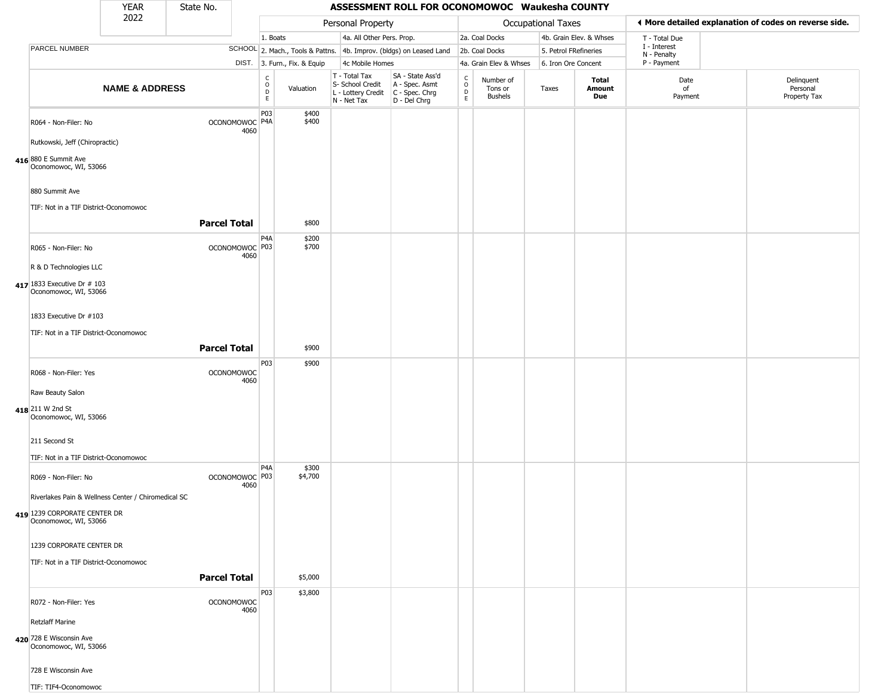|                                                        | <b>YEAR</b>               | State No.           |                                   |                                        |                              |                                                                        | ASSESSMENT ROLL FOR OCONOMOWOC Waukesha COUNTY                       |                                              |                                        |                       |                         |                             |                                                       |
|--------------------------------------------------------|---------------------------|---------------------|-----------------------------------|----------------------------------------|------------------------------|------------------------------------------------------------------------|----------------------------------------------------------------------|----------------------------------------------|----------------------------------------|-----------------------|-------------------------|-----------------------------|-------------------------------------------------------|
|                                                        | 2022                      |                     |                                   |                                        |                              | Personal Property                                                      |                                                                      |                                              |                                        | Occupational Taxes    |                         |                             | ♦ More detailed explanation of codes on reverse side. |
|                                                        |                           |                     |                                   | 1. Boats                               |                              | 4a. All Other Pers. Prop.                                              |                                                                      |                                              | 2a. Coal Docks                         |                       | 4b. Grain Elev. & Whses | T - Total Due               |                                                       |
| <b>PARCEL NUMBER</b>                                   |                           |                     |                                   |                                        |                              |                                                                        | SCHOOL 2. Mach., Tools & Pattns. 4b. Improv. (bldgs) on Leased Land  |                                              | 2b. Coal Docks                         | 5. Petrol FRefineries |                         | I - Interest<br>N - Penalty |                                                       |
|                                                        |                           |                     |                                   |                                        | DIST. 3. Furn., Fix. & Equip | 4c Mobile Homes                                                        |                                                                      |                                              | 4a. Grain Elev & Whses                 | 6. Iron Ore Concent   |                         | P - Payment                 |                                                       |
|                                                        | <b>NAME &amp; ADDRESS</b> |                     |                                   | $_{\rm o}^{\rm c}$<br>$\mathsf D$<br>E | Valuation                    | T - Total Tax<br>S- School Credit<br>L - Lottery Credit<br>N - Net Tax | SA - State Ass'd<br>A - Spec. Asmt<br>C - Spec. Chrg<br>D - Del Chrg | $\begin{array}{c}\nC \\ O \\ D\n\end{array}$ | Number of<br>Tons or<br><b>Bushels</b> | Taxes                 | Total<br>Amount<br>Due  | Date<br>of<br>Payment       | Delinquent<br>Personal<br>Property Tax                |
| R064 - Non-Filer: No<br>Rutkowski, Jeff (Chiropractic) |                           |                     | OCONOMOWOC P4A<br>4060            | P03                                    | \$400<br>\$400               |                                                                        |                                                                      |                                              |                                        |                       |                         |                             |                                                       |
| 416 880 E Summit Ave<br>Oconomowoc, WI, 53066          |                           |                     |                                   |                                        |                              |                                                                        |                                                                      |                                              |                                        |                       |                         |                             |                                                       |
| 880 Summit Ave                                         |                           |                     |                                   |                                        |                              |                                                                        |                                                                      |                                              |                                        |                       |                         |                             |                                                       |
| TIF: Not in a TIF District-Oconomowoc                  |                           | <b>Parcel Total</b> |                                   |                                        | \$800                        |                                                                        |                                                                      |                                              |                                        |                       |                         |                             |                                                       |
| R065 - Non-Filer: No                                   |                           |                     | OCONOMOWOC <sup>P03</sup><br>4060 | P <sub>4</sub> A                       | \$200<br>\$700               |                                                                        |                                                                      |                                              |                                        |                       |                         |                             |                                                       |
| R & D Technologies LLC                                 |                           |                     |                                   |                                        |                              |                                                                        |                                                                      |                                              |                                        |                       |                         |                             |                                                       |
| 417 1833 Executive Dr # 103<br>Oconomowoc, WI, 53066   |                           |                     |                                   |                                        |                              |                                                                        |                                                                      |                                              |                                        |                       |                         |                             |                                                       |
| 1833 Executive Dr #103                                 |                           |                     |                                   |                                        |                              |                                                                        |                                                                      |                                              |                                        |                       |                         |                             |                                                       |
| TIF: Not in a TIF District-Oconomowoc                  |                           |                     |                                   |                                        |                              |                                                                        |                                                                      |                                              |                                        |                       |                         |                             |                                                       |
|                                                        |                           | <b>Parcel Total</b> |                                   |                                        | \$900                        |                                                                        |                                                                      |                                              |                                        |                       |                         |                             |                                                       |
| R068 - Non-Filer: Yes                                  |                           |                     | <b>OCONOMOWOC</b><br>4060         | P03                                    | \$900                        |                                                                        |                                                                      |                                              |                                        |                       |                         |                             |                                                       |
| Raw Beauty Salon                                       |                           |                     |                                   |                                        |                              |                                                                        |                                                                      |                                              |                                        |                       |                         |                             |                                                       |
| 418 211 W 2nd St<br>Oconomowoc, WI, 53066              |                           |                     |                                   |                                        |                              |                                                                        |                                                                      |                                              |                                        |                       |                         |                             |                                                       |
| 211 Second St                                          |                           |                     |                                   |                                        |                              |                                                                        |                                                                      |                                              |                                        |                       |                         |                             |                                                       |
| TIF: Not in a TIF District-Oconomowoc                  |                           |                     |                                   |                                        |                              |                                                                        |                                                                      |                                              |                                        |                       |                         |                             |                                                       |
| R069 - Non-Filer: No                                   |                           |                     | OCONOMOWOC P03<br>4060            | P <sub>4</sub> A                       | \$300<br>\$4,700             |                                                                        |                                                                      |                                              |                                        |                       |                         |                             |                                                       |
| Riverlakes Pain & Wellness Center / Chiromedical SC    |                           |                     |                                   |                                        |                              |                                                                        |                                                                      |                                              |                                        |                       |                         |                             |                                                       |
| 419 1239 CORPORATE CENTER DR<br>Oconomowoc, WI, 53066  |                           |                     |                                   |                                        |                              |                                                                        |                                                                      |                                              |                                        |                       |                         |                             |                                                       |
| 1239 CORPORATE CENTER DR                               |                           |                     |                                   |                                        |                              |                                                                        |                                                                      |                                              |                                        |                       |                         |                             |                                                       |
| TIF: Not in a TIF District-Oconomowoc                  |                           |                     |                                   |                                        |                              |                                                                        |                                                                      |                                              |                                        |                       |                         |                             |                                                       |
|                                                        |                           | <b>Parcel Total</b> |                                   |                                        | \$5,000                      |                                                                        |                                                                      |                                              |                                        |                       |                         |                             |                                                       |
| R072 - Non-Filer: Yes                                  |                           |                     | <b>OCONOMOWOC</b><br>4060         | P03                                    | \$3,800                      |                                                                        |                                                                      |                                              |                                        |                       |                         |                             |                                                       |
| <b>Retzlaff Marine</b>                                 |                           |                     |                                   |                                        |                              |                                                                        |                                                                      |                                              |                                        |                       |                         |                             |                                                       |
| 420 728 E Wisconsin Ave<br>Oconomowoc, WI, 53066       |                           |                     |                                   |                                        |                              |                                                                        |                                                                      |                                              |                                        |                       |                         |                             |                                                       |
| 728 E Wisconsin Ave                                    |                           |                     |                                   |                                        |                              |                                                                        |                                                                      |                                              |                                        |                       |                         |                             |                                                       |
| TIF: TIF4-Oconomowoc                                   |                           |                     |                                   |                                        |                              |                                                                        |                                                                      |                                              |                                        |                       |                         |                             |                                                       |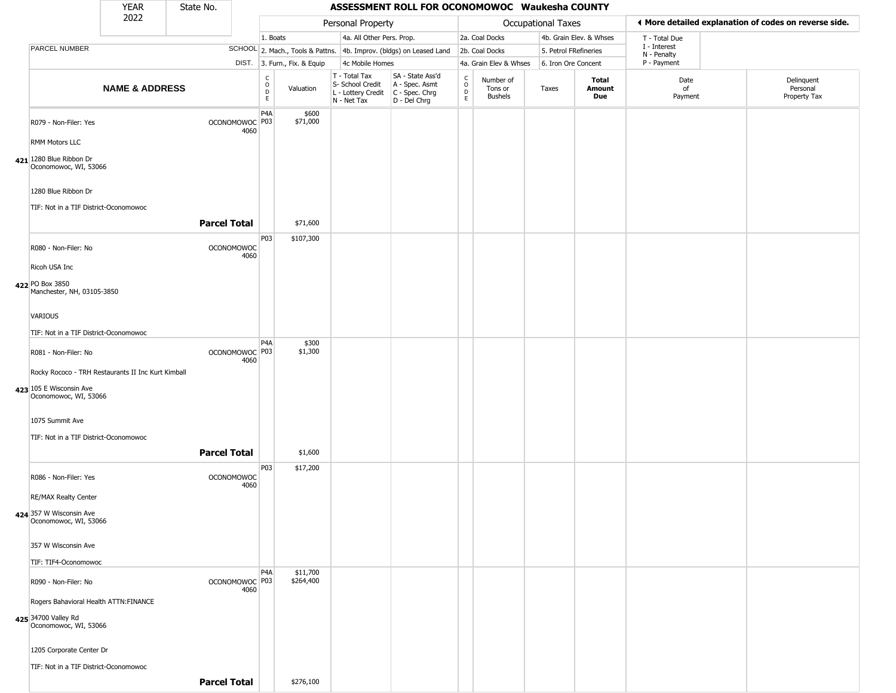|                                                              | <b>YEAR</b>               | State No.           |                           |                          |                              |                                                                        | ASSESSMENT ROLL FOR OCONOMOWOC Waukesha COUNTY                       |                                                |                                        |                       |                         |                             |                                                       |
|--------------------------------------------------------------|---------------------------|---------------------|---------------------------|--------------------------|------------------------------|------------------------------------------------------------------------|----------------------------------------------------------------------|------------------------------------------------|----------------------------------------|-----------------------|-------------------------|-----------------------------|-------------------------------------------------------|
|                                                              | 2022                      |                     |                           |                          |                              | Personal Property                                                      |                                                                      |                                                |                                        | Occupational Taxes    |                         |                             | ◀ More detailed explanation of codes on reverse side. |
|                                                              |                           |                     |                           | 1. Boats                 |                              | 4a. All Other Pers. Prop.                                              |                                                                      |                                                | 2a. Coal Docks                         |                       | 4b. Grain Elev. & Whses | T - Total Due               |                                                       |
| PARCEL NUMBER                                                |                           |                     |                           |                          |                              |                                                                        | SCHOOL 2. Mach., Tools & Pattns. 4b. Improv. (bldgs) on Leased Land  |                                                | 2b. Coal Docks                         | 5. Petrol FRefineries |                         | I - Interest<br>N - Penalty |                                                       |
|                                                              |                           |                     |                           |                          | DIST. 3. Furn., Fix. & Equip | 4c Mobile Homes                                                        |                                                                      |                                                | 4a. Grain Elev & Whses                 | 6. Iron Ore Concent   |                         | P - Payment                 |                                                       |
|                                                              | <b>NAME &amp; ADDRESS</b> |                     |                           | C<br>$\overline{D}$<br>E | Valuation                    | T - Total Tax<br>S- School Credit<br>L - Lottery Credit<br>N - Net Tax | SA - State Ass'd<br>A - Spec. Asmt<br>C - Spec. Chrg<br>D - Del Chrg | $\begin{matrix} 0 \\ 0 \\ D \end{matrix}$<br>E | Number of<br>Tons or<br><b>Bushels</b> | Taxes                 | Total<br>Amount<br>Due  | Date<br>of<br>Payment       | Delinquent<br>Personal<br>Property Tax                |
| R079 - Non-Filer: Yes                                        |                           |                     | OCONOMOWOC P03<br>4060    | P <sub>4</sub> A         | \$600<br>\$71,000            |                                                                        |                                                                      |                                                |                                        |                       |                         |                             |                                                       |
| RMM Motors LLC                                               |                           |                     |                           |                          |                              |                                                                        |                                                                      |                                                |                                        |                       |                         |                             |                                                       |
| 421 1280 Blue Ribbon Dr<br>Oconomowoc, WI, 53066             |                           |                     |                           |                          |                              |                                                                        |                                                                      |                                                |                                        |                       |                         |                             |                                                       |
| 1280 Blue Ribbon Dr<br>TIF: Not in a TIF District-Oconomowoc |                           |                     |                           |                          |                              |                                                                        |                                                                      |                                                |                                        |                       |                         |                             |                                                       |
|                                                              |                           | <b>Parcel Total</b> |                           |                          | \$71,600                     |                                                                        |                                                                      |                                                |                                        |                       |                         |                             |                                                       |
| R080 - Non-Filer: No                                         |                           |                     | <b>OCONOMOWOC</b><br>4060 | P03                      | \$107,300                    |                                                                        |                                                                      |                                                |                                        |                       |                         |                             |                                                       |
| Ricoh USA Inc                                                |                           |                     |                           |                          |                              |                                                                        |                                                                      |                                                |                                        |                       |                         |                             |                                                       |
| 422 PO Box 3850<br>Manchester, NH, 03105-3850                |                           |                     |                           |                          |                              |                                                                        |                                                                      |                                                |                                        |                       |                         |                             |                                                       |
| <b>VARIOUS</b>                                               |                           |                     |                           |                          |                              |                                                                        |                                                                      |                                                |                                        |                       |                         |                             |                                                       |
| TIF: Not in a TIF District-Oconomowoc                        |                           |                     |                           |                          |                              |                                                                        |                                                                      |                                                |                                        |                       |                         |                             |                                                       |
| R081 - Non-Filer: No                                         |                           |                     | OCONOMOWOC P03            | P <sub>4</sub> A         | \$300<br>\$1,300             |                                                                        |                                                                      |                                                |                                        |                       |                         |                             |                                                       |
| Rocky Rococo - TRH Restaurants II Inc Kurt Kimball           |                           |                     | 4060                      |                          |                              |                                                                        |                                                                      |                                                |                                        |                       |                         |                             |                                                       |
| 423 105 E Wisconsin Ave                                      |                           |                     |                           |                          |                              |                                                                        |                                                                      |                                                |                                        |                       |                         |                             |                                                       |
| Oconomowoc, WI, 53066                                        |                           |                     |                           |                          |                              |                                                                        |                                                                      |                                                |                                        |                       |                         |                             |                                                       |
| 1075 Summit Ave                                              |                           |                     |                           |                          |                              |                                                                        |                                                                      |                                                |                                        |                       |                         |                             |                                                       |
| TIF: Not in a TIF District-Oconomowoc                        |                           |                     |                           |                          |                              |                                                                        |                                                                      |                                                |                                        |                       |                         |                             |                                                       |
|                                                              |                           | <b>Parcel Total</b> |                           |                          | \$1,600                      |                                                                        |                                                                      |                                                |                                        |                       |                         |                             |                                                       |
| R086 - Non-Filer: Yes                                        |                           |                     | <b>OCONOMOWOC</b><br>4060 | P03                      | \$17,200                     |                                                                        |                                                                      |                                                |                                        |                       |                         |                             |                                                       |
| <b>RE/MAX Realty Center</b>                                  |                           |                     |                           |                          |                              |                                                                        |                                                                      |                                                |                                        |                       |                         |                             |                                                       |
| 424 357 W Wisconsin Ave<br>Oconomowoc, WI, 53066             |                           |                     |                           |                          |                              |                                                                        |                                                                      |                                                |                                        |                       |                         |                             |                                                       |
| 357 W Wisconsin Ave                                          |                           |                     |                           |                          |                              |                                                                        |                                                                      |                                                |                                        |                       |                         |                             |                                                       |
| TIF: TIF4-Oconomowoc                                         |                           |                     |                           |                          |                              |                                                                        |                                                                      |                                                |                                        |                       |                         |                             |                                                       |
| R090 - Non-Filer: No                                         |                           |                     | OCONOMOWOC P03<br>4060    | P <sub>4</sub> A         | \$11,700<br>\$264,400        |                                                                        |                                                                      |                                                |                                        |                       |                         |                             |                                                       |
| Rogers Bahavioral Health ATTN: FINANCE                       |                           |                     |                           |                          |                              |                                                                        |                                                                      |                                                |                                        |                       |                         |                             |                                                       |
| 425 34700 Valley Rd<br>Oconomowoc, WI, 53066                 |                           |                     |                           |                          |                              |                                                                        |                                                                      |                                                |                                        |                       |                         |                             |                                                       |
| 1205 Corporate Center Dr                                     |                           |                     |                           |                          |                              |                                                                        |                                                                      |                                                |                                        |                       |                         |                             |                                                       |
| TIF: Not in a TIF District-Oconomowoc                        |                           |                     |                           |                          |                              |                                                                        |                                                                      |                                                |                                        |                       |                         |                             |                                                       |
|                                                              |                           | <b>Parcel Total</b> |                           |                          | \$276,100                    |                                                                        |                                                                      |                                                |                                        |                       |                         |                             |                                                       |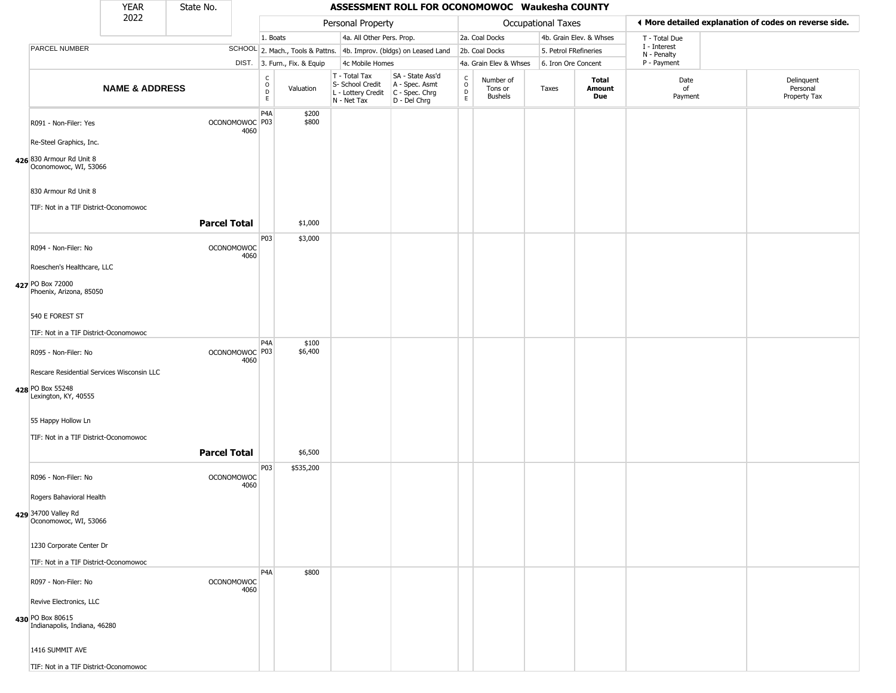|                                                                                        | <b>YEAR</b>               | State No.           |                           |                         |                              |                                                                        | ASSESSMENT ROLL FOR OCONOMOWOC Waukesha COUNTY                         |                                 |                                        |                           |                               |                             |                                                       |
|----------------------------------------------------------------------------------------|---------------------------|---------------------|---------------------------|-------------------------|------------------------------|------------------------------------------------------------------------|------------------------------------------------------------------------|---------------------------------|----------------------------------------|---------------------------|-------------------------------|-----------------------------|-------------------------------------------------------|
|                                                                                        | 2022                      |                     |                           |                         |                              | Personal Property                                                      |                                                                        |                                 |                                        | <b>Occupational Taxes</b> |                               |                             | ♦ More detailed explanation of codes on reverse side. |
|                                                                                        |                           |                     |                           | 1. Boats                |                              | 4a. All Other Pers. Prop.                                              |                                                                        |                                 | 2a. Coal Docks                         |                           | 4b. Grain Elev. & Whses       | T - Total Due               |                                                       |
| PARCEL NUMBER                                                                          |                           |                     |                           |                         |                              |                                                                        | SCHOOL 2. Mach., Tools & Pattns. 4b. Improv. (bldgs) on Leased Land    |                                 | 2b. Coal Docks                         |                           | 5. Petrol FRefineries         | I - Interest<br>N - Penalty |                                                       |
|                                                                                        |                           |                     |                           |                         | DIST. 3. Furn., Fix. & Equip | 4c Mobile Homes                                                        |                                                                        |                                 | 4a. Grain Elev & Whses                 | 6. Iron Ore Concent       |                               | P - Payment                 |                                                       |
|                                                                                        | <b>NAME &amp; ADDRESS</b> |                     |                           | $\frac{c}{0}$<br>D<br>E | Valuation                    | T - Total Tax<br>S- School Credit<br>L - Lottery Credit<br>N - Net Tax | SA - State Ass'd<br>A - Spec. Asmt<br>$C - Spec. Chrg$<br>D - Del Chrg | $\rm ^c_o$<br>$\mathsf{D}$<br>E | Number of<br>Tons or<br><b>Bushels</b> | Taxes                     | <b>Total</b><br>Amount<br>Due | Date<br>of<br>Payment       | Delinquent<br>Personal<br>Property Tax                |
| R091 - Non-Filer: Yes                                                                  |                           |                     | OCONOMOWOC P03<br>4060    | P <sub>4</sub> A        | \$200<br>\$800               |                                                                        |                                                                        |                                 |                                        |                           |                               |                             |                                                       |
| Re-Steel Graphics, Inc.<br>426 830 Armour Rd Unit 8<br>Oconomowoc, WI, 53066           |                           |                     |                           |                         |                              |                                                                        |                                                                        |                                 |                                        |                           |                               |                             |                                                       |
| 830 Armour Rd Unit 8<br>TIF: Not in a TIF District-Oconomowoc                          |                           |                     |                           |                         |                              |                                                                        |                                                                        |                                 |                                        |                           |                               |                             |                                                       |
|                                                                                        |                           | <b>Parcel Total</b> |                           |                         | \$1,000                      |                                                                        |                                                                        |                                 |                                        |                           |                               |                             |                                                       |
| R094 - Non-Filer: No<br>Roeschen's Healthcare, LLC                                     |                           |                     | <b>OCONOMOWOC</b><br>4060 | P03                     | \$3,000                      |                                                                        |                                                                        |                                 |                                        |                           |                               |                             |                                                       |
| 427 PO Box 72000<br>Phoenix, Arizona, 85050                                            |                           |                     |                           |                         |                              |                                                                        |                                                                        |                                 |                                        |                           |                               |                             |                                                       |
| 540 E FOREST ST<br>TIF: Not in a TIF District-Oconomowoc                               |                           |                     |                           |                         |                              |                                                                        |                                                                        |                                 |                                        |                           |                               |                             |                                                       |
| R095 - Non-Filer: No                                                                   |                           |                     | OCONOMOWOC P03<br>4060    | P <sub>4</sub> A        | \$100<br>\$6,400             |                                                                        |                                                                        |                                 |                                        |                           |                               |                             |                                                       |
| Rescare Residential Services Wisconsin LLC<br>428 PO Box 55248<br>Lexington, KY, 40555 |                           |                     |                           |                         |                              |                                                                        |                                                                        |                                 |                                        |                           |                               |                             |                                                       |
| 55 Happy Hollow Ln<br>TIF: Not in a TIF District-Oconomowoc                            |                           |                     |                           |                         |                              |                                                                        |                                                                        |                                 |                                        |                           |                               |                             |                                                       |
|                                                                                        |                           | <b>Parcel Total</b> |                           |                         | \$6,500                      |                                                                        |                                                                        |                                 |                                        |                           |                               |                             |                                                       |
| R096 - Non-Filer: No<br>Rogers Bahavioral Health                                       |                           |                     | <b>OCONOMOWOC</b><br>4060 | P03                     | \$535,200                    |                                                                        |                                                                        |                                 |                                        |                           |                               |                             |                                                       |
| 429 34700 Valley Rd<br>Oconomowoc, WI, 53066                                           |                           |                     |                           |                         |                              |                                                                        |                                                                        |                                 |                                        |                           |                               |                             |                                                       |
| 1230 Corporate Center Dr<br>TIF: Not in a TIF District-Oconomowoc                      |                           |                     |                           |                         |                              |                                                                        |                                                                        |                                 |                                        |                           |                               |                             |                                                       |
| R097 - Non-Filer: No                                                                   |                           |                     | <b>OCONOMOWOC</b><br>4060 | P <sub>4</sub> A        | \$800                        |                                                                        |                                                                        |                                 |                                        |                           |                               |                             |                                                       |
| Revive Electronics, LLC<br>430 PO Box 80615<br>Indianapolis, Indiana, 46280            |                           |                     |                           |                         |                              |                                                                        |                                                                        |                                 |                                        |                           |                               |                             |                                                       |
| 1416 SUMMIT AVE                                                                        |                           |                     |                           |                         |                              |                                                                        |                                                                        |                                 |                                        |                           |                               |                             |                                                       |
| TIF: Not in a TIF District-Oconomowoc                                                  |                           |                     |                           |                         |                              |                                                                        |                                                                        |                                 |                                        |                           |                               |                             |                                                       |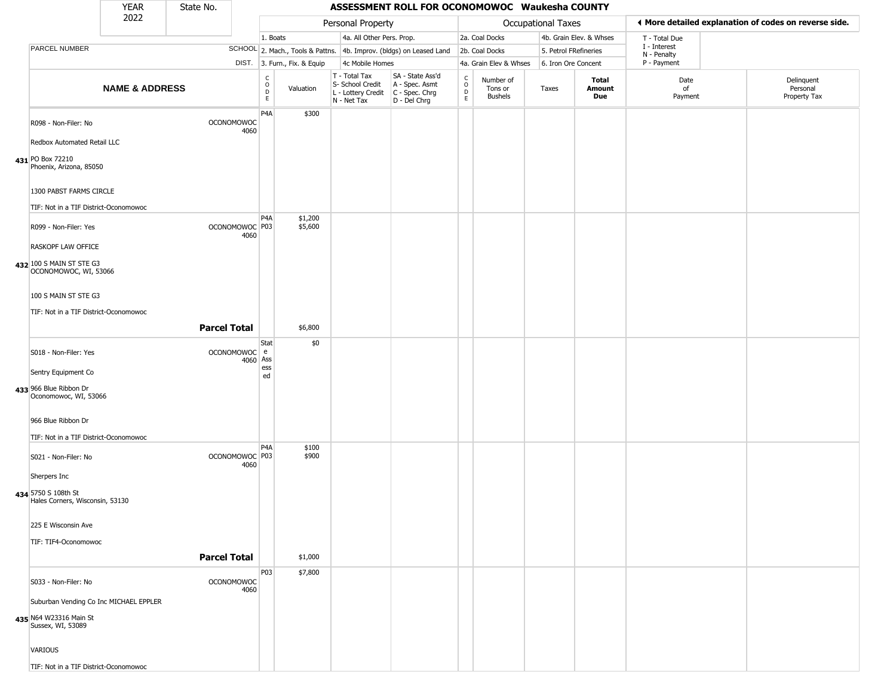|                                                                                       | <b>YEAR</b>               | State No.           |                                   |                                                  |                              |                                                                        | ASSESSMENT ROLL FOR OCONOMOWOC Waukesha COUNTY                         |                                                                               |                                        |                       |                               |                             |                                                       |
|---------------------------------------------------------------------------------------|---------------------------|---------------------|-----------------------------------|--------------------------------------------------|------------------------------|------------------------------------------------------------------------|------------------------------------------------------------------------|-------------------------------------------------------------------------------|----------------------------------------|-----------------------|-------------------------------|-----------------------------|-------------------------------------------------------|
|                                                                                       | 2022                      |                     |                                   |                                                  |                              | Personal Property                                                      |                                                                        |                                                                               |                                        | Occupational Taxes    |                               |                             | ◀ More detailed explanation of codes on reverse side. |
|                                                                                       |                           |                     |                                   | 1. Boats                                         |                              | 4a. All Other Pers. Prop.                                              |                                                                        |                                                                               | 2a. Coal Docks                         |                       | 4b. Grain Elev. & Whses       | T - Total Due               |                                                       |
| PARCEL NUMBER                                                                         |                           |                     |                                   |                                                  |                              |                                                                        | SCHOOL 2. Mach., Tools & Pattns. 4b. Improv. (bldgs) on Leased Land    |                                                                               | 2b. Coal Docks                         | 5. Petrol FRefineries |                               | I - Interest<br>N - Penalty |                                                       |
|                                                                                       |                           |                     |                                   |                                                  | DIST. 3. Furn., Fix. & Equip | 4c Mobile Homes                                                        |                                                                        |                                                                               | 4a. Grain Elev & Whses                 | 6. Iron Ore Concent   |                               | P - Payment                 |                                                       |
|                                                                                       | <b>NAME &amp; ADDRESS</b> |                     |                                   | $_{\rm o}^{\rm c}$<br>$\mathsf D$<br>$\mathsf E$ | Valuation                    | T - Total Tax<br>S- School Credit<br>L - Lottery Credit<br>N - Net Tax | SA - State Ass'd<br>A - Spec. Asmt<br>$C - Spec. Chrg$<br>D - Del Chrg | $_{\rm o}^{\rm c}$<br>$\begin{array}{c} \mathsf{D} \\ \mathsf{E} \end{array}$ | Number of<br>Tons or<br><b>Bushels</b> | Taxes                 | <b>Total</b><br>Amount<br>Due | Date<br>of<br>Payment       | Delinquent<br>Personal<br>Property Tax                |
| R098 - Non-Filer: No<br>Redbox Automated Retail LLC                                   |                           |                     | <b>OCONOMOWOC</b><br>4060         | P <sub>4</sub> A                                 | \$300                        |                                                                        |                                                                        |                                                                               |                                        |                       |                               |                             |                                                       |
| 431 PO Box 72210<br>Phoenix, Arizona, 85050                                           |                           |                     |                                   |                                                  |                              |                                                                        |                                                                        |                                                                               |                                        |                       |                               |                             |                                                       |
| 1300 PABST FARMS CIRCLE                                                               |                           |                     |                                   |                                                  |                              |                                                                        |                                                                        |                                                                               |                                        |                       |                               |                             |                                                       |
| TIF: Not in a TIF District-Oconomowoc                                                 |                           |                     |                                   | P4A                                              | \$1,200                      |                                                                        |                                                                        |                                                                               |                                        |                       |                               |                             |                                                       |
| R099 - Non-Filer: Yes                                                                 |                           |                     | OCONOMOWOC <sup>P03</sup><br>4060 |                                                  | \$5,600                      |                                                                        |                                                                        |                                                                               |                                        |                       |                               |                             |                                                       |
| RASKOPF LAW OFFICE                                                                    |                           |                     |                                   |                                                  |                              |                                                                        |                                                                        |                                                                               |                                        |                       |                               |                             |                                                       |
| 432 100 S MAIN ST STE G3<br>OCONOMOWOC, WI, 53066                                     |                           |                     |                                   |                                                  |                              |                                                                        |                                                                        |                                                                               |                                        |                       |                               |                             |                                                       |
| 100 S MAIN ST STE G3                                                                  |                           |                     |                                   |                                                  |                              |                                                                        |                                                                        |                                                                               |                                        |                       |                               |                             |                                                       |
| TIF: Not in a TIF District-Oconomowoc                                                 |                           |                     |                                   |                                                  |                              |                                                                        |                                                                        |                                                                               |                                        |                       |                               |                             |                                                       |
|                                                                                       |                           | <b>Parcel Total</b> |                                   |                                                  | \$6,800                      |                                                                        |                                                                        |                                                                               |                                        |                       |                               |                             |                                                       |
| S018 - Non-Filer: Yes                                                                 |                           |                     | OCONOMOWOC e<br>4060              | Stat<br>Ass                                      | \$0                          |                                                                        |                                                                        |                                                                               |                                        |                       |                               |                             |                                                       |
| Sentry Equipment Co                                                                   |                           |                     |                                   | ess<br>ed                                        |                              |                                                                        |                                                                        |                                                                               |                                        |                       |                               |                             |                                                       |
| 433 966 Blue Ribbon Dr<br>Oconomowoc, WI, 53066                                       |                           |                     |                                   |                                                  |                              |                                                                        |                                                                        |                                                                               |                                        |                       |                               |                             |                                                       |
| 966 Blue Ribbon Dr                                                                    |                           |                     |                                   |                                                  |                              |                                                                        |                                                                        |                                                                               |                                        |                       |                               |                             |                                                       |
| TIF: Not in a TIF District-Oconomowoc                                                 |                           |                     |                                   | P4A                                              | \$100                        |                                                                        |                                                                        |                                                                               |                                        |                       |                               |                             |                                                       |
| S021 - Non-Filer: No                                                                  |                           |                     | OCONOMOWOC P03<br>4060            |                                                  | \$900                        |                                                                        |                                                                        |                                                                               |                                        |                       |                               |                             |                                                       |
| Sherpers Inc                                                                          |                           |                     |                                   |                                                  |                              |                                                                        |                                                                        |                                                                               |                                        |                       |                               |                             |                                                       |
| 434 5750 S 108th St<br>Hales Corners, Wisconsin, 53130                                |                           |                     |                                   |                                                  |                              |                                                                        |                                                                        |                                                                               |                                        |                       |                               |                             |                                                       |
| 225 E Wisconsin Ave                                                                   |                           |                     |                                   |                                                  |                              |                                                                        |                                                                        |                                                                               |                                        |                       |                               |                             |                                                       |
| TIF: TIF4-Oconomowoc                                                                  |                           |                     |                                   |                                                  |                              |                                                                        |                                                                        |                                                                               |                                        |                       |                               |                             |                                                       |
|                                                                                       |                           | <b>Parcel Total</b> |                                   |                                                  | \$1,000                      |                                                                        |                                                                        |                                                                               |                                        |                       |                               |                             |                                                       |
| S033 - Non-Filer: No                                                                  |                           |                     | <b>OCONOMOWOC</b><br>4060         | P03                                              | \$7,800                      |                                                                        |                                                                        |                                                                               |                                        |                       |                               |                             |                                                       |
| Suburban Vending Co Inc MICHAEL EPPLER<br>435 N64 W23316 Main St<br>Sussex, WI, 53089 |                           |                     |                                   |                                                  |                              |                                                                        |                                                                        |                                                                               |                                        |                       |                               |                             |                                                       |
| VARIOUS                                                                               |                           |                     |                                   |                                                  |                              |                                                                        |                                                                        |                                                                               |                                        |                       |                               |                             |                                                       |
| TIF: Not in a TIF District-Oconomowoc                                                 |                           |                     |                                   |                                                  |                              |                                                                        |                                                                        |                                                                               |                                        |                       |                               |                             |                                                       |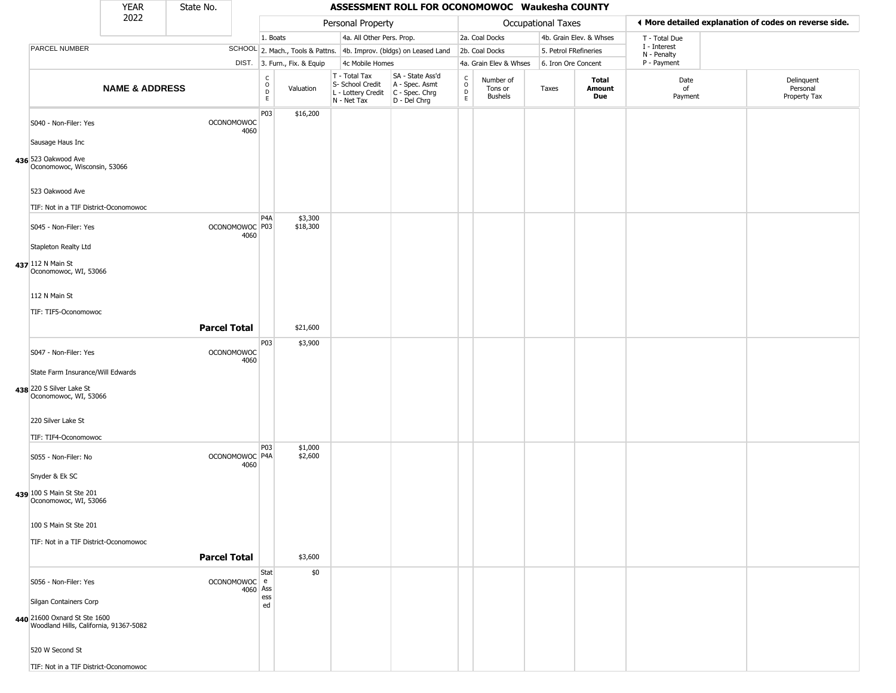|                                                                        | <b>YEAR</b>               | State No.           |                                   |                                                          |                              |                                                                        | ASSESSMENT ROLL FOR OCONOMOWOC Waukesha COUNTY                       |                                           |                                        |                           |                         |                             |                                                       |
|------------------------------------------------------------------------|---------------------------|---------------------|-----------------------------------|----------------------------------------------------------|------------------------------|------------------------------------------------------------------------|----------------------------------------------------------------------|-------------------------------------------|----------------------------------------|---------------------------|-------------------------|-----------------------------|-------------------------------------------------------|
|                                                                        | 2022                      |                     |                                   |                                                          |                              | Personal Property                                                      |                                                                      |                                           |                                        | <b>Occupational Taxes</b> |                         |                             | ◀ More detailed explanation of codes on reverse side. |
|                                                                        |                           |                     |                                   | 1. Boats                                                 |                              | 4a. All Other Pers. Prop.                                              |                                                                      |                                           | 2a. Coal Docks                         |                           | 4b. Grain Elev. & Whses | T - Total Due               |                                                       |
| PARCEL NUMBER                                                          |                           |                     |                                   |                                                          |                              |                                                                        | SCHOOL 2. Mach., Tools & Pattns. 4b. Improv. (bldgs) on Leased Land  |                                           | 2b. Coal Docks                         | 5. Petrol FRefineries     |                         | I - Interest<br>N - Penalty |                                                       |
|                                                                        |                           |                     |                                   |                                                          | DIST. 3. Furn., Fix. & Equip | 4c Mobile Homes                                                        |                                                                      |                                           | 4a. Grain Elev & Whses                 | 6. Iron Ore Concent       |                         | P - Payment                 |                                                       |
|                                                                        | <b>NAME &amp; ADDRESS</b> |                     |                                   | $\begin{matrix} 0 \\ 0 \\ D \end{matrix}$<br>$\mathsf E$ | Valuation                    | T - Total Tax<br>S- School Credit<br>L - Lottery Credit<br>N - Net Tax | SA - State Ass'd<br>A - Spec. Asmt<br>C - Spec. Chrg<br>D - Del Chrg | $\rm ^c_o$<br>$\mathsf{D}$<br>$\mathsf E$ | Number of<br>Tons or<br><b>Bushels</b> | Taxes                     | Total<br>Amount<br>Due  | Date<br>of<br>Payment       | Delinquent<br>Personal<br>Property Tax                |
| S040 - Non-Filer: Yes<br>Sausage Haus Inc                              |                           |                     | <b>OCONOMOWOC</b><br>4060         | P03                                                      | \$16,200                     |                                                                        |                                                                      |                                           |                                        |                           |                         |                             |                                                       |
| 436 523 Oakwood Ave<br>Oconomowoc, Wisconsin, 53066                    |                           |                     |                                   |                                                          |                              |                                                                        |                                                                      |                                           |                                        |                           |                         |                             |                                                       |
| 523 Oakwood Ave                                                        |                           |                     |                                   |                                                          |                              |                                                                        |                                                                      |                                           |                                        |                           |                         |                             |                                                       |
| TIF: Not in a TIF District-Oconomowoc                                  |                           |                     |                                   | P <sub>4</sub> A                                         | \$3,300                      |                                                                        |                                                                      |                                           |                                        |                           |                         |                             |                                                       |
| S045 - Non-Filer: Yes                                                  |                           |                     | OCONOMOWOC <sup>P03</sup><br>4060 |                                                          | \$18,300                     |                                                                        |                                                                      |                                           |                                        |                           |                         |                             |                                                       |
| Stapleton Realty Ltd                                                   |                           |                     |                                   |                                                          |                              |                                                                        |                                                                      |                                           |                                        |                           |                         |                             |                                                       |
| 437 112 N Main St<br>Oconomowoc, WI, 53066                             |                           |                     |                                   |                                                          |                              |                                                                        |                                                                      |                                           |                                        |                           |                         |                             |                                                       |
| 112 N Main St                                                          |                           |                     |                                   |                                                          |                              |                                                                        |                                                                      |                                           |                                        |                           |                         |                             |                                                       |
| TIF: TIF5-Oconomowoc                                                   |                           | <b>Parcel Total</b> |                                   |                                                          | \$21,600                     |                                                                        |                                                                      |                                           |                                        |                           |                         |                             |                                                       |
| S047 - Non-Filer: Yes                                                  |                           |                     | <b>OCONOMOWOC</b>                 | P03                                                      | \$3,900                      |                                                                        |                                                                      |                                           |                                        |                           |                         |                             |                                                       |
| State Farm Insurance/Will Edwards                                      |                           |                     | 4060                              |                                                          |                              |                                                                        |                                                                      |                                           |                                        |                           |                         |                             |                                                       |
| 438 220 S Silver Lake St<br>Oconomowoc, WI, 53066                      |                           |                     |                                   |                                                          |                              |                                                                        |                                                                      |                                           |                                        |                           |                         |                             |                                                       |
| 220 Silver Lake St<br>TIF: TIF4-Oconomowoc                             |                           |                     |                                   |                                                          |                              |                                                                        |                                                                      |                                           |                                        |                           |                         |                             |                                                       |
| S055 - Non-Filer: No                                                   |                           |                     | OCONOMOWOC P4A<br>4060            | P03                                                      | \$1,000<br>\$2,600           |                                                                        |                                                                      |                                           |                                        |                           |                         |                             |                                                       |
| Snyder & Ek SC<br>439 100 S Main St Ste 201                            |                           |                     |                                   |                                                          |                              |                                                                        |                                                                      |                                           |                                        |                           |                         |                             |                                                       |
| Oconomowoc, WI, 53066                                                  |                           |                     |                                   |                                                          |                              |                                                                        |                                                                      |                                           |                                        |                           |                         |                             |                                                       |
| 100 S Main St Ste 201                                                  |                           |                     |                                   |                                                          |                              |                                                                        |                                                                      |                                           |                                        |                           |                         |                             |                                                       |
| TIF: Not in a TIF District-Oconomowoc                                  |                           | <b>Parcel Total</b> |                                   |                                                          | \$3,600                      |                                                                        |                                                                      |                                           |                                        |                           |                         |                             |                                                       |
| S056 - Non-Filer: Yes                                                  |                           |                     | OCONOMOWOC e                      | Stat                                                     | \$0                          |                                                                        |                                                                      |                                           |                                        |                           |                         |                             |                                                       |
| Silgan Containers Corp                                                 |                           |                     | 4060 Ass                          | ess                                                      |                              |                                                                        |                                                                      |                                           |                                        |                           |                         |                             |                                                       |
| 440 21600 Oxnard St Ste 1600<br>Woodland Hills, California, 91367-5082 |                           |                     |                                   | ed                                                       |                              |                                                                        |                                                                      |                                           |                                        |                           |                         |                             |                                                       |
| 520 W Second St                                                        |                           |                     |                                   |                                                          |                              |                                                                        |                                                                      |                                           |                                        |                           |                         |                             |                                                       |
| TIF: Not in a TIF District-Oconomowoc                                  |                           |                     |                                   |                                                          |                              |                                                                        |                                                                      |                                           |                                        |                           |                         |                             |                                                       |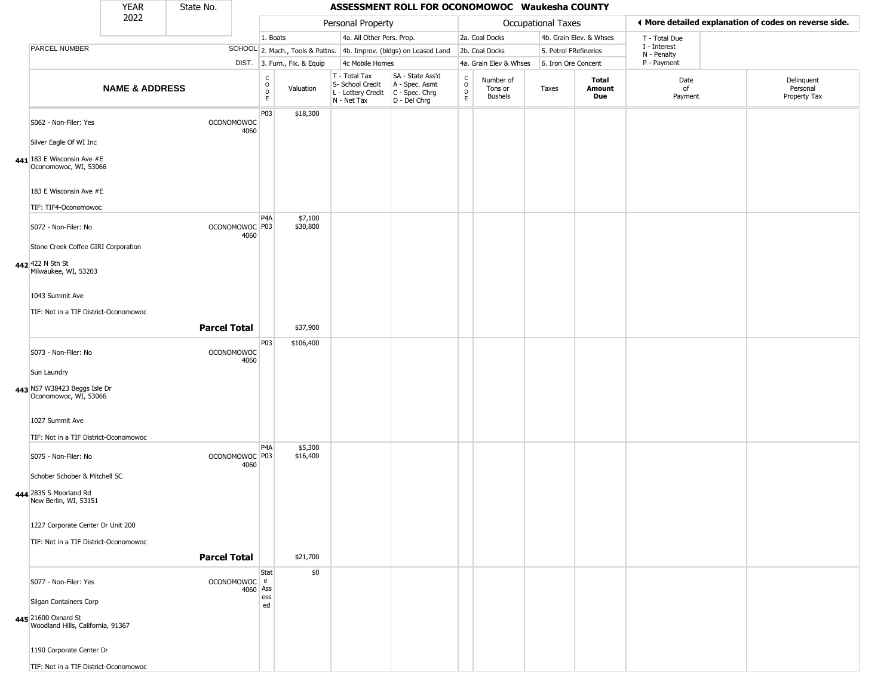|                                                                                  | <b>YEAR</b>               | State No.           |                                   |                                                 |                              |                                                                                         | ASSESSMENT ROLL FOR OCONOMOWOC Waukesha COUNTY                      |                         |                                        |                       |                               |                             |                                                       |
|----------------------------------------------------------------------------------|---------------------------|---------------------|-----------------------------------|-------------------------------------------------|------------------------------|-----------------------------------------------------------------------------------------|---------------------------------------------------------------------|-------------------------|----------------------------------------|-----------------------|-------------------------------|-----------------------------|-------------------------------------------------------|
|                                                                                  | 2022                      |                     |                                   |                                                 |                              | Personal Property                                                                       |                                                                     |                         |                                        | Occupational Taxes    |                               |                             | ♦ More detailed explanation of codes on reverse side. |
|                                                                                  |                           |                     |                                   | 1. Boats                                        |                              | 4a. All Other Pers. Prop.                                                               |                                                                     |                         | 2a. Coal Docks                         |                       | 4b. Grain Elev. & Whses       | T - Total Due               |                                                       |
| PARCEL NUMBER                                                                    |                           |                     |                                   |                                                 |                              |                                                                                         | SCHOOL 2. Mach., Tools & Pattns. 4b. Improv. (bldgs) on Leased Land |                         | 2b. Coal Docks                         | 5. Petrol FRefineries |                               | I - Interest<br>N - Penalty |                                                       |
|                                                                                  |                           |                     |                                   |                                                 | DIST. 3. Furn., Fix. & Equip | 4c Mobile Homes                                                                         |                                                                     |                         | 4a. Grain Elev & Whses                 | 6. Iron Ore Concent   |                               | P - Payment                 |                                                       |
|                                                                                  | <b>NAME &amp; ADDRESS</b> |                     |                                   | $\begin{array}{c} C \\ O \\ D \\ E \end{array}$ | Valuation                    | T - Total Tax<br>S- School Credit<br>L - Lottery Credit   C - Spec. Chrg<br>N - Net Tax | SA - State Ass'd<br>A - Spec. Asmt<br>D - Del Chrg                  | $\frac{c}{0}$<br>D<br>E | Number of<br>Tons or<br><b>Bushels</b> | Taxes                 | Total<br><b>Amount</b><br>Due | Date<br>of<br>Payment       | Delinquent<br>Personal<br>Property Tax                |
| S062 - Non-Filer: Yes<br>Silver Eagle Of WI Inc                                  |                           |                     | <b>OCONOMOWOC</b><br>4060         | P03                                             | \$18,300                     |                                                                                         |                                                                     |                         |                                        |                       |                               |                             |                                                       |
| 441 183 E Wisconsin Ave $#E$<br>Oconomowoc, WI, 53066                            |                           |                     |                                   |                                                 |                              |                                                                                         |                                                                     |                         |                                        |                       |                               |                             |                                                       |
| 183 E Wisconsin Ave #E                                                           |                           |                     |                                   |                                                 |                              |                                                                                         |                                                                     |                         |                                        |                       |                               |                             |                                                       |
| TIF: TIF4-Oconomowoc                                                             |                           |                     |                                   |                                                 |                              |                                                                                         |                                                                     |                         |                                        |                       |                               |                             |                                                       |
| S072 - Non-Filer: No                                                             |                           |                     | OCONOMOWOC <sup>P03</sup><br>4060 | P <sub>4</sub> A                                | \$7,100<br>\$30,800          |                                                                                         |                                                                     |                         |                                        |                       |                               |                             |                                                       |
| Stone Creek Coffee GIRI Corporation                                              |                           |                     |                                   |                                                 |                              |                                                                                         |                                                                     |                         |                                        |                       |                               |                             |                                                       |
| 442 422 N 5th St<br>Milwaukee, WI, 53203                                         |                           |                     |                                   |                                                 |                              |                                                                                         |                                                                     |                         |                                        |                       |                               |                             |                                                       |
| 1043 Summit Ave                                                                  |                           |                     |                                   |                                                 |                              |                                                                                         |                                                                     |                         |                                        |                       |                               |                             |                                                       |
| TIF: Not in a TIF District-Oconomowoc                                            |                           |                     |                                   |                                                 |                              |                                                                                         |                                                                     |                         |                                        |                       |                               |                             |                                                       |
|                                                                                  |                           | <b>Parcel Total</b> |                                   |                                                 | \$37,900                     |                                                                                         |                                                                     |                         |                                        |                       |                               |                             |                                                       |
| S073 - Non-Filer: No                                                             |                           |                     | <b>OCONOMOWOC</b><br>4060         | P03                                             | \$106,400                    |                                                                                         |                                                                     |                         |                                        |                       |                               |                             |                                                       |
| Sun Laundry                                                                      |                           |                     |                                   |                                                 |                              |                                                                                         |                                                                     |                         |                                        |                       |                               |                             |                                                       |
| 443 N57 W38423 Beggs Isle Dr<br>Oconomowoc, WI, 53066                            |                           |                     |                                   |                                                 |                              |                                                                                         |                                                                     |                         |                                        |                       |                               |                             |                                                       |
| 1027 Summit Ave                                                                  |                           |                     |                                   |                                                 |                              |                                                                                         |                                                                     |                         |                                        |                       |                               |                             |                                                       |
| TIF: Not in a TIF District-Oconomowoc                                            |                           |                     |                                   | P <sub>4</sub> A                                | \$5,300                      |                                                                                         |                                                                     |                         |                                        |                       |                               |                             |                                                       |
| S075 - Non-Filer: No                                                             |                           |                     | OCONOMOWOC <sup>P03</sup><br>4060 |                                                 | \$16,400                     |                                                                                         |                                                                     |                         |                                        |                       |                               |                             |                                                       |
| Schober Schober & Mitchell SC<br>444 2835 S Moorland Rd<br>New Berlin, WI, 53151 |                           |                     |                                   |                                                 |                              |                                                                                         |                                                                     |                         |                                        |                       |                               |                             |                                                       |
| 1227 Corporate Center Dr Unit 200                                                |                           |                     |                                   |                                                 |                              |                                                                                         |                                                                     |                         |                                        |                       |                               |                             |                                                       |
| TIF: Not in a TIF District-Oconomowoc                                            |                           |                     |                                   |                                                 |                              |                                                                                         |                                                                     |                         |                                        |                       |                               |                             |                                                       |
|                                                                                  |                           | <b>Parcel Total</b> |                                   |                                                 | \$21,700                     |                                                                                         |                                                                     |                         |                                        |                       |                               |                             |                                                       |
| S077 - Non-Filer: Yes                                                            |                           |                     | OCONOMOWOC e<br>4060 Ass          | Stat                                            | \$0                          |                                                                                         |                                                                     |                         |                                        |                       |                               |                             |                                                       |
| Silgan Containers Corp                                                           |                           |                     |                                   | ess<br>ed                                       |                              |                                                                                         |                                                                     |                         |                                        |                       |                               |                             |                                                       |
| 445 21600 Oxnard St<br>Woodland Hills, California, 91367                         |                           |                     |                                   |                                                 |                              |                                                                                         |                                                                     |                         |                                        |                       |                               |                             |                                                       |
| 1190 Corporate Center Dr                                                         |                           |                     |                                   |                                                 |                              |                                                                                         |                                                                     |                         |                                        |                       |                               |                             |                                                       |
| TIF: Not in a TIF District-Oconomowoc                                            |                           |                     |                                   |                                                 |                              |                                                                                         |                                                                     |                         |                                        |                       |                               |                             |                                                       |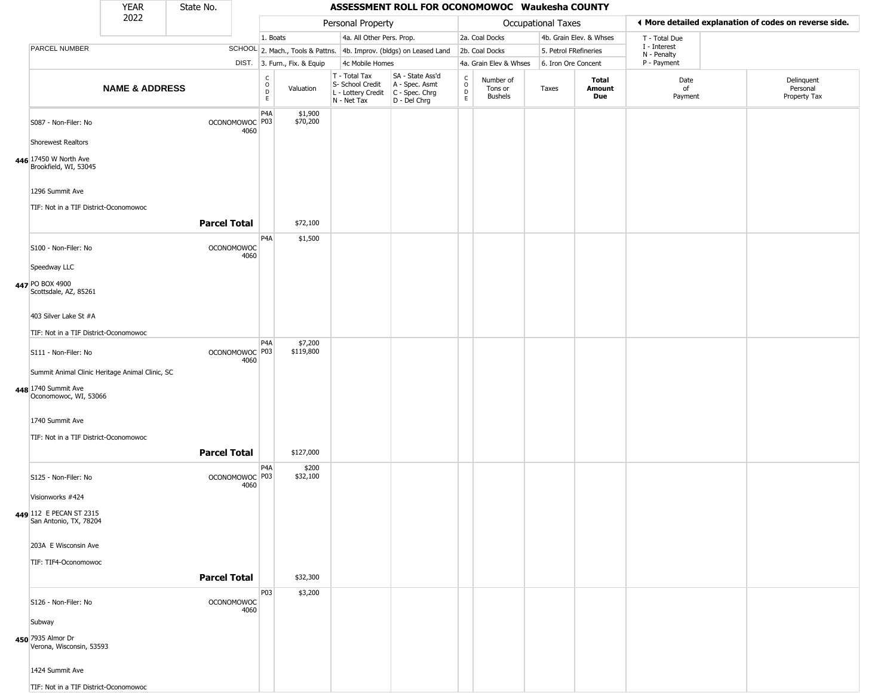|                                                                        | YEAR                      | State No.           |                                     |                  |                              |                                                                        | ASSESSMENT ROLL FOR OCONOMOWOC Waukesha COUNTY                       |                                          |                                        |                       |                               |                             |                                                       |
|------------------------------------------------------------------------|---------------------------|---------------------|-------------------------------------|------------------|------------------------------|------------------------------------------------------------------------|----------------------------------------------------------------------|------------------------------------------|----------------------------------------|-----------------------|-------------------------------|-----------------------------|-------------------------------------------------------|
|                                                                        | 2022                      |                     |                                     |                  |                              | Personal Property                                                      |                                                                      |                                          |                                        | Occupational Taxes    |                               |                             | ◀ More detailed explanation of codes on reverse side. |
|                                                                        |                           |                     |                                     | 1. Boats         |                              | 4a. All Other Pers. Prop.                                              |                                                                      |                                          | 2a. Coal Docks                         |                       | 4b. Grain Elev. & Whses       | T - Total Due               |                                                       |
| PARCEL NUMBER                                                          |                           |                     |                                     |                  |                              |                                                                        | SCHOOL 2. Mach., Tools & Pattns. 4b. Improv. (bldgs) on Leased Land  |                                          | 2b. Coal Docks                         | 5. Petrol FRefineries |                               | I - Interest<br>N - Penalty |                                                       |
|                                                                        |                           |                     |                                     |                  | DIST. 3. Furn., Fix. & Equip | 4c Mobile Homes                                                        |                                                                      |                                          | 4a. Grain Elev & Whses                 | 6. Iron Ore Concent   |                               | P - Payment                 |                                                       |
|                                                                        | <b>NAME &amp; ADDRESS</b> |                     |                                     | C<br>D<br>E<br>E | Valuation                    | T - Total Tax<br>S- School Credit<br>L - Lottery Credit<br>N - Net Tax | SA - State Ass'd<br>A - Spec. Asmt<br>C - Spec. Chrg<br>D - Del Chrg | $\rm _o^C$<br>$\mathsf D$<br>$\mathsf E$ | Number of<br>Tons or<br><b>Bushels</b> | Taxes                 | <b>Total</b><br>Amount<br>Due | Date<br>of<br>Payment       | Delinquent<br>Personal<br>Property Tax                |
| S087 - Non-Filer: No                                                   |                           |                     | OCONOMOWOC <sup>P03</sup><br>4060   | P <sub>4</sub> A | \$1,900<br>\$70,200          |                                                                        |                                                                      |                                          |                                        |                       |                               |                             |                                                       |
| <b>Shorewest Realtors</b>                                              |                           |                     |                                     |                  |                              |                                                                        |                                                                      |                                          |                                        |                       |                               |                             |                                                       |
| 446 17450 W North Ave<br>Brookfield, WI, 53045                         |                           |                     |                                     |                  |                              |                                                                        |                                                                      |                                          |                                        |                       |                               |                             |                                                       |
| 1296 Summit Ave<br>TIF: Not in a TIF District-Oconomowoc               |                           |                     |                                     |                  |                              |                                                                        |                                                                      |                                          |                                        |                       |                               |                             |                                                       |
|                                                                        |                           | <b>Parcel Total</b> |                                     |                  | \$72,100                     |                                                                        |                                                                      |                                          |                                        |                       |                               |                             |                                                       |
| S100 - Non-Filer: No                                                   |                           |                     | <b>OCONOMOWOC</b><br>4060           | P <sub>4</sub> A | \$1,500                      |                                                                        |                                                                      |                                          |                                        |                       |                               |                             |                                                       |
| Speedway LLC                                                           |                           |                     |                                     |                  |                              |                                                                        |                                                                      |                                          |                                        |                       |                               |                             |                                                       |
| 447 PO BOX 4900<br>Scottsdale, AZ, 85261                               |                           |                     |                                     |                  |                              |                                                                        |                                                                      |                                          |                                        |                       |                               |                             |                                                       |
| 403 Silver Lake St #A                                                  |                           |                     |                                     |                  |                              |                                                                        |                                                                      |                                          |                                        |                       |                               |                             |                                                       |
| TIF: Not in a TIF District-Oconomowoc                                  |                           |                     |                                     | P <sub>4</sub> A | \$7,200                      |                                                                        |                                                                      |                                          |                                        |                       |                               |                             |                                                       |
| S111 - Non-Filer: No                                                   |                           |                     | OCONOMOWOC <sup>P03</sup><br>4060   |                  | \$119,800                    |                                                                        |                                                                      |                                          |                                        |                       |                               |                             |                                                       |
| Summit Animal Clinic Heritage Animal Clinic, SC<br>448 1740 Summit Ave |                           |                     |                                     |                  |                              |                                                                        |                                                                      |                                          |                                        |                       |                               |                             |                                                       |
| Oconomowoc, WI, 53066                                                  |                           |                     |                                     |                  |                              |                                                                        |                                                                      |                                          |                                        |                       |                               |                             |                                                       |
| 1740 Summit Ave                                                        |                           |                     |                                     |                  |                              |                                                                        |                                                                      |                                          |                                        |                       |                               |                             |                                                       |
| TIF: Not in a TIF District-Oconomowoc                                  |                           |                     |                                     |                  |                              |                                                                        |                                                                      |                                          |                                        |                       |                               |                             |                                                       |
|                                                                        |                           | <b>Parcel Total</b> |                                     |                  | \$127,000                    |                                                                        |                                                                      |                                          |                                        |                       |                               |                             |                                                       |
| S125 - Non-Filer: No                                                   |                           |                     | OCONOMOWOC <sup>O P03</sup><br>4060 | P <sub>4</sub> A | \$200<br>\$32,100            |                                                                        |                                                                      |                                          |                                        |                       |                               |                             |                                                       |
| Visionworks #424                                                       |                           |                     |                                     |                  |                              |                                                                        |                                                                      |                                          |                                        |                       |                               |                             |                                                       |
| 449 112 E PECAN ST 2315<br>San Antonio, TX, 78204                      |                           |                     |                                     |                  |                              |                                                                        |                                                                      |                                          |                                        |                       |                               |                             |                                                       |
| 203A E Wisconsin Ave                                                   |                           |                     |                                     |                  |                              |                                                                        |                                                                      |                                          |                                        |                       |                               |                             |                                                       |
| TIF: TIF4-Oconomowoc                                                   |                           |                     |                                     |                  |                              |                                                                        |                                                                      |                                          |                                        |                       |                               |                             |                                                       |
|                                                                        |                           | <b>Parcel Total</b> |                                     |                  | \$32,300                     |                                                                        |                                                                      |                                          |                                        |                       |                               |                             |                                                       |
| S126 - Non-Filer: No                                                   |                           |                     | <b>OCONOMOWOC</b><br>4060           | P03              | \$3,200                      |                                                                        |                                                                      |                                          |                                        |                       |                               |                             |                                                       |
| Subway                                                                 |                           |                     |                                     |                  |                              |                                                                        |                                                                      |                                          |                                        |                       |                               |                             |                                                       |
| 450 7935 Almor Dr<br>Verona, Wisconsin, 53593                          |                           |                     |                                     |                  |                              |                                                                        |                                                                      |                                          |                                        |                       |                               |                             |                                                       |
| 1424 Summit Ave                                                        |                           |                     |                                     |                  |                              |                                                                        |                                                                      |                                          |                                        |                       |                               |                             |                                                       |
| TIF: Not in a TIF District-Oconomowoc                                  |                           |                     |                                     |                  |                              |                                                                        |                                                                      |                                          |                                        |                       |                               |                             |                                                       |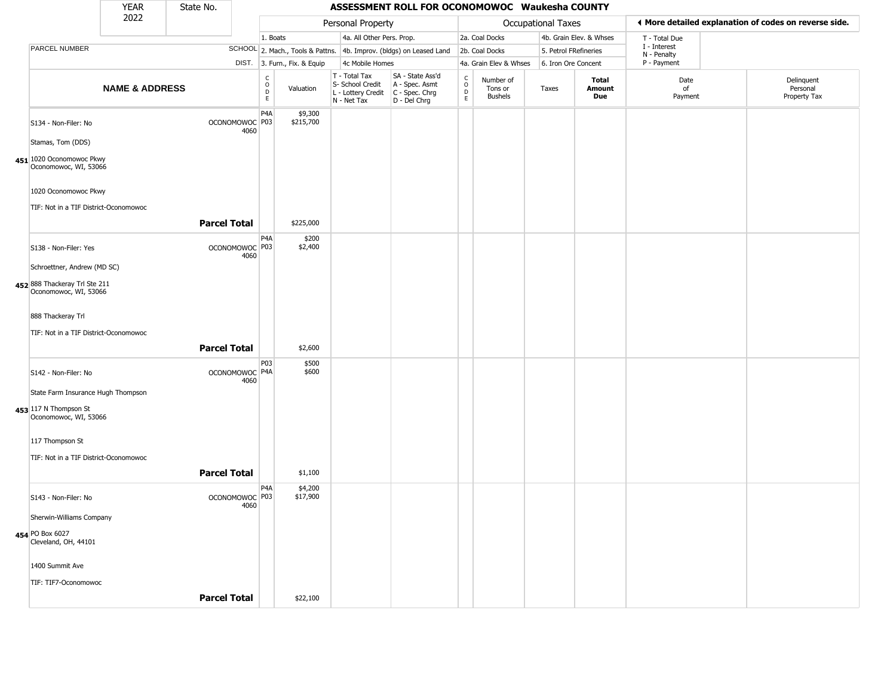|                                                        | <b>YEAR</b>               | State No.           |                                   |                                  |                              |                                                                        | ASSESSMENT ROLL FOR OCONOMOWOC Waukesha COUNTY                       |                                            |                                        |                       |                         |                             |                                                       |
|--------------------------------------------------------|---------------------------|---------------------|-----------------------------------|----------------------------------|------------------------------|------------------------------------------------------------------------|----------------------------------------------------------------------|--------------------------------------------|----------------------------------------|-----------------------|-------------------------|-----------------------------|-------------------------------------------------------|
|                                                        | 2022                      |                     |                                   |                                  |                              | Personal Property                                                      |                                                                      |                                            |                                        | Occupational Taxes    |                         |                             | ♦ More detailed explanation of codes on reverse side. |
|                                                        |                           |                     |                                   | 1. Boats                         |                              | 4a. All Other Pers. Prop.                                              |                                                                      |                                            | 2a. Coal Docks                         |                       | 4b. Grain Elev. & Whses | T - Total Due               |                                                       |
| PARCEL NUMBER                                          |                           |                     |                                   |                                  |                              |                                                                        | SCHOOL 2. Mach., Tools & Pattns. 4b. Improv. (bldgs) on Leased Land  |                                            | 2b. Coal Docks                         | 5. Petrol FRefineries |                         | I - Interest<br>N - Penalty |                                                       |
|                                                        |                           |                     |                                   |                                  | DIST. 3. Furn., Fix. & Equip | 4c Mobile Homes                                                        |                                                                      |                                            | 4a. Grain Elev & Whses                 | 6. Iron Ore Concent   |                         | P - Payment                 |                                                       |
|                                                        | <b>NAME &amp; ADDRESS</b> |                     |                                   | $\mathsf C$<br>$\circ$<br>D<br>E | Valuation                    | T - Total Tax<br>S- School Credit<br>L - Lottery Credit<br>N - Net Tax | SA - State Ass'd<br>A - Spec. Asmt<br>C - Spec. Chrg<br>D - Del Chrg | $\begin{array}{c} C \\ 0 \\ E \end{array}$ | Number of<br>Tons or<br><b>Bushels</b> | Taxes                 | Total<br>Amount<br>Due  | Date<br>of<br>Payment       | Delinquent<br>Personal<br>Property Tax                |
| S134 - Non-Filer: No                                   |                           |                     | OCONOMOWOC P03<br>4060            | P4A                              | \$9,300<br>\$215,700         |                                                                        |                                                                      |                                            |                                        |                       |                         |                             |                                                       |
| Stamas, Tom (DDS)                                      |                           |                     |                                   |                                  |                              |                                                                        |                                                                      |                                            |                                        |                       |                         |                             |                                                       |
| 451 1020 Oconomowoc Pkwy<br>Oconomowoc, WI, 53066      |                           |                     |                                   |                                  |                              |                                                                        |                                                                      |                                            |                                        |                       |                         |                             |                                                       |
| 1020 Oconomowoc Pkwy                                   |                           |                     |                                   |                                  |                              |                                                                        |                                                                      |                                            |                                        |                       |                         |                             |                                                       |
| TIF: Not in a TIF District-Oconomowoc                  |                           |                     |                                   |                                  |                              |                                                                        |                                                                      |                                            |                                        |                       |                         |                             |                                                       |
|                                                        |                           | <b>Parcel Total</b> |                                   |                                  | \$225,000                    |                                                                        |                                                                      |                                            |                                        |                       |                         |                             |                                                       |
| S138 - Non-Filer: Yes                                  |                           |                     | OCONOMOWOC <sup>P03</sup><br>4060 | P4A                              | \$200<br>\$2,400             |                                                                        |                                                                      |                                            |                                        |                       |                         |                             |                                                       |
| Schroettner, Andrew (MD SC)                            |                           |                     |                                   |                                  |                              |                                                                        |                                                                      |                                            |                                        |                       |                         |                             |                                                       |
| 452 888 Thackeray Trl Ste 211<br>Oconomowoc, WI, 53066 |                           |                     |                                   |                                  |                              |                                                                        |                                                                      |                                            |                                        |                       |                         |                             |                                                       |
| 888 Thackeray Trl                                      |                           |                     |                                   |                                  |                              |                                                                        |                                                                      |                                            |                                        |                       |                         |                             |                                                       |
| TIF: Not in a TIF District-Oconomowoc                  |                           |                     |                                   |                                  |                              |                                                                        |                                                                      |                                            |                                        |                       |                         |                             |                                                       |
|                                                        |                           | <b>Parcel Total</b> |                                   |                                  | \$2,600                      |                                                                        |                                                                      |                                            |                                        |                       |                         |                             |                                                       |
| S142 - Non-Filer: No                                   |                           |                     | OCONOMOWOC P4A<br>4060            | P03                              | \$500<br>\$600               |                                                                        |                                                                      |                                            |                                        |                       |                         |                             |                                                       |
| State Farm Insurance Hugh Thompson                     |                           |                     |                                   |                                  |                              |                                                                        |                                                                      |                                            |                                        |                       |                         |                             |                                                       |
| 453 117 N Thompson St<br>Oconomowoc, WI, 53066         |                           |                     |                                   |                                  |                              |                                                                        |                                                                      |                                            |                                        |                       |                         |                             |                                                       |
| 117 Thompson St                                        |                           |                     |                                   |                                  |                              |                                                                        |                                                                      |                                            |                                        |                       |                         |                             |                                                       |
| TIF: Not in a TIF District-Oconomowoc                  |                           |                     |                                   |                                  |                              |                                                                        |                                                                      |                                            |                                        |                       |                         |                             |                                                       |
|                                                        |                           | <b>Parcel Total</b> |                                   |                                  | \$1,100                      |                                                                        |                                                                      |                                            |                                        |                       |                         |                             |                                                       |
| S143 - Non-Filer: No                                   |                           |                     | OCONOMOWOC P03<br>4060            | P <sub>4</sub> A                 | \$4,200<br>\$17,900          |                                                                        |                                                                      |                                            |                                        |                       |                         |                             |                                                       |
| Sherwin-Williams Company                               |                           |                     |                                   |                                  |                              |                                                                        |                                                                      |                                            |                                        |                       |                         |                             |                                                       |
| 454 PO Box 6027<br>Cleveland, OH, 44101                |                           |                     |                                   |                                  |                              |                                                                        |                                                                      |                                            |                                        |                       |                         |                             |                                                       |
| 1400 Summit Ave                                        |                           |                     |                                   |                                  |                              |                                                                        |                                                                      |                                            |                                        |                       |                         |                             |                                                       |
| TIF: TIF7-Oconomowoc                                   |                           |                     |                                   |                                  |                              |                                                                        |                                                                      |                                            |                                        |                       |                         |                             |                                                       |
|                                                        |                           | <b>Parcel Total</b> |                                   |                                  | \$22,100                     |                                                                        |                                                                      |                                            |                                        |                       |                         |                             |                                                       |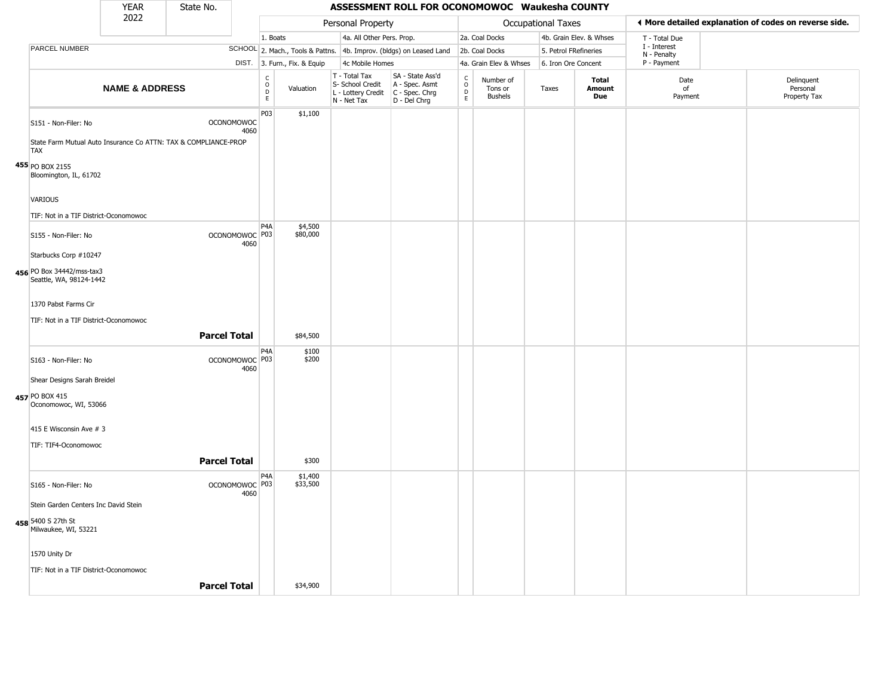|                                                                               | <b>YEAR</b>               | State No.           |                                   |                                 |                              |                                                                                                          | ASSESSMENT ROLL FOR OCONOMOWOC Waukesha COUNTY                      |                                            |                                        |                    |                         |                             |                                                       |
|-------------------------------------------------------------------------------|---------------------------|---------------------|-----------------------------------|---------------------------------|------------------------------|----------------------------------------------------------------------------------------------------------|---------------------------------------------------------------------|--------------------------------------------|----------------------------------------|--------------------|-------------------------|-----------------------------|-------------------------------------------------------|
|                                                                               | 2022                      |                     |                                   |                                 |                              | Personal Property                                                                                        |                                                                     |                                            |                                        | Occupational Taxes |                         |                             | ◀ More detailed explanation of codes on reverse side. |
|                                                                               |                           |                     |                                   | 1. Boats                        |                              | 4a. All Other Pers. Prop.                                                                                |                                                                     |                                            | 2a. Coal Docks                         |                    | 4b. Grain Elev. & Whses | T - Total Due               |                                                       |
| PARCEL NUMBER                                                                 |                           |                     |                                   |                                 |                              |                                                                                                          | SCHOOL 2. Mach., Tools & Pattns. 4b. Improv. (bldgs) on Leased Land |                                            | 2b. Coal Docks                         |                    | 5. Petrol FRefineries   | I - Interest<br>N - Penalty |                                                       |
|                                                                               |                           |                     |                                   |                                 | DIST. 3. Furn., Fix. & Equip | 4c Mobile Homes                                                                                          |                                                                     |                                            | 4a. Grain Elev & Whses                 |                    | 6. Iron Ore Concent     | P - Payment                 |                                                       |
|                                                                               | <b>NAME &amp; ADDRESS</b> |                     |                                   | $\rm _o^C$<br>$\mathsf{D}$<br>E | Valuation                    | T - Total Tax<br>S- School Credit   A - Spec. Asmt<br>L - Lottery Credit   C - Spec. Chrg<br>N - Net Tax | SA - State Ass'd<br>D - Del Chrg                                    | $\begin{array}{c} C \\ O \\ E \end{array}$ | Number of<br>Tons or<br><b>Bushels</b> | Taxes              | Total<br>Amount<br>Due  | Date<br>of<br>Payment       | Delinquent<br>Personal<br>Property Tax                |
| S151 - Non-Filer: No                                                          |                           |                     | <b>OCONOMOWOC</b><br>4060         | P03                             | \$1,100                      |                                                                                                          |                                                                     |                                            |                                        |                    |                         |                             |                                                       |
| State Farm Mutual Auto Insurance Co ATTN: TAX & COMPLIANCE-PROP<br><b>TAX</b> |                           |                     |                                   |                                 |                              |                                                                                                          |                                                                     |                                            |                                        |                    |                         |                             |                                                       |
| 455 PO BOX 2155                                                               |                           |                     |                                   |                                 |                              |                                                                                                          |                                                                     |                                            |                                        |                    |                         |                             |                                                       |
| Bloomington, IL, 61702                                                        |                           |                     |                                   |                                 |                              |                                                                                                          |                                                                     |                                            |                                        |                    |                         |                             |                                                       |
| VARIOUS                                                                       |                           |                     |                                   |                                 |                              |                                                                                                          |                                                                     |                                            |                                        |                    |                         |                             |                                                       |
| TIF: Not in a TIF District-Oconomowoc                                         |                           |                     |                                   |                                 |                              |                                                                                                          |                                                                     |                                            |                                        |                    |                         |                             |                                                       |
| S155 - Non-Filer: No                                                          |                           |                     | OCONOMOWOC P03<br>4060            | P <sub>4</sub> A                | \$4,500<br>\$80,000          |                                                                                                          |                                                                     |                                            |                                        |                    |                         |                             |                                                       |
| Starbucks Corp #10247                                                         |                           |                     |                                   |                                 |                              |                                                                                                          |                                                                     |                                            |                                        |                    |                         |                             |                                                       |
| 456 PO Box 34442/mss-tax3<br>Seattle, WA, 98124-1442                          |                           |                     |                                   |                                 |                              |                                                                                                          |                                                                     |                                            |                                        |                    |                         |                             |                                                       |
| 1370 Pabst Farms Cir                                                          |                           |                     |                                   |                                 |                              |                                                                                                          |                                                                     |                                            |                                        |                    |                         |                             |                                                       |
| TIF: Not in a TIF District-Oconomowoc                                         |                           |                     |                                   |                                 |                              |                                                                                                          |                                                                     |                                            |                                        |                    |                         |                             |                                                       |
|                                                                               |                           | <b>Parcel Total</b> |                                   |                                 | \$84,500                     |                                                                                                          |                                                                     |                                            |                                        |                    |                         |                             |                                                       |
|                                                                               |                           |                     |                                   | P <sub>4</sub> A                | \$100                        |                                                                                                          |                                                                     |                                            |                                        |                    |                         |                             |                                                       |
| S163 - Non-Filer: No                                                          |                           |                     | OCONOMOWOC <sup>P03</sup><br>4060 |                                 | \$200                        |                                                                                                          |                                                                     |                                            |                                        |                    |                         |                             |                                                       |
| Shear Designs Sarah Breidel                                                   |                           |                     |                                   |                                 |                              |                                                                                                          |                                                                     |                                            |                                        |                    |                         |                             |                                                       |
| 457 PO BOX 415<br>Oconomowoc, WI, 53066                                       |                           |                     |                                   |                                 |                              |                                                                                                          |                                                                     |                                            |                                        |                    |                         |                             |                                                       |
| 415 E Wisconsin Ave # 3                                                       |                           |                     |                                   |                                 |                              |                                                                                                          |                                                                     |                                            |                                        |                    |                         |                             |                                                       |
| TIF: TIF4-Oconomowoc                                                          |                           |                     |                                   |                                 |                              |                                                                                                          |                                                                     |                                            |                                        |                    |                         |                             |                                                       |
|                                                                               |                           | <b>Parcel Total</b> |                                   |                                 | \$300                        |                                                                                                          |                                                                     |                                            |                                        |                    |                         |                             |                                                       |
| S165 - Non-Filer: No                                                          |                           |                     | OCONOMOWOC <sup>P03</sup><br>4060 | P <sub>4</sub> A                | \$1,400<br>\$33,500          |                                                                                                          |                                                                     |                                            |                                        |                    |                         |                             |                                                       |
| Stein Garden Centers Inc David Stein                                          |                           |                     |                                   |                                 |                              |                                                                                                          |                                                                     |                                            |                                        |                    |                         |                             |                                                       |
| 458 5400 S 27th St<br>Milwaukee, WI, 53221                                    |                           |                     |                                   |                                 |                              |                                                                                                          |                                                                     |                                            |                                        |                    |                         |                             |                                                       |
| 1570 Unity Dr                                                                 |                           |                     |                                   |                                 |                              |                                                                                                          |                                                                     |                                            |                                        |                    |                         |                             |                                                       |
| TIF: Not in a TIF District-Oconomowoc                                         |                           |                     |                                   |                                 |                              |                                                                                                          |                                                                     |                                            |                                        |                    |                         |                             |                                                       |
|                                                                               |                           | <b>Parcel Total</b> |                                   |                                 | \$34,900                     |                                                                                                          |                                                                     |                                            |                                        |                    |                         |                             |                                                       |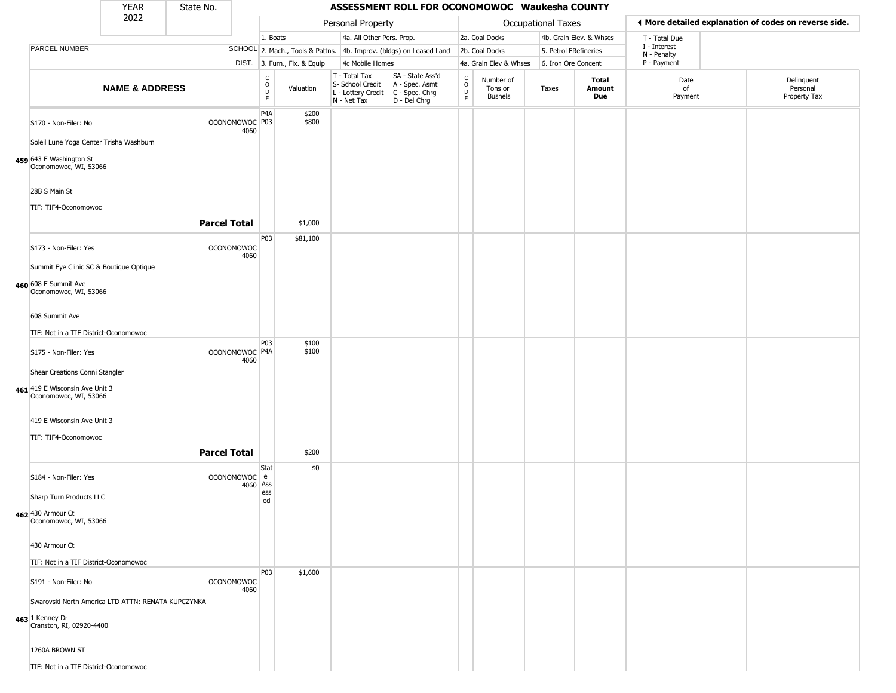|                                                                                                   | <b>YEAR</b>               | State No.           |                           |                                                |                              |                                                                                         | ASSESSMENT ROLL FOR OCONOMOWOC Waukesha COUNTY                      |                             |                                        |                           |                         |                             |                                                       |
|---------------------------------------------------------------------------------------------------|---------------------------|---------------------|---------------------------|------------------------------------------------|------------------------------|-----------------------------------------------------------------------------------------|---------------------------------------------------------------------|-----------------------------|----------------------------------------|---------------------------|-------------------------|-----------------------------|-------------------------------------------------------|
|                                                                                                   | 2022                      |                     |                           |                                                |                              | Personal Property                                                                       |                                                                     |                             |                                        | <b>Occupational Taxes</b> |                         |                             | ◀ More detailed explanation of codes on reverse side. |
|                                                                                                   |                           |                     |                           | 1. Boats                                       |                              | 4a. All Other Pers. Prop.                                                               |                                                                     |                             | 2a. Coal Docks                         |                           | 4b. Grain Elev. & Whses | T - Total Due               |                                                       |
| PARCEL NUMBER                                                                                     |                           |                     |                           |                                                |                              |                                                                                         | SCHOOL 2. Mach., Tools & Pattns. 4b. Improv. (bldgs) on Leased Land |                             | 2b. Coal Docks                         | 5. Petrol FRefineries     |                         | I - Interest<br>N - Penalty |                                                       |
|                                                                                                   |                           |                     |                           |                                                | DIST. 3. Furn., Fix. & Equip | 4c Mobile Homes                                                                         |                                                                     |                             | 4a. Grain Elev & Whses                 | 6. Iron Ore Concent       |                         | P - Payment                 |                                                       |
|                                                                                                   | <b>NAME &amp; ADDRESS</b> |                     |                           | $\begin{matrix} 0 \\ 0 \\ D \end{matrix}$<br>E | Valuation                    | T - Total Tax<br>S- School Credit<br>L - Lottery Credit   C - Spec. Chrg<br>N - Net Tax | SA - State Ass'd<br>A - Spec. Asmt<br>D - Del Chrg                  | C<br>$\mathsf{o}$<br>D<br>E | Number of<br>Tons or<br><b>Bushels</b> | Taxes                     | Total<br>Amount<br>Due  | Date<br>of<br>Payment       | Delinquent<br>Personal<br>Property Tax                |
| S170 - Non-Filer: No<br>Soleil Lune Yoga Center Trisha Washburn                                   |                           |                     | OCONOMOWOC P03<br>4060    | P <sub>4</sub> A                               | \$200<br>\$800               |                                                                                         |                                                                     |                             |                                        |                           |                         |                             |                                                       |
| 459 643 E Washington St<br>Oconomowoc, WI, 53066                                                  |                           |                     |                           |                                                |                              |                                                                                         |                                                                     |                             |                                        |                           |                         |                             |                                                       |
| 28B S Main St<br>TIF: TIF4-Oconomowoc                                                             |                           |                     |                           |                                                |                              |                                                                                         |                                                                     |                             |                                        |                           |                         |                             |                                                       |
|                                                                                                   |                           | <b>Parcel Total</b> |                           |                                                | \$1,000                      |                                                                                         |                                                                     |                             |                                        |                           |                         |                             |                                                       |
| S173 - Non-Filer: Yes                                                                             |                           |                     | <b>OCONOMOWOC</b><br>4060 | P03                                            | \$81,100                     |                                                                                         |                                                                     |                             |                                        |                           |                         |                             |                                                       |
| Summit Eye Clinic SC & Boutique Optique<br>460 608 E Summit Ave<br>Oconomowoc, WI, 53066          |                           |                     |                           |                                                |                              |                                                                                         |                                                                     |                             |                                        |                           |                         |                             |                                                       |
| 608 Summit Ave                                                                                    |                           |                     |                           |                                                |                              |                                                                                         |                                                                     |                             |                                        |                           |                         |                             |                                                       |
| TIF: Not in a TIF District-Oconomowoc                                                             |                           |                     |                           |                                                |                              |                                                                                         |                                                                     |                             |                                        |                           |                         |                             |                                                       |
| S175 - Non-Filer: Yes                                                                             |                           |                     | OCONOMOWOC P4A<br>4060    | P03                                            | \$100<br>\$100               |                                                                                         |                                                                     |                             |                                        |                           |                         |                             |                                                       |
| Shear Creations Conni Stangler                                                                    |                           |                     |                           |                                                |                              |                                                                                         |                                                                     |                             |                                        |                           |                         |                             |                                                       |
| 461 419 E Wisconsin Ave Unit 3<br>Oconomowoc, WI, 53066                                           |                           |                     |                           |                                                |                              |                                                                                         |                                                                     |                             |                                        |                           |                         |                             |                                                       |
| 419 E Wisconsin Ave Unit 3                                                                        |                           |                     |                           |                                                |                              |                                                                                         |                                                                     |                             |                                        |                           |                         |                             |                                                       |
| TIF: TIF4-Oconomowoc                                                                              |                           |                     |                           |                                                |                              |                                                                                         |                                                                     |                             |                                        |                           |                         |                             |                                                       |
|                                                                                                   |                           | <b>Parcel Total</b> |                           | Stat                                           | \$200<br>\$0                 |                                                                                         |                                                                     |                             |                                        |                           |                         |                             |                                                       |
| S184 - Non-Filer: Yes                                                                             |                           |                     | OCONOMOWOC e<br>4060 Ass  | ess                                            |                              |                                                                                         |                                                                     |                             |                                        |                           |                         |                             |                                                       |
| Sharp Turn Products LLC                                                                           |                           |                     |                           | ed                                             |                              |                                                                                         |                                                                     |                             |                                        |                           |                         |                             |                                                       |
| 462 430 Armour Ct<br>Oconomowoc, WI, 53066                                                        |                           |                     |                           |                                                |                              |                                                                                         |                                                                     |                             |                                        |                           |                         |                             |                                                       |
| 430 Armour Ct                                                                                     |                           |                     |                           |                                                |                              |                                                                                         |                                                                     |                             |                                        |                           |                         |                             |                                                       |
| TIF: Not in a TIF District-Oconomowoc                                                             |                           |                     |                           |                                                |                              |                                                                                         |                                                                     |                             |                                        |                           |                         |                             |                                                       |
| S191 - Non-Filer: No                                                                              |                           |                     | <b>OCONOMOWOC</b><br>4060 | P03                                            | \$1,600                      |                                                                                         |                                                                     |                             |                                        |                           |                         |                             |                                                       |
| Swarovski North America LTD ATTN: RENATA KUPCZYNKA<br>463 1 Kenney Dr<br>Cranston, RI, 02920-4400 |                           |                     |                           |                                                |                              |                                                                                         |                                                                     |                             |                                        |                           |                         |                             |                                                       |
| 1260A BROWN ST                                                                                    |                           |                     |                           |                                                |                              |                                                                                         |                                                                     |                             |                                        |                           |                         |                             |                                                       |
| TIF: Not in a TIF District-Oconomowoc                                                             |                           |                     |                           |                                                |                              |                                                                                         |                                                                     |                             |                                        |                           |                         |                             |                                                       |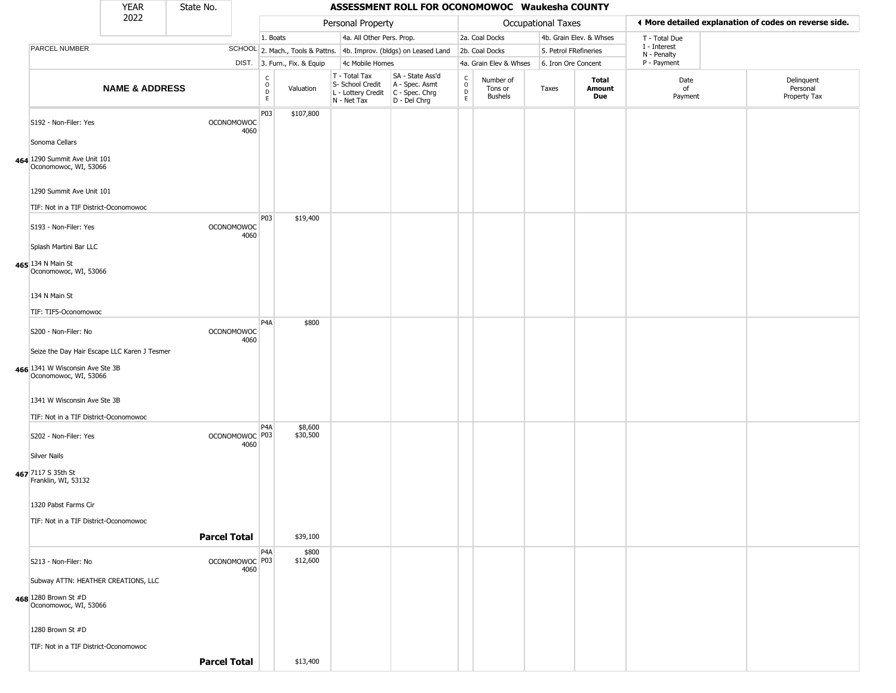|                                                                      | <b>YEAR</b>               | State No.           |                           |                                                                    |                              |                                                                                           | ASSESSMENT ROLL FOR OCONOMOWOC Waukesha COUNTY                      |                                |                                 |                       |                         |                             |                                                       |
|----------------------------------------------------------------------|---------------------------|---------------------|---------------------------|--------------------------------------------------------------------|------------------------------|-------------------------------------------------------------------------------------------|---------------------------------------------------------------------|--------------------------------|---------------------------------|-----------------------|-------------------------|-----------------------------|-------------------------------------------------------|
|                                                                      | 2022                      |                     |                           |                                                                    |                              | Personal Property                                                                         |                                                                     |                                |                                 | Occupational Taxes    |                         |                             | ◀ More detailed explanation of codes on reverse side. |
|                                                                      |                           |                     |                           | 1. Boats                                                           |                              | 4a. All Other Pers. Prop.                                                                 |                                                                     |                                | 2a. Coal Docks                  |                       | 4b. Grain Elev. & Whses | T - Total Due               |                                                       |
| PARCEL NUMBER                                                        |                           |                     |                           |                                                                    |                              |                                                                                           | SCHOOL 2. Mach., Tools & Pattns. 4b. Improv. (bldgs) on Leased Land |                                | 2b. Coal Docks                  | 5. Petrol FRefineries |                         | I - Interest<br>N - Penalty |                                                       |
|                                                                      |                           |                     |                           |                                                                    | DIST. 3. Furn., Fix. & Equip | 4c Mobile Homes                                                                           |                                                                     |                                | 4a. Grain Elev & Whses          | 6. Iron Ore Concent   |                         | P - Payment                 |                                                       |
|                                                                      | <b>NAME &amp; ADDRESS</b> |                     |                           | $\begin{smallmatrix} C \\ O \\ D \end{smallmatrix}$<br>$\mathsf E$ | Valuation                    | T - Total Tax<br>S- School Credit<br>$L$ - Lottery Credit $C$ - Spec. Chrg<br>N - Net Tax | SA - State Ass'd<br>A - Spec. Asmt<br>D - Del Chrg                  | $\rm _o^C$<br>$\mathsf D$<br>E | Number of<br>Tons or<br>Bushels | Taxes                 | Total<br>Amount<br>Due  | Date<br>of<br>Payment       | Delinquent<br>Personal<br>Property Tax                |
| S192 - Non-Filer: Yes<br>Sonoma Cellars                              |                           |                     | <b>OCONOMOWOC</b><br>4060 | P03                                                                | \$107,800                    |                                                                                           |                                                                     |                                |                                 |                       |                         |                             |                                                       |
| 464 1290 Summit Ave Unit 101<br>Oconomowoc, WI, 53066                |                           |                     |                           |                                                                    |                              |                                                                                           |                                                                     |                                |                                 |                       |                         |                             |                                                       |
| 1290 Summit Ave Unit 101<br>TIF: Not in a TIF District-Oconomowoc    |                           |                     |                           |                                                                    |                              |                                                                                           |                                                                     |                                |                                 |                       |                         |                             |                                                       |
| S193 - Non-Filer: Yes                                                |                           |                     | <b>OCONOMOWOC</b><br>4060 | P03                                                                | \$19,400                     |                                                                                           |                                                                     |                                |                                 |                       |                         |                             |                                                       |
| Splash Martini Bar LLC                                               |                           |                     |                           |                                                                    |                              |                                                                                           |                                                                     |                                |                                 |                       |                         |                             |                                                       |
| 465 134 N Main St<br>Oconomowoc, WI, 53066                           |                           |                     |                           |                                                                    |                              |                                                                                           |                                                                     |                                |                                 |                       |                         |                             |                                                       |
| 134 N Main St<br>TIF: TIF5-Oconomowoc                                |                           |                     |                           |                                                                    |                              |                                                                                           |                                                                     |                                |                                 |                       |                         |                             |                                                       |
| S200 - Non-Filer: No                                                 |                           |                     | <b>OCONOMOWOC</b><br>4060 | P4A                                                                | \$800                        |                                                                                           |                                                                     |                                |                                 |                       |                         |                             |                                                       |
| Seize the Day Hair Escape LLC Karen J Tesmer                         |                           |                     |                           |                                                                    |                              |                                                                                           |                                                                     |                                |                                 |                       |                         |                             |                                                       |
| 466 1341 W Wisconsin Ave Ste 3B<br>Oconomowoc, WI, 53066             |                           |                     |                           |                                                                    |                              |                                                                                           |                                                                     |                                |                                 |                       |                         |                             |                                                       |
| 1341 W Wisconsin Ave Ste 3B<br>TIF: Not in a TIF District-Oconomowoc |                           |                     |                           |                                                                    |                              |                                                                                           |                                                                     |                                |                                 |                       |                         |                             |                                                       |
| S202 - Non-Filer: Yes                                                |                           |                     | OCONOMOWOC   P03<br>4060  | P <sub>4</sub> A                                                   | \$8,600<br>\$30,500          |                                                                                           |                                                                     |                                |                                 |                       |                         |                             |                                                       |
| <b>Silver Nails</b><br>467 7117 S 35th St<br>Franklin, WI, 53132     |                           |                     |                           |                                                                    |                              |                                                                                           |                                                                     |                                |                                 |                       |                         |                             |                                                       |
| 1320 Pabst Farms Cir                                                 |                           |                     |                           |                                                                    |                              |                                                                                           |                                                                     |                                |                                 |                       |                         |                             |                                                       |
| TIF: Not in a TIF District-Oconomowoc                                |                           |                     |                           |                                                                    |                              |                                                                                           |                                                                     |                                |                                 |                       |                         |                             |                                                       |
|                                                                      |                           | <b>Parcel Total</b> |                           |                                                                    | \$39,100                     |                                                                                           |                                                                     |                                |                                 |                       |                         |                             |                                                       |
| S213 - Non-Filer: No                                                 |                           |                     | OCONOMOWOC P03<br>4060    | P <sub>4</sub> A                                                   | \$800<br>\$12,600            |                                                                                           |                                                                     |                                |                                 |                       |                         |                             |                                                       |
| Subway ATTN: HEATHER CREATIONS, LLC                                  |                           |                     |                           |                                                                    |                              |                                                                                           |                                                                     |                                |                                 |                       |                         |                             |                                                       |
| 468 1280 Brown St #D<br>Oconomowoc, WI, 53066                        |                           |                     |                           |                                                                    |                              |                                                                                           |                                                                     |                                |                                 |                       |                         |                             |                                                       |
| 1280 Brown St #D                                                     |                           |                     |                           |                                                                    |                              |                                                                                           |                                                                     |                                |                                 |                       |                         |                             |                                                       |
| TIF: Not in a TIF District-Oconomowoc                                |                           |                     |                           |                                                                    |                              |                                                                                           |                                                                     |                                |                                 |                       |                         |                             |                                                       |
|                                                                      |                           | <b>Parcel Total</b> |                           |                                                                    | \$13,400                     |                                                                                           |                                                                     |                                |                                 |                       |                         |                             |                                                       |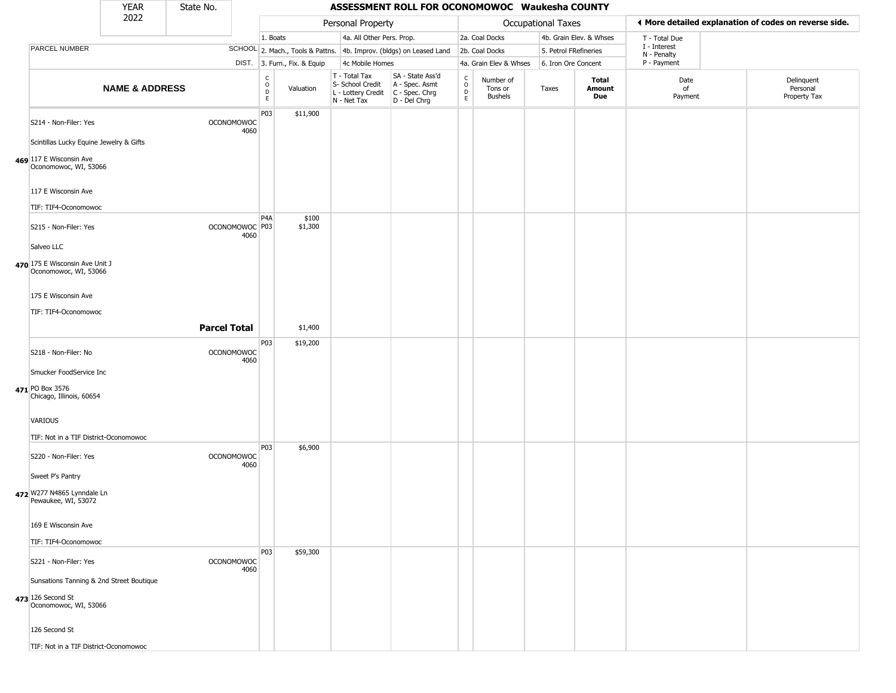|                                                                                        | <b>YEAR</b>               | State No.           |                                   |                                                |                              |                                                  | ASSESSMENT ROLL FOR OCONOMOWOC Waukesha COUNTY                                            |                         |                                        |                           |                         |                             |                                                       |
|----------------------------------------------------------------------------------------|---------------------------|---------------------|-----------------------------------|------------------------------------------------|------------------------------|--------------------------------------------------|-------------------------------------------------------------------------------------------|-------------------------|----------------------------------------|---------------------------|-------------------------|-----------------------------|-------------------------------------------------------|
|                                                                                        | 2022                      |                     |                                   |                                                |                              | Personal Property                                |                                                                                           |                         |                                        | <b>Occupational Taxes</b> |                         |                             | ♦ More detailed explanation of codes on reverse side. |
|                                                                                        |                           |                     |                                   | 1. Boats                                       |                              | 4a. All Other Pers. Prop.                        |                                                                                           |                         | 2a. Coal Docks                         |                           | 4b. Grain Elev. & Whses | T - Total Due               |                                                       |
| PARCEL NUMBER                                                                          |                           |                     |                                   |                                                |                              |                                                  | SCHOOL 2. Mach., Tools & Pattns. 4b. Improv. (bldgs) on Leased Land                       |                         | 2b. Coal Docks                         | 5. Petrol FRefineries     |                         | I - Interest<br>N - Penalty |                                                       |
|                                                                                        |                           |                     |                                   |                                                | DIST. 3. Furn., Fix. & Equip | 4c Mobile Homes                                  |                                                                                           |                         | 4a. Grain Elev & Whses                 | 6. Iron Ore Concent       |                         | P - Payment                 |                                                       |
|                                                                                        | <b>NAME &amp; ADDRESS</b> |                     |                                   | $\begin{matrix} 0 \\ 0 \\ D \end{matrix}$<br>E | Valuation                    | T - Total Tax<br>S- School Credit<br>N - Net Tax | SA - State Ass'd<br>A - Spec. Asmt<br>L - Lottery Credit   C - Spec. Chrg<br>D - Del Chrg | C<br>$\circ$<br>D<br>E. | Number of<br>Tons or<br><b>Bushels</b> | Taxes                     | Total<br>Amount<br>Due  | Date<br>of<br>Payment       | Delinquent<br>Personal<br>Property Tax                |
| S214 - Non-Filer: Yes                                                                  |                           |                     | <b>OCONOMOWOC</b><br>4060         | P03                                            | \$11,900                     |                                                  |                                                                                           |                         |                                        |                           |                         |                             |                                                       |
| Scintillas Lucky Equine Jewelry & Gifts                                                |                           |                     |                                   |                                                |                              |                                                  |                                                                                           |                         |                                        |                           |                         |                             |                                                       |
| 469 117 E Wisconsin Ave<br>Oconomowoc, WI, 53066                                       |                           |                     |                                   |                                                |                              |                                                  |                                                                                           |                         |                                        |                           |                         |                             |                                                       |
| 117 E Wisconsin Ave                                                                    |                           |                     |                                   |                                                |                              |                                                  |                                                                                           |                         |                                        |                           |                         |                             |                                                       |
| TIF: TIF4-Oconomowoc                                                                   |                           |                     |                                   | P4A                                            | \$100                        |                                                  |                                                                                           |                         |                                        |                           |                         |                             |                                                       |
| S215 - Non-Filer: Yes                                                                  |                           |                     | OCONOMOWOC <sup>P03</sup><br>4060 |                                                | \$1,300                      |                                                  |                                                                                           |                         |                                        |                           |                         |                             |                                                       |
| Salveo LLC                                                                             |                           |                     |                                   |                                                |                              |                                                  |                                                                                           |                         |                                        |                           |                         |                             |                                                       |
| 470 175 E Wisconsin Ave Unit J<br>Oconomowoc, WI, 53066                                |                           |                     |                                   |                                                |                              |                                                  |                                                                                           |                         |                                        |                           |                         |                             |                                                       |
| 175 E Wisconsin Ave                                                                    |                           |                     |                                   |                                                |                              |                                                  |                                                                                           |                         |                                        |                           |                         |                             |                                                       |
| TIF: TIF4-Oconomowoc                                                                   |                           |                     |                                   |                                                |                              |                                                  |                                                                                           |                         |                                        |                           |                         |                             |                                                       |
|                                                                                        |                           | <b>Parcel Total</b> |                                   |                                                | \$1,400                      |                                                  |                                                                                           |                         |                                        |                           |                         |                             |                                                       |
|                                                                                        |                           |                     |                                   | P03                                            | \$19,200                     |                                                  |                                                                                           |                         |                                        |                           |                         |                             |                                                       |
| S218 - Non-Filer: No                                                                   |                           |                     | <b>OCONOMOWOC</b><br>4060         |                                                |                              |                                                  |                                                                                           |                         |                                        |                           |                         |                             |                                                       |
| Smucker FoodService Inc                                                                |                           |                     |                                   |                                                |                              |                                                  |                                                                                           |                         |                                        |                           |                         |                             |                                                       |
| 471 PO Box 3576<br>Chicago, Illinois, 60654                                            |                           |                     |                                   |                                                |                              |                                                  |                                                                                           |                         |                                        |                           |                         |                             |                                                       |
| <b>VARIOUS</b>                                                                         |                           |                     |                                   |                                                |                              |                                                  |                                                                                           |                         |                                        |                           |                         |                             |                                                       |
| TIF: Not in a TIF District-Oconomowoc                                                  |                           |                     |                                   |                                                |                              |                                                  |                                                                                           |                         |                                        |                           |                         |                             |                                                       |
| S220 - Non-Filer: Yes                                                                  |                           |                     | <b>OCONOMOWOC</b><br>4060         | P03                                            | \$6,900                      |                                                  |                                                                                           |                         |                                        |                           |                         |                             |                                                       |
| Sweet P's Pantry                                                                       |                           |                     |                                   |                                                |                              |                                                  |                                                                                           |                         |                                        |                           |                         |                             |                                                       |
| 472 W277 N4865 Lynndale Ln<br>Pewaukee, WI, 53072                                      |                           |                     |                                   |                                                |                              |                                                  |                                                                                           |                         |                                        |                           |                         |                             |                                                       |
| 169 E Wisconsin Ave                                                                    |                           |                     |                                   |                                                |                              |                                                  |                                                                                           |                         |                                        |                           |                         |                             |                                                       |
| TIF: TIF4-Oconomowoc                                                                   |                           |                     |                                   |                                                |                              |                                                  |                                                                                           |                         |                                        |                           |                         |                             |                                                       |
| S221 - Non-Filer: Yes                                                                  |                           |                     | <b>OCONOMOWOC</b><br>4060         | P03                                            | \$59,300                     |                                                  |                                                                                           |                         |                                        |                           |                         |                             |                                                       |
| Sunsations Tanning & 2nd Street Boutique<br>473 126 Second St<br>Oconomowoc, WI, 53066 |                           |                     |                                   |                                                |                              |                                                  |                                                                                           |                         |                                        |                           |                         |                             |                                                       |
| 126 Second St                                                                          |                           |                     |                                   |                                                |                              |                                                  |                                                                                           |                         |                                        |                           |                         |                             |                                                       |
| TIF: Not in a TIF District-Oconomowoc                                                  |                           |                     |                                   |                                                |                              |                                                  |                                                                                           |                         |                                        |                           |                         |                             |                                                       |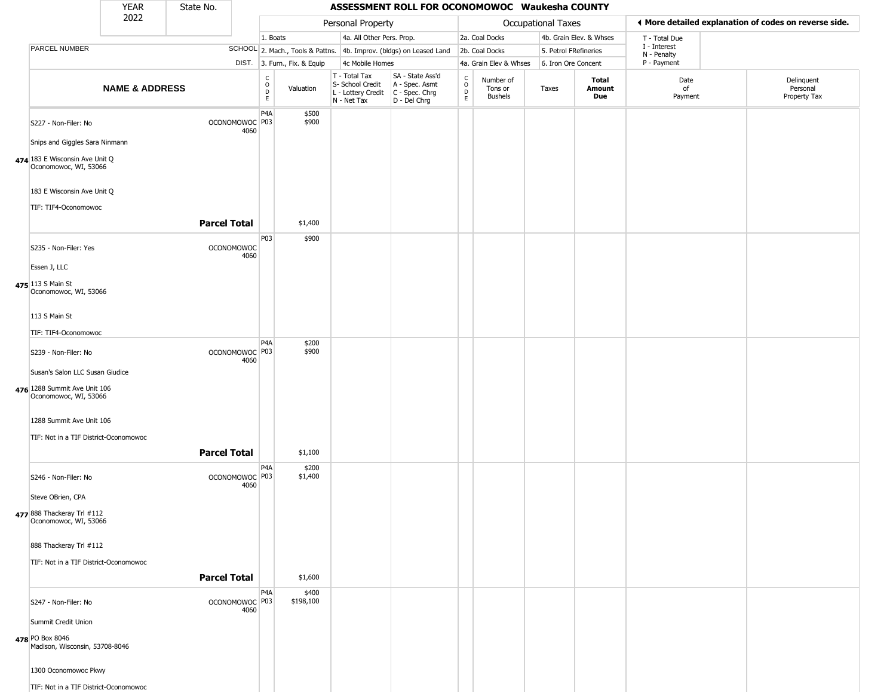|                                                                                          | <b>YEAR</b>               | State No.           |                                   |                               |                              |                                                                        | ASSESSMENT ROLL FOR OCONOMOWOC Waukesha COUNTY                       |                                   |                                        |                       |                         |                                                       |                                        |
|------------------------------------------------------------------------------------------|---------------------------|---------------------|-----------------------------------|-------------------------------|------------------------------|------------------------------------------------------------------------|----------------------------------------------------------------------|-----------------------------------|----------------------------------------|-----------------------|-------------------------|-------------------------------------------------------|----------------------------------------|
|                                                                                          | 2022                      |                     |                                   |                               |                              | Personal Property                                                      |                                                                      |                                   |                                        | Occupational Taxes    |                         | ◀ More detailed explanation of codes on reverse side. |                                        |
|                                                                                          |                           |                     |                                   | 1. Boats                      |                              | 4a. All Other Pers. Prop.                                              |                                                                      |                                   | 2a. Coal Docks                         |                       | 4b. Grain Elev. & Whses | T - Total Due                                         |                                        |
| PARCEL NUMBER                                                                            |                           |                     |                                   |                               |                              |                                                                        | SCHOOL 2. Mach., Tools & Pattns. 4b. Improv. (bldgs) on Leased Land  |                                   | 2b. Coal Docks                         | 5. Petrol FRefineries |                         | I - Interest<br>N - Penalty                           |                                        |
|                                                                                          |                           |                     |                                   |                               | DIST. 3. Furn., Fix. & Equip | 4c Mobile Homes                                                        |                                                                      |                                   | 4a. Grain Elev & Whses                 | 6. Iron Ore Concent   |                         | P - Payment                                           |                                        |
|                                                                                          | <b>NAME &amp; ADDRESS</b> |                     |                                   | $_{\rm o}^{\rm c}$<br>D<br>E. | Valuation                    | T - Total Tax<br>S- School Credit<br>L - Lottery Credit<br>N - Net Tax | SA - State Ass'd<br>A - Spec. Asmt<br>C - Spec. Chrg<br>D - Del Chrg | $\mathsf{C}$<br>$\circ$<br>D<br>E | Number of<br>Tons or<br><b>Bushels</b> | Taxes                 | Total<br>Amount<br>Due  | Date<br>of<br>Payment                                 | Delinquent<br>Personal<br>Property Tax |
| S227 - Non-Filer: No<br>Snips and Giggles Sara Ninmann                                   |                           |                     | OCONOMOWOC <sup>P03</sup><br>4060 | P4A                           | \$500<br>\$900               |                                                                        |                                                                      |                                   |                                        |                       |                         |                                                       |                                        |
| 474 183 E Wisconsin Ave Unit Q<br>Oconomowoc, WI, 53066                                  |                           |                     |                                   |                               |                              |                                                                        |                                                                      |                                   |                                        |                       |                         |                                                       |                                        |
| 183 E Wisconsin Ave Unit Q                                                               |                           |                     |                                   |                               |                              |                                                                        |                                                                      |                                   |                                        |                       |                         |                                                       |                                        |
| TIF: TIF4-Oconomowoc                                                                     |                           | <b>Parcel Total</b> |                                   |                               | \$1,400                      |                                                                        |                                                                      |                                   |                                        |                       |                         |                                                       |                                        |
| S235 - Non-Filer: Yes                                                                    |                           |                     | <b>OCONOMOWOC</b><br>4060         | P03                           | \$900                        |                                                                        |                                                                      |                                   |                                        |                       |                         |                                                       |                                        |
| Essen J, LLC                                                                             |                           |                     |                                   |                               |                              |                                                                        |                                                                      |                                   |                                        |                       |                         |                                                       |                                        |
| 475 113 S Main St<br>Oconomowoc, WI, 53066                                               |                           |                     |                                   |                               |                              |                                                                        |                                                                      |                                   |                                        |                       |                         |                                                       |                                        |
| 113 S Main St                                                                            |                           |                     |                                   |                               |                              |                                                                        |                                                                      |                                   |                                        |                       |                         |                                                       |                                        |
| TIF: TIF4-Oconomowoc                                                                     |                           |                     |                                   |                               |                              |                                                                        |                                                                      |                                   |                                        |                       |                         |                                                       |                                        |
| S239 - Non-Filer: No                                                                     |                           |                     | OCONOMOWOC P03<br>4060            | P <sub>4</sub> A              | \$200<br>\$900               |                                                                        |                                                                      |                                   |                                        |                       |                         |                                                       |                                        |
| Susan's Salon LLC Susan Giudice<br>476 1288 Summit Ave Unit 106<br>Oconomowoc, WI, 53066 |                           |                     |                                   |                               |                              |                                                                        |                                                                      |                                   |                                        |                       |                         |                                                       |                                        |
| 1288 Summit Ave Unit 106                                                                 |                           |                     |                                   |                               |                              |                                                                        |                                                                      |                                   |                                        |                       |                         |                                                       |                                        |
| TIF: Not in a TIF District-Oconomowoc                                                    |                           | <b>Parcel Total</b> |                                   |                               | \$1,100                      |                                                                        |                                                                      |                                   |                                        |                       |                         |                                                       |                                        |
| S246 - Non-Filer: No                                                                     |                           |                     | OCONOMOWOC P03<br>4060            | P <sub>4</sub> A              | \$200<br>\$1,400             |                                                                        |                                                                      |                                   |                                        |                       |                         |                                                       |                                        |
| Steve OBrien, CPA                                                                        |                           |                     |                                   |                               |                              |                                                                        |                                                                      |                                   |                                        |                       |                         |                                                       |                                        |
| 477 888 Thackeray Trl #112<br>Oconomowoc, WI, 53066                                      |                           |                     |                                   |                               |                              |                                                                        |                                                                      |                                   |                                        |                       |                         |                                                       |                                        |
| 888 Thackeray Trl #112                                                                   |                           |                     |                                   |                               |                              |                                                                        |                                                                      |                                   |                                        |                       |                         |                                                       |                                        |
| TIF: Not in a TIF District-Oconomowoc                                                    |                           |                     |                                   |                               |                              |                                                                        |                                                                      |                                   |                                        |                       |                         |                                                       |                                        |
|                                                                                          |                           | <b>Parcel Total</b> |                                   |                               | \$1,600                      |                                                                        |                                                                      |                                   |                                        |                       |                         |                                                       |                                        |
| S247 - Non-Filer: No                                                                     |                           |                     | OCONOMOWOC P03<br>4060            | P4A                           | \$400<br>\$198,100           |                                                                        |                                                                      |                                   |                                        |                       |                         |                                                       |                                        |
| Summit Credit Union                                                                      |                           |                     |                                   |                               |                              |                                                                        |                                                                      |                                   |                                        |                       |                         |                                                       |                                        |
| 478 PO Box 8046<br>Madison, Wisconsin, 53708-8046                                        |                           |                     |                                   |                               |                              |                                                                        |                                                                      |                                   |                                        |                       |                         |                                                       |                                        |
| 1300 Oconomowoc Pkwy                                                                     |                           |                     |                                   |                               |                              |                                                                        |                                                                      |                                   |                                        |                       |                         |                                                       |                                        |
| TIF: Not in a TIF District-Oconomowoc                                                    |                           |                     |                                   |                               |                              |                                                                        |                                                                      |                                   |                                        |                       |                         |                                                       |                                        |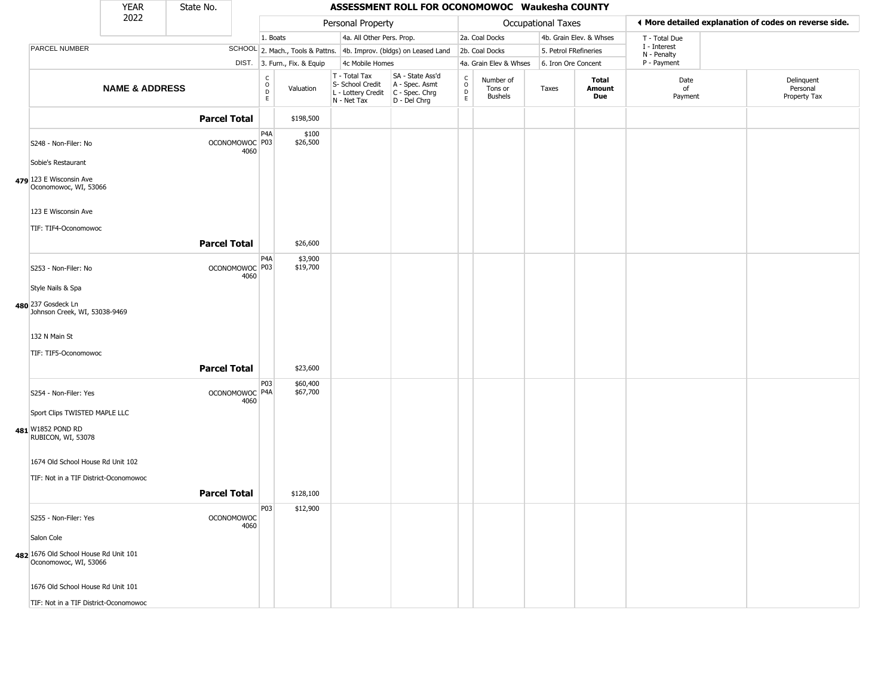|                                                                | <b>YEAR</b>               | State No.           |                           |                  |                              |                                                                                         | ASSESSMENT ROLL FOR OCONOMOWOC Waukesha COUNTY                      |                                                 |                                        |                    |                         |                             |                                                       |
|----------------------------------------------------------------|---------------------------|---------------------|---------------------------|------------------|------------------------------|-----------------------------------------------------------------------------------------|---------------------------------------------------------------------|-------------------------------------------------|----------------------------------------|--------------------|-------------------------|-----------------------------|-------------------------------------------------------|
|                                                                | 2022                      |                     |                           |                  |                              | Personal Property                                                                       |                                                                     |                                                 |                                        | Occupational Taxes |                         |                             | ♦ More detailed explanation of codes on reverse side. |
|                                                                |                           |                     |                           | 1. Boats         |                              | 4a. All Other Pers. Prop.                                                               |                                                                     |                                                 | 2a. Coal Docks                         |                    | 4b. Grain Elev. & Whses | T - Total Due               |                                                       |
| PARCEL NUMBER                                                  |                           |                     |                           |                  |                              |                                                                                         | SCHOOL 2. Mach., Tools & Pattns. 4b. Improv. (bldgs) on Leased Land |                                                 | 2b. Coal Docks                         |                    | 5. Petrol FRefineries   | I - Interest<br>N - Penalty |                                                       |
|                                                                |                           |                     |                           |                  | DIST. 3. Furn., Fix. & Equip | 4c Mobile Homes                                                                         |                                                                     |                                                 | 4a. Grain Elev & Whses                 |                    | 6. Iron Ore Concent     | P - Payment                 |                                                       |
|                                                                | <b>NAME &amp; ADDRESS</b> |                     |                           | C<br>D<br>D<br>E | Valuation                    | T - Total Tax<br>S- School Credit<br>L - Lottery Credit   C - Spec. Chrg<br>N - Net Tax | SA - State Ass'd<br>A - Spec. Asmt<br>D - Del Chrg                  | $\begin{matrix} 0 \\ 0 \\ D \end{matrix}$<br>E. | Number of<br>Tons or<br><b>Bushels</b> | Taxes              | Total<br>Amount<br>Due  | Date<br>of<br>Payment       | Delinquent<br>Personal<br>Property Tax                |
|                                                                |                           | <b>Parcel Total</b> |                           |                  | \$198,500                    |                                                                                         |                                                                     |                                                 |                                        |                    |                         |                             |                                                       |
| S248 - Non-Filer: No                                           |                           |                     | OCONOMOWOC P03<br>4060    | P4A              | \$100<br>\$26,500            |                                                                                         |                                                                     |                                                 |                                        |                    |                         |                             |                                                       |
| Sobie's Restaurant                                             |                           |                     |                           |                  |                              |                                                                                         |                                                                     |                                                 |                                        |                    |                         |                             |                                                       |
| 479 123 E Wisconsin Ave<br>Oconomowoc, WI, 53066               |                           |                     |                           |                  |                              |                                                                                         |                                                                     |                                                 |                                        |                    |                         |                             |                                                       |
| 123 E Wisconsin Ave                                            |                           |                     |                           |                  |                              |                                                                                         |                                                                     |                                                 |                                        |                    |                         |                             |                                                       |
| TIF: TIF4-Oconomowoc                                           |                           |                     |                           |                  |                              |                                                                                         |                                                                     |                                                 |                                        |                    |                         |                             |                                                       |
|                                                                |                           | <b>Parcel Total</b> |                           |                  | \$26,600                     |                                                                                         |                                                                     |                                                 |                                        |                    |                         |                             |                                                       |
| S253 - Non-Filer: No                                           |                           |                     | OCONOMOWOC P03<br>4060    | P <sub>4</sub> A | \$3,900<br>\$19,700          |                                                                                         |                                                                     |                                                 |                                        |                    |                         |                             |                                                       |
| Style Nails & Spa                                              |                           |                     |                           |                  |                              |                                                                                         |                                                                     |                                                 |                                        |                    |                         |                             |                                                       |
| 480 237 Gosdeck Ln<br>Johnson Creek, WI, 53038-9469            |                           |                     |                           |                  |                              |                                                                                         |                                                                     |                                                 |                                        |                    |                         |                             |                                                       |
| 132 N Main St                                                  |                           |                     |                           |                  |                              |                                                                                         |                                                                     |                                                 |                                        |                    |                         |                             |                                                       |
| TIF: TIF5-Oconomowoc                                           |                           |                     |                           |                  |                              |                                                                                         |                                                                     |                                                 |                                        |                    |                         |                             |                                                       |
|                                                                |                           | <b>Parcel Total</b> |                           |                  | \$23,600                     |                                                                                         |                                                                     |                                                 |                                        |                    |                         |                             |                                                       |
| S254 - Non-Filer: Yes                                          |                           |                     | OCONOMOWOC P4A<br>4060    | P03              | \$60,400<br>\$67,700         |                                                                                         |                                                                     |                                                 |                                        |                    |                         |                             |                                                       |
| Sport Clips TWISTED MAPLE LLC                                  |                           |                     |                           |                  |                              |                                                                                         |                                                                     |                                                 |                                        |                    |                         |                             |                                                       |
| 481 W1852 POND RD<br>RUBICON, WI, 53078                        |                           |                     |                           |                  |                              |                                                                                         |                                                                     |                                                 |                                        |                    |                         |                             |                                                       |
| 1674 Old School House Rd Unit 102                              |                           |                     |                           |                  |                              |                                                                                         |                                                                     |                                                 |                                        |                    |                         |                             |                                                       |
| TIF: Not in a TIF District-Oconomowoc                          |                           |                     |                           |                  |                              |                                                                                         |                                                                     |                                                 |                                        |                    |                         |                             |                                                       |
|                                                                |                           | <b>Parcel Total</b> |                           |                  | \$128,100                    |                                                                                         |                                                                     |                                                 |                                        |                    |                         |                             |                                                       |
| S255 - Non-Filer: Yes                                          |                           |                     | <b>OCONOMOWOC</b><br>4060 | P <sub>03</sub>  | \$12,900                     |                                                                                         |                                                                     |                                                 |                                        |                    |                         |                             |                                                       |
| Salon Cole                                                     |                           |                     |                           |                  |                              |                                                                                         |                                                                     |                                                 |                                        |                    |                         |                             |                                                       |
| 482 1676 Old School House Rd Unit 101<br>Oconomowoc, WI, 53066 |                           |                     |                           |                  |                              |                                                                                         |                                                                     |                                                 |                                        |                    |                         |                             |                                                       |
| 1676 Old School House Rd Unit 101                              |                           |                     |                           |                  |                              |                                                                                         |                                                                     |                                                 |                                        |                    |                         |                             |                                                       |
| TIF: Not in a TIF District-Oconomowoc                          |                           |                     |                           |                  |                              |                                                                                         |                                                                     |                                                 |                                        |                    |                         |                             |                                                       |

**480**

**481**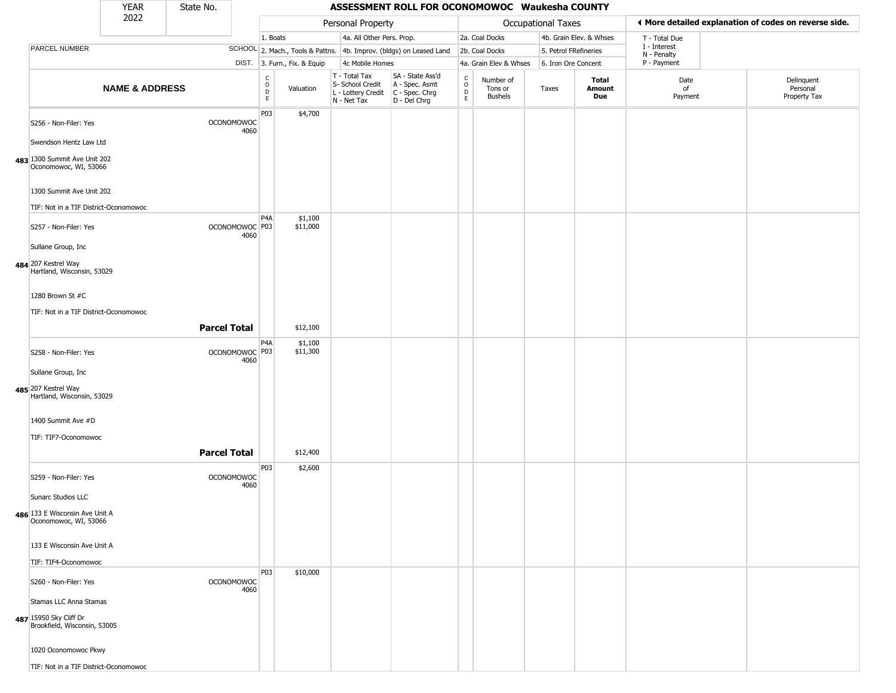|                                                         | <b>YEAR</b>               | State No.           |                           |                                                |                              |                                                                        | ASSESSMENT ROLL FOR OCONOMOWOC Waukesha COUNTY                         |                                            |                                 |                           |                         |                             |                                                       |
|---------------------------------------------------------|---------------------------|---------------------|---------------------------|------------------------------------------------|------------------------------|------------------------------------------------------------------------|------------------------------------------------------------------------|--------------------------------------------|---------------------------------|---------------------------|-------------------------|-----------------------------|-------------------------------------------------------|
|                                                         | 2022                      |                     |                           |                                                |                              | Personal Property                                                      |                                                                        |                                            |                                 | <b>Occupational Taxes</b> |                         |                             | ♦ More detailed explanation of codes on reverse side. |
|                                                         |                           |                     |                           | 1. Boats                                       |                              | 4a. All Other Pers. Prop.                                              |                                                                        |                                            | 2a. Coal Docks                  |                           | 4b. Grain Elev. & Whses | T - Total Due               |                                                       |
| PARCEL NUMBER                                           |                           |                     |                           |                                                |                              |                                                                        | SCHOOL 2. Mach., Tools & Pattns. 4b. Improv. (bldgs) on Leased Land    |                                            | 2b. Coal Docks                  | 5. Petrol FRefineries     |                         | I - Interest<br>N - Penalty |                                                       |
|                                                         |                           |                     |                           |                                                | DIST. 3. Furn., Fix. & Equip | 4c Mobile Homes                                                        |                                                                        |                                            | 4a. Grain Elev & Whses          | 6. Iron Ore Concent       |                         | P - Payment                 |                                                       |
|                                                         | <b>NAME &amp; ADDRESS</b> |                     |                           | $\begin{matrix} 0 \\ 0 \\ D \end{matrix}$<br>E | Valuation                    | T - Total Tax<br>S- School Credit<br>L - Lottery Credit<br>N - Net Tax | SA - State Ass'd<br>A - Spec. Asmt<br>$C - Spec. Chrg$<br>D - Del Chrg | $\begin{array}{c} C \\ 0 \\ E \end{array}$ | Number of<br>Tons or<br>Bushels | Taxes                     | Total<br>Amount<br>Due  | Date<br>of<br>Payment       | Delinquent<br>Personal<br>Property Tax                |
| S256 - Non-Filer: Yes<br>Swendson Hentz Law Ltd         |                           |                     | <b>OCONOMOWOC</b><br>4060 | P03                                            | \$4,700                      |                                                                        |                                                                        |                                            |                                 |                           |                         |                             |                                                       |
| 483 1300 Summit Ave Unit 202<br>Oconomowoc, WI, 53066   |                           |                     |                           |                                                |                              |                                                                        |                                                                        |                                            |                                 |                           |                         |                             |                                                       |
| 1300 Summit Ave Unit 202                                |                           |                     |                           |                                                |                              |                                                                        |                                                                        |                                            |                                 |                           |                         |                             |                                                       |
| TIF: Not in a TIF District-Oconomowoc                   |                           |                     |                           | P <sub>4</sub> A                               | \$1,100                      |                                                                        |                                                                        |                                            |                                 |                           |                         |                             |                                                       |
| S257 - Non-Filer: Yes                                   |                           |                     | OCONOMOWOC P03<br>4060    |                                                | \$11,000                     |                                                                        |                                                                        |                                            |                                 |                           |                         |                             |                                                       |
| Sullane Group, Inc.                                     |                           |                     |                           |                                                |                              |                                                                        |                                                                        |                                            |                                 |                           |                         |                             |                                                       |
| 484 207 Kestrel Way<br>Hartland, Wisconsin, 53029       |                           |                     |                           |                                                |                              |                                                                        |                                                                        |                                            |                                 |                           |                         |                             |                                                       |
| 1280 Brown St #C                                        |                           |                     |                           |                                                |                              |                                                                        |                                                                        |                                            |                                 |                           |                         |                             |                                                       |
| TIF: Not in a TIF District-Oconomowoc                   |                           |                     |                           |                                                |                              |                                                                        |                                                                        |                                            |                                 |                           |                         |                             |                                                       |
|                                                         |                           | <b>Parcel Total</b> |                           |                                                | \$12,100                     |                                                                        |                                                                        |                                            |                                 |                           |                         |                             |                                                       |
| S258 - Non-Filer: Yes                                   |                           |                     | OCONOMOWOC P03<br>4060    | P4A                                            | \$1,100<br>\$11,300          |                                                                        |                                                                        |                                            |                                 |                           |                         |                             |                                                       |
| Sullane Group, Inc.                                     |                           |                     |                           |                                                |                              |                                                                        |                                                                        |                                            |                                 |                           |                         |                             |                                                       |
| 485 207 Kestrel Way<br>Hartland, Wisconsin, 53029       |                           |                     |                           |                                                |                              |                                                                        |                                                                        |                                            |                                 |                           |                         |                             |                                                       |
| 1400 Summit Ave #D                                      |                           |                     |                           |                                                |                              |                                                                        |                                                                        |                                            |                                 |                           |                         |                             |                                                       |
|                                                         |                           |                     |                           |                                                |                              |                                                                        |                                                                        |                                            |                                 |                           |                         |                             |                                                       |
| TIF: TIF7-Oconomowoc                                    |                           | <b>Parcel Total</b> |                           |                                                | \$12,400                     |                                                                        |                                                                        |                                            |                                 |                           |                         |                             |                                                       |
| S259 - Non-Filer: Yes                                   |                           |                     | <b>OCONOMOWOC</b><br>4060 | P03                                            | \$2,600                      |                                                                        |                                                                        |                                            |                                 |                           |                         |                             |                                                       |
| Sunarc Studios LLC                                      |                           |                     |                           |                                                |                              |                                                                        |                                                                        |                                            |                                 |                           |                         |                             |                                                       |
| 486 133 E Wisconsin Ave Unit A<br>Oconomowoc, WI, 53066 |                           |                     |                           |                                                |                              |                                                                        |                                                                        |                                            |                                 |                           |                         |                             |                                                       |
| 133 E Wisconsin Ave Unit A                              |                           |                     |                           |                                                |                              |                                                                        |                                                                        |                                            |                                 |                           |                         |                             |                                                       |
| TIF: TIF4-Oconomowoc                                    |                           |                     |                           |                                                |                              |                                                                        |                                                                        |                                            |                                 |                           |                         |                             |                                                       |
| S260 - Non-Filer: Yes                                   |                           |                     | <b>OCONOMOWOC</b><br>4060 | P03                                            | \$10,000                     |                                                                        |                                                                        |                                            |                                 |                           |                         |                             |                                                       |
| Stamas LLC Anna Stamas                                  |                           |                     |                           |                                                |                              |                                                                        |                                                                        |                                            |                                 |                           |                         |                             |                                                       |
| 487 15950 Sky Cliff Dr<br>Brookfield, Wisconsin, 53005  |                           |                     |                           |                                                |                              |                                                                        |                                                                        |                                            |                                 |                           |                         |                             |                                                       |
| 1020 Oconomowoc Pkwy                                    |                           |                     |                           |                                                |                              |                                                                        |                                                                        |                                            |                                 |                           |                         |                             |                                                       |
| TIF: Not in a TIF District-Oconomowoc                   |                           |                     |                           |                                                |                              |                                                                        |                                                                        |                                            |                                 |                           |                         |                             |                                                       |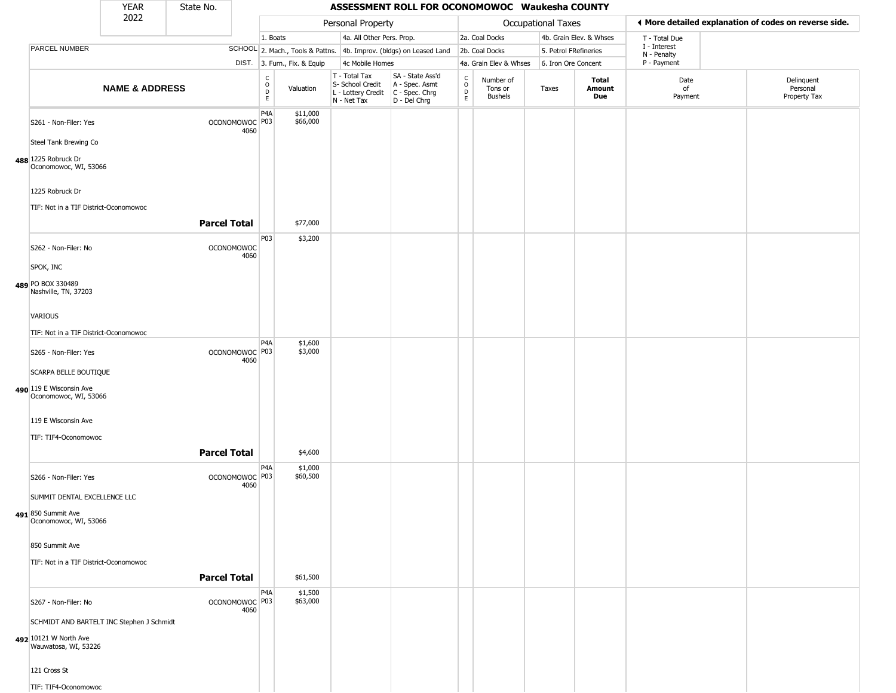|                                                          | YEAR                      | State No.           |                                     |                                                             |                                                                        | ASSESSMENT ROLL FOR OCONOMOWOC Waukesha COUNTY                         |                                      |                                        |                           |                         |                             |                                                       |
|----------------------------------------------------------|---------------------------|---------------------|-------------------------------------|-------------------------------------------------------------|------------------------------------------------------------------------|------------------------------------------------------------------------|--------------------------------------|----------------------------------------|---------------------------|-------------------------|-----------------------------|-------------------------------------------------------|
|                                                          | 2022                      |                     |                                     |                                                             | Personal Property                                                      |                                                                        |                                      |                                        | <b>Occupational Taxes</b> |                         |                             | ♦ More detailed explanation of codes on reverse side. |
|                                                          |                           |                     |                                     | 1. Boats                                                    | 4a. All Other Pers. Prop.                                              |                                                                        |                                      | 2a. Coal Docks                         |                           | 4b. Grain Elev. & Whses | T - Total Due               |                                                       |
| PARCEL NUMBER                                            |                           |                     |                                     |                                                             |                                                                        | SCHOOL 2. Mach., Tools & Pattns. 4b. Improv. (bldgs) on Leased Land    |                                      | 2b. Coal Docks                         | 5. Petrol FRefineries     |                         | I - Interest<br>N - Penalty |                                                       |
|                                                          |                           |                     |                                     | DIST. 3. Furn., Fix. & Equip                                | 4c Mobile Homes                                                        |                                                                        |                                      | 4a. Grain Elev & Whses                 | 6. Iron Ore Concent       |                         | P - Payment                 |                                                       |
|                                                          | <b>NAME &amp; ADDRESS</b> |                     |                                     | $\begin{matrix} 0 \\ 0 \\ D \end{matrix}$<br>Valuation<br>E | T - Total Tax<br>S- School Credit<br>L - Lottery Credit<br>N - Net Tax | SA - State Ass'd<br>A - Spec. Asmt<br>$C - Spec. Chrg$<br>D - Del Chrg | $\int_{0}^{c}$<br>$_{\rm E}^{\rm D}$ | Number of<br>Tons or<br><b>Bushels</b> | Taxes                     | Total<br>Amount<br>Due  | Date<br>of<br>Payment       | Delinquent<br>Personal<br>Property Tax                |
| S261 - Non-Filer: Yes                                    |                           |                     | OCONOMOWOC P03<br>4060              | P <sub>4</sub> A<br>\$11,000<br>\$66,000                    |                                                                        |                                                                        |                                      |                                        |                           |                         |                             |                                                       |
| Steel Tank Brewing Co                                    |                           |                     |                                     |                                                             |                                                                        |                                                                        |                                      |                                        |                           |                         |                             |                                                       |
| 488 1225 Robruck Dr<br>Oconomowoc, WI, 53066             |                           |                     |                                     |                                                             |                                                                        |                                                                        |                                      |                                        |                           |                         |                             |                                                       |
| 1225 Robruck Dr<br>TIF: Not in a TIF District-Oconomowoc |                           |                     |                                     |                                                             |                                                                        |                                                                        |                                      |                                        |                           |                         |                             |                                                       |
|                                                          |                           | <b>Parcel Total</b> |                                     | \$77,000                                                    |                                                                        |                                                                        |                                      |                                        |                           |                         |                             |                                                       |
| S262 - Non-Filer: No                                     |                           |                     | <b>OCONOMOWOC</b><br>4060           | P03<br>\$3,200                                              |                                                                        |                                                                        |                                      |                                        |                           |                         |                             |                                                       |
| SPOK, INC                                                |                           |                     |                                     |                                                             |                                                                        |                                                                        |                                      |                                        |                           |                         |                             |                                                       |
| 489 PO BOX 330489<br>Nashville, TN, 37203                |                           |                     |                                     |                                                             |                                                                        |                                                                        |                                      |                                        |                           |                         |                             |                                                       |
| <b>VARIOUS</b>                                           |                           |                     |                                     |                                                             |                                                                        |                                                                        |                                      |                                        |                           |                         |                             |                                                       |
| TIF: Not in a TIF District-Oconomowoc                    |                           |                     |                                     |                                                             |                                                                        |                                                                        |                                      |                                        |                           |                         |                             |                                                       |
| S265 - Non-Filer: Yes                                    |                           |                     | OCONOMOWOC P03                      | P <sub>4</sub> A<br>\$1,600<br>\$3,000                      |                                                                        |                                                                        |                                      |                                        |                           |                         |                             |                                                       |
| SCARPA BELLE BOUTIQUE                                    |                           |                     | 4060                                |                                                             |                                                                        |                                                                        |                                      |                                        |                           |                         |                             |                                                       |
| 490 119 E Wisconsin Ave                                  |                           |                     |                                     |                                                             |                                                                        |                                                                        |                                      |                                        |                           |                         |                             |                                                       |
| Oconomowoc, WI, 53066                                    |                           |                     |                                     |                                                             |                                                                        |                                                                        |                                      |                                        |                           |                         |                             |                                                       |
| 119 E Wisconsin Ave                                      |                           |                     |                                     |                                                             |                                                                        |                                                                        |                                      |                                        |                           |                         |                             |                                                       |
| TIF: TIF4-Oconomowoc                                     |                           |                     |                                     |                                                             |                                                                        |                                                                        |                                      |                                        |                           |                         |                             |                                                       |
|                                                          |                           | <b>Parcel Total</b> |                                     | \$4,600                                                     |                                                                        |                                                                        |                                      |                                        |                           |                         |                             |                                                       |
| S266 - Non-Filer: Yes                                    |                           |                     | OCONOMOWOC <sup>O P03</sup><br>4060 | P <sub>4</sub> A<br>\$1,000<br>\$60,500                     |                                                                        |                                                                        |                                      |                                        |                           |                         |                             |                                                       |
| SUMMIT DENTAL EXCELLENCE LLC                             |                           |                     |                                     |                                                             |                                                                        |                                                                        |                                      |                                        |                           |                         |                             |                                                       |
| 491 850 Summit Ave<br>Oconomowoc, WI, 53066              |                           |                     |                                     |                                                             |                                                                        |                                                                        |                                      |                                        |                           |                         |                             |                                                       |
| 850 Summit Ave                                           |                           |                     |                                     |                                                             |                                                                        |                                                                        |                                      |                                        |                           |                         |                             |                                                       |
| TIF: Not in a TIF District-Oconomowoc                    |                           |                     |                                     |                                                             |                                                                        |                                                                        |                                      |                                        |                           |                         |                             |                                                       |
|                                                          |                           | <b>Parcel Total</b> |                                     | \$61,500                                                    |                                                                        |                                                                        |                                      |                                        |                           |                         |                             |                                                       |
| S267 - Non-Filer: No                                     |                           |                     | OCONOMOWOC P03<br>4060              | P <sub>4</sub> A<br>\$1,500<br>\$63,000                     |                                                                        |                                                                        |                                      |                                        |                           |                         |                             |                                                       |
| SCHMIDT AND BARTELT INC Stephen J Schmidt                |                           |                     |                                     |                                                             |                                                                        |                                                                        |                                      |                                        |                           |                         |                             |                                                       |
| 492 10121 W North Ave<br>Wauwatosa, WI, 53226            |                           |                     |                                     |                                                             |                                                                        |                                                                        |                                      |                                        |                           |                         |                             |                                                       |
| 121 Cross St                                             |                           |                     |                                     |                                                             |                                                                        |                                                                        |                                      |                                        |                           |                         |                             |                                                       |
| TIF: TIF4-Oconomowoc                                     |                           |                     |                                     |                                                             |                                                                        |                                                                        |                                      |                                        |                           |                         |                             |                                                       |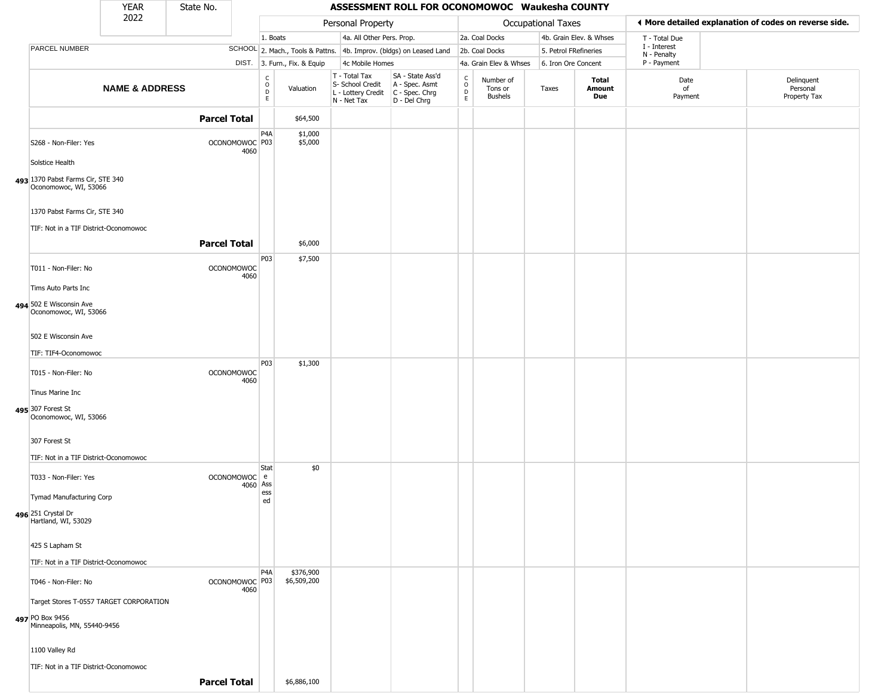|                                                                        | <b>YEAR</b>               | State No.           |                           |                                              |                              |                                                                        | ASSESSMENT ROLL FOR OCONOMOWOC Waukesha COUNTY                         |                                         |                                 |                    |                         |                             |                                                       |
|------------------------------------------------------------------------|---------------------------|---------------------|---------------------------|----------------------------------------------|------------------------------|------------------------------------------------------------------------|------------------------------------------------------------------------|-----------------------------------------|---------------------------------|--------------------|-------------------------|-----------------------------|-------------------------------------------------------|
|                                                                        | 2022                      |                     |                           |                                              |                              | Personal Property                                                      |                                                                        |                                         |                                 | Occupational Taxes |                         |                             | ♦ More detailed explanation of codes on reverse side. |
|                                                                        |                           |                     |                           | 1. Boats                                     |                              | 4a. All Other Pers. Prop.                                              |                                                                        |                                         | 2a. Coal Docks                  |                    | 4b. Grain Elev. & Whses | T - Total Due               |                                                       |
| PARCEL NUMBER                                                          |                           |                     |                           |                                              |                              |                                                                        | SCHOOL 2. Mach., Tools & Pattns. 4b. Improv. (bldgs) on Leased Land    |                                         | 2b. Coal Docks                  |                    | 5. Petrol FRefineries   | I - Interest<br>N - Penalty |                                                       |
|                                                                        |                           |                     |                           |                                              | DIST. 3. Furn., Fix. & Equip | 4c Mobile Homes                                                        |                                                                        |                                         | 4a. Grain Elev & Whses          |                    | 6. Iron Ore Concent     | P - Payment                 |                                                       |
|                                                                        | <b>NAME &amp; ADDRESS</b> |                     |                           | $\begin{array}{c}\nC \\ O \\ D\n\end{array}$ | Valuation                    | T - Total Tax<br>S- School Credit<br>L - Lottery Credit<br>N - Net Tax | SA - State Ass'd<br>A - Spec. Asmt<br>$C - Spec. Chrg$<br>D - Del Chrg | $\delta$<br>$\mathsf{D}$<br>$\mathsf E$ | Number of<br>Tons or<br>Bushels | Taxes              | Total<br>Amount<br>Due  | Date<br>of<br>Payment       | Delinquent<br>Personal<br>Property Tax                |
|                                                                        |                           | <b>Parcel Total</b> |                           |                                              | \$64,500                     |                                                                        |                                                                        |                                         |                                 |                    |                         |                             |                                                       |
| S268 - Non-Filer: Yes                                                  |                           |                     | OCONOMOWOC P03<br>4060    | P4A                                          | \$1,000<br>\$5,000           |                                                                        |                                                                        |                                         |                                 |                    |                         |                             |                                                       |
| Solstice Health                                                        |                           |                     |                           |                                              |                              |                                                                        |                                                                        |                                         |                                 |                    |                         |                             |                                                       |
| 493 1370 Pabst Farms Cir, STE 340<br>Oconomowoc, WI, 53066             |                           |                     |                           |                                              |                              |                                                                        |                                                                        |                                         |                                 |                    |                         |                             |                                                       |
| 1370 Pabst Farms Cir, STE 340<br>TIF: Not in a TIF District-Oconomowoc |                           |                     |                           |                                              |                              |                                                                        |                                                                        |                                         |                                 |                    |                         |                             |                                                       |
|                                                                        |                           | <b>Parcel Total</b> |                           |                                              | \$6,000                      |                                                                        |                                                                        |                                         |                                 |                    |                         |                             |                                                       |
| T011 - Non-Filer: No                                                   |                           |                     | <b>OCONOMOWOC</b><br>4060 | P03                                          | \$7,500                      |                                                                        |                                                                        |                                         |                                 |                    |                         |                             |                                                       |
| Tims Auto Parts Inc                                                    |                           |                     |                           |                                              |                              |                                                                        |                                                                        |                                         |                                 |                    |                         |                             |                                                       |
| 494 502 E Wisconsin Ave<br>Oconomowoc, WI, 53066                       |                           |                     |                           |                                              |                              |                                                                        |                                                                        |                                         |                                 |                    |                         |                             |                                                       |
| 502 E Wisconsin Ave                                                    |                           |                     |                           |                                              |                              |                                                                        |                                                                        |                                         |                                 |                    |                         |                             |                                                       |
| TIF: TIF4-Oconomowoc                                                   |                           |                     |                           |                                              |                              |                                                                        |                                                                        |                                         |                                 |                    |                         |                             |                                                       |
| T015 - Non-Filer: No                                                   |                           |                     | <b>OCONOMOWOC</b><br>4060 | P03                                          | \$1,300                      |                                                                        |                                                                        |                                         |                                 |                    |                         |                             |                                                       |
| Tinus Marine Inc                                                       |                           |                     |                           |                                              |                              |                                                                        |                                                                        |                                         |                                 |                    |                         |                             |                                                       |
| 495 307 Forest St<br>Oconomowoc, WI, 53066                             |                           |                     |                           |                                              |                              |                                                                        |                                                                        |                                         |                                 |                    |                         |                             |                                                       |
| 307 Forest St                                                          |                           |                     |                           |                                              |                              |                                                                        |                                                                        |                                         |                                 |                    |                         |                             |                                                       |
| TIF: Not in a TIF District-Oconomowoc                                  |                           |                     |                           |                                              |                              |                                                                        |                                                                        |                                         |                                 |                    |                         |                             |                                                       |
| T033 - Non-Filer: Yes                                                  |                           |                     | OCONOMOWOC e<br>4060 Ass  | Stat                                         | \$0                          |                                                                        |                                                                        |                                         |                                 |                    |                         |                             |                                                       |
| Tymad Manufacturing Corp                                               |                           |                     |                           | ess<br>ed                                    |                              |                                                                        |                                                                        |                                         |                                 |                    |                         |                             |                                                       |
| 496 251 Crystal Dr<br>Hartland, WI, 53029                              |                           |                     |                           |                                              |                              |                                                                        |                                                                        |                                         |                                 |                    |                         |                             |                                                       |
| 425 S Lapham St                                                        |                           |                     |                           |                                              |                              |                                                                        |                                                                        |                                         |                                 |                    |                         |                             |                                                       |
| TIF: Not in a TIF District-Oconomowoc                                  |                           |                     |                           |                                              |                              |                                                                        |                                                                        |                                         |                                 |                    |                         |                             |                                                       |
| T046 - Non-Filer: No                                                   |                           |                     | OCONOMOWOC P03<br>4060    | P <sub>4</sub> A                             | \$376,900<br>\$6,509,200     |                                                                        |                                                                        |                                         |                                 |                    |                         |                             |                                                       |
| Target Stores T-0557 TARGET CORPORATION                                |                           |                     |                           |                                              |                              |                                                                        |                                                                        |                                         |                                 |                    |                         |                             |                                                       |
| 497 PO Box 9456<br>Minneapolis, MN, 55440-9456                         |                           |                     |                           |                                              |                              |                                                                        |                                                                        |                                         |                                 |                    |                         |                             |                                                       |
| 1100 Valley Rd                                                         |                           |                     |                           |                                              |                              |                                                                        |                                                                        |                                         |                                 |                    |                         |                             |                                                       |
| TIF: Not in a TIF District-Oconomowoc                                  |                           |                     |                           |                                              |                              |                                                                        |                                                                        |                                         |                                 |                    |                         |                             |                                                       |
|                                                                        |                           | <b>Parcel Total</b> |                           |                                              | \$6,886,100                  |                                                                        |                                                                        |                                         |                                 |                    |                         |                             |                                                       |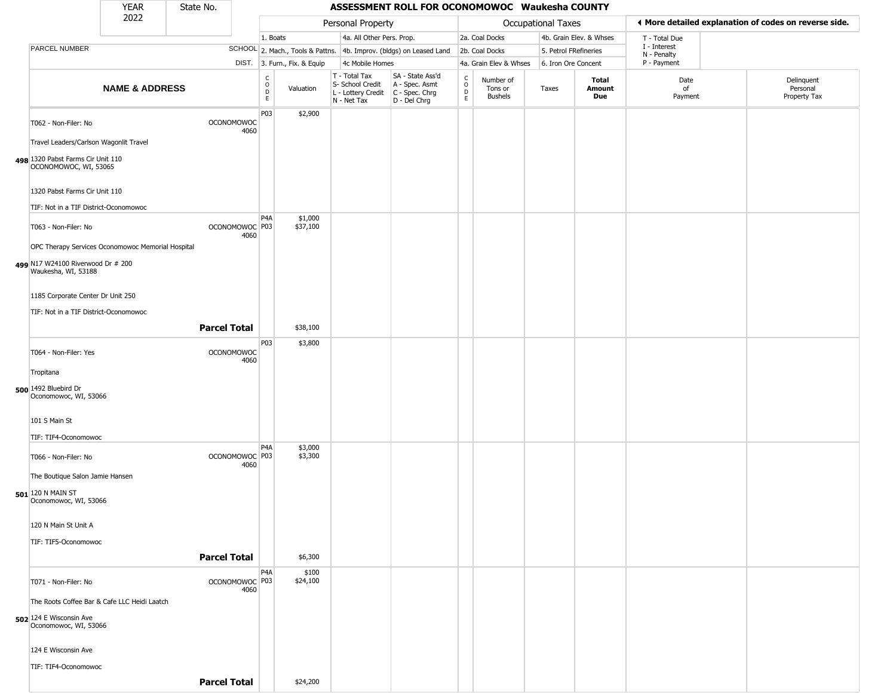|                                                                                                      | <b>YEAR</b>               | State No.           |                           |                                                 |                              |                                                                        | ASSESSMENT ROLL FOR OCONOMOWOC Waukesha COUNTY                       |                                                 |                                 |                           |                         |                             |                                                       |
|------------------------------------------------------------------------------------------------------|---------------------------|---------------------|---------------------------|-------------------------------------------------|------------------------------|------------------------------------------------------------------------|----------------------------------------------------------------------|-------------------------------------------------|---------------------------------|---------------------------|-------------------------|-----------------------------|-------------------------------------------------------|
|                                                                                                      | 2022                      |                     |                           |                                                 |                              | Personal Property                                                      |                                                                      |                                                 |                                 | <b>Occupational Taxes</b> |                         |                             | ♦ More detailed explanation of codes on reverse side. |
|                                                                                                      |                           |                     |                           | 1. Boats                                        |                              | 4a. All Other Pers. Prop.                                              |                                                                      |                                                 | 2a. Coal Docks                  |                           | 4b. Grain Elev. & Whses | T - Total Due               |                                                       |
| PARCEL NUMBER                                                                                        |                           |                     |                           |                                                 |                              |                                                                        | SCHOOL 2. Mach., Tools & Pattns. 4b. Improv. (bldgs) on Leased Land  |                                                 | 2b. Coal Docks                  | 5. Petrol FRefineries     |                         | I - Interest<br>N - Penalty |                                                       |
|                                                                                                      |                           |                     |                           |                                                 | DIST. 3. Furn., Fix. & Equip | 4c Mobile Homes                                                        |                                                                      |                                                 | 4a. Grain Elev & Whses          | 6. Iron Ore Concent       |                         | P - Payment                 |                                                       |
|                                                                                                      | <b>NAME &amp; ADDRESS</b> |                     |                           | $\begin{array}{c} C \\ O \\ D \\ E \end{array}$ | Valuation                    | T - Total Tax<br>S- School Credit<br>L - Lottery Credit<br>N - Net Tax | SA - State Ass'd<br>A - Spec. Asmt<br>C - Spec. Chrg<br>D - Del Chrg | $_{\rm o}^{\rm c}$<br>$\mathsf{D}_{\mathsf{E}}$ | Number of<br>Tons or<br>Bushels | Taxes                     | Total<br>Amount<br>Due  | Date<br>of<br>Payment       | Delinquent<br>Personal<br>Property Tax                |
| T062 - Non-Filer: No                                                                                 |                           |                     | <b>OCONOMOWOC</b><br>4060 | P03                                             | \$2,900                      |                                                                        |                                                                      |                                                 |                                 |                           |                         |                             |                                                       |
| Travel Leaders/Carlson Wagonlit Travel<br>498 1320 Pabst Farms Cir Unit 110<br>OCONOMOWOC, WI, 53065 |                           |                     |                           |                                                 |                              |                                                                        |                                                                      |                                                 |                                 |                           |                         |                             |                                                       |
| 1320 Pabst Farms Cir Unit 110                                                                        |                           |                     |                           |                                                 |                              |                                                                        |                                                                      |                                                 |                                 |                           |                         |                             |                                                       |
| TIF: Not in a TIF District-Oconomowoc                                                                |                           |                     |                           |                                                 |                              |                                                                        |                                                                      |                                                 |                                 |                           |                         |                             |                                                       |
| T063 - Non-Filer: No<br>OPC Therapy Services Oconomowoc Memorial Hospital                            |                           |                     | OCONOMOWOC P03<br>4060    | P <sub>4</sub> A                                | \$1,000<br>\$37,100          |                                                                        |                                                                      |                                                 |                                 |                           |                         |                             |                                                       |
| 499 N17 W24100 Riverwood Dr # 200<br>Waukesha, WI, 53188                                             |                           |                     |                           |                                                 |                              |                                                                        |                                                                      |                                                 |                                 |                           |                         |                             |                                                       |
| 1185 Corporate Center Dr Unit 250<br>TIF: Not in a TIF District-Oconomowoc                           |                           |                     |                           |                                                 |                              |                                                                        |                                                                      |                                                 |                                 |                           |                         |                             |                                                       |
|                                                                                                      |                           | <b>Parcel Total</b> |                           |                                                 | \$38,100                     |                                                                        |                                                                      |                                                 |                                 |                           |                         |                             |                                                       |
| T064 - Non-Filer: Yes                                                                                |                           |                     | <b>OCONOMOWOC</b>         | P03                                             | \$3,800                      |                                                                        |                                                                      |                                                 |                                 |                           |                         |                             |                                                       |
|                                                                                                      |                           |                     | 4060                      |                                                 |                              |                                                                        |                                                                      |                                                 |                                 |                           |                         |                             |                                                       |
| Tropitana                                                                                            |                           |                     |                           |                                                 |                              |                                                                        |                                                                      |                                                 |                                 |                           |                         |                             |                                                       |
| 500 1492 Bluebird Dr<br>Oconomowoc, WI, 53066                                                        |                           |                     |                           |                                                 |                              |                                                                        |                                                                      |                                                 |                                 |                           |                         |                             |                                                       |
| 101 S Main St                                                                                        |                           |                     |                           |                                                 |                              |                                                                        |                                                                      |                                                 |                                 |                           |                         |                             |                                                       |
| TIF: TIF4-Oconomowoc                                                                                 |                           |                     |                           | P <sub>4</sub> A                                | \$3,000                      |                                                                        |                                                                      |                                                 |                                 |                           |                         |                             |                                                       |
| T066 - Non-Filer: No<br>The Boutique Salon Jamie Hansen                                              |                           |                     | OCONOMOWOC P03<br>4060    |                                                 | \$3,300                      |                                                                        |                                                                      |                                                 |                                 |                           |                         |                             |                                                       |
| 501 120 N MAIN ST<br>Oconomowoc, WI, 53066                                                           |                           |                     |                           |                                                 |                              |                                                                        |                                                                      |                                                 |                                 |                           |                         |                             |                                                       |
| 120 N Main St Unit A                                                                                 |                           |                     |                           |                                                 |                              |                                                                        |                                                                      |                                                 |                                 |                           |                         |                             |                                                       |
| TIF: TIF5-Oconomowoc                                                                                 |                           |                     |                           |                                                 |                              |                                                                        |                                                                      |                                                 |                                 |                           |                         |                             |                                                       |
|                                                                                                      |                           | <b>Parcel Total</b> |                           |                                                 | \$6,300                      |                                                                        |                                                                      |                                                 |                                 |                           |                         |                             |                                                       |
| T071 - Non-Filer: No                                                                                 |                           |                     | OCONOMOWOC P03<br>4060    | P <sub>4</sub> A                                | \$100<br>\$24,100            |                                                                        |                                                                      |                                                 |                                 |                           |                         |                             |                                                       |
| The Roots Coffee Bar & Cafe LLC Heidi Laatch                                                         |                           |                     |                           |                                                 |                              |                                                                        |                                                                      |                                                 |                                 |                           |                         |                             |                                                       |
| 502 124 E Wisconsin Ave<br>Oconomowoc, WI, 53066                                                     |                           |                     |                           |                                                 |                              |                                                                        |                                                                      |                                                 |                                 |                           |                         |                             |                                                       |
| 124 E Wisconsin Ave                                                                                  |                           |                     |                           |                                                 |                              |                                                                        |                                                                      |                                                 |                                 |                           |                         |                             |                                                       |
| TIF: TIF4-Oconomowoc                                                                                 |                           |                     |                           |                                                 |                              |                                                                        |                                                                      |                                                 |                                 |                           |                         |                             |                                                       |
|                                                                                                      |                           | <b>Parcel Total</b> |                           |                                                 | \$24,200                     |                                                                        |                                                                      |                                                 |                                 |                           |                         |                             |                                                       |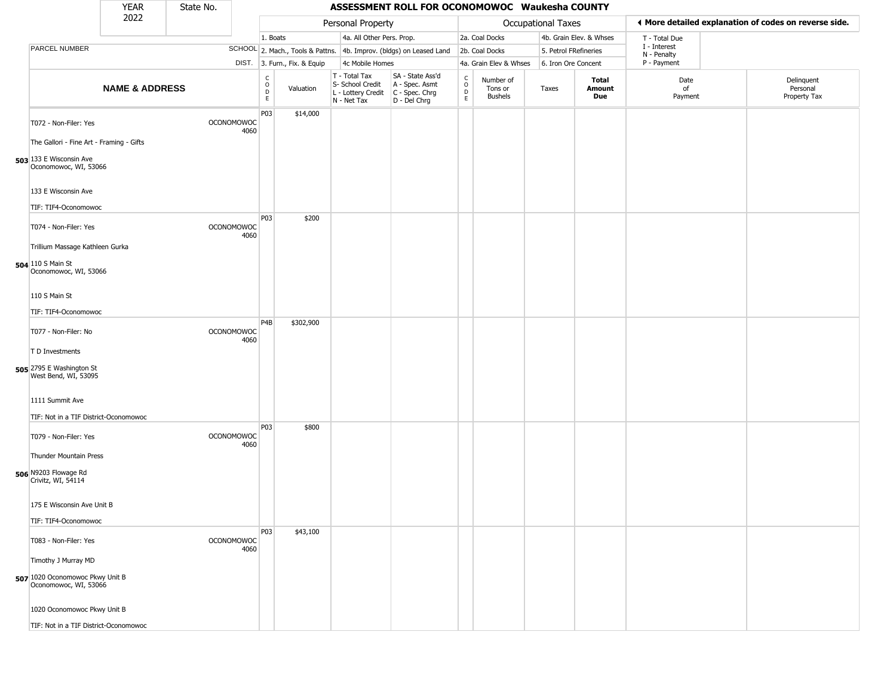|                                                                                                                       | <b>YEAR</b>               | State No. |                           |                                   |                              |                                                                        | ASSESSMENT ROLL FOR OCONOMOWOC Waukesha COUNTY                         |                         |                                        |                       |                         |                             |                                                       |
|-----------------------------------------------------------------------------------------------------------------------|---------------------------|-----------|---------------------------|-----------------------------------|------------------------------|------------------------------------------------------------------------|------------------------------------------------------------------------|-------------------------|----------------------------------------|-----------------------|-------------------------|-----------------------------|-------------------------------------------------------|
|                                                                                                                       | 2022                      |           |                           |                                   |                              | Personal Property                                                      |                                                                        |                         |                                        | Occupational Taxes    |                         |                             | ◀ More detailed explanation of codes on reverse side. |
|                                                                                                                       |                           |           |                           | 1. Boats                          |                              | 4a. All Other Pers. Prop.                                              |                                                                        |                         | 2a. Coal Docks                         |                       | 4b. Grain Elev. & Whses | T - Total Due               |                                                       |
| PARCEL NUMBER                                                                                                         |                           |           |                           |                                   |                              |                                                                        | SCHOOL 2. Mach., Tools & Pattns. 4b. Improv. (bldgs) on Leased Land    |                         | 2b. Coal Docks                         | 5. Petrol FRefineries |                         | I - Interest<br>N - Penalty |                                                       |
|                                                                                                                       |                           |           |                           |                                   | DIST. 3. Furn., Fix. & Equip | 4c Mobile Homes                                                        |                                                                        |                         | 4a. Grain Elev & Whses                 | 6. Iron Ore Concent   |                         | P - Payment                 |                                                       |
|                                                                                                                       | <b>NAME &amp; ADDRESS</b> |           |                           | $\frac{C}{O}$<br>$\mathsf D$<br>E | Valuation                    | T - Total Tax<br>S- School Credit<br>L - Lottery Credit<br>N - Net Tax | SA - State Ass'd<br>A - Spec. Asmt<br>$C - Spec. Chrg$<br>D - Del Chrg | $\frac{c}{0}$<br>D<br>E | Number of<br>Tons or<br><b>Bushels</b> | Taxes                 | Total<br>Amount<br>Due  | Date<br>of<br>Payment       | Delinquent<br>Personal<br>Property Tax                |
| T072 - Non-Filer: Yes<br>The Gallori - Fine Art - Framing - Gifts<br>503 133 E Wisconsin Ave<br>Oconomowoc, WI, 53066 |                           |           | <b>OCONOMOWOC</b><br>4060 | P03                               | \$14,000                     |                                                                        |                                                                        |                         |                                        |                       |                         |                             |                                                       |
| 133 E Wisconsin Ave<br>TIF: TIF4-Oconomowoc                                                                           |                           |           |                           |                                   |                              |                                                                        |                                                                        |                         |                                        |                       |                         |                             |                                                       |
| T074 - Non-Filer: Yes<br>Trillium Massage Kathleen Gurka<br>504 110 S Main St                                         |                           |           | <b>OCONOMOWOC</b><br>4060 | P03                               | \$200                        |                                                                        |                                                                        |                         |                                        |                       |                         |                             |                                                       |
| Oconomowoc, WI, 53066<br>110 S Main St<br>TIF: TIF4-Oconomowoc                                                        |                           |           |                           | P <sub>4</sub> B                  | \$302,900                    |                                                                        |                                                                        |                         |                                        |                       |                         |                             |                                                       |
| T077 - Non-Filer: No<br>T D Investments<br><b>505</b> 2795 E Washington St<br>West Bend, WI, 53095                    |                           |           | <b>OCONOMOWOC</b><br>4060 |                                   |                              |                                                                        |                                                                        |                         |                                        |                       |                         |                             |                                                       |
| 1111 Summit Ave<br>TIF: Not in a TIF District-Oconomowoc                                                              |                           |           |                           |                                   |                              |                                                                        |                                                                        |                         |                                        |                       |                         |                             |                                                       |
| T079 - Non-Filer: Yes<br>Thunder Mountain Press<br>506 N9203 Flowage Rd<br>Crivitz, WI, 54114                         |                           |           | <b>OCONOMOWOC</b><br>4060 | P03                               | \$800                        |                                                                        |                                                                        |                         |                                        |                       |                         |                             |                                                       |
| 175 E Wisconsin Ave Unit B<br>TIF: TIF4-Oconomowoc                                                                    |                           |           |                           |                                   |                              |                                                                        |                                                                        |                         |                                        |                       |                         |                             |                                                       |
| T083 - Non-Filer: Yes                                                                                                 |                           |           | <b>OCONOMOWOC</b><br>4060 | P03                               | \$43,100                     |                                                                        |                                                                        |                         |                                        |                       |                         |                             |                                                       |
| Timothy J Murray MD<br>507 1020 Oconomowoc Pkwy Unit B<br>Oconomowoc, WI, 53066                                       |                           |           |                           |                                   |                              |                                                                        |                                                                        |                         |                                        |                       |                         |                             |                                                       |
| 1020 Oconomowoc Pkwy Unit B<br>TIF: Not in a TIF District-Oconomowoc                                                  |                           |           |                           |                                   |                              |                                                                        |                                                                        |                         |                                        |                       |                         |                             |                                                       |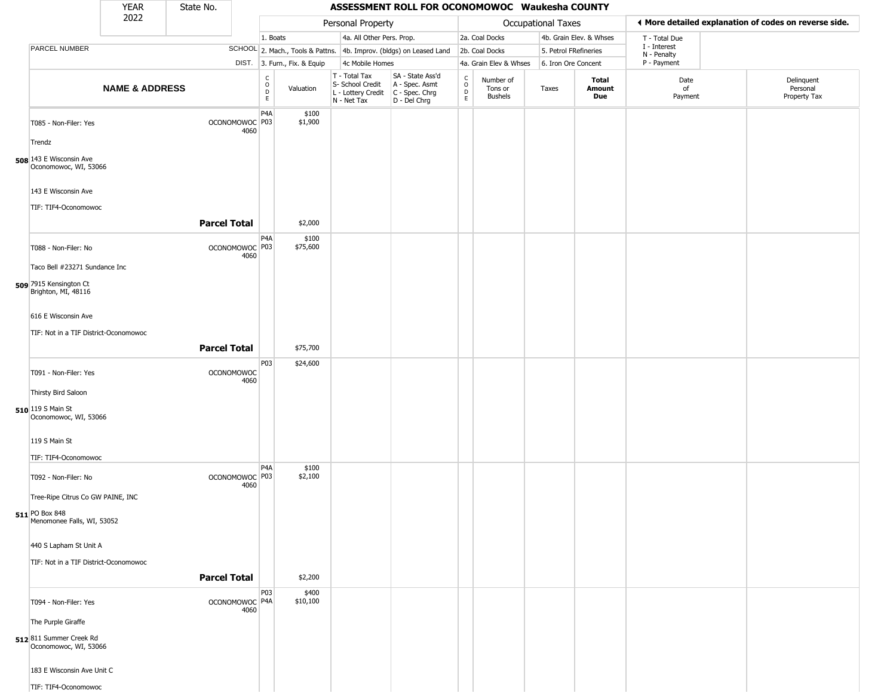|                                                  | <b>YEAR</b>               | State No.           |                                   |                                |                              |                                                                                         | ASSESSMENT ROLL FOR OCONOMOWOC Waukesha COUNTY                      |                           |                                        |                       |                         |                             |                                                       |
|--------------------------------------------------|---------------------------|---------------------|-----------------------------------|--------------------------------|------------------------------|-----------------------------------------------------------------------------------------|---------------------------------------------------------------------|---------------------------|----------------------------------------|-----------------------|-------------------------|-----------------------------|-------------------------------------------------------|
|                                                  | 2022                      |                     |                                   |                                |                              | Personal Property                                                                       |                                                                     |                           |                                        | Occupational Taxes    |                         |                             | ♦ More detailed explanation of codes on reverse side. |
|                                                  |                           |                     |                                   | 1. Boats                       |                              | 4a. All Other Pers. Prop.                                                               |                                                                     |                           | 2a. Coal Docks                         |                       | 4b. Grain Elev. & Whses | T - Total Due               |                                                       |
| PARCEL NUMBER                                    |                           |                     |                                   |                                |                              |                                                                                         | SCHOOL 2. Mach., Tools & Pattns. 4b. Improv. (bldgs) on Leased Land |                           | 2b. Coal Docks                         | 5. Petrol FRefineries |                         | I - Interest<br>N - Penalty |                                                       |
|                                                  |                           |                     |                                   |                                | DIST. 3. Furn., Fix. & Equip | 4c Mobile Homes                                                                         |                                                                     |                           | 4a. Grain Elev & Whses                 | 6. Iron Ore Concent   |                         | P - Payment                 |                                                       |
|                                                  | <b>NAME &amp; ADDRESS</b> |                     |                                   | $\frac{c}{0}$<br>$\frac{D}{E}$ | Valuation                    | T - Total Tax<br>S- School Credit<br>L - Lottery Credit   C - Spec. Chrg<br>N - Net Tax | SA - State Ass'd<br>A - Spec. Asmt<br>D - Del Chrg                  | $\delta$<br>$\frac{D}{E}$ | Number of<br>Tons or<br><b>Bushels</b> | Taxes                 | Total<br>Amount<br>Due  | Date<br>of<br>Payment       | Delinquent<br>Personal<br>Property Tax                |
| T085 - Non-Filer: Yes                            |                           |                     | OCONOMOWOC P03<br>4060            | P <sub>4</sub> A               | \$100<br>\$1,900             |                                                                                         |                                                                     |                           |                                        |                       |                         |                             |                                                       |
| Trendz                                           |                           |                     |                                   |                                |                              |                                                                                         |                                                                     |                           |                                        |                       |                         |                             |                                                       |
| 508 143 E Wisconsin Ave<br>Oconomowoc, WI, 53066 |                           |                     |                                   |                                |                              |                                                                                         |                                                                     |                           |                                        |                       |                         |                             |                                                       |
| 143 E Wisconsin Ave<br>TIF: TIF4-Oconomowoc      |                           |                     |                                   |                                |                              |                                                                                         |                                                                     |                           |                                        |                       |                         |                             |                                                       |
|                                                  |                           | <b>Parcel Total</b> |                                   |                                | \$2,000                      |                                                                                         |                                                                     |                           |                                        |                       |                         |                             |                                                       |
| T088 - Non-Filer: No                             |                           |                     | OCONOMOWOC P03<br>4060            | P <sub>4</sub> A               | \$100<br>\$75,600            |                                                                                         |                                                                     |                           |                                        |                       |                         |                             |                                                       |
| Taco Bell #23271 Sundance Inc                    |                           |                     |                                   |                                |                              |                                                                                         |                                                                     |                           |                                        |                       |                         |                             |                                                       |
| 509 7915 Kensington Ct<br>Brighton, MI, 48116    |                           |                     |                                   |                                |                              |                                                                                         |                                                                     |                           |                                        |                       |                         |                             |                                                       |
| 616 E Wisconsin Ave                              |                           |                     |                                   |                                |                              |                                                                                         |                                                                     |                           |                                        |                       |                         |                             |                                                       |
| TIF: Not in a TIF District-Oconomowoc            |                           |                     |                                   |                                |                              |                                                                                         |                                                                     |                           |                                        |                       |                         |                             |                                                       |
|                                                  |                           | <b>Parcel Total</b> |                                   |                                | \$75,700                     |                                                                                         |                                                                     |                           |                                        |                       |                         |                             |                                                       |
|                                                  |                           |                     |                                   | P03                            | \$24,600                     |                                                                                         |                                                                     |                           |                                        |                       |                         |                             |                                                       |
| T091 - Non-Filer: Yes                            |                           |                     | <b>OCONOMOWOC</b><br>4060         |                                |                              |                                                                                         |                                                                     |                           |                                        |                       |                         |                             |                                                       |
| Thirsty Bird Saloon                              |                           |                     |                                   |                                |                              |                                                                                         |                                                                     |                           |                                        |                       |                         |                             |                                                       |
| 510 119 S Main St<br>Oconomowoc, WI, 53066       |                           |                     |                                   |                                |                              |                                                                                         |                                                                     |                           |                                        |                       |                         |                             |                                                       |
| 119 S Main St                                    |                           |                     |                                   |                                |                              |                                                                                         |                                                                     |                           |                                        |                       |                         |                             |                                                       |
| TIF: TIF4-Oconomowoc                             |                           |                     |                                   |                                |                              |                                                                                         |                                                                     |                           |                                        |                       |                         |                             |                                                       |
| T092 - Non-Filer: No                             |                           |                     | OCONOMOWOC <sup>P03</sup><br>4060 | P <sub>4</sub> A               | \$100<br>\$2,100             |                                                                                         |                                                                     |                           |                                        |                       |                         |                             |                                                       |
| Tree-Ripe Citrus Co GW PAINE, INC                |                           |                     |                                   |                                |                              |                                                                                         |                                                                     |                           |                                        |                       |                         |                             |                                                       |
| 511 PO Box 848<br>Menomonee Falls, WI, 53052     |                           |                     |                                   |                                |                              |                                                                                         |                                                                     |                           |                                        |                       |                         |                             |                                                       |
| 440 S Lapham St Unit A                           |                           |                     |                                   |                                |                              |                                                                                         |                                                                     |                           |                                        |                       |                         |                             |                                                       |
| TIF: Not in a TIF District-Oconomowoc            |                           |                     |                                   |                                |                              |                                                                                         |                                                                     |                           |                                        |                       |                         |                             |                                                       |
|                                                  |                           | <b>Parcel Total</b> |                                   |                                | \$2,200                      |                                                                                         |                                                                     |                           |                                        |                       |                         |                             |                                                       |
| T094 - Non-Filer: Yes                            |                           |                     | OCONOMOWOC P4A<br>4060            | P03                            | \$400<br>\$10,100            |                                                                                         |                                                                     |                           |                                        |                       |                         |                             |                                                       |
| The Purple Giraffe                               |                           |                     |                                   |                                |                              |                                                                                         |                                                                     |                           |                                        |                       |                         |                             |                                                       |
| 512811 Summer Creek Rd<br>Oconomowoc, WI, 53066  |                           |                     |                                   |                                |                              |                                                                                         |                                                                     |                           |                                        |                       |                         |                             |                                                       |
| 183 E Wisconsin Ave Unit C                       |                           |                     |                                   |                                |                              |                                                                                         |                                                                     |                           |                                        |                       |                         |                             |                                                       |
| TIF: TIF4-Oconomowoc                             |                           |                     |                                   |                                |                              |                                                                                         |                                                                     |                           |                                        |                       |                         |                             |                                                       |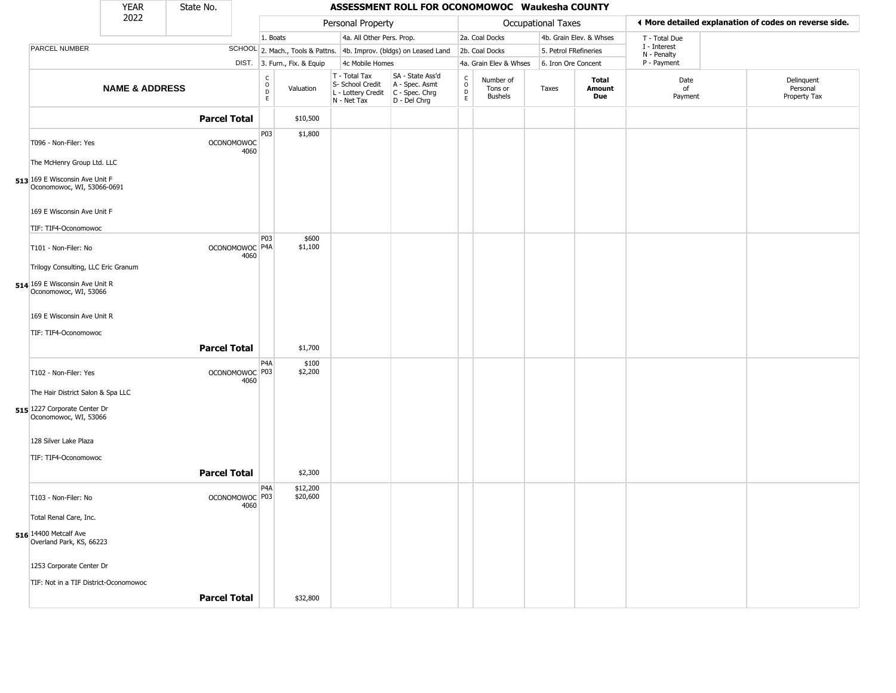|                                                                                                                     | <b>YEAR</b>               | State No.           |                                   |                                                          |                              |                                                                                           | ASSESSMENT ROLL FOR OCONOMOWOC Waukesha COUNTY                      |                                   |                                        |                       |                         |                             |                                                       |
|---------------------------------------------------------------------------------------------------------------------|---------------------------|---------------------|-----------------------------------|----------------------------------------------------------|------------------------------|-------------------------------------------------------------------------------------------|---------------------------------------------------------------------|-----------------------------------|----------------------------------------|-----------------------|-------------------------|-----------------------------|-------------------------------------------------------|
|                                                                                                                     | 2022                      |                     |                                   |                                                          |                              | Personal Property                                                                         |                                                                     |                                   |                                        | Occupational Taxes    |                         |                             | ◀ More detailed explanation of codes on reverse side. |
|                                                                                                                     |                           |                     |                                   | 1. Boats                                                 |                              | 4a. All Other Pers. Prop.                                                                 |                                                                     |                                   | 2a. Coal Docks                         |                       | 4b. Grain Elev. & Whses | T - Total Due               |                                                       |
| PARCEL NUMBER                                                                                                       |                           |                     |                                   |                                                          |                              |                                                                                           | SCHOOL 2. Mach., Tools & Pattns. 4b. Improv. (bldgs) on Leased Land |                                   | 2b. Coal Docks                         | 5. Petrol FRefineries |                         | I - Interest<br>N - Penalty |                                                       |
|                                                                                                                     |                           |                     |                                   |                                                          | DIST. 3. Furn., Fix. & Equip | 4c Mobile Homes                                                                           |                                                                     |                                   | 4a. Grain Elev & Whses                 | 6. Iron Ore Concent   |                         | P - Payment                 |                                                       |
|                                                                                                                     | <b>NAME &amp; ADDRESS</b> |                     |                                   | $\begin{matrix} 0 \\ 0 \\ D \end{matrix}$<br>$\mathsf E$ | Valuation                    | T - Total Tax<br>S- School Credit<br>$L$ - Lottery Credit $C$ - Spec. Chrg<br>N - Net Tax | SA - State Ass'd<br>A - Spec. Asmt<br>D - Del Chrg                  | C<br>$\circ$<br>$\mathsf D$<br>E. | Number of<br>Tons or<br><b>Bushels</b> | Taxes                 | Total<br>Amount<br>Due  | Date<br>of<br>Payment       | Delinquent<br>Personal<br>Property Tax                |
|                                                                                                                     |                           | <b>Parcel Total</b> |                                   |                                                          | \$10,500                     |                                                                                           |                                                                     |                                   |                                        |                       |                         |                             |                                                       |
| T096 - Non-Filer: Yes<br>The McHenry Group Ltd. LLC<br>513 169 E Wisconsin Ave Unit F<br>Oconomowoc, WI, 53066-0691 |                           |                     | <b>OCONOMOWOC</b><br>4060         | P03                                                      | \$1,800                      |                                                                                           |                                                                     |                                   |                                        |                       |                         |                             |                                                       |
| 169 E Wisconsin Ave Unit F<br>TIF: TIF4-Oconomowoc                                                                  |                           |                     |                                   |                                                          |                              |                                                                                           |                                                                     |                                   |                                        |                       |                         |                             |                                                       |
| T101 - Non-Filer: No<br>Trilogy Consulting, LLC Eric Granum                                                         |                           |                     | OCONOMOWOC <sup>P4A</sup><br>4060 | P03                                                      | \$600<br>\$1,100             |                                                                                           |                                                                     |                                   |                                        |                       |                         |                             |                                                       |
| 514 169 E Wisconsin Ave Unit R<br>Oconomowoc, WI, 53066                                                             |                           |                     |                                   |                                                          |                              |                                                                                           |                                                                     |                                   |                                        |                       |                         |                             |                                                       |
| 169 E Wisconsin Ave Unit R<br>TIF: TIF4-Oconomowoc                                                                  |                           |                     |                                   |                                                          |                              |                                                                                           |                                                                     |                                   |                                        |                       |                         |                             |                                                       |
|                                                                                                                     |                           | <b>Parcel Total</b> |                                   |                                                          | \$1,700                      |                                                                                           |                                                                     |                                   |                                        |                       |                         |                             |                                                       |
| T102 - Non-Filer: Yes<br>The Hair District Salon & Spa LLC<br>515 1227 Corporate Center Dr<br>Oconomowoc, WI, 53066 |                           |                     | OCONOMOWOC P03<br>4060            | P4A                                                      | \$100<br>\$2,200             |                                                                                           |                                                                     |                                   |                                        |                       |                         |                             |                                                       |
| 128 Silver Lake Plaza<br>TIF: TIF4-Oconomowoc                                                                       |                           |                     |                                   |                                                          |                              |                                                                                           |                                                                     |                                   |                                        |                       |                         |                             |                                                       |
|                                                                                                                     |                           | <b>Parcel Total</b> |                                   |                                                          | \$2,300                      |                                                                                           |                                                                     |                                   |                                        |                       |                         |                             |                                                       |
| T103 - Non-Filer: No                                                                                                |                           |                     | OCONOMOWOC P03<br>4060            | P <sub>4</sub> A                                         | \$12,200<br>\$20,600         |                                                                                           |                                                                     |                                   |                                        |                       |                         |                             |                                                       |
| Total Renal Care, Inc.<br>516 14400 Metcalf Ave<br>Overland Park, KS, 66223                                         |                           |                     |                                   |                                                          |                              |                                                                                           |                                                                     |                                   |                                        |                       |                         |                             |                                                       |
| 1253 Corporate Center Dr                                                                                            |                           |                     |                                   |                                                          |                              |                                                                                           |                                                                     |                                   |                                        |                       |                         |                             |                                                       |
| TIF: Not in a TIF District-Oconomowoc                                                                               |                           |                     |                                   |                                                          |                              |                                                                                           |                                                                     |                                   |                                        |                       |                         |                             |                                                       |
|                                                                                                                     |                           | <b>Parcel Total</b> |                                   |                                                          | \$32,800                     |                                                                                           |                                                                     |                                   |                                        |                       |                         |                             |                                                       |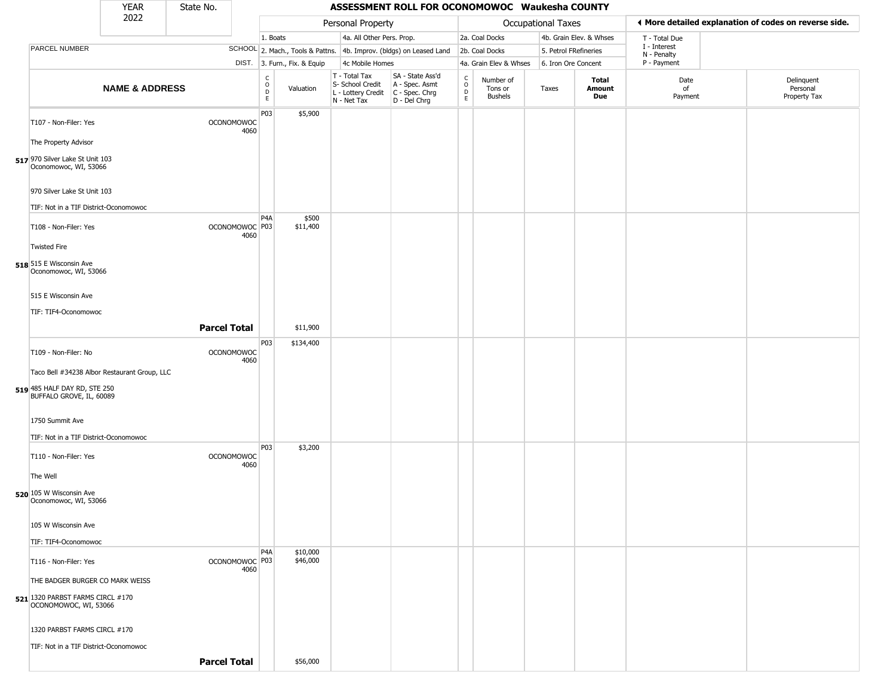|                                                                                                          | <b>YEAR</b>               | State No.           |                                   |                                                          |                              |                                                                        | ASSESSMENT ROLL FOR OCONOMOWOC Waukesha COUNTY                       |                                                          |                                 |                       |                         |                             |                                                       |
|----------------------------------------------------------------------------------------------------------|---------------------------|---------------------|-----------------------------------|----------------------------------------------------------|------------------------------|------------------------------------------------------------------------|----------------------------------------------------------------------|----------------------------------------------------------|---------------------------------|-----------------------|-------------------------|-----------------------------|-------------------------------------------------------|
|                                                                                                          | 2022                      |                     |                                   |                                                          |                              | Personal Property                                                      |                                                                      |                                                          |                                 | Occupational Taxes    |                         |                             | ◀ More detailed explanation of codes on reverse side. |
|                                                                                                          |                           |                     |                                   | 1. Boats                                                 |                              | 4a. All Other Pers. Prop.                                              |                                                                      |                                                          | 2a. Coal Docks                  |                       | 4b. Grain Elev. & Whses | T - Total Due               |                                                       |
| PARCEL NUMBER                                                                                            |                           |                     |                                   |                                                          |                              |                                                                        | SCHOOL 2. Mach., Tools & Pattns. 4b. Improv. (bldgs) on Leased Land  |                                                          | 2b. Coal Docks                  | 5. Petrol FRefineries |                         | I - Interest<br>N - Penalty |                                                       |
|                                                                                                          |                           |                     |                                   |                                                          | DIST. 3. Furn., Fix. & Equip | 4c Mobile Homes                                                        |                                                                      |                                                          | 4a. Grain Elev & Whses          | 6. Iron Ore Concent   |                         | P - Payment                 |                                                       |
|                                                                                                          | <b>NAME &amp; ADDRESS</b> |                     |                                   | $\begin{smallmatrix} C \\ O \\ D \end{smallmatrix}$<br>E | Valuation                    | T - Total Tax<br>S- School Credit<br>L - Lottery Credit<br>N - Net Tax | SA - State Ass'd<br>A - Spec. Asmt<br>C - Spec. Chrg<br>D - Del Chrg | $\begin{smallmatrix} C \\ O \\ D \end{smallmatrix}$<br>E | Number of<br>Tons or<br>Bushels | Taxes                 | Total<br>Amount<br>Due  | Date<br>of<br>Payment       | Delinquent<br>Personal<br>Property Tax                |
| T107 - Non-Filer: Yes<br>The Property Advisor                                                            |                           |                     | <b>OCONOMOWOC</b><br>4060         | P03                                                      | \$5,900                      |                                                                        |                                                                      |                                                          |                                 |                       |                         |                             |                                                       |
| 517 970 Silver Lake St Unit 103<br>Oconomowoc, WI, 53066                                                 |                           |                     |                                   |                                                          |                              |                                                                        |                                                                      |                                                          |                                 |                       |                         |                             |                                                       |
| 970 Silver Lake St Unit 103<br>TIF: Not in a TIF District-Oconomowoc                                     |                           |                     |                                   |                                                          |                              |                                                                        |                                                                      |                                                          |                                 |                       |                         |                             |                                                       |
| T108 - Non-Filer: Yes                                                                                    |                           |                     | OCONOMOWOC <sup>P03</sup><br>4060 | P <sub>4</sub> A                                         | \$500<br>\$11,400            |                                                                        |                                                                      |                                                          |                                 |                       |                         |                             |                                                       |
| <b>Twisted Fire</b><br>518 515 E Wisconsin Ave<br>Oconomowoc, WI, 53066                                  |                           |                     |                                   |                                                          |                              |                                                                        |                                                                      |                                                          |                                 |                       |                         |                             |                                                       |
| 515 E Wisconsin Ave                                                                                      |                           |                     |                                   |                                                          |                              |                                                                        |                                                                      |                                                          |                                 |                       |                         |                             |                                                       |
| TIF: TIF4-Oconomowoc                                                                                     |                           | <b>Parcel Total</b> |                                   |                                                          | \$11,900                     |                                                                        |                                                                      |                                                          |                                 |                       |                         |                             |                                                       |
| T109 - Non-Filer: No                                                                                     |                           |                     | <b>OCONOMOWOC</b><br>4060         | P03                                                      | \$134,400                    |                                                                        |                                                                      |                                                          |                                 |                       |                         |                             |                                                       |
| Taco Bell #34238 Albor Restaurant Group, LLC<br>519 485 HALF DAY RD, STE 250<br>BUFFALO GROVE, IL, 60089 |                           |                     |                                   |                                                          |                              |                                                                        |                                                                      |                                                          |                                 |                       |                         |                             |                                                       |
| 1750 Summit Ave<br>TIF: Not in a TIF District-Oconomowoc                                                 |                           |                     |                                   |                                                          |                              |                                                                        |                                                                      |                                                          |                                 |                       |                         |                             |                                                       |
| T110 - Non-Filer: Yes                                                                                    |                           |                     | <b>OCONOMOWOC</b><br>4060         | P03                                                      | \$3,200                      |                                                                        |                                                                      |                                                          |                                 |                       |                         |                             |                                                       |
| The Well<br>520 105 W Wisconsin Ave<br>Oconomowoc, WI, 53066                                             |                           |                     |                                   |                                                          |                              |                                                                        |                                                                      |                                                          |                                 |                       |                         |                             |                                                       |
| 105 W Wisconsin Ave                                                                                      |                           |                     |                                   |                                                          |                              |                                                                        |                                                                      |                                                          |                                 |                       |                         |                             |                                                       |
| TIF: TIF4-Oconomowoc                                                                                     |                           |                     |                                   | P <sub>4</sub> A                                         | \$10,000                     |                                                                        |                                                                      |                                                          |                                 |                       |                         |                             |                                                       |
| T116 - Non-Filer: Yes                                                                                    |                           |                     | OCONOMOWOC P03<br>4060            |                                                          | \$46,000                     |                                                                        |                                                                      |                                                          |                                 |                       |                         |                             |                                                       |
| THE BADGER BURGER CO MARK WEISS<br>521 1320 PARBST FARMS CIRCL #170<br>OCONOMOWOC, WI, 53066             |                           |                     |                                   |                                                          |                              |                                                                        |                                                                      |                                                          |                                 |                       |                         |                             |                                                       |
| 1320 PARBST FARMS CIRCL #170<br>TIF: Not in a TIF District-Oconomowoc                                    |                           |                     |                                   |                                                          |                              |                                                                        |                                                                      |                                                          |                                 |                       |                         |                             |                                                       |
|                                                                                                          |                           | <b>Parcel Total</b> |                                   |                                                          | \$56,000                     |                                                                        |                                                                      |                                                          |                                 |                       |                         |                             |                                                       |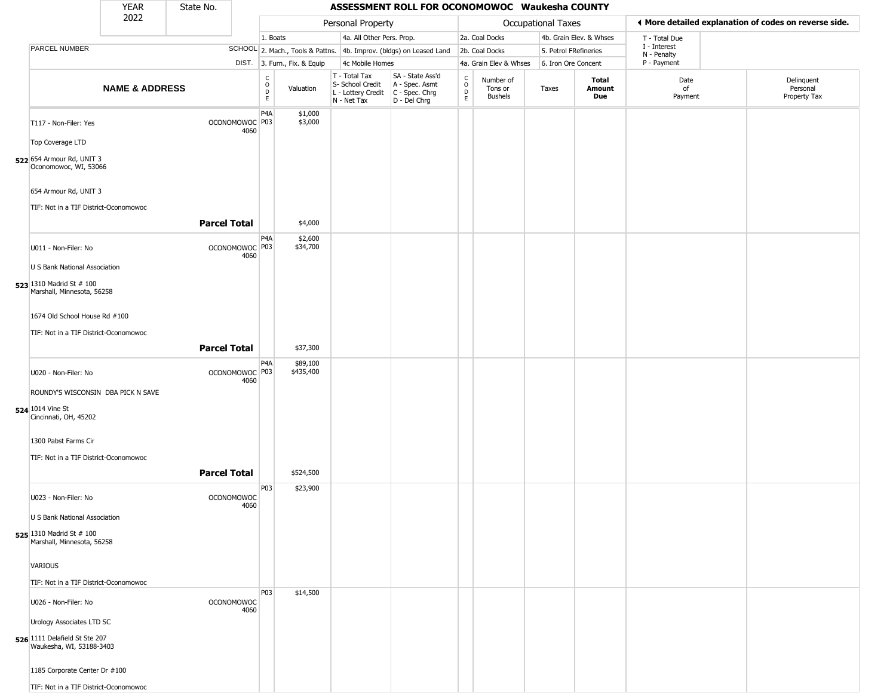|                                                                | <b>YEAR</b>               | State No.           |                                   |                                               |                              |                                                                                         | ASSESSMENT ROLL FOR OCONOMOWOC Waukesha COUNTY                      |                                             |                                        |                       |                         |                             |                                                       |
|----------------------------------------------------------------|---------------------------|---------------------|-----------------------------------|-----------------------------------------------|------------------------------|-----------------------------------------------------------------------------------------|---------------------------------------------------------------------|---------------------------------------------|----------------------------------------|-----------------------|-------------------------|-----------------------------|-------------------------------------------------------|
|                                                                | 2022                      |                     |                                   |                                               |                              | Personal Property                                                                       |                                                                     |                                             |                                        | Occupational Taxes    |                         |                             | ♦ More detailed explanation of codes on reverse side. |
|                                                                |                           |                     |                                   | 1. Boats                                      |                              | 4a. All Other Pers. Prop.                                                               |                                                                     |                                             | 2a. Coal Docks                         |                       | 4b. Grain Elev. & Whses | T - Total Due               |                                                       |
| PARCEL NUMBER                                                  |                           |                     |                                   |                                               |                              |                                                                                         | SCHOOL 2. Mach., Tools & Pattns. 4b. Improv. (bldgs) on Leased Land |                                             | 2b. Coal Docks                         | 5. Petrol FRefineries |                         | I - Interest<br>N - Penalty |                                                       |
|                                                                |                           |                     |                                   |                                               | DIST. 3. Furn., Fix. & Equip | 4c Mobile Homes                                                                         |                                                                     |                                             | 4a. Grain Elev & Whses                 | 6. Iron Ore Concent   |                         | P - Payment                 |                                                       |
|                                                                | <b>NAME &amp; ADDRESS</b> |                     |                                   | C<br>$\mathsf O$<br>$\mathsf{D}_{\mathsf{E}}$ | Valuation                    | T - Total Tax<br>S- School Credit<br>L - Lottery Credit   C - Spec. Chrg<br>N - Net Tax | SA - State Ass'd<br>A - Spec. Asmt<br>D - Del Chrg                  | $\frac{c}{0}$<br>$\mathsf D$<br>$\mathsf E$ | Number of<br>Tons or<br><b>Bushels</b> | Taxes                 | Total<br>Amount<br>Due  | Date<br>of<br>Payment       | Delinquent<br>Personal<br>Property Tax                |
| T117 - Non-Filer: Yes                                          |                           |                     | OCONOMOWOC P03<br>4060            | P <sub>4</sub> A                              | \$1,000<br>\$3,000           |                                                                                         |                                                                     |                                             |                                        |                       |                         |                             |                                                       |
| Top Coverage LTD                                               |                           |                     |                                   |                                               |                              |                                                                                         |                                                                     |                                             |                                        |                       |                         |                             |                                                       |
| 522 654 Armour Rd, UNIT 3<br>Oconomowoc, WI, 53066             |                           |                     |                                   |                                               |                              |                                                                                         |                                                                     |                                             |                                        |                       |                         |                             |                                                       |
| 654 Armour Rd, UNIT 3<br>TIF: Not in a TIF District-Oconomowoc |                           |                     |                                   |                                               |                              |                                                                                         |                                                                     |                                             |                                        |                       |                         |                             |                                                       |
|                                                                |                           | <b>Parcel Total</b> |                                   |                                               | \$4,000                      |                                                                                         |                                                                     |                                             |                                        |                       |                         |                             |                                                       |
| U011 - Non-Filer: No                                           |                           |                     | OCONOMOWOC <sup>P03</sup><br>4060 | P4A                                           | \$2,600<br>\$34,700          |                                                                                         |                                                                     |                                             |                                        |                       |                         |                             |                                                       |
| U S Bank National Association                                  |                           |                     |                                   |                                               |                              |                                                                                         |                                                                     |                                             |                                        |                       |                         |                             |                                                       |
| 523 1310 Madrid St # 100<br>Marshall, Minnesota, 56258         |                           |                     |                                   |                                               |                              |                                                                                         |                                                                     |                                             |                                        |                       |                         |                             |                                                       |
| 1674 Old School House Rd #100                                  |                           |                     |                                   |                                               |                              |                                                                                         |                                                                     |                                             |                                        |                       |                         |                             |                                                       |
| TIF: Not in a TIF District-Oconomowoc                          |                           | <b>Parcel Total</b> |                                   |                                               | \$37,300                     |                                                                                         |                                                                     |                                             |                                        |                       |                         |                             |                                                       |
| U020 - Non-Filer: No                                           |                           |                     | OCONOMOWOC P03<br>4060            | P4A                                           | \$89,100<br>\$435,400        |                                                                                         |                                                                     |                                             |                                        |                       |                         |                             |                                                       |
| ROUNDY'S WISCONSIN DBA PICK N SAVE                             |                           |                     |                                   |                                               |                              |                                                                                         |                                                                     |                                             |                                        |                       |                         |                             |                                                       |
| 524 1014 Vine St<br>Cincinnati, OH, 45202                      |                           |                     |                                   |                                               |                              |                                                                                         |                                                                     |                                             |                                        |                       |                         |                             |                                                       |
| 1300 Pabst Farms Cir                                           |                           |                     |                                   |                                               |                              |                                                                                         |                                                                     |                                             |                                        |                       |                         |                             |                                                       |
| TIF: Not in a TIF District-Oconomowoc                          |                           |                     |                                   |                                               |                              |                                                                                         |                                                                     |                                             |                                        |                       |                         |                             |                                                       |
|                                                                |                           | <b>Parcel Total</b> |                                   |                                               | \$524,500                    |                                                                                         |                                                                     |                                             |                                        |                       |                         |                             |                                                       |
| U023 - Non-Filer: No                                           |                           |                     | <b>OCONOMOWOC</b><br>4060         | P03                                           | \$23,900                     |                                                                                         |                                                                     |                                             |                                        |                       |                         |                             |                                                       |
| U S Bank National Association                                  |                           |                     |                                   |                                               |                              |                                                                                         |                                                                     |                                             |                                        |                       |                         |                             |                                                       |
| 525 1310 Madrid St # 100<br>Marshall, Minnesota, 56258         |                           |                     |                                   |                                               |                              |                                                                                         |                                                                     |                                             |                                        |                       |                         |                             |                                                       |
| VARIOUS                                                        |                           |                     |                                   |                                               |                              |                                                                                         |                                                                     |                                             |                                        |                       |                         |                             |                                                       |
| TIF: Not in a TIF District-Oconomowoc                          |                           |                     |                                   |                                               |                              |                                                                                         |                                                                     |                                             |                                        |                       |                         |                             |                                                       |
| U026 - Non-Filer: No                                           |                           |                     | <b>OCONOMOWOC</b><br>4060         | P03                                           | \$14,500                     |                                                                                         |                                                                     |                                             |                                        |                       |                         |                             |                                                       |
| Urology Associates LTD SC                                      |                           |                     |                                   |                                               |                              |                                                                                         |                                                                     |                                             |                                        |                       |                         |                             |                                                       |
| 526 1111 Delafield St Ste 207<br>Waukesha, WI, 53188-3403      |                           |                     |                                   |                                               |                              |                                                                                         |                                                                     |                                             |                                        |                       |                         |                             |                                                       |
| 1185 Corporate Center Dr #100                                  |                           |                     |                                   |                                               |                              |                                                                                         |                                                                     |                                             |                                        |                       |                         |                             |                                                       |
| TIF: Not in a TIF District-Oconomowoc                          |                           |                     |                                   |                                               |                              |                                                                                         |                                                                     |                                             |                                        |                       |                         |                             |                                                       |

 $\sqrt{2}$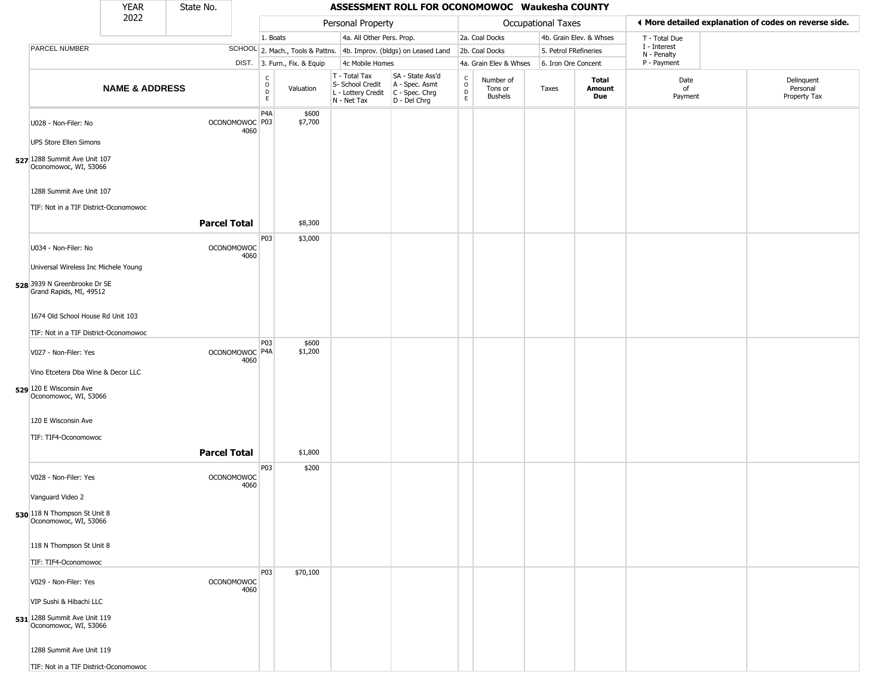|                                                         | <b>YEAR</b>               | State No.           |                                   |                                    |                              |                                                                                         | ASSESSMENT ROLL FOR OCONOMOWOC Waukesha COUNTY                      |                            |                                        |                           |                         |                             |                                                       |
|---------------------------------------------------------|---------------------------|---------------------|-----------------------------------|------------------------------------|------------------------------|-----------------------------------------------------------------------------------------|---------------------------------------------------------------------|----------------------------|----------------------------------------|---------------------------|-------------------------|-----------------------------|-------------------------------------------------------|
|                                                         | 2022                      |                     |                                   |                                    |                              | Personal Property                                                                       |                                                                     |                            |                                        | <b>Occupational Taxes</b> |                         |                             | ◀ More detailed explanation of codes on reverse side. |
|                                                         |                           |                     |                                   | 1. Boats                           |                              | 4a. All Other Pers. Prop.                                                               |                                                                     |                            | 2a. Coal Docks                         |                           | 4b. Grain Elev. & Whses | T - Total Due               |                                                       |
| PARCEL NUMBER                                           |                           |                     |                                   |                                    |                              |                                                                                         | SCHOOL 2. Mach., Tools & Pattns. 4b. Improv. (bldgs) on Leased Land |                            | 2b. Coal Docks                         | 5. Petrol FRefineries     |                         | I - Interest<br>N - Penalty |                                                       |
|                                                         |                           |                     |                                   |                                    | DIST. 3. Furn., Fix. & Equip | 4c Mobile Homes                                                                         |                                                                     |                            | 4a. Grain Elev & Whses                 | 6. Iron Ore Concent       |                         | P - Payment                 |                                                       |
|                                                         | <b>NAME &amp; ADDRESS</b> |                     |                                   | $\int_{0}^{c}$<br>$\mathsf D$<br>E | Valuation                    | T - Total Tax<br>S- School Credit<br>L - Lottery Credit   C - Spec. Chrg<br>N - Net Tax | SA - State Ass'd<br>A - Spec. Asmt<br>D - Del Chrg                  | C<br>$\mathsf O$<br>D<br>E | Number of<br>Tons or<br><b>Bushels</b> | Taxes                     | Total<br>Amount<br>Due  | Date<br>of<br>Payment       | Delinquent<br>Personal<br>Property Tax                |
| U028 - Non-Filer: No<br><b>UPS Store Ellen Simons</b>   |                           |                     | OCONOMOWOC <sup>P03</sup><br>4060 | P4A                                | \$600<br>\$7,700             |                                                                                         |                                                                     |                            |                                        |                           |                         |                             |                                                       |
| 527 1288 Summit Ave Unit 107<br>Oconomowoc, WI, 53066   |                           |                     |                                   |                                    |                              |                                                                                         |                                                                     |                            |                                        |                           |                         |                             |                                                       |
| 1288 Summit Ave Unit 107                                |                           |                     |                                   |                                    |                              |                                                                                         |                                                                     |                            |                                        |                           |                         |                             |                                                       |
|                                                         |                           |                     |                                   |                                    |                              |                                                                                         |                                                                     |                            |                                        |                           |                         |                             |                                                       |
| TIF: Not in a TIF District-Oconomowoc                   |                           | <b>Parcel Total</b> |                                   |                                    | \$8,300                      |                                                                                         |                                                                     |                            |                                        |                           |                         |                             |                                                       |
| U034 - Non-Filer: No                                    |                           |                     | <b>OCONOMOWOC</b><br>4060         | P03                                | \$3,000                      |                                                                                         |                                                                     |                            |                                        |                           |                         |                             |                                                       |
| Universal Wireless Inc Michele Young                    |                           |                     |                                   |                                    |                              |                                                                                         |                                                                     |                            |                                        |                           |                         |                             |                                                       |
| 528 3939 N Greenbrooke Dr SE<br>Grand Rapids, MI, 49512 |                           |                     |                                   |                                    |                              |                                                                                         |                                                                     |                            |                                        |                           |                         |                             |                                                       |
| 1674 Old School House Rd Unit 103                       |                           |                     |                                   |                                    |                              |                                                                                         |                                                                     |                            |                                        |                           |                         |                             |                                                       |
| TIF: Not in a TIF District-Oconomowoc                   |                           |                     |                                   |                                    |                              |                                                                                         |                                                                     |                            |                                        |                           |                         |                             |                                                       |
| V027 - Non-Filer: Yes                                   |                           |                     | OCONOMOWOC P4A<br>4060            | P03                                | \$600<br>\$1,200             |                                                                                         |                                                                     |                            |                                        |                           |                         |                             |                                                       |
| Vino Etcetera Dba Wine & Decor LLC                      |                           |                     |                                   |                                    |                              |                                                                                         |                                                                     |                            |                                        |                           |                         |                             |                                                       |
| 529 120 E Wisconsin Ave<br>Oconomowoc, WI, 53066        |                           |                     |                                   |                                    |                              |                                                                                         |                                                                     |                            |                                        |                           |                         |                             |                                                       |
| 120 E Wisconsin Ave                                     |                           |                     |                                   |                                    |                              |                                                                                         |                                                                     |                            |                                        |                           |                         |                             |                                                       |
| TIF: TIF4-Oconomowoc                                    |                           |                     |                                   |                                    |                              |                                                                                         |                                                                     |                            |                                        |                           |                         |                             |                                                       |
|                                                         |                           | <b>Parcel Total</b> |                                   | P03                                | \$1,800<br>\$200             |                                                                                         |                                                                     |                            |                                        |                           |                         |                             |                                                       |
| V028 - Non-Filer: Yes                                   |                           |                     | <b>OCONOMOWOC</b><br>4060         |                                    |                              |                                                                                         |                                                                     |                            |                                        |                           |                         |                             |                                                       |
| Vanguard Video 2                                        |                           |                     |                                   |                                    |                              |                                                                                         |                                                                     |                            |                                        |                           |                         |                             |                                                       |
| 530 118 N Thompson St Unit 8<br>Oconomowoc, WI, 53066   |                           |                     |                                   |                                    |                              |                                                                                         |                                                                     |                            |                                        |                           |                         |                             |                                                       |
| 118 N Thompson St Unit 8                                |                           |                     |                                   |                                    |                              |                                                                                         |                                                                     |                            |                                        |                           |                         |                             |                                                       |
| TIF: TIF4-Oconomowoc                                    |                           |                     |                                   |                                    |                              |                                                                                         |                                                                     |                            |                                        |                           |                         |                             |                                                       |
| V029 - Non-Filer: Yes                                   |                           |                     | <b>OCONOMOWOC</b><br>4060         | P03                                | \$70,100                     |                                                                                         |                                                                     |                            |                                        |                           |                         |                             |                                                       |
| VIP Sushi & Hibachi LLC                                 |                           |                     |                                   |                                    |                              |                                                                                         |                                                                     |                            |                                        |                           |                         |                             |                                                       |
| 531 1288 Summit Ave Unit 119<br>Oconomowoc, WI, 53066   |                           |                     |                                   |                                    |                              |                                                                                         |                                                                     |                            |                                        |                           |                         |                             |                                                       |
| 1288 Summit Ave Unit 119                                |                           |                     |                                   |                                    |                              |                                                                                         |                                                                     |                            |                                        |                           |                         |                             |                                                       |
| TIF: Not in a TIF District-Oconomowoc                   |                           |                     |                                   |                                    |                              |                                                                                         |                                                                     |                            |                                        |                           |                         |                             |                                                       |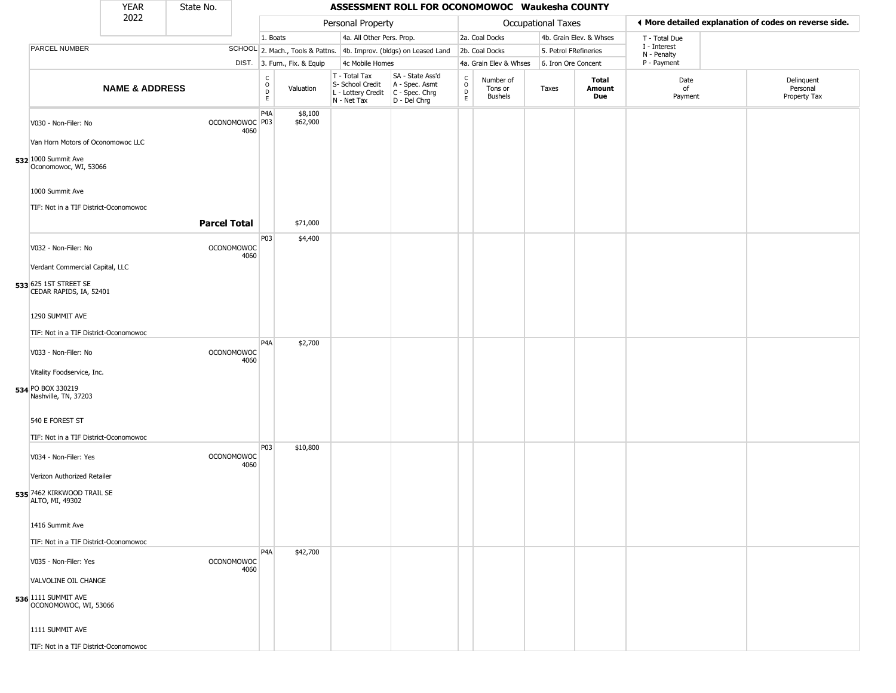|                                                                      | <b>YEAR</b>               | State No.           |                           |                                                          |                              |                                                  | ASSESSMENT ROLL FOR OCONOMOWOC Waukesha COUNTY                                              |                                  |                                        |                       |                         |                             |                                                       |
|----------------------------------------------------------------------|---------------------------|---------------------|---------------------------|----------------------------------------------------------|------------------------------|--------------------------------------------------|---------------------------------------------------------------------------------------------|----------------------------------|----------------------------------------|-----------------------|-------------------------|-----------------------------|-------------------------------------------------------|
|                                                                      | 2022                      |                     |                           |                                                          |                              | Personal Property                                |                                                                                             |                                  |                                        | Occupational Taxes    |                         |                             | ♦ More detailed explanation of codes on reverse side. |
|                                                                      |                           |                     |                           | 1. Boats                                                 |                              | 4a. All Other Pers. Prop.                        |                                                                                             |                                  | 2a. Coal Docks                         |                       | 4b. Grain Elev. & Whses | T - Total Due               |                                                       |
| PARCEL NUMBER                                                        |                           |                     |                           |                                                          |                              |                                                  | SCHOOL 2. Mach., Tools & Pattns. 4b. Improv. (bldgs) on Leased Land                         |                                  | 2b. Coal Docks                         | 5. Petrol FRefineries |                         | I - Interest<br>N - Penalty |                                                       |
|                                                                      |                           |                     |                           |                                                          | DIST. 3. Furn., Fix. & Equip | 4c Mobile Homes                                  |                                                                                             |                                  | 4a. Grain Elev & Whses                 | 6. Iron Ore Concent   |                         | P - Payment                 |                                                       |
|                                                                      | <b>NAME &amp; ADDRESS</b> |                     |                           | $\begin{matrix} 0 \\ 0 \\ D \end{matrix}$<br>$\mathsf E$ | Valuation                    | T - Total Tax<br>S- School Credit<br>N - Net Tax | SA - State Ass'd<br>A - Spec. Asmt<br>$L$ - Lottery Credit $C$ - Spec. Chrg<br>D - Del Chrg | C<br>$\circ$<br>$\mathsf D$<br>E | Number of<br>Tons or<br><b>Bushels</b> | Taxes                 | Total<br>Amount<br>Due  | Date<br>of<br>Payment       | Delinquent<br>Personal<br>Property Tax                |
| V030 - Non-Filer: No<br>Van Horn Motors of Oconomowoc LLC            |                           |                     | OCONOMOWOC P03<br>4060    | P <sub>4</sub> A                                         | \$8,100<br>\$62,900          |                                                  |                                                                                             |                                  |                                        |                       |                         |                             |                                                       |
| 532 1000 Summit Ave<br>Oconomowoc, WI, 53066                         |                           |                     |                           |                                                          |                              |                                                  |                                                                                             |                                  |                                        |                       |                         |                             |                                                       |
| 1000 Summit Ave<br>TIF: Not in a TIF District-Oconomowoc             |                           |                     |                           |                                                          |                              |                                                  |                                                                                             |                                  |                                        |                       |                         |                             |                                                       |
|                                                                      |                           | <b>Parcel Total</b> |                           |                                                          | \$71,000                     |                                                  |                                                                                             |                                  |                                        |                       |                         |                             |                                                       |
| V032 - Non-Filer: No                                                 |                           |                     | <b>OCONOMOWOC</b><br>4060 | P03                                                      | \$4,400                      |                                                  |                                                                                             |                                  |                                        |                       |                         |                             |                                                       |
| Verdant Commercial Capital, LLC<br>533 625 1ST STREET SE             |                           |                     |                           |                                                          |                              |                                                  |                                                                                             |                                  |                                        |                       |                         |                             |                                                       |
| CEDAR RAPIDS, IA, 52401<br>1290 SUMMIT AVE                           |                           |                     |                           |                                                          |                              |                                                  |                                                                                             |                                  |                                        |                       |                         |                             |                                                       |
| TIF: Not in a TIF District-Oconomowoc                                |                           |                     |                           |                                                          |                              |                                                  |                                                                                             |                                  |                                        |                       |                         |                             |                                                       |
| V033 - Non-Filer: No                                                 |                           |                     | <b>OCONOMOWOC</b><br>4060 | P <sub>4</sub> A                                         | \$2,700                      |                                                  |                                                                                             |                                  |                                        |                       |                         |                             |                                                       |
| Vitality Foodservice, Inc.                                           |                           |                     |                           |                                                          |                              |                                                  |                                                                                             |                                  |                                        |                       |                         |                             |                                                       |
| 534 PO BOX 330219<br>Nashville, TN, 37203                            |                           |                     |                           |                                                          |                              |                                                  |                                                                                             |                                  |                                        |                       |                         |                             |                                                       |
| 540 E FOREST ST<br>TIF: Not in a TIF District-Oconomowoc             |                           |                     |                           |                                                          |                              |                                                  |                                                                                             |                                  |                                        |                       |                         |                             |                                                       |
| V034 - Non-Filer: Yes                                                |                           |                     | <b>OCONOMOWOC</b><br>4060 | P03                                                      | \$10,800                     |                                                  |                                                                                             |                                  |                                        |                       |                         |                             |                                                       |
| Verizon Authorized Retailer<br>535 7462 KIRKWOOD TRAIL SE            |                           |                     |                           |                                                          |                              |                                                  |                                                                                             |                                  |                                        |                       |                         |                             |                                                       |
| ALTO, MI, 49302<br>1416 Summit Ave                                   |                           |                     |                           |                                                          |                              |                                                  |                                                                                             |                                  |                                        |                       |                         |                             |                                                       |
| TIF: Not in a TIF District-Oconomowoc                                |                           |                     |                           |                                                          |                              |                                                  |                                                                                             |                                  |                                        |                       |                         |                             |                                                       |
| V035 - Non-Filer: Yes                                                |                           |                     | <b>OCONOMOWOC</b><br>4060 | P <sub>4</sub> A                                         | \$42,700                     |                                                  |                                                                                             |                                  |                                        |                       |                         |                             |                                                       |
| VALVOLINE OIL CHANGE<br>536 1111 SUMMIT AVE<br>OCONOMOWOC, WI, 53066 |                           |                     |                           |                                                          |                              |                                                  |                                                                                             |                                  |                                        |                       |                         |                             |                                                       |
| 1111 SUMMIT AVE                                                      |                           |                     |                           |                                                          |                              |                                                  |                                                                                             |                                  |                                        |                       |                         |                             |                                                       |
| TIF: Not in a TIF District-Oconomowoc                                |                           |                     |                           |                                                          |                              |                                                  |                                                                                             |                                  |                                        |                       |                         |                             |                                                       |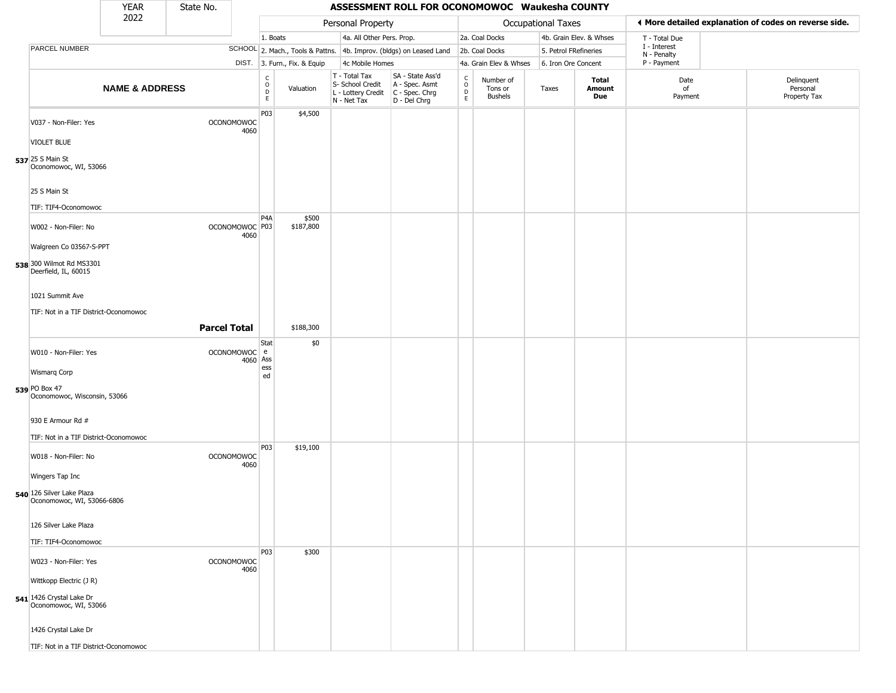|                                                                              | <b>YEAR</b>               | State No.           |                                         |                                                                       |                                                                        | ASSESSMENT ROLL FOR OCONOMOWOC Waukesha COUNTY                         |                                         |                                        |                           |                         |                             |                                                       |
|------------------------------------------------------------------------------|---------------------------|---------------------|-----------------------------------------|-----------------------------------------------------------------------|------------------------------------------------------------------------|------------------------------------------------------------------------|-----------------------------------------|----------------------------------------|---------------------------|-------------------------|-----------------------------|-------------------------------------------------------|
|                                                                              | 2022                      |                     |                                         |                                                                       | Personal Property                                                      |                                                                        |                                         |                                        | <b>Occupational Taxes</b> |                         |                             | ◀ More detailed explanation of codes on reverse side. |
|                                                                              |                           |                     |                                         | 1. Boats                                                              | 4a. All Other Pers. Prop.                                              |                                                                        |                                         | 2a. Coal Docks                         |                           | 4b. Grain Elev. & Whses | T - Total Due               |                                                       |
| PARCEL NUMBER                                                                |                           |                     |                                         |                                                                       |                                                                        | SCHOOL 2. Mach., Tools & Pattns. 4b. Improv. (bldgs) on Leased Land    |                                         | 2b. Coal Docks                         |                           | 5. Petrol FRefineries   | I - Interest<br>N - Penalty |                                                       |
|                                                                              |                           |                     |                                         | DIST. 3. Furn., Fix. & Equip                                          | 4c Mobile Homes                                                        |                                                                        |                                         | 4a. Grain Elev & Whses                 |                           | 6. Iron Ore Concent     | P - Payment                 |                                                       |
|                                                                              | <b>NAME &amp; ADDRESS</b> |                     |                                         | $\begin{smallmatrix} C \\ O \\ D \end{smallmatrix}$<br>Valuation<br>E | T - Total Tax<br>S- School Credit<br>L - Lottery Credit<br>N - Net Tax | SA - State Ass'd<br>A - Spec. Asmt<br>$C - Spec. Chrg$<br>D - Del Chrg | $\rm ^c$<br>$\mathsf D$<br>$\mathsf{E}$ | Number of<br>Tons or<br><b>Bushels</b> | Taxes                     | Total<br>Amount<br>Due  | Date<br>of<br>Payment       | Delinquent<br>Personal<br>Property Tax                |
| V037 - Non-Filer: Yes                                                        |                           |                     | P03<br><b>OCONOMOWOC</b><br>4060        | \$4,500                                                               |                                                                        |                                                                        |                                         |                                        |                           |                         |                             |                                                       |
| <b>VIOLET BLUE</b>                                                           |                           |                     |                                         |                                                                       |                                                                        |                                                                        |                                         |                                        |                           |                         |                             |                                                       |
| 537 25 S Main St<br>Oconomowoc, WI, 53066                                    |                           |                     |                                         |                                                                       |                                                                        |                                                                        |                                         |                                        |                           |                         |                             |                                                       |
| 25 S Main St                                                                 |                           |                     |                                         |                                                                       |                                                                        |                                                                        |                                         |                                        |                           |                         |                             |                                                       |
| TIF: TIF4-Oconomowoc<br>W002 - Non-Filer: No                                 |                           |                     | P4A<br>OCONOMOWOC P03<br>4060           | \$500<br>\$187,800                                                    |                                                                        |                                                                        |                                         |                                        |                           |                         |                             |                                                       |
| Walgreen Co 03567-S-PPT                                                      |                           |                     |                                         |                                                                       |                                                                        |                                                                        |                                         |                                        |                           |                         |                             |                                                       |
| 538 300 Wilmot Rd MS3301<br>Deerfield, IL, 60015                             |                           |                     |                                         |                                                                       |                                                                        |                                                                        |                                         |                                        |                           |                         |                             |                                                       |
| 1021 Summit Ave                                                              |                           |                     |                                         |                                                                       |                                                                        |                                                                        |                                         |                                        |                           |                         |                             |                                                       |
| TIF: Not in a TIF District-Oconomowoc                                        |                           |                     |                                         |                                                                       |                                                                        |                                                                        |                                         |                                        |                           |                         |                             |                                                       |
|                                                                              |                           | <b>Parcel Total</b> |                                         | \$188,300                                                             |                                                                        |                                                                        |                                         |                                        |                           |                         |                             |                                                       |
| W010 - Non-Filer: Yes                                                        |                           |                     | Stat<br>OCONOMOWOC e<br>4060 Ass<br>ess | \$0                                                                   |                                                                        |                                                                        |                                         |                                        |                           |                         |                             |                                                       |
| <b>Wismarq Corp</b>                                                          |                           |                     | ed                                      |                                                                       |                                                                        |                                                                        |                                         |                                        |                           |                         |                             |                                                       |
| 539 PO Box 47<br>Oconomowoc, Wisconsin, 53066                                |                           |                     |                                         |                                                                       |                                                                        |                                                                        |                                         |                                        |                           |                         |                             |                                                       |
| 930 E Armour Rd #<br>TIF: Not in a TIF District-Oconomowoc                   |                           |                     |                                         |                                                                       |                                                                        |                                                                        |                                         |                                        |                           |                         |                             |                                                       |
| W018 - Non-Filer: No                                                         |                           |                     | P03<br>OCONOMOWOC<br>4060               | \$19,100                                                              |                                                                        |                                                                        |                                         |                                        |                           |                         |                             |                                                       |
| Wingers Tap Inc                                                              |                           |                     |                                         |                                                                       |                                                                        |                                                                        |                                         |                                        |                           |                         |                             |                                                       |
| 540 126 Silver Lake Plaza<br>Oconomowoc, WI, 53066-6806                      |                           |                     |                                         |                                                                       |                                                                        |                                                                        |                                         |                                        |                           |                         |                             |                                                       |
| 126 Silver Lake Plaza                                                        |                           |                     |                                         |                                                                       |                                                                        |                                                                        |                                         |                                        |                           |                         |                             |                                                       |
| TIF: TIF4-Oconomowoc                                                         |                           |                     |                                         |                                                                       |                                                                        |                                                                        |                                         |                                        |                           |                         |                             |                                                       |
| W023 - Non-Filer: Yes                                                        |                           |                     | P03<br>OCONOMOWOC<br>4060               | \$300                                                                 |                                                                        |                                                                        |                                         |                                        |                           |                         |                             |                                                       |
| Wittkopp Electric (J R)<br>541 1426 Crystal Lake Dr<br>Oconomowoc, WI, 53066 |                           |                     |                                         |                                                                       |                                                                        |                                                                        |                                         |                                        |                           |                         |                             |                                                       |
| 1426 Crystal Lake Dr                                                         |                           |                     |                                         |                                                                       |                                                                        |                                                                        |                                         |                                        |                           |                         |                             |                                                       |
| TIF: Not in a TIF District-Oconomowoc                                        |                           |                     |                                         |                                                                       |                                                                        |                                                                        |                                         |                                        |                           |                         |                             |                                                       |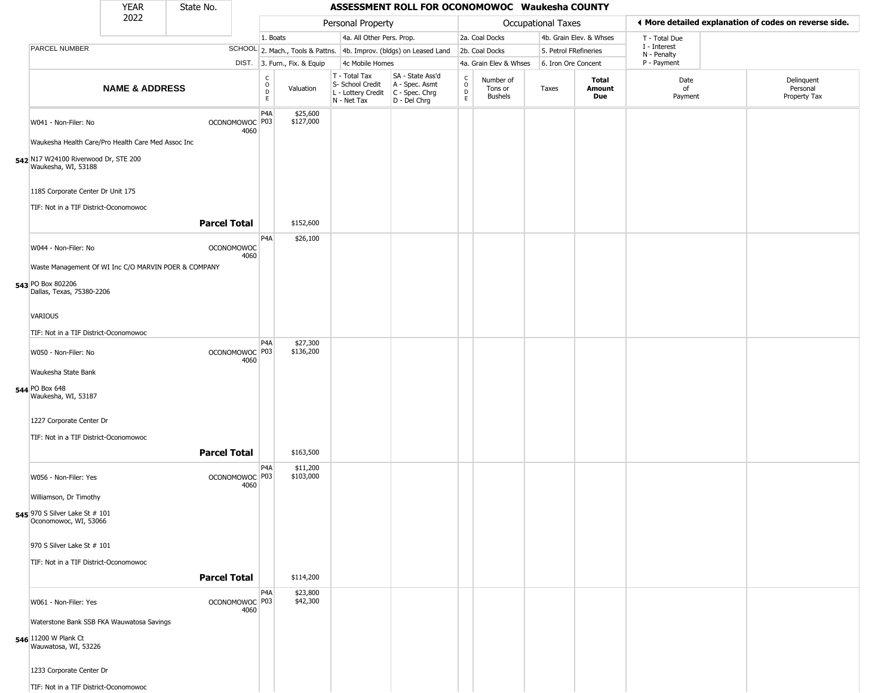|                                                             | YEAR                                                 | State No.           |                           |                                                 |                              |                                                                                       | ASSESSMENT ROLL FOR OCONOMOWOC Waukesha COUNTY                      |                         |                                        |                           |                         |                             |                                                       |
|-------------------------------------------------------------|------------------------------------------------------|---------------------|---------------------------|-------------------------------------------------|------------------------------|---------------------------------------------------------------------------------------|---------------------------------------------------------------------|-------------------------|----------------------------------------|---------------------------|-------------------------|-----------------------------|-------------------------------------------------------|
|                                                             | 2022                                                 |                     |                           |                                                 |                              | Personal Property                                                                     |                                                                     |                         |                                        | <b>Occupational Taxes</b> |                         |                             | ◀ More detailed explanation of codes on reverse side. |
|                                                             |                                                      |                     |                           | 1. Boats                                        |                              | 4a. All Other Pers. Prop.                                                             |                                                                     |                         | 2a. Coal Docks                         |                           | 4b. Grain Elev. & Whses | T - Total Due               |                                                       |
| PARCEL NUMBER                                               |                                                      |                     |                           |                                                 |                              |                                                                                       | SCHOOL 2. Mach., Tools & Pattns. 4b. Improv. (bldgs) on Leased Land |                         | 2b. Coal Docks                         | 5. Petrol FRefineries     |                         | I - Interest<br>N - Penalty |                                                       |
|                                                             |                                                      |                     |                           |                                                 | DIST. 3. Furn., Fix. & Equip | 4c Mobile Homes                                                                       |                                                                     |                         | 4a. Grain Elev & Whses                 | 6. Iron Ore Concent       |                         | P - Payment                 |                                                       |
|                                                             | <b>NAME &amp; ADDRESS</b>                            |                     |                           | $\begin{array}{c} C \\ O \\ D \\ E \end{array}$ | Valuation                    | T - Total Tax<br>S- School Credit<br>L - Lottery Credit C - Spec. Chrg<br>N - Net Tax | SA - State Ass'd<br>A - Spec. Asmt<br>D - Del Chrg                  | $\frac{c}{0}$<br>D<br>E | Number of<br>Tons or<br><b>Bushels</b> | Taxes                     | Total<br>Amount<br>Due  | Date<br>of<br>Payment       | Delinquent<br>Personal<br>Property Tax                |
| W041 - Non-Filer: No                                        |                                                      |                     | OCONOMOWOC P03<br>4060    | P4A                                             | \$25,600<br>\$127,000        |                                                                                       |                                                                     |                         |                                        |                           |                         |                             |                                                       |
|                                                             | Waukesha Health Care/Pro Health Care Med Assoc Inc   |                     |                           |                                                 |                              |                                                                                       |                                                                     |                         |                                        |                           |                         |                             |                                                       |
| 542 N17 W24100 Riverwood Dr, STE 200<br>Waukesha, WI, 53188 |                                                      |                     |                           |                                                 |                              |                                                                                       |                                                                     |                         |                                        |                           |                         |                             |                                                       |
| 1185 Corporate Center Dr Unit 175                           |                                                      |                     |                           |                                                 |                              |                                                                                       |                                                                     |                         |                                        |                           |                         |                             |                                                       |
| TIF: Not in a TIF District-Oconomowoc                       |                                                      |                     |                           |                                                 |                              |                                                                                       |                                                                     |                         |                                        |                           |                         |                             |                                                       |
|                                                             |                                                      | <b>Parcel Total</b> |                           |                                                 | \$152,600                    |                                                                                       |                                                                     |                         |                                        |                           |                         |                             |                                                       |
| W044 - Non-Filer: No                                        |                                                      |                     | <b>OCONOMOWOC</b><br>4060 | P4A                                             | \$26,100                     |                                                                                       |                                                                     |                         |                                        |                           |                         |                             |                                                       |
|                                                             | Waste Management Of WI Inc C/O MARVIN POER & COMPANY |                     |                           |                                                 |                              |                                                                                       |                                                                     |                         |                                        |                           |                         |                             |                                                       |
| 543 PO Box 802206<br>Dallas, Texas, 75380-2206              |                                                      |                     |                           |                                                 |                              |                                                                                       |                                                                     |                         |                                        |                           |                         |                             |                                                       |
| <b>VARIOUS</b>                                              |                                                      |                     |                           |                                                 |                              |                                                                                       |                                                                     |                         |                                        |                           |                         |                             |                                                       |
| TIF: Not in a TIF District-Oconomowoc                       |                                                      |                     |                           |                                                 |                              |                                                                                       |                                                                     |                         |                                        |                           |                         |                             |                                                       |
| W050 - Non-Filer: No                                        |                                                      |                     | OCONOMOWOC P03            | P <sub>4</sub> A                                | \$27,300<br>\$136,200        |                                                                                       |                                                                     |                         |                                        |                           |                         |                             |                                                       |
|                                                             |                                                      |                     | 4060                      |                                                 |                              |                                                                                       |                                                                     |                         |                                        |                           |                         |                             |                                                       |
| Waukesha State Bank                                         |                                                      |                     |                           |                                                 |                              |                                                                                       |                                                                     |                         |                                        |                           |                         |                             |                                                       |
| 544 PO Box 648<br>Waukesha, WI, 53187                       |                                                      |                     |                           |                                                 |                              |                                                                                       |                                                                     |                         |                                        |                           |                         |                             |                                                       |
| 1227 Corporate Center Dr                                    |                                                      |                     |                           |                                                 |                              |                                                                                       |                                                                     |                         |                                        |                           |                         |                             |                                                       |
| TIF: Not in a TIF District-Oconomowoc                       |                                                      |                     |                           |                                                 |                              |                                                                                       |                                                                     |                         |                                        |                           |                         |                             |                                                       |
|                                                             |                                                      | <b>Parcel Total</b> |                           |                                                 | \$163,500                    |                                                                                       |                                                                     |                         |                                        |                           |                         |                             |                                                       |
| W056 - Non-Filer: Yes                                       |                                                      |                     | OCONOMOWOC P03<br>4060    | P4A                                             | \$11,200<br>\$103,000        |                                                                                       |                                                                     |                         |                                        |                           |                         |                             |                                                       |
| Williamson, Dr Timothy                                      |                                                      |                     |                           |                                                 |                              |                                                                                       |                                                                     |                         |                                        |                           |                         |                             |                                                       |
| 545 970 S Silver Lake St # 101<br>Oconomowoc, WI, 53066     |                                                      |                     |                           |                                                 |                              |                                                                                       |                                                                     |                         |                                        |                           |                         |                             |                                                       |
| 970 S Silver Lake St # 101                                  |                                                      |                     |                           |                                                 |                              |                                                                                       |                                                                     |                         |                                        |                           |                         |                             |                                                       |
| TIF: Not in a TIF District-Oconomowoc                       |                                                      |                     |                           |                                                 |                              |                                                                                       |                                                                     |                         |                                        |                           |                         |                             |                                                       |
|                                                             |                                                      | <b>Parcel Total</b> |                           |                                                 | \$114,200                    |                                                                                       |                                                                     |                         |                                        |                           |                         |                             |                                                       |
| W061 - Non-Filer: Yes                                       |                                                      |                     | OCONOMOWOC P03<br>4060    | P <sub>4</sub> A                                | \$23,800<br>\$42,300         |                                                                                       |                                                                     |                         |                                        |                           |                         |                             |                                                       |
|                                                             | Waterstone Bank SSB FKA Wauwatosa Savings            |                     |                           |                                                 |                              |                                                                                       |                                                                     |                         |                                        |                           |                         |                             |                                                       |
| 546 11200 W Plank Ct<br>Wauwatosa, WI, 53226                |                                                      |                     |                           |                                                 |                              |                                                                                       |                                                                     |                         |                                        |                           |                         |                             |                                                       |
| 1233 Corporate Center Dr                                    |                                                      |                     |                           |                                                 |                              |                                                                                       |                                                                     |                         |                                        |                           |                         |                             |                                                       |
| TIF: Not in a TIF District-Oconomowoc                       |                                                      |                     |                           |                                                 |                              |                                                                                       |                                                                     |                         |                                        |                           |                         |                             |                                                       |

 $\sqrt{2}$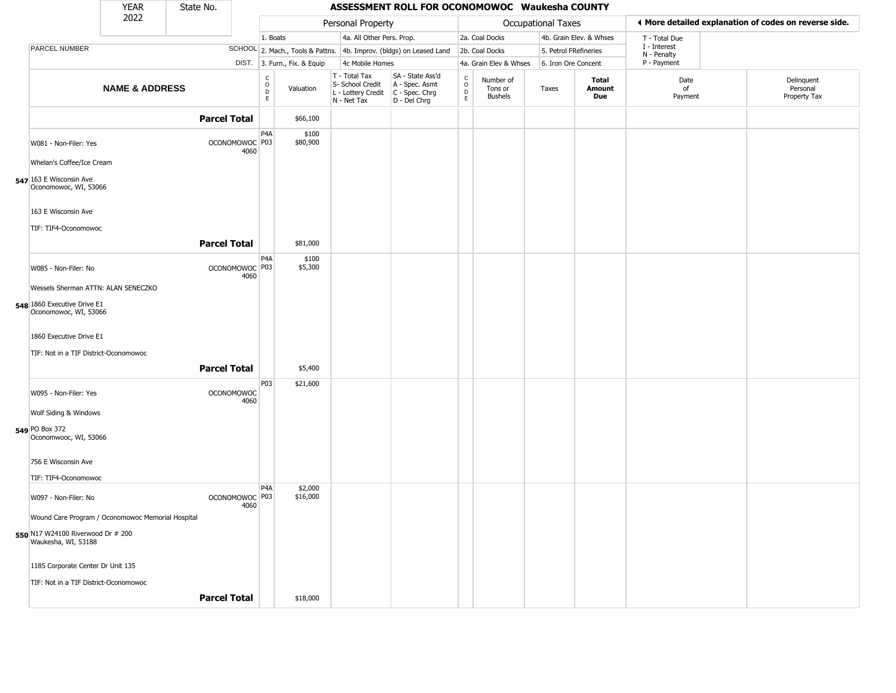|                                                                                           | <b>YEAR</b>               | State No.           |                           |                                                             |                                                                        | ASSESSMENT ROLL FOR OCONOMOWOC Waukesha COUNTY                         |                                                          |                                        |                    |                         |                             |                                                       |
|-------------------------------------------------------------------------------------------|---------------------------|---------------------|---------------------------|-------------------------------------------------------------|------------------------------------------------------------------------|------------------------------------------------------------------------|----------------------------------------------------------|----------------------------------------|--------------------|-------------------------|-----------------------------|-------------------------------------------------------|
|                                                                                           | 2022                      |                     |                           |                                                             | Personal Property                                                      |                                                                        |                                                          |                                        | Occupational Taxes |                         |                             | I More detailed explanation of codes on reverse side. |
|                                                                                           |                           |                     |                           | 1. Boats                                                    | 4a. All Other Pers. Prop.                                              |                                                                        |                                                          | 2a. Coal Docks                         |                    | 4b. Grain Elev. & Whses | T - Total Due               |                                                       |
| PARCEL NUMBER                                                                             |                           |                     |                           |                                                             |                                                                        | SCHOOL 2. Mach., Tools & Pattns. 4b. Improv. (bldgs) on Leased Land    |                                                          | 2b. Coal Docks                         |                    | 5. Petrol FRefineries   | I - Interest<br>N - Penalty |                                                       |
|                                                                                           |                           |                     |                           | DIST. 3. Furn., Fix. & Equip                                | 4c Mobile Homes                                                        |                                                                        |                                                          | 4a. Grain Elev & Whses                 |                    | 6. Iron Ore Concent     | P - Payment                 |                                                       |
|                                                                                           | <b>NAME &amp; ADDRESS</b> |                     |                           | $\begin{matrix} 0 \\ 0 \\ D \end{matrix}$<br>Valuation<br>E | T - Total Tax<br>S- School Credit<br>L - Lottery Credit<br>N - Net Tax | SA - State Ass'd<br>A - Spec. Asmt<br>$C - Spec. Chrg$<br>D - Del Chrg | $\begin{smallmatrix} C \\ 0 \\ D \end{smallmatrix}$<br>E | Number of<br>Tons or<br><b>Bushels</b> | Taxes              | Total<br>Amount<br>Due  | Date<br>of<br>Payment       | Delinquent<br>Personal<br>Property Tax                |
|                                                                                           |                           | <b>Parcel Total</b> |                           | \$66,100                                                    |                                                                        |                                                                        |                                                          |                                        |                    |                         |                             |                                                       |
| W081 - Non-Filer: Yes<br>Whelan's Coffee/Ice Cream                                        |                           |                     | OCONOMOWOC P03<br>4060    | P <sub>4</sub> A<br>\$100<br>\$80,900                       |                                                                        |                                                                        |                                                          |                                        |                    |                         |                             |                                                       |
| 547 163 E Wisconsin Ave<br>Oconomowoc, WI, 53066                                          |                           |                     |                           |                                                             |                                                                        |                                                                        |                                                          |                                        |                    |                         |                             |                                                       |
| 163 E Wisconsin Ave<br>TIF: TIF4-Oconomowoc                                               |                           |                     |                           |                                                             |                                                                        |                                                                        |                                                          |                                        |                    |                         |                             |                                                       |
|                                                                                           |                           | <b>Parcel Total</b> |                           | \$81,000                                                    |                                                                        |                                                                        |                                                          |                                        |                    |                         |                             |                                                       |
| W085 - Non-Filer: No<br>Wessels Sherman ATTN: ALAN SENECZKO                               |                           |                     | OCONOMOWOC P03<br>4060    | P <sub>4</sub> A<br>\$100<br>\$5,300                        |                                                                        |                                                                        |                                                          |                                        |                    |                         |                             |                                                       |
| 548 1860 Executive Drive E1<br>Oconomowoc, WI, 53066                                      |                           |                     |                           |                                                             |                                                                        |                                                                        |                                                          |                                        |                    |                         |                             |                                                       |
| 1860 Executive Drive E1<br>TIF: Not in a TIF District-Oconomowoc                          |                           |                     |                           |                                                             |                                                                        |                                                                        |                                                          |                                        |                    |                         |                             |                                                       |
|                                                                                           |                           | <b>Parcel Total</b> |                           | \$5,400                                                     |                                                                        |                                                                        |                                                          |                                        |                    |                         |                             |                                                       |
| W095 - Non-Filer: Yes<br>Wolf Siding & Windows<br>549 PO Box 372<br>Oconomwooc, WI, 53066 |                           |                     | <b>OCONOMOWOC</b><br>4060 | P03<br>\$21,600                                             |                                                                        |                                                                        |                                                          |                                        |                    |                         |                             |                                                       |
| 756 E Wisconsin Ave                                                                       |                           |                     |                           |                                                             |                                                                        |                                                                        |                                                          |                                        |                    |                         |                             |                                                       |
| TIF: TIF4-Oconomowoc<br>W097 - Non-Filer: No                                              |                           |                     | OCONOMOWOC <sup>P03</sup> | \$2,000<br>P <sub>4</sub> A<br>\$16,000                     |                                                                        |                                                                        |                                                          |                                        |                    |                         |                             |                                                       |
| Wound Care Program / Oconomowoc Memorial Hospital                                         |                           |                     | 4060                      |                                                             |                                                                        |                                                                        |                                                          |                                        |                    |                         |                             |                                                       |
| 550 N17 W24100 Riverwood Dr # 200<br>Waukesha, WI, 53188                                  |                           |                     |                           |                                                             |                                                                        |                                                                        |                                                          |                                        |                    |                         |                             |                                                       |
| 1185 Corporate Center Dr Unit 135                                                         |                           |                     |                           |                                                             |                                                                        |                                                                        |                                                          |                                        |                    |                         |                             |                                                       |
| TIF: Not in a TIF District-Oconomowoc                                                     |                           |                     |                           |                                                             |                                                                        |                                                                        |                                                          |                                        |                    |                         |                             |                                                       |
|                                                                                           |                           | <b>Parcel Total</b> |                           | \$18,000                                                    |                                                                        |                                                                        |                                                          |                                        |                    |                         |                             |                                                       |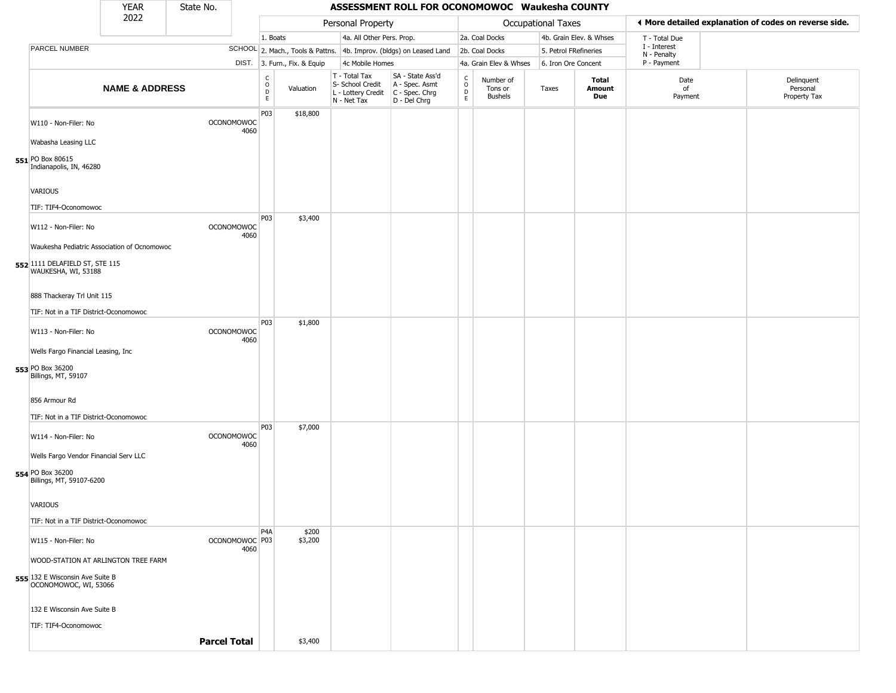|                                                          | <b>YEAR</b>               | State No.           |                           |                                         |                              |                                                                                         | ASSESSMENT ROLL FOR OCONOMOWOC Waukesha COUNTY                      |                                   |                                 |                       |                         |                             |                                                       |
|----------------------------------------------------------|---------------------------|---------------------|---------------------------|-----------------------------------------|------------------------------|-----------------------------------------------------------------------------------------|---------------------------------------------------------------------|-----------------------------------|---------------------------------|-----------------------|-------------------------|-----------------------------|-------------------------------------------------------|
|                                                          | 2022                      |                     |                           |                                         |                              | Personal Property                                                                       |                                                                     |                                   |                                 | Occupational Taxes    |                         |                             | I More detailed explanation of codes on reverse side. |
|                                                          |                           |                     |                           | 1. Boats                                |                              | 4a. All Other Pers. Prop.                                                               |                                                                     |                                   | 2a. Coal Docks                  |                       | 4b. Grain Elev. & Whses | T - Total Due               |                                                       |
| PARCEL NUMBER                                            |                           |                     |                           |                                         |                              |                                                                                         | SCHOOL 2. Mach., Tools & Pattns. 4b. Improv. (bldgs) on Leased Land |                                   | 2b. Coal Docks                  | 5. Petrol FRefineries |                         | I - Interest<br>N - Penalty |                                                       |
|                                                          |                           |                     |                           |                                         | DIST. 3. Furn., Fix. & Equip | 4c Mobile Homes                                                                         |                                                                     |                                   | 4a. Grain Elev & Whses          | 6. Iron Ore Concent   |                         | P - Payment                 |                                                       |
|                                                          | <b>NAME &amp; ADDRESS</b> |                     |                           | $_{\rm o}^{\rm c}$<br>$\mathsf{D}$<br>E | Valuation                    | T - Total Tax<br>S- School Credit<br>L - Lottery Credit   C - Spec. Chrg<br>N - Net Tax | SA - State Ass'd<br>A - Spec. Asmt<br>D - Del Chrg                  | $\frac{c}{0}$<br>D<br>$\mathsf E$ | Number of<br>Tons or<br>Bushels | Taxes                 | Total<br>Amount<br>Due  | Date<br>of<br>Payment       | Delinquent<br>Personal<br>Property Tax                |
| W110 - Non-Filer: No                                     |                           |                     | <b>OCONOMOWOC</b>         | P03                                     | \$18,800                     |                                                                                         |                                                                     |                                   |                                 |                       |                         |                             |                                                       |
| Wabasha Leasing LLC                                      |                           |                     | 4060                      |                                         |                              |                                                                                         |                                                                     |                                   |                                 |                       |                         |                             |                                                       |
|                                                          |                           |                     |                           |                                         |                              |                                                                                         |                                                                     |                                   |                                 |                       |                         |                             |                                                       |
| 551 PO Box 80615<br>Indianapolis, IN, 46280              |                           |                     |                           |                                         |                              |                                                                                         |                                                                     |                                   |                                 |                       |                         |                             |                                                       |
| VARIOUS                                                  |                           |                     |                           |                                         |                              |                                                                                         |                                                                     |                                   |                                 |                       |                         |                             |                                                       |
| TIF: TIF4-Oconomowoc                                     |                           |                     |                           | P03                                     | \$3,400                      |                                                                                         |                                                                     |                                   |                                 |                       |                         |                             |                                                       |
| W112 - Non-Filer: No                                     |                           |                     | OCONOMOWOC<br>4060        |                                         |                              |                                                                                         |                                                                     |                                   |                                 |                       |                         |                             |                                                       |
| Waukesha Pediatric Association of Ocnomowoc              |                           |                     |                           |                                         |                              |                                                                                         |                                                                     |                                   |                                 |                       |                         |                             |                                                       |
| 552 1111 DELAFIELD ST, STE 115<br>WAUKESHA, WI, 53188    |                           |                     |                           |                                         |                              |                                                                                         |                                                                     |                                   |                                 |                       |                         |                             |                                                       |
| 888 Thackeray Trl Unit 115                               |                           |                     |                           |                                         |                              |                                                                                         |                                                                     |                                   |                                 |                       |                         |                             |                                                       |
| TIF: Not in a TIF District-Oconomowoc                    |                           |                     |                           |                                         |                              |                                                                                         |                                                                     |                                   |                                 |                       |                         |                             |                                                       |
| W113 - Non-Filer: No                                     |                           |                     | <b>OCONOMOWOC</b><br>4060 | P03                                     | \$1,800                      |                                                                                         |                                                                     |                                   |                                 |                       |                         |                             |                                                       |
| Wells Fargo Financial Leasing, Inc                       |                           |                     |                           |                                         |                              |                                                                                         |                                                                     |                                   |                                 |                       |                         |                             |                                                       |
| 553 PO Box 36200<br>Billings, MT, 59107                  |                           |                     |                           |                                         |                              |                                                                                         |                                                                     |                                   |                                 |                       |                         |                             |                                                       |
| 856 Armour Rd                                            |                           |                     |                           |                                         |                              |                                                                                         |                                                                     |                                   |                                 |                       |                         |                             |                                                       |
| TIF: Not in a TIF District-Oconomowoc                    |                           |                     |                           | P03                                     | \$7,000                      |                                                                                         |                                                                     |                                   |                                 |                       |                         |                             |                                                       |
| W114 - Non-Filer: No                                     |                           |                     | <b>OCONOMOWOC</b><br>4060 |                                         |                              |                                                                                         |                                                                     |                                   |                                 |                       |                         |                             |                                                       |
| Wells Fargo Vendor Financial Serv LLC                    |                           |                     |                           |                                         |                              |                                                                                         |                                                                     |                                   |                                 |                       |                         |                             |                                                       |
| 554 PO Box 36200<br>Billings, MT, 59107-6200             |                           |                     |                           |                                         |                              |                                                                                         |                                                                     |                                   |                                 |                       |                         |                             |                                                       |
| <b>VARIOUS</b>                                           |                           |                     |                           |                                         |                              |                                                                                         |                                                                     |                                   |                                 |                       |                         |                             |                                                       |
| TIF: Not in a TIF District-Oconomowoc                    |                           |                     |                           |                                         |                              |                                                                                         |                                                                     |                                   |                                 |                       |                         |                             |                                                       |
| W115 - Non-Filer: No                                     |                           |                     | OCONOMOWOC P03<br>4060    | P <sub>4</sub> A                        | \$200<br>\$3,200             |                                                                                         |                                                                     |                                   |                                 |                       |                         |                             |                                                       |
| WOOD-STATION AT ARLINGTON TREE FARM                      |                           |                     |                           |                                         |                              |                                                                                         |                                                                     |                                   |                                 |                       |                         |                             |                                                       |
| 555 132 E Wisconsin Ave Suite B<br>OCONOMOWOC, WI, 53066 |                           |                     |                           |                                         |                              |                                                                                         |                                                                     |                                   |                                 |                       |                         |                             |                                                       |
| 132 E Wisconsin Ave Suite B                              |                           |                     |                           |                                         |                              |                                                                                         |                                                                     |                                   |                                 |                       |                         |                             |                                                       |
| TIF: TIF4-Oconomowoc                                     |                           |                     |                           |                                         |                              |                                                                                         |                                                                     |                                   |                                 |                       |                         |                             |                                                       |
|                                                          |                           | <b>Parcel Total</b> |                           |                                         | \$3,400                      |                                                                                         |                                                                     |                                   |                                 |                       |                         |                             |                                                       |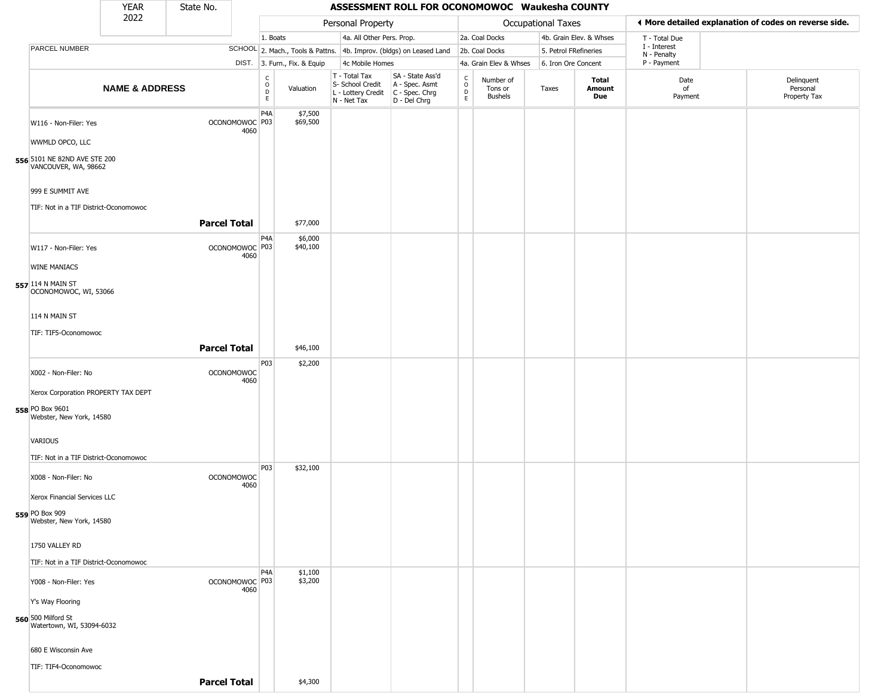|                                                                                                  |                           | <b>YEAR</b><br>State No.<br>ASSESSMENT ROLL FOR OCONOMOWOC Waukesha COUNTY |                                         |                  |                              |                                                                                         |                                                                     |                                              |                                        |                       |                         |                             |                                        |
|--------------------------------------------------------------------------------------------------|---------------------------|----------------------------------------------------------------------------|-----------------------------------------|------------------|------------------------------|-----------------------------------------------------------------------------------------|---------------------------------------------------------------------|----------------------------------------------|----------------------------------------|-----------------------|-------------------------|-----------------------------|----------------------------------------|
|                                                                                                  | 2022                      |                                                                            | Personal Property<br>Occupational Taxes |                  |                              | ♦ More detailed explanation of codes on reverse side.                                   |                                                                     |                                              |                                        |                       |                         |                             |                                        |
|                                                                                                  |                           |                                                                            |                                         | 1. Boats         |                              | 4a. All Other Pers. Prop.                                                               |                                                                     |                                              | 2a. Coal Docks                         |                       | 4b. Grain Elev. & Whses | T - Total Due               |                                        |
| PARCEL NUMBER                                                                                    |                           |                                                                            |                                         |                  |                              |                                                                                         | SCHOOL 2. Mach., Tools & Pattns. 4b. Improv. (bldgs) on Leased Land |                                              | 2b. Coal Docks                         | 5. Petrol FRefineries |                         | I - Interest<br>N - Penalty |                                        |
|                                                                                                  |                           |                                                                            |                                         |                  | DIST. 3. Furn., Fix. & Equip | 4c Mobile Homes                                                                         |                                                                     |                                              | 4a. Grain Elev & Whses                 | 6. Iron Ore Concent   |                         | P - Payment                 |                                        |
|                                                                                                  | <b>NAME &amp; ADDRESS</b> |                                                                            |                                         | $\rm _o^C$<br>E  | Valuation                    | T - Total Tax<br>S- School Credit<br>L - Lottery Credit   C - Spec. Chrg<br>N - Net Tax | SA - State Ass'd<br>A - Spec. Asmt<br>D - Del Chrg                  | $\begin{array}{c}\nC \\ O \\ D\n\end{array}$ | Number of<br>Tons or<br><b>Bushels</b> | Taxes                 | Total<br>Amount<br>Due  | Date<br>of<br>Payment       | Delinquent<br>Personal<br>Property Tax |
| W116 - Non-Filer: Yes<br>WWMLD OPCO, LLC<br>556 5101 NE 82ND AVE STE 200<br>VANCOUVER, WA, 98662 |                           |                                                                            | OCONOMOWOC P03<br>4060                  | P4A              | \$7,500<br>\$69,500          |                                                                                         |                                                                     |                                              |                                        |                       |                         |                             |                                        |
| 999 E SUMMIT AVE<br>TIF: Not in a TIF District-Oconomowoc                                        |                           |                                                                            |                                         |                  |                              |                                                                                         |                                                                     |                                              |                                        |                       |                         |                             |                                        |
|                                                                                                  |                           | <b>Parcel Total</b>                                                        |                                         |                  | \$77,000                     |                                                                                         |                                                                     |                                              |                                        |                       |                         |                             |                                        |
| W117 - Non-Filer: Yes<br><b>WINE MANIACS</b>                                                     |                           |                                                                            | OCONOMOWOC <sup>P03</sup><br>4060       | P4A              | \$6,000<br>\$40,100          |                                                                                         |                                                                     |                                              |                                        |                       |                         |                             |                                        |
| 557 114 N MAIN ST<br>OCONOMOWOC, WI, 53066                                                       |                           |                                                                            |                                         |                  |                              |                                                                                         |                                                                     |                                              |                                        |                       |                         |                             |                                        |
| 114 N MAIN ST                                                                                    |                           |                                                                            |                                         |                  |                              |                                                                                         |                                                                     |                                              |                                        |                       |                         |                             |                                        |
| TIF: TIF5-Oconomowoc                                                                             |                           |                                                                            |                                         |                  |                              |                                                                                         |                                                                     |                                              |                                        |                       |                         |                             |                                        |
|                                                                                                  |                           | <b>Parcel Total</b>                                                        |                                         |                  | \$46,100                     |                                                                                         |                                                                     |                                              |                                        |                       |                         |                             |                                        |
|                                                                                                  |                           |                                                                            |                                         | P03              | \$2,200                      |                                                                                         |                                                                     |                                              |                                        |                       |                         |                             |                                        |
| X002 - Non-Filer: No                                                                             |                           |                                                                            | <b>OCONOMOWOC</b>                       |                  |                              |                                                                                         |                                                                     |                                              |                                        |                       |                         |                             |                                        |
| Xerox Corporation PROPERTY TAX DEPT                                                              |                           |                                                                            | 4060                                    |                  |                              |                                                                                         |                                                                     |                                              |                                        |                       |                         |                             |                                        |
| 558 PO Box 9601<br>Webster, New York, 14580                                                      |                           |                                                                            |                                         |                  |                              |                                                                                         |                                                                     |                                              |                                        |                       |                         |                             |                                        |
| VARIOUS                                                                                          |                           |                                                                            |                                         |                  |                              |                                                                                         |                                                                     |                                              |                                        |                       |                         |                             |                                        |
| TIF: Not in a TIF District-Oconomowoc                                                            |                           |                                                                            |                                         |                  |                              |                                                                                         |                                                                     |                                              |                                        |                       |                         |                             |                                        |
| X008 - Non-Filer: No                                                                             |                           |                                                                            | <b>OCONOMOWOC</b><br>4060               | P03              | \$32,100                     |                                                                                         |                                                                     |                                              |                                        |                       |                         |                             |                                        |
| Xerox Financial Services LLC                                                                     |                           |                                                                            |                                         |                  |                              |                                                                                         |                                                                     |                                              |                                        |                       |                         |                             |                                        |
| 559 PO Box 909<br>Webster, New York, 14580                                                       |                           |                                                                            |                                         |                  |                              |                                                                                         |                                                                     |                                              |                                        |                       |                         |                             |                                        |
| 1750 VALLEY RD                                                                                   |                           |                                                                            |                                         |                  |                              |                                                                                         |                                                                     |                                              |                                        |                       |                         |                             |                                        |
| TIF: Not in a TIF District-Oconomowoc                                                            |                           |                                                                            |                                         |                  |                              |                                                                                         |                                                                     |                                              |                                        |                       |                         |                             |                                        |
| Y008 - Non-Filer: Yes                                                                            |                           |                                                                            | OCONOMOWOC <sup>P03</sup><br>4060       | P <sub>4</sub> A | \$1,100<br>\$3,200           |                                                                                         |                                                                     |                                              |                                        |                       |                         |                             |                                        |
| Y's Way Flooring                                                                                 |                           |                                                                            |                                         |                  |                              |                                                                                         |                                                                     |                                              |                                        |                       |                         |                             |                                        |
| 560 500 Milford St<br>Watertown, WI, 53094-6032                                                  |                           |                                                                            |                                         |                  |                              |                                                                                         |                                                                     |                                              |                                        |                       |                         |                             |                                        |
| 680 E Wisconsin Ave                                                                              |                           |                                                                            |                                         |                  |                              |                                                                                         |                                                                     |                                              |                                        |                       |                         |                             |                                        |
| TIF: TIF4-Oconomowoc                                                                             |                           |                                                                            |                                         |                  |                              |                                                                                         |                                                                     |                                              |                                        |                       |                         |                             |                                        |
|                                                                                                  |                           |                                                                            |                                         |                  |                              |                                                                                         |                                                                     |                                              |                                        |                       |                         |                             |                                        |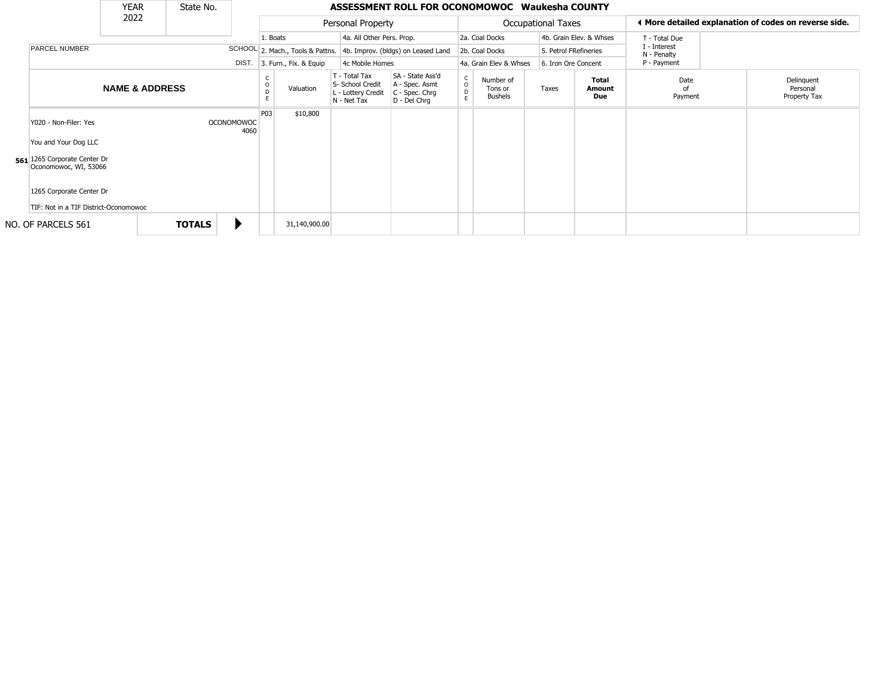|                                                                   | <b>YEAR</b>               |               | State No.         |       |          |                        |                                                                        | ASSESSMENT ROLL FOR OCONOMOWOC Waukesha COUNTY                         |                                    |                                        |                           |                         |                             |                                                       |
|-------------------------------------------------------------------|---------------------------|---------------|-------------------|-------|----------|------------------------|------------------------------------------------------------------------|------------------------------------------------------------------------|------------------------------------|----------------------------------------|---------------------------|-------------------------|-----------------------------|-------------------------------------------------------|
|                                                                   | 2022                      |               |                   |       |          |                        | Personal Property                                                      |                                                                        |                                    |                                        | <b>Occupational Taxes</b> |                         |                             | ◀ More detailed explanation of codes on reverse side. |
|                                                                   |                           |               |                   |       | 1. Boats |                        | 4a. All Other Pers. Prop.                                              |                                                                        |                                    | 2a. Coal Docks                         |                           | 4b. Grain Elev. & Whses | T - Total Due               |                                                       |
| <b>PARCEL NUMBER</b>                                              |                           |               |                   |       |          |                        |                                                                        | SCHOOL 2. Mach., Tools & Pattns. 4b. Improv. (bldgs) on Leased Land    |                                    | 2b. Coal Docks                         |                           | 5. Petrol FRefineries   | I - Interest<br>N - Penalty |                                                       |
|                                                                   |                           |               |                   | DIST. |          | 3. Furn., Fix. & Equip | 4c Mobile Homes                                                        |                                                                        |                                    | 4a. Grain Elev & Whses                 |                           | 6. Iron Ore Concent     | P - Payment                 |                                                       |
|                                                                   | <b>NAME &amp; ADDRESS</b> |               |                   |       |          | Valuation              | T - Total Tax<br>S- School Credit<br>L - Lottery Credit<br>N - Net Tax | SA - State Ass'd<br>A - Spec. Asmt<br>$C - Spec. Chrg$<br>D - Del Chrq | $\mathsf C$<br>$\overline{0}$<br>E | Number of<br>Tons or<br><b>Bushels</b> | Taxes                     | Total<br>Amount<br>Due  | Date<br>nf<br>Payment       | Delinquent<br>Personal<br>Property Tax                |
| Y020 - Non-Filer: Yes<br>You and Your Dog LLC                     |                           |               | <b>OCONOMOWOC</b> | 4060  | P03      | \$10,800               |                                                                        |                                                                        |                                    |                                        |                           |                         |                             |                                                       |
| 561 1265 Corporate Center Dr<br>Oconomowoc, WI, 53066             |                           |               |                   |       |          |                        |                                                                        |                                                                        |                                    |                                        |                           |                         |                             |                                                       |
| 1265 Corporate Center Dr<br>TIF: Not in a TIF District-Oconomowoc |                           |               |                   |       |          |                        |                                                                        |                                                                        |                                    |                                        |                           |                         |                             |                                                       |
| NO. OF PARCELS 561                                                |                           | <b>TOTALS</b> |                   |       |          | 31,140,900.00          |                                                                        |                                                                        |                                    |                                        |                           |                         |                             |                                                       |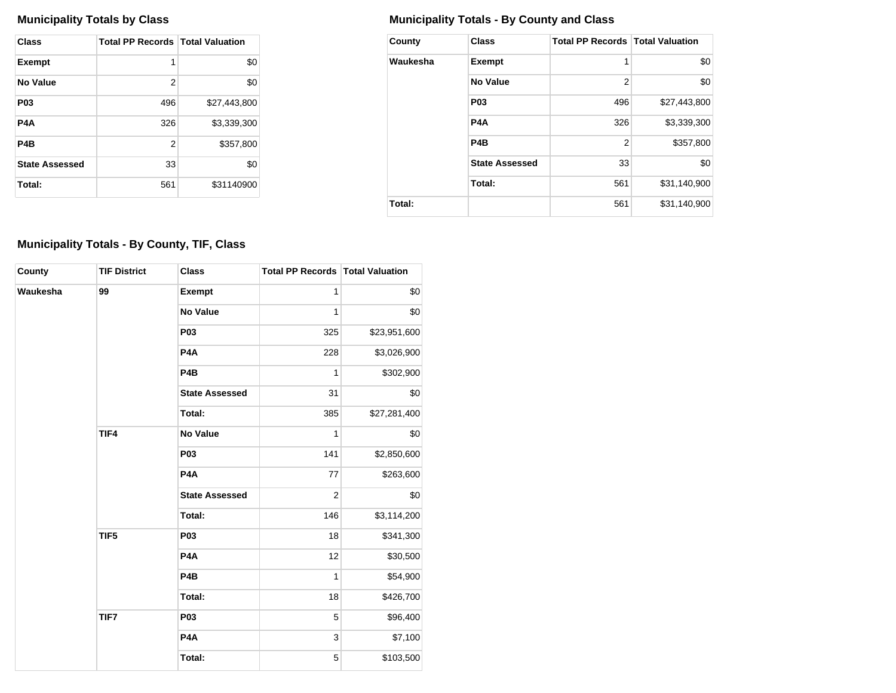| Class                 | <b>Total PP Records   Total Valuation</b> |              |
|-----------------------|-------------------------------------------|--------------|
| <b>Exempt</b>         | 1                                         | \$0          |
| No Value              | 2                                         | \$0          |
| P <sub>0</sub> 3      | 496                                       | \$27,443,800 |
| P4A                   | 326                                       | \$3.339.300  |
| P <sub>4</sub> B      | 2                                         | \$357,800    |
| <b>State Assessed</b> | 33                                        | \$0          |
| Total:                | 561                                       | \$31140900   |

## **Municipality Totals by Class Municipality Totals - By County and Class**

| County   | <b>Class</b>          | <b>Total PP Records   Total Valuation</b> |              |
|----------|-----------------------|-------------------------------------------|--------------|
| Waukesha | <b>Exempt</b>         | 1                                         | \$0          |
|          | No Value              | 2                                         | \$0          |
|          | P <sub>0</sub> 3      | 496                                       | \$27,443,800 |
|          | P <sub>4</sub> A      | 326                                       | \$3,339,300  |
|          | P <sub>4</sub> B      | 2                                         | \$357,800    |
|          | <b>State Assessed</b> | 33                                        | \$0          |
|          | Total:                | 561                                       | \$31,140,900 |
| Total:   |                       | 561                                       | \$31,140,900 |

## **Municipality Totals - By County, TIF, Class**

| County   | <b>TIF District</b> | <b>Class</b>          | <b>Total PP Records Total Valuation</b> |              |
|----------|---------------------|-----------------------|-----------------------------------------|--------------|
| Waukesha | 99                  | <b>Exempt</b>         | $\mathbf{1}$                            | \$0          |
|          |                     | <b>No Value</b>       | 1                                       | \$0          |
|          |                     | P03                   | 325                                     | \$23,951,600 |
|          |                     | P4A                   | 228                                     | \$3,026,900  |
|          |                     | P <sub>4</sub> B      | 1                                       | \$302,900    |
|          |                     | <b>State Assessed</b> | 31                                      | \$0          |
|          |                     | Total:                | 385                                     | \$27,281,400 |
|          | TIF4                | <b>No Value</b>       | 1                                       | \$0          |
|          |                     | P <sub>03</sub>       | 141                                     | \$2,850,600  |
|          |                     | P <sub>4</sub> A      | 77                                      | \$263,600    |
|          |                     | <b>State Assessed</b> | $\overline{c}$                          | \$0          |
|          |                     | Total:                | 146                                     | \$3,114,200  |
|          | TIF5                | <b>P03</b>            | 18                                      | \$341,300    |
|          |                     | P4A                   | 12                                      | \$30,500     |
|          |                     | P <sub>4</sub> B      | 1                                       | \$54,900     |
|          |                     | Total:                | 18                                      | \$426,700    |
|          | TIF7                | <b>P03</b>            | 5                                       | \$96,400     |
|          |                     | P <sub>4</sub> A      | 3                                       | \$7,100      |
|          |                     | Total:                | 5                                       | \$103,500    |